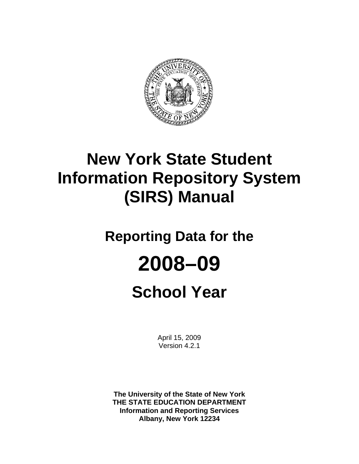

## **New York State Student Information Repository System (SIRS) Manual**

## **Reporting Data for the**

# **2008–09**

## **School Year**

April 15, 2009 Version 4.2.1

**The University of the State of New York THE STATE EDUCATION DEPARTMENT Information and Reporting Services Albany, New York 12234**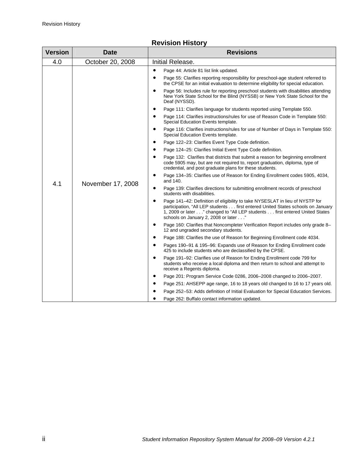| <b>Version</b> | <b>Date</b>       | <b>Revisions</b>                                                                                                                                                                                                                                                                                                                                                                                                                                                                                                                                                                                                                                                                                                                                                                                                                                                                                                                                                                                                                                                                                                                                                                                                                                                                                                                                                                                                                                                                                                                                                                                                                                                                                                                                                                                                                                                                                                                                                                                                                                                                                                                                                                                                                         |
|----------------|-------------------|------------------------------------------------------------------------------------------------------------------------------------------------------------------------------------------------------------------------------------------------------------------------------------------------------------------------------------------------------------------------------------------------------------------------------------------------------------------------------------------------------------------------------------------------------------------------------------------------------------------------------------------------------------------------------------------------------------------------------------------------------------------------------------------------------------------------------------------------------------------------------------------------------------------------------------------------------------------------------------------------------------------------------------------------------------------------------------------------------------------------------------------------------------------------------------------------------------------------------------------------------------------------------------------------------------------------------------------------------------------------------------------------------------------------------------------------------------------------------------------------------------------------------------------------------------------------------------------------------------------------------------------------------------------------------------------------------------------------------------------------------------------------------------------------------------------------------------------------------------------------------------------------------------------------------------------------------------------------------------------------------------------------------------------------------------------------------------------------------------------------------------------------------------------------------------------------------------------------------------------|
| 4.0            | October 20, 2008  | Initial Release.                                                                                                                                                                                                                                                                                                                                                                                                                                                                                                                                                                                                                                                                                                                                                                                                                                                                                                                                                                                                                                                                                                                                                                                                                                                                                                                                                                                                                                                                                                                                                                                                                                                                                                                                                                                                                                                                                                                                                                                                                                                                                                                                                                                                                         |
| 4.1            | November 17, 2008 | $\bullet$<br>Page 44: Article 81 list link updated.<br>$\bullet$<br>Page 55: Clarifies reporting responsibility for preschool-age student referred to<br>the CPSE for an initial evaluation to determine eligibility for special education.<br>$\bullet$<br>Page 56: Includes rule for reporting preschool students with disabilities attending<br>New York State School for the Blind (NYSSB) or New York State School for the<br>Deaf (NYSSD).<br>Page 111: Clarifies language for students reported using Template 550.<br>$\bullet$<br>Page 114: Clarifies instructions/rules for use of Reason Code in Template 550:<br>$\bullet$<br>Special Education Events template.<br>Page 116: Clarifies instructions/rules for use of Number of Days in Template 550:<br>$\bullet$<br>Special Education Events template.<br>Page 122-23: Clarifies Event Type Code definition.<br>$\bullet$<br>Page 124-25: Clarifies Initial Event Type Code definition.<br>$\bullet$<br>Page 132: Clarifies that districts that submit a reason for beginning enrollment<br>$\bullet$<br>code 5905 may, but are not required to, report graduation, diploma, type of<br>credential, and post graduate plans for these students.<br>Page 134-35: Clarifies use of Reason for Ending Enrollment codes 5905, 4034,<br>$\bullet$<br>and 140.<br>$\bullet$<br>Page 139: Clarifies directions for submitting enrollment records of preschool<br>students with disabilities.<br>$\bullet$<br>Page 141-42: Definition of eligibility to take NYSESLAT in lieu of NYSTP for<br>participation, "All LEP students first entered United States schools on January<br>1, 2009 or later" changed to "All LEP students first entered United States<br>schools on January 2, 2008 or later"<br>Page 160: Clarifies that Noncompleter Verification Report includes only grade 8-<br>$\bullet$<br>12 and ungraded secondary students.<br>Page 188: Clarifies the use of Reason for Beginning Enrollment code 4034.<br>$\bullet$<br>Pages 190-91 & 195-96: Expands use of Reason for Ending Enrollment code<br>$\bullet$<br>425 to include students who are declassified by the CPSE.<br>$\bullet$<br>Page 191-92: Clarifies use of Reason for Ending Enrollment code 799 for |
|                |                   | students who receive a local diploma and then return to school and attempt to<br>receive a Regents diploma.<br>$\bullet$<br>Page 201: Program Service Code 0286, 2006-2008 changed to 2006-2007.<br>$\bullet$<br>Page 251: AHSEPP age range, 16 to 18 years old changed to 16 to 17 years old.<br>Page 252-53: Adds definition of Initial Evaluation for Special Education Services.<br>$\bullet$<br>Page 262: Buffalo contact information updated.                                                                                                                                                                                                                                                                                                                                                                                                                                                                                                                                                                                                                                                                                                                                                                                                                                                                                                                                                                                                                                                                                                                                                                                                                                                                                                                                                                                                                                                                                                                                                                                                                                                                                                                                                                                      |

#### **Revision History**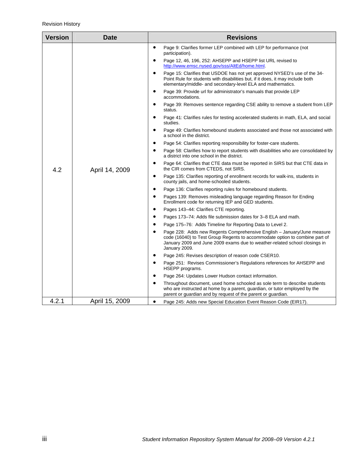| <b>Version</b> | <b>Date</b>    | <b>Revisions</b>                                                                                                                                                                                                                                      |
|----------------|----------------|-------------------------------------------------------------------------------------------------------------------------------------------------------------------------------------------------------------------------------------------------------|
|                |                | Page 9: Clarifies former LEP combined with LEP for performance (not<br>$\bullet$<br>participation).                                                                                                                                                   |
|                |                | Page 12, 46, 196, 252: AHSEPP and HSEPP list URL revised to<br>$\bullet$<br>http://www.emsc.nysed.gov/sss/AltEd/home.html.                                                                                                                            |
|                |                | Page 15: Clarifies that USDOE has not yet approved NYSED's use of the 34-<br>$\bullet$<br>Point Rule for students with disabilities but, if it does, it may include both<br>elementary/middle- and secondary-level ELA and mathematics.               |
|                |                | Page 39: Provide url for administrator's manuals that provide LEP<br>$\bullet$<br>accommodations.                                                                                                                                                     |
|                |                | Page 39: Removes sentence regarding CSE ability to remove a student from LEP<br>status.                                                                                                                                                               |
|                |                | $\bullet$<br>Page 41: Clarifies rules for testing accelerated students in math, ELA, and social<br>studies.                                                                                                                                           |
|                |                | Page 49: Clarifies homebound students associated and those not associated with<br>a school in the district.                                                                                                                                           |
|                |                | Page 54: Clarifies reporting responsibility for foster-care students.                                                                                                                                                                                 |
| 4.2            |                | Page 58: Clarifies how to report students with disabilities who are consolidated by<br>a district into one school in the district.                                                                                                                    |
|                | April 14, 2009 | Page 64: Clarifies that CTE data must be reported in SIRS but that CTE data in<br>the CIR comes from CTEDS, not SIRS.                                                                                                                                 |
|                |                | Page 135: Clarifies reporting of enrollment records for walk-ins, students in<br>٠<br>county jails, and home-schooled students.                                                                                                                       |
|                |                | Page 136: Clarifies reporting rules for homebound students.<br>٠                                                                                                                                                                                      |
|                |                | Pages 139: Removes misleading language regarding Reason for Ending<br>Enrollment code for returning IEP and GED students.                                                                                                                             |
|                |                | Pages 143-44: Clarifies CTE reporting.<br>$\bullet$                                                                                                                                                                                                   |
|                |                | Pages 173-74: Adds file submission dates for 3-8 ELA and math.                                                                                                                                                                                        |
|                |                | Page 175-76: Adds Timeline for Reporting Data to Level 2.                                                                                                                                                                                             |
|                |                | Page 228: Adds new Regents Comprehensive English – January/June measure<br>code (16040) to Test Group Regents to accommodate option to combine part of<br>January 2009 and June 2009 exams due to weather-related school closings in<br>January 2009. |
|                |                | Page 245: Revises description of reason code CSER10.                                                                                                                                                                                                  |
|                |                | Page 251: Revises Commissioner's Regulations references for AHSEPP and<br>HSEPP programs.                                                                                                                                                             |
|                |                | Page 264: Updates Lower Hudson contact information.                                                                                                                                                                                                   |
|                |                | Throughout document, used home schooled as sole term to describe students<br>who are instructed at home by a parent, guardian, or tutor employed by the<br>parent or guardian and by request of the parent or guardian.                               |
| 4.2.1          | April 15, 2009 | Page 245: Adds new Special Education Event Reason Code (EIR17).                                                                                                                                                                                       |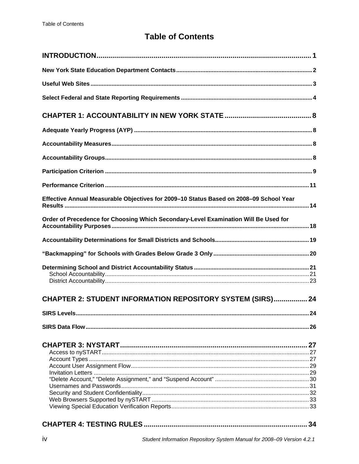## **Table of Contents**

| Effective Annual Measurable Objectives for 2009-10 Status Based on 2008-09 School Year |    |
|----------------------------------------------------------------------------------------|----|
| Order of Precedence for Choosing Which Secondary-Level Examination Will Be Used for    |    |
|                                                                                        |    |
|                                                                                        |    |
|                                                                                        |    |
| <b>CHAPTER 2: STUDENT INFORMATION REPOSITORY SYSTEM (SIRS) 24</b>                      |    |
|                                                                                        | 24 |
|                                                                                        |    |
|                                                                                        |    |
|                                                                                        |    |
|                                                                                        |    |
|                                                                                        |    |
|                                                                                        |    |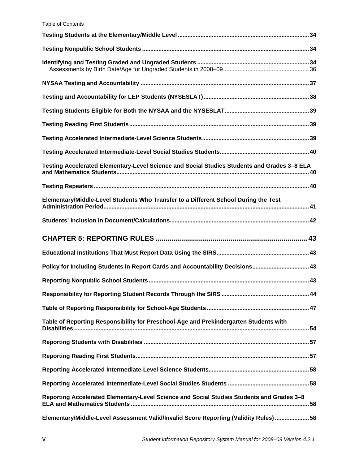#### Table of Contents

| Testing Accelerated Elementary-Level Science and Social Studies Students and Grades 3-8 ELA |  |
|---------------------------------------------------------------------------------------------|--|
|                                                                                             |  |
|                                                                                             |  |
| Elementary/Middle-Level Students Who Transfer to a Different School During the Test         |  |
|                                                                                             |  |
|                                                                                             |  |
|                                                                                             |  |
| Policy for Including Students in Report Cards and Accountability Decisions 43               |  |
|                                                                                             |  |
|                                                                                             |  |
|                                                                                             |  |
| Table of Reporting Responsibility for Preschool-Age and Prekindergarten Students with       |  |
|                                                                                             |  |
|                                                                                             |  |
|                                                                                             |  |
|                                                                                             |  |
| Reporting Accelerated Elementary-Level Science and Social Studies Students and Grades 3-8   |  |
| Elementary/Middle-Level Assessment Valid/Invalid Score Reporting (Validity Rules)  58       |  |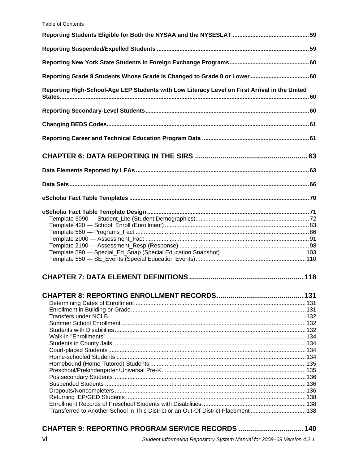| Reporting Grade 9 Students Whose Grade Is Changed to Grade 8 or Lower  60                     |  |
|-----------------------------------------------------------------------------------------------|--|
| Reporting High-School-Age LEP Students with Low Literacy Level on First Arrival in the United |  |
|                                                                                               |  |
|                                                                                               |  |
|                                                                                               |  |
|                                                                                               |  |
|                                                                                               |  |
|                                                                                               |  |
|                                                                                               |  |
|                                                                                               |  |
|                                                                                               |  |
|                                                                                               |  |
|                                                                                               |  |
|                                                                                               |  |
| Transferred to Another School in This District or an Out-Of-District Placement 138            |  |

#### CHAPTER 9: REPORTING PROGRAM SERVICE RECORDS .................................. 140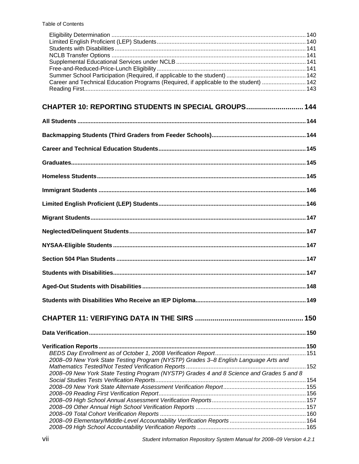| Career and Technical Education Programs (Required, if applicable to the student)  142    |  |
|------------------------------------------------------------------------------------------|--|
|                                                                                          |  |
| CHAPTER 10: REPORTING STUDENTS IN SPECIAL GROUPS 144                                     |  |
|                                                                                          |  |
|                                                                                          |  |
|                                                                                          |  |
|                                                                                          |  |
|                                                                                          |  |
|                                                                                          |  |
|                                                                                          |  |
|                                                                                          |  |
|                                                                                          |  |
|                                                                                          |  |
|                                                                                          |  |
|                                                                                          |  |
|                                                                                          |  |
|                                                                                          |  |
|                                                                                          |  |
|                                                                                          |  |
|                                                                                          |  |
|                                                                                          |  |
| 2008-09 New York State Testing Program (NYSTP) Grades 3-8 English Language Arts and      |  |
|                                                                                          |  |
| 2008-09 New York State Testing Program (NYSTP) Grades 4 and 8 Science and Grades 5 and 8 |  |
|                                                                                          |  |
|                                                                                          |  |
|                                                                                          |  |
|                                                                                          |  |
|                                                                                          |  |
|                                                                                          |  |
|                                                                                          |  |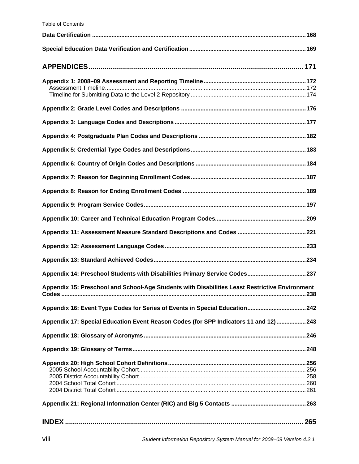| Appendix 14: Preschool Students with Disabilities Primary Service Codes 237                    |
|------------------------------------------------------------------------------------------------|
| Appendix 15: Preschool and School-Age Students with Disabilities Least Restrictive Environment |
| Appendix 16: Event Type Codes for Series of Events in Special Education 242                    |
| Appendix 17: Special Education Event Reason Codes (for SPP Indicators 11 and 12)  243          |
|                                                                                                |
|                                                                                                |
|                                                                                                |
|                                                                                                |
|                                                                                                |
|                                                                                                |
|                                                                                                |
|                                                                                                |
|                                                                                                |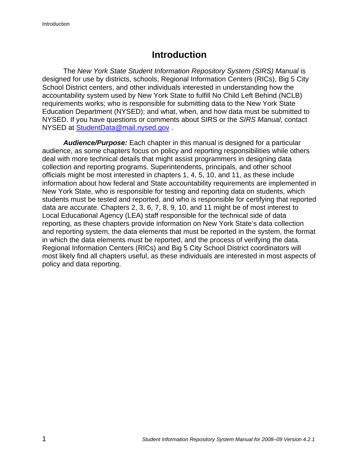## **Introduction**

The *New York State Student Information Repository System (SIRS) Manual* is designed for use by districts, schools, Regional Information Centers (RICs), Big 5 City School District centers, and other individuals interested in understanding how the accountability system used by New York State to fulfill No Child Left Behind (NCLB) requirements works; who is responsible for submitting data to the New York State Education Department (NYSED); and what, when, and how data must be submitted to NYSED. If you have questions or comments about SIRS or the *SIRS Manual*, contact NYSED at StudentData@mail.nysed.gov .

*Audience/Purpose:* Each chapter in this manual is designed for a particular audience, as some chapters focus on policy and reporting responsibilities while others deal with more technical details that might assist programmers in designing data collection and reporting programs. Superintendents, principals, and other school officials might be most interested in chapters 1, 4, 5, 10, and 11, as these include information about how federal and State accountability requirements are implemented in New York State, who is responsible for testing and reporting data on students, which students must be tested and reported, and who is responsible for certifying that reported data are accurate. Chapters 2, 3, 6, 7, 8, 9, 10, and 11 might be of most interest to Local Educational Agency (LEA) staff responsible for the technical side of data reporting, as these chapters provide information on New York State's data collection and reporting system, the data elements that must be reported in the system, the format in which the data elements must be reported, and the process of verifying the data. Regional Information Centers (RICs) and Big 5 City School District coordinators will most likely find all chapters useful, as these individuals are interested in most aspects of policy and data reporting.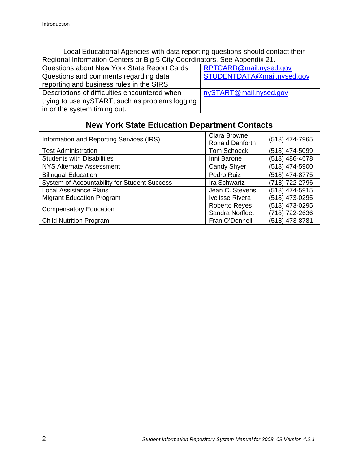Local Educational Agencies with data reporting questions should contact their Regional Information Centers or Big 5 City Coordinators. See Appendix 21.

| Questions about New York State Report Cards     | RPTCARD@mail.nysed.gov     |
|-------------------------------------------------|----------------------------|
| Questions and comments regarding data           | STUDENTDATA@mail.nysed.gov |
| reporting and business rules in the SIRS        |                            |
| Descriptions of difficulties encountered when   | nySTART@mail.nysed.gov     |
| trying to use nySTART, such as problems logging |                            |
| in or the system timing out.                    |                            |

## **New York State Education Department Contacts**

| Information and Reporting Services (IRS)     | <b>Clara Browne</b><br>Ronald Danforth | (518) 474-7965 |
|----------------------------------------------|----------------------------------------|----------------|
| <b>Test Administration</b>                   | <b>Tom Schoeck</b>                     | (518) 474-5099 |
| <b>Students with Disabilities</b>            | Inni Barone                            | (518) 486-4678 |
| <b>NYS Alternate Assessment</b>              | <b>Candy Shyer</b>                     | (518) 474-5900 |
| <b>Bilingual Education</b>                   | Pedro Ruiz                             | (518) 474-8775 |
| System of Accountability for Student Success | Ira Schwartz                           | (718) 722-2796 |
| <b>Local Assistance Plans</b>                | Jean C. Stevens                        | (518) 474-5915 |
| <b>Migrant Education Program</b>             | <b>Ivelisse Rivera</b>                 | (518) 473-0295 |
| <b>Compensatory Education</b>                | <b>Roberto Reyes</b>                   | (518) 473-0295 |
|                                              | Sandra Norfleet                        | (718) 722-2636 |
| <b>Child Nutrition Program</b>               | Fran O'Donnell                         | (518) 473-8781 |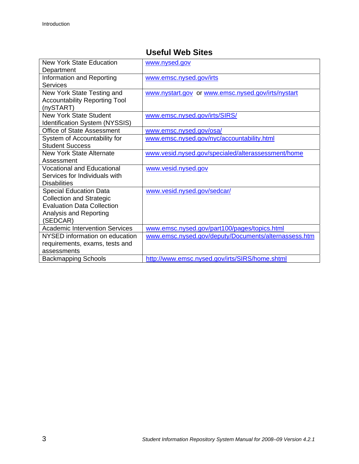## **Useful Web Sites**

| <b>New York State Education</b>       | www.nysed.gov                                        |
|---------------------------------------|------------------------------------------------------|
| Department                            |                                                      |
| Information and Reporting             | www.emsc.nysed.gov/irts                              |
| Services                              |                                                      |
| New York State Testing and            | www.nystart.gov or www.emsc.nysed.gov/irts/nystart   |
| <b>Accountability Reporting Tool</b>  |                                                      |
| (nySTART)                             |                                                      |
| <b>New York State Student</b>         | www.emsc.nysed.gov/irts/SIRS/                        |
| <b>Identification System (NYSSIS)</b> |                                                      |
| Office of State Assessment            | www.emsc.nysed.gov/osa/                              |
| System of Accountability for          | www.emsc.nysed.gov/nyc/accountability.html           |
| <b>Student Success</b>                |                                                      |
| <b>New York State Alternate</b>       | www.vesid.nysed.gov/specialed/alterassessment/home   |
| Assessment                            |                                                      |
| <b>Vocational and Educational</b>     | www.vesid.nysed.gov                                  |
| Services for Individuals with         |                                                      |
| <b>Disabilities</b>                   |                                                      |
| <b>Special Education Data</b>         | www.vesid.nysed.gov/sedcar/                          |
| <b>Collection and Strategic</b>       |                                                      |
| <b>Evaluation Data Collection</b>     |                                                      |
| Analysis and Reporting                |                                                      |
| (SEDCAR)                              |                                                      |
| <b>Academic Intervention Services</b> | www.emsc.nysed.gov/part100/pages/topics.html         |
| NYSED information on education        | www.emsc.nysed.gov/deputy/Documents/alternassess.htm |
| requirements, exams, tests and        |                                                      |
| assessments                           |                                                      |
| <b>Backmapping Schools</b>            | http://www.emsc.nysed.gov/irts/SIRS/home.shtml       |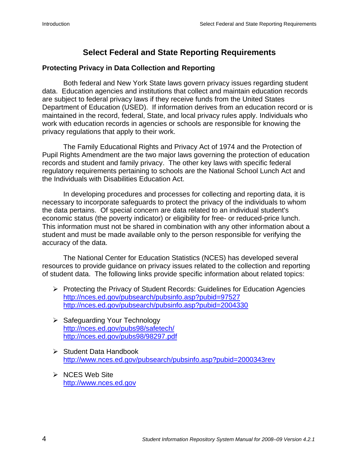## **Select Federal and State Reporting Requirements**

#### **Protecting Privacy in Data Collection and Reporting**

Both federal and New York State laws govern privacy issues regarding student data. Education agencies and institutions that collect and maintain education records are subject to federal privacy laws if they receive funds from the United States Department of Education (USED). If information derives from an education record or is maintained in the record, federal, State, and local privacy rules apply. Individuals who work with education records in agencies or schools are responsible for knowing the privacy regulations that apply to their work.

The Family Educational Rights and Privacy Act of 1974 and the Protection of Pupil Rights Amendment are the two major laws governing the protection of education records and student and family privacy. The other key laws with specific federal regulatory requirements pertaining to schools are the National School Lunch Act and the Individuals with Disabilities Education Act.

In developing procedures and processes for collecting and reporting data, it is necessary to incorporate safeguards to protect the privacy of the individuals to whom the data pertains. Of special concern are data related to an individual student's economic status (the poverty indicator) or eligibility for free- or reduced-price lunch. This information must not be shared in combination with any other information about a student and must be made available only to the person responsible for verifying the accuracy of the data.

The National Center for Education Statistics (NCES) has developed several resources to provide guidance on privacy issues related to the collection and reporting of student data. The following links provide specific information about related topics:

- ¾ Protecting the Privacy of Student Records: Guidelines for Education Agencies http://nces.ed.gov/pubsearch/pubsinfo.asp?pubid=97527 http://nces.ed.gov/pubsearch/pubsinfo.asp?pubid=2004330
- ¾ Safeguarding Your Technology http://nces.ed.gov/pubs98/safetech/ http://nces.ed.gov/pubs98/98297.pdf
- $\triangleright$  Student Data Handbook http://www.nces.ed.gov/pubsearch/pubsinfo.asp?pubid=2000343rev
- $\triangleright$  NCES Web Site http://www.nces.ed.gov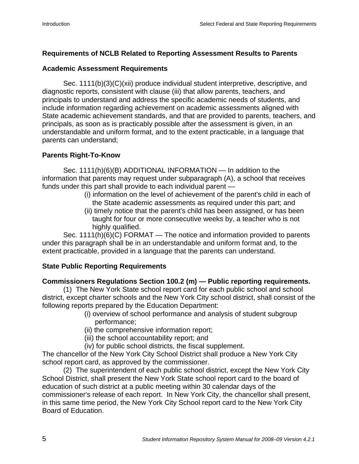#### **Requirements of NCLB Related to Reporting Assessment Results to Parents**

#### **Academic Assessment Requirements**

Sec. 1111(b)(3)(C)(xii) produce individual student interpretive, descriptive, and diagnostic reports, consistent with clause (iii) that allow parents, teachers, and principals to understand and address the specific academic needs of students, and include information regarding achievement on academic assessments aligned with State academic achievement standards, and that are provided to parents, teachers, and principals, as soon as is practicably possible after the assessment is given, in an understandable and uniform format, and to the extent practicable, in a language that parents can understand;

#### **Parents Right-To-Know**

Sec. 1111(h)(6)(B) ADDITIONAL INFORMATION — In addition to the information that parents may request under subparagraph (A), a school that receives funds under this part shall provide to each individual parent —

- (i) information on the level of achievement of the parent's child in each of the State academic assessments as required under this part; and
- (ii) timely notice that the parent's child has been assigned, or has been taught for four or more consecutive weeks by, a teacher who is not highly qualified.

Sec. 1111(h)(6)(C) FORMAT — The notice and information provided to parents under this paragraph shall be in an understandable and uniform format and, to the extent practicable, provided in a language that the parents can understand.

#### **State Public Reporting Requirements**

#### **Commissioners Regulations Section 100.2 (m) — Public reporting requirements.**

(1) The New York State school report card for each public school and school district, except charter schools and the New York City school district, shall consist of the following reports prepared by the Education Department:

- (i) overview of school performance and analysis of student subgroup performance;
- (ii) the comprehensive information report;
- (iii) the school accountability report; and
- (iv) for public school districts, the fiscal supplement.

The chancellor of the New York City School District shall produce a New York City school report card, as approved by the commissioner.

(2) The superintendent of each public school district, except the New York City School District, shall present the New York State school report card to the board of education of such district at a public meeting within 30 calendar days of the commissioner's release of each report. In New York City, the chancellor shall present, in this same time period, the New York City School report card to the New York City Board of Education.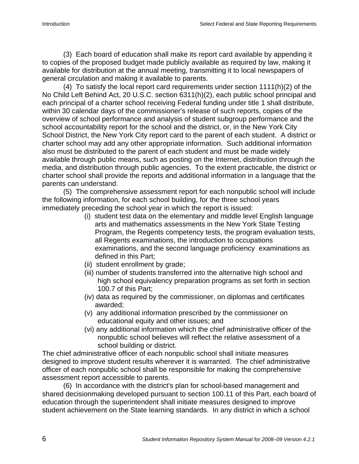(3) Each board of education shall make its report card available by appending it to copies of the proposed budget made publicly available as required by law, making it available for distribution at the annual meeting, transmitting it to local newspapers of general circulation and making it available to parents.

(4) To satisfy the local report card requirements under section 1111(h)(2) of the No Child Left Behind Act, 20 U.S.C. section 6311(h)(2), each public school principal and each principal of a charter school receiving Federal funding under title 1 shall distribute, within 30 calendar days of the commissioner's release of such reports, copies of the overview of school performance and analysis of student subgroup performance and the school accountability report for the school and the district, or, in the New York City School District, the New York City report card to the parent of each student. A district or charter school may add any other appropriate information. Such additional information also must be distributed to the parent of each student and must be made widely available through public means, such as posting on the Internet, distribution through the media, and distribution through public agencies. To the extent practicable, the district or charter school shall provide the reports and additional information in a language that the parents can understand.

(5) The comprehensive assessment report for each nonpublic school will include the following information, for each school building, for the three school years immediately preceding the school year in which the report is issued:

- (i) student test data on the elementary and middle level English language arts and mathematics assessments in the New York State Testing Program, the Regents competency tests, the program evaluation tests, all Regents examinations, the introduction to occupations examinations, and the second language proficiency examinations as defined in this Part;
- (ii) student enrollment by grade;
- (iii) number of students transferred into the alternative high school and high school equivalency preparation programs as set forth in section 100.7 of this Part;
- (iv) data as required by the commissioner, on diplomas and certificates awarded;
- (v) any additional information prescribed by the commissioner on educational equity and other issues; and
- (vi) any additional information which the chief administrative officer of the nonpublic school believes will reflect the relative assessment of a school building or district.

The chief administrative officer of each nonpublic school shall initiate measures designed to improve student results wherever it is warranted. The chief administrative officer of each nonpublic school shall be responsible for making the comprehensive assessment report accessible to parents.

(6) In accordance with the district's plan for school-based management and shared decisionmaking developed pursuant to section 100.11 of this Part, each board of education through the superintendent shall initiate measures designed to improve student achievement on the State learning standards. In any district in which a school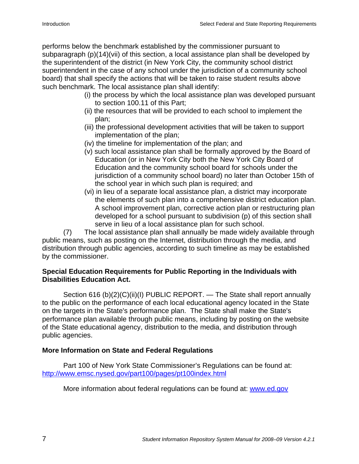performs below the benchmark established by the commissioner pursuant to subparagraph (p)(14)(vii) of this section, a local assistance plan shall be developed by the superintendent of the district (in New York City, the community school district superintendent in the case of any school under the jurisdiction of a community school board) that shall specify the actions that will be taken to raise student results above such benchmark. The local assistance plan shall identify:

- (i) the process by which the local assistance plan was developed pursuant to section 100.11 of this Part;
- (ii) the resources that will be provided to each school to implement the plan;
- (iii) the professional development activities that will be taken to support implementation of the plan;
- (iv) the timeline for implementation of the plan; and
- (v) such local assistance plan shall be formally approved by the Board of Education (or in New York City both the New York City Board of Education and the community school board for schools under the jurisdiction of a community school board) no later than October 15th of the school year in which such plan is required; and
- (vi) in lieu of a separate local assistance plan, a district may incorporate the elements of such plan into a comprehensive district education plan. A school improvement plan, corrective action plan or restructuring plan developed for a school pursuant to subdivision (p) of this section shall serve in lieu of a local assistance plan for such school.

(7) The local assistance plan shall annually be made widely available through public means, such as posting on the Internet, distribution through the media, and distribution through public agencies, according to such timeline as may be established by the commissioner.

#### **Special Education Requirements for Public Reporting in the Individuals with Disabilities Education Act.**

Section 616 (b)(2)(C)(ii)(I) PUBLIC REPORT. — The State shall report annually to the public on the performance of each local educational agency located in the State on the targets in the State's performance plan. The State shall make the State's performance plan available through public means, including by posting on the website of the State educational agency, distribution to the media, and distribution through public agencies.

#### **More Information on State and Federal Regulations**

Part 100 of New York State Commissioner's Regulations can be found at: http://www.emsc.nysed.gov/part100/pages/pt100index.html

More information about federal regulations can be found at: www.ed.gov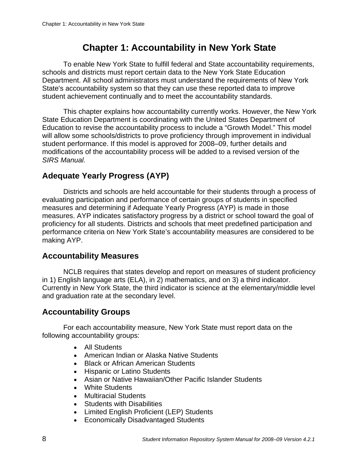## **Chapter 1: Accountability in New York State**

To enable New York State to fulfill federal and State accountability requirements, schools and districts must report certain data to the New York State Education Department. All school administrators must understand the requirements of New York State's accountability system so that they can use these reported data to improve student achievement continually and to meet the accountability standards.

This chapter explains how accountability currently works. However, the New York State Education Department is coordinating with the United States Department of Education to revise the accountability process to include a "Growth Model." This model will allow some schools/districts to prove proficiency through improvement in individual student performance. If this model is approved for 2008–09, further details and modifications of the accountability process will be added to a revised version of the *SIRS Manual.*

## **Adequate Yearly Progress (AYP)**

Districts and schools are held accountable for their students through a process of evaluating participation and performance of certain groups of students in specified measures and determining if Adequate Yearly Progress (AYP) is made in those measures. AYP indicates satisfactory progress by a district or school toward the goal of proficiency for all students. Districts and schools that meet predefined participation and performance criteria on New York State's accountability measures are considered to be making AYP.

## **Accountability Measures**

NCLB requires that states develop and report on measures of student proficiency in 1) English language arts (ELA), in 2) mathematics, and on 3) a third indicator. Currently in New York State, the third indicator is science at the elementary/middle level and graduation rate at the secondary level.

## **Accountability Groups**

For each accountability measure, New York State must report data on the following accountability groups:

- All Students
- American Indian or Alaska Native Students
- Black or African American Students
- Hispanic or Latino Students
- Asian or Native Hawaiian/Other Pacific Islander Students
- White Students
- Multiracial Students
- Students with Disabilities
- Limited English Proficient (LEP) Students
- Economically Disadvantaged Students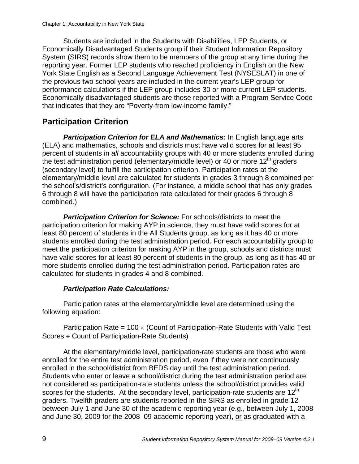Students are included in the Students with Disabilities, LEP Students, or Economically Disadvantaged Students group if their Student Information Repository System (SIRS) records show them to be members of the group at any time during the reporting year. Former LEP students who reached proficiency in English on the New York State English as a Second Language Achievement Test (NYSESLAT) in one of the previous two school years are included in the current year's LEP group for performance calculations if the LEP group includes 30 or more current LEP students. Economically disadvantaged students are those reported with a Program Service Code that indicates that they are "Poverty-from low-income family."

## **Participation Criterion**

**Participation Criterion for ELA and Mathematics:** In English language arts (ELA) and mathematics, schools and districts must have valid scores for at least 95 percent of students in *all* accountability groups with 40 or more students enrolled during the test administration period (elementary/middle level) or 40 or more  $12<sup>th</sup>$  graders (secondary level) to fulfill the participation criterion. Participation rates at the elementary/middle level are calculated for students in grades 3 through 8 combined per the school's/district's configuration. (For instance, a middle school that has only grades 6 through 8 will have the participation rate calculated for their grades 6 through 8 combined.)

**Participation Criterion for Science:** For schools/districts to meet the participation criterion for making AYP in science, they must have valid scores for at least 80 percent of students in the All Students group, as long as it has 40 or more students enrolled during the test administration period. For each accountability group to meet the participation criterion for making AYP in the group, schools and districts must have valid scores for at least 80 percent of students in the group, as long as it has 40 or more students enrolled during the test administration period. Participation rates are calculated for students in grades 4 and 8 combined.

#### *Participation Rate Calculations:*

Participation rates at the elementary/middle level are determined using the following equation:

Participation Rate =  $100 \times$  (Count of Participation-Rate Students with Valid Test Scores ÷ Count of Participation-Rate Students)

At the elementary/middle level, participation-rate students are those who were enrolled for the entire test administration period, even if they were not continuously enrolled in the school/district from BEDS day until the test administration period. Students who enter or leave a school/district during the test administration period are not considered as participation-rate students unless the school/district provides valid scores for the students. At the secondary level, participation-rate students are  $12<sup>th</sup>$ graders. Twelfth graders are students reported in the SIRS as enrolled in grade 12 between July 1 and June 30 of the academic reporting year (e.g., between July 1, 2008 and June 30, 2009 for the 2008–09 academic reporting year), or as graduated with a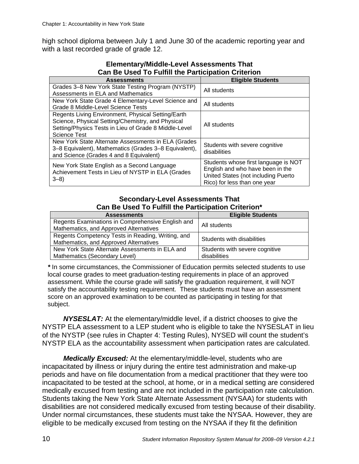high school diploma between July 1 and June 30 of the academic reporting year and with a last recorded grade of grade 12.

| <u>uan bu uuu tu tamm alu taraupaaul uhanun u</u>     |                                      |  |
|-------------------------------------------------------|--------------------------------------|--|
| <b>Assessments</b>                                    | <b>Eligible Students</b>             |  |
| Grades 3–8 New York State Testing Program (NYSTP)     | All students                         |  |
| Assessments in ELA and Mathematics                    |                                      |  |
| New York State Grade 4 Elementary-Level Science and   | All students                         |  |
| Grade 8 Middle-Level Science Tests                    |                                      |  |
| Regents Living Environment, Physical Setting/Earth    |                                      |  |
| Science, Physical Setting/Chemistry, and Physical     | All students                         |  |
| Setting/Physics Tests in Lieu of Grade 8 Middle-Level |                                      |  |
| <b>Science Test</b>                                   |                                      |  |
| New York State Alternate Assessments in ELA (Grades   | Students with severe cognitive       |  |
| 3-8 Equivalent), Mathematics (Grades 3-8 Equivalent), | disabilities                         |  |
| and Science (Grades 4 and 8 Equivalent)               |                                      |  |
| New York State English as a Second Language           | Students whose first language is NOT |  |
| Achievement Tests in Lieu of NYSTP in ELA (Grades     | English and who have been in the     |  |
| $3 - 8$                                               | United States (not including Puerto  |  |
|                                                       | Rico) for less than one year         |  |

#### **Elementary/Middle-Level Assessments That Can Be Used To Fulfill the Participation Criterion**

#### **Secondary-Level Assessments That Can Be Used To Fulfill the Participation Criterion\***

| <b>Assessments</b>                                | <b>Eligible Students</b>       |  |
|---------------------------------------------------|--------------------------------|--|
| Regents Examinations in Comprehensive English and | All students                   |  |
| Mathematics, and Approved Alternatives            |                                |  |
| Regents Competency Tests in Reading, Writing, and | Students with disabilities     |  |
| Mathematics, and Approved Alternatives            |                                |  |
| New York State Alternate Assessments in ELA and   | Students with severe cognitive |  |
| Mathematics (Secondary Level)                     | disabilities                   |  |

*\** In some circumstances, the Commissioner of Education permits selected students to use local course grades to meet graduation-testing requirements in place of an approved assessment. While the course grade will satisfy the graduation requirement, it will NOT satisfy the accountability testing requirement. These students must have an assessment score on an approved examination to be counted as participating in testing for that subject.

*NYSESLAT:* At the elementary/middle level, if a district chooses to give the NYSTP ELA assessment to a LEP student who is eligible to take the NYSESLAT in lieu of the NYSTP (see rules in Chapter 4: Testing Rules), NYSED will count the student's NYSTP ELA as the accountability assessment when participation rates are calculated.

*Medically Excused:* At the elementary/middle-level, students who are incapacitated by illness or injury during the entire test administration and make-up periods and have on file documentation from a medical practitioner that they were too incapacitated to be tested at the school, at home, or in a medical setting are considered medically excused from testing and are not included in the participation rate calculation. Students taking the New York State Alternate Assessment (NYSAA) for students with disabilities are not considered medically excused from testing because of their disability. Under normal circumstances, these students must take the NYSAA. However, they are eligible to be medically excused from testing on the NYSAA if they fit the definition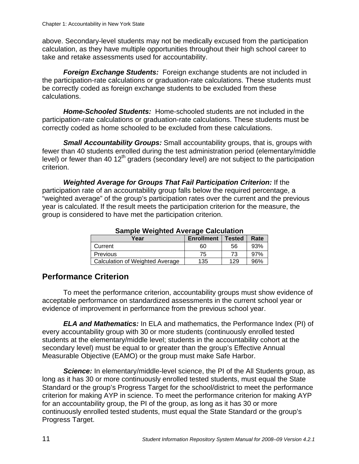above. Secondary-level students may not be medically excused from the participation calculation, as they have multiple opportunities throughout their high school career to take and retake assessments used for accountability.

*Foreign Exchange Students:* Foreign exchange students are not included in the participation-rate calculations or graduation-rate calculations. These students must be correctly coded as foreign exchange students to be excluded from these calculations.

*Home-Schooled Students:* Home-schooled students are not included in the participation-rate calculations or graduation-rate calculations. These students must be correctly coded as home schooled to be excluded from these calculations.

*Small Accountability Groups:* Small accountability groups, that is, groups with fewer than 40 students enrolled during the test administration period (elementary/middle level) or fewer than 40  $12<sup>th</sup>$  graders (secondary level) are not subject to the participation criterion.

*Weighted Average for Groups That Fail Participation Criterion:* If the participation rate of an accountability group falls below the required percentage, a "weighted average" of the group's participation rates over the current and the previous year is calculated. If the result meets the participation criterion for the measure, the group is considered to have met the participation criterion.

| <u>oanipio morghtoa Ameriago Odiodiationi</u> |                   |               |      |  |  |  |
|-----------------------------------------------|-------------------|---------------|------|--|--|--|
| Year                                          | <b>Enrollment</b> | <b>Tested</b> | Rate |  |  |  |
| Current                                       | 60                | 56            | 93%  |  |  |  |
| Previous                                      | 75                | 73            | 97%  |  |  |  |
| Calculation of Weighted Average               | 135               | 129           | 96%  |  |  |  |

**Sample Weighted Average Calculation** 

## **Performance Criterion**

To meet the performance criterion, accountability groups must show evidence of acceptable performance on standardized assessments in the current school year or evidence of improvement in performance from the previous school year.

*ELA and Mathematics:* In ELA and mathematics, the Performance Index (PI) of every accountability group with 30 or more students (continuously enrolled tested students at the elementary/middle level; students in the accountability cohort at the secondary level) must be equal to or greater than the group's Effective Annual Measurable Objective (EAMO) or the group must make Safe Harbor.

**Science:** In elementary/middle-level science, the PI of the All Students group, as long as it has 30 or more continuously enrolled tested students, must equal the State Standard or the group's Progress Target for the school/district to meet the performance criterion for making AYP in science. To meet the performance criterion for making AYP for an accountability group, the PI of the group, as long as it has 30 or more continuously enrolled tested students, must equal the State Standard or the group's Progress Target.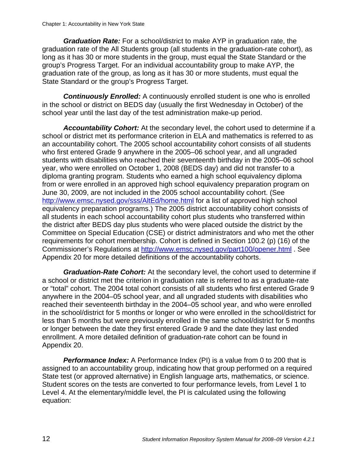*Graduation Rate:* For a school/district to make AYP in graduation rate, the graduation rate of the All Students group (all students in the graduation-rate cohort), as long as it has 30 or more students in the group, must equal the State Standard or the group's Progress Target. For an individual accountability group to make AYP, the graduation rate of the group, as long as it has 30 or more students, must equal the State Standard or the group's Progress Target.

**Continuously Enrolled:** A continuously enrolled student is one who is enrolled in the school or district on BEDS day (usually the first Wednesday in October) of the school year until the last day of the test administration make-up period.

*Accountability Cohort:* At the secondary level, the cohort used to determine if a school or district met its performance criterion in ELA and mathematics is referred to as an accountability cohort. The 2005 school accountability cohort consists of all students who first entered Grade 9 anywhere in the 2005–06 school year, and all ungraded students with disabilities who reached their seventeenth birthday in the 2005–06 school year, who were enrolled on October 1, 2008 (BEDS day) and did not transfer to a diploma granting program. Students who earned a high school equivalency diploma from or were enrolled in an approved high school equivalency preparation program on June 30, 2009, are not included in the 2005 school accountability cohort. (See http://www.emsc.nysed.gov/sss/AltEd/home.html for a list of approved high school equivalency preparation programs.) The 2005 district accountability cohort consists of all students in each school accountability cohort plus students who transferred within the district after BEDS day plus students who were placed outside the district by the Committee on Special Education (CSE) or district administrators and who met the other requirements for cohort membership. Cohort is defined in Section 100.2 (p) (16) of the Commissioner's Regulations at http://www.emsc.nysed.gov/part100/opener.html . See Appendix 20 for more detailed definitions of the accountability cohorts.

*Graduation-Rate Cohort:* At the secondary level, the cohort used to determine if a school or district met the criterion in graduation rate is referred to as a graduate-rate or "total" cohort. The 2004 total cohort consists of all students who first entered Grade 9 anywhere in the 2004–05 school year, and all ungraded students with disabilities who reached their seventeenth birthday in the 2004–05 school year, and who were enrolled in the school/district for 5 months or longer or who were enrolled in the school/district for less than 5 months but were previously enrolled in the same school/district for 5 months or longer between the date they first entered Grade 9 and the date they last ended enrollment. A more detailed definition of graduation-rate cohort can be found in Appendix 20.

**Performance Index:** A Performance Index (PI) is a value from 0 to 200 that is assigned to an accountability group, indicating how that group performed on a required State test (or approved alternative) in English language arts, mathematics, or science. Student scores on the tests are converted to four performance levels, from Level 1 to Level 4. At the elementary/middle level, the PI is calculated using the following equation: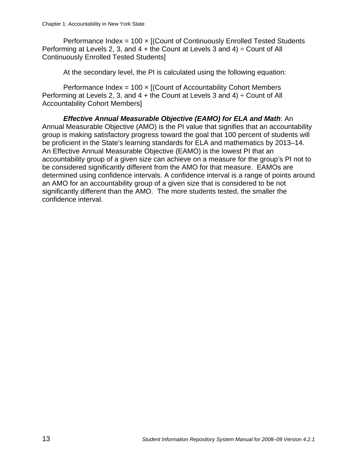Performance Index =  $100 \times$  [(Count of Continuously Enrolled Tested Students Performing at Levels 2, 3, and  $4 +$  the Count at Levels 3 and  $4) \div$  Count of All Continuously Enrolled Tested Students]

At the secondary level, the PI is calculated using the following equation:

Performance Index =  $100 \times$  [(Count of Accountability Cohort Members Performing at Levels 2, 3, and  $4 +$  the Count at Levels 3 and  $4) \div$  Count of All Accountability Cohort Members]

*Effective Annual Measurable Objective (EAMO) for ELA and Math*: An Annual Measurable Objective (AMO) is the PI value that signifies that an accountability group is making satisfactory progress toward the goal that 100 percent of students will be proficient in the State's learning standards for ELA and mathematics by 2013–14. An Effective Annual Measurable Objective (EAMO) is the lowest PI that an accountability group of a given size can achieve on a measure for the group's PI not to be considered significantly different from the AMO for that measure. EAMOs are determined using confidence intervals. A confidence interval is a range of points around an AMO for an accountability group of a given size that is considered to be not significantly different than the AMO. The more students tested, the smaller the confidence interval.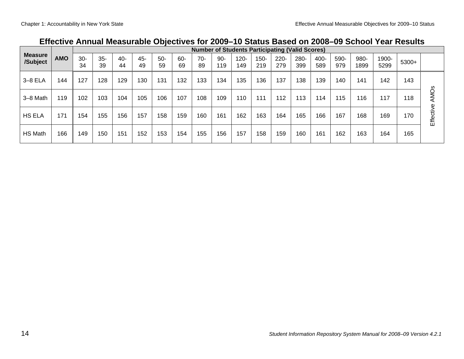|                            |            | <b>Number of Students Participating (Valid Scores)</b> |             |           |           |             |           |             |              |                |                |                |             |             |             |              |               |       |                        |
|----------------------------|------------|--------------------------------------------------------|-------------|-----------|-----------|-------------|-----------|-------------|--------------|----------------|----------------|----------------|-------------|-------------|-------------|--------------|---------------|-------|------------------------|
| <b>Measure</b><br>/Subject | <b>AMO</b> | $30-$<br>34                                            | $35-$<br>39 | 40-<br>44 | 45-<br>49 | $50-$<br>59 | 60-<br>69 | $70-$<br>89 | $90-$<br>119 | $120 -$<br>149 | $150 -$<br>219 | $220 -$<br>279 | 280-<br>399 | 400-<br>589 | 590-<br>979 | 980-<br>1899 | 1900-<br>5299 | 5300+ |                        |
| $3-8$ ELA                  | 144        | 127                                                    | 128         | 129       | 130       | 131         | 132       | 133         | 134          | 135            | 136            | 137            | 138         | 139         | 140         | 141          | 142           | 143   |                        |
| 3-8 Math                   | 119        | 102                                                    | 103         | 104       | 105       | 106         | 107       | 108         | 109          | 110            | 111            | 112            | 113         | 114         | 115         | 116          | 117           | 118   | <b>AMO<sub>S</sub></b> |
| <b>HS ELA</b>              | 171        | 154                                                    | 155         | 156       | 157       | 158         | 159       | 160         | 161          | 162            | 163            | 164            | 165         | 166         | 167         | 168          | 169           | 170   | Effective              |
| HS Math                    | 166        | 149                                                    | 150         | 151       | 152       | 153         | 154       | 155         | 156          | 157            | 158            | 159            | 160         | 161         | 162         | 163          | 164           | 165   |                        |

## **Effective Annual Measurable Objectives for 2009–10 Status Based on 2008–09 School Year Results**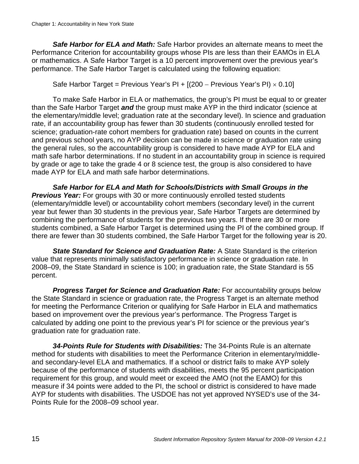*Safe Harbor for ELA and Math:* Safe Harbor provides an alternate means to meet the Performance Criterion for accountability groups whose PIs are less than their EAMOs in ELA or mathematics. A Safe Harbor Target is a 10 percent improvement over the previous year's performance. The Safe Harbor Target is calculated using the following equation:

Safe Harbor Target = Previous Year's PI +  $[(200 - \text{Previous Years's Pl}) \times 0.10]$ 

To make Safe Harbor in ELA or mathematics, the group's PI must be equal to or greater than the Safe Harbor Target *and* the group must make AYP in the third indicator (science at the elementary/middle level; graduation rate at the secondary level). In science and graduation rate, if an accountability group has fewer than 30 students (continuously enrolled tested for science; graduation-rate cohort members for graduation rate) based on counts in the current and previous school years, no AYP decision can be made in science or graduation rate using the general rules, so the accountability group is considered to have made AYP for ELA and math safe harbor determinations. If no student in an accountability group in science is required by grade or age to take the grade 4 or 8 science test, the group is also considered to have made AYP for ELA and math safe harbor determinations.

*Safe Harbor for ELA and Math for Schools/Districts with Small Groups in the*  **Previous Year:** For groups with 30 or more continuously enrolled tested students (elementary/middle level) or accountability cohort members (secondary level) in the current year but fewer than 30 students in the previous year, Safe Harbor Targets are determined by combining the performance of students for the previous two years. If there are 30 or more students combined, a Safe Harbor Target is determined using the PI of the combined group. If there are fewer than 30 students combined, the Safe Harbor Target for the following year is 20.

*State Standard for Science and Graduation Rate:* A State Standard is the criterion value that represents minimally satisfactory performance in science or graduation rate. In 2008–09, the State Standard in science is 100; in graduation rate, the State Standard is 55 percent.

*Progress Target for Science and Graduation Rate:* For accountability groups below the State Standard in science or graduation rate, the Progress Target is an alternate method for meeting the Performance Criterion or qualifying for Safe Harbor in ELA and mathematics based on improvement over the previous year's performance. The Progress Target is calculated by adding one point to the previous year's PI for science or the previous year's graduation rate for graduation rate.

*34-Points Rule for Students with Disabilities:* The 34-Points Rule is an alternate method for students with disabilities to meet the Performance Criterion in elementary/middleand secondary-level ELA and mathematics. If a school or district fails to make AYP solely because of the performance of students with disabilities, meets the 95 percent participation requirement for this group, and would meet or exceed the AMO (not the EAMO) for this measure if 34 points were added to the PI, the school or district is considered to have made AYP for students with disabilities. The USDOE has not yet approved NYSED's use of the 34- Points Rule for the 2008–09 school year.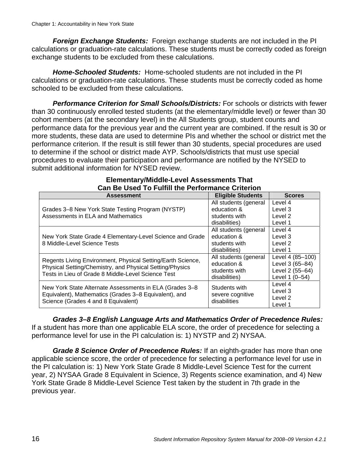*Foreign Exchange Students:* Foreign exchange students are not included in the PI calculations or graduation-rate calculations. These students must be correctly coded as foreign exchange students to be excluded from these calculations.

*Home-Schooled Students:* Home-schooled students are not included in the PI calculations or graduation-rate calculations. These students must be correctly coded as home schooled to be excluded from these calculations.

*Performance Criterion for Small Schools/Districts:* For schools or districts with fewer than 30 continuously enrolled tested students (at the elementary/middle level) or fewer than 30 cohort members (at the secondary level) in the All Students group, student counts and performance data for the previous year and the current year are combined. If the result is 30 or more students, these data are used to determine PIs and whether the school or district met the performance criterion. If the result is still fewer than 30 students, special procedures are used to determine if the school or district made AYP. Schools/districts that must use special procedures to evaluate their participation and performance are notified by the NYSED to submit additional information for NYSED review.

| Can be used To Fulfill the Performance Criterion                                                               |                          |                    |  |  |  |
|----------------------------------------------------------------------------------------------------------------|--------------------------|--------------------|--|--|--|
| <b>Assessment</b>                                                                                              | <b>Eligible Students</b> | <b>Scores</b>      |  |  |  |
|                                                                                                                | All students (general    | Level 4            |  |  |  |
| Grades 3-8 New York State Testing Program (NYSTP)                                                              | education &              | Level 3            |  |  |  |
| Assessments in ELA and Mathematics                                                                             | students with            | Level <sub>2</sub> |  |  |  |
|                                                                                                                | disabilities)            | Level 1            |  |  |  |
|                                                                                                                | All students (general    | Level 4            |  |  |  |
| New York State Grade 4 Elementary-Level Science and Grade<br>8 Middle-Level Science Tests                      | education &              | Level 3            |  |  |  |
|                                                                                                                | students with            | Level <sub>2</sub> |  |  |  |
|                                                                                                                | disabilities)            | Level 1            |  |  |  |
| Regents Living Environment, Physical Setting/Earth Science,                                                    | All students (general    | Level 4 (85-100)   |  |  |  |
| Physical Setting/Chemistry, and Physical Setting/Physics<br>Tests in Lieu of Grade 8 Middle-Level Science Test | education &              | Level 3 (65-84)    |  |  |  |
|                                                                                                                | students with            | Level 2 (55-64)    |  |  |  |
|                                                                                                                | disabilities)            | Level 1 (0-54)     |  |  |  |
| New York State Alternate Assessments in ELA (Grades 3-8                                                        | Students with            | Level 4            |  |  |  |
| Equivalent), Mathematics (Grades 3-8 Equivalent), and                                                          | severe cognitive         | Level 3            |  |  |  |
| Science (Grades 4 and 8 Equivalent)                                                                            | disabilities             | Level <sub>2</sub> |  |  |  |
|                                                                                                                |                          | Level 1            |  |  |  |

#### **Elementary/Middle-Level Assessments That Can Be Used To Fulfill the Performance Criterion**

*Grades 3–8 English Language Arts and Mathematics Order of Precedence Rules:*  If a student has more than one applicable ELA score, the order of precedence for selecting a performance level for use in the PI calculation is: 1) NYSTP and 2) NYSAA.

*Grade 8 Science Order of Precedence Rules:* If an eighth-grader has more than one applicable science score, the order of precedence for selecting a performance level for use in the PI calculation is: 1) New York State Grade 8 Middle-Level Science Test for the current year, 2) NYSAA Grade 8 Equivalent in Science, 3) Regents science examination, and 4) New York State Grade 8 Middle-Level Science Test taken by the student in 7th grade in the previous year.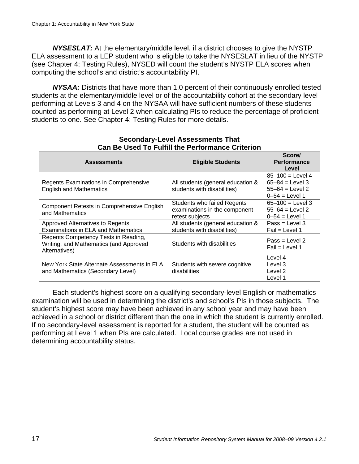*NYSESLAT:* At the elementary/middle level, if a district chooses to give the NYSTP ELA assessment to a LEP student who is eligible to take the NYSESLAT in lieu of the NYSTP (see Chapter 4: Testing Rules), NYSED will count the student's NYSTP ELA scores when computing the school's and district's accountability PI.

*NYSAA:* Districts that have more than 1.0 percent of their continuously enrolled tested students at the elementary/middle level or of the accountability cohort at the secondary level performing at Levels 3 and 4 on the NYSAA will have sufficient numbers of these students counted as performing at Level 2 when calculating PIs to reduce the percentage of proficient students to one. See Chapter 4: Testing Rules for more details.

| <b>Assessments</b>                                                                              | <b>Eligible Students</b>                                                               | Score/<br><b>Performance</b><br>Level                                                    |
|-------------------------------------------------------------------------------------------------|----------------------------------------------------------------------------------------|------------------------------------------------------------------------------------------|
| Regents Examinations in Comprehensive<br><b>English and Mathematics</b>                         | All students (general education &<br>students with disabilities)                       | $85 - 100 =$ Level 4<br>$65 - 84 =$ Level 3<br>$55 - 64 =$ Level 2<br>$0 - 54 =$ Level 1 |
| Component Retests in Comprehensive English<br>and Mathematics                                   | <b>Students who failed Regents</b><br>examinations in the component<br>retest subjects | $65 - 100 =$ Level 3<br>$55 - 64 =$ Level 2<br>$0 - 54 =$ Level 1                        |
| Approved Alternatives to Regents<br>Examinations in ELA and Mathematics                         | All students (general education &<br>students with disabilities)                       | $Pass = Level 3$<br>Fail = Level 1                                                       |
| Regents Competency Tests in Reading,<br>Writing, and Mathematics (and Approved<br>Alternatives) | Students with disabilities                                                             | $Pass = Level 2$<br>Fail = Level 1                                                       |
| New York State Alternate Assessments in ELA<br>and Mathematics (Secondary Level)                | Students with severe cognitive<br>disabilities                                         | Level 4<br>Level 3<br>Level 2<br>Level 1                                                 |

#### **Secondary-Level Assessments That Can Be Used To Fulfill the Performance Criterion**

Each student's highest score on a qualifying secondary-level English or mathematics examination will be used in determining the district's and school's PIs in those subjects. The student's highest score may have been achieved in any school year and may have been achieved in a school or district different than the one in which the student is currently enrolled. If no secondary-level assessment is reported for a student, the student will be counted as performing at Level 1 when PIs are calculated. Local course grades are not used in determining accountability status.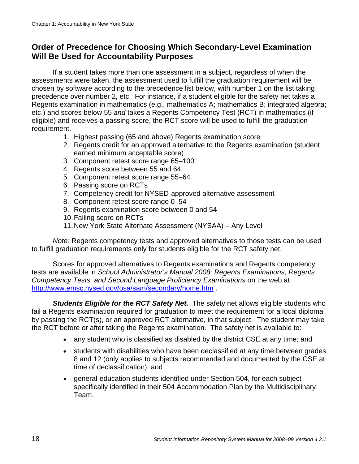## **Order of Precedence for Choosing Which Secondary-Level Examination Will Be Used for Accountability Purposes**

If a student takes more than one assessment in a subject, regardless of when the assessments were taken, the assessment used to fulfill the graduation requirement will be chosen by software according to the precedence list below, with number 1 on the list taking precedence over number 2, etc. For instance, if a student eligible for the safety net takes a Regents examination in mathematics (e.g., mathematics A; mathematics B; integrated algebra; etc.) and scores below 55 *and* takes a Regents Competency Test (RCT) in mathematics (if eligible) and receives a passing score, the RCT score will be used to fulfill the graduation requirement.

- 1. Highest passing (65 and above) Regents examination score
- 2. Regents credit for an approved alternative to the Regents examination (student earned minimum acceptable score)
- 3. Component retest score range 65–100
- 4. Regents score between 55 and 64
- 5. Component retest score range 55–64
- 6. Passing score on RCTs
- 7. Competency credit for NYSED-approved alternative assessment
- 8. Component retest score range 0–54
- 9. Regents examination score between 0 and 54
- 10. Failing score on RCTs
- 11. New York State Alternate Assessment (NYSAA) Any Level

*Note:* Regents competency tests and approved alternatives to those tests can be used to fulfill graduation requirements only for students eligible for the RCT safety net.

Scores for approved alternatives to Regents examinations and Regents competency tests are available in *School Administrator's Manual 2008: Regents Examinations, Regents Competency Tests, and Second Language Proficiency Examinations* on the web at http://www.emsc.nysed.gov/osa/sam/secondary/home.htm .

**Students Eligible for the RCT Safety Net.** The safety net allows eligible students who fail a Regents examination required for graduation to meet the requirement for a local diploma by passing the RCT(s), or an approved RCT alternative, in that subject. The student may take the RCT before or after taking the Regents examination. The safety net is available to:

- any student who is classified as disabled by the district CSE at any time; and
- students with disabilities who have been declassified at any time between grades 8 and 12 (only applies to subjects recommended and documented by the CSE at time of declassification); and
- general-education students identified under Section 504, for each subject specifically identified in their 504 Accommodation Plan by the Multidisciplinary Team.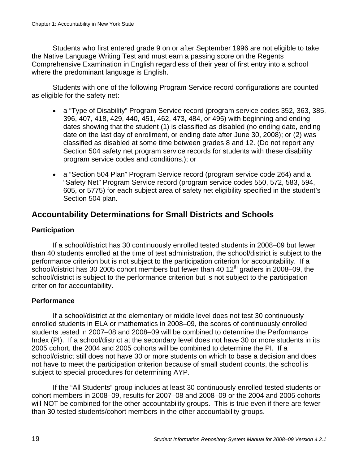Students who first entered grade 9 on or after September 1996 are not eligible to take the Native Language Writing Test and must earn a passing score on the Regents Comprehensive Examination in English regardless of their year of first entry into a school where the predominant language is English.

Students with one of the following Program Service record configurations are counted as eligible for the safety net:

- a "Type of Disability" Program Service record (program service codes 352, 363, 385, 396, 407, 418, 429, 440, 451, 462, 473, 484, or 495) with beginning and ending dates showing that the student (1) is classified as disabled (no ending date, ending date on the last day of enrollment, or ending date after June 30, 2008); or (2) was classified as disabled at some time between grades 8 and 12. (Do not report any Section 504 safety net program service records for students with these disability program service codes and conditions.); or
- a "Section 504 Plan" Program Service record (program service code 264) and a "Safety Net" Program Service record (program service codes 550, 572, 583, 594, 605, or 5775) for each subject area of safety net eligibility specified in the student's Section 504 plan.

#### **Accountability Determinations for Small Districts and Schools**

#### **Participation**

If a school/district has 30 continuously enrolled tested students in 2008–09 but fewer than 40 students enrolled at the time of test administration, the school/district is subject to the performance criterion but is not subject to the participation criterion for accountability. If a school/district has 30 2005 cohort members but fewer than 40  $12<sup>th</sup>$  graders in 2008–09, the school/district is subject to the performance criterion but is not subject to the participation criterion for accountability.

#### **Performance**

If a school/district at the elementary or middle level does not test 30 continuously enrolled students in ELA or mathematics in 2008–09, the scores of continuously enrolled students tested in 2007–08 and 2008–09 will be combined to determine the Performance Index (PI). If a school/district at the secondary level does not have 30 or more students in its 2005 cohort, the 2004 and 2005 cohorts will be combined to determine the PI. If a school/district still does not have 30 or more students on which to base a decision and does not have to meet the participation criterion because of small student counts, the school is subject to special procedures for determining AYP.

If the "All Students" group includes at least 30 continuously enrolled tested students or cohort members in 2008–09, results for 2007–08 and 2008–09 or the 2004 and 2005 cohorts will NOT be combined for the other accountability groups. This is true even if there are fewer than 30 tested students/cohort members in the other accountability groups.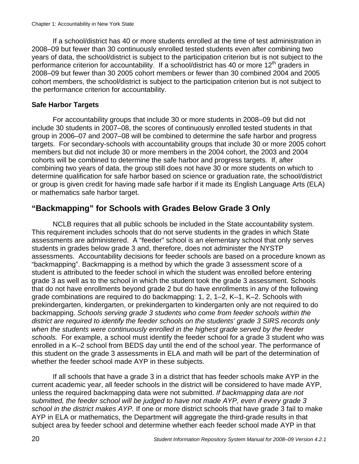If a school/district has 40 or more students enrolled at the time of test administration in 2008–09 but fewer than 30 continuously enrolled tested students even after combining two years of data, the school/district is subject to the participation criterion but is not subject to the performance criterion for accountability. If a school/district has 40 or more  $12<sup>th</sup>$  graders in 2008–09 but fewer than 30 2005 cohort members or fewer than 30 combined 2004 and 2005 cohort members, the school/district is subject to the participation criterion but is not subject to the performance criterion for accountability.

#### **Safe Harbor Targets**

For accountability groups that include 30 or more students in 2008–09 but did not include 30 students in 2007–08, the scores of continuously enrolled tested students in that group in 2006–07 and 2007–08 will be combined to determine the safe harbor and progress targets. For secondary-schools with accountability groups that include 30 or more 2005 cohort members but did not include 30 or more members in the 2004 cohort, the 2003 and 2004 cohorts will be combined to determine the safe harbor and progress targets. If, after combining two years of data, the group still does not have 30 or more students on which to determine qualification for safe harbor based on science or graduation rate, the school/district or group is given credit for having made safe harbor if it made its English Language Arts (ELA) or mathematics safe harbor target.

## **"Backmapping" for Schools with Grades Below Grade 3 Only**

NCLB requires that all public schools be included in the State accountability system. This requirement includes schools that do not serve students in the grades in which State assessments are administered. A "feeder" school is an elementary school that only serves students in grades below grade 3 and, therefore, does not administer the NYSTP assessments. Accountability decisions for feeder schools are based on a procedure known as "backmapping". Backmapping is a method by which the grade 3 assessment score of a student is attributed to the feeder school in which the student was enrolled before entering grade 3 as well as to the school in which the student took the grade 3 assessment. Schools that do not have enrollments beyond grade 2 but do have enrollments in any of the following grade combinations are required to do backmapping: 1, 2, 1–2, K–1, K–2. Schools with prekindergarten, kindergarten, or prekindergarten to kindergarten only are not required to do backmapping. *Schools serving grade 3 students who come from feeder schools within the district are required to identify the feeder schools on the students' grade 3 SIRS records only when the students were continuously enrolled in the highest grade served by the feeder schools.* For example, a school must identify the feeder school for a grade 3 student who was enrolled in a K–2 school from BEDS day until the end of the school year. The performance of this student on the grade 3 assessments in ELA and math will be part of the determination of whether the feeder school made AYP in these subjects.

If all schools that have a grade 3 in a district that has feeder schools make AYP in the current academic year, all feeder schools in the district will be considered to have made AYP, unless the required backmapping data were not submitted. *If backmapping data are not submitted, the feeder school will be judged to have not made AYP, even if every grade 3 school in the district makes AYP.* If one or more district schools that have grade 3 fail to make AYP in ELA or mathematics, the Department will aggregate the third-grade results in that subject area by feeder school and determine whether each feeder school made AYP in that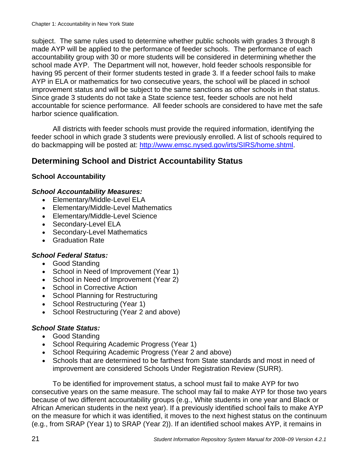subject. The same rules used to determine whether public schools with grades 3 through 8 made AYP will be applied to the performance of feeder schools. The performance of each accountability group with 30 or more students will be considered in determining whether the school made AYP. The Department will not, however, hold feeder schools responsible for having 95 percent of their former students tested in grade 3. If a feeder school fails to make AYP in ELA or mathematics for two consecutive years, the school will be placed in school improvement status and will be subject to the same sanctions as other schools in that status. Since grade 3 students do not take a State science test, feeder schools are not held accountable for science performance. All feeder schools are considered to have met the safe harbor science qualification.

All districts with feeder schools must provide the required information, identifying the feeder school in which grade 3 students were previously enrolled. A list of schools required to do backmapping will be posted at: http://www.emsc.nysed.gov/irts/SIRS/home.shtml.

## **Determining School and District Accountability Status**

#### **School Accountability**

#### *School Accountability Measures:*

- Elementary/Middle-Level ELA
- Elementary/Middle-Level Mathematics
- Elementary/Middle-Level Science
- Secondary-Level ELA
- Secondary-Level Mathematics
- Graduation Rate

#### *School Federal Status:*

- Good Standing
- School in Need of Improvement (Year 1)
- School in Need of Improvement (Year 2)
- School in Corrective Action
- School Planning for Restructuring
- School Restructuring (Year 1)
- School Restructuring (Year 2 and above)

#### *School State Status:*

- Good Standing
- School Requiring Academic Progress (Year 1)
- School Requiring Academic Progress (Year 2 and above)
- Schools that are determined to be farthest from State standards and most in need of improvement are considered Schools Under Registration Review (SURR).

 To be identified for improvement status, a school must fail to make AYP for two consecutive years on the same measure. The school may fail to make AYP for those two years because of two different accountability groups (e.g., White students in one year and Black or African American students in the next year). If a previously identified school fails to make AYP on the measure for which it was identified, it moves to the next highest status on the continuum (e.g., from SRAP (Year 1) to SRAP (Year 2)). If an identified school makes AYP, it remains in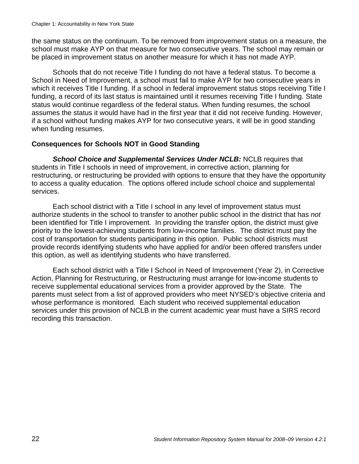the same status on the continuum. To be removed from improvement status on a measure, the school must make AYP on that measure for two consecutive years. The school may remain or be placed in improvement status on another measure for which it has not made AYP.

 Schools that do not receive Title I funding do not have a federal status. To become a School in Need of Improvement, a school must fail to make AYP for two consecutive years in which it receives Title I funding. If a school in federal improvement status stops receiving Title I funding, a record of its last status is maintained until it resumes receiving Title I funding. State status would continue regardless of the federal status. When funding resumes, the school assumes the status it would have had in the first year that it did not receive funding. However, if a school without funding makes AYP for two consecutive years, it will be in good standing when funding resumes.

#### **Consequences for Schools NOT in Good Standing**

**School Choice and Supplemental Services Under NCLB: NCLB requires that** students in Title I schools in need of improvement, in corrective action, planning for restructuring, or restructuring be provided with options to ensure that they have the opportunity to access a quality education. The options offered include school choice and supplemental services.

Each school district with a Title I school in any level of improvement status must authorize students in the school to transfer to another public school in the district that has *not* been identified for Title I improvement. In providing the transfer option, the district must give priority to the lowest-achieving students from low-income families. The district must pay the cost of transportation for students participating in this option. Public school districts must provide records identifying students who have applied for and/or been offered transfers under this option, as well as identifying students who have transferred.

Each school district with a Title I School in Need of Improvement (Year 2), in Corrective Action, Planning for Restructuring, or Restructuring must arrange for low-income students to receive supplemental educational services from a provider approved by the State. The parents must select from a list of approved providers who meet NYSED's objective criteria and whose performance is monitored. Each student who received supplemental education services under this provision of NCLB in the current academic year must have a SIRS record recording this transaction.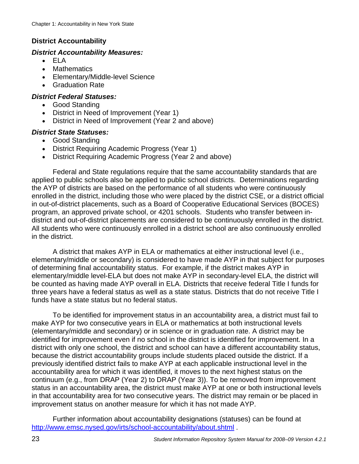#### **District Accountability**

#### *District Accountability Measures:*

- ELA
- Mathematics
- Elementary/Middle-level Science
- Graduation Rate

#### *District Federal Statuses:*

- Good Standing
- District in Need of Improvement (Year 1)
- District in Need of Improvement (Year 2 and above)

#### *District State Statuses:*

- Good Standing
- District Requiring Academic Progress (Year 1)
- District Requiring Academic Progress (Year 2 and above)

Federal and State regulations require that the same accountability standards that are applied to public schools also be applied to public school districts. Determinations regarding the AYP of districts are based on the performance of all students who were continuously enrolled in the district, including those who were placed by the district CSE, or a district official in out-of-district placements, such as a Board of Cooperative Educational Services (BOCES) program, an approved private school, or 4201 schools. Students who transfer between indistrict and out-of-district placements are considered to be continuously enrolled in the district. All students who were continuously enrolled in a district school are also continuously enrolled in the district.

A district that makes AYP in ELA or mathematics at either instructional level (i.e., elementary/middle or secondary) is considered to have made AYP in that subject for purposes of determining final accountability status. For example, if the district makes AYP in elementary/middle level-ELA but does not make AYP in secondary-level ELA, the district will be counted as having made AYP overall in ELA. Districts that receive federal Title I funds for three years have a federal status as well as a state status. Districts that do not receive Title I funds have a state status but no federal status.

To be identified for improvement status in an accountability area, a district must fail to make AYP for two consecutive years in ELA or mathematics at both instructional levels (elementary/middle and secondary) or in science or in graduation rate. A district may be identified for improvement even if no school in the district is identified for improvement. In a district with only one school, the district and school can have a different accountability status, because the district accountability groups include students placed outside the district. If a previously identified district fails to make AYP at each applicable instructional level in the accountability area for which it was identified, it moves to the next highest status on the continuum (e.g., from DRAP (Year 2) to DRAP (Year 3)). To be removed from improvement status in an accountability area, the district must make AYP at one or both instructional levels in that accountability area for two consecutive years. The district may remain or be placed in improvement status on another measure for which it has not made AYP.

Further information about accountability designations (statuses) can be found at http://www.emsc.nysed.gov/irts/school-accountability/about.shtml .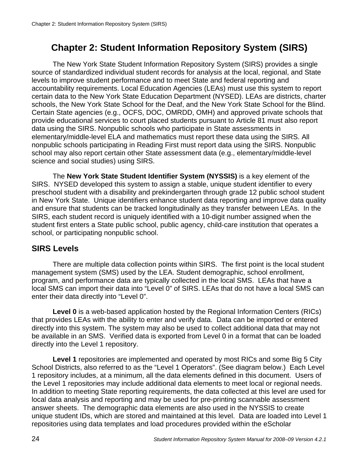## **Chapter 2: Student Information Repository System (SIRS)**

The New York State Student Information Repository System (SIRS) provides a single source of standardized individual student records for analysis at the local, regional, and State levels to improve student performance and to meet State and federal reporting and accountability requirements. Local Education Agencies (LEAs) must use this system to report certain data to the New York State Education Department (NYSED). LEAs are districts, charter schools, the New York State School for the Deaf, and the New York State School for the Blind. Certain State agencies (e.g., OCFS, DOC, OMRDD, OMH) and approved private schools that provide educational services to court placed students pursuant to Article 81 must also report data using the SIRS. Nonpublic schools who participate in State assessments in elementary/middle-level ELA and mathematics must report these data using the SIRS. All nonpublic schools participating in Reading First must report data using the SIRS. Nonpublic school may also report certain other State assessment data (e.g., elementary/middle-level science and social studies) using SIRS.

The **New York State Student Identifier System (NYSSIS)** is a key element of the SIRS. NYSED developed this system to assign a stable, unique student identifier to every preschool student with a disability and prekindergarten through grade 12 public school student in New York State. Unique identifiers enhance student data reporting and improve data quality and ensure that students can be tracked longitudinally as they transfer between LEAs. In the SIRS, each student record is uniquely identified with a 10-digit number assigned when the student first enters a State public school, public agency, child-care institution that operates a school, or participating nonpublic school.

## **SIRS Levels**

There are multiple data collection points within SIRS. The first point is the local student management system (SMS) used by the LEA. Student demographic, school enrollment, program, and performance data are typically collected in the local SMS. LEAs that have a local SMS can import their data into "Level 0" of SIRS. LEAs that do not have a local SMS can enter their data directly into "Level 0".

**Level 0** is a web-based application hosted by the Regional Information Centers (RICs) that provides LEAs with the ability to enter and verify data. Data can be imported or entered directly into this system. The system may also be used to collect additional data that may not be available in an SMS. Verified data is exported from Level 0 in a format that can be loaded directly into the Level 1 repository.

**Level 1** repositories are implemented and operated by most RICs and some Big 5 City School Districts, also referred to as the "Level 1 Operators". (See diagram below.) Each Level 1 repository includes, at a minimum, all the data elements defined in this document. Users of the Level 1 repositories may include additional data elements to meet local or regional needs. In addition to meeting State reporting requirements, the data collected at this level are used for local data analysis and reporting and may be used for pre-printing scannable assessment answer sheets. The demographic data elements are also used in the NYSSIS to create unique student IDs, which are stored and maintained at this level. Data are loaded into Level 1 repositories using data templates and load procedures provided within the eScholar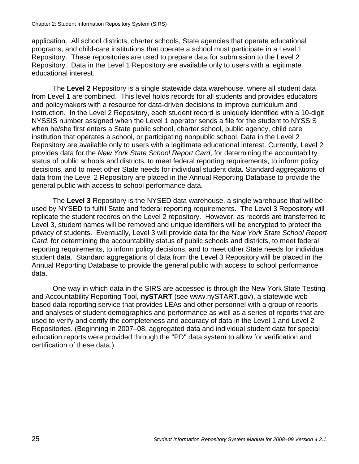application. All school districts, charter schools, State agencies that operate educational programs, and child-care institutions that operate a school must participate in a Level 1 Repository. These repositories are used to prepare data for submission to the Level 2 Repository. Data in the Level 1 Repository are available only to users with a legitimate educational interest.

The **Level 2** Repository is a single statewide data warehouse, where all student data from Level 1 are combined. This level holds records for all students and provides educators and policymakers with a resource for data-driven decisions to improve curriculum and instruction. In the Level 2 Repository, each student record is uniquely identified with a 10-digit NYSSIS number assigned when the Level 1 operator sends a file for the student to NYSSIS when he/she first enters a State public school, charter school, public agency, child care institution that operates a school, or participating nonpublic school. Data in the Level 2 Repository are available only to users with a legitimate educational interest. Currently, Level 2 provides data for the *New York State School Report Card*, for determining the accountability status of public schools and districts, to meet federal reporting requirements, to inform policy decisions, and to meet other State needs for individual student data. Standard aggregations of data from the Level 2 Repository are placed in the Annual Reporting Database to provide the general public with access to school performance data.

The **Level 3** Repository is the NYSED data warehouse, a single warehouse that will be used by NYSED to fulfill State and federal reporting requirements. The Level 3 Repository will replicate the student records on the Level 2 repository. However, as records are transferred to Level 3, student names will be removed and unique identifiers will be encrypted to protect the privacy of students. Eventually, Level 3 will provide data for the *New York State School Report Card*, for determining the accountability status of public schools and districts, to meet federal reporting requirements, to inform policy decisions, and to meet other State needs for individual student data. Standard aggregations of data from the Level 3 Repository will be placed in the Annual Reporting Database to provide the general public with access to school performance data.

One way in which data in the SIRS are accessed is through the New York State Testing and Accountability Reporting Tool, **nySTART** (see www.nySTART.gov), a statewide webbased data reporting service that provides LEAs and other personnel with a group of reports and analyses of student demographics and performance as well as a series of reports that are used to verify and certify the completeness and accuracy of data in the Level 1 and Level 2 Repositories. (Beginning in 2007–08, aggregated data and individual student data for special education reports were provided through the "PD" data system to allow for verification and certification of these data.)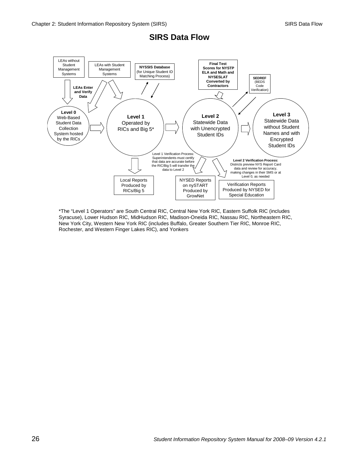

#### **SIRS Data Flow**

\*The "Level 1 Operators" are South Central RIC, Central New York RIC, Eastern Suffolk RIC (includes Syracuse), Lower Hudson RIC, MidHudson RIC, Madison-Oneida RIC, Nassau RIC, Northeastern RIC, New York City, Western New York RIC (includes Buffalo, Greater Southern Tier RIC, Monroe RIC, Rochester, and Western Finger Lakes RIC), and Yonkers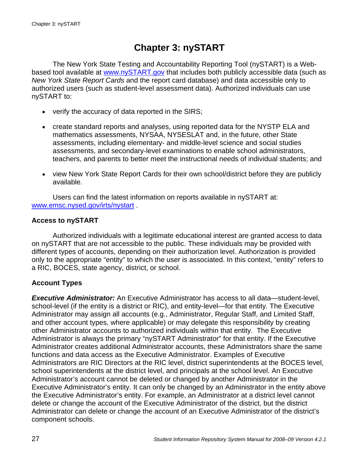## **Chapter 3: nySTART**

The New York State Testing and Accountability Reporting Tool (nySTART) is a Webbased tool available at www.nySTART.gov that includes both publicly accessible data (such as *New York State Report Cards* and the report card database) and data accessible only to authorized users (such as student-level assessment data). Authorized individuals can use nySTART to:

- verify the accuracy of data reported in the SIRS;
- create standard reports and analyses, using reported data for the NYSTP ELA and mathematics assessments, NYSAA, NYSESLAT and, in the future, other State assessments, including elementary- and middle-level science and social studies assessments, and secondary-level examinations to enable school administrators, teachers, and parents to better meet the instructional needs of individual students; and
- view New York State Report Cards for their own school/district before they are publicly available.

Users can find the latest information on reports available in nySTART at: www.emsc.nysed.gov/irts/nystart .

#### **Access to nySTART**

Authorized individuals with a legitimate educational interest are granted access to data on nySTART that are not accessible to the public. These individuals may be provided with different types of accounts, depending on their authorization level. Authorization is provided only to the appropriate "entity" to which the user is associated. In this context, "entity" refers to a RIC, BOCES, state agency, district, or school.

#### **Account Types**

*Executive Administrator:* An Executive Administrator has access to all data—student-level, school-level (if the entity is a district or RIC), and entity-level—for that entity. The Executive Administrator may assign all accounts (e.g., Administrator, Regular Staff, and Limited Staff, and other account types, where applicable) or may delegate this responsibility by creating other Administrator accounts to authorized individuals within that entity. The Executive Administrator is always the primary "nySTART Administrator" for that entity. If the Executive Administrator creates additional Administrator accounts, these Administrators share the same functions and data access as the Executive Administrator. Examples of Executive Administrators are RIC Directors at the RIC level, district superintendents at the BOCES level, school superintendents at the district level, and principals at the school level. An Executive Administrator's account cannot be deleted or changed by another Administrator in the Executive Administrator's entity. It can only be changed by an Administrator in the entity above the Executive Administrator's entity. For example, an Administrator at a district level cannot delete or change the account of the Executive Administrator of the district, but the district Administrator can delete or change the account of an Executive Administrator of the district's component schools.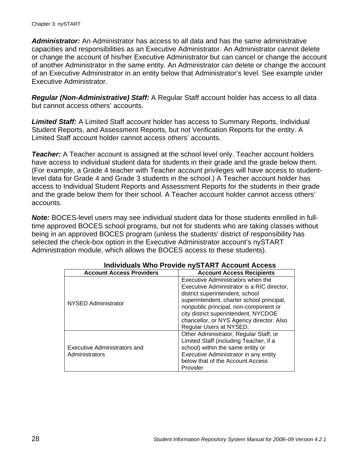#### Chapter 3: nySTART

*Administrator:* An Administrator has access to all data and has the same administrative capacities and responsibilities as an Executive Administrator. An Administrator cannot delete or change the account of his/her Executive Administrator but can cancel or change the account of another Administrator in the same entity. An Administrator *can* delete or change the account of an Executive Administrator in an entity below that Administrator's level. See example under Executive Administrator.

*Regular (Non-Administrative) Staff:* A Regular Staff account holder has access to all data but cannot access others' accounts.

*Limited Staff:* A Limited Staff account holder has access to Summary Reports, Individual Student Reports, and Assessment Reports, but not Verification Reports for the entity. A Limited Staff account holder cannot access others' accounts.

**Teacher:** A Teacher account is assigned at the school level only. Teacher account holders have access to individual student data for students in their grade and the grade below them. (For example, a Grade 4 teacher with Teacher account privileges will have access to studentlevel data for Grade 4 and Grade 3 students in the school.) A Teacher account holder has access to Individual Student Reports and Assessment Reports for the students in their grade and the grade below them for their school. A Teacher account holder cannot access others' accounts.

*Note:* BOCES-level users may see individual student data for those students enrolled in fulltime approved BOCES school programs, but not for students who are taking classes without being in an approved BOCES program (unless the students' district of responsibility has selected the check-box option in the Executive Administrator account's nySTART Administration module, which allows the BOCES access to these students).

| 111                                            |                                                                                                                                                                                                                                                                                                                         |  |  |  |  |
|------------------------------------------------|-------------------------------------------------------------------------------------------------------------------------------------------------------------------------------------------------------------------------------------------------------------------------------------------------------------------------|--|--|--|--|
| <b>Account Access Providers</b>                | <b>Account Access Recipients</b>                                                                                                                                                                                                                                                                                        |  |  |  |  |
| NYSED Administrator                            | Executive Administrators when the<br>Executive Administrator is a RIC director,<br>district superintendent, school<br>superintendent, charter school principal,<br>nonpublic principal, non-component or<br>city district superintendent, NYCDOE<br>chancellor, or NYS Agency director. Also<br>Regular Users at NYSED. |  |  |  |  |
| Executive Administrators and<br>Administrators | Other Administrator, Regular Staff, or<br>Limited Staff (including Teacher, if a<br>school) within the same entity or<br>Executive Administrator in any entity<br>below that of the Account Access<br>Provider                                                                                                          |  |  |  |  |

#### **Individuals Who Provide nySTART Account Access**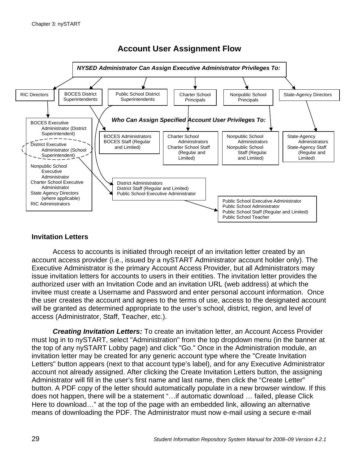

# **Account User Assignment Flow**

#### **Invitation Letters**

Access to accounts is initiated through receipt of an invitation letter created by an account access provider (i.e., issued by a nySTART Administrator account holder only). The Executive Administrator is the primary Account Access Provider, but all Administrators may issue invitation letters for accounts to users in their entities. The invitation letter provides the authorized user with an Invitation Code and an invitation URL (web address) at which the invitee must create a Username and Password and enter personal account information. Once the user creates the account and agrees to the terms of use, access to the designated account will be granted as determined appropriate to the user's school, district, region, and level of access (Administrator, Staff, Teacher, etc.).

*Creating Invitation Letters:* To create an invitation letter, an Account Access Provider must log in to nySTART, select "Administration" from the top dropdown menu (in the banner at the top of any nySTART Lobby page) and click "Go." Once in the Administration module, an invitation letter may be created for any generic account type where the "Create Invitation Letters" button appears (next to that account type's label), and for any Executive Administrator account not already assigned. After clicking the Create Invitation Letters button, the assigning Administrator will fill in the user's first name and last name, then click the "Create Letter" button. A PDF copy of the letter should automatically populate in a new browser window. If this does not happen, there will be a statement "…if automatic download … failed, please Click Here to download…" at the top of the page with an embedded link, allowing an alternative means of downloading the PDF. The Administrator must now e-mail using a secure e-mail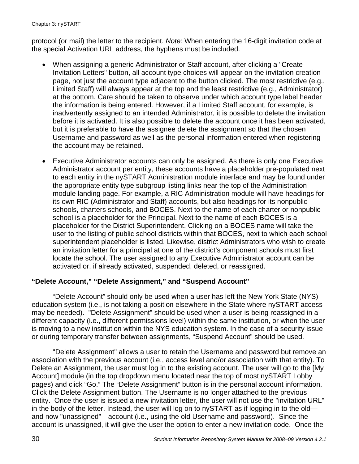protocol (or mail) the letter to the recipient. *Note:* When entering the 16-digit invitation code at the special Activation URL address, the hyphens must be included.

- When assigning a generic Administrator or Staff account, after clicking a "Create Invitation Letters" button, all account type choices will appear on the invitation creation page, not just the account type adjacent to the button clicked. The most restrictive (e.g., Limited Staff) will always appear at the top and the least restrictive (e.g., Administrator) at the bottom. Care should be taken to observe under which account type label header the information is being entered. However, if a Limited Staff account, for example, is inadvertently assigned to an intended Administrator, it is possible to delete the invitation before it is activated. It is also possible to delete the account once it has been activated, but it is preferable to have the assignee delete the assignment so that the chosen Username and password as well as the personal information entered when registering the account may be retained.
- Executive Administrator accounts can only be assigned. As there is only one Executive Administrator account per entity, these accounts have a placeholder pre-populated next to each entity in the nySTART Administration module interface and may be found under the appropriate entity type subgroup listing links near the top of the Administration module landing page. For example, a RIC Administration module will have headings for its own RIC (Administrator and Staff) accounts, but also headings for its nonpublic schools, charters schools, and BOCES. Next to the name of each charter or nonpublic school is a placeholder for the Principal. Next to the name of each BOCES is a placeholder for the District Superintendent. Clicking on a BOCES name will take the user to the listing of public school districts within that BOCES, next to which each school superintendent placeholder is listed. Likewise, district Administrators who wish to create an invitation letter for a principal at one of the district's component schools must first locate the school. The user assigned to any Executive Administrator account can be activated or, if already activated, suspended, deleted, or reassigned.

#### **"Delete Account," "Delete Assignment," and "Suspend Account"**

"Delete Account" should only be used when a user has left the New York State (NYS) education system (i.e., is not taking a position elsewhere in the State where nySTART access may be needed). "Delete Assignment" should be used when a user is being reassigned in a different capacity (i.e., different permissions level) within the same institution, or when the user is moving to a new institution within the NYS education system. In the case of a security issue or during temporary transfer between assignments, "Suspend Account" should be used.

"Delete Assignment" allows a user to retain the Username and password but remove an association with the previous account (i.e., access level and/or association with that entity). To Delete an Assignment, the user must log in to the existing account. The user will go to the [My Account] module (in the top dropdown menu located near the top of most nySTART Lobby pages) and click "Go." The "Delete Assignment" button is in the personal account information. Click the Delete Assignment button. The Username is no longer attached to the previous entity. Once the user is issued a new invitation letter, the user will not use the "invitation URL" in the body of the letter. Instead, the user will log on to nySTART as if logging in to the old and now "unassigned"—account (i.e., using the old Username and password). Since the account is unassigned, it will give the user the option to enter a new invitation code. Once the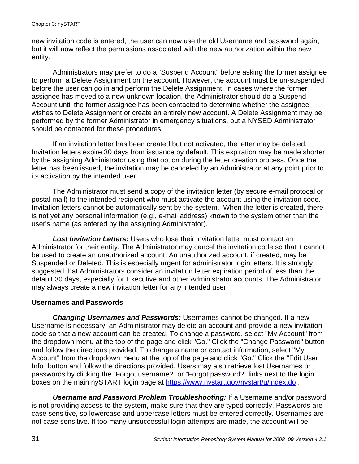new invitation code is entered, the user can now use the old Username and password again, but it will now reflect the permissions associated with the new authorization within the new entity.

Administrators may prefer to do a "Suspend Account" before asking the former assignee to perform a Delete Assignment on the account. However, the account must be un-suspended before the user can go in and perform the Delete Assignment. In cases where the former assignee has moved to a new unknown location, the Administrator should do a Suspend Account until the former assignee has been contacted to determine whether the assignee wishes to Delete Assignment or create an entirely new account. A Delete Assignment may be performed by the former Administrator in emergency situations, but a NYSED Administrator should be contacted for these procedures.

If an invitation letter has been created but not activated, the letter may be deleted. Invitation letters expire 30 days from issuance by default. This expiration may be made shorter by the assigning Administrator using that option during the letter creation process. Once the letter has been issued, the invitation may be canceled by an Administrator at any point prior to its activation by the intended user.

The Administrator must send a copy of the invitation letter (by secure e-mail protocal or postal mail) to the intended recipient who must activate the account using the invitation code. Invitation letters cannot be automatically sent by the system. When the letter is created, there is not yet any personal information (e.g., e-mail address) known to the system other than the user's name (as entered by the assigning Administrator).

*Lost Invitation Letters:* Users who lose their invitation letter must contact an Administrator for their entity. The Administrator may cancel the invitation code so that it cannot be used to create an unauthorized account. An unauthorized account, if created, may be Suspended or Deleted. This is especially urgent for administrator login letters. It is strongly suggested that Administrators consider an invitation letter expiration period of less than the default 30 days, especially for Executive and other Administrator accounts. The Administrator may always create a new invitation letter for any intended user.

#### **Usernames and Passwords**

*Changing Usernames and Passwords:* Usernames cannot be changed. If a new Username is necessary, an Administrator may delete an account and provide a new invitation code so that a new account can be created. To change a password, select "My Account" from the dropdown menu at the top of the page and click "Go." Click the "Change Password" button and follow the directions provided. To change a name or contact information, select "My Account" from the dropdown menu at the top of the page and click "Go." Click the "Edit User Info" button and follow the directions provided. Users may also retrieve lost Usernames or passwords by clicking the "Forgot username?" or "Forgot password?" links next to the login boxes on the main nySTART login page at https://www.nystart.gov/nystart/u/index.do .

*Username and Password Problem Troubleshooting:* If a Username and/or password is not providing access to the system, make sure that they are typed correctly. Passwords are case sensitive, so lowercase and uppercase letters must be entered correctly. Usernames are not case sensitive. If too many unsuccessful login attempts are made, the account will be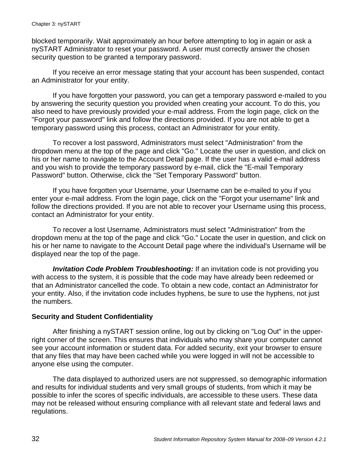blocked temporarily. Wait approximately an hour before attempting to log in again or ask a nySTART Administrator to reset your password. A user must correctly answer the chosen security question to be granted a temporary password.

If you receive an error message stating that your account has been suspended, contact an Administrator for your entity.

If you have forgotten your password, you can get a temporary password e-mailed to you by answering the security question you provided when creating your account. To do this, you also need to have previously provided your e-mail address. From the login page, click on the "Forgot your password" link and follow the directions provided. If you are not able to get a temporary password using this process, contact an Administrator for your entity.

To recover a lost password, Administrators must select "Administration" from the dropdown menu at the top of the page and click "Go." Locate the user in question, and click on his or her name to navigate to the Account Detail page. If the user has a valid e-mail address and you wish to provide the temporary password by e-mail, click the "E-mail Temporary Password" button. Otherwise, click the "Set Temporary Password" button.

If you have forgotten your Username, your Username can be e-mailed to you if you enter your e-mail address. From the login page, click on the "Forgot your username" link and follow the directions provided. If you are not able to recover your Username using this process, contact an Administrator for your entity.

To recover a lost Username, Administrators must select "Administration" from the dropdown menu at the top of the page and click "Go." Locate the user in question, and click on his or her name to navigate to the Account Detail page where the individual's Username will be displayed near the top of the page.

*Invitation Code Problem Troubleshooting:* If an invitation code is not providing you with access to the system, it is possible that the code may have already been redeemed or that an Administrator cancelled the code. To obtain a new code, contact an Administrator for your entity. Also, if the invitation code includes hyphens, be sure to use the hyphens, not just the numbers.

#### **Security and Student Confidentiality**

After finishing a nySTART session online, log out by clicking on "Log Out" in the upperright corner of the screen. This ensures that individuals who may share your computer cannot see your account information or student data. For added security, exit your browser to ensure that any files that may have been cached while you were logged in will not be accessible to anyone else using the computer.

The data displayed to authorized users are not suppressed, so demographic information and results for individual students and very small groups of students, from which it may be possible to infer the scores of specific individuals, are accessible to these users. These data may not be released without ensuring compliance with all relevant state and federal laws and regulations.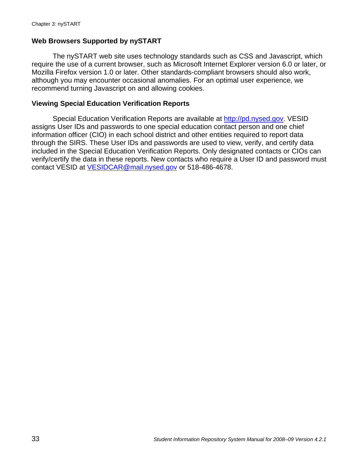#### **Web Browsers Supported by nySTART**

The nySTART web site uses technology standards such as CSS and Javascript, which require the use of a current browser, such as Microsoft Internet Explorer version 6.0 or later, or Mozilla Firefox version 1.0 or later. Other standards-compliant browsers should also work, although you may encounter occasional anomalies. For an optimal user experience, we recommend turning Javascript on and allowing cookies.

#### **Viewing Special Education Verification Reports**

Special Education Verification Reports are available at http://pd.nysed.gov. VESID assigns User IDs and passwords to one special education contact person and one chief information officer (CIO) in each school district and other entities required to report data through the SIRS. These User IDs and passwords are used to view, verify, and certify data included in the Special Education Verification Reports. Only designated contacts or CIOs can verify/certify the data in these reports. New contacts who require a User ID and password must contact VESID at VESIDCAR@mail.nysed.gov or 518-486-4678.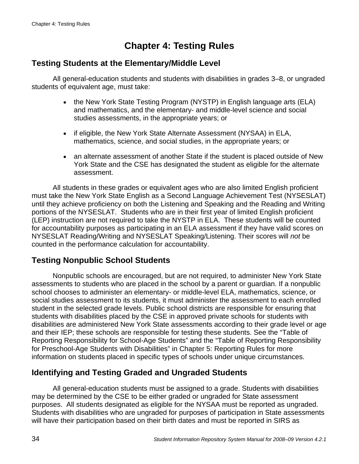# **Chapter 4: Testing Rules**

#### **Testing Students at the Elementary/Middle Level**

All general-education students and students with disabilities in grades 3–8, or ungraded students of equivalent age, must take:

- the New York State Testing Program (NYSTP) in English language arts (ELA) and mathematics, and the elementary- and middle-level science and social studies assessments, in the appropriate years; or
- if eligible, the New York State Alternate Assessment (NYSAA) in ELA, mathematics, science, and social studies, in the appropriate years; or
- an alternate assessment of another State if the student is placed outside of New York State and the CSE has designated the student as eligible for the alternate assessment.

All students in these grades or equivalent ages who are also limited English proficient must take the New York State English as a Second Language Achievement Test (NYSESLAT) until they achieve proficiency on both the Listening and Speaking and the Reading and Writing portions of the NYSESLAT. Students who are in their first year of limited English proficient (LEP) instruction are not required to take the NYSTP in ELA. These students will be counted for accountability purposes as participating in an ELA assessment if they have valid scores on NYSESLAT Reading/Writing and NYSESLAT Speaking/Listening. Their scores will *not* be counted in the performance calculation for accountability.

### **Testing Nonpublic School Students**

Nonpublic schools are encouraged, but are not required, to administer New York State assessments to students who are placed in the school by a parent or guardian. If a nonpublic school chooses to administer an elementary- or middle-level ELA, mathematics, science, or social studies assessment to its students, it must administer the assessment to each enrolled student in the selected grade levels. Public school districts are responsible for ensuring that students with disabilities placed by the CSE in approved private schools for students with disabilities are administered New York State assessments according to their grade level or age and their IEP; these schools are responsible for testing these students. See the "Table of Reporting Responsibility for School-Age Students" and the "Table of Reporting Responsibility for Preschool-Age Students with Disabilities" in Chapter 5: Reporting Rules for more information on students placed in specific types of schools under unique circumstances.

### **Identifying and Testing Graded and Ungraded Students**

All general-education students must be assigned to a grade. Students with disabilities may be determined by the CSE to be either graded or ungraded for State assessment purposes. All students designated as eligible for the NYSAA must be reported as ungraded. Students with disabilities who are ungraded for purposes of participation in State assessments will have their participation based on their birth dates and must be reported in SIRS as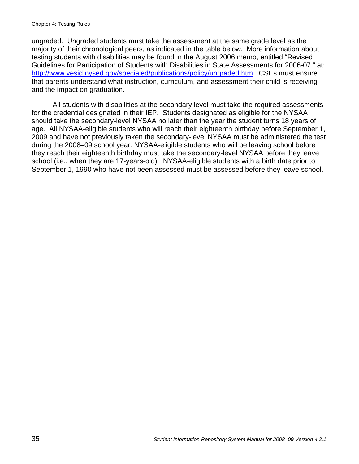ungraded. Ungraded students must take the assessment at the same grade level as the majority of their chronological peers, as indicated in the table below. More information about testing students with disabilities may be found in the August 2006 memo, entitled "Revised Guidelines for Participation of Students with Disabilities in State Assessments for 2006-07," at: http://www.vesid.nysed.gov/specialed/publications/policy/ungraded.htm . CSEs must ensure that parents understand what instruction, curriculum, and assessment their child is receiving and the impact on graduation.

All students with disabilities at the secondary level must take the required assessments for the credential designated in their IEP. Students designated as eligible for the NYSAA should take the secondary-level NYSAA no later than the year the student turns 18 years of age. All NYSAA-eligible students who will reach their eighteenth birthday before September 1, 2009 and have not previously taken the secondary-level NYSAA must be administered the test during the 2008–09 school year. NYSAA-eligible students who will be leaving school before they reach their eighteenth birthday must take the secondary-level NYSAA before they leave school (i.e., when they are 17-years-old). NYSAA-eligible students with a birth date prior to September 1, 1990 who have not been assessed must be assessed before they leave school.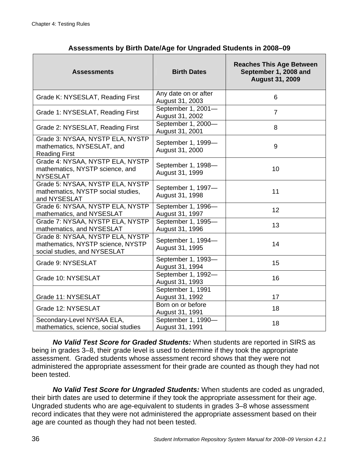| <b>Assessments</b>                                                                                    | <b>Birth Dates</b>                      | <b>Reaches This Age Between</b><br>September 1, 2008 and<br><b>August 31, 2009</b> |
|-------------------------------------------------------------------------------------------------------|-----------------------------------------|------------------------------------------------------------------------------------|
| Grade K: NYSESLAT, Reading First                                                                      | Any date on or after<br>August 31, 2003 | 6                                                                                  |
| Grade 1: NYSESLAT, Reading First                                                                      | September 1, 2001-<br>August 31, 2002   | $\overline{7}$                                                                     |
| Grade 2: NYSESLAT, Reading First                                                                      | September 1, 2000-<br>August 31, 2001   | 8                                                                                  |
| Grade 3: NYSAA, NYSTP ELA, NYSTP<br>mathematics, NYSESLAT, and<br><b>Reading First</b>                | September 1, 1999-<br>August 31, 2000   | 9                                                                                  |
| Grade 4: NYSAA, NYSTP ELA, NYSTP<br>mathematics, NYSTP science, and<br><b>NYSESLAT</b>                | September 1, 1998-<br>August 31, 1999   | 10                                                                                 |
| Grade 5: NYSAA, NYSTP ELA, NYSTP<br>mathematics, NYSTP social studies,<br>and NYSESLAT                | September 1, 1997-<br>August 31, 1998   | 11                                                                                 |
| Grade 6: NYSAA, NYSTP ELA, NYSTP<br>mathematics, and NYSESLAT                                         | September 1, 1996-<br>August 31, 1997   | 12                                                                                 |
| Grade 7: NYSAA, NYSTP ELA, NYSTP<br>mathematics, and NYSESLAT                                         | September 1, 1995-<br>August 31, 1996   | 13                                                                                 |
| Grade 8: NYSAA, NYSTP ELA, NYSTP<br>mathematics, NYSTP science, NYSTP<br>social studies, and NYSESLAT | September 1, 1994-<br>August 31, 1995   | 14                                                                                 |
| Grade 9: NYSESLAT                                                                                     | September 1, 1993-<br>August 31, 1994   | 15                                                                                 |
| Grade 10: NYSESLAT                                                                                    | September 1, 1992-<br>August 31, 1993   | 16                                                                                 |
| Grade 11: NYSESLAT                                                                                    | September 1, 1991<br>August 31, 1992    | 17                                                                                 |
| Grade 12: NYSESLAT                                                                                    | Born on or before<br>August 31, 1991    | 18                                                                                 |
| Secondary-Level NYSAA ELA,<br>mathematics, science, social studies                                    | September 1, 1990-<br>August 31, 1991   | 18                                                                                 |

**Assessments by Birth Date/Age for Ungraded Students in 2008–09** 

*No Valid Test Score for Graded Students:* When students are reported in SIRS as being in grades 3–8, their grade level is used to determine if they took the appropriate assessment. Graded students whose assessment record shows that they were not administered the appropriate assessment for their grade are counted as though they had not been tested.

*No Valid Test Score for Ungraded Students:* When students are coded as ungraded, their birth dates are used to determine if they took the appropriate assessment for their age. Ungraded students who are age-equivalent to students in grades 3–8 whose assessment record indicates that they were not administered the appropriate assessment based on their age are counted as though they had not been tested.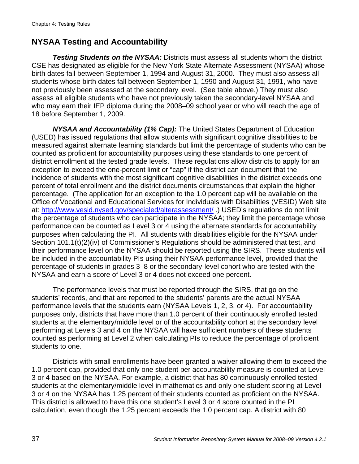# **NYSAA Testing and Accountability**

*Testing Students on the NYSAA:* Districts must assess all students whom the district CSE has designated as eligible for the New York State Alternate Assessment (NYSAA) whose birth dates fall between September 1, 1994 and August 31, 2000. They must also assess all students whose birth dates fall between September 1, 1990 and August 31, 1991, who have not previously been assessed at the secondary level. (See table above.) They must also assess all eligible students who have not previously taken the secondary-level NYSAA and who may earn their IEP diploma during the 2008–09 school year or who will reach the age of 18 before September 1, 2009.

*NYSAA and Accountability (1% Cap):* The United States Department of Education (USED) has issued regulations that allow students with significant cognitive disabilities to be measured against alternate learning standards but limit the percentage of students who can be counted as proficient for accountability purposes using these standards to one percent of district enrollment at the tested grade levels. These regulations allow districts to apply for an exception to exceed the one-percent limit or "cap" if the district can document that the incidence of students with the most significant cognitive disabilities in the district exceeds one percent of total enrollment and the district documents circumstances that explain the higher percentage. (The application for an exception to the 1.0 percent cap will be available on the Office of Vocational and Educational Services for Individuals with Disabilities (VESID) Web site at: http://www.vesid.nysed.gov/specialed/alterassessment/ .) USED's regulations do not limit the percentage of students who can participate in the NYSAA; they limit the percentage whose performance can be counted as Level 3 or 4 using the alternate standards for accountability purposes when calculating the PI. All students with disabilities eligible for the NYSAA under Section 101.1(t)(2)(iv) of Commissioner's Regulations should be administered that test, and their performance level on the NYSAA should be reported using the SIRS. These students will be included in the accountability PIs using their NYSAA performance level, provided that the percentage of students in grades 3–8 or the secondary-level cohort who are tested with the NYSAA and earn a score of Level 3 or 4 does not exceed one percent.

The performance levels that must be reported through the SIRS, that go on the students' records, and that are reported to the students' parents are the actual NYSAA performance levels that the students earn (NYSAA Levels 1, 2, 3, or 4). For accountability purposes only, districts that have more than 1.0 percent of their continuously enrolled tested students at the elementary/middle level or of the accountability cohort at the secondary level performing at Levels 3 and 4 on the NYSAA will have sufficient numbers of these students counted as performing at Level 2 when calculating PIs to reduce the percentage of proficient students to one.

Districts with small enrollments have been granted a waiver allowing them to exceed the 1.0 percent cap, provided that only one student per accountability measure is counted at Level 3 or 4 based on the NYSAA. For example, a district that has 80 continuously enrolled tested students at the elementary/middle level in mathematics and only one student scoring at Level 3 or 4 on the NYSAA has 1.25 percent of their students counted as proficient on the NYSAA. This district is allowed to have this one student's Level 3 or 4 score counted in the PI calculation, even though the 1.25 percent exceeds the 1.0 percent cap. A district with 80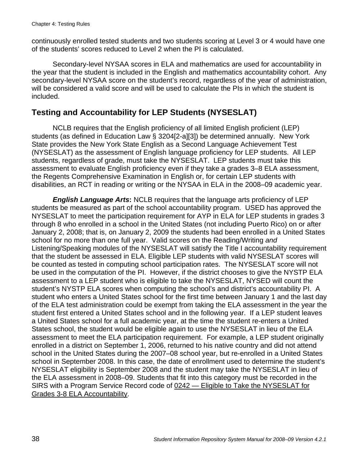continuously enrolled tested students and two students scoring at Level 3 or 4 would have one of the students' scores reduced to Level 2 when the PI is calculated.

Secondary-level NYSAA scores in ELA and mathematics are used for accountability in the year that the student is included in the English and mathematics accountability cohort. Any secondary-level NYSAA score on the student's record, regardless of the year of administration, will be considered a valid score and will be used to calculate the PIs in which the student is included.

# **Testing and Accountability for LEP Students (NYSESLAT)**

NCLB requires that the English proficiency of all limited English proficient (LEP) students (as defined in Education Law § 3204[2-a][3]) be determined annually. New York State provides the New York State English as a Second Language Achievement Test (NYSESLAT) as the assessment of English language proficiency for LEP students. All LEP students, regardless of grade, must take the NYSESLAT. LEP students must take this assessment to evaluate English proficiency even if they take a grades 3–8 ELA assessment, the Regents Comprehensive Examination in English or, for certain LEP students with disabilities, an RCT in reading or writing or the NYSAA in ELA in the 2008–09 academic year.

*English Language Arts***:** NCLB requires that the language arts proficiency of LEP students be measured as part of the school accountability program. USED has approved the NYSESLAT to meet the participation requirement for AYP in ELA for LEP students in grades 3 through 8 who enrolled in a school in the United States (not including Puerto Rico) on or after January 2, 2008; that is, on January 2, 2009 the students had been enrolled in a United States school for no more than one full year. Valid scores on the Reading/Writing *and* Listening/Speaking modules of the NYSESLAT will satisfy the Title I accountability requirement that the student be assessed in ELA. Eligible LEP students with valid NYSESLAT scores will be counted as tested in computing school participation rates. The NYSESLAT score will not be used in the computation of the PI. However, if the district chooses to give the NYSTP ELA assessment to a LEP student who is eligible to take the NYSESLAT, NYSED will count the student's NYSTP ELA scores when computing the school's and district's accountability PI. A student who enters a United States school for the first time between January 1 and the last day of the ELA test administration could be exempt from taking the ELA assessment in the year the student first entered a United States school and in the following year. If a LEP student leaves a United States school for a full academic year, at the time the student re-enters a United States school, the student would be eligible again to use the NYSESLAT in lieu of the ELA assessment to meet the ELA participation requirement. For example, a LEP student originally enrolled in a district on September 1, 2006, returned to his native country and did not attend school in the United States during the 2007–08 school year, but re-enrolled in a United States school in September 2008. In this case, the date of enrollment used to determine the student's NYSESLAT eligibility is September 2008 and the student may take the NYSESLAT in lieu of the ELA assessment in 2008–09. Students that fit into this category must be recorded in the SIRS with a Program Service Record code of 0242 — Eligible to Take the NYSESLAT for Grades 3-8 ELA Accountability.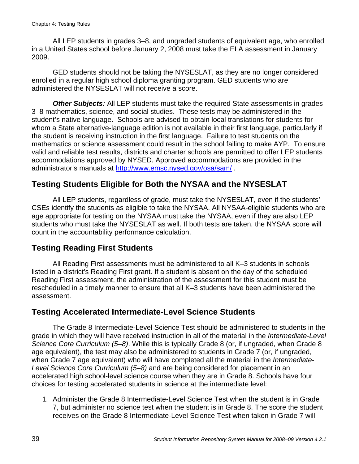All LEP students in grades 3–8, and ungraded students of equivalent age, who enrolled in a United States school before January 2, 2008 must take the ELA assessment in January 2009.

GED students should not be taking the NYSESLAT, as they are no longer considered enrolled in a regular high school diploma granting program. GED students who are administered the NYSESLAT will not receive a score.

**Other Subjects:** All LEP students must take the required State assessments in grades 3–8 mathematics, science, and social studies. These tests may be administered in the student's native language. Schools are advised to obtain local translations for students for whom a State alternative-language edition is not available in their first language, particularly if the student is receiving instruction in the first language. Failure to test students on the mathematics or science assessment could result in the school failing to make AYP. To ensure valid and reliable test results, districts and charter schools are permitted to offer LEP students accommodations approved by NYSED. Approved accommodations are provided in the administrator's manuals at http://www.emsc.nysed.gov/osa/sam/ .

### **Testing Students Eligible for Both the NYSAA and the NYSESLAT**

All LEP students, regardless of grade, must take the NYSESLAT, even if the students' CSEs identify the students as eligible to take the NYSAA. All NYSAA-eligible students who are age appropriate for testing on the NYSAA must take the NYSAA, even if they are also LEP students who must take the NYSESLAT as well. If both tests are taken, the NYSAA score will count in the accountability performance calculation.

### **Testing Reading First Students**

All Reading First assessments must be administered to all K–3 students in schools listed in a district's Reading First grant. If a student is absent on the day of the scheduled Reading First assessment, the administration of the assessment for this student must be rescheduled in a timely manner to ensure that all K–3 students have been administered the assessment.

#### **Testing Accelerated Intermediate-Level Science Students**

The Grade 8 Intermediate-Level Science Test should be administered to students in the grade in which they will have received instruction in all of the material in the *Intermediate-Level Science Core Curriculum (5–8)*. While this is typically Grade 8 (or, if ungraded, when Grade 8 age equivalent), the test may also be administered to students in Grade 7 (or, if ungraded, when Grade 7 age equivalent) who will have completed all the material in the *Intermediate-Level Science Core Curriculum (5–8)* and are being considered for placement in an accelerated high school-level science course when they are in Grade 8. Schools have four choices for testing accelerated students in science at the intermediate level:

1. Administer the Grade 8 Intermediate-Level Science Test when the student is in Grade 7, but administer no science test when the student is in Grade 8. The score the student receives on the Grade 8 Intermediate-Level Science Test when taken in Grade 7 will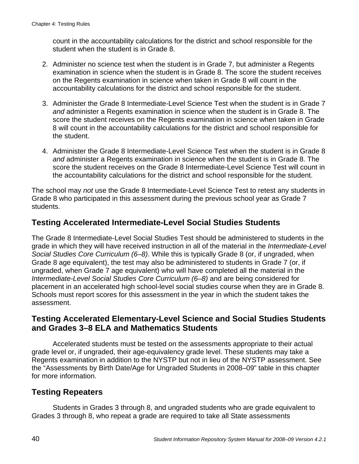count in the accountability calculations for the district and school responsible for the student when the student is in Grade 8.

- 2. Administer no science test when the student is in Grade 7, but administer a Regents examination in science when the student is in Grade 8. The score the student receives on the Regents examination in science when taken in Grade 8 will count in the accountability calculations for the district and school responsible for the student.
- 3. Administer the Grade 8 Intermediate-Level Science Test when the student is in Grade 7 *and* administer a Regents examination in science when the student is in Grade 8. The score the student receives on the Regents examination in science when taken in Grade 8 will count in the accountability calculations for the district and school responsible for the student.
- 4. Administer the Grade 8 Intermediate-Level Science Test when the student is in Grade 8 *and* administer a Regents examination in science when the student is in Grade 8. The score the student receives on the Grade 8 Intermediate-Level Science Test will count in the accountability calculations for the district and school responsible for the student.

The school may *not* use the Grade 8 Intermediate-Level Science Test to retest any students in Grade 8 who participated in this assessment during the previous school year as Grade 7 students.

## **Testing Accelerated Intermediate-Level Social Studies Students**

The Grade 8 Intermediate-Level Social Studies Test should be administered to students in the grade in which they will have received instruction in all of the material in the *Intermediate-Level Social Studies Core Curriculum (6–8)*. While this is typically Grade 8 (or, if ungraded, when Grade 8 age equivalent), the test may also be administered to students in Grade 7 (or, if ungraded, when Grade 7 age equivalent) who will have completed all the material in the *Intermediate-Level Social Studies Core Curriculum (6–8)* and are being considered for placement in an accelerated high school-level social studies course when they are in Grade 8. Schools must report scores for this assessment in the year in which the student takes the assessment.

#### **Testing Accelerated Elementary-Level Science and Social Studies Students and Grades 3–8 ELA and Mathematics Students**

Accelerated students must be tested on the assessments appropriate to their actual grade level or, if ungraded, their age-equivalency grade level. These students may take a Regents examination in addition to the NYSTP but not in lieu of the NYSTP assessment. See the "Assessments by Birth Date/Age for Ungraded Students in 2008–09" table in this chapter for more information.

### **Testing Repeaters**

Students in Grades 3 through 8, and ungraded students who are grade equivalent to Grades 3 through 8, who repeat a grade are required to take all State assessments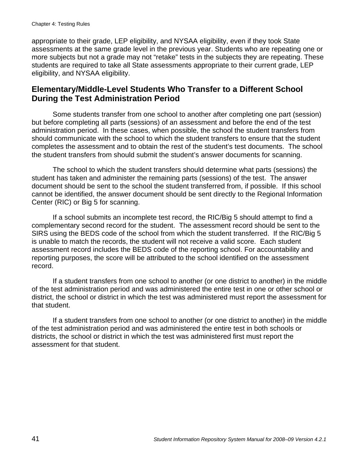appropriate to their grade, LEP eligibility, and NYSAA eligibility, even if they took State assessments at the same grade level in the previous year. Students who are repeating one or more subjects but not a grade may not "retake" tests in the subjects they are repeating. These students are required to take all State assessments appropriate to their current grade, LEP eligibility, and NYSAA eligibility.

### **Elementary/Middle-Level Students Who Transfer to a Different School During the Test Administration Period**

Some students transfer from one school to another after completing one part (session) but before completing all parts (sessions) of an assessment and before the end of the test administration period. In these cases, when possible, the school the student transfers from should communicate with the school to which the student transfers to ensure that the student completes the assessment and to obtain the rest of the student's test documents. The school the student transfers from should submit the student's answer documents for scanning.

The school to which the student transfers should determine what parts (sessions) the student has taken and administer the remaining parts (sessions) of the test. The answer document should be sent to the school the student transferred from, if possible. If this school cannot be identified, the answer document should be sent directly to the Regional Information Center (RIC) or Big 5 for scanning.

If a school submits an incomplete test record, the RIC/Big 5 should attempt to find a complementary second record for the student. The assessment record should be sent to the SIRS using the BEDS code of the school from which the student transferred. If the RIC/Big 5 is unable to match the records, the student will not receive a valid score. Each student assessment record includes the BEDS code of the reporting school. For accountability and reporting purposes, the score will be attributed to the school identified on the assessment record.

If a student transfers from one school to another (or one district to another) in the middle of the test administration period and was administered the entire test in one or other school or district, the school or district in which the test was administered must report the assessment for that student.

If a student transfers from one school to another (or one district to another) in the middle of the test administration period and was administered the entire test in both schools or districts, the school or district in which the test was administered first must report the assessment for that student.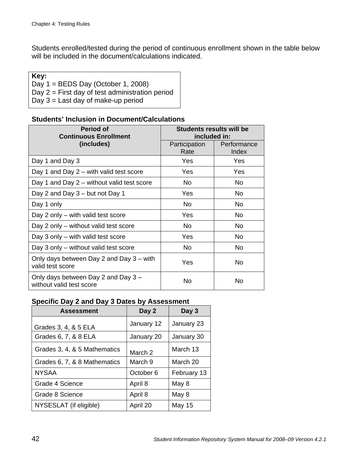Students enrolled/tested during the period of continuous enrollment shown in the table below will be included in the document/calculations indicated.

| Key:                                              |
|---------------------------------------------------|
| Day $1 =$ BEDS Day (October 1, 2008)              |
| Day $2 =$ First day of test administration period |
| Day $3 =$ Last day of make-up period              |

#### **Students' Inclusion in Document/Calculations**

| <b>Period of</b><br><b>Continuous Enrollment</b>                | <b>Students results will be</b><br>included in: |                      |
|-----------------------------------------------------------------|-------------------------------------------------|----------------------|
| (includes)                                                      | Participation<br>Rate                           | Performance<br>Index |
| Day 1 and Day 3                                                 | Yes                                             | <b>Yes</b>           |
| Day 1 and Day 2 – with valid test score                         | Yes                                             | <b>Yes</b>           |
| Day 1 and Day 2 - without valid test score                      | N <sub>o</sub>                                  | No.                  |
| Day 2 and Day 3 – but not Day 1                                 | Yes                                             | No                   |
| Day 1 only                                                      | N <sub>o</sub>                                  | No                   |
| Day 2 only – with valid test score                              | Yes                                             | No.                  |
| Day 2 only – without valid test score                           | <b>No</b>                                       | No.                  |
| Day 3 only $-$ with valid test score                            | Yes                                             | No.                  |
| Day 3 only – without valid test score                           | No.                                             | No.                  |
| Only days between Day 2 and Day 3 – with<br>valid test score    | Yes                                             | No.                  |
| Only days between Day 2 and Day 3 -<br>without valid test score | No                                              | No                   |

#### **Specific Day 2 and Day 3 Dates by Assessment**

| <b>Assessment</b>            | Day 2      | Day 3       |
|------------------------------|------------|-------------|
| Grades 3, 4, & 5 ELA         | January 12 | January 23  |
| Grades 6, 7, & 8 ELA         | January 20 | January 30  |
| Grades 3, 4, & 5 Mathematics | March 2    | March 13    |
| Grades 6, 7, & 8 Mathematics | March 9    | March 20    |
| <b>NYSAA</b>                 | October 6  | February 13 |
| Grade 4 Science              | April 8    | May 8       |
| Grade 8 Science              | April 8    | May 8       |
| NYSESLAT (if eligible)       | April 20   | May 15      |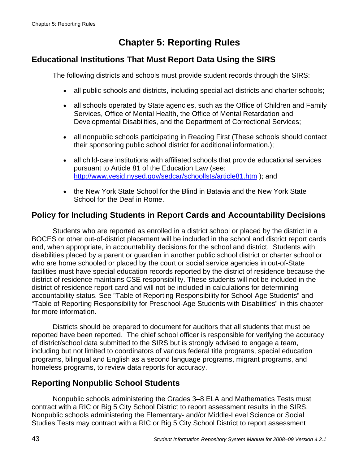# **Chapter 5: Reporting Rules**

### **Educational Institutions That Must Report Data Using the SIRS**

The following districts and schools must provide student records through the SIRS:

- all public schools and districts, including special act districts and charter schools;
- all schools operated by State agencies, such as the Office of Children and Family Services, Office of Mental Health, the Office of Mental Retardation and Developmental Disabilities, and the Department of Correctional Services;
- all nonpublic schools participating in Reading First (These schools should contact their sponsoring public school district for additional information.);
- all child-care institutions with affiliated schools that provide educational services pursuant to Article 81 of the Education Law (see: http://www.vesid.nysed.gov/sedcar/schoollsts/article81.htm ); and
- the New York State School for the Blind in Batavia and the New York State School for the Deaf in Rome.

## **Policy for Including Students in Report Cards and Accountability Decisions**

Students who are reported as enrolled in a district school or placed by the district in a BOCES or other out-of-district placement will be included in the school and district report cards and, when appropriate, in accountability decisions for the school and district. Students with disabilities placed by a parent or guardian in another public school district or charter school or who are home schooled or placed by the court or social service agencies in out-of-State facilities must have special education records reported by the district of residence because the district of residence maintains CSE responsibility. These students will not be included in the district of residence report card and will not be included in calculations for determining accountability status. See "Table of Reporting Responsibility for School-Age Students" and "Table of Reporting Responsibility for Preschool-Age Students with Disabilities" in this chapter for more information.

Districts should be prepared to document for auditors that all students that must be reported have been reported. The chief school officer is responsible for verifying the accuracy of district/school data submitted to the SIRS but is strongly advised to engage a team, including but not limited to coordinators of various federal title programs, special education programs, bilingual and English as a second language programs, migrant programs, and homeless programs, to review data reports for accuracy.

### **Reporting Nonpublic School Students**

Nonpublic schools administering the Grades 3–8 ELA and Mathematics Tests must contract with a RIC or Big 5 City School District to report assessment results in the SIRS. Nonpublic schools administering the Elementary- and/or Middle-Level Science or Social Studies Tests may contract with a RIC or Big 5 City School District to report assessment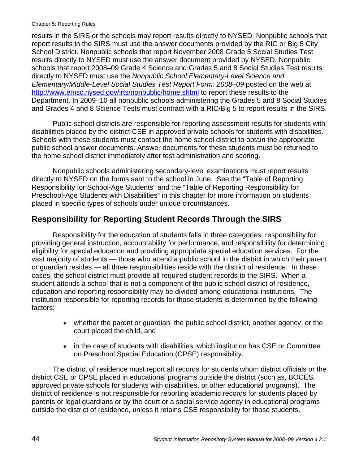#### Chapter 5: Reporting Rules

results in the SIRS or the schools may report results directly to NYSED. Nonpublic schools that report results in the SIRS must use the answer documents provided by the RIC or Big 5 City School District. Nonpublic schools that report November 2008 Grade 5 Social Studies Test results directly to NYSED must use the answer document provided by NYSED. Nonpublic schools that report 2008–09 Grade 4 Science and Grades 5 and 8 Social Studies Test results directly to NYSED must use the *Nonpublic School Elementary-Level Science and Elementary/Middle-Level Social Studies Test Report Form: 2008–09* posted on the web at http://www.emsc.nysed.gov/irts/nonpublic/home.shtml to report these results to the Department. In 2009–10 all nonpublic schools administering the Grades 5 and 8 Social Studies and Grades 4 and 8 Science Tests must contract with a RIC/Big 5 to report results in the SIRS.

Public school districts are responsible for reporting assessment results for students with disabilities placed by the district CSE in approved private schools for students with disabilities. Schools with these students must contact the home school district to obtain the appropriate public school answer documents. Answer documents for these students must be returned to the home school district immediately after test administration and scoring.

Nonpublic schools administering secondary-level examinations must report results directly to NYSED on the forms sent to the school in June. See the "Table of Reporting Responsibility for School-Age Students" and the "Table of Reporting Responsibility for Preschool-Age Students with Disabilities" in this chapter for more information on students placed in specific types of schools under unique circumstances.

### **Responsibility for Reporting Student Records Through the SIRS**

Responsibility for the education of students falls in three categories: responsibility for providing general instruction, accountability for performance, and responsibility for determining eligibility for special education and providing appropriate special education services. For the vast majority of students — those who attend a public school in the district in which their parent or guardian resides — all three responsibilities reside with the district of residence. In these cases, the school district must provide all required student records to the SIRS. When a student attends a school that is not a component of the public school district of residence, education and reporting responsibility may be divided among educational institutions. The institution responsible for reporting records for those students is determined by the following factors:

- whether the parent or guardian, the public school district, another agency, or the court placed the child, and
- in the case of students with disabilities, which institution has CSE or Committee on Preschool Special Education (CPSE) responsibility.

The district of residence must report all records for students whom district officials or the district CSE or CPSE placed in educational programs outside the district (such as, BOCES, approved private schools for students with disabilities, or other educational programs). The district of residence is not responsible for reporting academic records for students placed by parents or legal guardians or by the court or a social service agency in educational programs outside the district of residence, unless it retains CSE responsibility for those students.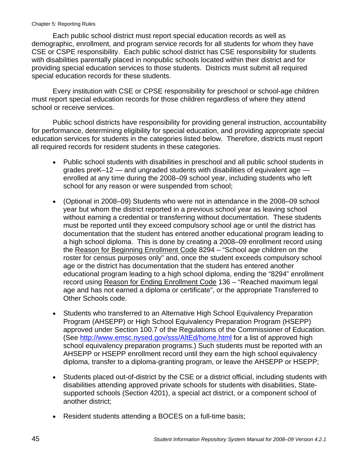#### Chapter 5: Reporting Rules

Each public school district must report special education records as well as demographic, enrollment, and program service records for all students for whom they have CSE or CSPE responsibility. Each public school district has CSE responsibility for students with disabilities parentally placed in nonpublic schools located within their district and for providing special education services to those students. Districts must submit all required special education records for these students.

Every institution with CSE or CPSE responsibility for preschool or school-age children must report special education records for those children regardless of where they attend school or receive services.

Public school districts have responsibility for providing general instruction, accountability for performance, determining eligibility for special education, and providing appropriate special education services for students in the categories listed below. Therefore, districts must report all required records for resident students in these categories.

- Public school students with disabilities in preschool and all public school students in grades preK–12 — and ungraded students with disabilities of equivalent age enrolled at any time during the 2008–09 school year, including students who left school for any reason or were suspended from school;
- (Optional in 2008–09) Students who were not in attendance in the 2008–09 school year but whom the district reported in a previous school year as leaving school without earning a credential or transferring without documentation. These students must be reported until they exceed compulsory school age or until the district has documentation that the student has entered another educational program leading to a high school diploma. This is done by creating a 2008–09 enrollment record using the Reason for Beginning Enrollment Code 8294 – "School age children on the roster for census purposes only" and, once the student exceeds compulsory school age or the district has documentation that the student has entered another educational program leading to a high school diploma, ending the "8294" enrollment record using Reason for Ending Enrollment Code 136 – "Reached maximum legal age and has not earned a diploma or certificate", or the appropriate Transferred to Other Schools code.
- Students who transferred to an Alternative High School Equivalency Preparation Program (AHSEPP) or High School Equivalency Preparation Program (HSEPP) approved under Section 100.7 of the Regulations of the Commissioner of Education. (See http://www.emsc.nysed.gov/sss/AltEd/home.html for a list of approved high school equivalency preparation programs.) Such students must be reported with an AHSEPP or HSEPP enrollment record until they earn the high school equivalency diploma, transfer to a diploma-granting program, or leave the AHSEPP or HSEPP;
- Students placed out-of-district by the CSE or a district official, including students with disabilities attending approved private schools for students with disabilities, Statesupported schools (Section 4201), a special act district, or a component school of another district;
- Resident students attending a BOCES on a full-time basis;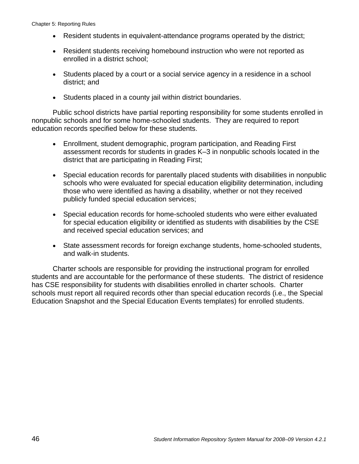- Resident students in equivalent-attendance programs operated by the district;
- Resident students receiving homebound instruction who were not reported as enrolled in a district school;
- Students placed by a court or a social service agency in a residence in a school district; and
- Students placed in a county jail within district boundaries.

Public school districts have partial reporting responsibility for some students enrolled in nonpublic schools and for some home-schooled students. They are required to report education records specified below for these students.

- Enrollment, student demographic, program participation, and Reading First assessment records for students in grades K–3 in nonpublic schools located in the district that are participating in Reading First;
- Special education records for parentally placed students with disabilities in nonpublic schools who were evaluated for special education eligibility determination, including those who were identified as having a disability, whether or not they received publicly funded special education services;
- Special education records for home-schooled students who were either evaluated for special education eligibility or identified as students with disabilities by the CSE and received special education services; and
- State assessment records for foreign exchange students, home-schooled students, and walk-in students.

Charter schools are responsible for providing the instructional program for enrolled students and are accountable for the performance of these students. The district of residence has CSE responsibility for students with disabilities enrolled in charter schools. Charter schools must report all required records other than special education records (i.e., the Special Education Snapshot and the Special Education Events templates) for enrolled students.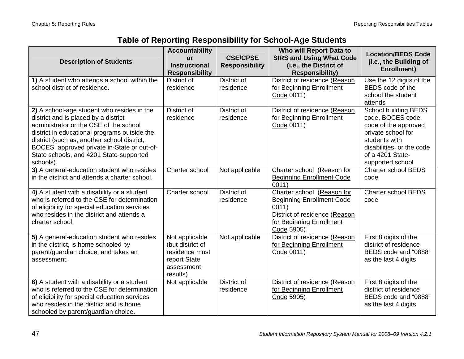| <b>Description of Students</b>                                                                                                                                                                                                                                                                                                     | <b>Accountability</b><br><b>or</b><br><b>Instructional</b><br><b>Responsibility</b>            | <b>CSE/CPSE</b><br><b>Responsibility</b> | Who will Report Data to<br><b>SIRS and Using What Code</b><br>(i.e., the District of<br><b>Responsibility)</b>                                     | <b>Location/BEDS Code</b><br>(i.e., the Building of<br><b>Enrollment)</b>                                                                                                            |
|------------------------------------------------------------------------------------------------------------------------------------------------------------------------------------------------------------------------------------------------------------------------------------------------------------------------------------|------------------------------------------------------------------------------------------------|------------------------------------------|----------------------------------------------------------------------------------------------------------------------------------------------------|--------------------------------------------------------------------------------------------------------------------------------------------------------------------------------------|
| 1) A student who attends a school within the<br>school district of residence.                                                                                                                                                                                                                                                      | District of<br>residence                                                                       | District of<br>residence                 | District of residence (Reason<br>for Beginning Enrollment<br>Code 0011)                                                                            | Use the 12 digits of the<br>BEDS code of the<br>school the student<br>attends                                                                                                        |
| 2) A school-age student who resides in the<br>district and is placed by a district<br>administrator or the CSE of the school<br>district in educational programs outside the<br>district (such as, another school district,<br>BOCES, approved private in-State or out-of-<br>State schools, and 4201 State-supported<br>schools). | District of<br>residence                                                                       | District of<br>residence                 | District of residence (Reason<br>for Beginning Enrollment<br>Code 0011)                                                                            | <b>School building BEDS</b><br>code, BOCES code,<br>code of the approved<br>private school for<br>students with<br>disabilities, or the code<br>of a 4201 State-<br>supported school |
| 3) A general-education student who resides<br>in the district and attends a charter school.                                                                                                                                                                                                                                        | Charter school                                                                                 | Not applicable                           | Charter school (Reason for<br><b>Beginning Enrollment Code</b><br>0011)                                                                            | <b>Charter school BEDS</b><br>code                                                                                                                                                   |
| 4) A student with a disability or a student<br>who is referred to the CSE for determination<br>of eligibility for special education services<br>who resides in the district and attends a<br>charter school.                                                                                                                       | Charter school                                                                                 | District of<br>residence                 | Charter school (Reason for<br><b>Beginning Enrollment Code</b><br>0011)<br>District of residence (Reason<br>for Beginning Enrollment<br>Code 5905) | <b>Charter school BEDS</b><br>code                                                                                                                                                   |
| 5) A general-education student who resides<br>in the district, is home schooled by<br>parent/guardian choice, and takes an<br>assessment.                                                                                                                                                                                          | Not applicable<br>(but district of<br>residence must<br>report State<br>assessment<br>results) | Not applicable                           | District of residence (Reason<br>for Beginning Enrollment<br>Code 0011)                                                                            | First 8 digits of the<br>district of residence<br>BEDS code and "0888"<br>as the last 4 digits                                                                                       |
| 6) A student with a disability or a student<br>who is referred to the CSE for determination<br>of eligibility for special education services<br>who resides in the district and is home<br>schooled by parent/guardian choice.                                                                                                     | Not applicable                                                                                 | District of<br>residence                 | District of residence (Reason<br>for Beginning Enrollment<br>Code 5905)                                                                            | First 8 digits of the<br>district of residence<br>BEDS code and "0888"<br>as the last 4 digits                                                                                       |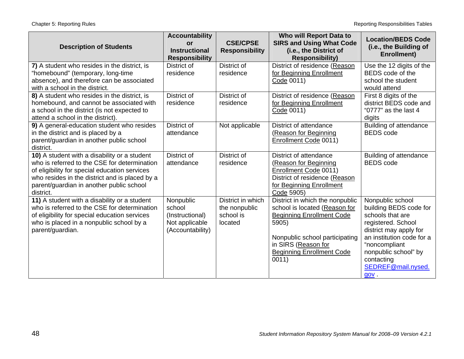| <b>Description of Students</b>                                                                                                                                                                                                                           | <b>Accountability</b><br>or<br><b>Instructional</b><br><b>Responsibility</b> | <b>CSE/CPSE</b><br><b>Responsibility</b>                   | Who will Report Data to<br><b>SIRS and Using What Code</b><br>(i.e., the District of<br><b>Responsibility)</b>                                                                                                      | <b>Location/BEDS Code</b><br>(i.e., the Building of<br>Enrollment)                                                                                                                                                                  |
|----------------------------------------------------------------------------------------------------------------------------------------------------------------------------------------------------------------------------------------------------------|------------------------------------------------------------------------------|------------------------------------------------------------|---------------------------------------------------------------------------------------------------------------------------------------------------------------------------------------------------------------------|-------------------------------------------------------------------------------------------------------------------------------------------------------------------------------------------------------------------------------------|
| 7) A student who resides in the district, is<br>"homebound" (temporary, long-time<br>absence), and therefore can be associated<br>with a school in the district.                                                                                         | District of<br>residence                                                     | District of<br>residence                                   | District of residence (Reason<br>for Beginning Enrollment<br>Code 0011)                                                                                                                                             | Use the 12 digits of the<br>BEDS code of the<br>school the student<br>would attend                                                                                                                                                  |
| 8) A student who resides in the district, is<br>homebound, and cannot be associated with<br>a school in the district (is not expected to<br>attend a school in the district).                                                                            | District of<br>residence                                                     | District of<br>residence                                   | District of residence (Reason<br>for Beginning Enrollment<br>Code 0011)                                                                                                                                             | First 8 digits of the<br>district BEDS code and<br>"0777" as the last 4<br>digits                                                                                                                                                   |
| 9) A general-education student who resides<br>in the district and is placed by a<br>parent/guardian in another public school<br>district.                                                                                                                | District of<br>attendance                                                    | Not applicable                                             | District of attendance<br>(Reason for Beginning<br>Enrollment Code 0011)                                                                                                                                            | Building of attendance<br><b>BEDS</b> code                                                                                                                                                                                          |
| 10) A student with a disability or a student<br>who is referred to the CSE for determination<br>of eligibility for special education services<br>who resides in the district and is placed by a<br>parent/guardian in another public school<br>district. | District of<br>attendance                                                    | District of<br>residence                                   | District of attendance<br>(Reason for Beginning<br>Enrollment Code 0011)<br>District of residence (Reason<br>for Beginning Enrollment<br>Code 5905)                                                                 | Building of attendance<br><b>BEDS</b> code                                                                                                                                                                                          |
| 11) A student with a disability or a student<br>who is referred to the CSE for determination<br>of eligibility for special education services<br>who is placed in a nonpublic school by a<br>parent/guardian.                                            | Nonpublic<br>school<br>(Instructional)<br>Not applicable<br>(Accountability) | District in which<br>the nonpublic<br>school is<br>located | District in which the nonpublic<br>school is located (Reason for<br><b>Beginning Enrollment Code</b><br>5905)<br>Nonpublic school participating<br>in SIRS (Reason for<br><b>Beginning Enrollment Code</b><br>0011) | Nonpublic school<br>building BEDS code for<br>schools that are<br>registered. School<br>district may apply for<br>an institution code for a<br>"noncompliant<br>nonpublic school" by<br>contacting<br>SEDREF@mail.nysed.<br>$qov$ . |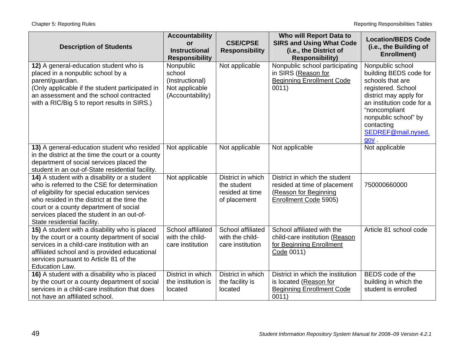| <b>Description of Students</b>                                                                                                                                                                                                                                                                                     | <b>Accountability</b><br>or<br><b>Instructional</b><br><b>Responsibility</b> | <b>CSE/CPSE</b><br><b>Responsibility</b>                            | Who will Report Data to<br><b>SIRS and Using What Code</b><br>(i.e., the District of<br><b>Responsibility)</b>  | <b>Location/BEDS Code</b><br>(i.e., the Building of<br>Enrollment)                                                                                                                                                                     |
|--------------------------------------------------------------------------------------------------------------------------------------------------------------------------------------------------------------------------------------------------------------------------------------------------------------------|------------------------------------------------------------------------------|---------------------------------------------------------------------|-----------------------------------------------------------------------------------------------------------------|----------------------------------------------------------------------------------------------------------------------------------------------------------------------------------------------------------------------------------------|
| 12) A general-education student who is<br>placed in a nonpublic school by a<br>parent/guardian.<br>(Only applicable if the student participated in<br>an assessment and the school contracted<br>with a RIC/Big 5 to report results in SIRS.)                                                                      | Nonpublic<br>school<br>(Instructional)<br>Not applicable<br>(Accountability) | Not applicable                                                      | Nonpublic school participating<br>in SIRS (Reason for<br><b>Beginning Enrollment Code</b><br>0011)              | Nonpublic school<br>building BEDS code for<br>schools that are<br>registered. School<br>district may apply for<br>an institution code for a<br>"noncompliant<br>nonpublic school" by<br>contacting<br>SEDREF@mail.nysed.<br><b>QOV</b> |
| 13) A general-education student who resided<br>in the district at the time the court or a county<br>department of social services placed the<br>student in an out-of-State residential facility.                                                                                                                   | Not applicable                                                               | Not applicable                                                      | Not applicable                                                                                                  | Not applicable                                                                                                                                                                                                                         |
| 14) A student with a disability or a student<br>who is referred to the CSE for determination<br>of eligibility for special education services<br>who resided in the district at the time the<br>court or a county department of social<br>services placed the student in an out-of-<br>State residential facility. | Not applicable                                                               | District in which<br>the student<br>resided at time<br>of placement | District in which the student<br>resided at time of placement<br>(Reason for Beginning<br>Enrollment Code 5905) | 750000660000                                                                                                                                                                                                                           |
| 15) A student with a disability who is placed<br>by the court or a county department of social<br>services in a child-care institution with an<br>affiliated school and is provided educational<br>services pursuant to Article 81 of the<br>Education Law.                                                        | School affiliated<br>with the child-<br>care institution                     | School affiliated<br>with the child-<br>care institution            | School affiliated with the<br>child-care institution (Reason<br>for Beginning Enrollment<br>Code 0011)          | Article 81 school code                                                                                                                                                                                                                 |
| 16) A student with a disability who is placed<br>by the court or a county department of social<br>services in a child-care institution that does<br>not have an affiliated school.                                                                                                                                 | District in which<br>the institution is<br>located                           | District in which<br>the facility is<br>located                     | District in which the institution<br>is located (Reason for<br><b>Beginning Enrollment Code</b><br>0011)        | BEDS code of the<br>building in which the<br>student is enrolled                                                                                                                                                                       |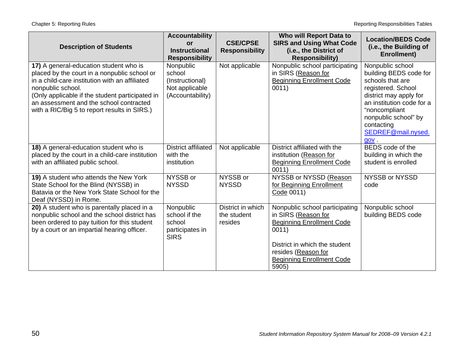| <b>Description of Students</b>                                                                                                                                                                                                                                                                              | <b>Accountability</b><br>or<br><b>Instructional</b><br><b>Responsibility</b> | <b>CSE/CPSE</b><br><b>Responsibility</b>    | Who will Report Data to<br><b>SIRS and Using What Code</b><br>(i.e., the District of<br><b>Responsibility)</b>                                                                                          | <b>Location/BEDS Code</b><br>(i.e., the Building of<br>Enrollment)                                                                                                                                                               |
|-------------------------------------------------------------------------------------------------------------------------------------------------------------------------------------------------------------------------------------------------------------------------------------------------------------|------------------------------------------------------------------------------|---------------------------------------------|---------------------------------------------------------------------------------------------------------------------------------------------------------------------------------------------------------|----------------------------------------------------------------------------------------------------------------------------------------------------------------------------------------------------------------------------------|
| 17) A general-education student who is<br>placed by the court in a nonpublic school or<br>in a child-care institution with an affiliated<br>nonpublic school.<br>(Only applicable if the student participated in<br>an assessment and the school contracted<br>with a RIC/Big 5 to report results in SIRS.) | Nonpublic<br>school<br>(Instructional)<br>Not applicable<br>(Accountability) | Not applicable                              | Nonpublic school participating<br>in SIRS (Reason for<br><b>Beginning Enrollment Code</b><br>0011)                                                                                                      | Nonpublic school<br>building BEDS code for<br>schools that are<br>registered. School<br>district may apply for<br>an institution code for a<br>"noncompliant<br>nonpublic school" by<br>contacting<br>SEDREF@mail.nysed.<br>gov. |
| 18) A general-education student who is<br>placed by the court in a child-care institution<br>with an affiliated public school.                                                                                                                                                                              | <b>District affiliated</b><br>with the<br>institution                        | Not applicable                              | District affiliated with the<br>institution (Reason for<br><b>Beginning Enrollment Code</b><br>0011)                                                                                                    | BEDS code of the<br>building in which the<br>student is enrolled                                                                                                                                                                 |
| 19) A student who attends the New York<br>State School for the Blind (NYSSB) in<br>Batavia or the New York State School for the<br>Deaf (NYSSD) in Rome.                                                                                                                                                    | NYSSB or<br><b>NYSSD</b>                                                     | NYSSB or<br><b>NYSSD</b>                    | NYSSB or NYSSD (Reason<br>for Beginning Enrollment<br>Code 0011)                                                                                                                                        | NYSSB or NYSSD<br>code                                                                                                                                                                                                           |
| 20) A student who is parentally placed in a<br>nonpublic school and the school district has<br>been ordered to pay tuition for this student<br>by a court or an impartial hearing officer.                                                                                                                  | Nonpublic<br>school if the<br>school<br>participates in<br><b>SIRS</b>       | District in which<br>the student<br>resides | Nonpublic school participating<br>in SIRS (Reason for<br><b>Beginning Enrollment Code</b><br>0011)<br>District in which the student<br>resides (Reason for<br><b>Beginning Enrollment Code</b><br>5905) | Nonpublic school<br>building BEDS code                                                                                                                                                                                           |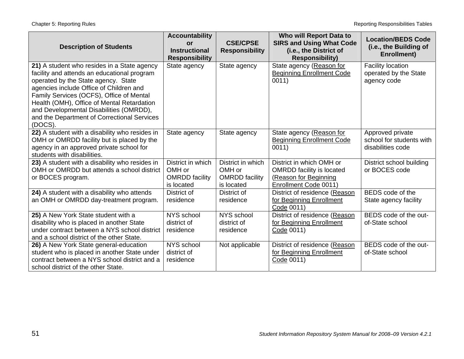| <b>Description of Students</b>                                                                                                                                                                                                                                                                                                                                              | <b>Accountability</b><br><b>or</b><br><b>Instructional</b><br><b>Responsibility</b> | <b>CSE/CPSE</b><br><b>Responsibility</b>                           | Who will Report Data to<br><b>SIRS and Using What Code</b><br>(i.e., the District of<br><b>Responsibility)</b> | <b>Location/BEDS Code</b><br>(i.e., the Building of<br>Enrollment) |
|-----------------------------------------------------------------------------------------------------------------------------------------------------------------------------------------------------------------------------------------------------------------------------------------------------------------------------------------------------------------------------|-------------------------------------------------------------------------------------|--------------------------------------------------------------------|----------------------------------------------------------------------------------------------------------------|--------------------------------------------------------------------|
| 21) A student who resides in a State agency<br>facility and attends an educational program<br>operated by the State agency. State<br>agencies include Office of Children and<br>Family Services (OCFS), Office of Mental<br>Health (OMH), Office of Mental Retardation<br>and Developmental Disabilities (OMRDD),<br>and the Department of Correctional Services<br>(DOCS). | State agency                                                                        | State agency                                                       | State agency (Reason for<br><b>Beginning Enrollment Code</b><br>0011)                                          | <b>Facility location</b><br>operated by the State<br>agency code   |
| 22) A student with a disability who resides in<br>OMH or OMRDD facility but is placed by the<br>agency in an approved private school for<br>students with disabilities.                                                                                                                                                                                                     | State agency                                                                        | State agency                                                       | State agency (Reason for<br><b>Beginning Enrollment Code</b><br>0011)                                          | Approved private<br>school for students with<br>disabilities code  |
| 23) A student with a disability who resides in<br>OMH or OMRDD but attends a school district<br>or BOCES program.                                                                                                                                                                                                                                                           | District in which<br>OMH or<br><b>OMRDD</b> facility<br>is located                  | District in which<br>OMH or<br><b>OMRDD</b> facility<br>is located | District in which OMH or<br><b>OMRDD</b> facility is located<br>(Reason for Beginning<br>Enrollment Code 0011) | District school building<br>or BOCES code                          |
| 24) A student with a disability who attends<br>an OMH or OMRDD day-treatment program.                                                                                                                                                                                                                                                                                       | District of<br>residence                                                            | District of<br>residence                                           | District of residence (Reason<br>for Beginning Enrollment<br>Code 0011)                                        | BEDS code of the<br>State agency facility                          |
| 25) A New York State student with a<br>disability who is placed in another State<br>under contract between a NYS school district<br>and a school district of the other State.                                                                                                                                                                                               | NYS school<br>district of<br>residence                                              | NYS school<br>district of<br>residence                             | District of residence (Reason<br>for Beginning Enrollment<br>Code 0011)                                        | BEDS code of the out-<br>of-State school                           |
| 26) A New York State general-education<br>student who is placed in another State under<br>contract between a NYS school district and a<br>school district of the other State.                                                                                                                                                                                               | NYS school<br>district of<br>residence                                              | Not applicable                                                     | District of residence (Reason<br>for Beginning Enrollment<br>Code 0011)                                        | BEDS code of the out-<br>of-State school                           |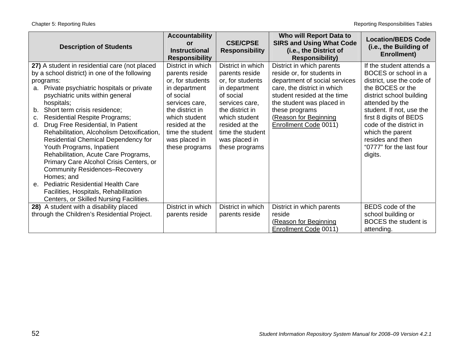Chapter 5: Reporting Rules **Reporting Rules** Tables Reporting Responsibilities Tables

| <b>Description of Students</b>                                                                                                                                                                                                                                                                                                                                                                                                                                                                                                                                                                                                                                                                                                               | <b>Accountability</b><br><b>or</b><br><b>Instructional</b><br><b>Responsibility</b>                                                                                                                                  | <b>CSE/CPSE</b><br><b>Responsibility</b>                                                                                                                                                                             | Who will Report Data to<br><b>SIRS and Using What Code</b><br>(i.e., the District of<br><b>Responsibility)</b>                                                                                                                                          | <b>Location/BEDS Code</b><br>(i.e., the Building of<br>Enrollment)                                                                                                                                                                                                                                               |
|----------------------------------------------------------------------------------------------------------------------------------------------------------------------------------------------------------------------------------------------------------------------------------------------------------------------------------------------------------------------------------------------------------------------------------------------------------------------------------------------------------------------------------------------------------------------------------------------------------------------------------------------------------------------------------------------------------------------------------------------|----------------------------------------------------------------------------------------------------------------------------------------------------------------------------------------------------------------------|----------------------------------------------------------------------------------------------------------------------------------------------------------------------------------------------------------------------|---------------------------------------------------------------------------------------------------------------------------------------------------------------------------------------------------------------------------------------------------------|------------------------------------------------------------------------------------------------------------------------------------------------------------------------------------------------------------------------------------------------------------------------------------------------------------------|
| 27) A student in residential care (not placed<br>by a school district) in one of the following<br>programs:<br>Private psychiatric hospitals or private<br>a.<br>psychiatric units within general<br>hospitals;<br>Short term crisis residence;<br>b.<br><b>Residential Respite Programs;</b><br>C.<br>Drug Free Residential, In Patient<br>d.<br>Rehabilitation, Alcoholism Detoxification,<br><b>Residential Chemical Dependency for</b><br>Youth Programs, Inpatient<br>Rehabilitation, Acute Care Programs,<br>Primary Care Alcohol Crisis Centers, or<br><b>Community Residences-Recovery</b><br>Homes; and<br>e. Pediatric Residential Health Care<br>Facilities, Hospitals, Rehabilitation<br>Centers, or Skilled Nursing Facilities. | District in which<br>parents reside<br>or, for students<br>in department<br>of social<br>services care,<br>the district in<br>which student<br>resided at the<br>time the student<br>was placed in<br>these programs | District in which<br>parents reside<br>or, for students<br>in department<br>of social<br>services care,<br>the district in<br>which student<br>resided at the<br>time the student<br>was placed in<br>these programs | District in which parents<br>reside or, for students in<br>department of social services<br>care, the district in which<br>student resided at the time<br>the student was placed in<br>these programs<br>(Reason for Beginning<br>Enrollment Code 0011) | If the student attends a<br>BOCES or school in a<br>district, use the code of<br>the BOCES or the<br>district school building<br>attended by the<br>student. If not, use the<br>first 8 digits of BEDS<br>code of the district in<br>which the parent<br>resides and then<br>"0777" for the last four<br>digits. |
| 28) A student with a disability placed<br>through the Children's Residential Project.                                                                                                                                                                                                                                                                                                                                                                                                                                                                                                                                                                                                                                                        | District in which<br>parents reside                                                                                                                                                                                  | District in which<br>parents reside                                                                                                                                                                                  | District in which parents<br>reside<br>(Reason for Beginning<br>Enrollment Code 0011)                                                                                                                                                                   | BEDS code of the<br>school building or<br>BOCES the student is<br>attending.                                                                                                                                                                                                                                     |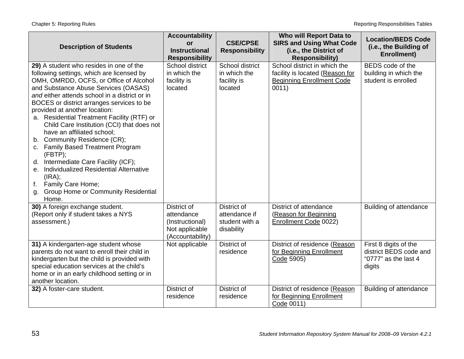| <b>Description of Students</b>                                                                                                                                                                                                                                                                                                                                                                                                                                                                                                                                                                                                                                                                                     | <b>Accountability</b><br>or<br><b>Instructional</b><br><b>Responsibility</b>                         | <b>CSE/CPSE</b><br><b>Responsibility</b>                                                 | Who will Report Data to<br><b>SIRS and Using What Code</b><br>(i.e., the District of<br><b>Responsibility)</b>                        | <b>Location/BEDS Code</b><br>(i.e., the Building of<br><b>Enrollment)</b> |
|--------------------------------------------------------------------------------------------------------------------------------------------------------------------------------------------------------------------------------------------------------------------------------------------------------------------------------------------------------------------------------------------------------------------------------------------------------------------------------------------------------------------------------------------------------------------------------------------------------------------------------------------------------------------------------------------------------------------|------------------------------------------------------------------------------------------------------|------------------------------------------------------------------------------------------|---------------------------------------------------------------------------------------------------------------------------------------|---------------------------------------------------------------------------|
| 29) A student who resides in one of the<br>following settings, which are licensed by<br>OMH, OMRDD, OCFS, or Office of Alcohol<br>and Substance Abuse Services (OASAS)<br>and either attends school in a district or in<br>BOCES or district arranges services to be<br>provided at another location:<br>a. Residential Treatment Facility (RTF) or<br>Child Care Institution (CCI) that does not<br>have an affiliated school;<br>b. Community Residence (CR);<br>c. Family Based Treatment Program<br>(FBTP);<br>d. Intermediate Care Facility (ICF);<br>Individualized Residential Alternative<br>е.<br>(IRA);<br>Family Care Home;<br>$f_{\star}$<br><b>Group Home or Community Residential</b><br>g.<br>Home. | School district<br>in which the<br>facility is<br>located                                            | School district<br>in which the<br>facility is<br>located                                | School district in which the<br>facility is located (Reason for<br><b>Beginning Enrollment Code</b><br>0011)                          | BEDS code of the<br>building in which the<br>student is enrolled          |
| 30) A foreign exchange student.<br>(Report only if student takes a NYS<br>assessment.)<br>31) A kindergarten-age student whose<br>parents do not want to enroll their child in                                                                                                                                                                                                                                                                                                                                                                                                                                                                                                                                     | District of<br>attendance<br>(Instructional)<br>Not applicable<br>(Accountability)<br>Not applicable | District of<br>attendance if<br>student with a<br>disability<br>District of<br>residence | District of attendance<br>(Reason for Beginning<br>Enrollment Code 0022)<br>District of residence (Reason<br>for Beginning Enrollment | Building of attendance<br>First 8 digits of the<br>district BEDS code and |
| kindergarten but the child is provided with<br>special education services at the child's<br>home or in an early childhood setting or in<br>another location.<br>32) A foster-care student.                                                                                                                                                                                                                                                                                                                                                                                                                                                                                                                         | District of<br>residence                                                                             | District of<br>residence                                                                 | Code 5905)<br>District of residence (Reason<br>for Beginning Enrollment<br>Code 0011)                                                 | "0777" as the last 4<br>digits<br>Building of attendance                  |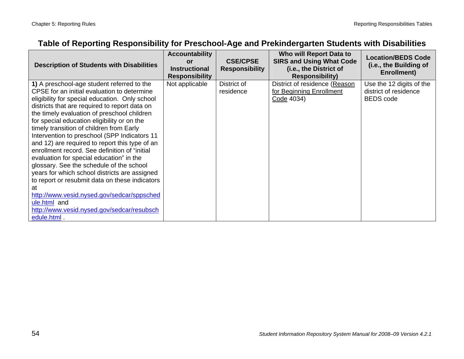# **Table of Reporting Responsibility for Preschool-Age and Prekindergarten Students with Disabilities**

| <b>Description of Students with Disabilities</b>                                                                                                                                                                                                                                                                                                                                                                                                                                                                                                                                                                                                                                                                                                                                                                     | <b>Accountability</b><br><b>or</b><br><b>Instructional</b><br><b>Responsibility</b> | <b>CSE/CPSE</b><br><b>Responsibility</b> | Who will Report Data to<br><b>SIRS and Using What Code</b><br>(i.e., the District of<br><b>Responsibility)</b> | <b>Location/BEDS Code</b><br>(i.e., the Building of<br>Enrollment)    |
|----------------------------------------------------------------------------------------------------------------------------------------------------------------------------------------------------------------------------------------------------------------------------------------------------------------------------------------------------------------------------------------------------------------------------------------------------------------------------------------------------------------------------------------------------------------------------------------------------------------------------------------------------------------------------------------------------------------------------------------------------------------------------------------------------------------------|-------------------------------------------------------------------------------------|------------------------------------------|----------------------------------------------------------------------------------------------------------------|-----------------------------------------------------------------------|
| 1) A preschool-age student referred to the<br>CPSE for an initial evaluation to determine<br>eligibility for special education. Only school<br>districts that are required to report data on<br>the timely evaluation of preschool children<br>for special education eligibility or on the<br>timely transition of children from Early<br>Intervention to preschool (SPP Indicators 11<br>and 12) are required to report this type of an<br>enrollment record. See definition of "initial<br>evaluation for special education" in the<br>glossary. See the schedule of the school<br>years for which school districts are assigned<br>to report or resubmit data on these indicators<br>at<br>http://www.vesid.nysed.gov/sedcar/sppsched<br>ule.html and<br>http://www.vesid.nysed.gov/sedcar/resubsch<br>edule.html | Not applicable                                                                      | District of<br>residence                 | District of residence (Reason<br>for Beginning Enrollment<br>Code 4034)                                        | Use the 12 digits of the<br>district of residence<br><b>BEDS</b> code |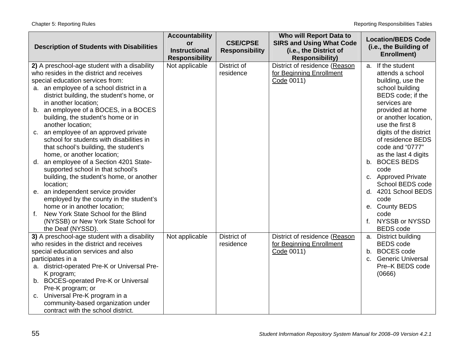|                                                    | <b>Accountability</b>                   |                       | Who will Report Data to                                 | <b>Location/BEDS Code</b>     |
|----------------------------------------------------|-----------------------------------------|-----------------------|---------------------------------------------------------|-------------------------------|
| <b>Description of Students with Disabilities</b>   | or                                      | <b>CSE/CPSE</b>       | <b>SIRS and Using What Code</b>                         | (i.e., the Building of        |
|                                                    | <b>Instructional</b>                    | <b>Responsibility</b> | (i.e., the District of                                  | <b>Enrollment)</b>            |
| 2) A preschool-age student with a disability       | <b>Responsibility</b><br>Not applicable | District of           | <b>Responsibility)</b><br>District of residence (Reason | a. If the student             |
| who resides in the district and receives           |                                         | residence             | for Beginning Enrollment                                | attends a school              |
| special education services from:                   |                                         |                       | Code 0011)                                              | building, use the             |
| a. an employee of a school district in a           |                                         |                       |                                                         | school building               |
| district building, the student's home, or          |                                         |                       |                                                         | BEDS code; if the             |
| in another location;                               |                                         |                       |                                                         | services are                  |
| b. an employee of a BOCES, in a BOCES              |                                         |                       |                                                         | provided at home              |
| building, the student's home or in                 |                                         |                       |                                                         | or another location,          |
| another location;                                  |                                         |                       |                                                         | use the first 8               |
| an employee of an approved private<br>C.           |                                         |                       |                                                         | digits of the district        |
| school for students with disabilities in           |                                         |                       |                                                         | of residence BEDS             |
| that school's building, the student's              |                                         |                       |                                                         | code and "0777"               |
| home, or another location;                         |                                         |                       |                                                         | as the last 4 digits          |
| an employee of a Section 4201 State-<br>d.         |                                         |                       |                                                         | b. BOCES BEDS                 |
| supported school in that school's                  |                                         |                       |                                                         | code                          |
| building, the student's home, or another           |                                         |                       |                                                         | c. Approved Private           |
| location;                                          |                                         |                       |                                                         | School BEDS code              |
| an independent service provider<br>е.              |                                         |                       |                                                         | d. 4201 School BEDS           |
| employed by the county in the student's            |                                         |                       |                                                         | code                          |
| home or in another location;                       |                                         |                       |                                                         | e. County BEDS                |
| $f_{\star}$<br>New York State School for the Blind |                                         |                       |                                                         | code                          |
| (NYSSB) or New York State School for               |                                         |                       |                                                         | NYSSB or NYSSD<br>$f_{\cdot}$ |
| the Deaf (NYSSD).                                  |                                         |                       |                                                         | <b>BEDS</b> code              |
| 3) A preschool-age student with a disability       | Not applicable                          | District of           | District of residence (Reason                           | a. District building          |
| who resides in the district and receives           |                                         | residence             | for Beginning Enrollment                                | <b>BEDS</b> code              |
| special education services and also                |                                         |                       | Code 0011)                                              | b. BOCES code                 |
| participates in a                                  |                                         |                       |                                                         | c. Generic Universal          |
| a. district-operated Pre-K or Universal Pre-       |                                         |                       |                                                         | Pre-K BEDS code               |
| K program;                                         |                                         |                       |                                                         | (0666)                        |
| b. BOCES-operated Pre-K or Universal               |                                         |                       |                                                         |                               |
| Pre-K program; or                                  |                                         |                       |                                                         |                               |
| c. Universal Pre-K program in a                    |                                         |                       |                                                         |                               |
| community-based organization under                 |                                         |                       |                                                         |                               |
| contract with the school district.                 |                                         |                       |                                                         |                               |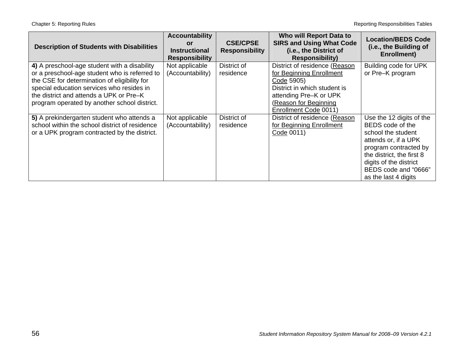| <b>Description of Students with Disabilities</b>                                                                                                                                                                                                                                      | <b>Accountability</b><br><b>or</b><br><b>Instructional</b><br><b>Responsibility</b> | <b>CSE/CPSE</b><br><b>Responsibility</b> | Who will Report Data to<br><b>SIRS and Using What Code</b><br>(i.e., the District of<br><b>Responsibility)</b>                                                                      | <b>Location/BEDS Code</b><br>(i.e., the Building of<br><b>Enrollment)</b>                                                                                                                                                  |
|---------------------------------------------------------------------------------------------------------------------------------------------------------------------------------------------------------------------------------------------------------------------------------------|-------------------------------------------------------------------------------------|------------------------------------------|-------------------------------------------------------------------------------------------------------------------------------------------------------------------------------------|----------------------------------------------------------------------------------------------------------------------------------------------------------------------------------------------------------------------------|
| 4) A preschool-age student with a disability<br>or a preschool-age student who is referred to<br>the CSE for determination of eligibility for<br>special education services who resides in<br>the district and attends a UPK or Pre-K<br>program operated by another school district. | Not applicable<br>(Accountability)                                                  | District of<br>residence                 | District of residence (Reason<br>for Beginning Enrollment<br>Code 5905)<br>District in which student is<br>attending Pre-K or UPK<br>(Reason for Beginning<br>Enrollment Code 0011) | Building code for UPK<br>or Pre-K program                                                                                                                                                                                  |
| 5) A prekindergarten student who attends a<br>school within the school district of residence<br>or a UPK program contracted by the district.                                                                                                                                          | Not applicable<br>(Accountability)                                                  | District of<br>residence                 | District of residence (Reason<br>for Beginning Enrollment<br>Code 0011)                                                                                                             | Use the 12 digits of the<br>BEDS code of the<br>school the student<br>attends or, if a UPK<br>program contracted by<br>the district, the first 8<br>digits of the district<br>BEDS code and "0666"<br>as the last 4 digits |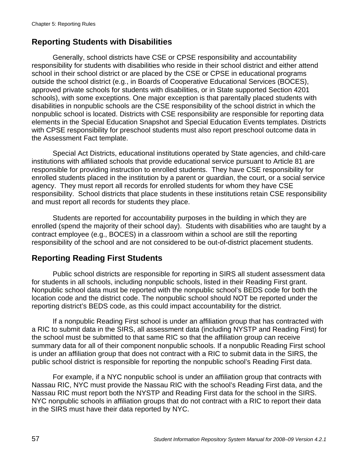### **Reporting Students with Disabilities**

Generally, school districts have CSE or CPSE responsibility and accountability responsibility for students with disabilities who reside in their school district and either attend school in their school district or are placed by the CSE or CPSE in educational programs outside the school district (e.g., in Boards of Cooperative Educational Services (BOCES), approved private schools for students with disabilities, or in State supported Section 4201 schools), with some exceptions. One major exception is that parentally placed students with disabilities in nonpublic schools are the CSE responsibility of the school district in which the nonpublic school is located. Districts with CSE responsibility are responsible for reporting data elements in the Special Education Snapshot and Special Education Events templates. Districts with CPSE responsibility for preschool students must also report preschool outcome data in the Assessment Fact template.

Special Act Districts, educational institutions operated by State agencies, and child-care institutions with affiliated schools that provide educational service pursuant to Article 81 are responsible for providing instruction to enrolled students. They have CSE responsibility for enrolled students placed in the institution by a parent or guardian, the court, or a social service agency. They must report all records for enrolled students for whom they have CSE responsibility. School districts that place students in these institutions retain CSE responsibility and must report all records for students they place.

 Students are reported for accountability purposes in the building in which they are enrolled (spend the majority of their school day). Students with disabilities who are taught by a contract employee (e.g., BOCES) in a classroom within a school are still the reporting responsibility of the school and are not considered to be out-of-district placement students.

### **Reporting Reading First Students**

Public school districts are responsible for reporting in SIRS all student assessment data for students in all schools, including nonpublic schools, listed in their Reading First grant. Nonpublic school data must be reported with the nonpublic school's BEDS code for both the location code and the district code. The nonpublic school should NOT be reported under the reporting district's BEDS code, as this could impact accountability for the district.

If a nonpublic Reading First school is under an affiliation group that has contracted with a RIC to submit data in the SIRS, all assessment data (including NYSTP and Reading First) for the school must be submitted to that same RIC so that the affiliation group can receive summary data for all of their component nonpublic schools. If a nonpublic Reading First school is under an affiliation group that does not contract with a RIC to submit data in the SIRS, the public school district is responsible for reporting the nonpublic school's Reading First data.

For example, if a NYC nonpublic school is under an affiliation group that contracts with Nassau RIC, NYC must provide the Nassau RIC with the school's Reading First data, and the Nassau RIC must report both the NYSTP and Reading First data for the school in the SIRS. NYC nonpublic schools in affiliation groups that do not contract with a RIC to report their data in the SIRS must have their data reported by NYC.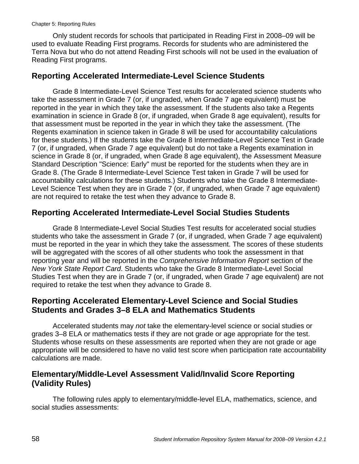Only student records for schools that participated in Reading First in 2008–09 will be used to evaluate Reading First programs. Records for students who are administered the Terra Nova but who do not attend Reading First schools will not be used in the evaluation of Reading First programs.

#### **Reporting Accelerated Intermediate-Level Science Students**

Grade 8 Intermediate-Level Science Test results for accelerated science students who take the assessment in Grade 7 (or, if ungraded, when Grade 7 age equivalent) must be reported in the year in which they take the assessment. If the students also take a Regents examination in science in Grade 8 (or, if ungraded, when Grade 8 age equivalent), results for that assessment must be reported in the year in which they take the assessment. (The Regents examination in science taken in Grade 8 will be used for accountability calculations for these students.) If the students take the Grade 8 Intermediate-Level Science Test in Grade 7 (or, if ungraded, when Grade 7 age equivalent) but do not take a Regents examination in science in Grade 8 (or, if ungraded, when Grade 8 age equivalent), the Assessment Measure Standard Description "Science: Early" must be reported for the students when they are in Grade 8. (The Grade 8 Intermediate-Level Science Test taken in Grade 7 will be used for accountability calculations for these students.) Students who take the Grade 8 Intermediate-Level Science Test when they are in Grade 7 (or, if ungraded, when Grade 7 age equivalent) are not required to retake the test when they advance to Grade 8.

#### **Reporting Accelerated Intermediate-Level Social Studies Students**

Grade 8 Intermediate-Level Social Studies Test results for accelerated social studies students who take the assessment in Grade 7 (or, if ungraded, when Grade 7 age equivalent) must be reported in the year in which they take the assessment. The scores of these students will be aggregated with the scores of all other students who took the assessment in that reporting year and will be reported in the *Comprehensive Information Report* section of the *New York State Report Card*. Students who take the Grade 8 Intermediate-Level Social Studies Test when they are in Grade 7 (or, if ungraded, when Grade 7 age equivalent) are not required to retake the test when they advance to Grade 8.

#### **Reporting Accelerated Elementary-Level Science and Social Studies Students and Grades 3–8 ELA and Mathematics Students**

Accelerated students may *not* take the elementary-level science or social studies or grades 3–8 ELA or mathematics tests if they are not grade or age appropriate for the test. Students whose results on these assessments are reported when they are not grade or age appropriate will be considered to have no valid test score when participation rate accountability calculations are made.

#### **Elementary/Middle-Level Assessment Valid/Invalid Score Reporting (Validity Rules)**

The following rules apply to elementary/middle-level ELA, mathematics, science, and social studies assessments: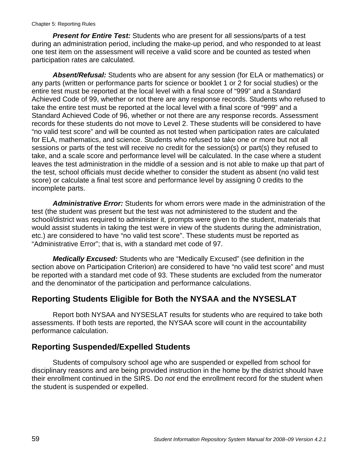*Present for Entire Test:* Students who are present for all sessions/parts of a test during an administration period, including the make-up period, and who responded to at least one test item on the assessment will receive a valid score and be counted as tested when participation rates are calculated.

*Absent/Refusal:* Students who are absent for any session (for ELA or mathematics) or any parts (written or performance parts for science or booklet 1 or 2 for social studies) or the entire test must be reported at the local level with a final score of "999" and a Standard Achieved Code of 99, whether or not there are any response records. Students who refused to take the entire test must be reported at the local level with a final score of "999" and a Standard Achieved Code of 96, whether or not there are any response records. Assessment records for these students do not move to Level 2. These students will be considered to have "no valid test score" and will be counted as not tested when participation rates are calculated for ELA, mathematics, and science. Students who refused to take one or more but not all sessions or parts of the test will receive no credit for the session(s) or part(s) they refused to take, and a scale score and performance level will be calculated. In the case where a student leaves the test administration in the middle of a session and is not able to make up that part of the test, school officials must decide whether to consider the student as absent (no valid test score) or calculate a final test score and performance level by assigning 0 credits to the incomplete parts.

*Administrative Error:* Students for whom errors were made in the administration of the test (the student was present but the test was not administered to the student and the school/district was required to administer it, prompts were given to the student, materials that would assist students in taking the test were in view of the students during the administration, etc.) are considered to have "no valid test score". These students must be reported as "Administrative Error"; that is, with a standard met code of 97.

*Medically Excused:* Students who are "Medically Excused" (see definition in the section above on Participation Criterion) are considered to have "no valid test score" and must be reported with a standard met code of 93. These students are excluded from the numerator and the denominator of the participation and performance calculations.

#### **Reporting Students Eligible for Both the NYSAA and the NYSESLAT**

Report both NYSAA and NYSESLAT results for students who are required to take both assessments. If both tests are reported, the NYSAA score will count in the accountability performance calculation.

#### **Reporting Suspended/Expelled Students**

Students of compulsory school age who are suspended or expelled from school for disciplinary reasons and are being provided instruction in the home by the district should have their enrollment continued in the SIRS. Do *not* end the enrollment record for the student when the student is suspended or expelled.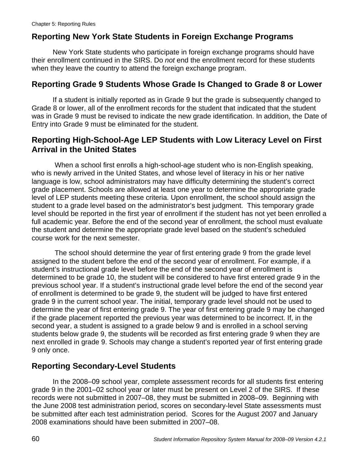# **Reporting New York State Students in Foreign Exchange Programs**

New York State students who participate in foreign exchange programs should have their enrollment continued in the SIRS. Do *not* end the enrollment record for these students when they leave the country to attend the foreign exchange program.

#### **Reporting Grade 9 Students Whose Grade Is Changed to Grade 8 or Lower**

If a student is initially reported as in Grade 9 but the grade is subsequently changed to Grade 8 or lower, all of the enrollment records for the student that indicated that the student was in Grade 9 must be revised to indicate the new grade identification. In addition, the Date of Entry into Grade 9 must be eliminated for the student.

#### **Reporting High-School-Age LEP Students with Low Literacy Level on First Arrival in the United States**

 When a school first enrolls a high-school-age student who is non-English speaking, who is newly arrived in the United States, and whose level of literacy in his or her native language is low, school administrators may have difficulty determining the student's correct grade placement. Schools are allowed at least one year to determine the appropriate grade level of LEP students meeting these criteria. Upon enrollment, the school should assign the student to a grade level based on the administrator's best judgment. This temporary grade level should be reported in the first year of enrollment if the student has not yet been enrolled a full academic year. Before the end of the second year of enrollment, the school must evaluate the student and determine the appropriate grade level based on the student's scheduled course work for the next semester.

 The school should determine the year of first entering grade 9 from the grade level assigned to the student before the end of the second year of enrollment. For example, if a student's instructional grade level before the end of the second year of enrollment is determined to be grade 10, the student will be considered to have first entered grade 9 in the previous school year. If a student's instructional grade level before the end of the second year of enrollment is determined to be grade 9, the student will be judged to have first entered grade 9 in the current school year. The initial, temporary grade level should not be used to determine the year of first entering grade 9. The year of first entering grade 9 may be changed if the grade placement reported the previous year was determined to be incorrect. If, in the second year, a student is assigned to a grade below 9 and is enrolled in a school serving students below grade 9, the students will be recorded as first entering grade 9 when they are next enrolled in grade 9. Schools may change a student's reported year of first entering grade 9 only once.

### **Reporting Secondary-Level Students**

In the 2008–09 school year, complete assessment records for all students first entering grade 9 in the 2001–02 school year or later must be present on Level 2 of the SIRS. If these records were not submitted in 2007–08, they must be submitted in 2008–09. Beginning with the June 2008 test administration period, scores on secondary-level State assessments must be submitted after each test administration period. Scores for the August 2007 and January 2008 examinations should have been submitted in 2007–08.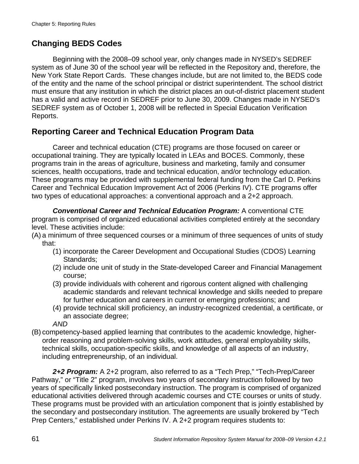# **Changing BEDS Codes**

Beginning with the 2008–09 school year, only changes made in NYSED's SEDREF system as of June 30 of the school year will be reflected in the Repository and, therefore, the New York State Report Cards. These changes include, but are not limited to, the BEDS code of the entity and the name of the school principal or district superintendent. The school district must ensure that any institution in which the district places an out-of-district placement student has a valid and active record in SEDREF prior to June 30, 2009. Changes made in NYSED's SEDREF system as of October 1, 2008 will be reflected in Special Education Verification Reports.

## **Reporting Career and Technical Education Program Data**

Career and technical education (CTE) programs are those focused on career or occupational training. They are typically located in LEAs and BOCES. Commonly, these programs train in the areas of agriculture, business and marketing, family and consumer sciences, health occupations, trade and technical education, and/or technology education. These programs may be provided with supplemental federal funding from the Carl D. Perkins Career and Technical Education Improvement Act of 2006 (Perkins IV). CTE programs offer two types of educational approaches: a conventional approach and a 2+2 approach.

*Conventional Career and Technical Education Program:* A conventional CTE program is comprised of organized educational activities completed entirely at the secondary level. These activities include:

- (A) a minimum of three sequenced courses or a minimum of three sequences of units of study that:
	- (1) incorporate the Career Development and Occupational Studies (CDOS) Learning Standards;
	- (2) include one unit of study in the State-developed Career and Financial Management course;
	- (3) provide individuals with coherent and rigorous content aligned with challenging academic standards and relevant technical knowledge and skills needed to prepare for further education and careers in current or emerging professions; and
	- (4) provide technical skill proficiency, an industry-recognized credential, a certificate, or an associate degree;

*AND* 

(B) competency-based applied learning that contributes to the academic knowledge, higherorder reasoning and problem-solving skills, work attitudes, general employability skills, technical skills, occupation-specific skills, and knowledge of all aspects of an industry, including entrepreneurship, of an individual.

*2+2 Program:* A 2+2 program, also referred to as a "Tech Prep," "Tech-Prep/Career Pathway," or "Title 2" program, involves two years of secondary instruction followed by two years of specifically linked postsecondary instruction. The program is comprised of organized educational activities delivered through academic courses and CTE courses or units of study. These programs must be provided with an articulation component that is jointly established by the secondary and postsecondary institution. The agreements are usually brokered by "Tech Prep Centers," established under Perkins IV. A 2+2 program requires students to: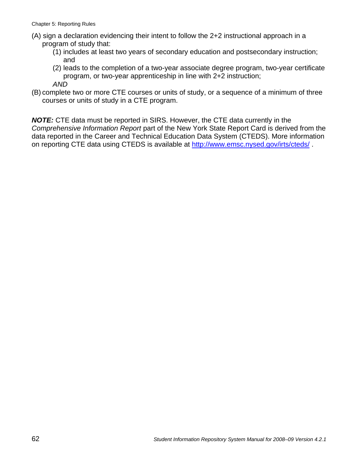- (A) sign a declaration evidencing their intent to follow the 2+2 instructional approach in a program of study that:
	- (1) includes at least two years of secondary education and postsecondary instruction; and
	- (2) leads to the completion of a two-year associate degree program, two-year certificate program, or two-year apprenticeship in line with 2+2 instruction; *AND*
- (B) complete two or more CTE courses or units of study, or a sequence of a minimum of three courses or units of study in a CTE program.

*NOTE:* CTE data must be reported in SIRS. However, the CTE data currently in the *Comprehensive Information Report* part of the New York State Report Card is derived from the data reported in the Career and Technical Education Data System (CTEDS). More information on reporting CTE data using CTEDS is available at http://www.emsc.nysed.gov/irts/cteds/.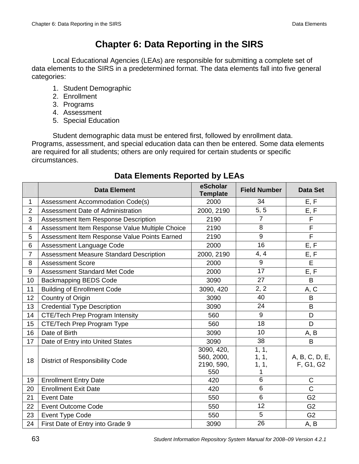# **Chapter 6: Data Reporting in the SIRS**

Local Educational Agencies (LEAs) are responsible for submitting a complete set of data elements to the SIRS in a predetermined format. The data elements fall into five general categories:

- 1. Student Demographic
- 2. Enrollment
- 3. Programs
- 4. Assessment
- 5. Special Education

Student demographic data must be entered first, followed by enrollment data. Programs, assessment, and special education data can then be entered. Some data elements are required for all students; others are only required for certain students or specific circumstances.

|                | <b>Data Element</b>                            | eScholar<br><b>Template</b>                   | <b>Field Number</b>          | <b>Data Set</b>             |
|----------------|------------------------------------------------|-----------------------------------------------|------------------------------|-----------------------------|
| 1              | <b>Assessment Accommodation Code(s)</b>        | 2000                                          | 34                           | E, F                        |
| 2              | Assessment Date of Administration              | 2000, 2190                                    | 5, 5                         | E, F                        |
| 3              | Assessment Item Response Description           | 2190                                          | $\overline{7}$               | F                           |
| 4              | Assessment Item Response Value Multiple Choice | 2190                                          | 8                            | $\mathsf F$                 |
| 5              | Assessment Item Response Value Points Earned   | 2190                                          | 9                            | $\overline{F}$              |
| $6\phantom{1}$ | Assessment Language Code                       | 2000                                          | 16                           | E, F                        |
| $\overline{7}$ | <b>Assessment Measure Standard Description</b> | 2000, 2190                                    | 4, 4                         | E, F                        |
| 8              | <b>Assessment Score</b>                        | 2000                                          | 9                            | E                           |
| 9              | <b>Assessment Standard Met Code</b>            | 2000                                          | 17                           | E, F                        |
| 10             | <b>Backmapping BEDS Code</b>                   | 3090                                          | 27                           | B                           |
| 11             | <b>Building of Enrollment Code</b>             | 3090, 420                                     | 2, 2                         | A, C                        |
| 12             | Country of Origin                              | 3090                                          | 40                           | B                           |
| 13             | <b>Credential Type Description</b>             | 3090                                          | 24                           | B                           |
| 14             | <b>CTE/Tech Prep Program Intensity</b>         | 560                                           | 9                            | D                           |
| 15             | CTE/Tech Prep Program Type                     | 560                                           | 18                           | D                           |
| 16             | Date of Birth                                  | 3090                                          | 10                           | A, B                        |
| 17             | Date of Entry into United States               | 3090                                          | 38                           | B                           |
| 18             | <b>District of Responsibility Code</b>         | 3090, 420,<br>560, 2000,<br>2190, 590,<br>550 | 1, 1,<br>1, 1,<br>1, 1,<br>1 | A, B, C, D, E,<br>F, G1, G2 |
| 19             | <b>Enrollment Entry Date</b>                   | 420                                           | $6\phantom{1}$               | $\mathsf{C}$                |
| 20             | <b>Enrollment Exit Date</b>                    | 420                                           | $\,6$                        | $\mathsf{C}$                |
| 21             | <b>Event Date</b>                              | 550                                           | $6\phantom{1}$               | G <sub>2</sub>              |
| 22             | <b>Event Outcome Code</b>                      | 550                                           | 12                           | G <sub>2</sub>              |
| 23             | Event Type Code                                | 550                                           | 5                            | G <sub>2</sub>              |
| 24             | First Date of Entry into Grade 9               | 3090                                          | 26                           | A, B                        |

# **Data Elements Reported by LEAs**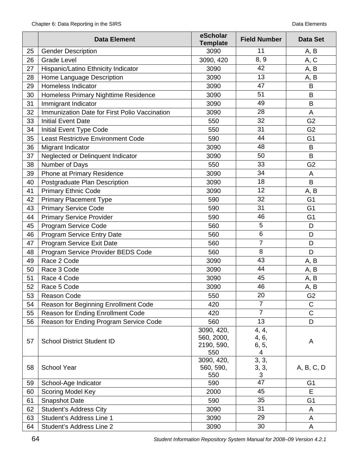|    | <b>Data Element</b>                           | eScholar<br><b>Template</b>                   | <b>Field Number</b>          | <b>Data Set</b> |
|----|-----------------------------------------------|-----------------------------------------------|------------------------------|-----------------|
| 25 | <b>Gender Description</b>                     | 3090                                          | 11                           | A, B            |
| 26 | <b>Grade Level</b>                            | 3090, 420                                     | 8, 9                         | A, C            |
| 27 | Hispanic/Latino Ethnicity Indicator           | 3090                                          | 42                           | A, B            |
| 28 | Home Language Description                     | 3090                                          | 13                           | A, B            |
| 29 | Homeless Indicator                            | 3090                                          | 47                           | B               |
| 30 | Homeless Primary Nighttime Residence          | 3090                                          | 51                           | B               |
| 31 | Immigrant Indicator                           | 3090                                          | 49                           | B               |
| 32 | Immunization Date for First Polio Vaccination | 3090                                          | 28                           | A               |
| 33 | <b>Initial Event Date</b>                     | 550                                           | 32                           | G <sub>2</sub>  |
| 34 | Initial Event Type Code                       | 550                                           | 31                           | G <sub>2</sub>  |
| 35 | <b>Least Restrictive Environment Code</b>     | 590                                           | 44                           | G <sub>1</sub>  |
| 36 | Migrant Indicator                             | 3090                                          | 48                           | B               |
| 37 | Neglected or Delinquent Indicator             | 3090                                          | 50                           | B               |
| 38 | Number of Days                                | 550                                           | 33                           | G <sub>2</sub>  |
| 39 | Phone at Primary Residence                    | 3090                                          | 34                           | A               |
| 40 | Postgraduate Plan Description                 | 3090                                          | 18                           | B               |
| 41 | <b>Primary Ethnic Code</b>                    | 3090                                          | 12                           | A, B            |
| 42 | <b>Primary Placement Type</b>                 | 590                                           | 32                           | G <sub>1</sub>  |
| 43 | <b>Primary Service Code</b>                   | 590                                           | 31                           | G <sub>1</sub>  |
| 44 | <b>Primary Service Provider</b>               | 590                                           | 46                           | G <sub>1</sub>  |
| 45 | Program Service Code                          | 560                                           | 5                            | D               |
| 46 | Program Service Entry Date                    | 560                                           | $\,6$                        | D               |
| 47 | Program Service Exit Date                     | 560                                           | $\overline{7}$               | D               |
| 48 | Program Service Provider BEDS Code            | 560                                           | 8                            | D               |
| 49 | Race 2 Code                                   | 3090                                          | 43                           | A, B            |
| 50 | Race 3 Code                                   | 3090                                          | 44                           | A, B            |
| 51 | Race 4 Code                                   | 3090                                          | 45                           | A, B            |
| 52 | Race 5 Code                                   | 3090                                          | 46                           | A, B            |
| 53 | Reason Code                                   | 550                                           | 20                           | G <sub>2</sub>  |
| 54 | Reason for Beginning Enrollment Code          | 420                                           | $\overline{7}$               | $\mathsf C$     |
| 55 | Reason for Ending Enrollment Code             | 420                                           | $\overline{7}$               | $\mathsf C$     |
| 56 | Reason for Ending Program Service Code        | 560                                           | 13                           | D               |
| 57 | <b>School District Student ID</b>             | 3090, 420,<br>560, 2000,<br>2190, 590,<br>550 | 4, 4,<br>4, 6,<br>6, 5,<br>4 | A               |
| 58 | <b>School Year</b>                            | 3090, 420,<br>560, 590,<br>550                | 3, 3,<br>3, 3,<br>$\sqrt{3}$ | A, B, C, D      |
| 59 | School-Age Indicator                          | 590                                           | 47                           | G <sub>1</sub>  |
| 60 | Scoring Model Key                             | 2000                                          | 45                           | E               |
| 61 | Snapshot Date                                 | 590                                           | 35                           | G <sub>1</sub>  |
| 62 | <b>Student's Address City</b>                 | 3090                                          | 31                           | A               |
| 63 | Student's Address Line 1                      | 3090                                          | 29                           | A               |
| 64 | Student's Address Line 2                      | 3090                                          | 30                           | A               |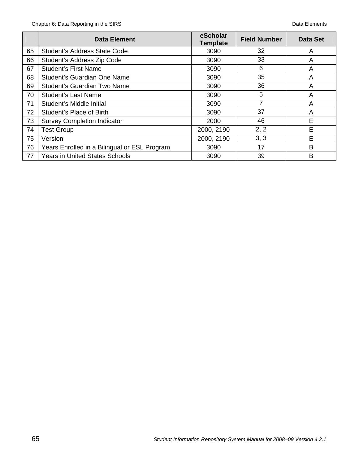|    | <b>Data Element</b>                          | eScholar<br><b>Template</b> | <b>Field Number</b> | Data Set |
|----|----------------------------------------------|-----------------------------|---------------------|----------|
| 65 | <b>Student's Address State Code</b>          | 3090                        | 32                  | A        |
| 66 | Student's Address Zip Code                   | 3090                        | 33                  | A        |
| 67 | <b>Student's First Name</b>                  | 3090                        | 6                   | A        |
| 68 | Student's Guardian One Name                  | 3090                        | 35                  | A        |
| 69 | Student's Guardian Two Name                  | 3090                        | 36                  | A        |
| 70 | Student's Last Name                          | 3090                        | 5                   | A        |
| 71 | Student's Middle Initial                     | 3090                        |                     | A        |
| 72 | Student's Place of Birth                     | 3090                        | 37                  | A        |
| 73 | <b>Survey Completion Indicator</b>           | 2000                        | 46                  | E        |
| 74 | <b>Test Group</b>                            | 2000, 2190                  | 2, 2                | E        |
| 75 | Version                                      | 2000, 2190                  | 3, 3                | E        |
| 76 | Years Enrolled in a Bilingual or ESL Program | 3090                        | 17                  | B        |
| 77 | <b>Years in United States Schools</b>        | 3090                        | 39                  | B        |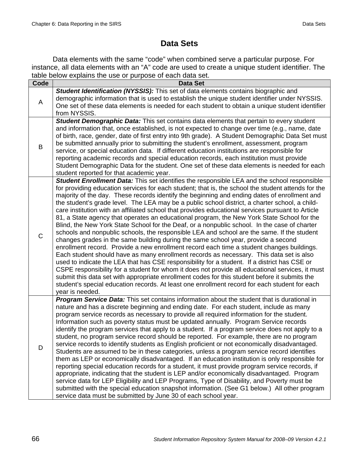# **Data Sets**

Data elements with the same "code" when combined serve a particular purpose. For instance, all data elements with an "A" code are used to create a unique student identifier. The table below explains the use or purpose of each data set.

|              | iable below explains the doc or purpose or each data set.<br><b>Data Set</b>                                                                                                                                                                                                                                                                                                                                                                                                                                                                                                                                                                                                                                                                                                                                                                                                                                                                                                                                                                                                                                                                                                                                                                                                                                                                                                                                                                                                                               |
|--------------|------------------------------------------------------------------------------------------------------------------------------------------------------------------------------------------------------------------------------------------------------------------------------------------------------------------------------------------------------------------------------------------------------------------------------------------------------------------------------------------------------------------------------------------------------------------------------------------------------------------------------------------------------------------------------------------------------------------------------------------------------------------------------------------------------------------------------------------------------------------------------------------------------------------------------------------------------------------------------------------------------------------------------------------------------------------------------------------------------------------------------------------------------------------------------------------------------------------------------------------------------------------------------------------------------------------------------------------------------------------------------------------------------------------------------------------------------------------------------------------------------------|
| Code         |                                                                                                                                                                                                                                                                                                                                                                                                                                                                                                                                                                                                                                                                                                                                                                                                                                                                                                                                                                                                                                                                                                                                                                                                                                                                                                                                                                                                                                                                                                            |
| A            | Student Identification (NYSSIS): This set of data elements contains biographic and<br>demographic information that is used to establish the unique student identifier under NYSSIS.<br>One set of these data elements is needed for each student to obtain a unique student identifier<br>from NYSSIS.                                                                                                                                                                                                                                                                                                                                                                                                                                                                                                                                                                                                                                                                                                                                                                                                                                                                                                                                                                                                                                                                                                                                                                                                     |
| B            | Student Demographic Data: This set contains data elements that pertain to every student<br>and information that, once established, is not expected to change over time (e.g., name, date<br>of birth, race, gender, date of first entry into 9th grade). A Student Demographic Data Set must<br>be submitted annually prior to submitting the student's enrollment, assessment, program<br>service, or special education data. If different education institutions are responsible for<br>reporting academic records and special education records, each institution must provide<br>Student Demographic Data for the student. One set of these data elements is needed for each<br>student reported for that academic year.                                                                                                                                                                                                                                                                                                                                                                                                                                                                                                                                                                                                                                                                                                                                                                               |
| $\mathsf{C}$ | Student Enrollment Data: This set identifies the responsible LEA and the school responsible<br>for providing education services for each student; that is, the school the student attends for the<br>majority of the day. These records identify the beginning and ending dates of enrollment and<br>the student's grade level. The LEA may be a public school district, a charter school, a child-<br>care institution with an affiliated school that provides educational services pursuant to Article<br>81, a State agency that operates an educational program, the New York State School for the<br>Blind, the New York State School for the Deaf, or a nonpublic school. In the case of charter<br>schools and nonpublic schools, the responsible LEA and school are the same. If the student<br>changes grades in the same building during the same school year, provide a second<br>enrollment record. Provide a new enrollment record each time a student changes buildings.<br>Each student should have as many enrollment records as necessary. This data set is also<br>used to indicate the LEA that has CSE responsibility for a student. If a district has CSE or<br>CSPE responsibility for a student for whom it does not provide all educational services, it must<br>submit this data set with appropriate enrollment codes for this student before it submits the<br>student's special education records. At least one enrollment record for each student for each<br>year is needed. |
| D            | Program Service Data: This set contains information about the student that is durational in<br>nature and has a discrete beginning and ending date. For each student, include as many<br>program service records as necessary to provide all required information for the student.<br>Information such as poverty status must be updated annually. Program Service records<br>identify the program services that apply to a student. If a program service does not apply to a<br>student, no program service record should be reported. For example, there are no program<br>service records to identify students as English proficient or not economically disadvantaged.<br>Students are assumed to be in these categories, unless a program service record identifies<br>them as LEP or economically disadvantaged. If an education institution is only responsible for<br>reporting special education records for a student, it must provide program service records, if<br>appropriate, indicating that the student is LEP and/or economically disadvantaged. Program<br>service data for LEP Eligibility and LEP Programs, Type of Disability, and Poverty must be<br>submitted with the special education snapshot information. (See G1 below.) All other program<br>service data must be submitted by June 30 of each school year.                                                                                                                                                                 |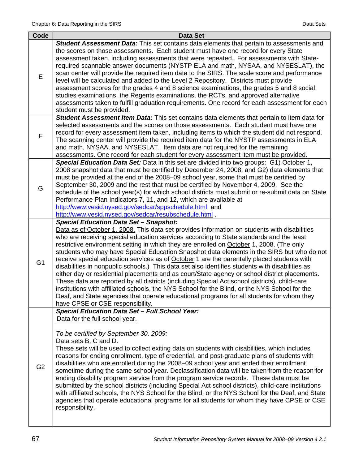| Code           | <b>Data Set</b>                                                                                                                                                                                                                                                                                                                                                                                                                                                                                                                                                                                                                                                                                                                                                                                                                                                                                                                                                                                                                                                               |
|----------------|-------------------------------------------------------------------------------------------------------------------------------------------------------------------------------------------------------------------------------------------------------------------------------------------------------------------------------------------------------------------------------------------------------------------------------------------------------------------------------------------------------------------------------------------------------------------------------------------------------------------------------------------------------------------------------------------------------------------------------------------------------------------------------------------------------------------------------------------------------------------------------------------------------------------------------------------------------------------------------------------------------------------------------------------------------------------------------|
| Е              | Student Assessment Data: This set contains data elements that pertain to assessments and<br>the scores on those assessments. Each student must have one record for every State<br>assessment taken, including assessments that were repeated. For assessments with State-<br>required scannable answer documents (NYSTP ELA and math, NYSAA, and NYSESLAT), the<br>scan center will provide the required item data to the SIRS. The scale score and performance<br>level will be calculated and added to the Level 2 Repository. Districts must provide<br>assessment scores for the grades 4 and 8 science examinations, the grades 5 and 8 social<br>studies examinations, the Regents examinations, the RCTs, and approved alternative<br>assessments taken to fulfill graduation requirements. One record for each assessment for each<br>student must be provided.                                                                                                                                                                                                       |
| F              | Student Assessment Item Data: This set contains data elements that pertain to item data for<br>selected assessments and the scores on those assessments. Each student must have one<br>record for every assessment item taken, including items to which the student did not respond.<br>The scanning center will provide the required item data for the NYSTP assessments in ELA<br>and math, NYSAA, and NYSESLAT. Item data are not required for the remaining<br>assessments. One record for each student for every assessment item must be provided.                                                                                                                                                                                                                                                                                                                                                                                                                                                                                                                       |
| G              | Special Education Data Set: Data in this set are divided into two groups: G1) October 1,<br>2008 snapshot data that must be certified by December 24, 2008, and G2) data elements that<br>must be provided at the end of the 2008–09 school year, some that must be certified by<br>September 30, 2009 and the rest that must be certified by November 4, 2009. See the<br>schedule of the school year(s) for which school districts must submit or re-submit data on State<br>Performance Plan Indicators 7, 11, and 12, which are available at<br>http://www.vesid.nysed.gov/sedcar/sppschedule.html and<br>http://www.vesid.nysed.gov/sedcar/resubschedule.html                                                                                                                                                                                                                                                                                                                                                                                                            |
| G <sub>1</sub> | <b>Special Education Data Set - Snapshot:</b><br>Data as of October 1, 2008. This data set provides information on students with disabilities<br>who are receiving special education services according to State standards and the least<br>restrictive environment setting in which they are enrolled on October 1, 2008. (The only<br>students who may have Special Education Snapshot data elements in the SIRS but who do not<br>receive special education services as of <b>October</b> 1 are the parentally placed students with<br>disabilities in nonpublic schools.) This data set also identifies students with disabilities as<br>either day or residential placements and as court/State agency or school district placements.<br>These data are reported by all districts (including Special Act school districts), child-care<br>institutions with affiliated schools, the NYS School for the Blind, or the NYS School for the<br>Deaf, and State agencies that operate educational programs for all students for whom they<br>have CPSE or CSE responsibility. |
| G <sub>2</sub> | Special Education Data Set - Full School Year:<br>Data for the full school year.<br>To be certified by September 30, 2009:<br>Data sets B, C and D.<br>These sets will be used to collect exiting data on students with disabilities, which includes<br>reasons for ending enrollment, type of credential, and post-graduate plans of students with<br>disabilities who are enrolled during the 2008–09 school year and ended their enrollment<br>sometime during the same school year. Declassification data will be taken from the reason for<br>ending disability program service from the program service records. These data must be<br>submitted by the school districts (including Special Act school districts), child-care institutions<br>with affiliated schools, the NYS School for the Blind, or the NYS School for the Deaf, and State<br>agencies that operate educational programs for all students for whom they have CPSE or CSE<br>responsibility.                                                                                                         |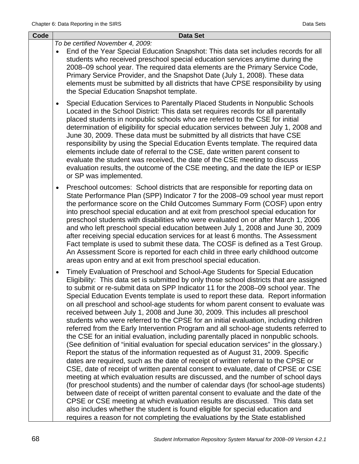| Code | <b>Data Set</b>                                                                                                                                                                                                                                                                                                                                                                                                                                                                                                                                                                                                                                                                                                                                                                                                                                                                                                                                                                                                                                                                                                                                                                                                                                                                                                                                                                                                                                                                                                                                                                                                                                                                         |  |  |  |  |  |
|------|-----------------------------------------------------------------------------------------------------------------------------------------------------------------------------------------------------------------------------------------------------------------------------------------------------------------------------------------------------------------------------------------------------------------------------------------------------------------------------------------------------------------------------------------------------------------------------------------------------------------------------------------------------------------------------------------------------------------------------------------------------------------------------------------------------------------------------------------------------------------------------------------------------------------------------------------------------------------------------------------------------------------------------------------------------------------------------------------------------------------------------------------------------------------------------------------------------------------------------------------------------------------------------------------------------------------------------------------------------------------------------------------------------------------------------------------------------------------------------------------------------------------------------------------------------------------------------------------------------------------------------------------------------------------------------------------|--|--|--|--|--|
|      | To be certified November 4, 2009:<br>End of the Year Special Education Snapshot: This data set includes records for all<br>students who received preschool special education services anytime during the<br>2008–09 school year. The required data elements are the Primary Service Code,<br>Primary Service Provider, and the Snapshot Date (July 1, 2008). These data<br>elements must be submitted by all districts that have CPSE responsibility by using<br>the Special Education Snapshot template.                                                                                                                                                                                                                                                                                                                                                                                                                                                                                                                                                                                                                                                                                                                                                                                                                                                                                                                                                                                                                                                                                                                                                                               |  |  |  |  |  |
|      | Special Education Services to Parentally Placed Students in Nonpublic Schools<br>$\bullet$<br>Located in the School District: This data set requires records for all parentally<br>placed students in nonpublic schools who are referred to the CSE for initial<br>determination of eligibility for special education services between July 1, 2008 and<br>June 30, 2009. These data must be submitted by all districts that have CSE<br>responsibility by using the Special Education Events template. The required data<br>elements include date of referral to the CSE, date written parent consent to<br>evaluate the student was received, the date of the CSE meeting to discuss<br>evaluation results, the outcome of the CSE meeting, and the date the IEP or IESP<br>or SP was implemented.                                                                                                                                                                                                                                                                                                                                                                                                                                                                                                                                                                                                                                                                                                                                                                                                                                                                                    |  |  |  |  |  |
|      | Preschool outcomes: School districts that are responsible for reporting data on<br>$\bullet$<br>State Performance Plan (SPP) Indicator 7 for the 2008–09 school year must report<br>the performance score on the Child Outcomes Summary Form (COSF) upon entry<br>into preschool special education and at exit from preschool special education for<br>preschool students with disabilities who were evaluated on or after March 1, 2006<br>and who left preschool special education between July 1, 2008 and June 30, 2009<br>after receiving special education services for at least 6 months. The Assessment<br>Fact template is used to submit these data. The COSF is defined as a Test Group.<br>An Assessment Score is reported for each child in three early childhood outcome<br>areas upon entry and at exit from preschool special education.                                                                                                                                                                                                                                                                                                                                                                                                                                                                                                                                                                                                                                                                                                                                                                                                                                |  |  |  |  |  |
|      | Timely Evaluation of Preschool and School-Age Students for Special Education<br>$\bullet$<br>Eligibility: This data set is submitted by only those school districts that are assigned<br>to submit or re-submit data on SPP Indicator 11 for the 2008-09 school year. The<br>Special Education Events template is used to report these data. Report information<br>on all preschool and school-age students for whom parent consent to evaluate was<br>received between July 1, 2008 and June 30, 2009. This includes all preschool<br>students who were referred to the CPSE for an initial evaluation, including children<br>referred from the Early Intervention Program and all school-age students referred to<br>the CSE for an initial evaluation, including parentally placed in nonpublic schools.<br>(See definition of "initial evaluation for special education services" in the glossary.)<br>Report the status of the information requested as of August 31, 2009. Specific<br>dates are required, such as the date of receipt of written referral to the CPSE or<br>CSE, date of receipt of written parental consent to evaluate, date of CPSE or CSE<br>meeting at which evaluation results are discussed, and the number of school days<br>(for preschool students) and the number of calendar days (for school-age students)<br>between date of receipt of written parental consent to evaluate and the date of the<br>CPSE or CSE meeting at which evaluation results are discussed. This data set<br>also includes whether the student is found eligible for special education and<br>requires a reason for not completing the evaluations by the State established |  |  |  |  |  |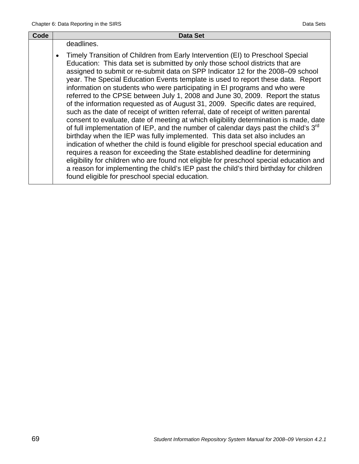| Code | <b>Data Set</b>                                                                                                                                                                                                                                                                                                                                                                                                                                                                                                                                                                                                                                                                                                                                                                                                                                                                                                                                                                                                                                                                                                                                                                                                                                                                                                                                                                   |
|------|-----------------------------------------------------------------------------------------------------------------------------------------------------------------------------------------------------------------------------------------------------------------------------------------------------------------------------------------------------------------------------------------------------------------------------------------------------------------------------------------------------------------------------------------------------------------------------------------------------------------------------------------------------------------------------------------------------------------------------------------------------------------------------------------------------------------------------------------------------------------------------------------------------------------------------------------------------------------------------------------------------------------------------------------------------------------------------------------------------------------------------------------------------------------------------------------------------------------------------------------------------------------------------------------------------------------------------------------------------------------------------------|
|      | deadlines.                                                                                                                                                                                                                                                                                                                                                                                                                                                                                                                                                                                                                                                                                                                                                                                                                                                                                                                                                                                                                                                                                                                                                                                                                                                                                                                                                                        |
|      | Timely Transition of Children from Early Intervention (EI) to Preschool Special<br>Education: This data set is submitted by only those school districts that are<br>assigned to submit or re-submit data on SPP Indicator 12 for the 2008-09 school<br>year. The Special Education Events template is used to report these data. Report<br>information on students who were participating in EI programs and who were<br>referred to the CPSE between July 1, 2008 and June 30, 2009. Report the status<br>of the information requested as of August 31, 2009. Specific dates are required,<br>such as the date of receipt of written referral, date of receipt of written parental<br>consent to evaluate, date of meeting at which eligibility determination is made, date<br>of full implementation of IEP, and the number of calendar days past the child's 3 <sup>rd</sup><br>birthday when the IEP was fully implemented. This data set also includes an<br>indication of whether the child is found eligible for preschool special education and<br>requires a reason for exceeding the State established deadline for determining<br>eligibility for children who are found not eligible for preschool special education and<br>a reason for implementing the child's IEP past the child's third birthday for children<br>found eligible for preschool special education. |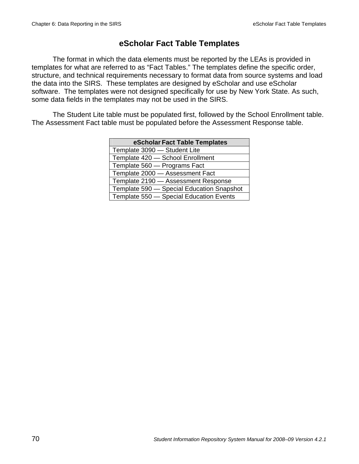# **eScholar Fact Table Templates**

The format in which the data elements must be reported by the LEAs is provided in templates for what are referred to as "Fact Tables." The templates define the specific order, structure, and technical requirements necessary to format data from source systems and load the data into the SIRS. These templates are designed by eScholar and use eScholar software. The templates were not designed specifically for use by New York State. As such, some data fields in the templates may not be used in the SIRS.

The Student Lite table must be populated first, followed by the School Enrollment table. The Assessment Fact table must be populated before the Assessment Response table.

| eScholar Fact Table Templates             |
|-------------------------------------------|
| Template 3090 - Student Lite              |
| Template 420 - School Enrollment          |
| Template 560 - Programs Fact              |
| Template 2000 - Assessment Fact           |
| Template 2190 - Assessment Response       |
| Template 590 - Special Education Snapshot |
| Template 550 - Special Education Events   |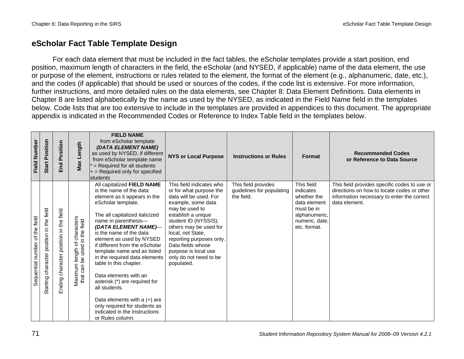# **eScholar Fact Table Template Design**

For each data element that must be included in the fact tables, the eScholar templates provide a start position, end position, maximum length of characters in the field, the eScholar (and NYSED, if applicable) name of the data element, the use or purpose of the element, instructions or rules related to the element, the format of the element (e.g., alphanumeric, date, etc.), and the codes (if applicable) that should be used or sources of the codes, if the code list is extensive. For more information, further instructions, and more detailed rules on the data elements, see Chapter 8: Data Element Definitions. Data elements in Chapter 8 are listed alphabetically by the name as used by the NYSED, as indicated in the Field Name field in the templates below. Code lists that are too extensive to include in the templates are provided in appendices to this document. The appropriate appendix is indicated in the Recommended Codes or Reference to Index Table field in the templates below.

| <b>Field Number</b>            | Position<br>Start                              | Position<br>End                           | Length<br>Max                                                                | <b>FIELD NAME</b><br>from eScholar template<br>(DATA ELEMENT NAME)<br>as used by NYSED, if different<br>from eScholar template name<br>= Required for all students<br>$+$ = Required only for specified<br>students                                                                                                                                                                                                                                                                                                                                                                 | <b>NYS or Local Purpose</b>                                                                                                                                                                                                                                                                                                         | <b>Instructions or Rules</b>                                   | Format                                                                                                                  | <b>Recommended Codes</b><br>or Reference to Data Source                                                                                                   |
|--------------------------------|------------------------------------------------|-------------------------------------------|------------------------------------------------------------------------------|-------------------------------------------------------------------------------------------------------------------------------------------------------------------------------------------------------------------------------------------------------------------------------------------------------------------------------------------------------------------------------------------------------------------------------------------------------------------------------------------------------------------------------------------------------------------------------------|-------------------------------------------------------------------------------------------------------------------------------------------------------------------------------------------------------------------------------------------------------------------------------------------------------------------------------------|----------------------------------------------------------------|-------------------------------------------------------------------------------------------------------------------------|-----------------------------------------------------------------------------------------------------------------------------------------------------------|
| Sequential number of the field | field<br>the<br>Starting character position in | character position in the field<br>Ending | igth of characters<br>used in the field<br>Maximum length<br>that can be use | All capitalized FIELD NAME<br>is the name of the data<br>element as it appears in the<br>eScholar template.<br>The all capitalized italicized<br>name in parenthesis-<br>(DATA ELEMENT NAME)-<br>is the name of the data<br>element as used by NYSED<br>if different from the eScholar<br>template name and as listed<br>in the required data elements<br>table in this chapter.<br>Data elements with an<br>asterisk (*) are required for<br>all students.<br>Data elements with a $(+)$ are<br>only required for students as<br>indicated in the Instructions<br>or Rules column. | This field indicates who<br>or for what purpose the<br>data will be used. For<br>example, some data<br>may be used to<br>establish a unique<br>student ID (NYSSIS);<br>others may be used for<br>local, not State,<br>reporting purposes only.<br>Data fields whose<br>purpose is local use<br>only do not need to be<br>populated. | This field provides<br>guidelines for populating<br>the field. | This field<br>indicates<br>whether the<br>data element<br>must be in<br>alphanumeric,<br>numeric, date,<br>etc. format. | This field provides specific codes to use or<br>directions on how to locate codes or other<br>information necessary to enter the correct<br>data element. |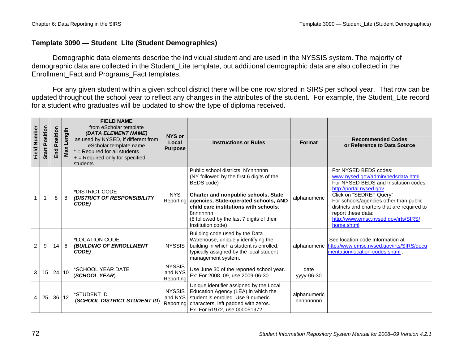### **Template 3090 — Student\_Lite (Student Demographics)**

Demographic data elements describe the individual student and are used in the NYSSIS system. The majority of demographic data are collected in the Student\_Lite template, but additional demographic data are also collected in the Enrollment\_Fact and Programs\_Fact templates.

For any given student within a given school district there will be one row stored in SIRS per school year. That row can be updated throughout the school year to reflect any changes in the attributes of the student. For example, the Student\_Lite record for a student who graduates will be updated to show the type of diploma received.

| Field Number | <b>Start Position</b> | sition<br>$\circ$<br>۵Ĺ<br>End | gth<br>Len<br>Max | <b>FIELD NAME</b><br>from eScholar template<br>(DATA ELEMENT NAME)<br>as used by NYSED, if different from<br>eScholar template name<br>$*$ = Required for all students<br>+ = Required only for specified<br>students | NYS or<br>Local<br><b>Purpose</b>     | <b>Instructions or Rules</b>                                                                                                                                                                                                                                                                         | <b>Format</b>             | <b>Recommended Codes</b><br>or Reference to Data Source                                                                                                                                                                                                                                                                        |
|--------------|-----------------------|--------------------------------|-------------------|-----------------------------------------------------------------------------------------------------------------------------------------------------------------------------------------------------------------------|---------------------------------------|------------------------------------------------------------------------------------------------------------------------------------------------------------------------------------------------------------------------------------------------------------------------------------------------------|---------------------------|--------------------------------------------------------------------------------------------------------------------------------------------------------------------------------------------------------------------------------------------------------------------------------------------------------------------------------|
|              |                       | 8                              | 8                 | *DISTRICT CODE<br>(DISTRICT OF RESPONSIBILITY<br>CODE)                                                                                                                                                                | <b>NYS</b><br>Reporting               | Public school districts: NYnnnnnn<br>(NY followed by the first 6 digits of the<br>BEDS code)<br>Charter and nonpublic schools, State<br>agencies, State-operated schools, AND<br>child care institutions with schools:<br>8nnnnnnn<br>(8 followed by the last 7 digits of their<br>Institution code) | alphanumeric              | For NYSED BEDS codes:<br>www.nysed.gov/admin/bedsdata.html<br>For NYSED BEDS and Institution codes:<br>http://portal.nysed.gov<br>Click on "SEDREF Query"<br>For schools/agencies other than public<br>districts and charters that are required to<br>report these data:<br>http://www.emsc.nysed.gov/irts/SIRS/<br>home.shtml |
| 2            | 9                     | 14                             | 6                 | *LOCATION CODE<br><b>(BUILDING OF ENROLLMENT</b><br>CODE)                                                                                                                                                             | <b>NYSSIS</b>                         | Building code used by the Data<br>Warehouse, uniquely identifying the<br>building in which a student is enrolled,<br>typically assigned by the local student<br>management system.                                                                                                                   |                           | See location code information at<br>alphanumeric http://www.emsc.nysed.gov/irts/SIRS/docu<br>mentation/location-codes.shtml.                                                                                                                                                                                                   |
| 3            | 15                    | 24 10                          |                   | *SCHOOL YEAR DATE<br>(SCHOOL YEAR)                                                                                                                                                                                    | <b>NYSSIS</b><br>and NYS<br>Reporting | Use June 30 of the reported school year.<br>Ex: For 2008-09, use 2009-06-30                                                                                                                                                                                                                          | date<br>vvvv-06-30        |                                                                                                                                                                                                                                                                                                                                |
| 4            | 25                    | 36 12                          |                   | *STUDENT ID<br>(SCHOOL DISTRICT STUDENT ID)                                                                                                                                                                           | <b>NYSSIS</b><br>and NYS              | Unique identifier assigned by the Local<br>Education Agency (LEA) in which the<br>student is enrolled. Use 9 numeric<br>Reporting characters, left padded with zeros.<br>Ex. For 51972, use 000051972                                                                                                | alphanumeric<br>nnnnnnnnn |                                                                                                                                                                                                                                                                                                                                |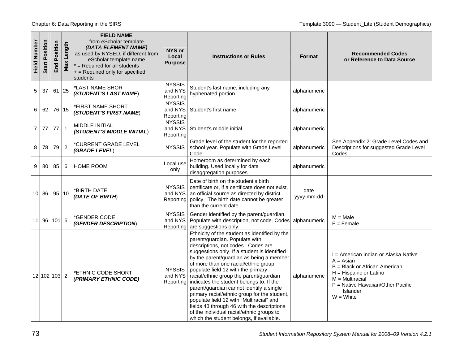| <b>Field Number</b> | Position<br>Start | Position<br>End | Length<br>$\overline{\mathsf{Max}}$ | <b>FIELD NAME</b><br>from eScholar template<br>(DATA ELEMENT NAME)<br>as used by NYSED, if different from<br>eScholar template name<br>$*$ = Required for all students<br>+ = Required only for specified<br>students | NYS or<br>Local<br><b>Purpose</b>     | <b>Instructions or Rules</b>                                                                                                                                                                                                                                                                                                                                                                                                                                                                                                                                                                                                                                           | <b>Format</b>      | <b>Recommended Codes</b><br>or Reference to Data Source                                                                                                                                                  |
|---------------------|-------------------|-----------------|-------------------------------------|-----------------------------------------------------------------------------------------------------------------------------------------------------------------------------------------------------------------------|---------------------------------------|------------------------------------------------------------------------------------------------------------------------------------------------------------------------------------------------------------------------------------------------------------------------------------------------------------------------------------------------------------------------------------------------------------------------------------------------------------------------------------------------------------------------------------------------------------------------------------------------------------------------------------------------------------------------|--------------------|----------------------------------------------------------------------------------------------------------------------------------------------------------------------------------------------------------|
| 5                   | 37                | 61              | 25                                  | *LAST NAME SHORT<br>(STUDENT'S LAST NAME)                                                                                                                                                                             | <b>NYSSIS</b><br>and NYS<br>Reporting | Student's last name, including any<br>hyphenated portion.                                                                                                                                                                                                                                                                                                                                                                                                                                                                                                                                                                                                              | alphanumeric       |                                                                                                                                                                                                          |
| 6                   | 62                | 76 15           |                                     | *FIRST NAME SHORT<br>(STUDENT'S FIRST NAME)                                                                                                                                                                           | <b>NYSSIS</b><br>and NYS<br>Reporting | Student's first name.                                                                                                                                                                                                                                                                                                                                                                                                                                                                                                                                                                                                                                                  | alphanumeric       |                                                                                                                                                                                                          |
| 7 <sup>1</sup>      | 77                | 77              | $\mathbf{1}$                        | MIDDLE INITIAL<br>(STUDENT'S MIDDLE INITIAL)                                                                                                                                                                          | <b>NYSSIS</b><br>and NYS<br>Reporting | Student's middle initial.                                                                                                                                                                                                                                                                                                                                                                                                                                                                                                                                                                                                                                              | alphanumeric       |                                                                                                                                                                                                          |
| 8                   | 78                | 79              | $\overline{c}$                      | *CURRENT GRADE LEVEL<br>(GRADE LEVEL)                                                                                                                                                                                 | <b>NYSSIS</b>                         | Grade level of the student for the reported<br>school year. Populate with Grade Level<br>Code.                                                                                                                                                                                                                                                                                                                                                                                                                                                                                                                                                                         | alphanumeric       | See Appendix 2: Grade Level Codes and<br>Descriptions for suggested Grade Level<br>Codes.                                                                                                                |
| 9                   | 80                | 85              | 6                                   | <b>HOME ROOM</b>                                                                                                                                                                                                      | Local use<br>only                     | Homeroom as determined by each<br>building. Used locally for data<br>disaggregation purposes.                                                                                                                                                                                                                                                                                                                                                                                                                                                                                                                                                                          | alphanumeric       |                                                                                                                                                                                                          |
|                     | $10$ 86           | 95 10           |                                     | *BIRTH DATE<br>(DATE OF BIRTH)                                                                                                                                                                                        | <b>NYSSIS</b><br>and NYS<br>Reporting | Date of birth on the student's birth<br>certificate or, if a certificate does not exist,<br>an official source as directed by district<br>policy. The birth date cannot be greater<br>than the current date.                                                                                                                                                                                                                                                                                                                                                                                                                                                           | date<br>yyyy-mm-dd |                                                                                                                                                                                                          |
|                     | 11 96             | $101$ 6         |                                     | *GENDER CODE<br>(GENDER DESCRIPTION)                                                                                                                                                                                  | <b>NYSSIS</b><br>and NYS<br>Reporting | Gender identified by the parent/guardian.<br>Populate with description, not code. Codes<br>are suggestions only.                                                                                                                                                                                                                                                                                                                                                                                                                                                                                                                                                       | alphanumeric       | $M = Male$<br>$F =$ Female                                                                                                                                                                               |
|                     | 12 102 103 2      |                 |                                     | *ETHNIC CODE SHORT<br>(PRIMARY ETHNIC CODE)                                                                                                                                                                           | <b>NYSSIS</b><br>and NYS<br>Reporting | Ethnicity of the student as identified by the<br>parent/guardian. Populate with<br>descriptions, not codes. Codes are<br>suggestions only. If a student is identified<br>by the parent/guardian as being a member<br>of more than one racial/ethnic group,<br>populate field 12 with the primary<br>racial/ethnic group the parent/guardian<br>indicates the student belongs to. If the<br>parent/guardian cannot identify a single<br>primary racial/ethnic group for the student,<br>populate field 12 with "Multiracial" and<br>fields 43 through 46 with the descriptions<br>of the individual racial/ethnic groups to<br>which the student belongs, if available. | alphanumeric       | I = American Indian or Alaska Native<br>$A = Asian$<br>B = Black or African American<br>$H = H$ ispanic or Latino<br>$M = Multiracial$<br>$P =$ Native Hawaiian/Other Pacific<br>Islander<br>$W = White$ |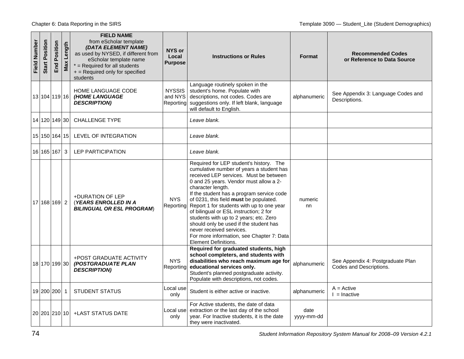| Field Number | Position<br><b>Start</b> | Position<br>End | : Length<br>Max | <b>FIELD NAME</b><br>from eScholar template<br>(DATA ELEMENT NAME)<br>as used by NYSED, if different from<br>eScholar template name<br>$*$ = Required for all students<br>+ = Required only for specified<br>students | NYS or<br>Local<br><b>Purpose</b>     | <b>Instructions or Rules</b>                                                                                                                                                                                                                                                                                                                                                                                                                                                                                                                                    | <b>Format</b>      | <b>Recommended Codes</b><br>or Reference to Data Source      |
|--------------|--------------------------|-----------------|-----------------|-----------------------------------------------------------------------------------------------------------------------------------------------------------------------------------------------------------------------|---------------------------------------|-----------------------------------------------------------------------------------------------------------------------------------------------------------------------------------------------------------------------------------------------------------------------------------------------------------------------------------------------------------------------------------------------------------------------------------------------------------------------------------------------------------------------------------------------------------------|--------------------|--------------------------------------------------------------|
|              | 13 104 119 16            |                 |                 | <b>HOME LANGUAGE CODE</b><br>(HOME LANGUAGE<br><b>DESCRIPTION)</b>                                                                                                                                                    | <b>NYSSIS</b><br>and NYS<br>Reporting | Language routinely spoken in the<br>student's home. Populate with<br>descriptions, not codes. Codes are<br>suggestions only. If left blank, language<br>will default to English.                                                                                                                                                                                                                                                                                                                                                                                | alphanumeric       | See Appendix 3: Language Codes and<br>Descriptions.          |
|              | 14 120 149 30            |                 |                 | <b>CHALLENGE TYPE</b>                                                                                                                                                                                                 |                                       | Leave blank.                                                                                                                                                                                                                                                                                                                                                                                                                                                                                                                                                    |                    |                                                              |
|              | 15 150 164 15            |                 |                 | LEVEL OF INTEGRATION                                                                                                                                                                                                  |                                       | Leave blank.                                                                                                                                                                                                                                                                                                                                                                                                                                                                                                                                                    |                    |                                                              |
|              | 16 165 167               |                 | 3               | <b>LEP PARTICIPATION</b>                                                                                                                                                                                              |                                       | Leave blank.                                                                                                                                                                                                                                                                                                                                                                                                                                                                                                                                                    |                    |                                                              |
|              | 17 168 169 2             |                 |                 | +DURATION OF LEP<br>(YEARS ENROLLED IN A<br><b>BILINGUAL OR ESL PROGRAM)</b>                                                                                                                                          | <b>NYS</b><br>Reporting               | Required for LEP student's history. The<br>cumulative number of years a student has<br>received LEP services. Must be between<br>0 and 25 years. Vendor must allow a 2-<br>character length.<br>If the student has a program service code<br>of 0231, this field must be populated.<br>Report 1 for students with up to one year<br>of bilingual or ESL instruction; 2 for<br>students with up to 2 years; etc. Zero<br>should only be used if the student has<br>never received services.<br>For more information, see Chapter 7: Data<br>Element Definitions. | numeric<br>nn      |                                                              |
|              | 18 170 199 30            |                 |                 | <b>+POST GRADUATE ACTIVITY</b><br>(POSTGRADUATE PLAN<br><b>DESCRIPTION)</b>                                                                                                                                           | <b>NYS</b><br>Reporting               | Required for graduated students, high<br>school completers, and students with<br>disabilities who reach maximum age for<br>educational services only.<br>Student's planned postgraduate activity.<br>Populate with descriptions, not codes.                                                                                                                                                                                                                                                                                                                     | alphanumeric       | See Appendix 4: Postgraduate Plan<br>Codes and Descriptions. |
|              | 19 200 200               |                 | $\overline{1}$  | STUDENT STATUS                                                                                                                                                                                                        | Local use<br>only                     | Student is either active or inactive.                                                                                                                                                                                                                                                                                                                                                                                                                                                                                                                           | alphanumeric       | $A = Active$<br>$l =$ Inactive                               |
|              | 20   201   210   10      |                 |                 | +LAST STATUS DATE                                                                                                                                                                                                     | Local usel<br>only                    | For Active students, the date of data<br>extraction or the last day of the school<br>year. For Inactive students, it is the date<br>they were inactivated.                                                                                                                                                                                                                                                                                                                                                                                                      | date<br>yyyy-mm-dd |                                                              |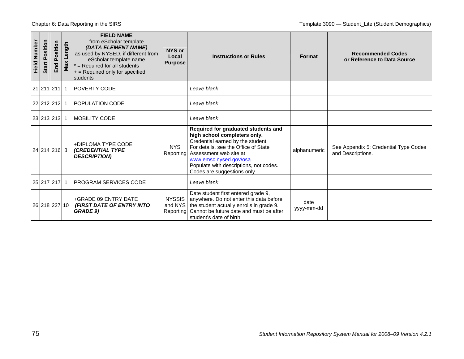| Field Number | Start Position | Position<br>End | $\frac{1}{9}$<br>Max Len | <b>FIELD NAME</b><br>from eScholar template<br>(DATA ELEMENT NAME)<br>as used by NYSED, if different from<br>eScholar template name<br>$*$ = Required for all students<br>$+$ = Required only for specified<br>students | NYS or<br>Local<br><b>Purpose</b>     | <b>Instructions or Rules</b>                                                                                                                                                                                                                                                  | <b>Format</b>      | <b>Recommended Codes</b><br>or Reference to Data Source    |
|--------------|----------------|-----------------|--------------------------|-------------------------------------------------------------------------------------------------------------------------------------------------------------------------------------------------------------------------|---------------------------------------|-------------------------------------------------------------------------------------------------------------------------------------------------------------------------------------------------------------------------------------------------------------------------------|--------------------|------------------------------------------------------------|
|              | 21 211 211 1   |                 |                          | <b>POVERTY CODE</b>                                                                                                                                                                                                     |                                       | Leave blank                                                                                                                                                                                                                                                                   |                    |                                                            |
|              | 22 212 212 1   |                 |                          | POPULATION CODE                                                                                                                                                                                                         |                                       | Leave blank                                                                                                                                                                                                                                                                   |                    |                                                            |
|              | 23 213 213 1   |                 |                          | MOBILITY CODE                                                                                                                                                                                                           |                                       | Leave blank                                                                                                                                                                                                                                                                   |                    |                                                            |
|              | 24 214 216 3   |                 |                          | +DIPLOMA TYPE CODE<br><b>(CREDENTIAL TYPE</b><br><b>DESCRIPTION)</b>                                                                                                                                                    | <b>NYS</b><br>Reporting               | Required for graduated students and<br>high school completers only.<br>Credential earned by the student.<br>For details, see the Office of State<br>Assessment web site at<br>www.emsc.nysed.gov/osa<br>Populate with descriptions, not codes.<br>Codes are suggestions only. | alphanumeric       | See Appendix 5: Credential Type Codes<br>and Descriptions. |
|              | 25 217 217 1   |                 |                          | <b>PROGRAM SERVICES CODE</b>                                                                                                                                                                                            |                                       | Leave blank                                                                                                                                                                                                                                                                   |                    |                                                            |
|              | 26 218 227 10  |                 |                          | +GRADE 09 ENTRY DATE<br>(FIRST DATE OF ENTRY INTO<br><b>GRADE 9)</b>                                                                                                                                                    | <b>NYSSIS</b><br>and NYS<br>Reporting | Date student first entered grade 9,<br>anywhere. Do not enter this data before<br>the student actually enrolls in grade 9.<br>Cannot be future date and must be after<br>student's date of birth.                                                                             | date<br>yyyy-mm-dd |                                                            |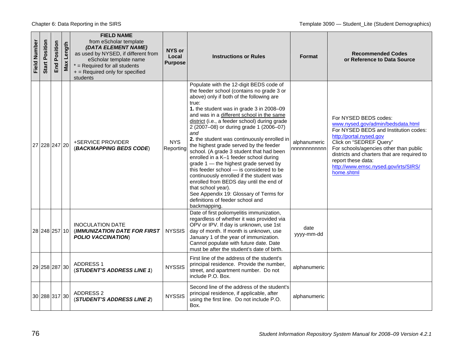| Field Number | Position<br>Start | Position<br>End | Length<br>Max | <b>FIELD NAME</b><br>from eScholar template<br>(DATA ELEMENT NAME)<br>as used by NYSED, if different from<br>eScholar template name<br>$*$ = Required for all students<br>+ = Required only for specified<br>students | <b>NYS or</b><br>Local<br><b>Purpose</b> | <b>Instructions or Rules</b>                                                                                                                                                                                                                                                                                                                                                                                                                                                                                                                                                                                                                                                                                                                                                                                         | <b>Format</b>               | <b>Recommended Codes</b><br>or Reference to Data Source                                                                                                                                                                                                                                                                        |
|--------------|-------------------|-----------------|---------------|-----------------------------------------------------------------------------------------------------------------------------------------------------------------------------------------------------------------------|------------------------------------------|----------------------------------------------------------------------------------------------------------------------------------------------------------------------------------------------------------------------------------------------------------------------------------------------------------------------------------------------------------------------------------------------------------------------------------------------------------------------------------------------------------------------------------------------------------------------------------------------------------------------------------------------------------------------------------------------------------------------------------------------------------------------------------------------------------------------|-----------------------------|--------------------------------------------------------------------------------------------------------------------------------------------------------------------------------------------------------------------------------------------------------------------------------------------------------------------------------|
|              | 27 228 247 20     |                 |               | +SERVICE PROVIDER<br>(BACKMAPPING BEDS CODE)                                                                                                                                                                          | <b>NYS</b><br>Reporting                  | Populate with the 12-digit BEDS code of<br>the feeder school (contains no grade 3 or<br>above) only if both of the following are<br>true:<br>1. the student was in grade 3 in 2008-09<br>and was in a different school in the same<br>district (i.e., a feeder school) during grade<br>2 (2007-08) or during grade 1 (2006-07)<br>and<br>2. the student was continuously enrolled in<br>the highest grade served by the feeder<br>school. (A grade 3 student that had been<br>enrolled in a K-1 feeder school during<br>grade 1 - the highest grade served by<br>this feeder school - is considered to be<br>continuously enrolled if the student was<br>enrolled from BEDS day until the end of<br>that school year).<br>See Appendix 19: Glossary of Terms for<br>definitions of feeder school and<br>backmapping. | alphanumeric<br>nnnnnnnnnnn | For NYSED BEDS codes:<br>www.nysed.gov/admin/bedsdata.html<br>For NYSED BEDS and Institution codes:<br>http://portal.nysed.gov<br>Click on "SEDREF Query"<br>For schools/agencies other than public<br>districts and charters that are required to<br>report these data:<br>http://www.emsc.nysed.gov/irts/SIRS/<br>home.shtml |
|              | 28 248 257 10     |                 |               | <b>INOCULATION DATE</b><br><b>IMMUNIZATION DATE FOR FIRST</b><br><b>POLIO VACCINATION</b>                                                                                                                             | <b>NYSSIS</b>                            | Date of first poliomyelitis immunization,<br>regardless of whether it was provided via<br>OPV or IPV. If day is unknown, use 1st<br>day of month. If month is unknown, use<br>January 1 of the year of immunization.<br>Cannot populate with future date. Date<br>must be after the student's date of birth.                                                                                                                                                                                                                                                                                                                                                                                                                                                                                                         | date<br>yyyy-mm-dd          |                                                                                                                                                                                                                                                                                                                                |
|              | 29 258 287 30     |                 |               | <b>ADDRESS 1</b><br>(STUDENT'S ADDRESS LINE 1)                                                                                                                                                                        | <b>NYSSIS</b>                            | First line of the address of the student's<br>principal residence. Provide the number,<br>street, and apartment number. Do not<br>include P.O. Box.                                                                                                                                                                                                                                                                                                                                                                                                                                                                                                                                                                                                                                                                  | alphanumeric                |                                                                                                                                                                                                                                                                                                                                |
|              | 30 288 317 30     |                 |               | ADDRESS 2<br>(STUDENT'S ADDRESS LINE 2)                                                                                                                                                                               | <b>NYSSIS</b>                            | Second line of the address of the student's<br>principal residence, if applicable, after<br>using the first line. Do not include P.O.<br>Box.                                                                                                                                                                                                                                                                                                                                                                                                                                                                                                                                                                                                                                                                        | alphanumeric                |                                                                                                                                                                                                                                                                                                                                |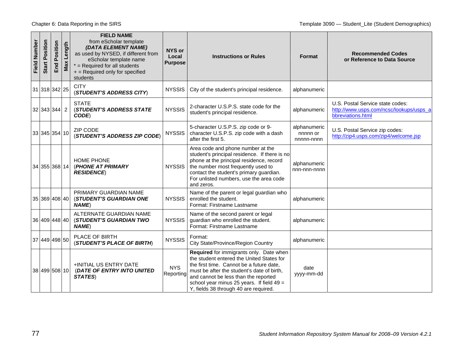| <b>Field Number</b> | Position<br>Start | Position<br>End | Length<br>Max | <b>FIELD NAME</b><br>from eScholar template<br>(DATA ELEMENT NAME)<br>as used by NYSED, if different from<br>eScholar template name<br>$*$ = Required for all students<br>+ = Required only for specified<br>students | <b>NYS or</b><br>Local<br><b>Purpose</b> | <b>Instructions or Rules</b>                                                                                                                                                                                                                                                                                   | <b>Format</b>                          | <b>Recommended Codes</b><br>or Reference to Data Source                                          |
|---------------------|-------------------|-----------------|---------------|-----------------------------------------------------------------------------------------------------------------------------------------------------------------------------------------------------------------------|------------------------------------------|----------------------------------------------------------------------------------------------------------------------------------------------------------------------------------------------------------------------------------------------------------------------------------------------------------------|----------------------------------------|--------------------------------------------------------------------------------------------------|
|                     | 31 318 342 25     |                 |               | <b>CITY</b><br>(STUDENT'S ADDRESS CITY)                                                                                                                                                                               | <b>NYSSIS</b>                            | City of the student's principal residence.                                                                                                                                                                                                                                                                     | alphanumeric                           |                                                                                                  |
|                     | 32 343 344 2      |                 |               | <b>STATE</b><br><b>(STUDENT'S ADDRESS STATE</b><br>CODE)                                                                                                                                                              | <b>NYSSIS</b>                            | 2-character U.S.P.S. state code for the<br>student's principal residence.                                                                                                                                                                                                                                      | alphanumeric                           | U.S. Postal Service state codes:<br>http://www.usps.com/ncsc/lookups/usps_a<br>bbreviations.html |
|                     | 33 345 354 10     |                 |               | <b>ZIP CODE</b><br>(STUDENT'S ADDRESS ZIP CODE)                                                                                                                                                                       | <b>NYSSIS</b>                            | 5-character U.S.P.S. zip code or 9-<br>character U.S.P.S. zip code with a dash<br>after the first 5.                                                                                                                                                                                                           | alphanumeric<br>nnnnn or<br>nnnnn-nnnn | U.S. Postal Service zip codes:<br>http://zip4.usps.com/zip4/welcome.jsp                          |
|                     | 34 355 368 14     |                 |               | <b>HOME PHONE</b><br>(PHONE AT PRIMARY<br><b>RESIDENCE</b> )                                                                                                                                                          | <b>NYSSIS</b>                            | Area code and phone number at the<br>student's principal residence. If there is no<br>phone at the principal residence, record<br>the number most frequently used to<br>contact the student's primary guardian.<br>For unlisted numbers, use the area code<br>and zeros.                                       | alphanumeric<br>nnn-nnn-nnnn           |                                                                                                  |
|                     | 35 369 408 40     |                 |               | PRIMARY GUARDIAN NAME<br><b>(STUDENT'S GUARDIAN ONE</b><br><b>NAME</b> )                                                                                                                                              | <b>NYSSIS</b>                            | Name of the parent or legal guardian who<br>enrolled the student.<br>Format: Firstname Lastname                                                                                                                                                                                                                | alphanumeric                           |                                                                                                  |
|                     | 36 409 448 40     |                 |               | ALTERNATE GUARDIAN NAME<br><b>(STUDENT'S GUARDIAN TWO</b><br><b>NAME</b>                                                                                                                                              | <b>NYSSIS</b>                            | Name of the second parent or legal<br>guardian who enrolled the student.<br>Format: Firstname Lastname                                                                                                                                                                                                         | alphanumeric                           |                                                                                                  |
|                     | 37 449 498 50     |                 |               | PLACE OF BIRTH<br>(STUDENT'S PLACE OF BIRTH)                                                                                                                                                                          | <b>NYSSIS</b>                            | Format:<br><b>City State/Province/Region Country</b>                                                                                                                                                                                                                                                           | alphanumeric                           |                                                                                                  |
|                     | 38 499 508 10     |                 |               | +INITIAL US ENTRY DATE<br>(DATE OF ENTRY INTO UNITED<br>STATES)                                                                                                                                                       | <b>NYS</b><br>Reporting                  | Required for immigrants only. Date when<br>the student entered the United States for<br>the first time. Cannot be a future date,<br>must be after the student's date of birth,<br>and cannot be less than the reported<br>school year minus 25 years. If field $49 =$<br>Y, fields 38 through 40 are required. | date<br>yyyy-mm-dd                     |                                                                                                  |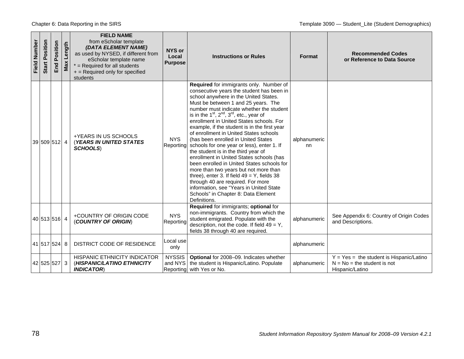| <b>Field Number</b> | Position<br>Start | Position<br>End | Max Length | <b>FIELD NAME</b><br>from eScholar template<br>(DATA ELEMENT NAME)<br>as used by NYSED, if different from<br>eScholar template name<br>$*$ = Required for all students<br>+ = Required only for specified<br>students | <b>NYS or</b><br>Local<br><b>Purpose</b> | <b>Instructions or Rules</b>                                                                                                                                                                                                                                                                                                                                                                                                                                                                                                                                                                                                                                                                                                                                                                                                                                               | Format             | <b>Recommended Codes</b><br>or Reference to Data Source                                        |
|---------------------|-------------------|-----------------|------------|-----------------------------------------------------------------------------------------------------------------------------------------------------------------------------------------------------------------------|------------------------------------------|----------------------------------------------------------------------------------------------------------------------------------------------------------------------------------------------------------------------------------------------------------------------------------------------------------------------------------------------------------------------------------------------------------------------------------------------------------------------------------------------------------------------------------------------------------------------------------------------------------------------------------------------------------------------------------------------------------------------------------------------------------------------------------------------------------------------------------------------------------------------------|--------------------|------------------------------------------------------------------------------------------------|
|                     | 39 509 512 4      |                 |            | +YEARS IN US SCHOOLS<br><b>(YEARS IN UNITED STATES)</b><br><b>SCHOOLS)</b>                                                                                                                                            | <b>NYS</b><br>Reporting                  | Required for immigrants only. Number of<br>consecutive years the student has been in<br>school anywhere in the United States.<br>Must be between 1 and 25 years. The<br>number must indicate whether the student<br>is in the $1^{st}$ , $2^{nd}$ , $3^{rd}$ , etc., year of<br>enrollment in United States schools. For<br>example, if the student is in the first year<br>of enrollment in United States schools<br>(has been enrolled in United States<br>schools for one year or less), enter 1. If<br>the student is in the third year of<br>enrollment in United States schools (has<br>been enrolled in United States schools for<br>more than two years but not more than<br>three), enter 3. If field $49 = Y$ , fields 38<br>through 40 are required. For more<br>information, see "Years in United State<br>Schools" in Chapter 8: Data Element<br>Definitions. | alphanumeric<br>nn |                                                                                                |
|                     | 40 513 516 4      |                 |            | +COUNTRY OF ORIGIN CODE<br>(COUNTRY OF ORIGIN)                                                                                                                                                                        | <b>NYS</b><br>Reporting                  | Required for immigrants; optional for<br>non-immigrants. Country from which the<br>student emigrated. Populate with the<br>description, not the code. If field $49 = Y$ ,<br>fields 38 through 40 are required.                                                                                                                                                                                                                                                                                                                                                                                                                                                                                                                                                                                                                                                            | alphanumeric       | See Appendix 6: Country of Origin Codes<br>and Descriptions.                                   |
|                     | 41 517 524 8      |                 |            | DISTRICT CODE OF RESIDENCE                                                                                                                                                                                            | Local use<br>only                        |                                                                                                                                                                                                                                                                                                                                                                                                                                                                                                                                                                                                                                                                                                                                                                                                                                                                            | alphanumeric       |                                                                                                |
|                     | 42 525 527 3      |                 |            | HISPANIC ETHNICITY INDICATOR<br>(HISPANIC/LATINO ETHNICITY<br><b>INDICATOR</b>                                                                                                                                        | <b>NYSSIS</b>                            | Optional for 2008-09. Indicates whether<br>and NYS   the student is Hispanic/Latino. Populate<br>Reporting with Yes or No.                                                                                                                                                                                                                                                                                                                                                                                                                                                                                                                                                                                                                                                                                                                                                 | alphanumeric       | $Y = Yes = the student is Hispanic/Latino$<br>$N = No = the student is not$<br>Hispanic/Latino |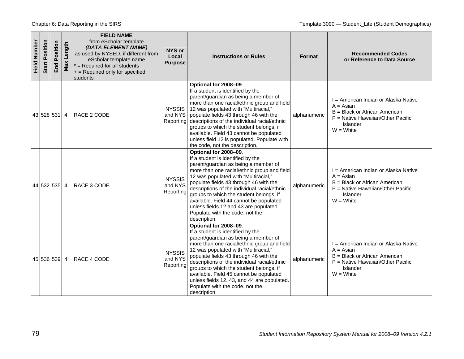| Field Number | Position<br><b>Start</b> | Position<br>End | Length<br>Max | <b>FIELD NAME</b><br>from eScholar template<br>(DATA ELEMENT NAME)<br>as used by NYSED, if different from<br>eScholar template name<br>$*$ = Required for all students<br>+ = Required only for specified<br>students | NYS or<br>Local<br><b>Purpose</b>     | <b>Instructions or Rules</b>                                                                                                                                                                                                                                                                                                                                                                                                                                                | <b>Format</b> | <b>Recommended Codes</b><br>or Reference to Data Source                                                                                                |
|--------------|--------------------------|-----------------|---------------|-----------------------------------------------------------------------------------------------------------------------------------------------------------------------------------------------------------------------|---------------------------------------|-----------------------------------------------------------------------------------------------------------------------------------------------------------------------------------------------------------------------------------------------------------------------------------------------------------------------------------------------------------------------------------------------------------------------------------------------------------------------------|---------------|--------------------------------------------------------------------------------------------------------------------------------------------------------|
|              | 43 528 531 4             |                 |               | RACE 2 CODE                                                                                                                                                                                                           | <b>NYSSIS</b><br>and NYS<br>Reporting | Optional for 2008-09.<br>If a student is identified by the<br>parent/guardian as being a member of<br>more than one racial/ethnic group and field<br>12 was populated with "Multiracial,"<br>populate fields 43 through 46 with the<br>descriptions of the individual racial/ethnic<br>groups to which the student belongs, if<br>available. Field 43 cannot be populated<br>unless field 12 is populated. Populate with<br>the code, not the description.                  | alphanumeric  | I = American Indian or Alaska Native<br>$A = Asian$<br>B = Black or African American<br>P = Native Hawaiian/Other Pacific<br>Islander<br>$W = White$   |
|              | 44 532 535 4             |                 |               | RACE 3 CODE                                                                                                                                                                                                           | <b>NYSSIS</b><br>and NYS<br>Reporting | Optional for 2008-09.<br>If a student is identified by the<br>parent/guardian as being a member of<br>more than one racial/ethnic group and field<br>12 was populated with "Multiracial,"<br>populate fields 43 through 46 with the<br>descriptions of the individual racial/ethnic<br>groups to which the student belongs, if<br>available. Field 44 cannot be populated<br>unless fields 12 and 43 are populated.<br>Populate with the code, not the<br>description.      | alphanumeric  | I = American Indian or Alaska Native<br>$A = Asian$<br>B = Black or African American<br>$P =$ Native Hawaiian/Other Pacific<br>Islander<br>$W = White$ |
|              | 45 536 539 4             |                 |               | RACE 4 CODE                                                                                                                                                                                                           | <b>NYSSIS</b><br>and NYS<br>Reporting | Optional for 2008-09.<br>If a student is identified by the<br>parent/guardian as being a member of<br>more than one racial/ethnic group and field<br>12 was populated with "Multiracial,"<br>populate fields 43 through 46 with the<br>descriptions of the individual racial/ethnic<br>groups to which the student belongs, if<br>available. Field 45 cannot be populated<br>unless fields 12, 43, and 44 are populated.<br>Populate with the code, not the<br>description. | alphanumeric  | I = American Indian or Alaska Native<br>$A = Asian$<br>B = Black or African American<br>$P =$ Native Hawaiian/Other Pacific<br>Islander<br>$W = White$ |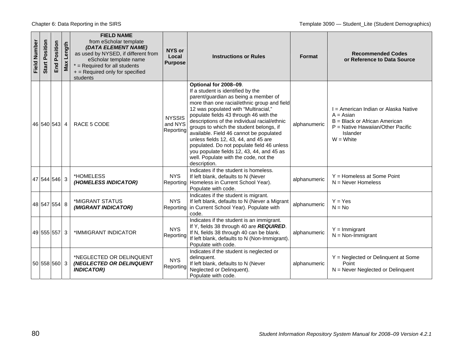Chapter 6: Data Reporting in the SIRS Template 3090 — Student Lite (Student Demographics)

| <b>Field Number</b> | Position<br>Start | Position<br>End | Length<br>Max | <b>FIELD NAME</b><br>from eScholar template<br>(DATA ELEMENT NAME)<br>as used by NYSED, if different from<br>eScholar template name<br>$*$ = Required for all students<br>+ = Required only for specified<br>students | NYS or<br>Local<br><b>Purpose</b>     | <b>Instructions or Rules</b>                                                                                                                                                                                                                                                                                                                                                                                                                                                                                                                                          | Format       | <b>Recommended Codes</b><br>or Reference to Data Source                                                                                                  |
|---------------------|-------------------|-----------------|---------------|-----------------------------------------------------------------------------------------------------------------------------------------------------------------------------------------------------------------------|---------------------------------------|-----------------------------------------------------------------------------------------------------------------------------------------------------------------------------------------------------------------------------------------------------------------------------------------------------------------------------------------------------------------------------------------------------------------------------------------------------------------------------------------------------------------------------------------------------------------------|--------------|----------------------------------------------------------------------------------------------------------------------------------------------------------|
|                     | 46 540 543 4      |                 |               | RACE 5 CODE                                                                                                                                                                                                           | <b>NYSSIS</b><br>and NYS<br>Reporting | Optional for 2008-09.<br>If a student is identified by the<br>parent/guardian as being a member of<br>more than one racial/ethnic group and field<br>12 was populated with "Multiracial,"<br>populate fields 43 through 46 with the<br>descriptions of the individual racial/ethnic<br>groups to which the student belongs, if<br>available. Field 46 cannot be populated<br>unless fields 12, 43, 44, and 45 are<br>populated. Do not populate field 46 unless<br>you populate fields 12, 43, 44, and 45 as<br>well. Populate with the code, not the<br>description. | alphanumeric | I = American Indian or Alaska Native<br>$A = Asian$<br>$B = Black$ or African American<br>$P =$ Native Hawaiian/Other Pacific<br>Islander<br>$W = White$ |
|                     | 47 544 546 3      |                 |               | *HOMELESS<br>(HOMELESS INDICATOR)                                                                                                                                                                                     | <b>NYS</b><br>Reporting               | Indicates if the student is homeless.<br>If left blank, defaults to N (Never<br>Homeless in Current School Year).<br>Populate with code.                                                                                                                                                                                                                                                                                                                                                                                                                              | alphanumeric | $Y =$ Homeless at Some Point<br>$N =$ Never Homeless                                                                                                     |
|                     | 48 547 554 8      |                 |               | *MIGRANT STATUS<br>(MIGRANT INDICATOR)                                                                                                                                                                                | <b>NYS</b><br>Reporting               | Indicates if the student is migrant.<br>If left blank, defaults to N (Never a Migrant<br>in Current School Year). Populate with<br>code.                                                                                                                                                                                                                                                                                                                                                                                                                              | alphanumeric | $Y = Yes$<br>$N = No$                                                                                                                                    |
|                     | 49 555 557 3      |                 |               | *IMMIGRANT INDICATOR                                                                                                                                                                                                  | <b>NYS</b><br>Reporting               | Indicates if the student is an immigrant.<br>If Y, fields 38 through 40 are REQUIRED.<br>If N, fields 38 through 40 can be blank.<br>If left blank, defaults to N (Non-Immigrant).<br>Populate with code.                                                                                                                                                                                                                                                                                                                                                             | alphanumeric | $Y =$ Immigrant<br>$N = Non-Immigrant$                                                                                                                   |
|                     | 50 558 560 3      |                 |               | *NEGLECTED OR DELINQUENT<br>(NEGLECTED OR DELINQUENT<br><b>INDICATOR)</b>                                                                                                                                             | <b>NYS</b><br>Reporting               | Indicates if the student is neglected or<br>delinquent.<br>If left blank, defaults to N (Never<br>Neglected or Delinquent).<br>Populate with code.                                                                                                                                                                                                                                                                                                                                                                                                                    | alphanumeric | $Y = Neglected$ or Delinquent at Some<br>Point<br>$N =$ Never Neglected or Delinquent                                                                    |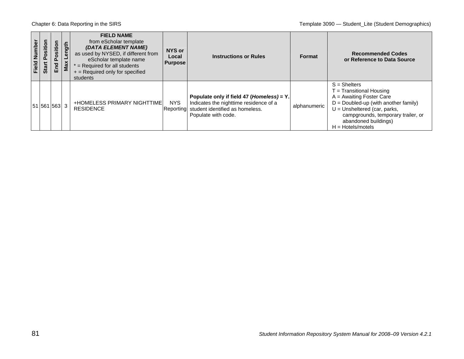| Field Number | 등<br>Positi<br><b>Start</b> | osition<br>$\overline{\mathbf{r}}$<br>End | $\frac{1}{2}$<br>Max | <b>FIELD NAME</b><br>from eScholar template<br>(DATA ELEMENT NAME)<br>as used by NYSED, if different from<br>eScholar template name<br>$*$ = Required for all students<br>$+$ = Required only for specified<br>students | NYS or<br>Local<br><b>Purpose</b> | <b>Instructions or Rules</b>                                                                                                                            | Format       | <b>Recommended Codes</b><br>or Reference to Data Source                                                                                                                                                                                 |
|--------------|-----------------------------|-------------------------------------------|----------------------|-------------------------------------------------------------------------------------------------------------------------------------------------------------------------------------------------------------------------|-----------------------------------|---------------------------------------------------------------------------------------------------------------------------------------------------------|--------------|-----------------------------------------------------------------------------------------------------------------------------------------------------------------------------------------------------------------------------------------|
|              | 51 561 563 3                |                                           |                      | +HOMELESS PRIMARY NIGHTTIME<br><b>RESIDENCE</b>                                                                                                                                                                         | <b>NYS</b>                        | Populate only if field 47 (Homeless) = Y.<br>Indicates the nighttime residence of a<br>Reporting student identified as homeless.<br>Populate with code. | alphanumeric | $S =$ Shelters<br>E Transitional Housing<br>$A =$ Awaiting Foster Care<br>$D =$ Doubled-up (with another family)<br>$U =$ Unsheltered (car, parks,<br>campgrounds, temporary trailer, or<br>abandoned buildings)<br>$H = Hotels/motels$ |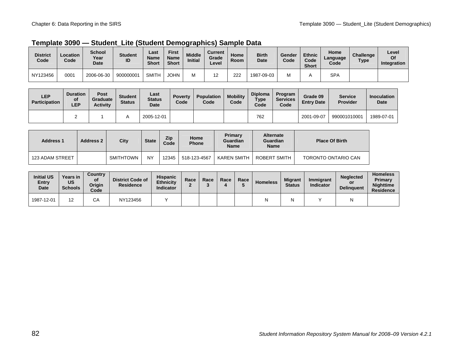| Template 3090 - Student_Lite (Student Demographics) Sample Data |  |  |
|-----------------------------------------------------------------|--|--|
|-----------------------------------------------------------------|--|--|

| <b>District</b><br>Code | Location<br>Code | <b>School</b><br>Year<br>Date | <b>Student</b><br>ID | Last<br>Name<br><b>Short</b> | First<br><b>Name</b><br><b>Short</b> | <b>Middle</b><br><b>Initial</b> | Current<br>Grade<br>Level | Home<br>Room | <b>Birth</b><br>Date | Gender<br>Code | <b>Ethnic</b><br>Code<br><b>Short</b> | Home<br>Language<br>Code | <b>Challenge</b><br><b>Type</b> | Level<br>Of<br>Integration |
|-------------------------|------------------|-------------------------------|----------------------|------------------------------|--------------------------------------|---------------------------------|---------------------------|--------------|----------------------|----------------|---------------------------------------|--------------------------|---------------------------------|----------------------------|
| NY123456                | 0001             | 2006-06-30                    | 900000001            | <b>SMITH</b>                 | <b>JOHN</b>                          | Μ                               |                           | 222          | 1987-09-03           |                |                                       | <b>SPA</b>               |                                 |                            |

| LEP<br><b>Participation</b> | <b>Duration</b><br>οf<br><b>LEP</b> | <b>Post</b><br>Graduate<br><b>Activity</b> | <b>Student</b><br><b>Status</b> | Last<br><b>Status</b><br>Date | <b>Poverty</b><br>Code | <b>Population</b><br>Code | <b>Mobility</b><br>Code | <b>Diploma</b><br>Type<br>Code | Program<br>Services<br>Code | Grade 09<br><b>Entry Date</b> | <b>Service</b><br><b>Provider</b> | <b>Inoculation</b><br>Date |
|-----------------------------|-------------------------------------|--------------------------------------------|---------------------------------|-------------------------------|------------------------|---------------------------|-------------------------|--------------------------------|-----------------------------|-------------------------------|-----------------------------------|----------------------------|
|                             | -                                   |                                            |                                 | 2005-12-01                    |                        |                           |                         | 762                            |                             | 2001-09-07                    | 990001010001                      | 1989-07-01                 |

| <b>Address 1</b> | <b>Address 2</b> | City      | <b>State</b> | Zip<br>Code | Home<br><b>Phone</b> | Primary<br>Guardian<br><b>Name</b> | <b>Alternate</b><br>Guardian<br><b>Name</b> | <b>Place Of Birth</b> |
|------------------|------------------|-----------|--------------|-------------|----------------------|------------------------------------|---------------------------------------------|-----------------------|
| 123 ADAM STREET  |                  | SMITHTOWN | <b>NY</b>    | 12345       | 518-123-4567         | KAREN SMITH                        | ROBERT SMITH                                | TORONTO ONTARIO CAN   |

| <b>Initial US</b><br>Entry<br><b>Date</b> | Years in<br>US<br><b>Schools</b> | <b>Country</b><br>οf<br>Origin<br>Code | <b>District Code of</b><br>Residence | <b>Hispanic</b><br><b>Ethnicity</b><br>Indicator | Race | Race | Race | Race | <b>Homeless</b> | <b>Migrant</b><br><b>Status</b> | Immigrant<br><b>Indicator</b> | <b>Neglected</b><br>or<br><b>Delinguent</b> | <b>Homeless</b><br>Primary<br><b>Nighttime</b><br><b>Residence</b> |
|-------------------------------------------|----------------------------------|----------------------------------------|--------------------------------------|--------------------------------------------------|------|------|------|------|-----------------|---------------------------------|-------------------------------|---------------------------------------------|--------------------------------------------------------------------|
| 1987-12-01                                | 1 ຕ<br>►                         | ົ<br>◡                                 | NY123456                             |                                                  |      |      |      |      |                 | N                               |                               |                                             |                                                                    |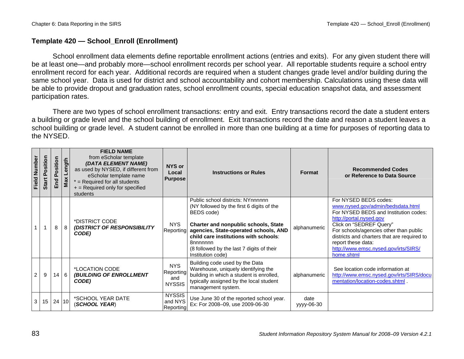## **Template 420 — School\_Enroll (Enrollment)**

School enrollment data elements define reportable enrollment actions (entries and exits). For any given student there will be at least one—and probably more—school enrollment records per school year. All reportable students require a school entry enrollment record for each year. Additional records are required when a student changes grade level and/or building during the same school year. Data is used for district and school accountability and cohort membership. Calculations using these data will be able to provide dropout and graduation rates, school enrollment counts, special education snapshot data, and assessment participation rates.

There are two types of school enrollment transactions: entry and exit. Entry transactions record the date a student enters a building or grade level and the school building of enrollment. Exit transactions record the date and reason a student leaves a school building or grade level. A student cannot be enrolled in more than one building at a time for purposes of reporting data to the NYSED.

| <b>Field Number</b> | Position<br>Start | osition<br><u>ه</u><br>pu<br>面 | Max Length | <b>FIELD NAME</b><br>from eScholar template<br>(DATA ELEMENT NAME)<br>as used by NYSED, if different from<br>eScholar template name<br>$*$ = Required for all students<br>+ = Required only for specified<br>students | <b>NYS or</b><br>Local<br><b>Purpose</b>        | <b>Instructions or Rules</b>                                                                                                                                                                                                                                                                         | Format             | <b>Recommended Codes</b><br>or Reference to Data Source                                                                                                                                                                                                                                                                        |
|---------------------|-------------------|--------------------------------|------------|-----------------------------------------------------------------------------------------------------------------------------------------------------------------------------------------------------------------------|-------------------------------------------------|------------------------------------------------------------------------------------------------------------------------------------------------------------------------------------------------------------------------------------------------------------------------------------------------------|--------------------|--------------------------------------------------------------------------------------------------------------------------------------------------------------------------------------------------------------------------------------------------------------------------------------------------------------------------------|
|                     |                   | 8                              | 8          | *DISTRICT CODE<br>(DISTRICT OF RESPONSIBILITY<br>CODE)                                                                                                                                                                | <b>NYS</b><br>Reporting                         | Public school districts: NYnnnnnn<br>(NY followed by the first 6 digits of the<br>BEDS code)<br>Charter and nonpublic schools, State<br>agencies, State-operated schools, AND<br>child care institutions with schools:<br>8nnnnnnn<br>(8 followed by the last 7 digits of their<br>Institution code) | alphanumeric       | For NYSED BEDS codes:<br>www.nysed.gov/admin/bedsdata.html<br>For NYSED BEDS and Institution codes:<br>http://portal.nysed.gov<br>Click on "SEDREF Query"<br>For schools/agencies other than public<br>districts and charters that are required to<br>report these data:<br>http://www.emsc.nysed.gov/irts/SIRS/<br>home.shtml |
| 2                   | 9                 | 14                             | <b>6</b>   | *LOCATION CODE<br>(BUILDING OF ENROLLMENT<br>CODE)                                                                                                                                                                    | <b>NYS</b><br>Reporting<br>and<br><b>NYSSIS</b> | Building code used by the Data<br>Warehouse, uniquely identifying the<br>building in which a student is enrolled,<br>typically assigned by the local student<br>management system.                                                                                                                   | alphanumeric       | See location code information at<br>http://www.emsc.nysed.gov/irts/SIRS/docu<br>mentation/location-codes.shtml .                                                                                                                                                                                                               |
| 3                   | 15                | 24 10                          |            | *SCHOOL YEAR DATE<br>(SCHOOL YEAR)                                                                                                                                                                                    | <b>NYSSIS</b><br>and NYS<br>Reporting           | Use June 30 of the reported school year.<br>Ex: For 2008-09, use 2009-06-30                                                                                                                                                                                                                          | date<br>yyyy-06-30 |                                                                                                                                                                                                                                                                                                                                |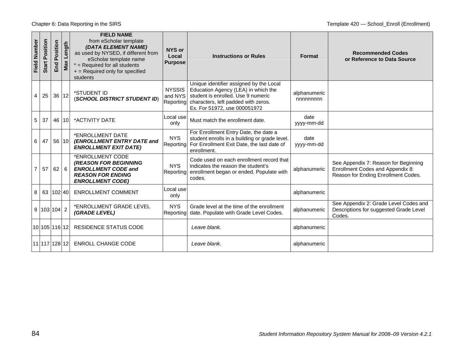| Field Number   | Position<br>Start | Position<br>End | gth<br>Len<br>Max | <b>FIELD NAME</b><br>from eScholar template<br>(DATA ELEMENT NAME)<br>as used by NYSED, if different from<br>eScholar template name<br>$*$ = Required for all students<br>+ = Required only for specified<br>students | NYS or<br>Local<br><b>Purpose</b>     | <b>Instructions or Rules</b>                                                                                                                                                                | Format                   | <b>Recommended Codes</b><br>or Reference to Data Source                                                         |
|----------------|-------------------|-----------------|-------------------|-----------------------------------------------------------------------------------------------------------------------------------------------------------------------------------------------------------------------|---------------------------------------|---------------------------------------------------------------------------------------------------------------------------------------------------------------------------------------------|--------------------------|-----------------------------------------------------------------------------------------------------------------|
| 4              | 25                | 36 12           |                   | *STUDENT ID<br>(SCHOOL DISTRICT STUDENT ID)                                                                                                                                                                           | <b>NYSSIS</b><br>and NYS<br>Reporting | Unique identifier assigned by the Local<br>Education Agency (LEA) in which the<br>student is enrolled. Use 9 numeric<br>characters, left padded with zeros.<br>Ex. For 51972, use 000051972 | alphanumeric<br>nnnnnnnn |                                                                                                                 |
| 5              | 37                | 46 10           |                   | *ACTIVITY DATE                                                                                                                                                                                                        | Local use<br>only                     | Must match the enrollment date.                                                                                                                                                             | date<br>yyyy-mm-dd       |                                                                                                                 |
| 6              | 47                | 56 10           |                   | *ENROLLMENT DATE<br>(ENROLLMENT ENTRY DATE and<br><b>ENROLLMENT EXIT DATE)</b>                                                                                                                                        | <b>NYS</b><br>Reporting               | For Enrollment Entry Date, the date a<br>student enrolls in a building or grade level.<br>For Enrollment Exit Date, the last date of<br>enrollment.                                         | date<br>yyyy-mm-dd       |                                                                                                                 |
| $\overline{7}$ | 57                | $62 \mid 6$     |                   | *ENROLLMENT CODE<br><b>(REASON FOR BEGINNING</b><br><b>ENROLLMENT CODE and</b><br><b>REASON FOR ENDING</b><br><b>ENROLLMENT CODE)</b>                                                                                 | <b>NYS</b><br>Reporting               | Code used on each enrollment record that<br>indicates the reason the student's<br>enrollment began or ended. Populate with<br>codes.                                                        | alphanumeric             | See Appendix 7: Reason for Beginning<br>Enrollment Codes and Appendix 8:<br>Reason for Ending Enrollment Codes. |
|                | 8 63 102 40       |                 |                   | <b>ENROLLMENT COMMENT</b>                                                                                                                                                                                             | Local use<br>only                     |                                                                                                                                                                                             | alphanumeric             |                                                                                                                 |
|                | 9 103 104 2       |                 |                   | *ENROLLMENT GRADE LEVEL<br>(GRADE LEVEL)                                                                                                                                                                              | <b>NYS</b><br>Reporting               | Grade level at the time of the enrollment<br>date. Populate with Grade Level Codes.                                                                                                         | alphanumeric             | See Appendix 2: Grade Level Codes and<br>Descriptions for suggested Grade Level<br>Codes.                       |
|                | 10 105 116 12     |                 |                   | <b>RESIDENCE STATUS CODE</b>                                                                                                                                                                                          |                                       | Leave blank.                                                                                                                                                                                | alphanumeric             |                                                                                                                 |
|                | 11 117 128 12     |                 |                   | <b>ENROLL CHANGE CODE</b>                                                                                                                                                                                             |                                       | Leave blank.                                                                                                                                                                                | alphanumeric             |                                                                                                                 |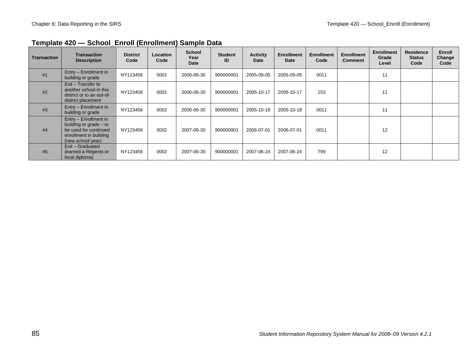| <b>Transaction</b> | <b>Transaction</b><br><b>Description</b>                                                                                | <b>District</b><br>Code | <b>Location</b><br>Code | <b>School</b><br>Year<br>Date | <b>Student</b><br>ID | <b>Activity</b><br>Date | <b>Enrollment</b><br><b>Date</b> | <b>Enrollment</b><br>Code | <b>Enrollment</b><br><b>Comment</b> | <b>Enrollment</b><br>Grade<br>Level | <b>Residence</b><br><b>Status</b><br>Code | Enroll<br>Change<br>Code |
|--------------------|-------------------------------------------------------------------------------------------------------------------------|-------------------------|-------------------------|-------------------------------|----------------------|-------------------------|----------------------------------|---------------------------|-------------------------------------|-------------------------------------|-------------------------------------------|--------------------------|
| #1                 | Entry - Enrollment in<br>building or grade                                                                              | NY123456                | 0001                    | 2006-06-30                    | 900000001            | 2005-09-05              | 2005-09-05                       | 0011                      |                                     | 11                                  |                                           |                          |
| #2                 | Exit - Transfer to<br>another school in this<br>district or to an out-of-<br>district placement                         | NY123456                | 0001                    | 2006-06-30                    | 900000001            | 2005-10-17              | 2005-10-17                       | 153                       |                                     | 11                                  |                                           |                          |
| #3                 | Entry - Enrollment in<br>building or grade                                                                              | NY123456                | 0002                    | 2006-06-30                    | 900000001            | 2005-10-18              | 2005-10-18                       | 0011                      |                                     | 11                                  |                                           |                          |
| #4                 | Entry - Enrollment in<br>building or grade - to<br>be used for continued<br>enrollment in building<br>(new school year) | NY123456                | 0002                    | 2007-06-30                    | 900000001            | 2006-07-01              | 2006-07-01                       | 0011                      |                                     | 12                                  |                                           |                          |
| #5                 | Exit – Graduated<br>(earned a Regents or<br>local diploma)                                                              | NY123456                | 0002                    | 2007-06-30                    | 900000001            | 2007-06-24              | 2007-06-24                       | 799                       |                                     | 12                                  |                                           |                          |

## **Template 420 — School\_Enroll (Enrollment) Sample Data**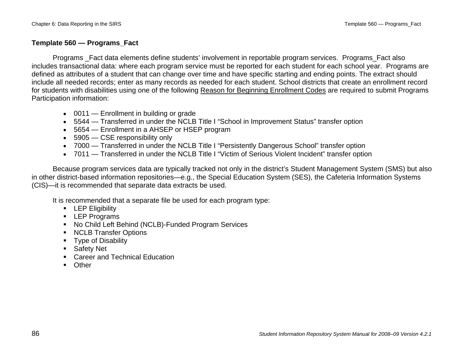### **Template 560 — Programs\_Fact**

Programs Fact data elements define students' involvement in reportable program services. Programs Fact also includes transactional data: where each program service must be reported for each student for each school year. Programs are defined as attributes of a student that can change over time and have specific starting and ending points. The extract should include all needed records; enter as many records as needed for each student. School districts that create an enrollment record for students with disabilities using one of the following Reason for Beginning Enrollment Codes are required to submit Programs Participation information:

- 0011 Enrollment in building or grade
- 5544 Transferred in under the NCLB Title I "School in Improvement Status" transfer option
- 5654 Enrollment in a AHSEP or HSEP program
- 5905 CSE responsibility only
- 7000 Transferred in under the NCLB Title I "Persistently Dangerous School" transfer option
- 7011 Transferred in under the NCLB Title I "Victim of Serious Violent Incident" transfer option

Because program services data are typically tracked not only in the district's Student Management System (SMS) but also in other district-based information repositories—e.g., the Special Education System (SES), the Cafeteria Information Systems (CIS)—it is recommended that separate data extracts be used.

It is recommended that a separate file be used for each program type:

- **-** LEP Eligibility
- **LEP Programs**
- No Child Left Behind (NCLB)-Funded Program Services
- **NCLB Transfer Options**
- **Type of Disability**
- **Safety Net**
- Career and Technical Education
- **C**ther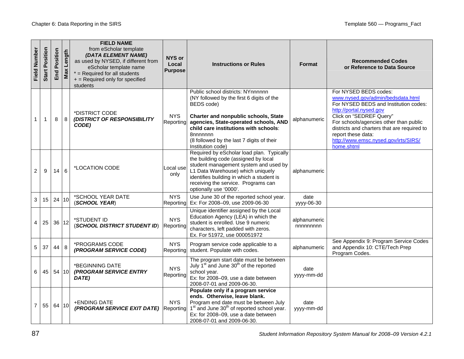| Field Number   | Position<br>Start | Position<br>End | ength<br>Max | <b>FIELD NAME</b><br>from eScholar template<br>(DATA ELEMENT NAME)<br>as used by NYSED, if different from<br>eScholar template name<br>$*$ = Required for all students<br>+ = Required only for specified<br>students | NYS or<br>Local<br><b>Purpose</b> | <b>Instructions or Rules</b>                                                                                                                                                                                                                                                                         | <b>Format</b>            | <b>Recommended Codes</b><br>or Reference to Data Source                                                                                                                                                                                                                                                                        |
|----------------|-------------------|-----------------|--------------|-----------------------------------------------------------------------------------------------------------------------------------------------------------------------------------------------------------------------|-----------------------------------|------------------------------------------------------------------------------------------------------------------------------------------------------------------------------------------------------------------------------------------------------------------------------------------------------|--------------------------|--------------------------------------------------------------------------------------------------------------------------------------------------------------------------------------------------------------------------------------------------------------------------------------------------------------------------------|
| 1              | $\mathbf{1}$      | 8               | 8            | *DISTRICT CODE<br>(DISTRICT OF RESPONSIBILITY<br>CODE)                                                                                                                                                                | <b>NYS</b><br>Reporting           | Public school districts: NYnnnnnn<br>(NY followed by the first 6 digits of the<br>BEDS code)<br>Charter and nonpublic schools, State<br>agencies, State-operated schools, AND<br>child care institutions with schools:<br>8nnnnnnn<br>(8 followed by the last 7 digits of their<br>Institution code) | alphanumeric             | For NYSED BEDS codes:<br>www.nysed.gov/admin/bedsdata.html<br>For NYSED BEDS and Institution codes:<br>http://portal.nysed.gov<br>Click on "SEDREF Query"<br>For schools/agencies other than public<br>districts and charters that are required to<br>report these data:<br>http://www.emsc.nysed.gov/irts/SIRS/<br>home.shtml |
| 2              | 9                 | 14              | 6            | *LOCATION CODE                                                                                                                                                                                                        | Local use<br>only                 | Required by eScholar load plan. Typically<br>the building code (assigned by local<br>student management system and used by<br>L1 Data Warehouse) which uniquely<br>identifies building in which a student is<br>receiving the service. Programs can<br>optionally use '0000'.                        | alphanumeric             |                                                                                                                                                                                                                                                                                                                                |
| 3              | 15 <sub>1</sub>   | 24 10           |              | *SCHOOL YEAR DATE<br>(SCHOOL YEAR)                                                                                                                                                                                    | <b>NYS</b><br>Reporting           | Use June 30 of the reported school year.<br>Ex: For 2008-09, use 2009-06-30                                                                                                                                                                                                                          | date<br>yyyy-06-30       |                                                                                                                                                                                                                                                                                                                                |
| 4              | 25                | 36 12           |              | *STUDENT ID<br>(SCHOOL DISTRICT STUDENT ID)                                                                                                                                                                           | <b>NYS</b><br>Reporting           | Unique identifier assigned by the Local<br>Education Agency (LEA) in which the<br>student is enrolled. Use 9 numeric<br>characters, left padded with zeros.<br>Ex. For 51972, use 000051972                                                                                                          | alphanumeric<br>nnnnnnnn |                                                                                                                                                                                                                                                                                                                                |
| 5 <sup>5</sup> | 37                | 44              | 8            | *PROGRAMS CODE<br>(PROGRAM SERVICE CODE)                                                                                                                                                                              | <b>NYS</b><br>Reporting           | Program service code applicable to a<br>student. Populate with codes.                                                                                                                                                                                                                                | alphanumeric             | See Appendix 9: Program Service Codes<br>and Appendix 10: CTE/Tech Prep<br>Program Codes.                                                                                                                                                                                                                                      |
| 6              | 45                | 54 10           |              | *BEGINNING DATE<br>(PROGRAM SERVICE ENTRY<br>DATE)                                                                                                                                                                    | <b>NYS</b><br>Reporting           | The program start date must be between<br>July 1 <sup>st</sup> and June 30 <sup>th</sup> of the reported<br>school year.<br>Ex: for 2008-09, use a date between<br>2008-07-01 and 2009-06-30.                                                                                                        | date<br>yyyy-mm-dd       |                                                                                                                                                                                                                                                                                                                                |
| 7              | 55                | 64 10           |              | +ENDING DATE<br>(PROGRAM SERVICE EXIT DATE)                                                                                                                                                                           | NYS.<br>Reporting                 | Populate only if a program service<br>ends. Otherwise, leave blank.<br>Program end date must be between July<br>1 <sup>st</sup> and June 30 <sup>th</sup> of reported school year.<br>Ex: for 2008-09, use a date between<br>2008-07-01 and 2009-06-30.                                              | date<br>yyyy-mm-dd       |                                                                                                                                                                                                                                                                                                                                |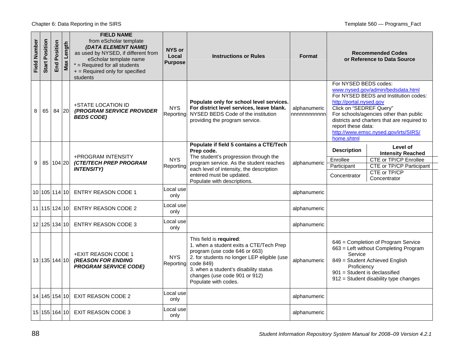Chapter 6: Data Reporting in the SIRS **Template 560** — Programs\_Fact

| Field Number | Position<br><b>Start</b> | Position<br>End | Max Length | <b>FIELD NAME</b><br>from eScholar template<br>(DATA ELEMENT NAME)<br>as used by NYSED, if different from<br>eScholar template name<br>$*$ = Required for all students<br>+ = Required only for specified<br>students | NYS or<br>Local<br><b>Purpose</b> | <b>Instructions or Rules</b>                                                                                                                                                                                                                                      | <b>Format</b>                | <b>Recommended Codes</b><br>or Reference to Data Source                                                                                                                                                                                                                                                                        |
|--------------|--------------------------|-----------------|------------|-----------------------------------------------------------------------------------------------------------------------------------------------------------------------------------------------------------------------|-----------------------------------|-------------------------------------------------------------------------------------------------------------------------------------------------------------------------------------------------------------------------------------------------------------------|------------------------------|--------------------------------------------------------------------------------------------------------------------------------------------------------------------------------------------------------------------------------------------------------------------------------------------------------------------------------|
| 8            | 65                       | 84 20           |            | +STATE LOCATION ID<br><b>(PROGRAM SERVICE PROVIDER</b><br><b>BEDS CODE)</b>                                                                                                                                           | <b>NYS</b><br>Reporting           | Populate only for school level services.<br>For district level services, leave blank.<br>NYSED BEDS Code of the institution<br>providing the program service.                                                                                                     | alphanumeric<br>nnnnnnnnnnnn | For NYSED BEDS codes:<br>www.nysed.gov/admin/bedsdata.html<br>For NYSED BEDS and Institution codes:<br>http://portal.nysed.gov<br>Click on "SEDREF Query"<br>For schools/agencies other than public<br>districts and charters that are required to<br>report these data:<br>http://www.emsc.nysed.gov/irts/SIRS/<br>home.shtml |
| 9            | 85   104   20            |                 |            | +PROGRAM INTENSITY<br><b>(CTE/TECH PREP PROGRAM</b><br><b>INTENSITY)</b>                                                                                                                                              | <b>NYS</b><br>Reporting           | Populate if field 5 contains a CTE/Tech<br>Prep code.<br>The student's progression through the<br>program service. As the student reaches<br>each level of intensity, the description<br>entered must be updated.<br>Populate with descriptions.                  | alphanumeric                 | Level of<br><b>Description</b><br><b>Intensity Reached</b><br><b>CTE or TP/CP Enrollee</b><br>Enrollee<br><b>CTE or TP/CP Participant</b><br>Participant<br>CTE or TP/CP<br>Concentrator<br>Concentrator                                                                                                                       |
|              | 10 105 114 10            |                 |            | <b>ENTRY REASON CODE 1</b>                                                                                                                                                                                            | ocal use<br>only                  |                                                                                                                                                                                                                                                                   | alphanumeric                 |                                                                                                                                                                                                                                                                                                                                |
|              | 11 15 124 10             |                 |            | <b>ENTRY REASON CODE 2</b>                                                                                                                                                                                            | ocal use<br>only                  |                                                                                                                                                                                                                                                                   | alphanumeric                 |                                                                                                                                                                                                                                                                                                                                |
|              | 12 125 134 10            |                 |            | <b>ENTRY REASON CODE 3</b>                                                                                                                                                                                            | ocal use<br>only                  |                                                                                                                                                                                                                                                                   | alphanumeric                 |                                                                                                                                                                                                                                                                                                                                |
|              | 13 135 144 10            |                 |            | <b>+EXIT REASON CODE 1</b><br><b>(REASON FOR ENDING</b><br><b>PROGRAM SERVICE CODE)</b>                                                                                                                               | <b>NYS</b><br>Reporting           | This field is required:<br>1. when a student exits a CTE/Tech Prep<br>program (use code 646 or 663)<br>2. for students no longer LEP eligible (use<br>code 849)<br>3. when a student's disability status<br>changes (use code 901 or 912)<br>Populate with codes. | alphanumeric                 | 646 = Completion of Program Service<br>663 = Left without Completing Program<br>Service<br>849 = Student Achieved English<br>Proficiency<br>901 = Student is declassified<br>912 = Student disability type changes                                                                                                             |
|              | 14 145 154 10            |                 |            | <b>EXIT REASON CODE 2</b>                                                                                                                                                                                             | ocal use<br>only                  |                                                                                                                                                                                                                                                                   | alphanumeric                 |                                                                                                                                                                                                                                                                                                                                |
|              | 15 155 164 10            |                 |            | <b>EXIT REASON CODE 3</b>                                                                                                                                                                                             | ocal use.<br>only                 |                                                                                                                                                                                                                                                                   | alphanumeric                 |                                                                                                                                                                                                                                                                                                                                |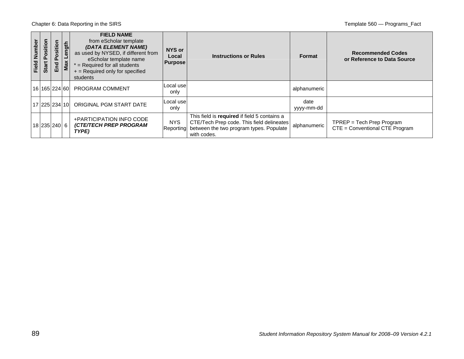Chapter 6: Data Reporting in the SIRS **Template 560** — Programs\_Fact

| Field Number | ã<br>ositi<br>o.<br>Start | ositi<br>௳<br>P<br>ш | gt<br>န<br>Max | <b>FIELD NAME</b><br>from eScholar template<br>(DATA ELEMENT NAME)<br>as used by NYSED, if different from<br>eScholar template name<br>$=$ Required for all students<br>$+$ = Required only for specified<br>students | NYS or<br>Local<br><b>Purpose</b> | <b>Instructions or Rules</b>                                                                                                                        | <b>Format</b>      | <b>Recommended Codes</b><br>or Reference to Data Source     |
|--------------|---------------------------|----------------------|----------------|-----------------------------------------------------------------------------------------------------------------------------------------------------------------------------------------------------------------------|-----------------------------------|-----------------------------------------------------------------------------------------------------------------------------------------------------|--------------------|-------------------------------------------------------------|
|              |                           |                      |                | 16 165 224 60 PROGRAM COMMENT                                                                                                                                                                                         | Local use<br>only                 |                                                                                                                                                     | alphanumeric       |                                                             |
|              |                           |                      |                | 17 225 234 10 ORIGINAL PGM START DATE                                                                                                                                                                                 | Local use<br>only                 |                                                                                                                                                     | date<br>yyyy-mm-dd |                                                             |
|              | 18 235 240 6              |                      |                | +PARTICIPATION INFO CODE<br><b>(CTE/TECH PREP PROGRAM</b><br>TYPE)                                                                                                                                                    | <b>NYS</b><br>Reporting           | This field is required if field 5 contains a<br>CTE/Tech Prep code. This field delineates<br>between the two program types. Populate<br>with codes. | alphanumeric       | TPREP = Tech Prep Program<br>CTE = Conventional CTE Program |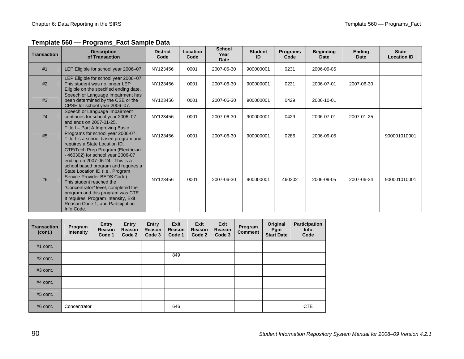### **Template 560 — Programs\_Fact Sample Datamplate Sample Data**

| <b>Transaction</b> | <b>Description</b><br>of Transaction                                                                                                                                                                                                                                                                                                                                                                                    | <b>District</b><br>Code | Location<br>Code | <b>School</b><br>Year<br><b>Date</b> | <b>Student</b><br>ID | <b>Programs</b><br>Code | <b>Beginning</b><br><b>Date</b> | <b>Ending</b><br>Date | <b>State</b><br><b>Location ID</b> |
|--------------------|-------------------------------------------------------------------------------------------------------------------------------------------------------------------------------------------------------------------------------------------------------------------------------------------------------------------------------------------------------------------------------------------------------------------------|-------------------------|------------------|--------------------------------------|----------------------|-------------------------|---------------------------------|-----------------------|------------------------------------|
| #1                 | LEP Eligible for school year 2006-07.                                                                                                                                                                                                                                                                                                                                                                                   | NY123456                | 0001             | 2007-06-30                           | 900000001            | 0231                    | 2006-09-05                      |                       |                                    |
| #2                 | LEP Eligible for school year 2006-07.<br>This student was no longer LEP<br>Eligible on the specified ending date.                                                                                                                                                                                                                                                                                                       | NY123456                | 0001             | 2007-06-30                           | 900000001            | 0231                    | 2006-07-01                      | 2007-06-30            |                                    |
| #3                 | Speech or Language Impairment has<br>been determined by the CSE or the<br>CPSE for school year 2006-07.                                                                                                                                                                                                                                                                                                                 | NY123456                | 0001             | 2007-06-30                           | 900000001            | 0429                    | 2006-10-01                      |                       |                                    |
| #4                 | Speech or Language Impairment<br>continues for school year 2006-07<br>and ends on 2007-01-25.                                                                                                                                                                                                                                                                                                                           | NY123456                | 0001             | 2007-06-30                           | 900000001            | 0429                    | 2006-07-01                      | 2007-01-25            |                                    |
| #5                 | Title I - Part A Improving Basic<br>Programs for school year 2006-07.<br>Title I is a school based program and<br>requires a State Location ID.                                                                                                                                                                                                                                                                         | NY123456                | 0001             | 2007-06-30                           | 900000001            | 0286                    | 2006-09-05                      |                       | 900001010001                       |
| #6                 | CTE/Tech Prep Program (Electrician<br>- 460302) for school year 2006-07<br>ending on 2007-06-24. This is a<br>school based program and requires a<br>State Location ID (i.e., Program<br>Service Provider BEDS Code).<br>This student reached the<br>"Concentrator" level, completed the<br>program and this program was CTE.<br>It requires; Program Intensity, Exit<br>Reason Code 1, and Participation<br>Info Code. | NY123456                | 0001             | 2007-06-30                           | 900000001            | 460302                  | 2006-09-05                      | 2007-06-24            | 900001010001                       |

| <b>Transaction</b><br>(cont.) | Program<br><b>Intensity</b> | Entry<br>Reason<br>Code 1 | Entry<br>Reason<br>Code 2 | <b>Entry</b><br>Reason<br>Code 3 | <b>Exit</b><br>Reason<br>Code 1 | Exit<br>Reason<br>Code 2 | Exit<br>Reason<br>Code 3 | Program<br><b>Comment</b> | Original<br>Pgm<br><b>Start Date</b> | <b>Participation</b><br><b>Info</b><br>Code |
|-------------------------------|-----------------------------|---------------------------|---------------------------|----------------------------------|---------------------------------|--------------------------|--------------------------|---------------------------|--------------------------------------|---------------------------------------------|
| $#1$ cont.                    |                             |                           |                           |                                  |                                 |                          |                          |                           |                                      |                                             |
| $#2$ cont.                    |                             |                           |                           |                                  | 849                             |                          |                          |                           |                                      |                                             |
| $#3$ cont.                    |                             |                           |                           |                                  |                                 |                          |                          |                           |                                      |                                             |
| $#4$ cont.                    |                             |                           |                           |                                  |                                 |                          |                          |                           |                                      |                                             |
| $#5$ cont.                    |                             |                           |                           |                                  |                                 |                          |                          |                           |                                      |                                             |
| $#6$ cont.                    | Concentrator                |                           |                           |                                  | 646                             |                          |                          |                           |                                      | <b>CTE</b>                                  |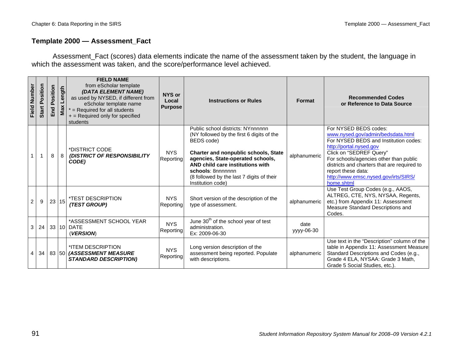#### **Template 2000 — Assessment\_Fact**

Assessment\_Fact (scores) data elements indicate the name of the assessment taken by the student, the language in which the assessment was taken, and the score/performance level achieved.

| <b>Field Number</b> | Position<br>Start | osition<br>۵ī.<br>End | Length<br>Max | <b>FIELD NAME</b><br>from eScholar template<br>(DATA ELEMENT NAME)<br>as used by NYSED, if different from<br>eScholar template name<br>$*$ = Required for all students<br>$+$ = Required only for specified<br>students | NYS or<br>Local<br><b>Purpose</b> | <b>Instructions or Rules</b>                                                                                                                                                                                                                                                                                | Format             | <b>Recommended Codes</b><br>or Reference to Data Source                                                                                                                                                                                                                                                                        |
|---------------------|-------------------|-----------------------|---------------|-------------------------------------------------------------------------------------------------------------------------------------------------------------------------------------------------------------------------|-----------------------------------|-------------------------------------------------------------------------------------------------------------------------------------------------------------------------------------------------------------------------------------------------------------------------------------------------------------|--------------------|--------------------------------------------------------------------------------------------------------------------------------------------------------------------------------------------------------------------------------------------------------------------------------------------------------------------------------|
|                     |                   | 8                     | 8             | *DISTRICT CODE<br>(DISTRICT OF RESPONSIBILITY<br>CODE)                                                                                                                                                                  | <b>NYS</b><br>Reporting           | Public school districts: NYnnnnnn<br>(NY followed by the first 6 digits of the<br>BEDS code)<br><b>Charter and nonpublic schools, State</b><br>agencies, State-operated schools,<br>AND child care institutions with<br>schools: 8nnnnnnn<br>(8 followed by the last 7 digits of their<br>Institution code) | alphanumeric       | For NYSED BEDS codes:<br>www.nysed.gov/admin/bedsdata.html<br>For NYSED BEDS and Institution codes:<br>http://portal.nysed.gov<br>Click on "SEDREF Query"<br>For schools/agencies other than public<br>districts and charters that are required to<br>report these data:<br>http://www.emsc.nysed.gov/irts/SIRS/<br>home.shtml |
| $\overline{c}$      | 9                 | 23 15                 |               | <i><b>*TEST DESCRIPTION</b></i><br>(TEST GROUP)                                                                                                                                                                         | <b>NYS</b><br>Reporting           | Short version of the description of the<br>type of assessment.                                                                                                                                                                                                                                              | alphanumeric       | Use Test Group Codes (e.g., AAOS,<br>ALTREG, CTE, NYS, NYSAA, Regents,<br>etc.) from Appendix 11: Assessment<br>Measure Standard Descriptions and<br>Codes.                                                                                                                                                                    |
| 3                   | 24                |                       |               | *ASSESSMENT SCHOOL YEAR<br>33 10 DATE<br>(VERSION)                                                                                                                                                                      | <b>NYS</b><br>Reporting           | June 30 <sup>th</sup> of the school year of test<br>administration.<br>Ex: 2009-06-30                                                                                                                                                                                                                       | date<br>yyyy-06-30 |                                                                                                                                                                                                                                                                                                                                |
| 4                   | 34                |                       |               | *ITEM DESCRIPTION<br>83 50 (ASSESSMENT MEASURE<br><b>STANDARD DESCRIPTION)</b>                                                                                                                                          | <b>NYS</b><br>Reporting           | Long version description of the<br>assessment being reported. Populate<br>with descriptions.                                                                                                                                                                                                                | alphanumeric       | Use text in the "Description" column of the<br>table in Appendix 11: Assessment Measure<br>Standard Descriptions and Codes (e.g.,<br>Grade 4 ELA, NYSAA: Grade 3 Math,<br>Grade 5 Social Studies, etc.).                                                                                                                       |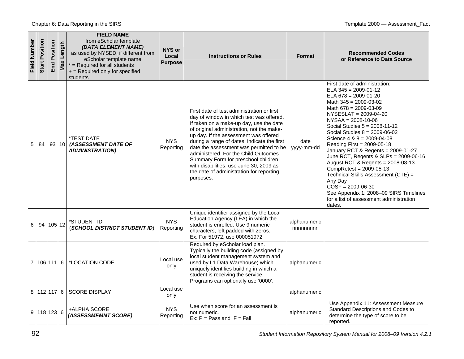| Field Number | Position<br>Start | Position<br>End | Length<br>Max | <b>FIELD NAME</b><br>from eScholar template<br>(DATA ELEMENT NAME)<br>as used by NYSED, if different from<br>eScholar template name<br>$*$ = Required for all students<br>+ = Required only for specified<br>students | <b>NYS or</b><br>Local<br><b>Purpose</b> | <b>Instructions or Rules</b>                                                                                                                                                                                                                                                                                                                                                                                                                                                                         | <b>Format</b>            | <b>Recommended Codes</b><br>or Reference to Data Source                                                                                                                                                                                                                                                                                                                                                                                                                                                                                                                                                                                                           |
|--------------|-------------------|-----------------|---------------|-----------------------------------------------------------------------------------------------------------------------------------------------------------------------------------------------------------------------|------------------------------------------|------------------------------------------------------------------------------------------------------------------------------------------------------------------------------------------------------------------------------------------------------------------------------------------------------------------------------------------------------------------------------------------------------------------------------------------------------------------------------------------------------|--------------------------|-------------------------------------------------------------------------------------------------------------------------------------------------------------------------------------------------------------------------------------------------------------------------------------------------------------------------------------------------------------------------------------------------------------------------------------------------------------------------------------------------------------------------------------------------------------------------------------------------------------------------------------------------------------------|
| 5            | 84                | 93 10           |               | *TEST DATE<br>(ASSESSMENT DATE OF<br><b>ADMINISTRATION)</b>                                                                                                                                                           | <b>NYS</b><br>Reporting                  | First date of test administration or first<br>day of window in which test was offered.<br>If taken on a make-up day, use the date<br>of original administration, not the make-<br>up day. If the assessment was offered<br>during a range of dates, indicate the first<br>date the assessment was permitted to be<br>administered. For the Child Outcomes<br>Summary Form for preschool children<br>with disabilities, use June 30, 2009 as<br>the date of administration for reporting<br>purposes. | date<br>yyyy-mm-dd       | First date of administration:<br>$ELA 345 = 2009-01-12$<br>$ELA 678 = 2009-01-20$<br>Math $345 = 2009 - 03 - 02$<br>Math $678 = 2009 - 03 - 09$<br>NYSESLAT = 2009-04-20<br>$NYSAA = 2008-10-06$<br>Social Studies $5 = 2008-11-12$<br>Social Studies $8 = 2009 -06 -02$<br>Science $4 & 8 = 2009 -04 -08$<br>Reading First = 2009-05-18<br>January RCT & Regents = 2009-01-27<br>June RCT, Regents & SLPs = 2009-06-16<br>August RCT & Regents = 2008-08-13<br>$Completest = 2009-05-13$<br>Technical Skills Assessment (CTE) =<br>Any Day<br>$COSF = 2009-06-30$<br>See Appendix 1: 2008-09 SIRS Timelines<br>for a list of assessment administration<br>dates. |
| 6            |                   | 94 105 12       |               | *STUDENT ID<br>(SCHOOL DISTRICT STUDENT ID)                                                                                                                                                                           | <b>NYS</b><br>Reporting                  | Unique identifier assigned by the Local<br>Education Agency (LEA) in which the<br>student is enrolled. Use 9 numeric<br>characters, left padded with zeros.<br>Ex. For 51972, use 000051972                                                                                                                                                                                                                                                                                                          | alphanumeric<br>nnnnnnnn |                                                                                                                                                                                                                                                                                                                                                                                                                                                                                                                                                                                                                                                                   |
|              | 7 106 111 6       |                 |               | *LOCATION CODE                                                                                                                                                                                                        | Local use<br>only                        | Required by eScholar load plan.<br>Typically the building code (assigned by<br>local student management system and<br>used by L1 Data Warehouse) which<br>uniquely identifies building in which a<br>student is receiving the service.<br>Programs can optionally use '0000'.                                                                                                                                                                                                                        | alphanumeric             |                                                                                                                                                                                                                                                                                                                                                                                                                                                                                                                                                                                                                                                                   |
|              | 8 112 117 6       |                 |               | <b>SCORE DISPLAY</b>                                                                                                                                                                                                  | Local use<br>only                        |                                                                                                                                                                                                                                                                                                                                                                                                                                                                                                      | alphanumeric             |                                                                                                                                                                                                                                                                                                                                                                                                                                                                                                                                                                                                                                                                   |
|              | 9 118 123 6       |                 |               | +ALPHA SCORE<br>(ASSESSMEMNT SCORE)                                                                                                                                                                                   | NYS.<br>Reporting                        | Use when score for an assessment is<br>not numeric.<br>Ex: $P = Pass$ and $F = Fail$                                                                                                                                                                                                                                                                                                                                                                                                                 | alphanumeric             | Use Appendix 11: Assessment Measure<br>Standard Descriptions and Codes to<br>determine the type of score to be<br>reported.                                                                                                                                                                                                                                                                                                                                                                                                                                                                                                                                       |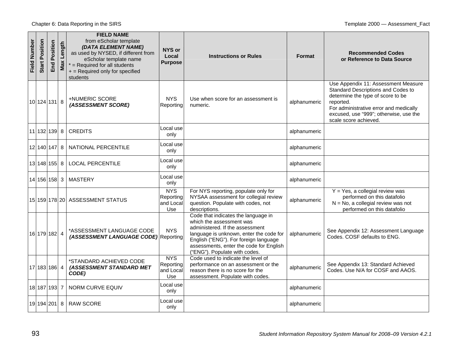| Field Number | <b>Start Position</b> | osition<br>۵Ľ<br>End | Length<br>Max | <b>FIELD NAME</b><br>from eScholar template<br>(DATA ELEMENT NAME)<br>as used by NYSED, if different from<br>eScholar template name<br>$*$ = Required for all students<br>+ = Required only for specified<br>students | NYS or<br>Local<br><b>Purpose</b>           | <b>Instructions or Rules</b>                                                                                                                                                                                                                                       | Format       | <b>Recommended Codes</b><br>or Reference to Data Source                                                                                                                                                                                  |
|--------------|-----------------------|----------------------|---------------|-----------------------------------------------------------------------------------------------------------------------------------------------------------------------------------------------------------------------|---------------------------------------------|--------------------------------------------------------------------------------------------------------------------------------------------------------------------------------------------------------------------------------------------------------------------|--------------|------------------------------------------------------------------------------------------------------------------------------------------------------------------------------------------------------------------------------------------|
|              | 10 124 131 8          |                      |               | +NUMERIC SCORE<br>(ASSESSMENT SCORE)                                                                                                                                                                                  | <b>NYS</b><br>Reporting                     | Use when score for an assessment is<br>numeric.                                                                                                                                                                                                                    | alphanumeric | Use Appendix 11: Assessment Measure<br>Standard Descriptions and Codes to<br>determine the type of score to be<br>reported.<br>For administrative error and medically<br>excused, use "999"; otherwise, use the<br>scale score achieved. |
|              | 11 132 139  8         |                      |               | <b>CREDITS</b>                                                                                                                                                                                                        | Local use<br>only                           |                                                                                                                                                                                                                                                                    | alphanumeric |                                                                                                                                                                                                                                          |
|              | 12 140 147 8          |                      |               | NATIONAL PERCENTILE                                                                                                                                                                                                   | Local use<br>only                           |                                                                                                                                                                                                                                                                    | alphanumeric |                                                                                                                                                                                                                                          |
|              | 13 148 155 8          |                      |               | <b>LOCAL PERCENTILE</b>                                                                                                                                                                                               | Local use<br>only                           |                                                                                                                                                                                                                                                                    | alphanumeric |                                                                                                                                                                                                                                          |
|              | 14 156 158 3          |                      |               | <b>MASTERY</b>                                                                                                                                                                                                        | Local use<br>only                           |                                                                                                                                                                                                                                                                    | alphanumeric |                                                                                                                                                                                                                                          |
|              |                       |                      |               | 15 159 178 20 ASSESSMENT STATUS                                                                                                                                                                                       | <b>NYS</b><br>Reporting<br>and Local<br>Use | For NYS reporting, populate only for<br>NYSAA assessment for collegial review<br>question. Populate with codes, not<br>descriptions.                                                                                                                               | alphanumeric | $Y = Yes$ , a collegial review was<br>performed on this datafolio<br>$N = No$ , a collegial review was not<br>performed on this datafolio                                                                                                |
|              | 16 179 182 4          |                      |               | *ASSESSMENT LANGUAGE CODE<br>(ASSESSMENT LANGUAGE CODE) Reporting                                                                                                                                                     | <b>NYS</b>                                  | Code that indicates the language in<br>which the assessment was<br>administered. If the assessment<br>language is unknown, enter the code for<br>English ("ENG"). For foreign language<br>assessments, enter the code for English<br>("ENG"). Populate with codes. | alphanumeric | See Appendix 12: Assessment Language<br>Codes, COSF defaults to ENG.                                                                                                                                                                     |
|              | 17 183 186 4          |                      |               | *STANDARD ACHIEVED CODE<br>(ASSESSMENT STANDARD MET<br>CODE)                                                                                                                                                          | <b>NYS</b><br>Reporting<br>and Local<br>Use | Code used to indicate the level of<br>performance on an assessment or the<br>reason there is no score for the<br>assessment. Populate with codes.                                                                                                                  | alphanumeric | See Appendix 13: Standard Achieved<br>Codes. Use N/A for COSF and AAOS.                                                                                                                                                                  |
|              | 18 187 193 7          |                      |               | <b>NORM CURVE EQUIV</b>                                                                                                                                                                                               | Local use<br>only                           |                                                                                                                                                                                                                                                                    | alphanumeric |                                                                                                                                                                                                                                          |
|              | 19 194 201 8          |                      |               | <b>RAW SCORE</b>                                                                                                                                                                                                      | Local use<br>only                           |                                                                                                                                                                                                                                                                    | alphanumeric |                                                                                                                                                                                                                                          |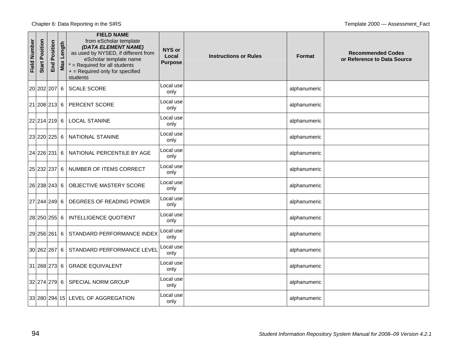| <b>Field Number</b> | <b>Start Position</b> | Position<br>End | Length<br>Max | <b>FIELD NAME</b><br>from eScholar template<br>(DATA ELEMENT NAME)<br>as used by NYSED, if different from<br>eScholar template name<br>$*$ = Required for all students<br>+ = Required only for specified<br>students | <b>NYS or</b><br>Local<br><b>Purpose</b> | <b>Instructions or Rules</b> | <b>Format</b> | <b>Recommended Codes</b><br>or Reference to Data Source |
|---------------------|-----------------------|-----------------|---------------|-----------------------------------------------------------------------------------------------------------------------------------------------------------------------------------------------------------------------|------------------------------------------|------------------------------|---------------|---------------------------------------------------------|
|                     | 20 202 207 6          |                 |               | <b>SCALE SCORE</b>                                                                                                                                                                                                    | Local use<br>only                        |                              | alphanumeric  |                                                         |
|                     | 21 208 213 6          |                 |               | PERCENT SCORE                                                                                                                                                                                                         | Local use<br>only                        |                              | alphanumeric  |                                                         |
|                     | 22 214 219 6          |                 |               | <b>LOCAL STANINE</b>                                                                                                                                                                                                  | Local use<br>only                        |                              | alphanumeric  |                                                         |
|                     | 23 220 225 6          |                 |               | NATIONAL STANINE                                                                                                                                                                                                      | Local use<br>only                        |                              | alphanumeric  |                                                         |
|                     | 24 226 231 6          |                 |               | NATIONAL PERCENTILE BY AGE                                                                                                                                                                                            | Local use<br>only                        |                              | alphanumeric  |                                                         |
|                     | 25 232 237 6          |                 |               | NUMBER OF ITEMS CORRECT                                                                                                                                                                                               | Local use<br>only                        |                              | alphanumeric  |                                                         |
|                     | 26 238 243 6          |                 |               | OBJECTIVE MASTERY SCORE                                                                                                                                                                                               | Local use<br>only                        |                              | alphanumeric  |                                                         |
|                     | 27 244 249 6          |                 |               | DEGREES OF READING POWER                                                                                                                                                                                              | Local use<br>only                        |                              | alphanumeric  |                                                         |
|                     | 28 250 255 6          |                 |               | INTELLIGENCE QUOTIENT                                                                                                                                                                                                 | Local use<br>only                        |                              | alphanumeric  |                                                         |
|                     | 29 256 261            |                 | 6             | STANDARD PERFORMANCE INDEX                                                                                                                                                                                            | Local use<br>only                        |                              | alphanumeric  |                                                         |
|                     | 30 262 267 6          |                 |               | STANDARD PERFORMANCE LEVEL                                                                                                                                                                                            | Local use<br>only                        |                              | alphanumeric  |                                                         |
|                     | 31 268 273 6          |                 |               | <b>GRADE EQUIVALENT</b>                                                                                                                                                                                               | Local use<br>only                        |                              | alphanumeric  |                                                         |
|                     | 32 274 279 6          |                 |               | <b>SPECIAL NORM GROUP</b>                                                                                                                                                                                             | Local use<br>only                        |                              | alphanumeric  |                                                         |
|                     |                       |                 |               | 33 280 294 15 LEVEL OF AGGREGATION                                                                                                                                                                                    | Local use<br>only                        |                              | alphanumeric  |                                                         |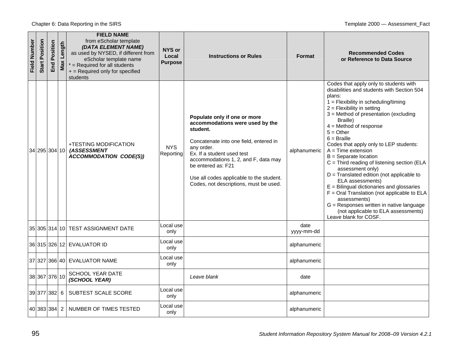| Field Number | <b>Start Position</b> | osition<br>Ñ.<br>End | Length<br>Max | <b>FIELD NAME</b><br>from eScholar template<br>(DATA ELEMENT NAME)<br>as used by NYSED, if different from<br>eScholar template name<br>$*$ = Required for all students<br>+ = Required only for specified<br>students | NYS or<br>Local<br><b>Purpose</b> | <b>Instructions or Rules</b>                                                                                                                                                                                                                                                                                          | <b>Format</b>      | <b>Recommended Codes</b><br>or Reference to Data Source                                                                                                                                                                                                                                                                                                                                                                                                                                                                                                                                                                                                                                                                                                    |
|--------------|-----------------------|----------------------|---------------|-----------------------------------------------------------------------------------------------------------------------------------------------------------------------------------------------------------------------|-----------------------------------|-----------------------------------------------------------------------------------------------------------------------------------------------------------------------------------------------------------------------------------------------------------------------------------------------------------------------|--------------------|------------------------------------------------------------------------------------------------------------------------------------------------------------------------------------------------------------------------------------------------------------------------------------------------------------------------------------------------------------------------------------------------------------------------------------------------------------------------------------------------------------------------------------------------------------------------------------------------------------------------------------------------------------------------------------------------------------------------------------------------------------|
|              | 34 295 304 10         |                      |               | +TESTING MODIFICATION<br>(ASSESSMENT<br><b>ACCOMMODATION CODE(S))</b>                                                                                                                                                 | <b>NYS</b><br>Reporting           | Populate only if one or more<br>accommodations were used by the<br>student.<br>Concatenate into one field, entered in<br>any order.<br>Ex. If a student used test<br>accommodations 1, 2, and F, data may<br>be entered as: F21<br>Use all codes applicable to the student.<br>Codes, not descriptions, must be used. | alphanumeric       | Codes that apply only to students with<br>disabilities and students with Section 504<br>plans:<br>$1 =$ Flexibility in scheduling/timing<br>$2 =$ Flexibility in setting<br>3 = Method of presentation (excluding<br>Braille)<br>$4 =$ Method of response<br>$5 = Other$<br>$6 = Braille$<br>Codes that apply only to LEP students:<br>$A = Time extension$<br>$B =$ Separate location<br>$C =$ Third reading of listening section (ELA<br>assessment only)<br>$D =$ Translated edition (not applicable to<br>ELA assessments)<br>$E =$ Bilingual dictionaries and glossaries<br>$F =$ Oral Translation (not applicable to ELA<br>assessments)<br>G = Responses written in native language<br>(not applicable to ELA assessments)<br>Leave blank for COSF. |
|              |                       |                      |               | 35 305 314 10 TEST ASSIGNMENT DATE                                                                                                                                                                                    | Local use<br>only                 |                                                                                                                                                                                                                                                                                                                       | date<br>yyyy-mm-dd |                                                                                                                                                                                                                                                                                                                                                                                                                                                                                                                                                                                                                                                                                                                                                            |
|              |                       |                      |               | 36 315 326 12 EVALUATOR ID                                                                                                                                                                                            | Local use<br>only                 |                                                                                                                                                                                                                                                                                                                       | alphanumeric       |                                                                                                                                                                                                                                                                                                                                                                                                                                                                                                                                                                                                                                                                                                                                                            |
|              |                       |                      |               | 37 327 366 40 EVALUATOR NAME                                                                                                                                                                                          | Local use<br>only                 |                                                                                                                                                                                                                                                                                                                       | alphanumeric       |                                                                                                                                                                                                                                                                                                                                                                                                                                                                                                                                                                                                                                                                                                                                                            |
|              | 38 367 376 10         |                      |               | <b>SCHOOL YEAR DATE</b><br>(SCHOOL YEAR)                                                                                                                                                                              |                                   | Leave blank                                                                                                                                                                                                                                                                                                           | date               |                                                                                                                                                                                                                                                                                                                                                                                                                                                                                                                                                                                                                                                                                                                                                            |
|              | 39 377 382 6          |                      |               | SUBTEST SCALE SCORE                                                                                                                                                                                                   | Local use<br>only                 |                                                                                                                                                                                                                                                                                                                       | alphanumeric       |                                                                                                                                                                                                                                                                                                                                                                                                                                                                                                                                                                                                                                                                                                                                                            |
|              | 40 383 384 2          |                      |               | NUMBER OF TIMES TESTED                                                                                                                                                                                                | _ocal use<br>only                 |                                                                                                                                                                                                                                                                                                                       | alphanumeric       |                                                                                                                                                                                                                                                                                                                                                                                                                                                                                                                                                                                                                                                                                                                                                            |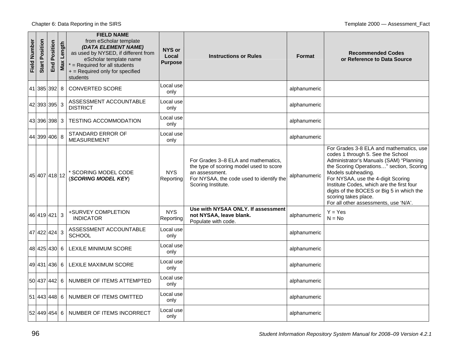| Field Number | Position<br>Start | Position<br>End | Length<br>Max | <b>FIELD NAME</b><br>from eScholar template<br>(DATA ELEMENT NAME)<br>as used by NYSED, if different from<br>eScholar template name<br>$*$ = Required for all students<br>+ = Required only for specified<br>students | NYS or<br>Local<br><b>Purpose</b> | <b>Instructions or Rules</b>                                                                                                                                       | <b>Format</b> | <b>Recommended Codes</b><br>or Reference to Data Source                                                                                                                                                                                                                                                                                                                                    |
|--------------|-------------------|-----------------|---------------|-----------------------------------------------------------------------------------------------------------------------------------------------------------------------------------------------------------------------|-----------------------------------|--------------------------------------------------------------------------------------------------------------------------------------------------------------------|---------------|--------------------------------------------------------------------------------------------------------------------------------------------------------------------------------------------------------------------------------------------------------------------------------------------------------------------------------------------------------------------------------------------|
|              |                   | 41 385 392 8    |               | <b>CONVERTED SCORE</b>                                                                                                                                                                                                | Local use<br>only                 |                                                                                                                                                                    | alphanumeric  |                                                                                                                                                                                                                                                                                                                                                                                            |
|              |                   | 42 393 395 3    |               | ASSESSMENT ACCOUNTABLE<br><b>DISTRICT</b>                                                                                                                                                                             | Local use<br>only                 |                                                                                                                                                                    | alphanumeric  |                                                                                                                                                                                                                                                                                                                                                                                            |
|              |                   | 43 396 398 3    |               | <b>TESTING ACCOMMODATION</b>                                                                                                                                                                                          | Local use<br>only                 |                                                                                                                                                                    | alphanumeric  |                                                                                                                                                                                                                                                                                                                                                                                            |
|              |                   | 44 399 406 8    |               | STANDARD ERROR OF<br><b>MEASUREMENT</b>                                                                                                                                                                               | Local use<br>only                 |                                                                                                                                                                    | alphanumeric  |                                                                                                                                                                                                                                                                                                                                                                                            |
|              |                   | 45 407 418 12   |               | * SCORING MODEL CODE<br>(SCORING MODEL KEY)                                                                                                                                                                           | <b>NYS</b><br>Reporting           | For Grades 3–8 ELA and mathematics,<br>the type of scoring model used to score<br>an assessment.<br>For NYSAA, the code used to identify the<br>Scoring Institute. | alphanumeric  | For Grades 3-8 ELA and mathematics, use<br>codes 1 through 5. See the School<br>Administrator's Manuals (SAM) "Planning<br>the Scoring Operations" section, Scoring<br>Models subheading.<br>For NYSAA, use the 4-digit Scoring<br>Institute Codes, which are the first four<br>digits of the BOCES or Big 5 in which the<br>scoring takes place.<br>For all other assessments, use 'N/A'. |
|              |                   | 46 419 421 3    |               | +SURVEY COMPLETION<br><b>INDICATOR</b>                                                                                                                                                                                | <b>NYS</b><br>Reporting           | Use with NYSAA ONLY. If assessment<br>not NYSAA, leave blank.<br>Populate with code.                                                                               | alphanumeric  | Y = Yes<br>$N = No$                                                                                                                                                                                                                                                                                                                                                                        |
|              |                   | 47 422 424 3    |               | ASSESSMENT ACCOUNTABLE<br><b>SCHOOL</b>                                                                                                                                                                               | Local use<br>only                 |                                                                                                                                                                    | alphanumeric  |                                                                                                                                                                                                                                                                                                                                                                                            |
|              |                   | 48 425 430 6    |               | <b>LEXILE MINIMUM SCORE</b>                                                                                                                                                                                           | Local use<br>only                 |                                                                                                                                                                    | alphanumeric  |                                                                                                                                                                                                                                                                                                                                                                                            |
|              |                   | 49 431 436 6    |               | LEXILE MAXIMUM SCORE                                                                                                                                                                                                  | Local use<br>only                 |                                                                                                                                                                    | alphanumeric  |                                                                                                                                                                                                                                                                                                                                                                                            |
|              |                   | 50 437 442 6    |               | NUMBER OF ITEMS ATTEMPTED                                                                                                                                                                                             | Local use<br>only                 |                                                                                                                                                                    | alphanumeric  |                                                                                                                                                                                                                                                                                                                                                                                            |
|              |                   | 51 443 448 6    |               | NUMBER OF ITEMS OMITTED                                                                                                                                                                                               | _ocal use<br>only                 |                                                                                                                                                                    | alphanumeric  |                                                                                                                                                                                                                                                                                                                                                                                            |
|              |                   | 52 449 454 6    |               | NUMBER OF ITEMS INCORRECT                                                                                                                                                                                             | Local use<br>only                 |                                                                                                                                                                    | alphanumeric  |                                                                                                                                                                                                                                                                                                                                                                                            |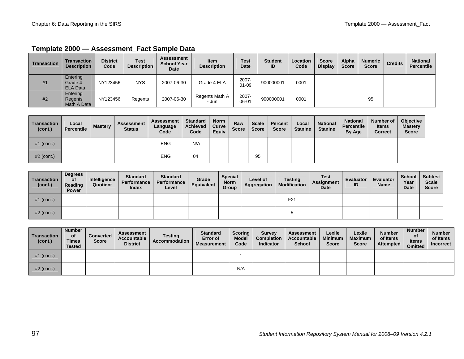| Transaction | <b>Transaction</b><br><b>Description</b> | <b>District</b><br>Code | Test<br><b>Description</b> | <b>Assessment</b><br><b>School Year</b><br><b>Date</b> | <b>Item</b><br><b>Description</b> | <b>Test</b><br><b>Date</b> | <b>Student</b><br>ID | <b>Location</b><br>Code | <b>Score</b><br><b>Display</b> | Alpha<br><b>Score</b> | <b>Numeric</b><br><b>Score</b> | <b>Credits</b> | <b>National</b><br>Percentile |
|-------------|------------------------------------------|-------------------------|----------------------------|--------------------------------------------------------|-----------------------------------|----------------------------|----------------------|-------------------------|--------------------------------|-----------------------|--------------------------------|----------------|-------------------------------|
| #1          | Entering<br>Grade 4<br><b>ELA Data</b>   | NY123456                | <b>NYS</b>                 | 2007-06-30                                             | Grade 4 ELA                       | 2007-<br>$01 - 09$         | 900000001            | 0001                    |                                |                       |                                |                |                               |
| #2          | Entering<br>Regents<br>Math A Data       | NY123456                | Regents                    | 2007-06-30                                             | Regents Math A<br>- Jun           | 2007-<br>06-01             | 900000001            | 0001                    |                                |                       | 95                             |                |                               |

#### Template 2000 - Assessment Fact Sample Data

| <b>Transaction</b><br>(cont.) | Local<br>Percentile | <b>Mastery</b> | <b>Assessment</b><br><b>Status</b> | <b>Assessment</b><br>Language<br>Code | <b>Standard</b><br><b>Achieved</b><br>Code | <b>Norm</b><br>Curve<br>Equiv | Raw<br><b>Score</b> | <b>Scale</b><br><b>Score</b> | Percent<br><b>Score</b> | Local<br><b>Stanine</b> | <b>National</b><br><b>Stanine</b> | <b>National</b><br><b>Percentile</b><br>By Age | Number of<br><b>Items</b><br><b>Correct</b> | <b>Objective</b><br><b>Mastery</b><br><b>Score</b> |
|-------------------------------|---------------------|----------------|------------------------------------|---------------------------------------|--------------------------------------------|-------------------------------|---------------------|------------------------------|-------------------------|-------------------------|-----------------------------------|------------------------------------------------|---------------------------------------------|----------------------------------------------------|
| $#1$ (cont.)                  |                     |                |                                    | <b>ENG</b>                            | N/A                                        |                               |                     |                              |                         |                         |                                   |                                                |                                             |                                                    |
| $#2$ (cont.)                  |                     |                |                                    | <b>ENG</b>                            | 04                                         |                               |                     | 95                           |                         |                         |                                   |                                                |                                             |                                                    |

| Transaction<br>(cont.) | <b>Degrees</b><br>οf<br>Reading<br><b>Power</b> | Intelligence<br>Quotient | <b>Standard</b><br>Performance<br>Index | <b>Standard</b><br>Performance<br>Level | Grade<br>Equivalent | <b>Special</b><br><b>Norm</b><br>Group | Level of<br>Aggregation | Testing<br><b>Modification</b> | <b>Test</b><br><b>Assignment</b><br>Date | <b>Evaluator</b><br>ID | <b>Evaluator</b><br><b>Name</b> | <b>School</b><br>Year<br><b>Date</b> | <b>Subtest</b><br><b>Scale</b><br><b>Score</b> |
|------------------------|-------------------------------------------------|--------------------------|-----------------------------------------|-----------------------------------------|---------------------|----------------------------------------|-------------------------|--------------------------------|------------------------------------------|------------------------|---------------------------------|--------------------------------------|------------------------------------------------|
| $#1$ (cont.)           |                                                 |                          |                                         |                                         |                     |                                        |                         | F <sub>21</sub>                |                                          |                        |                                 |                                      |                                                |
| $#2$ (cont.)           |                                                 |                          |                                         |                                         |                     |                                        |                         |                                |                                          |                        |                                 |                                      |                                                |

| <b>Transaction</b><br>(cont.) | <b>Number</b><br>οf<br><b>Times</b><br><b>Tested</b> | <b>Converted</b><br><b>Score</b> | Assessment<br>Accountable<br><b>District</b> | <b>Testing</b><br>Accommodation | <b>Standard</b><br>Error of<br><b>Measurement</b> | <b>Scoring</b><br><b>Model</b><br>Code | <b>Survey</b><br><b>Completion</b><br><b>Indicator</b> | <b>Assessment</b><br>Accountable<br><b>School</b> | Lexile<br><b>Minimum</b><br>Score | Lexile<br><b>Maximum</b><br><b>Score</b> | <b>Number</b><br>of Items<br>Attempted | <b>Number</b><br>οf<br><b>Items</b><br><b>Omitted</b> | <b>Number</b><br>of Items<br><b>Incorrect</b> |
|-------------------------------|------------------------------------------------------|----------------------------------|----------------------------------------------|---------------------------------|---------------------------------------------------|----------------------------------------|--------------------------------------------------------|---------------------------------------------------|-----------------------------------|------------------------------------------|----------------------------------------|-------------------------------------------------------|-----------------------------------------------|
| $#1$ (cont.)                  |                                                      |                                  |                                              |                                 |                                                   |                                        |                                                        |                                                   |                                   |                                          |                                        |                                                       |                                               |
| $#2$ (cont.)                  |                                                      |                                  |                                              |                                 |                                                   | N/A                                    |                                                        |                                                   |                                   |                                          |                                        |                                                       |                                               |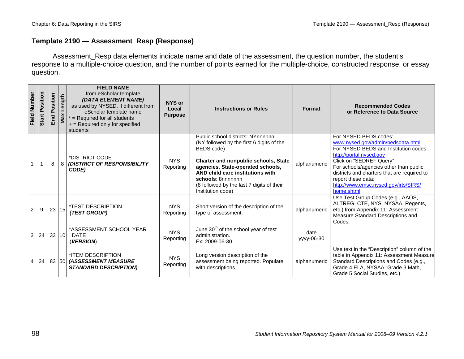### **Template 2190 — Assessment\_Resp (Response)**

Assessment\_Resp data elements indicate name and date of the assessment, the question number, the student's response to a multiple-choice question, and the number of points earned for the multiple-choice, constructed response, or essay question.

| Field Number | <b>Start Position</b> | Position<br>End | Length<br>Max | <b>FIELD NAME</b><br>from eScholar template<br>(DATA ELEMENT NAME)<br>as used by NYSED, if different from<br>eScholar template name<br>$*$ = Required for all students<br>$+$ = Required only for specified<br>students | NYS or<br>Local<br><b>Purpose</b> | <b>Instructions or Rules</b>                                                                                                                                                                                                                                                                         | <b>Format</b>      | <b>Recommended Codes</b><br>or Reference to Data Source                                                                                                                                                                                                                                                                        |
|--------------|-----------------------|-----------------|---------------|-------------------------------------------------------------------------------------------------------------------------------------------------------------------------------------------------------------------------|-----------------------------------|------------------------------------------------------------------------------------------------------------------------------------------------------------------------------------------------------------------------------------------------------------------------------------------------------|--------------------|--------------------------------------------------------------------------------------------------------------------------------------------------------------------------------------------------------------------------------------------------------------------------------------------------------------------------------|
|              |                       | 8               | 8             | *DISTRICT CODE<br><b>(DISTRICT OF RESPONSIBILITY</b><br>CODE)                                                                                                                                                           | <b>NYS</b><br>Reporting           | Public school districts: NYnnnnnn<br>(NY followed by the first 6 digits of the<br>BEDS code)<br>Charter and nonpublic schools, State<br>agencies, State-operated schools,<br>AND child care institutions with<br>schools: 8nnnnnnn<br>(8 followed by the last 7 digits of their<br>Institution code) | alphanumeric       | For NYSED BEDS codes:<br>www.nysed.gov/admin/bedsdata.html<br>For NYSED BEDS and Institution codes:<br>http://portal.nysed.gov<br>Click on "SEDREF Query"<br>For schools/agencies other than public<br>districts and charters that are required to<br>report these data:<br>http://www.emsc.nysed.gov/irts/SIRS/<br>home.shtml |
| 2            | 9                     | 23              | 15            | <i><b>*TEST DESCRIPTION</b></i><br>(TEST GROUP)                                                                                                                                                                         | <b>NYS</b><br>Reporting           | Short version of the description of the<br>type of assessment.                                                                                                                                                                                                                                       | alphanumeric       | Use Test Group Codes (e.g., AAOS,<br>ALTREG, CTE, NYS, NYSAA, Regents,<br>etc.) from Appendix 11: Assessment<br>Measure Standard Descriptions and<br>Codes.                                                                                                                                                                    |
| 3            | 24                    | 33 10           |               | *ASSESSMENT SCHOOL YEAR<br><b>DATE</b><br>(VERSION)                                                                                                                                                                     | <b>NYS</b><br>Reporting           | June 30 <sup>th</sup> of the school year of test<br>administration.<br>Ex: 2009-06-30                                                                                                                                                                                                                | date<br>yyyy-06-30 |                                                                                                                                                                                                                                                                                                                                |
| 4            | 34                    |                 |               | *ITEM DESCRIPTION<br>83 50 (ASSESSMENT MEASURE<br><b>STANDARD DESCRIPTION)</b>                                                                                                                                          | <b>NYS</b><br>Reporting           | Long version description of the<br>assessment being reported. Populate<br>with descriptions.                                                                                                                                                                                                         | alphanumeric       | Use text in the "Description" column of the<br>table in Appendix 11: Assessment Measure<br>Standard Descriptions and Codes (e.g.,<br>Grade 4 ELA, NYSAA: Grade 3 Math,<br>Grade 5 Social Studies, etc.).                                                                                                                       |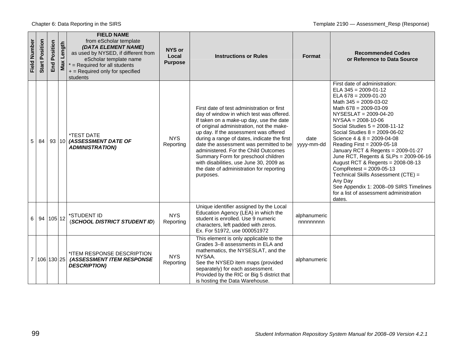| Field Number | Position<br><b>Start</b> | Position<br>End | Length<br>Max | <b>FIELD NAME</b><br>from eScholar template<br>(DATA ELEMENT NAME)<br>as used by NYSED, if different from<br>eScholar template name<br>$*$ = Required for all students<br>+ = Required only for specified<br>students | <b>NYS or</b><br>Local<br><b>Purpose</b> | <b>Instructions or Rules</b>                                                                                                                                                                                                                                                                                                                                                                                                                                                                         | Format                   | <b>Recommended Codes</b><br>or Reference to Data Source                                                                                                                                                                                                                                                                                                                                                                                                                                                                                                                                                                                          |
|--------------|--------------------------|-----------------|---------------|-----------------------------------------------------------------------------------------------------------------------------------------------------------------------------------------------------------------------|------------------------------------------|------------------------------------------------------------------------------------------------------------------------------------------------------------------------------------------------------------------------------------------------------------------------------------------------------------------------------------------------------------------------------------------------------------------------------------------------------------------------------------------------------|--------------------------|--------------------------------------------------------------------------------------------------------------------------------------------------------------------------------------------------------------------------------------------------------------------------------------------------------------------------------------------------------------------------------------------------------------------------------------------------------------------------------------------------------------------------------------------------------------------------------------------------------------------------------------------------|
| 5            | 84                       |                 |               | <i><b>*TEST DATE</b></i><br>93 10 (ASSESSMENT DATE OF<br><b>ADMINISTRATION)</b>                                                                                                                                       | <b>NYS</b><br>Reporting                  | First date of test administration or first<br>day of window in which test was offered.<br>If taken on a make-up day, use the date<br>of original administration, not the make-<br>up day. If the assessment was offered<br>during a range of dates, indicate the first<br>date the assessment was permitted to be<br>administered. For the Child Outcomes<br>Summary Form for preschool children<br>with disabilities, use June 30, 2009 as<br>the date of administration for reporting<br>purposes. | date<br>yyyy-mm-dd       | First date of administration:<br>ELA $345 = 2009 - 01 - 12$<br>ELA $678 = 2009 - 01 - 20$<br>Math $345 = 2009 - 03 - 02$<br>Math $678 = 2009 - 03 - 09$<br>NYSESLAT = 2009-04-20<br>$NYSAA = 2008-10-06$<br>Social Studies $5 = 2008-11-12$<br>Social Studies $8 = 2009-06-02$<br>Science $4 & 8 = 2009 -04 -08$<br>Reading First = 2009-05-18<br>January RCT & Regents = 2009-01-27<br>June RCT, Regents & SLPs = 2009-06-16<br>August RCT & Regents = 2008-08-13<br>$CompRetest = 2009-05-13$<br>Technical Skills Assessment (CTE) =<br>Any Day<br>See Appendix 1: 2008-09 SIRS Timelines<br>for a list of assessment administration<br>dates. |
| 6            |                          | 94 105 12       |               | *STUDENT ID<br>(SCHOOL DISTRICT STUDENT ID)                                                                                                                                                                           | <b>NYS</b><br>Reporting                  | Unique identifier assigned by the Local<br>Education Agency (LEA) in which the<br>student is enrolled. Use 9 numeric<br>characters, left padded with zeros.<br>Ex. For 51972, use 000051972                                                                                                                                                                                                                                                                                                          | alphanumeric<br>nnnnnnnn |                                                                                                                                                                                                                                                                                                                                                                                                                                                                                                                                                                                                                                                  |
|              |                          | 7 106 130 25    |               | *ITEM RESPONSE DESCRIPTION<br>(ASSESSMENT ITEM RESPONSE<br><b>DESCRIPTION)</b>                                                                                                                                        | <b>NYS</b><br>Reporting                  | This element is only applicable to the<br>Grades 3-8 assessments in ELA and<br>mathematics, the NYSESLAT, and the<br>NYSAA.<br>See the NYSED item maps (provided<br>separately) for each assessment.<br>Provided by the RIC or Big 5 district that<br>is hosting the Data Warehouse.                                                                                                                                                                                                                 | alphanumeric             |                                                                                                                                                                                                                                                                                                                                                                                                                                                                                                                                                                                                                                                  |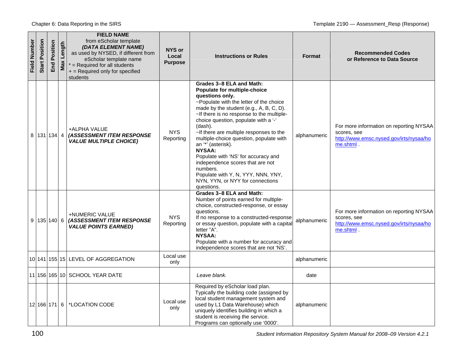| Field Number | Position<br>Start | Position<br>End | Length<br>Max | <b>FIELD NAME</b><br>from eScholar template<br>(DATA ELEMENT NAME)<br>as used by NYSED, if different from<br>eScholar template name<br>$*$ = Required for all students<br>+ = Required only for specified<br>students | NYS or<br>Local<br><b>Purpose</b> | <b>Instructions or Rules</b>                                                                                                                                                                                                                                                                                                                                                                                                                                                                                                                                                 | <b>Format</b> | <b>Recommended Codes</b><br>or Reference to Data Source                                                        |
|--------------|-------------------|-----------------|---------------|-----------------------------------------------------------------------------------------------------------------------------------------------------------------------------------------------------------------------|-----------------------------------|------------------------------------------------------------------------------------------------------------------------------------------------------------------------------------------------------------------------------------------------------------------------------------------------------------------------------------------------------------------------------------------------------------------------------------------------------------------------------------------------------------------------------------------------------------------------------|---------------|----------------------------------------------------------------------------------------------------------------|
| 8            |                   | $131$ 134 4     |               | +ALPHA VALUE<br>(ASSESSMENT ITEM RESPONSE<br><b>VALUE MULTIPLE CHOICE)</b>                                                                                                                                            | NYS.<br>Reporting                 | Grades 3-8 ELA and Math:<br>Populate for multiple-choice<br>questions only.<br>~Populate with the letter of the choice<br>made by the student (e.g., A, B, C, D).<br>~If there is no response to the multiple-<br>choice question, populate with a '-'<br>(dash).<br>~If there are multiple responses to the<br>multiple-choice question, populate with<br>an "" (asterisk).<br><b>NYSAA:</b><br>Populate with 'NS' for accuracy and<br>independence scores that are not<br>numbers.<br>Populate with Y, N, YYY, NNN, YNY,<br>NYN, YYN, or NYY for connections<br>questions. | alphanumeric  | For more information on reporting NYSAA<br>scores, see<br>http://www.emsc.nysed.gov/irts/nysaa/ho<br>me.shtml. |
| 9            |                   | $135$ 140 6     |               | +NUMERIC VALUE<br><b>(ASSESSMENT ITEM RESPONSE</b><br><b>VALUE POINTS EARNED)</b>                                                                                                                                     | <b>NYS</b><br>Reporting           | Grades 3-8 ELA and Math:<br>Number of points earned for multiple-<br>choice, constructed-response, or essay<br>questions.<br>If no response to a constructed-response<br>or essay question, populate with a capital<br>letter "A".<br><b>NYSAA:</b><br>Populate with a number for accuracy and<br>independence scores that are not 'NS'.                                                                                                                                                                                                                                     | alphanumeric  | For more information on reporting NYSAA<br>scores, see<br>http://www.emsc.nysed.gov/irts/nysaa/ho<br>me.shtml. |
|              |                   |                 |               | 10 141 155 15 LEVEL OF AGGREGATION                                                                                                                                                                                    | Local use<br>only                 |                                                                                                                                                                                                                                                                                                                                                                                                                                                                                                                                                                              | alphanumeric  |                                                                                                                |
|              |                   |                 |               | 11 156 165 10 SCHOOL YEAR DATE                                                                                                                                                                                        |                                   | Leave blank.                                                                                                                                                                                                                                                                                                                                                                                                                                                                                                                                                                 | date          |                                                                                                                |
|              |                   |                 |               | 12 166 171 6   *LOCATION CODE                                                                                                                                                                                         | Local use<br>only                 | Required by eScholar load plan.<br>Typically the building code (assigned by<br>local student management system and<br>used by L1 Data Warehouse) which<br>uniquely identifies building in which a<br>student is receiving the service.<br>Programs can optionally use '0000'.                                                                                                                                                                                                                                                                                                | alphanumeric  |                                                                                                                |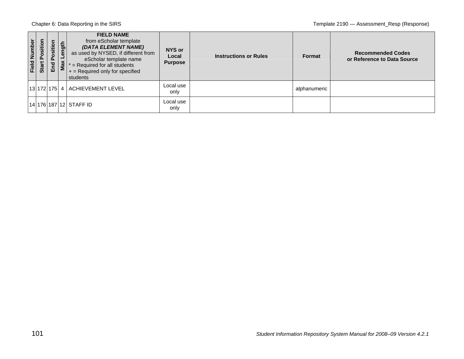| Field Number | ositi<br>p.<br>Start | sition<br>$\circ$<br>$\mathbf{a}$<br>End | ength<br>Max | <b>FIELD NAME</b><br>from eScholar template<br>(DATA ELEMENT NAME)<br>as used by NYSED, if different from<br>eScholar template name<br>$=$ Required for all students<br>$+$ = Required only for specified<br>students | NYS or<br>Local<br><b>Purpose</b> | <b>Instructions or Rules</b> | Format       | <b>Recommended Codes</b><br>or Reference to Data Source |
|--------------|----------------------|------------------------------------------|--------------|-----------------------------------------------------------------------------------------------------------------------------------------------------------------------------------------------------------------------|-----------------------------------|------------------------------|--------------|---------------------------------------------------------|
|              |                      |                                          |              | 13  172  175  4   ACHIEVEMENT LEVEL                                                                                                                                                                                   | Local use<br>only                 |                              | alphanumeric |                                                         |
|              |                      |                                          |              | 14 176 187 12 STAFF ID                                                                                                                                                                                                | Local use<br>only                 |                              |              |                                                         |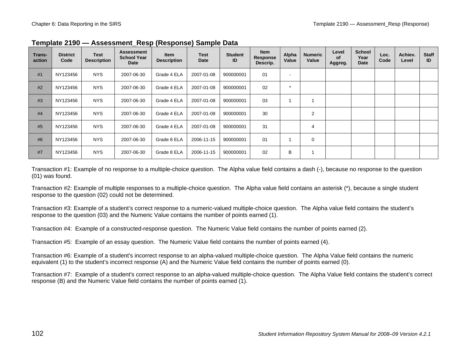| Trans-<br>action | <b>District</b><br>Code | <b>Test</b><br><b>Description</b> | <b>Assessment</b><br><b>School Year</b><br>Date | <b>Item</b><br><b>Description</b> | <b>Test</b><br>Date | <b>Student</b><br>ID | <b>Item</b><br>Response<br>Descrip. | Alpha<br>Value           | <b>Numeric</b><br>Value | Level<br><b>of</b><br>Aggreg. | <b>School</b><br>Year<br><b>Date</b> | Loc.<br>Code | Achiev.<br>Level | <b>Staff</b><br>ID |
|------------------|-------------------------|-----------------------------------|-------------------------------------------------|-----------------------------------|---------------------|----------------------|-------------------------------------|--------------------------|-------------------------|-------------------------------|--------------------------------------|--------------|------------------|--------------------|
| #1               | NY123456                | <b>NYS</b>                        | 2007-06-30                                      | Grade 4 ELA                       | 2007-01-08          | 900000001            | 01                                  | $\overline{\phantom{a}}$ |                         |                               |                                      |              |                  |                    |
| #2               | NY123456                | <b>NYS</b>                        | 2007-06-30                                      | Grade 4 ELA                       | 2007-01-08          | 900000001            | 02                                  | $\star$                  |                         |                               |                                      |              |                  |                    |
| #3               | NY123456                | <b>NYS</b>                        | 2007-06-30                                      | Grade 4 ELA                       | 2007-01-08          | 900000001            | 03                                  |                          |                         |                               |                                      |              |                  |                    |
| #4               | NY123456                | <b>NYS</b>                        | 2007-06-30                                      | Grade 4 ELA                       | 2007-01-08          | 900000001            | 30                                  |                          | 2                       |                               |                                      |              |                  |                    |
| #5               | NY123456                | <b>NYS</b>                        | 2007-06-30                                      | Grade 4 ELA                       | 2007-01-08          | 900000001            | 31                                  |                          | 4                       |                               |                                      |              |                  |                    |
| #6               | NY123456                | <b>NYS</b>                        | 2007-06-30                                      | Grade 8 ELA                       | 2006-11-15          | 900000001            | 01                                  |                          | 0                       |                               |                                      |              |                  |                    |
| #7               | NY123456                | <b>NYS</b>                        | 2007-06-30                                      | Grade 8 ELA                       | 2006-11-15          | 900000001            | 02                                  | B                        |                         |                               |                                      |              |                  |                    |

**Template 2190 — Assessment Resp (Response) Sample Data** 

Transaction #1: Example of no response to a multiple-choice question. The Alpha value field contains a dash (-), because no response to the question (01) was found.

Transaction #2: Example of multiple responses to a multiple-choice question. The Alpha value field contains an asterisk (\*), because a single student response to the question (02) could not be determined.

Transaction #3: Example of a student's correct response to a numeric-valued multiple-choice question. The Alpha value field contains the student's response to the question (03) and the Numeric Value contains the number of points earned (1).

Transaction #4: Example of a constructed-response question. The Numeric Value field contains the number of points earned (2).

Transaction #5: Example of an essay question. The Numeric Value field contains the number of points earned (4).

Transaction #6: Example of a student's incorrect response to an alpha-valued multiple-choice question. The Alpha Value field contains the numeric equivalent (1) to the student's incorrect response (A) and the Numeric Value field contains the number of points earned (0).

Transaction #7: Example of a student's correct response to an alpha-valued multiple-choice question. The Alpha Value field contains the student's correct response (B) and the Numeric Value field contains the number of points earned (1).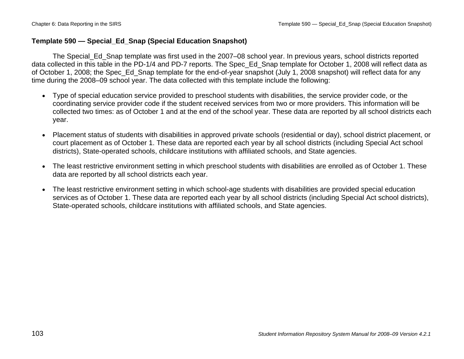## **Template 590 — Special\_Ed\_Snap (Special Education Snapshot)**

The Special Ed Snap template was first used in the 2007–08 school year. In previous years, school districts reported data collected in this table in the PD-1/4 and PD-7 reports. The Spec\_Ed\_Snap template for October 1, 2008 will reflect data as of October 1, 2008; the Spec\_Ed\_Snap template for the end-of-year snapshot (July 1, 2008 snapshot) will reflect data for any time during the 2008–09 school year. The data collected with this template include the following:

- Type of special education service provided to preschool students with disabilities, the service provider code, or the coordinating service provider code if the student received services from two or more providers. This information will be collected two times: as of October 1 and at the end of the school year. These data are reported by all school districts each year.
- Placement status of students with disabilities in approved private schools (residential or day), school district placement, or court placement as of October 1. These data are reported each year by all school districts (including Special Act school districts), State-operated schools, childcare institutions with affiliated schools, and State agencies.
- The least restrictive environment setting in which preschool students with disabilities are enrolled as of October 1. These data are reported by all school districts each year.
- The least restrictive environment setting in which school-age students with disabilities are provided special education services as of October 1. These data are reported each year by all school districts (including Special Act school districts), State-operated schools, childcare institutions with affiliated schools, and State agencies.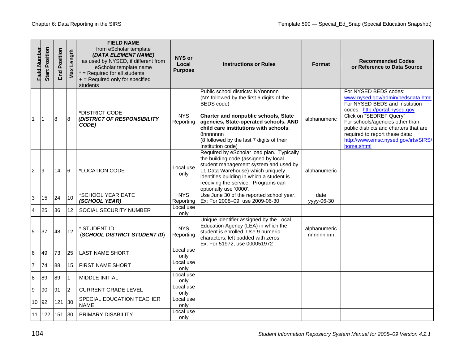|                | <b>Start Position</b><br>Field Number | Position<br>End | Length<br>Max  | <b>FIELD NAME</b><br>from eScholar template<br>(DATA ELEMENT NAME)<br>as used by NYSED, if different from<br>eScholar template name<br>$*$ = Required for all students<br>+ = Required only for specified<br>students | <b>NYS or</b><br>Local<br><b>Purpose</b> | <b>Instructions or Rules</b>                                                                                                                                                                                                                                                                         | <b>Format</b>            | <b>Recommended Codes</b><br>or Reference to Data Source                                                                                                                                                                                                                                                                        |
|----------------|---------------------------------------|-----------------|----------------|-----------------------------------------------------------------------------------------------------------------------------------------------------------------------------------------------------------------------|------------------------------------------|------------------------------------------------------------------------------------------------------------------------------------------------------------------------------------------------------------------------------------------------------------------------------------------------------|--------------------------|--------------------------------------------------------------------------------------------------------------------------------------------------------------------------------------------------------------------------------------------------------------------------------------------------------------------------------|
| l 1            | ∣1                                    | 8               | 8              | *DISTRICT CODE<br>(DISTRICT OF RESPONSIBILITY<br>CODE)                                                                                                                                                                | <b>NYS</b><br>Reporting                  | Public school districts: NYnnnnnn<br>(NY followed by the first 6 digits of the<br>BEDS code)<br>Charter and nonpublic schools, State<br>agencies, State-operated schools, AND<br>child care institutions with schools:<br>8nnnnnnn<br>(8 followed by the last 7 digits of their<br>Institution code) | alphanumeric             | For NYSED BEDS codes:<br>www.nysed.gov/admin/bedsdata.html<br>For NYSED BEDS and Institution<br>codes: http://portal.nysed.gov<br>Click on "SEDREF Query"<br>For schools/agencies other than<br>public districts and charters that are<br>required to report these data:<br>http://www.emsc.nysed.gov/irts/SIRS/<br>home.shtml |
| $\overline{2}$ | 9                                     | 14              | 6              | *LOCATION CODE                                                                                                                                                                                                        | Local use<br>only                        | Required by eScholar load plan. Typically<br>the building code (assigned by local<br>student management system and used by<br>L1 Data Warehouse) which uniquely<br>identifies building in which a student is<br>receiving the service. Programs can<br>optionally use '0000'.                        | alphanumeric             |                                                                                                                                                                                                                                                                                                                                |
| IЗ             | 15                                    | 24              | 10             | *SCHOOL YEAR DATE<br>(SCHOOL YEAR)                                                                                                                                                                                    | <b>NYS</b><br>Reporting                  | Use June 30 of the reported school year.<br>Ex: For 2008-09, use 2009-06-30                                                                                                                                                                                                                          | date<br>vyyy-06-30       |                                                                                                                                                                                                                                                                                                                                |
| $\overline{4}$ | 25                                    | 36              | 12             | SOCIAL SECURITY NUMBER                                                                                                                                                                                                | Local use<br>only                        |                                                                                                                                                                                                                                                                                                      |                          |                                                                                                                                                                                                                                                                                                                                |
| 5              | 37                                    | 48              | 12             | * STUDENT ID<br>(SCHOOL DISTRICT STUDENT ID)                                                                                                                                                                          | <b>NYS</b><br>Reporting                  | Unique identifier assigned by the Local<br>Education Agency (LEA) in which the<br>student is enrolled. Use 9 numeric<br>characters, left padded with zeros.<br>Ex. For 51972, use 000051972                                                                                                          | alphanumeric<br>nnnnnnnn |                                                                                                                                                                                                                                                                                                                                |
| $\,6$          | 49                                    | 73              | 25             | <b>LAST NAME SHORT</b>                                                                                                                                                                                                | Local use<br>only                        |                                                                                                                                                                                                                                                                                                      |                          |                                                                                                                                                                                                                                                                                                                                |
| $\overline{7}$ | 74                                    | 88              | 15             | FIRST NAME SHORT                                                                                                                                                                                                      | Local use<br>only                        |                                                                                                                                                                                                                                                                                                      |                          |                                                                                                                                                                                                                                                                                                                                |
| 8              | 89                                    | 89              | 1              | MIDDLE INITIAL                                                                                                                                                                                                        | Local use<br>only                        |                                                                                                                                                                                                                                                                                                      |                          |                                                                                                                                                                                                                                                                                                                                |
| 9              | 90                                    | 91              | $\overline{2}$ | <b>CURRENT GRADE LEVEL</b>                                                                                                                                                                                            | Local use<br>only                        |                                                                                                                                                                                                                                                                                                      |                          |                                                                                                                                                                                                                                                                                                                                |
|                | 10 92                                 | 121             | 30             | SPECIAL EDUCATION TEACHER<br><b>NAME</b>                                                                                                                                                                              | Local use<br>only                        |                                                                                                                                                                                                                                                                                                      |                          |                                                                                                                                                                                                                                                                                                                                |
|                | 11 122                                | 151             | 30             | PRIMARY DISABILITY                                                                                                                                                                                                    | Local use<br>only                        |                                                                                                                                                                                                                                                                                                      |                          |                                                                                                                                                                                                                                                                                                                                |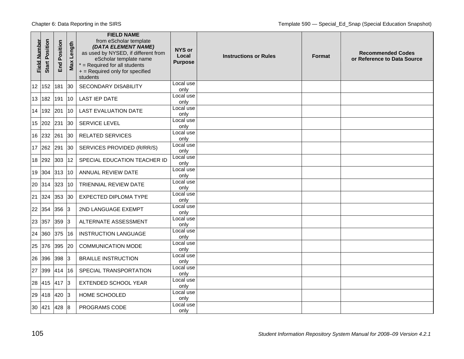| <b>Field Number</b> | <b>Start Position</b> | Position<br>End | Length<br>Max  | <b>FIELD NAME</b><br>from eScholar template<br>(DATA ELEMENT NAME)<br>as used by NYSED, if different from<br>eScholar template name<br>$*$ = Required for all students<br>+ = Required only for specified<br>students | NYS or<br>Local<br><b>Purpose</b> | <b>Instructions or Rules</b> | <b>Format</b> | <b>Recommended Codes</b><br>or Reference to Data Source |
|---------------------|-----------------------|-----------------|----------------|-----------------------------------------------------------------------------------------------------------------------------------------------------------------------------------------------------------------------|-----------------------------------|------------------------------|---------------|---------------------------------------------------------|
| 12                  | 152                   | 181             | 30             | <b>SECONDARY DISABILITY</b>                                                                                                                                                                                           | Local use<br>only                 |                              |               |                                                         |
|                     | 13 182                | 191             | 10             | <b>LAST IEP DATE</b>                                                                                                                                                                                                  | Local use<br>only                 |                              |               |                                                         |
| 14                  | 192                   | 201             | 10             | <b>LAST EVALUATION DATE</b>                                                                                                                                                                                           | Local use<br>only                 |                              |               |                                                         |
| 15                  | 202                   | 231             | 30             | SERVICE LEVEL                                                                                                                                                                                                         | Local use<br>only                 |                              |               |                                                         |
|                     | 16 232                | 261             | 30             | <b>RELATED SERVICES</b>                                                                                                                                                                                               | Local use<br>only                 |                              |               |                                                         |
|                     | 17 262                | 291             | 30             | SERVICES PROVIDED (R/RR/S)                                                                                                                                                                                            | Local use<br>only                 |                              |               |                                                         |
|                     | 18 292                | 303             | 12             | SPECIAL EDUCATION TEACHER ID                                                                                                                                                                                          | Local use<br>only                 |                              |               |                                                         |
| 19                  | 304                   | 313             | 10             | ANNUAL REVIEW DATE                                                                                                                                                                                                    | Local use<br>only                 |                              |               |                                                         |
| 20                  | 314                   | 323             | 10             | TRIENNIAL REVIEW DATE                                                                                                                                                                                                 | Local use<br>only                 |                              |               |                                                         |
| 21                  | 324                   | 353             | 30             | <b>EXPECTED DIPLOMA TYPE</b>                                                                                                                                                                                          | Local use<br>only                 |                              |               |                                                         |
| 22                  | 354                   | 356             | 3              | 2ND LANGUAGE EXEMPT                                                                                                                                                                                                   | Local use<br>only                 |                              |               |                                                         |
| 23                  | 357                   | 359             | 3              | ALTERNATE ASSESSMENT                                                                                                                                                                                                  | Local use<br>only                 |                              |               |                                                         |
| 24                  | 360                   | 375             | 16             | <b>INSTRUCTION LANGUAGE</b>                                                                                                                                                                                           | Local use<br>only                 |                              |               |                                                         |
| 25                  | 376                   | 395             | 20             | <b>COMMUNICATION MODE</b>                                                                                                                                                                                             | Local use<br>only                 |                              |               |                                                         |
| 26                  | 396                   | 398             | 3              | <b>BRAILLE INSTRUCTION</b>                                                                                                                                                                                            | Local use<br>only                 |                              |               |                                                         |
| 27                  | 399                   | 414             | 16             | SPECIAL TRANSPORTATION                                                                                                                                                                                                | Local use<br>only                 |                              |               |                                                         |
| 28                  | 415                   | 417             | $\overline{3}$ | EXTENDED SCHOOL YEAR                                                                                                                                                                                                  | Local use<br>only                 |                              |               |                                                         |
| 29                  | 418                   | 420             | 13             | <b>HOME SCHOOLED</b>                                                                                                                                                                                                  | Local use<br>only                 |                              |               |                                                         |
| 30                  | 421                   | 428             | 8              | PROGRAMS CODE                                                                                                                                                                                                         | Local use<br>only                 |                              |               |                                                         |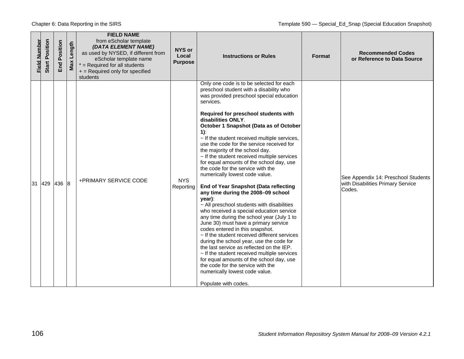| Field Number | <b>Start Position</b> | Position<br>End<br>En | Length<br>Max | <b>FIELD NAME</b><br>from eScholar template<br>(DATA ELEMENT NAME)<br>as used by NYSED, if different from<br>eScholar template name<br>$*$ = Required for all students<br>+ = Required only for specified<br>students | NYS or<br>Local<br><b>Purpose</b> | <b>Instructions or Rules</b>                                                                                                                                                                                                                                                                                                                                                                                                                                                                                                                                                                                                                                                                                                                                                                                                                                                                                                                                                                                                                                                                                                                                                                                                            | Format | <b>Recommended Codes</b><br>or Reference to Data Source                            |
|--------------|-----------------------|-----------------------|---------------|-----------------------------------------------------------------------------------------------------------------------------------------------------------------------------------------------------------------------|-----------------------------------|-----------------------------------------------------------------------------------------------------------------------------------------------------------------------------------------------------------------------------------------------------------------------------------------------------------------------------------------------------------------------------------------------------------------------------------------------------------------------------------------------------------------------------------------------------------------------------------------------------------------------------------------------------------------------------------------------------------------------------------------------------------------------------------------------------------------------------------------------------------------------------------------------------------------------------------------------------------------------------------------------------------------------------------------------------------------------------------------------------------------------------------------------------------------------------------------------------------------------------------------|--------|------------------------------------------------------------------------------------|
| 31<br>429    |                       | 436 8                 |               | +PRIMARY SERVICE CODE                                                                                                                                                                                                 | <b>NYS</b><br>Reporting           | Only one code is to be selected for each<br>preschool student with a disability who<br>was provided preschool special education<br>services.<br>Required for preschool students with<br>disabilities ONLY.<br>October 1 Snapshot (Data as of October<br>$1$ :<br>$\sim$ If the student received multiple services,<br>use the code for the service received for<br>the majority of the school day.<br>$\sim$ If the student received multiple services<br>for equal amounts of the school day, use<br>the code for the service with the<br>numerically lowest code value.<br>End of Year Snapshot (Data reflecting<br>any time during the 2008-09 school<br>year):<br>$\sim$ All preschool students with disabilities<br>who received a special education service<br>any time during the school year (July 1 to<br>June 30) must have a primary service<br>codes entered in this snapshot.<br>$\sim$ If the student received different services<br>during the school year, use the code for<br>the last service as reflected on the IEP.<br>$\sim$ If the student received multiple services<br>for equal amounts of the school day, use<br>the code for the service with the<br>numerically lowest code value.<br>Populate with codes. |        | See Appendix 14: Preschool Students<br>with Disabilities Primary Service<br>Codes. |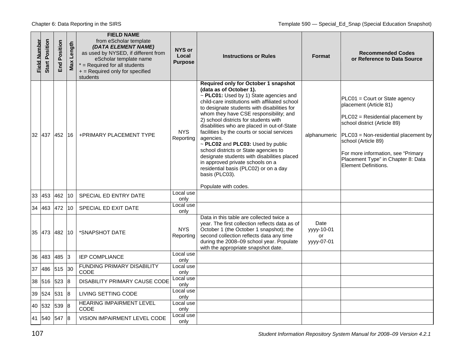| Field Number | <b>Start Position</b> | Position<br>End | Max Length     | <b>FIELD NAME</b><br>from eScholar template<br>(DATA ELEMENT NAME)<br>as used by NYSED, if different from<br>eScholar template name<br>$*$ = Required for all students<br>$+$ = Required only for specified<br>students | NYS or<br>Local<br><b>Purpose</b> | <b>Instructions or Rules</b>                                                                                                                                                                                                                                                                                                                                                                                                                                                                                                                                                                                                                                 | Format                                 | <b>Recommended Codes</b><br>or Reference to Data Source                                                                                                                                                                                                                                               |
|--------------|-----------------------|-----------------|----------------|-------------------------------------------------------------------------------------------------------------------------------------------------------------------------------------------------------------------------|-----------------------------------|--------------------------------------------------------------------------------------------------------------------------------------------------------------------------------------------------------------------------------------------------------------------------------------------------------------------------------------------------------------------------------------------------------------------------------------------------------------------------------------------------------------------------------------------------------------------------------------------------------------------------------------------------------------|----------------------------------------|-------------------------------------------------------------------------------------------------------------------------------------------------------------------------------------------------------------------------------------------------------------------------------------------------------|
|              | 32 437                | 452             | 16             | +PRIMARY PLACEMENT TYPE                                                                                                                                                                                                 | <b>NYS</b><br>Reporting           | Required only for October 1 snapshot<br>(data as of October 1).<br>~ PLC01: Used by 1) State agencies and<br>child-care institutions with affiliated school<br>to designate students with disabilities for<br>whom they have CSE responsibility; and<br>2) school districts for students with<br>disabilities who are placed in out-of-State<br>facilities by the courts or social services<br>agencies.<br>~ PLC02 and PLC03: Used by public<br>school districts or State agencies to<br>designate students with disabilities placed<br>in approved private schools on a<br>residential basis (PLC02) or on a day<br>basis (PLC03).<br>Populate with codes. | alphanumeric                           | PLC01 = Court or State agency<br>placement (Article 81)<br>PLC02 = Residential placement by<br>school district (Article 89)<br>PLC03 = Non-residential placement by<br>school (Article 89)<br>For more information, see "Primary<br>Placement Type" in Chapter 8: Data<br><b>Element Definitions.</b> |
|              | 33 453                | 462             | 10             | SPECIAL ED ENTRY DATE                                                                                                                                                                                                   | Local use<br>only                 |                                                                                                                                                                                                                                                                                                                                                                                                                                                                                                                                                                                                                                                              |                                        |                                                                                                                                                                                                                                                                                                       |
| 34           | 463                   | 472             | 10             | SPECIAL ED EXIT DATE                                                                                                                                                                                                    | Local use<br>only                 |                                                                                                                                                                                                                                                                                                                                                                                                                                                                                                                                                                                                                                                              |                                        |                                                                                                                                                                                                                                                                                                       |
|              | 35 473 482            |                 | $ 10\rangle$   | *SNAPSHOT DATE                                                                                                                                                                                                          | <b>NYS</b><br>Reporting           | Data in this table are collected twice a<br>year. The first collection reflects data as of<br>October 1 (the October 1 snapshot); the<br>second collection reflects data any time<br>during the 2008-09 school year. Populate<br>with the appropriate snapshot date.                                                                                                                                                                                                                                                                                                                                                                                         | Date<br>yyyy-10-01<br>or<br>yyyy-07-01 |                                                                                                                                                                                                                                                                                                       |
| 36           | 483                   | 485             | 3              | IEP COMPLIANCE                                                                                                                                                                                                          | Local use<br>only                 |                                                                                                                                                                                                                                                                                                                                                                                                                                                                                                                                                                                                                                                              |                                        |                                                                                                                                                                                                                                                                                                       |
| 37           | 486                   | 515             | 30             | <b>FUNDING PRIMARY DISABILITY</b><br>CODE                                                                                                                                                                               | Local use<br>only                 |                                                                                                                                                                                                                                                                                                                                                                                                                                                                                                                                                                                                                                                              |                                        |                                                                                                                                                                                                                                                                                                       |
|              | 38 516                | 523             | 8              | DISABILITY PRIMARY CAUSE CODE                                                                                                                                                                                           | Local use<br>only                 |                                                                                                                                                                                                                                                                                                                                                                                                                                                                                                                                                                                                                                                              |                                        |                                                                                                                                                                                                                                                                                                       |
|              | 39 524                | 531             | $\overline{8}$ | LIVING SETTING CODE                                                                                                                                                                                                     | Local use<br>only                 |                                                                                                                                                                                                                                                                                                                                                                                                                                                                                                                                                                                                                                                              |                                        |                                                                                                                                                                                                                                                                                                       |
|              | 40 532                | 539             | $\overline{8}$ | <b>HEARING IMPAIRMENT LEVEL</b><br>CODE                                                                                                                                                                                 | Local use<br>only                 |                                                                                                                                                                                                                                                                                                                                                                                                                                                                                                                                                                                                                                                              |                                        |                                                                                                                                                                                                                                                                                                       |
|              | 41 540 547            |                 | 8              | VISION IMPAIRMENT LEVEL CODE                                                                                                                                                                                            | Local use<br>only                 |                                                                                                                                                                                                                                                                                                                                                                                                                                                                                                                                                                                                                                                              |                                        |                                                                                                                                                                                                                                                                                                       |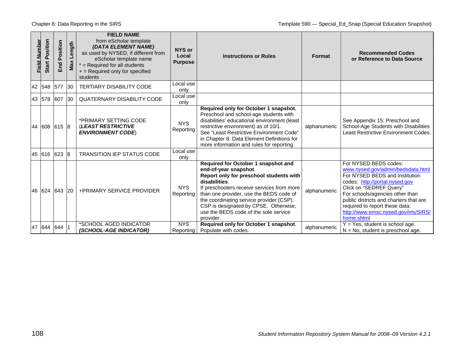| Field Number | Start Position | osition<br>$\overline{\mathbf{a}}$<br>겯 | Length<br>Max | <b>FIELD NAME</b><br>from eScholar template<br>(DATA ELEMENT NAME)<br>as used by NYSED, if different from<br>eScholar template name<br>$*$ = Required for all students<br>+ = Required only for specified<br>students | NYS or<br>Local<br><b>Purpose</b> | <b>Instructions or Rules</b>                                                                                                                                                                                                                                                                                                                                 | <b>Format</b> | <b>Recommended Codes</b><br>or Reference to Data Source                                                                                                                                                                                                                                                                        |
|--------------|----------------|-----------------------------------------|---------------|-----------------------------------------------------------------------------------------------------------------------------------------------------------------------------------------------------------------------|-----------------------------------|--------------------------------------------------------------------------------------------------------------------------------------------------------------------------------------------------------------------------------------------------------------------------------------------------------------------------------------------------------------|---------------|--------------------------------------------------------------------------------------------------------------------------------------------------------------------------------------------------------------------------------------------------------------------------------------------------------------------------------|
|              | 42 548         | 577                                     | 30            | <b>TERTIARY DISABILITY CODE</b>                                                                                                                                                                                       | Local use<br>only                 |                                                                                                                                                                                                                                                                                                                                                              |               |                                                                                                                                                                                                                                                                                                                                |
|              | 43 578         | 607                                     | $ 30\rangle$  | <b>QUATERNARY DISABILITY CODE</b>                                                                                                                                                                                     | Local use<br>only                 |                                                                                                                                                                                                                                                                                                                                                              |               |                                                                                                                                                                                                                                                                                                                                |
|              |                | 44 608 615 8                            |               | *PRIMARY SETTING CODE<br><b>(LEAST RESTRICTIVE</b><br><b>ENVIRONMENT CODE)</b>                                                                                                                                        | <b>NYS</b><br>Reporting           | Required only for October 1 snapshot.<br>Preschool and school-age students with<br>disabilities' educational environment (least<br>restrictive environment) as of 10/1.<br>See "Least Restrictive Environment Code"<br>in Chapter 8: Data Element Definitions for<br>more information and rules for reporting.                                               | alphanumeric  | See Appendix 15: Preschool and<br>School-Age Students with Disabilities<br>Least Restrictive Environment Codes.                                                                                                                                                                                                                |
|              |                | 45 616 623 8                            |               | TRANSITION IEP STATUS CODE                                                                                                                                                                                            | Local use<br>only                 |                                                                                                                                                                                                                                                                                                                                                              |               |                                                                                                                                                                                                                                                                                                                                |
|              |                | 46 624 643                              | 20            | <b>+PRIMARY SERVICE PROVIDER</b>                                                                                                                                                                                      | <b>NYS</b><br>Reporting           | Required for October 1 snapshot and<br>end-of-year snapshot.<br>Report only for preschool students with<br>disabilities.<br>If preschoolers receive services from more<br>than one provider, use the BEDS code of<br>the coordinating service provider (CSP).<br>CSP is designated by CPSE. Otherwise,<br>use the BEDS code of the sole service<br>provider. | alphanumeric  | For NYSED BEDS codes:<br>www.nysed.gov/admin/bedsdata.html<br>For NYSED BEDS and Institution<br>codes: http://portal.nysed.gov<br>Click on "SEDREF Query"<br>For schools/agencies other than<br>public districts and charters that are<br>required to report these data:<br>http://www.emsc.nysed.gov/irts/SIRS/<br>home.shtml |
|              |                | 47 644 644 1                            |               | *SCHOOL AGED INDICATOR<br>(SCHOOL-AGE INDICATOR)                                                                                                                                                                      | <b>NYS</b><br>Reporting           | Required only for October 1 snapshot.<br>Populate with codes.                                                                                                                                                                                                                                                                                                | alphanumeric  | $Y = Yes$ , student is school age.<br>$N = No$ , student is preschool age.                                                                                                                                                                                                                                                     |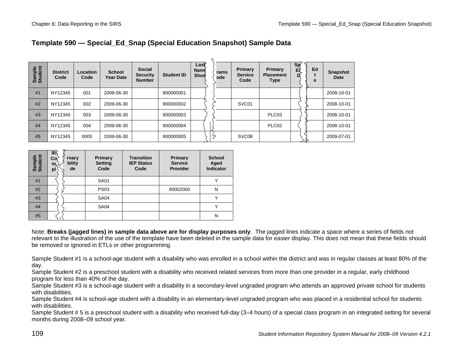# **Template 590 — Special\_Ed\_Snap (Special Education Snapshot) Sample Data**

| Sample<br>Student | <b>District</b><br>Code | Location<br>Code | <b>School</b><br><b>Year Date</b> | <b>Social</b><br><b>Security</b><br><b>Number</b> | <b>Student ID</b> | $\textsf{Last}$<br><b>Name</b><br>Shor | rams<br>ode | Primary<br><b>Service</b><br>Code | Primary<br><b>Placement</b><br><b>Type</b> | $\frac{\text{Sp}}{\text{E}}$ | Ed<br>e | <b>Snapshot</b><br>Date |
|-------------------|-------------------------|------------------|-----------------------------------|---------------------------------------------------|-------------------|----------------------------------------|-------------|-----------------------------------|--------------------------------------------|------------------------------|---------|-------------------------|
| #1                | NY12345                 | 001              | 2009-06-30                        |                                                   | 900000001         |                                        |             |                                   |                                            |                              |         | 2008-10-01              |
| #2                | NY12345                 | 002              | 2009-06-30                        |                                                   | 900000002         |                                        |             | SVC01                             |                                            |                              |         | 2008-10-01              |
| #3                | NY12345                 | 003              | 2009-06-30                        |                                                   | 900000003         |                                        |             |                                   | PLC03                                      |                              |         | 2008-10-01              |
| #4                | NY12345                 | 004              | 2009-06-30                        |                                                   | 900000004         |                                        |             |                                   | PLC <sub>02</sub>                          |                              |         | 2008-10-01              |
| #5                | NY12345                 | 0005             | 2009-06-30                        |                                                   | 900000005         |                                        |             | SVC <sub>08</sub>                 |                                            |                              |         | 2009-07-01              |

| Sample<br>Student | ΙEξ<br>Co√<br>rnary<br>bility<br>m<br>de<br>pl | Primary<br><b>Setting</b><br>Code | <b>Transition</b><br><b>IEP Status</b><br>Code | Primary<br><b>Service</b><br><b>Provider</b> | <b>School</b><br>Aged<br><b>Indicator</b> |
|-------------------|------------------------------------------------|-----------------------------------|------------------------------------------------|----------------------------------------------|-------------------------------------------|
| #1                |                                                | <b>SA01</b>                       |                                                |                                              | $\check{ }$                               |
| #2                |                                                | <b>PS03</b>                       |                                                | 90002000                                     | N                                         |
| #3                |                                                | <b>SA04</b>                       |                                                |                                              |                                           |
| #4                |                                                | <b>SA04</b>                       |                                                |                                              |                                           |
| #5                |                                                |                                   |                                                |                                              | N                                         |

Note: **Breaks (jagged lines) in sample data above are for display purposes only**. The jagged lines indicate a space where a series of fields not relevant to the illustration of the use of the template have been deleted in the sample data for easier display. This does not mean that these fields should be removed or ignored in ETLs or other programming.

Sample Student #1 is a school-age student with a disability who was enrolled in a school within the district and was in regular classes at least 80% of the day.

Sample Student #2 is a preschool student with a disability who received related services from more than one provider in a regular, early childhood program for less than 40% of the day.

Sample Student #3 is a school-age student with a disability in a secondary-level ungraded program who attends an approved private school for students with disabilities.

Sample Student #4 is school-age student with a disability in an elementary-level ungraded program who was placed in a residential school for students with disabilities.

Sample Student # 5 is a preschool student with a disability who received full-day (3–4 hours) of a special class program in an integrated setting for several months during 2008–09 school year.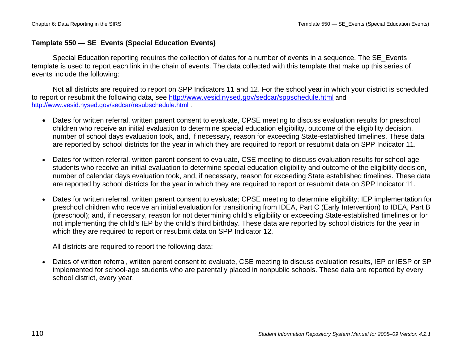# **Template 550 — SE\_Events (Special Education Events)**

Special Education reporting requires the collection of dates for a number of events in a sequence. The SE\_Events template is used to report each link in the chain of events. The data collected with this template that make up this series of events include the following:

Not all districts are required to report on SPP Indicators 11 and 12. For the school year in which your district is scheduled to report or resubmit the following data, see http://www.vesid.nysed.gov/sedcar/sppschedule.html and http://www.vesid.nysed.gov/sedcar/resubschedule.html .

- Dates for written referral, written parent consent to evaluate, CPSE meeting to discuss evaluation results for preschool children who receive an initial evaluation to determine special education eligibility, outcome of the eligibility decision, number of school days evaluation took, and, if necessary, reason for exceeding State-established timelines. These data are reported by school districts for the year in which they are required to report or resubmit data on SPP Indicator 11.
- Dates for written referral, written parent consent to evaluate, CSE meeting to discuss evaluation results for school-age students who receive an initial evaluation to determine special education eligibility and outcome of the eligibility decision, number of calendar days evaluation took, and, if necessary, reason for exceeding State established timelines. These data are reported by school districts for the year in which they are required to report or resubmit data on SPP Indicator 11.
- • Dates for written referral, written parent consent to evaluate; CPSE meeting to determine eligibility; IEP implementation for preschool children who receive an initial evaluation for transitioning from IDEA, Part C (Early Intervention) to IDEA, Part B (preschool); and, if necessary, reason for not determining child's eligibility or exceeding State-established timelines or for not implementing the child's IEP by the child's third birthday. These data are reported by school districts for the year in which they are required to report or resubmit data on SPP Indicator 12.

All districts are required to report the following data:

• Dates of written referral, written parent consent to evaluate, CSE meeting to discuss evaluation results, IEP or IESP or SP implemented for school-age students who are parentally placed in nonpublic schools. These data are reported by every school district, every year.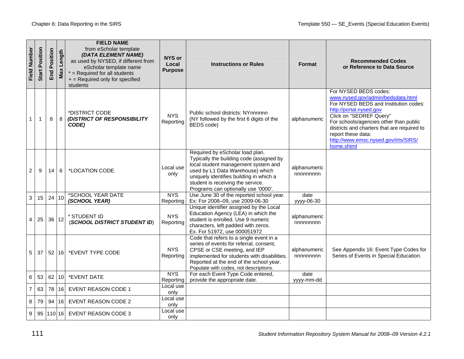| <b>Field Number</b> | Position<br>Start | Position<br>End | ength<br>Max    | <b>FIELD NAME</b><br>from eScholar template<br>(DATA ELEMENT NAME)<br>as used by NYSED, if different from<br>eScholar template name<br>$*$ = Required for all students<br>+ = Required only for specified<br>students | NYS or<br>Local<br><b>Purpose</b> | <b>Instructions or Rules</b>                                                                                                                                                                                                                                                  | Format                   | <b>Recommended Codes</b><br>or Reference to Data Source                                                                                                                                                                                                                                                                        |
|---------------------|-------------------|-----------------|-----------------|-----------------------------------------------------------------------------------------------------------------------------------------------------------------------------------------------------------------------|-----------------------------------|-------------------------------------------------------------------------------------------------------------------------------------------------------------------------------------------------------------------------------------------------------------------------------|--------------------------|--------------------------------------------------------------------------------------------------------------------------------------------------------------------------------------------------------------------------------------------------------------------------------------------------------------------------------|
| 1                   | $\mathbf{1}$      | 8               | 8               | *DISTRICT CODE<br>(DISTRICT OF RESPONSIBILITY<br>CODE)                                                                                                                                                                | <b>NYS</b><br>Reporting           | Public school districts: NYnnnnnn<br>(NY followed by the first 6 digits of the<br>BEDS code)                                                                                                                                                                                  | alphanumeric             | For NYSED BEDS codes:<br>www.nysed.gov/admin/bedsdata.html<br>For NYSED BEDS and Institution codes:<br>http://portal.nysed.gov<br>Click on "SEDREF Query"<br>For schools/agencies other than public<br>districts and charters that are required to<br>report these data:<br>http://www.emsc.nysed.gov/irts/SIRS/<br>home.shtml |
| 2                   | 9                 | 14              | 6               | *LOCATION CODE                                                                                                                                                                                                        | Local use<br>only                 | Required by eScholar load plan.<br>Typically the building code (assigned by<br>local student management system and<br>used by L1 Data Warehouse) which<br>uniquely identifies building in which a<br>student is receiving the service.<br>Programs can optionally use '0000'. | alphanumeric<br>nnnnnnnn |                                                                                                                                                                                                                                                                                                                                |
| 3                   | 15                | 24 10           |                 | *SCHOOL YEAR DATE<br>(SCHOOL YEAR)                                                                                                                                                                                    | <b>NYS</b><br>Reporting           | Use June 30 of the reported school year.<br>Ex: For 2008-09, use 2009-06-30                                                                                                                                                                                                   | date<br>yyyy-06-30       |                                                                                                                                                                                                                                                                                                                                |
| 4                   | 25                |                 | 36 12           | * STUDENT ID<br>(SCHOOL DISTRICT STUDENT ID)                                                                                                                                                                          | <b>NYS</b><br>Reporting           | Unique identifier assigned by the Local<br>Education Agency (LEA) in which the<br>student is enrolled. Use 9 numeric<br>characters, left padded with zeros.<br>Ex. For 51972, use 000051972                                                                                   | alphanumeric<br>nnnnnnnn |                                                                                                                                                                                                                                                                                                                                |
| 5                   | 37                |                 |                 | 52   16   * EVENT TYPE CODE                                                                                                                                                                                           | <b>NYS</b><br>Reporting           | Code that refers to a single event in a<br>series of events for referral, consent,<br>CPSE or CSE meeting, and IEP<br>implemented for students with disabilities.<br>Reported at the end of the school year.<br>Populate with codes, not descriptions.                        | alphanumeric<br>nnnnnnnn | See Appendix 16: Event Type Codes for<br>Series of Events in Special Education.                                                                                                                                                                                                                                                |
| 6                   | 53                | 62              | 10 <sup>1</sup> | *EVENT DATE                                                                                                                                                                                                           | <b>NYS</b><br>Reporting           | For each Event Type Code entered,<br>provide the appropriate date.                                                                                                                                                                                                            | date<br>yyyy-mm-dd       |                                                                                                                                                                                                                                                                                                                                |
| $\overline{7}$      | 63                | 78              | 16              | <b>EVENT REASON CODE 1</b>                                                                                                                                                                                            | Local use<br>only                 |                                                                                                                                                                                                                                                                               |                          |                                                                                                                                                                                                                                                                                                                                |
| 8                   | 79                | 94              | 16              | <b>EVENT REASON CODE 2</b>                                                                                                                                                                                            | Local use<br>only                 |                                                                                                                                                                                                                                                                               |                          |                                                                                                                                                                                                                                                                                                                                |
| 9                   |                   |                 |                 | 95   110   16   EVENT REASON CODE 3                                                                                                                                                                                   | Local use<br>only                 |                                                                                                                                                                                                                                                                               |                          |                                                                                                                                                                                                                                                                                                                                |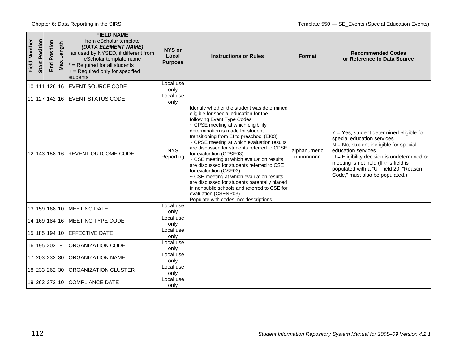| Field Number | Position<br><b>Start</b> | osition<br>ã.<br>End | Length<br>Max | <b>FIELD NAME</b><br>from eScholar template<br>(DATA ELEMENT NAME)<br>as used by NYSED, if different from<br>eScholar template name<br>$*$ = Required for all students<br>+ = Required only for specified<br>students | NYS or<br>Local<br><b>Purpose</b> | <b>Instructions or Rules</b>                                                                                                                                                                                                                                                                                                                                                                                                                                                                                                                                                                                                                                                                              | <b>Format</b>            | <b>Recommended Codes</b><br>or Reference to Data Source                                                                                                                                                                                                                                                              |
|--------------|--------------------------|----------------------|---------------|-----------------------------------------------------------------------------------------------------------------------------------------------------------------------------------------------------------------------|-----------------------------------|-----------------------------------------------------------------------------------------------------------------------------------------------------------------------------------------------------------------------------------------------------------------------------------------------------------------------------------------------------------------------------------------------------------------------------------------------------------------------------------------------------------------------------------------------------------------------------------------------------------------------------------------------------------------------------------------------------------|--------------------------|----------------------------------------------------------------------------------------------------------------------------------------------------------------------------------------------------------------------------------------------------------------------------------------------------------------------|
|              | 10 111 126 16            |                      |               | <b>EVENT SOURCE CODE</b>                                                                                                                                                                                              | Local use<br>only                 |                                                                                                                                                                                                                                                                                                                                                                                                                                                                                                                                                                                                                                                                                                           |                          |                                                                                                                                                                                                                                                                                                                      |
|              |                          |                      |               | 11 127 142 16 EVENT STATUS CODE                                                                                                                                                                                       | Local use<br>only                 |                                                                                                                                                                                                                                                                                                                                                                                                                                                                                                                                                                                                                                                                                                           |                          |                                                                                                                                                                                                                                                                                                                      |
|              |                          |                      |               | 12 143 158 16 + EVENT OUTCOME CODE                                                                                                                                                                                    | <b>NYS</b><br>Reporting           | Identify whether the student was determined<br>eligible for special education for the<br>following Event Type Codes:<br>~ CPSE meeting at which eligibility<br>determination is made for student<br>transitioning from EI to preschool (EI03)<br>~ CPSE meeting at which evaluation results<br>are discussed for students referred to CPSE<br>for evaluation (CPSE03)<br>~ CSE meeting at which evaluation results<br>are discussed for students referred to CSE<br>for evaluation (CSE03)<br>~ CSE meeting at which evaluation results<br>are discussed for students parentally placed<br>in nonpublic schools and referred to CSE for<br>evaluation (CSENP03)<br>Populate with codes, not descriptions. | alphanumeric<br>nnnnnnnn | $Y = Yes$ , student determined eligible for<br>special education services<br>$N = No$ , student ineligible for special<br>education services<br>$U =$ Eligibility decision is undetermined or<br>meeting is not held (If this field is<br>populated with a "U", field 20, "Reason<br>Code," must also be populated.) |
|              |                          |                      |               | 13 159 168 10 MEETING DATE                                                                                                                                                                                            | Local use<br>only                 |                                                                                                                                                                                                                                                                                                                                                                                                                                                                                                                                                                                                                                                                                                           |                          |                                                                                                                                                                                                                                                                                                                      |
|              |                          |                      |               | 14 169 184 16 MEETING TYPE CODE                                                                                                                                                                                       | Local use<br>only                 |                                                                                                                                                                                                                                                                                                                                                                                                                                                                                                                                                                                                                                                                                                           |                          |                                                                                                                                                                                                                                                                                                                      |
|              |                          |                      |               | 15 185 194 10 EFFECTIVE DATE                                                                                                                                                                                          | Local use<br>only                 |                                                                                                                                                                                                                                                                                                                                                                                                                                                                                                                                                                                                                                                                                                           |                          |                                                                                                                                                                                                                                                                                                                      |
|              | 16 195 202 8             |                      |               | ORGANIZATION CODE                                                                                                                                                                                                     | Local use<br>only                 |                                                                                                                                                                                                                                                                                                                                                                                                                                                                                                                                                                                                                                                                                                           |                          |                                                                                                                                                                                                                                                                                                                      |
|              | 17 203 232 30            |                      |               | ORGANIZATION NAME                                                                                                                                                                                                     | Local use<br>only                 |                                                                                                                                                                                                                                                                                                                                                                                                                                                                                                                                                                                                                                                                                                           |                          |                                                                                                                                                                                                                                                                                                                      |
|              | 18 233 262 30            |                      |               | ORGANIZATION CLUSTER                                                                                                                                                                                                  | Local use<br>only                 |                                                                                                                                                                                                                                                                                                                                                                                                                                                                                                                                                                                                                                                                                                           |                          |                                                                                                                                                                                                                                                                                                                      |
|              |                          |                      |               | 19 263 272 10 COMPLIANCE DATE                                                                                                                                                                                         | Local use<br>only                 |                                                                                                                                                                                                                                                                                                                                                                                                                                                                                                                                                                                                                                                                                                           |                          |                                                                                                                                                                                                                                                                                                                      |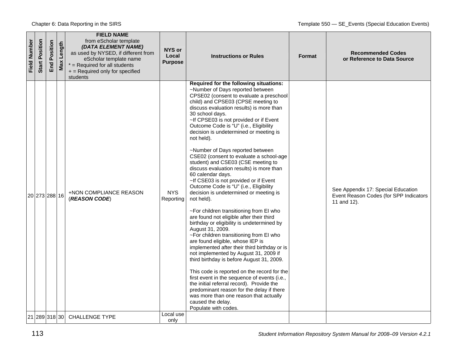| <b>Field Number</b> | Position<br><b>Start</b> | Position<br>End | Length<br>Max | <b>FIELD NAME</b><br>from eScholar template<br>(DATA ELEMENT NAME)<br>as used by NYSED, if different from<br>eScholar template name<br>$*$ = Required for all students<br>+ = Required only for specified<br>students | NYS or<br>Local<br><b>Purpose</b> | <b>Instructions or Rules</b>                                                                                                                                                                                                                                                                                                                                                                                                                                                                                                                                                                                                                                                                                                                                                                                                                                                                                                                                                                                                                                                                                                                                                                                                                                                                                                                  | <b>Format</b> | <b>Recommended Codes</b><br>or Reference to Data Source                                     |
|---------------------|--------------------------|-----------------|---------------|-----------------------------------------------------------------------------------------------------------------------------------------------------------------------------------------------------------------------|-----------------------------------|-----------------------------------------------------------------------------------------------------------------------------------------------------------------------------------------------------------------------------------------------------------------------------------------------------------------------------------------------------------------------------------------------------------------------------------------------------------------------------------------------------------------------------------------------------------------------------------------------------------------------------------------------------------------------------------------------------------------------------------------------------------------------------------------------------------------------------------------------------------------------------------------------------------------------------------------------------------------------------------------------------------------------------------------------------------------------------------------------------------------------------------------------------------------------------------------------------------------------------------------------------------------------------------------------------------------------------------------------|---------------|---------------------------------------------------------------------------------------------|
|                     | 20 273 288 16            |                 |               | <b>+NON COMPLIANCE REASON</b><br>(REASON CODE)                                                                                                                                                                        | <b>NYS</b><br>Reporting           | Required for the following situations:<br>~Number of Days reported between<br>CPSE02 (consent to evaluate a preschool<br>child) and CPSE03 (CPSE meeting to<br>discuss evaluation results) is more than<br>30 school days.<br>~If CPSE03 is not provided or if Event<br>Outcome Code is "U" (i.e., Eligibility<br>decision is undetermined or meeting is<br>not held).<br>~Number of Days reported between<br>CSE02 (consent to evaluate a school-age<br>student) and CSE03 (CSE meeting to<br>discuss evaluation results) is more than<br>60 calendar days.<br>~If CSE03 is not provided or if Event<br>Outcome Code is "U" (i.e., Eligibility<br>decision is undetermined or meeting is<br>not held).<br>~For children transitioning from EI who<br>are found not eligible after their third<br>birthday or eligibility is undetermined by<br>August 31, 2009.<br>~For children transitioning from EI who<br>are found eligible, whose IEP is<br>implemented after their third birthday or is<br>not implemented by August 31, 2009 if<br>third birthday is before August 31, 2009.<br>This code is reported on the record for the<br>first event in the sequence of events (i.e.,<br>the initial referral record). Provide the<br>predominant reason for the delay if there<br>was more than one reason that actually<br>caused the delay. |               | See Appendix 17: Special Education<br>Event Reason Codes (for SPP Indicators<br>11 and 12). |
|                     |                          |                 |               | 21 289 318 30 CHALLENGE TYPE                                                                                                                                                                                          | Local use<br>only                 | Populate with codes.                                                                                                                                                                                                                                                                                                                                                                                                                                                                                                                                                                                                                                                                                                                                                                                                                                                                                                                                                                                                                                                                                                                                                                                                                                                                                                                          |               |                                                                                             |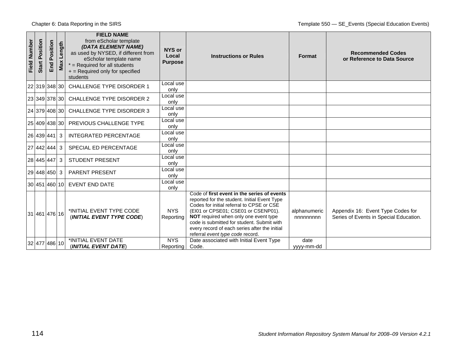| Field Number | Position<br><b>Start</b> | osition<br>Õ.<br>End | Length<br>Max | <b>FIELD NAME</b><br>from eScholar template<br>(DATA ELEMENT NAME)<br>as used by NYSED, if different from<br>eScholar template name<br>$*$ = Required for all students<br>$+$ = Required only for specified<br>students | NYS or<br>Local<br><b>Purpose</b> | <b>Instructions or Rules</b>                                                                                                                                                                                                                                                                                                                                | Format                   | <b>Recommended Codes</b><br>or Reference to Data Source                     |
|--------------|--------------------------|----------------------|---------------|-------------------------------------------------------------------------------------------------------------------------------------------------------------------------------------------------------------------------|-----------------------------------|-------------------------------------------------------------------------------------------------------------------------------------------------------------------------------------------------------------------------------------------------------------------------------------------------------------------------------------------------------------|--------------------------|-----------------------------------------------------------------------------|
|              |                          | 22 319 348 30        |               | CHALLENGE TYPE DISORDER 1                                                                                                                                                                                               | Local use<br>only                 |                                                                                                                                                                                                                                                                                                                                                             |                          |                                                                             |
|              |                          |                      |               | 23 349 378 30 CHALLENGE TYPE DISORDER 2                                                                                                                                                                                 | Local use<br>only                 |                                                                                                                                                                                                                                                                                                                                                             |                          |                                                                             |
|              |                          |                      |               | 24 379 408 30 CHALLENGE TYPE DISORDER 3                                                                                                                                                                                 | Local use<br>only                 |                                                                                                                                                                                                                                                                                                                                                             |                          |                                                                             |
|              |                          |                      |               | 25 409 438 30 PREVIOUS CHALLENGE TYPE                                                                                                                                                                                   | Local use<br>only                 |                                                                                                                                                                                                                                                                                                                                                             |                          |                                                                             |
|              |                          | 26 439 441 3         |               | <b>INTEGRATED PERCENTAGE</b>                                                                                                                                                                                            | Local use<br>only                 |                                                                                                                                                                                                                                                                                                                                                             |                          |                                                                             |
|              |                          | 27 442 444 3         |               | SPECIAL ED PERCENTAGE                                                                                                                                                                                                   | Local use<br>only                 |                                                                                                                                                                                                                                                                                                                                                             |                          |                                                                             |
|              |                          | 28   445   447   3   |               | <b>STUDENT PRESENT</b>                                                                                                                                                                                                  | Local use<br>only                 |                                                                                                                                                                                                                                                                                                                                                             |                          |                                                                             |
|              |                          | 29 448 450 3         |               | <b>PARENT PRESENT</b>                                                                                                                                                                                                   | Local use<br>only                 |                                                                                                                                                                                                                                                                                                                                                             |                          |                                                                             |
|              |                          |                      |               | 30 451 460 10 EVENT END DATE                                                                                                                                                                                            | Local use<br>only                 |                                                                                                                                                                                                                                                                                                                                                             |                          |                                                                             |
|              |                          | 31 461 476 16        |               | *INITIAL EVENT TYPE CODE<br>(INITIAL EVENT TYPE CODE)                                                                                                                                                                   | <b>NYS</b><br>Reporting           | Code of first event in the series of events<br>reported for the student. Initial Event Type<br>Codes for initial referral to CPSE or CSE<br>(EI01 or CPSE01; CSE01 or CSENP01).<br>NOT required when only one event type<br>code is submitted for student. Submit with<br>every record of each series after the initial<br>referral event type code record. | alphanumeric<br>nnnnnnnn | Appendix 16: Event Type Codes for<br>Series of Events in Special Education. |
|              |                          | 32 477 486 10        |               | *INITIAL EVENT DATE<br>(INITIAL EVENT DATE)                                                                                                                                                                             | <b>NYS</b><br>Reporting           | Date associated with Initial Event Type<br>Code.                                                                                                                                                                                                                                                                                                            | date<br>yyyy-mm-dd       |                                                                             |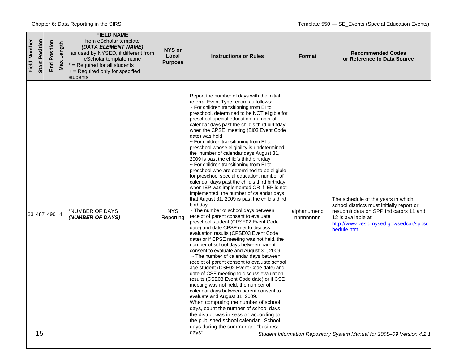| <b>Field Number</b> | Position<br><b>Start</b> | Position<br>End | Length<br>Max | <b>FIELD NAME</b><br>from eScholar template<br>(DATA ELEMENT NAME)<br>as used by NYSED, if different from<br>eScholar template name<br>$*$ = Required for all students<br>$+$ = Required only for specified<br>students | NYS or<br>Local<br><b>Purpose</b> | <b>Instructions or Rules</b>                                                                                                                                                                                                                                                                                                                                                                                                                                                                                                                                                                                                                                                                                                                                                                                                                                                                                                                                                                                                                                                                                                                                                                                                                                                                                                                                                                                                                                                                                                                                                                                                                                                                                                                                                                  | Format                   | <b>Recommended Codes</b><br>or Reference to Data Source                                                                                                                                                                                                                               |
|---------------------|--------------------------|-----------------|---------------|-------------------------------------------------------------------------------------------------------------------------------------------------------------------------------------------------------------------------|-----------------------------------|-----------------------------------------------------------------------------------------------------------------------------------------------------------------------------------------------------------------------------------------------------------------------------------------------------------------------------------------------------------------------------------------------------------------------------------------------------------------------------------------------------------------------------------------------------------------------------------------------------------------------------------------------------------------------------------------------------------------------------------------------------------------------------------------------------------------------------------------------------------------------------------------------------------------------------------------------------------------------------------------------------------------------------------------------------------------------------------------------------------------------------------------------------------------------------------------------------------------------------------------------------------------------------------------------------------------------------------------------------------------------------------------------------------------------------------------------------------------------------------------------------------------------------------------------------------------------------------------------------------------------------------------------------------------------------------------------------------------------------------------------------------------------------------------------|--------------------------|---------------------------------------------------------------------------------------------------------------------------------------------------------------------------------------------------------------------------------------------------------------------------------------|
|                     | 15                       | 33 487 490 4    |               | *NUMBER OF DAYS<br>(NUMBER OF DAYS)                                                                                                                                                                                     | <b>NYS</b><br>Reporting           | Report the number of days with the initial<br>referral Event Type record as follows:<br>~ For children transitioning from EI to<br>preschool, determined to be NOT eligible for<br>preschool special education, number of<br>calendar days past the child's third birthday<br>when the CPSE meeting (EI03 Event Code<br>date) was held<br>~ For children transitioning from EI to<br>preschool whose eligibility is undetermined,<br>the number of calendar days August 31,<br>2009 is past the child's third birthday<br>$\sim$ For children transitioning from EI to<br>preschool who are determined to be eligible<br>for preschool special education, number of<br>calendar days past the child's third birthday<br>when IEP was implemented OR if IEP is not<br>implemented, the number of calendar days<br>that August 31, 2009 is past the child's third<br>birthday.<br>~ The number of school days between<br>receipt of parent consent to evaluate<br>preschool student (CPSE02 Event Code<br>date) and date CPSE met to discuss<br>evaluation results (CPSE03 Event Code<br>date) or if CPSE meeting was not held, the<br>number of school days between parent<br>consent to evaluate and August 31, 2009.<br>~ The number of calendar days between<br>receipt of parent consent to evaluate school<br>age student (CSE02 Event Code date) and<br>date of CSE meeting to discuss evaluation<br>results (CSE03 Event Code date) or if CSE<br>meeting was not held, the number of<br>calendar days between parent consent to<br>evaluate and August 31, 2009.<br>When computing the number of school<br>days, count the number of school days<br>the district was in session according to<br>the published school calendar. School<br>days during the summer are "business<br>days". | alphanumeric<br>nnnnnnnn | The schedule of the years in which<br>school districts must initially report or<br>resubmit data on SPP Indicators 11 and<br>12 is available at<br>http://www.vesid.nysed.gov/sedcar/sppsc<br>hedule.html .<br>Student Information Repository System Manual for 2008-09 Version 4.2.1 |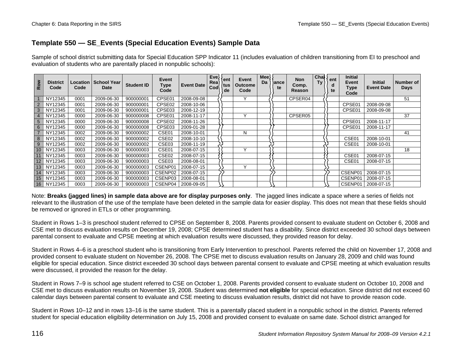# **Template 550 — SE\_Events (Special Education Events) Sample Data**

Sample of school district submitting data for Special Education SPP Indicator 11 (includes evaluation of children transitioning from EI to preschool and evaluation of students who are parentally placed in nonpublic schools):

| Row             | <b>District</b><br>Code | Code | Location   School Year<br>Date | <b>Student ID</b> | Event<br>Type<br>Code | <b>Event Date</b> | Eve <sup>y</sup><br>Rea<br>Cod\ | t ent<br>tus<br>de | Event<br><b>Outcome</b><br>Code | Mee<br>Da | ance)<br>te | <b>Non</b><br>Comp.<br>Reason | Chal $\langle$<br>Ty | ent<br>a<br>te | <b>Initial</b><br>Event<br>Type<br>Code | <b>Initial</b><br><b>Event Date</b> | Number of<br><b>Days</b> |
|-----------------|-------------------------|------|--------------------------------|-------------------|-----------------------|-------------------|---------------------------------|--------------------|---------------------------------|-----------|-------------|-------------------------------|----------------------|----------------|-----------------------------------------|-------------------------------------|--------------------------|
|                 | NY12345                 | 0001 | 2009-06-30                     | 900000001         | CPSE01                | 2008-09-08        |                                 |                    | $\check{ }$                     |           |             | CPSER04                       |                      |                |                                         |                                     | 51                       |
|                 | NY12345                 | 0001 | 2009-06-30                     | 900000001         | CPSE <sub>02</sub>    | 2008-10-06        |                                 |                    |                                 |           |             |                               |                      |                | CPSE01                                  | 2008-09-08                          |                          |
| 3 <sup>1</sup>  | NY12345                 | 0001 | 2009-06-30                     | 900000001         | CPSE03                | 2008-12-19        |                                 |                    |                                 |           |             |                               |                      |                | CPSE01                                  | 2008-09-08                          |                          |
|                 | NY12345                 | 0000 | 2009-06-30                     | 900000008         | CPSE01                | 2008-11-17        |                                 |                    | $\checkmark$                    |           |             | CPSER05                       |                      |                |                                         |                                     | 37                       |
| 5               | NY12345                 | 0000 | 2009-06-30                     | 900000008         | CPSE02                | 2008-11-26        |                                 |                    |                                 |           |             |                               |                      |                | CPSE01                                  | 2008-11-17                          |                          |
| 6               | NY12345                 | 0000 | 2009-06-30                     | 900000008         | CPSE03                | 2009-01-28        |                                 |                    |                                 |           |             |                               |                      |                | CPSE01                                  | 2008-11-17                          |                          |
|                 | NY12345                 | 0002 | 2009-06-30                     | 900000002         | CSE01                 | 2008-10-01        |                                 |                    | N                               |           |             |                               |                      |                |                                         |                                     | 41                       |
| 8               | NY12345                 | 0002 | 2009-06-30                     | 900000002         | CSE <sub>02</sub>     | 2008-10-10        |                                 |                    |                                 |           |             |                               |                      |                | CSE01                                   | 2008-10-01                          |                          |
| 9               | NY12345                 | 0002 | 2009-06-30                     | 900000002         | CSE03                 | 2008-11-19        |                                 |                    |                                 |           |             |                               |                      |                | CSE01                                   | 2008-10-01                          |                          |
| 10 <sup>°</sup> | NY12345                 | 0003 | 2009-06-30                     | 900000003         | CSE01                 | 2008-07-15        |                                 |                    | $\lambda$                       |           |             |                               |                      |                |                                         |                                     | 18                       |
|                 | NY12345                 | 0003 | 2009-06-30                     | 900000003         | CSE <sub>02</sub>     | 2008-07-15        |                                 |                    |                                 |           |             |                               |                      |                | CSE01                                   | 2008-07-15                          |                          |
| 12 <sup>2</sup> | NY12345                 | 0003 | 2009-06-30                     | 900000003         | CSE <sub>03</sub>     | 2008-08-01        |                                 |                    |                                 |           |             |                               |                      |                | CSE01                                   | 2008-07-15                          |                          |
| 13              | NY12345                 | 0003 | 2009-06-30                     | 900000003         | CSENP01               | 2008-07-15        |                                 |                    | v                               |           |             |                               |                      |                |                                         |                                     |                          |
| 14              | NY12345                 | 0003 | 2009-06-30                     | 900000003         | CSENP02               | 2008-07-15        |                                 |                    |                                 |           |             |                               |                      |                | CSENP <sub>0</sub>                      | 2008-07-15                          |                          |
| 15 <sub>1</sub> | NY12345                 | 0003 | 2009-06-30                     | 900000003         | CSENP03               | 2008-08-01        |                                 |                    |                                 |           |             |                               |                      |                | CSENP0                                  | 2008-07-15                          |                          |
| 16 <sup>1</sup> | NY12345                 | 0003 | 2009-06-30                     | 900000003         | CSENP04               | 2008-09-05        |                                 |                    |                                 |           |             |                               |                      |                | CSENP01                                 | 2008-07-15                          |                          |

Note: **Breaks (jagged lines) in sample data above are for display purposes only**. The jagged lines indicate a space where a series of fields not relevant to the illustration of the use of the template have been deleted in the sample data for easier display. This does not mean that these fields should be removed or ignored in ETLs or other programming.

Student in Rows 1–3 is preschool student referred to CPSE on September 8, 2008. Parents provided consent to evaluate student on October 6, 2008 and CSE met to discuss evaluation results on December 19, 2008; CPSE determined student has a disability. Since district exceeded 30 school days between parental consent to evaluate and CPSE meeting at which evaluation results were discussed, they provided reason for delay.

Student in Rows 4–6 is a preschool student who is transitioning from Early Intervention to preschool. Parents referred the child on November 17, 2008 and provided consent to evaluate student on November 26, 2008. The CPSE met to discuss evaluation results on January 28, 2009 and child was found eligible for special education. Since district exceeded 30 school days between parental consent to evaluate and CPSE meeting at which evaluation results were discussed, it provided the reason for the delay.

Student in Rows 7–9 is school age student referred to CSE on October 1, 2008. Parents provided consent to evaluate student on October 10, 2008 and CSE met to discuss evaluation results on November 19, 2008. Student was determined **not eligible** for special education. Since district did not exceed 60 calendar days between parental consent to evaluate and CSE meeting to discuss evaluation results, district did not have to provide reason code.

Student in Rows 10–12 and in rows 13–16 is the same student. This is a parentally placed student in a nonpublic school in the district. Parents referred student for special education eligibility determination on July 15, 2008 and provided consent to evaluate on same date. School district arranged for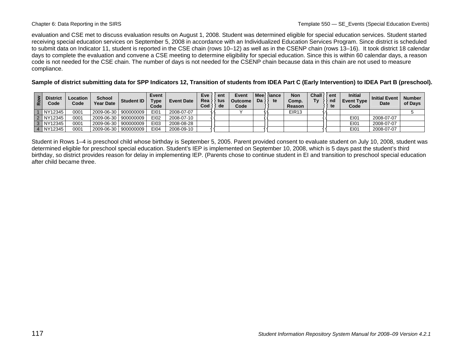evaluation and CSE met to discuss evaluation results on August 1, 2008. Student was determined eligible for special education services. Student started receiving special education services on September 5, 2008 in accordance with an Individualized Education Services Program. Since district is scheduled to submit data on Indicator 11, student is reported in the CSE chain (rows 10–12) as well as in the CSENP chain (rows 13–16). It took district 18 calendar days to complete the evaluation and convene a CSE meeting to determine eligibility for special education. Since this is within 60 calendar days, a reason code is not needed for the CSE chain. The number of days is not needed for the CSENP chain because data in this chain are not used to measure compliance.

**Sample of district submitting data for SPP Indicators 12, Transition of students from IDEA Part C (Early Intervention) to IDEA Part B (preschool).** 

| $\alpha$ | <b>District</b><br>Code | Location<br>Code | <b>School</b><br><b>Year Date</b> | <b>Student ID</b> | Event<br>Туре<br>Code | <b>Event Date</b> | Eve<br>Rea<br>Cod | ent<br>tus<br>de | Event<br><b>Outcome</b><br>Code | Mee<br>Da | liance<br>te | Non<br>Comp.<br>Reason | Chall<br>Tν | ent<br>nd<br>te | <b>Initial</b><br><b>Event Type</b><br>Code | <b>Initial Event</b><br>Date | <b>Number</b><br>of Days |
|----------|-------------------------|------------------|-----------------------------------|-------------------|-----------------------|-------------------|-------------------|------------------|---------------------------------|-----------|--------------|------------------------|-------------|-----------------|---------------------------------------------|------------------------------|--------------------------|
|          | INY12345                | 0001             | 2009-06-30 900000009              |                   | E101                  | 2008-07-07        |                   |                  |                                 |           |              | <b>EIR13</b>           |             |                 |                                             |                              |                          |
|          | 2 NY12345               | 0001             | 2009-06-30 900000009              |                   | E102                  | 2008-07-10        |                   |                  |                                 |           |              |                        |             |                 | EI01                                        | 2008-07-07                   |                          |
|          | 3 NY12345               | 0001             | 2009-06-30 900000009              |                   | E103                  | 2008-08-28        |                   |                  |                                 |           |              |                        |             |                 | E101                                        | 2008-07-07                   |                          |
|          | 4 NY12345               | 0001             | 2009-06-30                        | 900000009         | E104                  | 2008-09-10        |                   |                  |                                 |           |              |                        |             |                 | EI01                                        | 2008-07-07                   |                          |

Student in Rows 1–4 is preschool child whose birthday is September 5, 2005. Parent provided consent to evaluate student on July 10, 2008, student was determined eligible for preschool special education. Student's IEP is implemented on September 10, 2008, which is 5 days past the student's third birthday, so district provides reason for delay in implementing IEP. (Parents chose to continue student in EI and transition to preschool special education after child became three.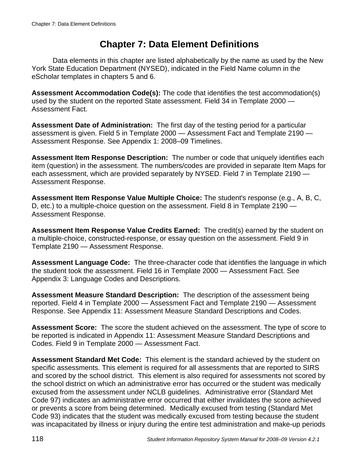# **Chapter 7: Data Element Definitions**

Data elements in this chapter are listed alphabetically by the name as used by the New York State Education Department (NYSED), indicated in the Field Name column in the eScholar templates in chapters 5 and 6.

**Assessment Accommodation Code(s):** The code that identifies the test accommodation(s) used by the student on the reported State assessment. Field 34 in Template 2000 — Assessment Fact.

**Assessment Date of Administration:** The first day of the testing period for a particular assessment is given. Field 5 in Template 2000 — Assessment Fact and Template 2190 — Assessment Response. See Appendix 1: 2008–09 Timelines.

**Assessment Item Response Description:** The number or code that uniquely identifies each item (question) in the assessment. The numbers/codes are provided in separate Item Maps for each assessment, which are provided separately by NYSED. Field 7 in Template 2190 — Assessment Response.

**Assessment Item Response Value Multiple Choice:** The student's response (e.g., A, B, C, D, etc.) to a multiple-choice question on the assessment. Field 8 in Template 2190 — Assessment Response.

**Assessment Item Response Value Credits Earned:** The credit(s) earned by the student on a multiple-choice, constructed-response, or essay question on the assessment. Field 9 in Template 2190 — Assessment Response.

**Assessment Language Code:** The three-character code that identifies the language in which the student took the assessment. Field 16 in Template 2000 — Assessment Fact. See Appendix 3: Language Codes and Descriptions.

**Assessment Measure Standard Description:** The description of the assessment being reported. Field 4 in Template 2000 — Assessment Fact and Template 2190 — Assessment Response. See Appendix 11: Assessment Measure Standard Descriptions and Codes.

**Assessment Score:** The score the student achieved on the assessment. The type of score to be reported is indicated in Appendix 11: Assessment Measure Standard Descriptions and Codes. Field 9 in Template 2000 — Assessment Fact.

**Assessment Standard Met Code:** This element is the standard achieved by the student on specific assessments. This element is required for all assessments that are reported to SIRS and scored by the school district. This element is also required for assessments not scored by the school district on which an administrative error has occurred or the student was medically excused from the assessment under NCLB guidelines. Administrative error (Standard Met Code 97) indicates an administrative error occurred that either invalidates the score achieved or prevents a score from being determined. Medically excused from testing (Standard Met Code 93) indicates that the student was medically excused from testing because the student was incapacitated by illness or injury during the entire test administration and make-up periods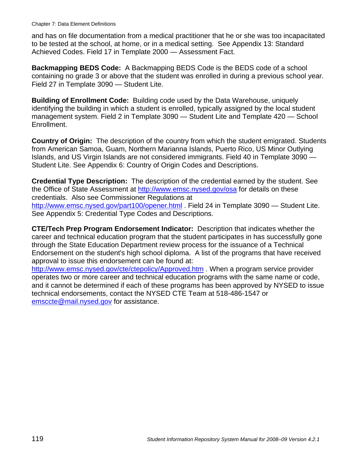and has on file documentation from a medical practitioner that he or she was too incapacitated to be tested at the school, at home, or in a medical setting. See Appendix 13: Standard Achieved Codes. Field 17 in Template 2000 — Assessment Fact.

**Backmapping BEDS Code:** A Backmapping BEDS Code is the BEDS code of a school containing no grade 3 or above that the student was enrolled in during a previous school year. Field 27 in Template 3090 — Student Lite.

**Building of Enrollment Code:** Building code used by the Data Warehouse, uniquely identifying the building in which a student is enrolled, typically assigned by the local student management system. Field 2 in Template 3090 — Student Lite and Template 420 — School Enrollment.

**Country of Origin:** The description of the country from which the student emigrated. Students from American Samoa, Guam, Northern Marianna Islands, Puerto Rico, US Minor Outlying Islands, and US Virgin Islands are not considered immigrants. Field 40 in Template 3090 — Student Lite. See Appendix 6: Country of Origin Codes and Descriptions.

**Credential Type Description:** The description of the credential earned by the student. See the Office of State Assessment at http://www.emsc.nysed.gov/osa for details on these credentials. Also see Commissioner Regulations at http://www.emsc.nysed.gov/part100/opener.html . Field 24 in Template 3090 — Student Lite. See Appendix 5: Credential Type Codes and Descriptions.

**CTE/Tech Prep Program Endorsement Indicator:** Description that indicates whether the career and technical education program that the student participates in has successfully gone through the State Education Department review process for the issuance of a Technical Endorsement on the student's high school diploma. A list of the programs that have received approval to issue this endorsement can be found at:

http://www.emsc.nysed.gov/cte/ctepolicy/Approved.htm . When a program service provider operates two or more career and technical education programs with the same name or code, and it cannot be determined if each of these programs has been approved by NYSED to issue technical endorsements, contact the NYSED CTE Team at 518-486-1547 or emsccte@mail.nysed.gov for assistance.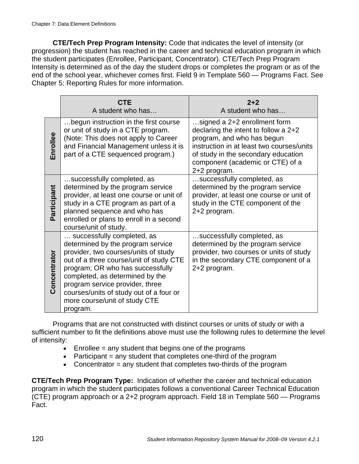**CTE/Tech Prep Program Intensity:** Code that indicates the level of intensity (or progression) the student has reached in the career and technical education program in which the student participates (Enrollee, Participant, Concentrator). CTE/Tech Prep Program Intensity is determined as of the day the student drops or completes the program or as of the end of the school year, whichever comes first. Field 9 in Template 560 — Programs Fact. See Chapter 5: Reporting Rules for more information.

|              | <b>CTE</b><br>A student who has                                                                                                                                                                                                                                                                                                                      | $2 + 2$<br>A student who has                                                                                                                                                                                                                 |
|--------------|------------------------------------------------------------------------------------------------------------------------------------------------------------------------------------------------------------------------------------------------------------------------------------------------------------------------------------------------------|----------------------------------------------------------------------------------------------------------------------------------------------------------------------------------------------------------------------------------------------|
| Enrollee     | begun instruction in the first course<br>or unit of study in a CTE program.<br>(Note: This does not apply to Career<br>and Financial Management unless it is<br>part of a CTE sequenced program.)                                                                                                                                                    | signed a 2+2 enrollment form<br>declaring the intent to follow a $2+2$<br>program, and who has begun<br>instruction in at least two courses/units<br>of study in the secondary education<br>component (academic or CTE) of a<br>2+2 program. |
| Participant  | successfully completed, as<br>determined by the program service<br>provider, at least one course or unit of<br>study in a CTE program as part of a<br>planned sequence and who has<br>enrolled or plans to enroll in a second<br>course/unit of study.                                                                                               | successfully completed, as<br>determined by the program service<br>provider, at least one course or unit of<br>study in the CTE component of the<br>2+2 program.                                                                             |
| Concentrator | successfully completed, as<br>determined by the program service<br>provider, two courses/units of study<br>out of a three course/unit of study CTE<br>program; OR who has successfully<br>completed, as determined by the<br>program service provider, three<br>courses/units of study out of a four or<br>more course/unit of study CTE<br>program. | successfully completed, as<br>determined by the program service<br>provider, two courses or units of study<br>in the secondary CTE component of a<br>2+2 program.                                                                            |

Programs that are not constructed with distinct courses or units of study or with a sufficient number to fit the definitions above must use the following rules to determine the level of intensity:

- $\bullet$  Enrollee = any student that begins one of the programs
- Participant  $=$  any student that completes one-third of the program
- Concentrator  $=$  any student that completes two-thirds of the program

**CTE/Tech Prep Program Type:** Indication of whether the career and technical education program in which the student participates follows a conventional Career Technical Education (CTE) program approach or a 2+2 program approach. Field 18 in Template 560 — Programs Fact.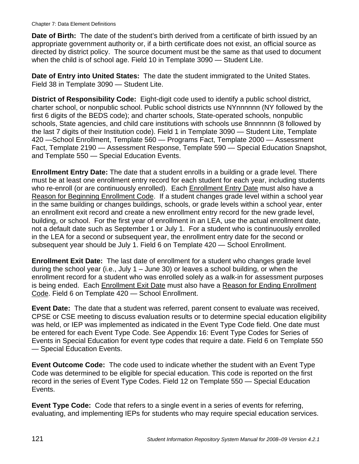**Date of Birth:** The date of the student's birth derived from a certificate of birth issued by an appropriate government authority or, if a birth certificate does not exist, an official source as directed by district policy. The source document must be the same as that used to document when the child is of school age. Field 10 in Template 3090 — Student Lite.

**Date of Entry into United States:** The date the student immigrated to the United States. Field 38 in Template 3090 — Student Lite.

**District of Responsibility Code:** Eight-digit code used to identify a public school district, charter school, or nonpublic school. Public school districts use NYnnnnnn (NY followed by the first 6 digits of the BEDS code); and charter schools, State-operated schools, nonpublic schools, State agencies, and child care institutions with schools use 8nnnnnnn (8 followed by the last 7 digits of their Institution code). Field 1 in Template 3090 — Student Lite, Template 420 —School Enrollment, Template 560 — Programs Fact, Template 2000 — Assessment Fact, Template 2190 — Assessment Response, Template 590 — Special Education Snapshot, and Template 550 — Special Education Events.

**Enrollment Entry Date:** The date that a student enrolls in a building or a grade level. There must be at least one enrollment entry record for each student for each year, including students who re-enroll (or are continuously enrolled). Each Enrollment Entry Date must also have a Reason for Beginning Enrollment Code. If a student changes grade level within a school year in the same building or changes buildings, schools, or grade levels within a school year, enter an enrollment exit record and create a new enrollment entry record for the new grade level, building, or school. For the first year of enrollment in an LEA, use the actual enrollment date, not a default date such as September 1 or July 1. For a student who is continuously enrolled in the LEA for a second or subsequent year, the enrollment entry date for the second or subsequent year should be July 1. Field 6 on Template 420 — School Enrollment.

**Enrollment Exit Date:** The last date of enrollment for a student who changes grade level during the school year (i.e., July 1 – June 30) or leaves a school building, or when the enrollment record for a student who was enrolled solely as a walk-in for assessment purposes is being ended. Each Enrollment Exit Date must also have a Reason for Ending Enrollment Code. Field 6 on Template 420 — School Enrollment.

**Event Date:** The date that a student was referred, parent consent to evaluate was received, CPSE or CSE meeting to discuss evaluation results or to determine special education eligibility was held, or IEP was implemented as indicated in the Event Type Code field. One date must be entered for each Event Type Code. See Appendix 16: Event Type Codes for Series of Events in Special Education for event type codes that require a date. Field 6 on Template 550 — Special Education Events.

**Event Outcome Code:** The code used to indicate whether the student with an Event Type Code was determined to be eligible for special education. This code is reported on the first record in the series of Event Type Codes. Field 12 on Template 550 — Special Education Events.

**Event Type Code:** Code that refers to a single event in a series of events for referring, evaluating, and implementing IEPs for students who may require special education services.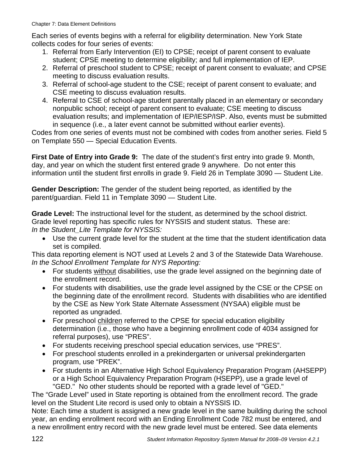Each series of events begins with a referral for eligibility determination. New York State collects codes for four series of events:

- 1. Referral from Early Intervention (EI) to CPSE; receipt of parent consent to evaluate student; CPSE meeting to determine eligibility; and full implementation of IEP.
- 2. Referral of preschool student to CPSE; receipt of parent consent to evaluate; and CPSE meeting to discuss evaluation results.
- 3. Referral of school-age student to the CSE; receipt of parent consent to evaluate; and CSE meeting to discuss evaluation results.
- 4. Referral to CSE of school-age student parentally placed in an elementary or secondary nonpublic school; receipt of parent consent to evaluate; CSE meeting to discuss evaluation results; and implementation of IEP/IESP/ISP. Also, events must be submitted in sequence (i.e., a later event cannot be submitted without earlier events).

Codes from one series of events must not be combined with codes from another series. Field 5 on Template 550 — Special Education Events.

**First Date of Entry into Grade 9:** The date of the student's first entry into grade 9. Month, day, and year on which the student first entered grade 9 anywhere. Do not enter this information until the student first enrolls in grade 9. Field 26 in Template 3090 — Student Lite.

**Gender Description:** The gender of the student being reported, as identified by the parent/guardian. Field 11 in Template 3090 — Student Lite.

**Grade Level:** The instructional level for the student, as determined by the school district. Grade level reporting has specific rules for NYSSIS and student status. These are: *In the Student\_Lite Template for NYSSIS:* 

• Use the current grade level for the student at the time that the student identification data set is compiled.

This data reporting element is NOT used at Levels 2 and 3 of the Statewide Data Warehouse. *In the School Enrollment Template for NYS Reporting:* 

- For students without disabilities, use the grade level assigned on the beginning date of the enrollment record.
- For students with disabilities, use the grade level assigned by the CSE or the CPSE on the beginning date of the enrollment record. Students with disabilities who are identified by the CSE as New York State Alternate Assessment (NYSAA) eligible must be reported as ungraded.
- For preschool children referred to the CPSE for special education eligibility determination (i.e., those who have a beginning enrollment code of 4034 assigned for referral purposes), use "PRES".
- For students receiving preschool special education services, use "PRES".
- For preschool students enrolled in a prekindergarten or universal prekindergarten program, use "PREK".
- For students in an Alternative High School Equivalency Preparation Program (AHSEPP) or a High School Equivalency Preparation Program (HSEPP), use a grade level of "GED." No other students should be reported with a grade level of "GED."

The "Grade Level" used in State reporting is obtained from the enrollment record. The grade level on the Student Lite record is used only to obtain a NYSSIS ID.

Note: Each time a student is assigned a new grade level in the same building during the school year, an ending enrollment record with an Ending Enrollment Code 782 must be entered, and a new enrollment entry record with the new grade level must be entered. See data elements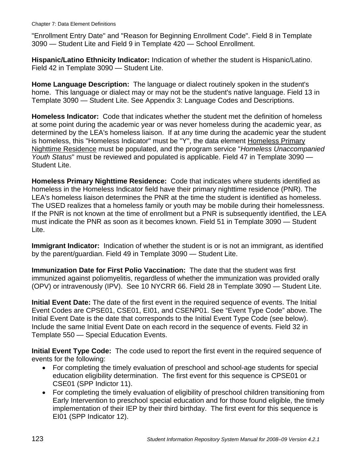"Enrollment Entry Date" and "Reason for Beginning Enrollment Code". Field 8 in Template 3090 — Student Lite and Field 9 in Template 420 — School Enrollment.

**Hispanic/Latino Ethnicity Indicator:** Indication of whether the student is Hispanic/Latino. Field 42 in Template 3090 — Student Lite.

**Home Language Description:** The language or dialect routinely spoken in the student's home. This language or dialect may or may not be the student's native language. Field 13 in Template 3090 — Student Lite. See Appendix 3: Language Codes and Descriptions.

**Homeless Indicator:** Code that indicates whether the student met the definition of homeless at some point during the academic year or was never homeless during the academic year, as determined by the LEA's homeless liaison. If at any time during the academic year the student is homeless, this "Homeless Indicator" must be "Y", the data element Homeless Primary Nighttime Residence must be populated, and the program service "*Homeless Unaccompanied Youth Status*" must be reviewed and populated is applicable. Field 47 in Template 3090 — Student Lite.

**Homeless Primary Nighttime Residence:** Code that indicates where students identified as homeless in the Homeless Indicator field have their primary nighttime residence (PNR). The LEA's homeless liaison determines the PNR at the time the student is identified as homeless. The USED realizes that a homeless family or youth may be mobile during their homelessness. If the PNR is not known at the time of enrollment but a PNR is subsequently identified, the LEA must indicate the PNR as soon as it becomes known. Field 51 in Template 3090 — Student Lite.

**Immigrant Indicator:** Indication of whether the student is or is not an immigrant, as identified by the parent/guardian. Field 49 in Template 3090 — Student Lite.

**Immunization Date for First Polio Vaccination:** The date that the student was first immunized against poliomyelitis, regardless of whether the immunization was provided orally (OPV) or intravenously (IPV). See 10 NYCRR 66. Field 28 in Template 3090 — Student Lite.

**Initial Event Date:** The date of the first event in the required sequence of events. The Initial Event Codes are CPSE01, CSE01, EI01, and CSENP01. See "Event Type Code" above. The Initial Event Date is the date that corresponds to the Initial Event Type Code (see below). Include the same Initial Event Date on each record in the sequence of events. Field 32 in Template 550 — Special Education Events.

**Initial Event Type Code:** The code used to report the first event in the required sequence of events for the following:

- For completing the timely evaluation of preschool and school-age students for special education eligibility determination. The first event for this sequence is CPSE01 or CSE01 (SPP Indictor 11).
- For completing the timely evaluation of eligibility of preschool children transitioning from Early Intervention to preschool special education and for those found eligible, the timely implementation of their IEP by their third birthday. The first event for this sequence is EI01 (SPP Indicator 12).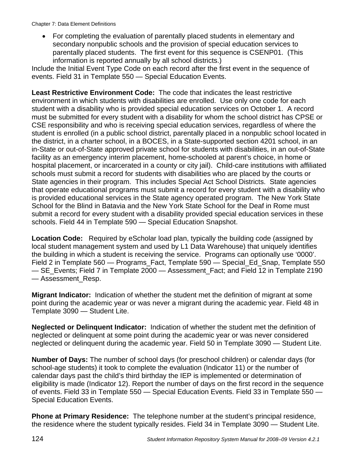• For completing the evaluation of parentally placed students in elementary and secondary nonpublic schools and the provision of special education services to parentally placed students. The first event for this sequence is CSENP01. (This information is reported annually by all school districts.)

Include the Initial Event Type Code on each record after the first event in the sequence of events. Field 31 in Template 550 — Special Education Events.

**Least Restrictive Environment Code:** The code that indicates the least restrictive environment in which students with disabilities are enrolled. Use only one code for each student with a disability who is provided special education services on October 1. A record must be submitted for every student with a disability for whom the school district has CPSE or CSE responsibility and who is receiving special education services, regardless of where the student is enrolled (in a public school district, parentally placed in a nonpublic school located in the district, in a charter school, in a BOCES, in a State-supported section 4201 school, in an in-State or out-of-State approved private school for students with disabilities, in an out-of-State facility as an emergency interim placement, home-schooled at parent's choice, in home or hospital placement, or incarcerated in a county or city jail). Child-care institutions with affiliated schools must submit a record for students with disabilities who are placed by the courts or State agencies in their program. This includes Special Act School Districts. State agencies that operate educational programs must submit a record for every student with a disability who is provided educational services in the State agency operated program. The New York State School for the Blind in Batavia and the New York State School for the Deaf in Rome must submit a record for every student with a disability provided special education services in these schools. Field 44 in Template 590 — Special Education Snapshot.

**Location Code:** Required by eScholar load plan, typically the building code (assigned by local student management system and used by L1 Data Warehouse) that uniquely identifies the building in which a student is receiving the service. Programs can optionally use '0000'. Field 2 in Template 560 — Programs\_Fact, Template 590 — Special\_Ed\_Snap, Template 550 — SE\_Events; Field 7 in Template 2000 — Assessment\_Fact; and Field 12 in Template 2190 — Assessment\_Resp.

**Migrant Indicator:** Indication of whether the student met the definition of migrant at some point during the academic year or was never a migrant during the academic year. Field 48 in Template 3090 — Student Lite.

**Neglected or Delinquent Indicator:** Indication of whether the student met the definition of neglected or delinquent at some point during the academic year or was never considered neglected or delinquent during the academic year. Field 50 in Template 3090 — Student Lite.

**Number of Days:** The number of school days (for preschool children) or calendar days (for school-age students) it took to complete the evaluation (Indicator 11) or the number of calendar days past the child's third birthday the IEP is implemented or determination of eligibility is made (Indicator 12). Report the number of days on the first record in the sequence of events. Field 33 in Template 550 — Special Education Events. Field 33 in Template 550 — Special Education Events.

**Phone at Primary Residence:** The telephone number at the student's principal residence, the residence where the student typically resides. Field 34 in Template 3090 — Student Lite.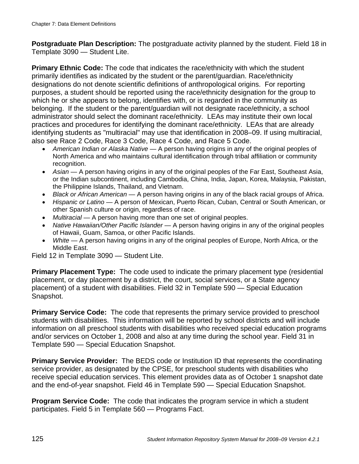**Postgraduate Plan Description:** The postgraduate activity planned by the student. Field 18 in Template 3090 — Student Lite.

**Primary Ethnic Code:** The code that indicates the race/ethnicity with which the student primarily identifies as indicated by the student or the parent/guardian. Race/ethnicity designations do not denote scientific definitions of anthropological origins. For reporting purposes, a student should be reported using the race/ethnicity designation for the group to which he or she appears to belong, identifies with, or is regarded in the community as belonging. If the student or the parent/guardian will not designate race/ethnicity, a school administrator should select the dominant race/ethnicity. LEAs may institute their own local practices and procedures for identifying the dominant race/ethnicity. LEAs that are already identifying students as "multiracial" may use that identification in 2008–09. If using multiracial, also see Race 2 Code, Race 3 Code, Race 4 Code, and Race 5 Code.

- *American Indian or Alaska Native* A person having origins in any of the original peoples of North America and who maintains cultural identification through tribal affiliation or community recognition.
- *Asian* A person having origins in any of the original peoples of the Far East, Southeast Asia, or the Indian subcontinent, including Cambodia, China, India, Japan, Korea, Malaysia, Pakistan, the Philippine Islands, Thailand, and Vietnam.
- *Black or African American* A person having origins in any of the black racial groups of Africa.
- *Hispanic or Latino* A person of Mexican, Puerto Rican, Cuban, Central or South American, or other Spanish culture or origin, regardless of race.
- *Multiracial* A person having more than one set of original peoples.
- *Native Hawaiian/Other Pacific Islander* A person having origins in any of the original peoples of Hawaii, Guam, Samoa, or other Pacific Islands.
- *White* A person having origins in any of the original peoples of Europe, North Africa, or the Middle East.

Field 12 in Template 3090 — Student Lite.

**Primary Placement Type:** The code used to indicate the primary placement type (residential placement, or day placement by a district, the court, social services, or a State agency placement) of a student with disabilities. Field 32 in Template 590 — Special Education Snapshot.

**Primary Service Code:** The code that represents the primary service provided to preschool students with disabilities. This information will be reported by school districts and will include information on all preschool students with disabilities who received special education programs and/or services on October 1, 2008 and also at any time during the school year. Field 31 in Template 590 — Special Education Snapshot.

**Primary Service Provider:** The BEDS code or Institution ID that represents the coordinating service provider, as designated by the CPSE, for preschool students with disabilities who receive special education services. This element provides data as of October 1 snapshot date and the end-of-year snapshot. Field 46 in Template 590 — Special Education Snapshot.

**Program Service Code:** The code that indicates the program service in which a student participates. Field 5 in Template 560 — Programs Fact.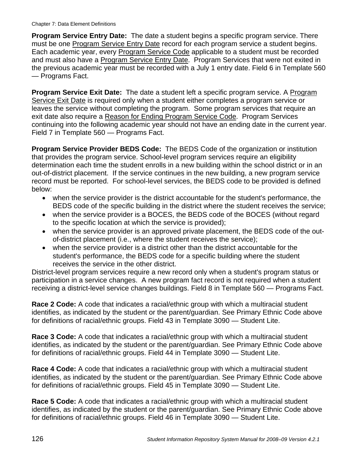**Program Service Entry Date:** The date a student begins a specific program service. There must be one **Program Service Entry Date record for each program service a student begins.** Each academic year, every Program Service Code applicable to a student must be recorded and must also have a Program Service Entry Date. Program Services that were not exited in the previous academic year must be recorded with a July 1 entry date. Field 6 in Template 560 — Programs Fact.

**Program Service Exit Date:** The date a student left a specific program service. A Program Service Exit Date is required only when a student either completes a program service or leaves the service without completing the program. Some program services that require an exit date also require a Reason for Ending Program Service Code. Program Services continuing into the following academic year should not have an ending date in the current year. Field 7 in Template 560 — Programs Fact.

**Program Service Provider BEDS Code:** The BEDS Code of the organization or institution that provides the program service. School-level program services require an eligibility determination each time the student enrolls in a new building within the school district or in an out-of-district placement. If the service continues in the new building, a new program service record must be reported. For school-level services, the BEDS code to be provided is defined below:

- when the service provider is the district accountable for the student's performance, the BEDS code of the specific building in the district where the student receives the service;
- when the service provider is a BOCES, the BEDS code of the BOCES (without regard to the specific location at which the service is provided);
- when the service provider is an approved private placement, the BEDS code of the outof-district placement (i.e., where the student receives the service);
- when the service provider is a district other than the district accountable for the student's performance, the BEDS code for a specific building where the student receives the service in the other district.

District-level program services require a new record only when a student's program status or participation in a service changes. A new program fact record is not required when a student receiving a district-level service changes buildings. Field 8 in Template 560 — Programs Fact.

**Race 2 Code:** A code that indicates a racial/ethnic group with which a multiracial student identifies, as indicated by the student or the parent/guardian. See Primary Ethnic Code above for definitions of racial/ethnic groups. Field 43 in Template 3090 — Student Lite.

**Race 3 Code:** A code that indicates a racial/ethnic group with which a multiracial student identifies, as indicated by the student or the parent/guardian. See Primary Ethnic Code above for definitions of racial/ethnic groups. Field 44 in Template 3090 — Student Lite.

**Race 4 Code:** A code that indicates a racial/ethnic group with which a multiracial student identifies, as indicated by the student or the parent/guardian. See Primary Ethnic Code above for definitions of racial/ethnic groups. Field 45 in Template 3090 — Student Lite.

**Race 5 Code:** A code that indicates a racial/ethnic group with which a multiracial student identifies, as indicated by the student or the parent/guardian. See Primary Ethnic Code above for definitions of racial/ethnic groups. Field 46 in Template 3090 — Student Lite.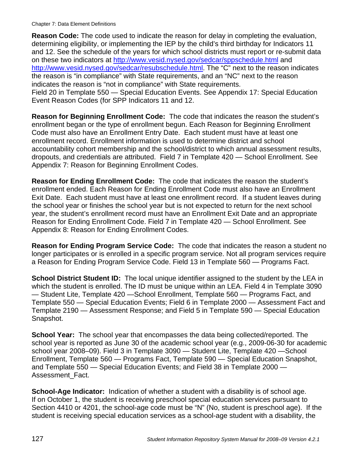**Reason Code:** The code used to indicate the reason for delay in completing the evaluation, determining eligibility, or implementing the IEP by the child's third birthday for Indicators 11 and 12. See the schedule of the years for which school districts must report or re-submit data on these two indicators at http://www.vesid.nysed.gov/sedcar/sppschedule.html and http://www.vesid.nysed.gov/sedcar/resubschedule.html. The "C" next to the reason indicates the reason is "in compliance" with State requirements, and an "NC" next to the reason indicates the reason is "not in compliance" with State requirements. Field 20 in Template 550 — Special Education Events. See Appendix 17: Special Education Event Reason Codes (for SPP Indicators 11 and 12.

**Reason for Beginning Enrollment Code:** The code that indicates the reason the student's enrollment began or the type of enrollment begun. Each Reason for Beginning Enrollment Code must also have an Enrollment Entry Date. Each student must have at least one enrollment record. Enrollment information is used to determine district and school accountability cohort membership and the school/district to which annual assessment results, dropouts, and credentials are attributed. Field 7 in Template 420 — School Enrollment. See Appendix 7: Reason for Beginning Enrollment Codes.

**Reason for Ending Enrollment Code:** The code that indicates the reason the student's enrollment ended. Each Reason for Ending Enrollment Code must also have an Enrollment Exit Date. Each student must have at least one enrollment record. If a student leaves during the school year or finishes the school year but is not expected to return for the next school year, the student's enrollment record must have an Enrollment Exit Date and an appropriate Reason for Ending Enrollment Code. Field 7 in Template 420 — School Enrollment. See Appendix 8: Reason for Ending Enrollment Codes.

**Reason for Ending Program Service Code:** The code that indicates the reason a student no longer participates or is enrolled in a specific program service. Not all program services require a Reason for Ending Program Service Code. Field 13 in Template 560 — Programs Fact.

**School District Student ID:** The local unique identifier assigned to the student by the LEA in which the student is enrolled. The ID must be unique within an LEA. Field 4 in Template 3090 — Student Lite, Template 420 —School Enrollment, Template 560 — Programs Fact, and Template 550 — Special Education Events; Field 6 in Template 2000 — Assessment Fact and Template 2190 — Assessment Response; and Field 5 in Template 590 — Special Education Snapshot.

**School Year:** The school year that encompasses the data being collected/reported. The school year is reported as June 30 of the academic school year (e.g., 2009-06-30 for academic school year 2008–09). Field 3 in Template 3090 — Student Lite, Template 420 —School Enrollment, Template 560 — Programs Fact, Template 590 — Special Education Snapshot, and Template 550 — Special Education Events; and Field 38 in Template 2000 — Assessment\_Fact.

**School-Age Indicator:** Indication of whether a student with a disability is of school age. If on October 1, the student is receiving preschool special education services pursuant to Section 4410 or 4201, the school-age code must be "N" (No, student is preschool age). If the student is receiving special education services as a school-age student with a disability, the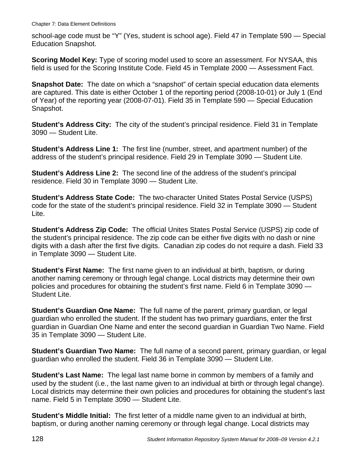school-age code must be "Y" (Yes, student is school age). Field 47 in Template 590 — Special Education Snapshot.

**Scoring Model Key:** Type of scoring model used to score an assessment. For NYSAA, this field is used for the Scoring Institute Code. Field 45 in Template 2000 — Assessment Fact.

**Snapshot Date:** The date on which a "snapshot" of certain special education data elements are captured. This date is either October 1 of the reporting period (2008-10-01) or July 1 (End of Year) of the reporting year (2008-07-01). Field 35 in Template 590 — Special Education Snapshot.

**Student's Address City:** The city of the student's principal residence. Field 31 in Template 3090 — Student Lite.

**Student's Address Line 1:** The first line (number, street, and apartment number) of the address of the student's principal residence. Field 29 in Template 3090 — Student Lite.

**Student's Address Line 2:** The second line of the address of the student's principal residence. Field 30 in Template 3090 — Student Lite.

**Student's Address State Code:** The two-character United States Postal Service (USPS) code for the state of the student's principal residence. Field 32 in Template 3090 — Student Lite.

**Student's Address Zip Code:** The official Unites States Postal Service (USPS) zip code of the student's principal residence. The zip code can be either five digits with no dash or nine digits with a dash after the first five digits. Canadian zip codes do not require a dash. Field 33 in Template 3090 — Student Lite.

**Student's First Name:** The first name given to an individual at birth, baptism, or during another naming ceremony or through legal change. Local districts may determine their own policies and procedures for obtaining the student's first name. Field 6 in Template 3090 — Student Lite.

**Student's Guardian One Name:** The full name of the parent, primary guardian, or legal guardian who enrolled the student. If the student has two primary guardians, enter the first guardian in Guardian One Name and enter the second guardian in Guardian Two Name. Field 35 in Template 3090 — Student Lite.

**Student's Guardian Two Name:** The full name of a second parent, primary guardian, or legal guardian who enrolled the student. Field 36 in Template 3090 — Student Lite.

**Student's Last Name:** The legal last name borne in common by members of a family and used by the student (i.e., the last name given to an individual at birth or through legal change). Local districts may determine their own policies and procedures for obtaining the student's last name. Field 5 in Template 3090 — Student Lite.

**Student's Middle Initial:** The first letter of a middle name given to an individual at birth, baptism, or during another naming ceremony or through legal change. Local districts may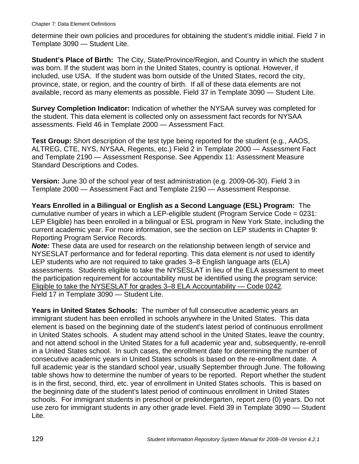determine their own policies and procedures for obtaining the student's middle initial. Field 7 in Template 3090 — Student Lite.

**Student's Place of Birth:** The City, State/Province/Region, and Country in which the student was born. If the student was born in the United States, country is optional. However, if included, use USA. If the student was born outside of the United States, record the city, province, state, or region, and the country of birth. If all of these data elements are not available, record as many elements as possible. Field 37 in Template 3090 — Student Lite.

**Survey Completion Indicator:** Indication of whether the NYSAA survey was completed for the student. This data element is collected only on assessment fact records for NYSAA assessments. Field 46 in Template 2000 — Assessment Fact.

**Test Group:** Short description of the test type being reported for the student (e.g., AAOS, ALTREG, CTE, NYS, NYSAA, Regents, etc.) Field 2 in Template 2000 — Assessment Fact and Template 2190 — Assessment Response. See Appendix 11: Assessment Measure Standard Descriptions and Codes.

**Version:** June 30 of the school year of test administration (e.g. 2009-06-30). Field 3 in Template 2000 — Assessment Fact and Template 2190 — Assessment Response.

**Years Enrolled in a Bilingual or English as a Second Language (ESL) Program:** The cumulative number of years in which a LEP-eligible student (Program Service Code = 0231: LEP Eligible) has been enrolled in a bilingual or ESL program in New York State, including the current academic year. For more information, see the section on LEP students in Chapter 9: Reporting Program Service Records.

*Note:* These data are used for research on the relationship between length of service and NYSESLAT performance and for federal reporting. This data element is *not* used to identify LEP students who are not required to take grades 3–8 English language arts (ELA) assessments. Students eligible to take the NYSESLAT in lieu of the ELA assessment to meet the participation requirement for accountability must be identified using the program service: Eligible to take the NYSESLAT for grades 3–8 ELA Accountability — Code 0242*.* Field 17 in Template 3090 — Student Lite.

**Years in United States Schools:** The number of full consecutive academic years an immigrant student has been enrolled in schools anywhere in the United States. This data element is based on the beginning date of the student's latest period of continuous enrollment in United States schools. A student may attend school in the United States, leave the country, and not attend school in the United States for a full academic year and, subsequently, re-enroll in a United States school. In such cases, the enrollment date for determining the number of consecutive academic years in United States schools is based on the re-enrollment date. A full academic year is the standard school year, usually September through June. The following table shows how to determine the number of years to be reported. Report whether the student is in the first, second, third, etc. year of enrollment in United States schools. This is based on the beginning date of the student's latest period of continuous enrollment in United States schools. For immigrant students in preschool or prekindergarten, report zero (0) years. Do not use zero for immigrant students in any other grade level. Field 39 in Template 3090 — Student Lite.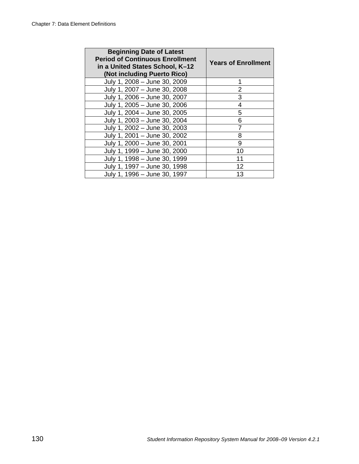| <b>Beginning Date of Latest</b><br><b>Period of Continuous Enrollment</b><br>in a United States School, K-12<br>(Not including Puerto Rico) | <b>Years of Enrollment</b> |
|---------------------------------------------------------------------------------------------------------------------------------------------|----------------------------|
| July 1, 2008 - June 30, 2009                                                                                                                |                            |
| July 1, 2007 - June 30, 2008                                                                                                                | 2                          |
| July 1, 2006 - June 30, 2007                                                                                                                | 3                          |
| July 1, 2005 - June 30, 2006                                                                                                                | 4                          |
| July 1, 2004 - June 30, 2005                                                                                                                | 5                          |
| July 1, 2003 - June 30, 2004                                                                                                                | 6                          |
| July 1, 2002 - June 30, 2003                                                                                                                |                            |
| July 1, 2001 - June 30, 2002                                                                                                                | 8                          |
| July 1, 2000 - June 30, 2001                                                                                                                | 9                          |
| July 1, 1999 - June 30, 2000                                                                                                                | 10                         |
| July 1, 1998 - June 30, 1999                                                                                                                | 11                         |
| July 1, 1997 - June 30, 1998                                                                                                                | 12                         |
| July 1, 1996 - June 30, 1997                                                                                                                | 13                         |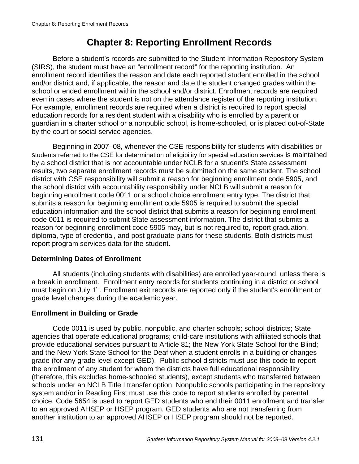# **Chapter 8: Reporting Enrollment Records**

Before a student's records are submitted to the Student Information Repository System (SIRS), the student must have an "enrollment record" for the reporting institution. An enrollment record identifies the reason and date each reported student enrolled in the school and/or district and, if applicable, the reason and date the student changed grades within the school or ended enrollment within the school and/or district. Enrollment records are required even in cases where the student is not on the attendance register of the reporting institution. For example, enrollment records are required when a district is required to report special education records for a resident student with a disability who is enrolled by a parent or guardian in a charter school or a nonpublic school, is home-schooled, or is placed out-of-State by the court or social service agencies.

Beginning in 2007–08, whenever the CSE responsibility for students with disabilities or students referred to the CSE for determination of eligibility for special education services is maintained by a school district that is not accountable under NCLB for a student's State assessment results, two separate enrollment records must be submitted on the same student. The school district with CSE responsibility will submit a reason for beginning enrollment code 5905, and the school district with accountability responsibility under NCLB will submit a reason for beginning enrollment code 0011 or a school choice enrollment entry type. The district that submits a reason for beginning enrollment code 5905 is required to submit the special education information and the school district that submits a reason for beginning enrollment code 0011 is required to submit State assessment information. The district that submits a reason for beginning enrollment code 5905 may, but is not required to, report graduation, diploma, type of credential, and post graduate plans for these students. Both districts must report program services data for the student.

# **Determining Dates of Enrollment**

All students (including students with disabilities) are enrolled year-round, unless there is a break in enrollment. Enrollment entry records for students continuing in a district or school must begin on July 1<sup>st</sup>. Enrollment exit records are reported only if the student's enrollment or grade level changes during the academic year.

# **Enrollment in Building or Grade**

Code 0011 is used by public, nonpublic, and charter schools; school districts; State agencies that operate educational programs; child-care institutions with affiliated schools that provide educational services pursuant to Article 81; the New York State School for the Blind; and the New York State School for the Deaf when a student enrolls in a building or changes grade (for any grade level except GED). Public school districts must use this code to report the enrollment of any student for whom the districts have full educational responsibility (therefore, this excludes home-schooled students), except students who transferred between schools under an NCLB Title I transfer option. Nonpublic schools participating in the repository system and/or in Reading First must use this code to report students enrolled by parental choice. Code 5654 is used to report GED students who end their 0011 enrollment and transfer to an approved AHSEP or HSEP program. GED students who are not transferring from another institution to an approved AHSEP or HSEP program should not be reported.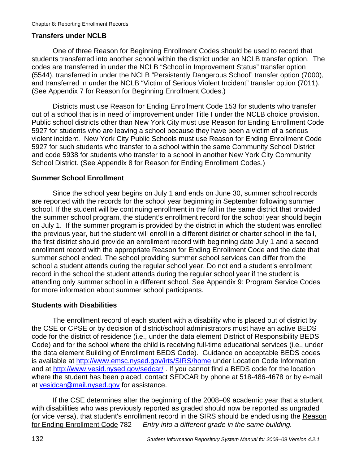## **Transfers under NCLB**

One of three Reason for Beginning Enrollment Codes should be used to record that students transferred into another school within the district under an NCLB transfer option. The codes are transferred in under the NCLB "School in Improvement Status" transfer option (5544), transferred in under the NCLB "Persistently Dangerous School" transfer option (7000), and transferred in under the NCLB "Victim of Serious Violent Incident" transfer option (7011). (See Appendix 7 for Reason for Beginning Enrollment Codes.)

Districts must use Reason for Ending Enrollment Code 153 for students who transfer out of a school that is in need of improvement under Title I under the NCLB choice provision. Public school districts other than New York City must use Reason for Ending Enrollment Code 5927 for students who are leaving a school because they have been a victim of a serious violent incident. New York City Public Schools must use Reason for Ending Enrollment Code 5927 for such students who transfer to a school within the same Community School District and code 5938 for students who transfer to a school in another New York City Community School District. (See Appendix 8 for Reason for Ending Enrollment Codes.)

## **Summer School Enrollment**

Since the school year begins on July 1 and ends on June 30, summer school records are reported with the records for the school year beginning in September following summer school. If the student will be continuing enrollment in the fall in the same district that provided the summer school program, the student's enrollment record for the school year should begin on July 1. If the summer program is provided by the district in which the student was enrolled the previous year, but the student will enroll in a different district or charter school in the fall, the first district should provide an enrollment record with beginning date July 1 and a second enrollment record with the appropriate Reason for Ending Enrollment Code and the date that summer school ended. The school providing summer school services can differ from the school a student attends during the regular school year. Do not end a student's enrollment record in the school the student attends during the regular school year if the student is attending only summer school in a different school. See Appendix 9: Program Service Codes for more information about summer school participants.

#### **Students with Disabilities**

The enrollment record of each student with a disability who is placed out of district by the CSE or CPSE or by decision of district/school administrators must have an active BEDS code for the district of residence (i.e., under the data element District of Responsibility BEDS Code) and for the school where the child is receiving full-time educational services (i.e., under the data element Building of Enrollment BEDS Code). Guidance on acceptable BEDS codes is available at http://www.emsc.nysed.gov/irts/SIRS/home under Location Code Information and at http://www.vesid.nysed.gov/sedcar/ . If you cannot find a BEDS code for the location where the student has been placed, contact SEDCAR by phone at 518-486-4678 or by e-mail at vesidcar@mail.nysed.gov for assistance.

If the CSE determines after the beginning of the 2008–09 academic year that a student with disabilities who was previously reported as graded should now be reported as ungraded (or vice versa), that student's enrollment record in the SIRS should be ended using the Reason for Ending Enrollment Code 782 — *Entry into a different grade in the same building.*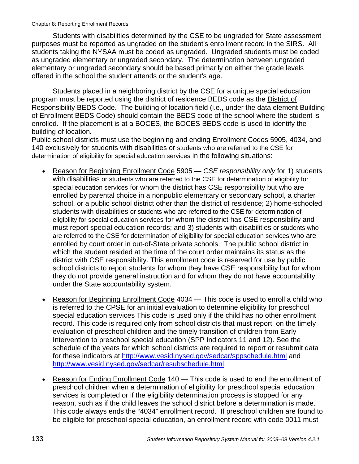Students with disabilities determined by the CSE to be ungraded for State assessment purposes must be reported as ungraded on the student's enrollment record in the SIRS. All students taking the NYSAA must be coded as ungraded. Ungraded students must be coded as ungraded elementary or ungraded secondary. The determination between ungraded elementary or ungraded secondary should be based primarily on either the grade levels offered in the school the student attends or the student's age.

Students placed in a neighboring district by the CSE for a unique special education program must be reported using the district of residence BEDS code as the District of Responsibility BEDS Code. The building of location field (i.e., under the data element Building of Enrollment BEDS Code) should contain the BEDS code of the school where the student is enrolled. If the placement is at a BOCES, the BOCES BEDS code is used to identify the building of location*.* 

Public school districts must use the beginning and ending Enrollment Codes 5905, 4034, and 140 exclusively for students with disabilities or students who are referred to the CSE for determination of eligibility for special education services in the following situations:

- Reason for Beginning Enrollment Code 5905 *CSE responsibility only* for 1) students with disabilities or students who are referred to the CSE for determination of eligibility for special education services for whom the district has CSE responsibility but who are enrolled by parental choice in a nonpublic elementary or secondary school, a charter school, or a public school district other than the district of residence; 2) home-schooled students with disabilities or students who are referred to the CSE for determination of eligibility for special education services for whom the district has CSE responsibility and must report special education records; and 3) students with disabilities or students who are referred to the CSE for determination of eligibility for special education services who are enrolled by court order in out-of-State private schools. The public school district in which the student resided at the time of the court order maintains its status as the district with CSE responsibility. This enrollment code is reserved for use by public school districts to report students for whom they have CSE responsibility but for whom they do not provide general instruction and for whom they do not have accountability under the State accountability system.
- Reason for Beginning Enrollment Code 4034 This code is used to enroll a child who is referred to the CPSE for an initial evaluation to determine eligibility for preschool special education services This code is used only if the child has no other enrollment record. This code is required only from school districts that must report on the timely evaluation of preschool children and the timely transition of children from Early Intervention to preschool special education (SPP Indicators 11 and 12). See the schedule of the years for which school districts are required to report or resubmit data for these indicators at http://www.vesid.nysed.gov/sedcar/sppschedule.html and http://www.vesid.nysed.gov/sedcar/resubschedule.html.
- Reason for Ending Enrollment Code 140 This code is used to end the enrollment of preschool children when a determination of eligibility for preschool special education services is completed or if the eligibility determination process is stopped for any reason, such as if the child leaves the school district before a determination is made. This code always ends the "4034" enrollment record. If preschool children are found to be eligible for preschool special education, an enrollment record with code 0011 must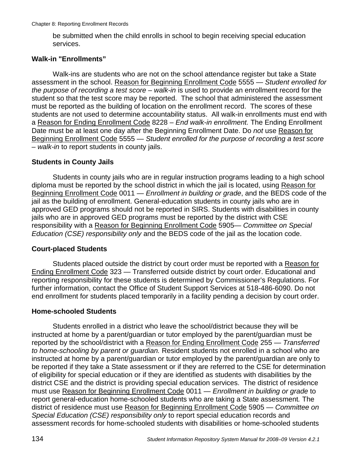be submitted when the child enrolls in school to begin receiving special education services.

## **Walk-in "Enrollments"**

Walk-ins are students who are not on the school attendance register but take a State assessment in the school. Reason for Beginning Enrollment Code 5555 — *Student enrolled for the purpose of recording a test score – walk-in* is used to provide an enrollment record for the student so that the test score may be reported. The school that administered the assessment must be reported as the building of location on the enrollment record. The scores of these students are not used to determine accountability status. All walk-in enrollments must end with a Reason for Ending Enrollment Code 8228 – *End walk-in enrollment.* The Ending Enrollment Date must be at least one day after the Beginning Enrollment Date. Do *not* use Reason for Beginning Enrollment Code 5555 — *Student enrolled for the purpose of recording a test score – walk-in* to report students in county jails.

## **Students in County Jails**

Students in county jails who are in regular instruction programs leading to a high school diploma must be reported by the school district in which the jail is located, using Reason for Beginning Enrollment Code 0011 — *Enrollment in building or grade*, and the BEDS code of the jail as the building of enrollment. General-education students in county jails who are in approved GED programs should not be reported in SIRS. Students with disabilities in county jails who are in approved GED programs must be reported by the district with CSE responsibility with a Reason for Beginning Enrollment Code 5905— *Committee on Special Education (CSE) responsibility only* and the BEDS code of the jail as the location code.

# **Court-placed Students**

Students placed outside the district by court order must be reported with a Reason for Ending Enrollment Code 323 — Transferred outside district by court order. Educational and reporting responsibility for these students is determined by Commissioner's Regulations. For further information, contact the Office of Student Support Services at 518-486-6090. Do not end enrollment for students placed temporarily in a facility pending a decision by court order.

## **Home-schooled Students**

Students enrolled in a district who leave the school/district because they will be instructed at home by a parent/guardian or tutor employed by the parent/guardian must be reported by the school/district with a Reason for Ending Enrollment Code 255 — *Transferred to home-schooling by parent or guardian.* Resident students not enrolled in a school who are instructed at home by a parent/guardian or tutor employed by the parent/guardian are only to be reported if they take a State assessment or if they are referred to the CSE for determination of eligibility for special education or if they are identified as students with disabilities by the district CSE and the district is providing special education services. The district of residence must use Reason for Beginning Enrollment Code 0011 — *Enrollment in building or grade* to report general-education home-schooled students who are taking a State assessment*.* The district of residence must use Reason for Beginning Enrollment Code 5905 — *Committee on Special Education (CSE) responsibility only* to report special education records and assessment records for home-schooled students with disabilities or home-schooled students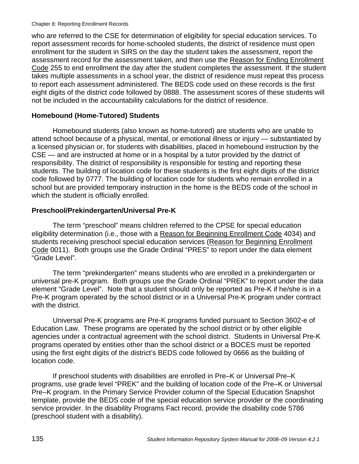who are referred to the CSE for determination of eligibility for special education services. To report assessment records for home-schooled students, the district of residence must open enrollment for the student in SIRS on the day the student takes the assessment, report the assessment record for the assessment taken, and then use the Reason for Ending Enrollment Code 255 to end enrollment the day after the student completes the assessment. If the student takes multiple assessments in a school year, the district of residence must repeat this process to report each assessment administered. The BEDS code used on these records is the first eight digits of the district code followed by 0888. The assessment scores of these students will not be included in the accountability calculations for the district of residence.

## **Homebound (Home-Tutored) Students**

Homebound students (also known as home-tutored) are students who are unable to attend school because of a physical, mental, or emotional illness or injury — substantiated by a licensed physician or, for students with disabilities, placed in homebound instruction by the CSE — and are instructed at home or in a hospital by a tutor provided by the district of responsibility. The district of responsibility is responsible for testing and reporting these students. The building of location code for these students is the first eight digits of the district code followed by 0777. The building of location code for students who remain enrolled in a school but are provided temporary instruction in the home is the BEDS code of the school in which the student is officially enrolled.

# **Preschool/Prekindergarten/Universal Pre-K**

The term "preschool" means children referred to the CPSE for special education eligibility determination (i.e., those with a Reason for Beginning Enrollment Code 4034) and students receiving preschool special education services (Reason for Beginning Enrollment Code 0011). Both groups use the Grade Ordinal "PRES" to report under the data element "Grade Level".

The term "prekindergarten" means students who are enrolled in a prekindergarten or universal pre-K program. Both groups use the Grade Ordinal "PREK" to report under the data element "Grade Level". Note that a student should only be reported as Pre-K if he/she is in a Pre-K program operated by the school district or in a Universal Pre-K program under contract with the district.

Universal Pre-K programs are Pre-K programs funded pursuant to Section 3602-e of Education Law. These programs are operated by the school district or by other eligible agencies under a contractual agreement with the school district. Students in Universal Pre-K programs operated by entities other than the school district or a BOCES must be reported using the first eight digits of the district's BEDS code followed by 0666 as the building of location code.

If preschool students with disabilities are enrolled in Pre–K or Universal Pre–K programs, use grade level "PREK" and the building of location code of the Pre–K or Universal Pre–K program. In the Primary Service Provider column of the Special Education Snapshot template, provide the BEDS code of the special education service provider or the coordinating service provider. In the disability Programs Fact record, provide the disability code 5786 (preschool student with a disability).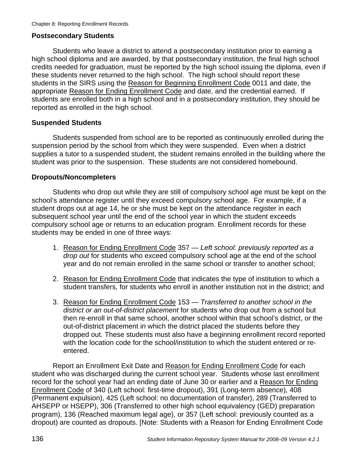## **Postsecondary Students**

Students who leave a district to attend a postsecondary institution prior to earning a high school diploma and are awarded, by that postsecondary institution, the final high school credits needed for graduation, must be reported by the high school issuing the diploma, even if these students never returned to the high school. The high school should report these students in the SIRS using the Reason for Beginning Enrollment Code 0011 and date, the appropriate Reason for Ending Enrollment Code and date, and the credential earned. If students are enrolled both in a high school and in a postsecondary institution, they should be reported as enrolled in the high school.

## **Suspended Students**

Students suspended from school are to be reported as continuously enrolled during the suspension period by the school from which they were suspended. Even when a district supplies a tutor to a suspended student, the student remains enrolled in the building where the student was prior to the suspension. These students are not considered homebound.

## **Dropouts/Noncompleters**

Students who drop out while they are still of compulsory school age must be kept on the school's attendance register until they exceed compulsory school age. For example, if a student drops out at age 14, he or she must be kept on the attendance register in each subsequent school year until the end of the school year in which the student exceeds compulsory school age or returns to an education program. Enrollment records for these students may be ended in one of three ways:

- 1. Reason for Ending Enrollment Code 357 *Left school: previously reported as a drop out* for students who exceed compulsory school age at the end of the school year and do not remain enrolled in the same school or transfer to another school;
- 2. Reason for Ending Enrollment Code that indicates the type of institution to which a student transfers, for students who enroll in another institution not in the district; and
- 3. Reason for Ending Enrollment Code 153 *Transferred to another school in the district or an out-of-district placement* for students who drop out from a school but then re-enroll in that same school, another school within that school's district, or the out-of-district placement in which the district placed the students before they dropped out. These students must also have a beginning enrollment record reported with the location code for the school/institution to which the student entered or reentered.

Report an Enrollment Exit Date and Reason for Ending Enrollment Code for each student who was discharged during the current school year. Students whose last enrollment record for the school year had an ending date of June 30 or earlier and a Reason for Ending Enrollment Code of 340 (Left school: first-time dropout), 391 (Long-term absence), 408 (Permanent expulsion), 425 (Left school: no documentation of transfer), 289 (Transferred to AHSEPP or HSEPP), 306 (Transferred to other high school equivalency (GED) preparation program), 136 (Reached maximum legal age), or 357 (Left school: previously counted as a dropout) are counted as dropouts. [Note: Students with a Reason for Ending Enrollment Code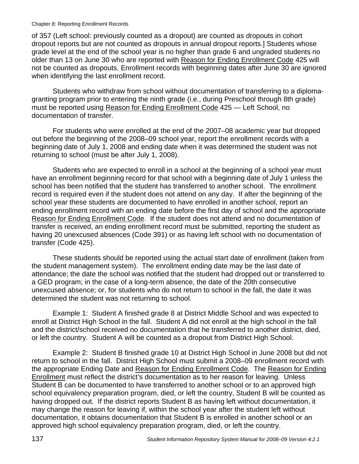#### Chapter 8: Reporting Enrollment Records

of 357 (Left school: previously counted as a dropout) are counted as dropouts in cohort dropout reports but are not counted as dropouts in annual dropout reports.] Students whose grade level at the end of the school year is no higher than grade 6 and ungraded students no older than 13 on June 30 who are reported with Reason for Ending Enrollment Code 425 will not be counted as dropouts. Enrollment records with beginning dates after June 30 are ignored when identifying the last enrollment record.

Students who withdraw from school without documentation of transferring to a diplomagranting program prior to entering the ninth grade (i.e., during Preschool through 8th grade) must be reported using Reason for Ending Enrollment Code 425 — Left School, no documentation of transfer.

For students who were enrolled at the end of the 2007–08 academic year but dropped out before the beginning of the 2008–09 school year, report the enrollment records with a beginning date of July 1, 2008 and ending date when it was determined the student was not returning to school (must be after July 1, 2008).

Students who are expected to enroll in a school at the beginning of a school year must have an enrollment beginning record for that school with a beginning date of July 1 unless the school has been notified that the student has transferred to another school. The enrollment record is required even if the student does not attend on any day. If after the beginning of the school year these students are documented to have enrolled in another school, report an ending enrollment record with an ending date before the first day of school and the appropriate Reason for Ending Enrollment Code. If the student does not attend and no documentation of transfer is received, an ending enrollment record must be submitted, reporting the student as having 20 unexcused absences (Code 391) or as having left school with no documentation of transfer (Code 425).

These students should be reported using the actual start date of enrollment (taken from the student management system). The enrollment ending date may be the last date of attendance; the date the school was notified that the student had dropped out or transferred to a GED program; in the case of a long-term absence, the date of the 20th consecutive unexcused absence; or, for students who do not return to school in the fall, the date it was determined the student was not returning to school.

Example 1: Student A finished grade 8 at District Middle School and was expected to enroll at District High School in the fall. Student A did not enroll at the high school in the fall and the district/school received no documentation that he transferred to another district, died, or left the country. Student A will be counted as a dropout from District High School.

Example 2: Student B finished grade 10 at District High School in June 2008 but did not return to school in the fall. District High School must submit a 2008–09 enrollment record with the appropriate Ending Date and Reason for Ending Enrollment Code. The Reason for Ending Enrollment must reflect the district's documentation as to her reason for leaving. Unless Student B can be documented to have transferred to another school or to an approved high school equivalency preparation program, died, or left the country, Student B will be counted as having dropped out. If the district reports Student B as having left without documentation, it may change the reason for leaving if, within the school year after the student left without documentation, it obtains documentation that Student B is enrolled in another school or an approved high school equivalency preparation program, died, or left the country.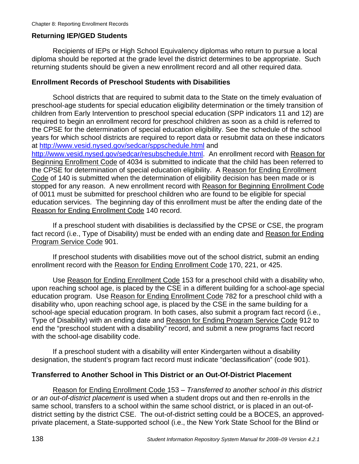#### **Returning IEP/GED Students**

Recipients of IEPs or High School Equivalency diplomas who return to pursue a local diploma should be reported at the grade level the district determines to be appropriate. Such returning students should be given a new enrollment record and all other required data.

#### **Enrollment Records of Preschool Students with Disabilities**

School districts that are required to submit data to the State on the timely evaluation of preschool-age students for special education eligibility determination or the timely transition of children from Early Intervention to preschool special education (SPP indicators 11 and 12) are required to begin an enrollment record for preschool children as soon as a child is referred to the CPSE for the determination of special education eligibility. See the schedule of the school years for which school districts are required to report data or resubmit data on these indicators at http://www.vesid.nysed.gov/sedcar/sppschedule.html and

http://www.vesid.nysed.gov/sedcar/resubschedule.html. An enrollment record with Reason for Beginning Enrollment Code of 4034 is submitted to indicate that the child has been referred to the CPSE for determination of special education eligibility. A Reason for Ending Enrollment Code of 140 is submitted when the determination of eligibility decision has been made or is stopped for any reason. A new enrollment record with Reason for Beginning Enrollment Code of 0011 must be submitted for preschool children who are found to be eligible for special education services. The beginning day of this enrollment must be after the ending date of the Reason for Ending Enrollment Code 140 record.

If a preschool student with disabilities is declassified by the CPSE or CSE, the program fact record (i.e., Type of Disability) must be ended with an ending date and Reason for Ending Program Service Code 901.

If preschool students with disabilities move out of the school district, submit an ending enrollment record with the Reason for Ending Enrollment Code 170, 221, or 425.

Use Reason for Ending Enrollment Code 153 for a preschool child with a disability who, upon reaching school age, is placed by the CSE in a different building for a school-age special education program. Use Reason for Ending Enrollment Code 782 for a preschool child with a disability who, upon reaching school age, is placed by the CSE in the same building for a school-age special education program. In both cases, also submit a program fact record (i.e., Type of Disability) with an ending date and Reason for Ending Program Service Code 912 to end the "preschool student with a disability" record, and submit a new programs fact record with the school-age disability code.

If a preschool student with a disability will enter Kindergarten without a disability designation, the student's program fact record must indicate "declassification" (code 901).

#### **Transferred to Another School in This District or an Out-Of-District Placement**

Reason for Ending Enrollment Code 153 *– Transferred to another school in this district or an out-of-district placement* is used when a student drops out and then re-enrolls in the same school, transfers to a school within the same school district, or is placed in an out-ofdistrict setting by the district CSE. The out-of-district setting could be a BOCES, an approvedprivate placement, a State-supported school (i.e., the New York State School for the Blind or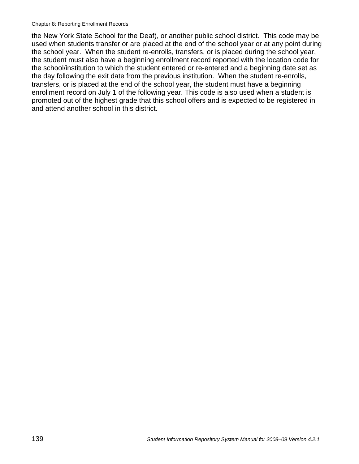#### Chapter 8: Reporting Enrollment Records

the New York State School for the Deaf), or another public school district. This code may be used when students transfer or are placed at the end of the school year or at any point during the school year. When the student re-enrolls, transfers, or is placed during the school year, the student must also have a beginning enrollment record reported with the location code for the school/institution to which the student entered or re-entered and a beginning date set as the day following the exit date from the previous institution. When the student re-enrolls, transfers, or is placed at the end of the school year, the student must have a beginning enrollment record on July 1 of the following year. This code is also used when a student is promoted out of the highest grade that this school offers and is expected to be registered in and attend another school in this district.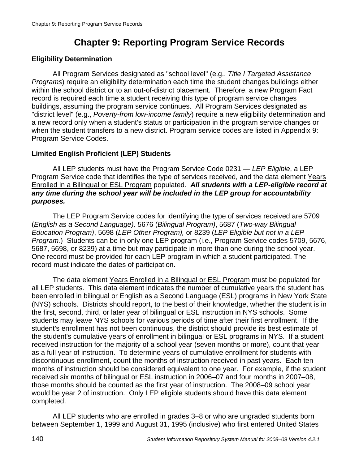# **Chapter 9: Reporting Program Service Records**

#### **Eligibility Determination**

All Program Services designated as "school level" (e.g., *Title I Targeted Assistance Programs*) require an eligibility determination each time the student changes buildings either within the school district or to an out-of-district placement. Therefore, a new Program Fact record is required each time a student receiving this type of program service changes buildings, assuming the program service continues. All Program Services designated as "district level" (e.g., *Poverty-from low-income family*) require a new eligibility determination and a new record only when a student's status or participation in the program service changes or when the student transfers to a new district. Program service codes are listed in Appendix 9: Program Service Codes.

#### **Limited English Proficient (LEP) Students**

All LEP students must have the Program Service Code 0231 — *LEP Eligible*, a LEP Program Service code that identifies the type of services received, and the data element Years Enrolled in a Bilingual or ESL Program populated. *All students with a LEP-eligible record at any time during the school year will be included in the LEP group for accountability purposes.*

The LEP Program Service codes for identifying the type of services received are 5709 (*English as a Second Language),* 5676 (*Bilingual Program)*, 5687 (*Two-way Bilingual Education Program)*, 5698 (*LEP Other Program),* or 8239 (*LEP Eligible but not in a LEP Program.*) Students can be in only one LEP program (i.e., Program Service codes 5709, 5676, 5687, 5698, or 8239) at a time but may participate in more than one during the school year. One record must be provided for each LEP program in which a student participated. The record must indicate the dates of participation.

The data element Years Enrolled in a Bilingual or ESL Program must be populated for all LEP students. This data element indicates the number of cumulative years the student has been enrolled in bilingual or English as a Second Language (ESL) programs in New York State (NYS) schools. Districts should report, to the best of their knowledge, whether the student is in the first, second, third, or later year of bilingual or ESL instruction in NYS schools. Some students may leave NYS schools for various periods of time after their first enrollment. If the student's enrollment has not been continuous, the district should provide its best estimate of the student's cumulative years of enrollment in bilingual or ESL programs in NYS. If a student received instruction for the majority of a school year (seven months or more), count that year as a full year of instruction. To determine years of cumulative enrollment for students with discontinuous enrollment, count the months of instruction received in past years. Each ten months of instruction should be considered equivalent to one year. For example, if the student received six months of bilingual or ESL instruction in 2006–07 and four months in 2007–08, those months should be counted as the first year of instruction. The 2008–09 school year would be year 2 of instruction. Only LEP eligible students should have this data element completed.

All LEP students who are enrolled in grades 3–8 or who are ungraded students born between September 1, 1999 and August 31, 1995 (inclusive) who first entered United States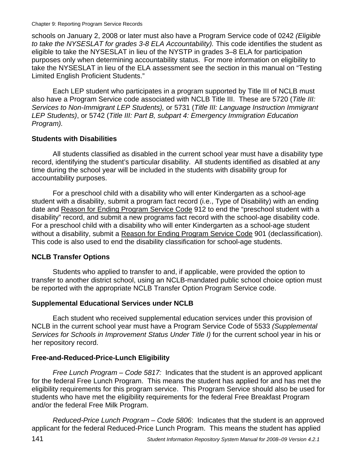Chapter 9: Reporting Program Service Records

schools on January 2, 2008 or later must also have a Program Service code of 0242 *(Eligible to take the NYSESLAT for grades 3-8 ELA Accountability).* This code identifies the student as eligible to take the NYSESLAT in lieu of the NYSTP in grades 3–8 ELA for participation purposes only when determining accountability status. For more information on eligibility to take the NYSESLAT in lieu of the ELA assessment see the section in this manual on "Testing Limited English Proficient Students."

Each LEP student who participates in a program supported by Title III of NCLB must also have a Program Service code associated with NCLB Title III. These are 5720 (*Title III: Services to Non-Immigrant LEP Students),* or 5731 (*Title III: Language Instruction Immigrant LEP Students)*, or 5742 (*Title III: Part B, subpart 4: Emergency Immigration Education Program).* 

#### **Students with Disabilities**

All students classified as disabled in the current school year must have a disability type record, identifying the student's particular disability. All students identified as disabled at any time during the school year will be included in the students with disability group for accountability purposes.

For a preschool child with a disability who will enter Kindergarten as a school-age student with a disability, submit a program fact record (i.e., Type of Disability) with an ending date and Reason for Ending Program Service Code 912 to end the "preschool student with a disability" record, and submit a new programs fact record with the school-age disability code. For a preschool child with a disability who will enter Kindergarten as a school-age student without a disability, submit a Reason for Ending Program Service Code 901 (declassification). This code is also used to end the disability classification for school-age students.

## **NCLB Transfer Options**

Students who applied to transfer to and, if applicable, were provided the option to transfer to another district school, using an NCLB-mandated public school choice option must be reported with the appropriate NCLB Transfer Option Program Service code.

## **Supplemental Educational Services under NCLB**

Each student who received supplemental education services under this provision of NCLB in the current school year must have a Program Service Code of 5533 *(Supplemental Services for Schools in Improvement Status Under Title I)* for the current school year in his or her repository record.

## **Free-and-Reduced-Price-Lunch Eligibility**

*Free Lunch Program – Code 5817:* Indicates that the student is an approved applicant for the federal Free Lunch Program. This means the student has applied for and has met the eligibility requirements for this program service. This Program Service should also be used for students who have met the eligibility requirements for the federal Free Breakfast Program and/or the federal Free Milk Program.

*Reduced-Price Lunch Program – Code 5806*: Indicates that the student is an approved applicant for the federal Reduced-Price Lunch Program. This means the student has applied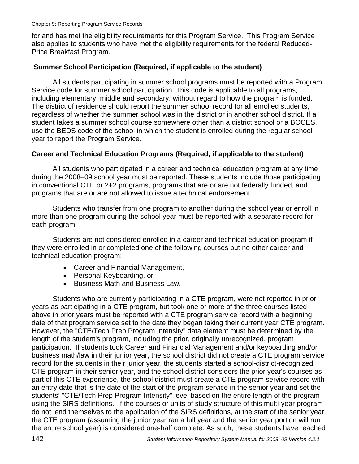for and has met the eligibility requirements for this Program Service. This Program Service also applies to students who have met the eligibility requirements for the federal Reduced-Price Breakfast Program.

#### **Summer School Participation (Required, if applicable to the student)**

All students participating in summer school programs must be reported with a Program Service code for summer school participation. This code is applicable to all programs, including elementary, middle and secondary, without regard to how the program is funded. The district of residence should report the summer school record for all enrolled students, regardless of whether the summer school was in the district or in another school district. If a student takes a summer school course somewhere other than a district school or a BOCES, use the BEDS code of the school in which the student is enrolled during the regular school year to report the Program Service.

#### **Career and Technical Education Programs (Required, if applicable to the student)**

All students who participated in a career and technical education program at any time during the 2008–09 school year must be reported. These students include those participating in conventional CTE or 2+2 programs, programs that are or are not federally funded, and programs that are or are not allowed to issue a technical endorsement.

Students who transfer from one program to another during the school year or enroll in more than one program during the school year must be reported with a separate record for each program.

Students are not considered enrolled in a career and technical education program if they were enrolled in or completed one of the following courses but no other career and technical education program:

- Career and Financial Management,
- Personal Keyboarding, or
- Business Math and Business Law.

Students who are currently participating in a CTE program, were not reported in prior years as participating in a CTE program, but took one or more of the three courses listed above in prior years must be reported with a CTE program service record with a beginning date of that program service set to the date they began taking their current year CTE program. However, the "CTE/Tech Prep Program Intensity" data element must be determined by the length of the student's program, including the prior, originally unrecognized, program participation. If students took Career and Financial Management and/or keyboarding and/or business math/law in their junior year, the school district did not create a CTE program service record for the students in their junior year, the students started a school-district-recognized CTE program in their senior year, and the school district considers the prior year's courses as part of this CTE experience, the school district must create a CTE program service record with an entry date that is the date of the start of the program service in the senior year and set the students' "CTE/Tech Prep Program Intensity" level based on the entire length of the program using the SIRS definitions. If the courses or units of study structure of this multi-year program do not lend themselves to the application of the SIRS definitions, at the start of the senior year the CTE program (assuming the junior year ran a full year and the senior year portion will run the entire school year) is considered one-half complete. As such, these students have reached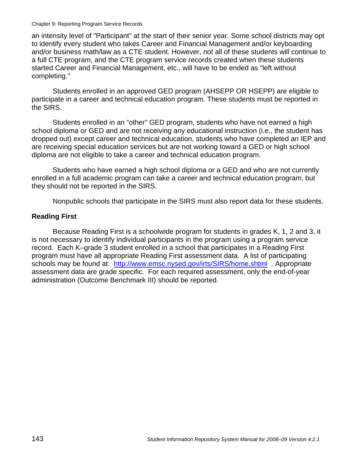#### Chapter 9: Reporting Program Service Records

an intensity level of "Participant" at the start of their senior year. Some school districts may opt to identify every student who takes Career and Financial Management and/or keyboarding and/or business math/law as a CTE student. However, not all of these students will continue to a full CTE program, and the CTE program service records created when these students started Career and Financial Management, etc., will have to be ended as "left without completing."

Students enrolled in an approved GED program (AHSEPP OR HSEPP) are eligible to participate in a career and technical education program. These students must be reported in the SIRS.

Students enrolled in an "other" GED program, students who have not earned a high school diploma or GED and are not receiving any educational instruction (i.e., the student has dropped out) except career and technical education, students who have completed an IEP and are receiving special education services but are not working toward a GED or high school diploma are not eligible to take a career and technical education program.

Students who have earned a high school diploma or a GED and who are not currently enrolled in a full academic program can take a career and technical education program, but they should not be reported in the SIRS.

Nonpublic schools that participate in the SIRS must also report data for these students.

#### **Reading First**

Because Reading First is a schoolwide program for students in grades K, 1, 2 and 3, it is not necessary to identify individual participants in the program using a program service record. Each K–grade 3 student enrolled in a school that participates in a Reading First program must have all appropriate Reading First assessment data. A list of participating schools may be found at: http://www.emsc.nysed.gov/irts/SIRS/home.shtml . Appropriate assessment data are grade specific. For each required assessment, only the end-of-year administration (Outcome Benchmark III) should be reported.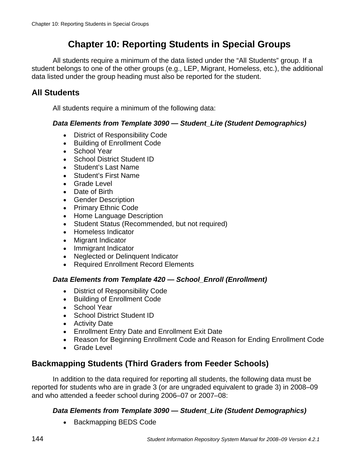# **Chapter 10: Reporting Students in Special Groups**

All students require a minimum of the data listed under the "All Students" group. If a student belongs to one of the other groups (e.g., LEP, Migrant, Homeless, etc.), the additional data listed under the group heading must also be reported for the student.

## **All Students**

All students require a minimum of the following data:

#### *Data Elements from Template 3090 — Student\_Lite (Student Demographics)*

- District of Responsibility Code
- Building of Enrollment Code
- School Year
- School District Student ID
- Student's Last Name
- Student's First Name
- Grade Level
- Date of Birth
- Gender Description
- Primary Ethnic Code
- Home Language Description
- Student Status (Recommended, but not required)
- Homeless Indicator
- Migrant Indicator
- Immigrant Indicator
- Neglected or Delinquent Indicator
- Required Enrollment Record Elements

#### *Data Elements from Template 420 — School\_Enroll (Enrollment)*

- District of Responsibility Code
- Building of Enrollment Code
- School Year
- School District Student ID
- Activity Date
- Enrollment Entry Date and Enrollment Exit Date
- Reason for Beginning Enrollment Code and Reason for Ending Enrollment Code
- Grade Level

## **Backmapping Students (Third Graders from Feeder Schools)**

In addition to the data required for reporting all students, the following data must be reported for students who are in grade 3 (or are ungraded equivalent to grade 3) in 2008–09 and who attended a feeder school during 2006–07 or 2007–08:

## *Data Elements from Template 3090 — Student\_Lite (Student Demographics)*

• Backmapping BEDS Code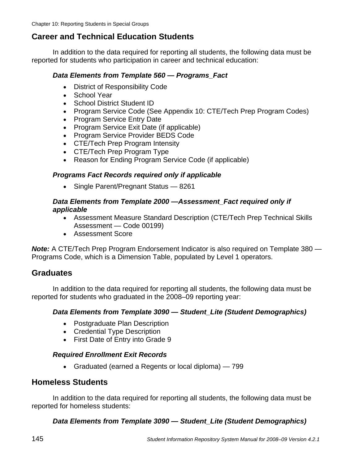## **Career and Technical Education Students**

In addition to the data required for reporting all students, the following data must be reported for students who participation in career and technical education:

#### *Data Elements from Template 560 — Programs\_Fact*

- District of Responsibility Code
- School Year
- School District Student ID
- Program Service Code (See Appendix 10: CTE/Tech Prep Program Codes)
- Program Service Entry Date
- Program Service Exit Date (if applicable)
- Program Service Provider BEDS Code
- CTE/Tech Prep Program Intensity
- CTE/Tech Prep Program Type
- Reason for Ending Program Service Code (if applicable)

#### *Programs Fact Records required only if applicable*

• Single Parent/Pregnant Status — 8261

#### *Data Elements from Template 2000 —Assessment\_Fact required only if applicable*

- Assessment Measure Standard Description (CTE/Tech Prep Technical Skills Assessment — Code 00199)
- Assessment Score

*Note:* A CTE/Tech Prep Program Endorsement Indicator is also required on Template 380 — Programs Code, which is a Dimension Table, populated by Level 1 operators.

## **Graduates**

In addition to the data required for reporting all students, the following data must be reported for students who graduated in the 2008–09 reporting year:

#### *Data Elements from Template 3090 — Student\_Lite (Student Demographics)*

- Postgraduate Plan Description
- Credential Type Description
- First Date of Entry into Grade 9

#### *Required Enrollment Exit Records*

• Graduated (earned a Regents or local diploma) — 799

### **Homeless Students**

In addition to the data required for reporting all students, the following data must be reported for homeless students:

#### *Data Elements from Template 3090 — Student\_Lite (Student Demographics)*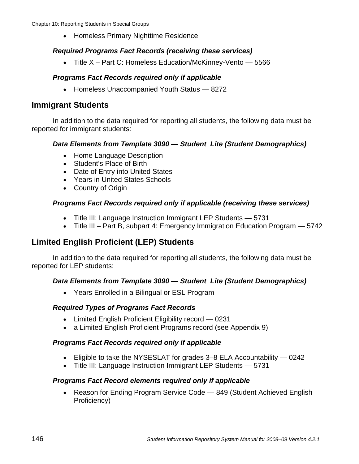• Homeless Primary Nighttime Residence

#### *Required Programs Fact Records (receiving these services)*

• Title X – Part C: Homeless Education/McKinney-Vento — 5566

#### *Programs Fact Records required only if applicable*

• Homeless Unaccompanied Youth Status — 8272

### **Immigrant Students**

In addition to the data required for reporting all students, the following data must be reported for immigrant students:

#### *Data Elements from Template 3090 — Student\_Lite (Student Demographics)*

- Home Language Description
- Student's Place of Birth
- Date of Entry into United States
- Years in United States Schools
- Country of Origin

#### *Programs Fact Records required only if applicable (receiving these services)*

- Title III: Language Instruction Immigrant LEP Students 5731
- Title III Part B, subpart 4: Emergency Immigration Education Program 5742

## **Limited English Proficient (LEP) Students**

In addition to the data required for reporting all students, the following data must be reported for LEP students:

#### *Data Elements from Template 3090 — Student\_Lite (Student Demographics)*

• Years Enrolled in a Bilingual or ESL Program

#### *Required Types of Programs Fact Records*

- Limited English Proficient Eligibility record 0231
- a Limited English Proficient Programs record (see Appendix 9)

#### *Programs Fact Records required only if applicable*

- Eligible to take the NYSESLAT for grades 3–8 ELA Accountability 0242
- Title III: Language Instruction Immigrant LEP Students 5731

#### *Programs Fact Record elements required only if applicable*

• Reason for Ending Program Service Code — 849 (Student Achieved English Proficiency)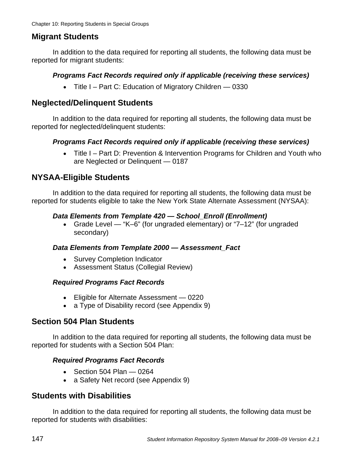## **Migrant Students**

In addition to the data required for reporting all students, the following data must be reported for migrant students:

#### *Programs Fact Records required only if applicable (receiving these services)*

• Title I – Part C: Education of Migratory Children — 0330

## **Neglected/Delinquent Students**

In addition to the data required for reporting all students, the following data must be reported for neglected/delinquent students:

#### *Programs Fact Records required only if applicable (receiving these services)*

• Title I – Part D: Prevention & Intervention Programs for Children and Youth who are Neglected or Delinquent — 0187

## **NYSAA-Eligible Students**

In addition to the data required for reporting all students, the following data must be reported for students eligible to take the New York State Alternate Assessment (NYSAA):

#### *Data Elements from Template 420 — School\_Enroll (Enrollment)*

• Grade Level — "K–6" (for ungraded elementary) or "7–12" (for ungraded secondary)

#### *Data Elements from Template 2000 — Assessment\_Fact*

- Survey Completion Indicator
- Assessment Status (Collegial Review)

#### *Required Programs Fact Records*

- Eligible for Alternate Assessment 0220
- a Type of Disability record (see Appendix 9)

## **Section 504 Plan Students**

In addition to the data required for reporting all students, the following data must be reported for students with a Section 504 Plan:

#### *Required Programs Fact Records*

- $\bullet$  Section 504 Plan  $-$  0264
- a Safety Net record (see Appendix 9)

## **Students with Disabilities**

In addition to the data required for reporting all students, the following data must be reported for students with disabilities: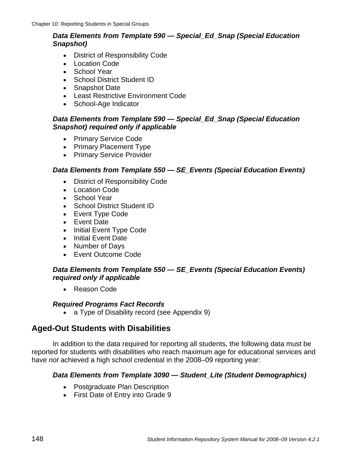#### *Data Elements from Template 590 — Special\_Ed\_Snap (Special Education Snapshot)*

- District of Responsibility Code
- Location Code
- School Year
- School District Student ID
- Snapshot Date
- Least Restrictive Environment Code
- School-Age Indicator

#### *Data Elements from Template 590 — Special\_Ed\_Snap (Special Education Snapshot) required only if applicable*

- Primary Service Code
- Primary Placement Type
- Primary Service Provider

#### *Data Elements from Template 550 — SE\_Events (Special Education Events)*

- District of Responsibility Code
- Location Code
- School Year
- School District Student ID
- Event Type Code
- Event Date
- Initial Event Type Code
- Initial Event Date
- Number of Days
- Event Outcome Code

#### *Data Elements from Template 550 — SE\_Events (Special Education Events) required only if applicable*

• Reason Code

#### *Required Programs Fact Records*

• a Type of Disability record (see Appendix 9)

## **Aged-Out Students with Disabilities**

In addition to the data required for reporting all students, the following data must be reported for students with disabilities who reach maximum age for educational services and have *not* achieved a high school credential in the 2008–09 reporting year:

#### *Data Elements from Template 3090 — Student\_Lite (Student Demographics)*

- Postgraduate Plan Description
- First Date of Entry into Grade 9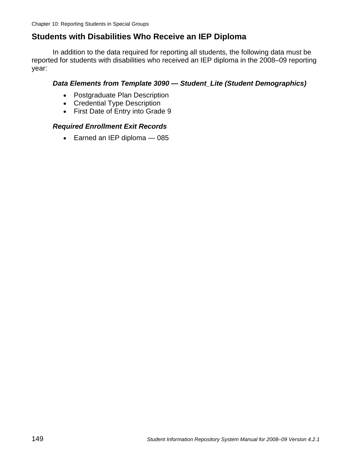## **Students with Disabilities Who Receive an IEP Diploma**

In addition to the data required for reporting all students, the following data must be reported for students with disabilities who received an IEP diploma in the 2008–09 reporting year:

#### *Data Elements from Template 3090 — Student\_Lite (Student Demographics)*

- Postgraduate Plan Description
- Credential Type Description
- First Date of Entry into Grade 9

#### *Required Enrollment Exit Records*

• Earned an IEP diploma - 085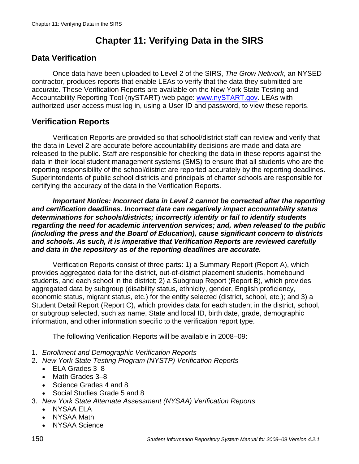# **Chapter 11: Verifying Data in the SIRS**

## **Data Verification**

Once data have been uploaded to Level 2 of the SIRS, *The Grow Network*, an NYSED contractor, produces reports that enable LEAs to verify that the data they submitted are accurate. These Verification Reports are available on the New York State Testing and Accountability Reporting Tool (nySTART) web page: www.nySTART.gov. LEAs with authorized user access must log in, using a User ID and password, to view these reports.

## **Verification Reports**

Verification Reports are provided so that school/district staff can review and verify that the data in Level 2 are accurate before accountability decisions are made and data are released to the public. Staff are responsible for checking the data in these reports against the data in their local student management systems (SMS) to ensure that all students who are the reporting responsibility of the school/district are reported accurately by the reporting deadlines. Superintendents of public school districts and principals of charter schools are responsible for certifying the accuracy of the data in the Verification Reports.

*Important Notice: Incorrect data in Level 2 cannot be corrected after the reporting and certification deadlines. Incorrect data can negatively impact accountability status determinations for schools/districts; incorrectly identify or fail to identify students regarding the need for academic intervention services; and, when released to the public (including the press and the Board of Education), cause significant concern to districts and schools. As such, it is imperative that Verification Reports are reviewed carefully and data in the repository as of the reporting deadlines are accurate.*

Verification Reports consist of three parts: 1) a Summary Report (Report A), which provides aggregated data for the district, out-of-district placement students, homebound students, and each school in the district; 2) a Subgroup Report (Report B), which provides aggregated data by subgroup (disability status, ethnicity, gender, English proficiency, economic status, migrant status, etc.) for the entity selected (district, school, etc.); and 3) a Student Detail Report (Report C), which provides data for each student in the district, school, or subgroup selected, such as name, State and local ID, birth date, grade, demographic information, and other information specific to the verification report type.

The following Verification Reports will be available in 2008–09:

- 1. *Enrollment and Demographic Verification Reports*
- 2. *New York State Testing Program (NYSTP) Verification Reports* 
	- ELA Grades 3–8
	- Math Grades 3–8
	- Science Grades 4 and 8
	- Social Studies Grade 5 and 8
- 3. *New York State Alternate Assessment (NYSAA) Verification Reports* 
	- NYSAA ELA
	- NYSAA Math
	- NYSAA Science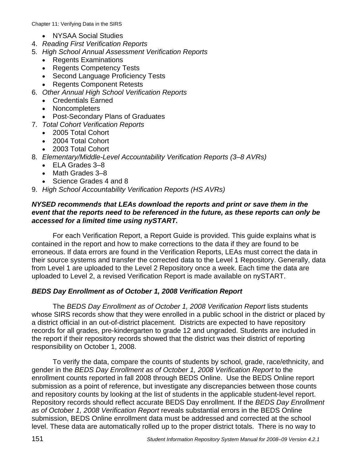Chapter 11: Verifying Data in the SIRS

- NYSAA Social Studies
- 4. *Reading First Verification Reports*
- 5. *High School Annual Assessment Verification Reports* 
	- Regents Examinations
	- Regents Competency Tests
	- Second Language Proficiency Tests
	- Regents Component Retests
- 6. *Other Annual High School Verification Reports* 
	- Credentials Earned
	- Noncompleters
	- Post-Secondary Plans of Graduates
- 7. *Total Cohort Verification Reports* 
	- 2005 Total Cohort
	- 2004 Total Cohort
	- 2003 Total Cohort
- 8. *Elementary/Middle-Level Accountability Verification Reports (3–8 AVRs)* 
	- ELA Grades 3–8
	- Math Grades 3–8
	- Science Grades 4 and 8
- 9. *High School Accountability Verification Reports (HS AVRs)*

#### *NYSED recommends that LEAs download the reports and print or save them in the event that the reports need to be referenced in the future, as these reports can only be accessed for a limited time using nySTART.*

For each Verification Report, a Report Guide is provided. This guide explains what is contained in the report and how to make corrections to the data if they are found to be erroneous. If data errors are found in the Verification Reports, LEAs must correct the data in their source systems and transfer the corrected data to the Level 1 Repository. Generally, data from Level 1 are uploaded to the Level 2 Repository once a week. Each time the data are uploaded to Level 2, a revised Verification Report is made available on nySTART.

#### *BEDS Day Enrollment as of October 1, 2008 Verification Report*

The *BEDS Day Enrollment as of October 1, 2008 Verification Report* lists students whose SIRS records show that they were enrolled in a public school in the district or placed by a district official in an out-of-district placement. Districts are expected to have repository records for all grades, pre-kindergarten to grade 12 and ungraded. Students are included in the report if their repository records showed that the district was their district of reporting responsibility on October 1, 2008.

To verify the data, compare the counts of students by school, grade, race/ethnicity, and gender in the *BEDS Day Enrollment as of October 1, 2008 Verification Report* to the enrollment counts reported in fall 2008 through BEDS Online. Use the BEDS Online report submission as a point of reference, but investigate any discrepancies between those counts and repository counts by looking at the list of students in the applicable student-level report. Repository records should reflect accurate BEDS Day enrollment. If the *BEDS Day Enrollment as of October 1, 2008 Verification Report* reveals substantial errors in the BEDS Online submission, BEDS Online enrollment data must be addressed and corrected at the school level. These data are automatically rolled up to the proper district totals. There is no way to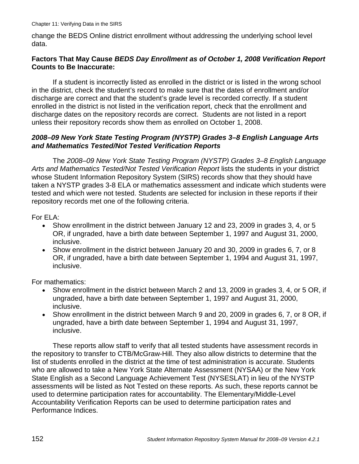change the BEDS Online district enrollment without addressing the underlying school level data.

#### **Factors That May Cause** *BEDS Day Enrollment as of October 1, 2008 Verification Report*  **Counts to Be Inaccurate:**

If a student is incorrectly listed as enrolled in the district or is listed in the wrong school in the district, check the student's record to make sure that the dates of enrollment and/or discharge are correct and that the student's grade level is recorded correctly. If a student enrolled in the district is not listed in the verification report, check that the enrollment and discharge dates on the repository records are correct. Students are not listed in a report unless their repository records show them as enrolled on October 1, 2008.

#### *2008–09 New York State Testing Program (NYSTP) Grades 3–8 English Language Arts and Mathematics Tested/Not Tested Verification Reports*

The *2008–09 New York State Testing Program (NYSTP) Grades 3–8 English Language Arts and Mathematics Tested/Not Tested Verification Report* lists the students in your district whose Student Information Repository System (SIRS) records show that they should have taken a NYSTP grades 3-8 ELA or mathematics assessment and indicate which students were tested and which were not tested. Students are selected for inclusion in these reports if their repository records met one of the following criteria.

For ELA:

- Show enrollment in the district between January 12 and 23, 2009 in grades 3, 4, or 5 OR, if ungraded, have a birth date between September 1, 1997 and August 31, 2000, inclusive.
- Show enrollment in the district between January 20 and 30, 2009 in grades 6, 7, or 8 OR, if ungraded, have a birth date between September 1, 1994 and August 31, 1997, inclusive.

For mathematics:

- Show enrollment in the district between March 2 and 13, 2009 in grades 3, 4, or 5 OR, if ungraded, have a birth date between September 1, 1997 and August 31, 2000, inclusive.
- Show enrollment in the district between March 9 and 20, 2009 in grades 6, 7, or 8 OR, if ungraded, have a birth date between September 1, 1994 and August 31, 1997, inclusive.

These reports allow staff to verify that all tested students have assessment records in the repository to transfer to CTB/McGraw-Hill. They also allow districts to determine that the list of students enrolled in the district at the time of test administration is accurate. Students who are allowed to take a New York State Alternate Assessment (NYSAA) or the New York State English as a Second Language Achievement Test (NYSESLAT) in lieu of the NYSTP assessments will be listed as Not Tested on these reports. As such, these reports cannot be used to determine participation rates for accountability. The Elementary/Middle-Level Accountability Verification Reports can be used to determine participation rates and Performance Indices.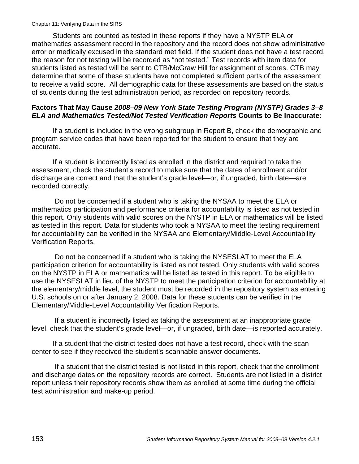Students are counted as tested in these reports if they have a NYSTP ELA or mathematics assessment record in the repository and the record does not show administrative error or medically excused in the standard met field. If the student does not have a test record, the reason for not testing will be recorded as "not tested." Test records with item data for students listed as tested will be sent to CTB/McGraw Hill for assignment of scores. CTB may determine that some of these students have not completed sufficient parts of the assessment to receive a valid score. All demographic data for these assessments are based on the status of students during the test administration period, as recorded on repository records.

#### **Factors That May Cause** *2008–09 New York State Testing Program (NYSTP) Grades 3–8 ELA and Mathematics Tested/Not Tested Verification Reports* **Counts to Be Inaccurate:**

If a student is included in the wrong subgroup in Report B, check the demographic and program service codes that have been reported for the student to ensure that they are accurate.

If a student is incorrectly listed as enrolled in the district and required to take the assessment, check the student's record to make sure that the dates of enrollment and/or discharge are correct and that the student's grade level—or, if ungraded, birth date—are recorded correctly.

 Do not be concerned if a student who is taking the NYSAA to meet the ELA or mathematics participation and performance criteria for accountability is listed as not tested in this report. Only students with valid scores on the NYSTP in ELA or mathematics will be listed as tested in this report. Data for students who took a NYSAA to meet the testing requirement for accountability can be verified in the NYSAA and Elementary/Middle-Level Accountability Verification Reports.

 Do not be concerned if a student who is taking the NYSESLAT to meet the ELA participation criterion for accountability is listed as not tested. Only students with valid scores on the NYSTP in ELA or mathematics will be listed as tested in this report. To be eligible to use the NYSESLAT in lieu of the NYSTP to meet the participation criterion for accountability at the elementary/middle level, the student must be recorded in the repository system as entering U.S. schools on or after January 2, 2008. Data for these students can be verified in the Elementary/Middle-Level Accountability Verification Reports.

 If a student is incorrectly listed as taking the assessment at an inappropriate grade level, check that the student's grade level—or, if ungraded, birth date—is reported accurately.

If a student that the district tested does not have a test record, check with the scan center to see if they received the student's scannable answer documents.

 If a student that the district tested is not listed in this report, check that the enrollment and discharge dates on the repository records are correct. Students are not listed in a district report unless their repository records show them as enrolled at some time during the official test administration and make-up period.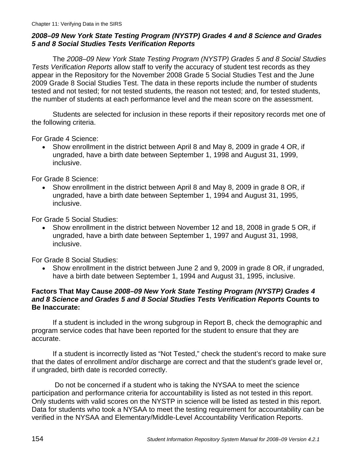#### *2008–09 New York State Testing Program (NYSTP) Grades 4 and 8 Science and Grades 5 and 8 Social Studies Tests Verification Reports*

The *2008–09 New York State Testing Program (NYSTP) Grades 5 and 8 Social Studies Tests Verification Reports* allow staff to verify the accuracy of student test records as they appear in the Repository for the November 2008 Grade 5 Social Studies Test and the June 2009 Grade 8 Social Studies Test. The data in these reports include the number of students tested and not tested; for not tested students, the reason not tested; and, for tested students, the number of students at each performance level and the mean score on the assessment.

Students are selected for inclusion in these reports if their repository records met one of the following criteria.

For Grade 4 Science:

• Show enrollment in the district between April 8 and May 8, 2009 in grade 4 OR, if ungraded, have a birth date between September 1, 1998 and August 31, 1999, inclusive.

For Grade 8 Science:

• Show enrollment in the district between April 8 and May 8, 2009 in grade 8 OR, if ungraded, have a birth date between September 1, 1994 and August 31, 1995, inclusive.

For Grade 5 Social Studies:

• Show enrollment in the district between November 12 and 18, 2008 in grade 5 OR, if ungraded, have a birth date between September 1, 1997 and August 31, 1998, inclusive.

For Grade 8 Social Studies:

• Show enrollment in the district between June 2 and 9, 2009 in grade 8 OR, if ungraded, have a birth date between September 1, 1994 and August 31, 1995, inclusive.

#### **Factors That May Cause** *2008–09 New York State Testing Program (NYSTP) Grades 4 and 8 Science and Grades 5 and 8 Social Studies Tests Verification Reports* **Counts to Be Inaccurate:**

If a student is included in the wrong subgroup in Report B, check the demographic and program service codes that have been reported for the student to ensure that they are accurate.

If a student is incorrectly listed as "Not Tested," check the student's record to make sure that the dates of enrollment and/or discharge are correct and that the student's grade level or, if ungraded, birth date is recorded correctly.

 Do not be concerned if a student who is taking the NYSAA to meet the science participation and performance criteria for accountability is listed as not tested in this report. Only students with valid scores on the NYSTP in science will be listed as tested in this report. Data for students who took a NYSAA to meet the testing requirement for accountability can be verified in the NYSAA and Elementary/Middle-Level Accountability Verification Reports.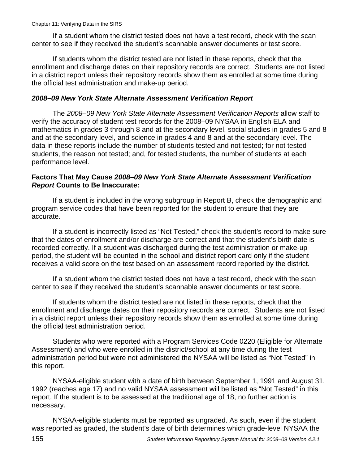If a student whom the district tested does not have a test record, check with the scan center to see if they received the student's scannable answer documents or test score.

If students whom the district tested are not listed in these reports, check that the enrollment and discharge dates on their repository records are correct. Students are not listed in a district report unless their repository records show them as enrolled at some time during the official test administration and make-up period.

#### *2008–09 New York State Alternate Assessment Verification Report*

The *2008–09 New York State Alternate Assessment Verification Reports* allow staff to verify the accuracy of student test records for the 2008–09 NYSAA in English ELA and mathematics in grades 3 through 8 and at the secondary level, social studies in grades 5 and 8 and at the secondary level, and science in grades 4 and 8 and at the secondary level. The data in these reports include the number of students tested and not tested; for not tested students, the reason not tested; and, for tested students, the number of students at each performance level.

#### **Factors That May Cause** *2008–09 New York State Alternate Assessment Verification Report* **Counts to Be Inaccurate:**

If a student is included in the wrong subgroup in Report B, check the demographic and program service codes that have been reported for the student to ensure that they are accurate.

If a student is incorrectly listed as "Not Tested," check the student's record to make sure that the dates of enrollment and/or discharge are correct and that the student's birth date is recorded correctly. If a student was discharged during the test administration or make-up period, the student will be counted in the school and district report card only if the student receives a valid score on the test based on an assessment record reported by the district.

If a student whom the district tested does not have a test record, check with the scan center to see if they received the student's scannable answer documents or test score.

If students whom the district tested are not listed in these reports, check that the enrollment and discharge dates on their repository records are correct. Students are not listed in a district report unless their repository records show them as enrolled at some time during the official test administration period.

Students who were reported with a Program Services Code 0220 (Eligible for Alternate Assessment) and who were enrolled in the district/school at any time during the test administration period but were not administered the NYSAA will be listed as "Not Tested" in this report.

NYSAA-eligible student with a date of birth between September 1, 1991 and August 31, 1992 (reaches age 17) and no valid NYSAA assessment will be listed as "Not Tested" in this report. If the student is to be assessed at the traditional age of 18, no further action is necessary.

NYSAA-eligible students must be reported as ungraded. As such, even if the student was reported as graded, the student's date of birth determines which grade-level NYSAA the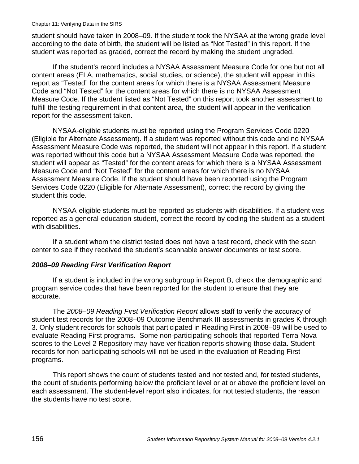student should have taken in 2008–09. If the student took the NYSAA at the wrong grade level according to the date of birth, the student will be listed as "Not Tested" in this report. If the student was reported as graded, correct the record by making the student ungraded.

If the student's record includes a NYSAA Assessment Measure Code for one but not all content areas (ELA, mathematics, social studies, or science), the student will appear in this report as "Tested" for the content areas for which there is a NYSAA Assessment Measure Code and "Not Tested" for the content areas for which there is no NYSAA Assessment Measure Code. If the student listed as "Not Tested" on this report took another assessment to fulfill the testing requirement in that content area, the student will appear in the verification report for the assessment taken.

NYSAA-eligible students must be reported using the Program Services Code 0220 (Eligible for Alternate Assessment). If a student was reported without this code and no NYSAA Assessment Measure Code was reported, the student will not appear in this report. If a student was reported without this code but a NYSAA Assessment Measure Code was reported, the student will appear as "Tested" for the content areas for which there is a NYSAA Assessment Measure Code and "Not Tested" for the content areas for which there is no NYSAA Assessment Measure Code. If the student should have been reported using the Program Services Code 0220 (Eligible for Alternate Assessment), correct the record by giving the student this code.

NYSAA-eligible students must be reported as students with disabilities. If a student was reported as a general-education student, correct the record by coding the student as a student with disabilities.

If a student whom the district tested does not have a test record, check with the scan center to see if they received the student's scannable answer documents or test score.

#### *2008–09 Reading First Verification Report*

If a student is included in the wrong subgroup in Report B, check the demographic and program service codes that have been reported for the student to ensure that they are accurate.

The *2008–09 Reading First Verification Report* allows staff to verify the accuracy of student test records for the 2008–09 Outcome Benchmark III assessments in grades K through 3. Only student records for schools that participated in Reading First in 2008–09 will be used to evaluate Reading First programs. Some non-participating schools that reported Terra Nova scores to the Level 2 Repository may have verification reports showing those data. Student records for non-participating schools will not be used in the evaluation of Reading First programs.

This report shows the count of students tested and not tested and, for tested students, the count of students performing below the proficient level or at or above the proficient level on each assessment. The student-level report also indicates, for not tested students, the reason the students have no test score.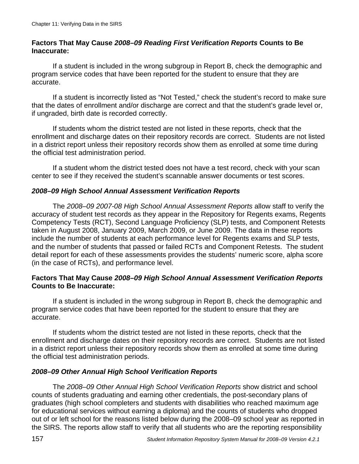#### **Factors That May Cause** *2008–09 Reading First Verification Reports* **Counts to Be Inaccurate:**

If a student is included in the wrong subgroup in Report B, check the demographic and program service codes that have been reported for the student to ensure that they are accurate.

If a student is incorrectly listed as "Not Tested," check the student's record to make sure that the dates of enrollment and/or discharge are correct and that the student's grade level or, if ungraded, birth date is recorded correctly.

If students whom the district tested are not listed in these reports, check that the enrollment and discharge dates on their repository records are correct. Students are not listed in a district report unless their repository records show them as enrolled at some time during the official test administration period.

If a student whom the district tested does not have a test record, check with your scan center to see if they received the student's scannable answer documents or test scores.

### *2008–09 High School Annual Assessment Verification Reports*

The *2008–09 2007-08 High School Annual Assessment Reports* allow staff to verify the accuracy of student test records as they appear in the Repository for Regents exams, Regents Competency Tests (RCT), Second Language Proficiency (SLP) tests, and Component Retests taken in August 2008, January 2009, March 2009, or June 2009. The data in these reports include the number of students at each performance level for Regents exams and SLP tests, and the number of students that passed or failed RCTs and Component Retests. The student detail report for each of these assessments provides the students' numeric score, alpha score (in the case of RCTs), and performance level.

#### **Factors That May Cause** *2008–09 High School Annual Assessment Verification Reports*  **Counts to Be Inaccurate:**

If a student is included in the wrong subgroup in Report B, check the demographic and program service codes that have been reported for the student to ensure that they are accurate.

If students whom the district tested are not listed in these reports, check that the enrollment and discharge dates on their repository records are correct. Students are not listed in a district report unless their repository records show them as enrolled at some time during the official test administration periods.

#### *2008–09 Other Annual High School Verification Reports*

The *2008–09 Other Annual High School Verification Reports* show district and school counts of students graduating and earning other credentials, the post-secondary plans of graduates (high school completers and students with disabilities who reached maximum age for educational services without earning a diploma) and the counts of students who dropped out of or left school for the reasons listed below during the 2008–09 school year as reported in the SIRS. The reports allow staff to verify that all students who are the reporting responsibility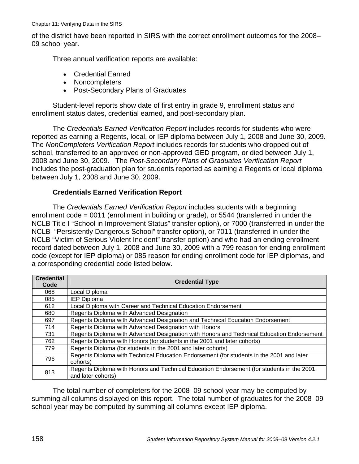of the district have been reported in SIRS with the correct enrollment outcomes for the 2008– 09 school year.

Three annual verification reports are available:

- Credential Earned
- Noncompleters
- Post-Secondary Plans of Graduates

Student-level reports show date of first entry in grade 9, enrollment status and enrollment status dates, credential earned, and post-secondary plan.

The *Credentials Earned Verification Report* includes records for students who were reported as earning a Regents, local, or IEP diploma between July 1, 2008 and June 30, 2009. The *NonCompleters Verification Report* includes records for students who dropped out of school, transferred to an approved or non-approved GED program, or died between July 1, 2008 and June 30, 2009. The *Post-Secondary Plans of Graduates Verification Report* includes the post-graduation plan for students reported as earning a Regents or local diploma between July 1, 2008 and June 30, 2009.

#### **Credentials Earned Verification Report**

The *Credentials Earned Verification Report* includes students with a beginning enrollment code = 0011 (enrollment in building or grade), or 5544 (transferred in under the NCLB Title I "School in Improvement Status" transfer option), or 7000 (transferred in under the NCLB "Persistently Dangerous School" transfer option), or 7011 (transferred in under the NCLB "Victim of Serious Violent Incident" transfer option) and who had an ending enrollment record dated between July 1, 2008 and June 30, 2009 with a 799 reason for ending enrollment code (except for IEP diploma) or 085 reason for ending enrollment code for IEP diplomas, and a corresponding credential code listed below.

| <b>Credential</b><br>Code | <b>Credential Type</b>                                                                    |
|---------------------------|-------------------------------------------------------------------------------------------|
| 068                       | Local Diploma                                                                             |
| 085                       | <b>IEP Diploma</b>                                                                        |
| 612                       | Local Diploma with Career and Technical Education Endorsement                             |
| 680                       | Regents Diploma with Advanced Designation                                                 |
| 697                       | Regents Diploma with Advanced Designation and Technical Education Endorsement             |
| 714                       | Regents Diploma with Advanced Designation with Honors                                     |
| 731                       | Regents Diploma with Advanced Designation with Honors and Technical Education Endorsement |
| 762                       | Regents Diploma with Honors (for students in the 2001 and later cohorts)                  |
| 779                       | Regents Diploma (for students in the 2001 and later cohorts)                              |
| 796                       | Regents Diploma with Technical Education Endorsement (for students in the 2001 and later  |
|                           | cohorts)                                                                                  |
| 813                       | Regents Diploma with Honors and Technical Education Endorsement (for students in the 2001 |
|                           | and later cohorts)                                                                        |

The total number of completers for the 2008–09 school year may be computed by summing all columns displayed on this report. The total number of graduates for the 2008–09 school year may be computed by summing all columns except IEP diploma.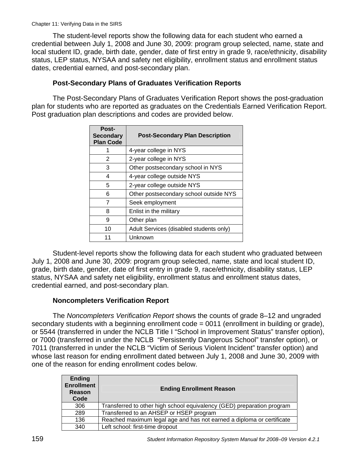The student-level reports show the following data for each student who earned a credential between July 1, 2008 and June 30, 2009: program group selected, name, state and local student ID, grade, birth date, gender, date of first entry in grade 9, race/ethnicity, disability status, LEP status, NYSAA and safety net eligibility, enrollment status and enrollment status dates, credential earned, and post-secondary plan.

#### **Post-Secondary Plans of Graduates Verification Reports**

The Post-Secondary Plans of Graduates Verification Report shows the post-graduation plan for students who are reported as graduates on the Credentials Earned Verification Report. Post graduation plan descriptions and codes are provided below.

| <b>Post-</b><br><b>Secondary</b><br><b>Plan Code</b> | <b>Post-Secondary Plan Description</b>  |
|------------------------------------------------------|-----------------------------------------|
| 1                                                    | 4-year college in NYS                   |
| 2                                                    | 2-year college in NYS                   |
| 3                                                    | Other postsecondary school in NYS       |
| 4                                                    | 4-year college outside NYS              |
| 5                                                    | 2-year college outside NYS              |
| 6                                                    | Other postsecondary school outside NYS  |
| 7                                                    | Seek employment                         |
| 8                                                    | Enlist in the military                  |
| 9                                                    | Other plan                              |
| 10                                                   | Adult Services (disabled students only) |
|                                                      | Unknown                                 |

Student-level reports show the following data for each student who graduated between July 1, 2008 and June 30, 2009: program group selected, name, state and local student ID, grade, birth date, gender, date of first entry in grade 9, race/ethnicity, disability status, LEP status, NYSAA and safety net eligibility, enrollment status and enrollment status dates, credential earned, and post-secondary plan.

#### **Noncompleters Verification Report**

The *Noncompleters Verification Report* shows the counts of grade 8–12 and ungraded secondary students with a beginning enrollment code = 0011 (enrollment in building or grade), or 5544 (transferred in under the NCLB Title I "School in Improvement Status" transfer option), or 7000 (transferred in under the NCLB "Persistently Dangerous School" transfer option), or 7011 (transferred in under the NCLB "Victim of Serious Violent Incident" transfer option) and whose last reason for ending enrollment dated between July 1, 2008 and June 30, 2009 with one of the reason for ending enrollment codes below.

| <b>Ending</b><br><b>Enrollment</b><br>Reason<br>Code | <b>Ending Enrollment Reason</b>                                        |
|------------------------------------------------------|------------------------------------------------------------------------|
| 306                                                  | Transferred to other high school equivalency (GED) preparation program |
| 289                                                  | Transferred to an AHSEP or HSEP program                                |
| 136                                                  | Reached maximum legal age and has not earned a diploma or certificate  |
| 340                                                  | Left school: first-time dropout                                        |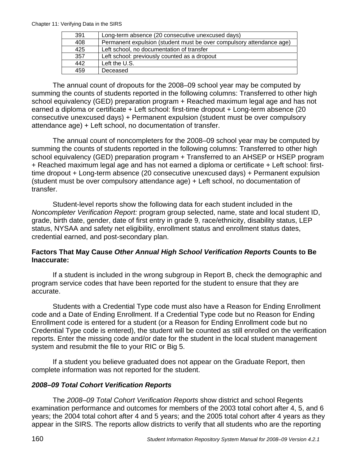Chapter 11: Verifying Data in the SIRS

| 391 | Long-term absence (20 consecutive unexcused days)                    |
|-----|----------------------------------------------------------------------|
| 408 | Permanent expulsion (student must be over compulsory attendance age) |
| 425 | Left school, no documentation of transfer                            |
| 357 | Left school: previously counted as a dropout                         |
| 442 | Left the U.S.                                                        |
| 459 | Deceased                                                             |

The annual count of dropouts for the 2008–09 school year may be computed by summing the counts of students reported in the following columns: Transferred to other high school equivalency (GED) preparation program + Reached maximum legal age and has not earned a diploma or certificate + Left school: first-time dropout + Long-term absence (20 consecutive unexcused days) + Permanent expulsion (student must be over compulsory attendance age) + Left school, no documentation of transfer.

The annual count of noncompleters for the 2008–09 school year may be computed by summing the counts of students reported in the following columns: Transferred to other high school equivalency (GED) preparation program + Transferred to an AHSEP or HSEP program + Reached maximum legal age and has not earned a diploma or certificate + Left school: firsttime dropout + Long-term absence (20 consecutive unexcused days) + Permanent expulsion (student must be over compulsory attendance age) + Left school, no documentation of transfer.

Student-level reports show the following data for each student included in the *Noncompleter Verification Report:* program group selected, name, state and local student ID, grade, birth date, gender, date of first entry in grade 9, race/ethnicity, disability status, LEP status, NYSAA and safety net eligibility, enrollment status and enrollment status dates, credential earned, and post-secondary plan.

#### **Factors That May Cause** *Other Annual High School Verification Reports* **Counts to Be Inaccurate:**

If a student is included in the wrong subgroup in Report B, check the demographic and program service codes that have been reported for the student to ensure that they are accurate.

Students with a Credential Type code must also have a Reason for Ending Enrollment code and a Date of Ending Enrollment. If a Credential Type code but no Reason for Ending Enrollment code is entered for a student (or a Reason for Ending Enrollment code but no Credential Type code is entered), the student will be counted as still enrolled on the verification reports. Enter the missing code and/or date for the student in the local student management system and resubmit the file to your RIC or Big 5.

If a student you believe graduated does not appear on the Graduate Report, then complete information was not reported for the student.

#### *2008–09 Total Cohort Verification Reports*

The *2008–09 Total Cohort Verification Reports* show district and school Regents examination performance and outcomes for members of the 2003 total cohort after 4, 5, and 6 years; the 2004 total cohort after 4 and 5 years; and the 2005 total cohort after 4 years as they appear in the SIRS. The reports allow districts to verify that all students who are the reporting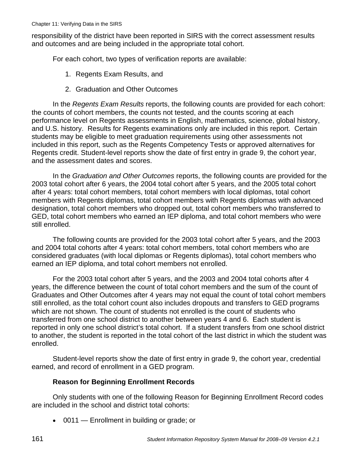responsibility of the district have been reported in SIRS with the correct assessment results and outcomes and are being included in the appropriate total cohort.

For each cohort, two types of verification reports are available:

- 1. Regents Exam Results, and
- 2. Graduation and Other Outcomes

In the *Regents Exam Results* reports, the following counts are provided for each cohort: the counts of cohort members, the counts not tested, and the counts scoring at each performance level on Regents assessments in English, mathematics, science, global history, and U.S. history. Results for Regents examinations only are included in this report. Certain students may be eligible to meet graduation requirements using other assessments not included in this report, such as the Regents Competency Tests or approved alternatives for Regents credit. Student-level reports show the date of first entry in grade 9, the cohort year, and the assessment dates and scores.

In the *Graduation and Other Outcomes* reports, the following counts are provided for the 2003 total cohort after 6 years, the 2004 total cohort after 5 years, and the 2005 total cohort after 4 years: total cohort members, total cohort members with local diplomas, total cohort members with Regents diplomas, total cohort members with Regents diplomas with advanced designation, total cohort members who dropped out, total cohort members who transferred to GED, total cohort members who earned an IEP diploma, and total cohort members who were still enrolled.

The following counts are provided for the 2003 total cohort after 5 years, and the 2003 and 2004 total cohorts after 4 years: total cohort members, total cohort members who are considered graduates (with local diplomas or Regents diplomas), total cohort members who earned an IEP diploma, and total cohort members not enrolled.

For the 2003 total cohort after 5 years, and the 2003 and 2004 total cohorts after 4 years, the difference between the count of total cohort members and the sum of the count of Graduates and Other Outcomes after 4 years may not equal the count of total cohort members still enrolled, as the total cohort count also includes dropouts and transfers to GED programs which are not shown. The count of students not enrolled is the count of students who transferred from one school district to another between years 4 and 6. Each student is reported in only one school district's total cohort. If a student transfers from one school district to another, the student is reported in the total cohort of the last district in which the student was enrolled.

Student-level reports show the date of first entry in grade 9, the cohort year, credential earned, and record of enrollment in a GED program.

#### **Reason for Beginning Enrollment Records**

Only students with one of the following Reason for Beginning Enrollment Record codes are included in the school and district total cohorts:

• 0011 — Enrollment in building or grade; or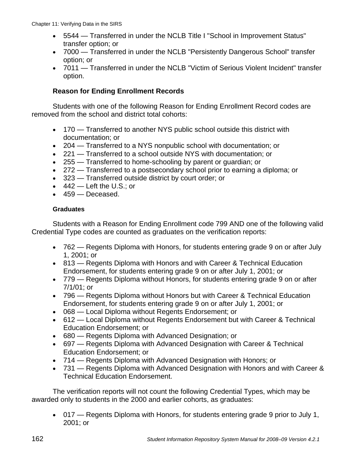- 5544 Transferred in under the NCLB Title I "School in Improvement Status" transfer option; or
- 7000 Transferred in under the NCLB "Persistently Dangerous School" transfer option; or
- 7011 Transferred in under the NCLB "Victim of Serious Violent Incident" transfer option.

#### **Reason for Ending Enrollment Records**

Students with one of the following Reason for Ending Enrollment Record codes are removed from the school and district total cohorts:

- 170 Transferred to another NYS public school outside this district with documentation; or
- 204 Transferred to a NYS nonpublic school with documentation; or
- 221 Transferred to a school outside NYS with documentation; or
- 255 Transferred to home-schooling by parent or guardian; or
- 272 Transferred to a postsecondary school prior to earning a diploma; or
- 323 Transferred outside district by court order; or
- $\bullet$  442 Left the U.S.; or
- 459 Deceased.

#### **Graduates**

Students with a Reason for Ending Enrollment code 799 AND one of the following valid Credential Type codes are counted as graduates on the verification reports:

- 762 Regents Diploma with Honors, for students entering grade 9 on or after July 1, 2001; or
- 813 Regents Diploma with Honors and with Career & Technical Education Endorsement, for students entering grade 9 on or after July 1, 2001; or
- 779 Regents Diploma without Honors, for students entering grade 9 on or after 7/1/01; or
- 796 Regents Diploma without Honors but with Career & Technical Education Endorsement, for students entering grade 9 on or after July 1, 2001; or
- 068 Local Diploma without Regents Endorsement; or
- 612 Local Diploma without Regents Endorsement but with Career & Technical Education Endorsement; or
- 680 Regents Diploma with Advanced Designation; or
- 697 Regents Diploma with Advanced Designation with Career & Technical Education Endorsement; or
- 714 Regents Diploma with Advanced Designation with Honors; or
- 731 Regents Diploma with Advanced Designation with Honors and with Career & Technical Education Endorsement.

The verification reports will not count the following Credential Types, which may be awarded only to students in the 2000 and earlier cohorts, as graduates:

• 017 — Regents Diploma with Honors, for students entering grade 9 prior to July 1, 2001; or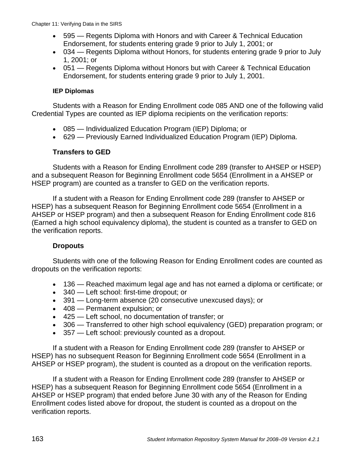- 595 Regents Diploma with Honors and with Career & Technical Education Endorsement, for students entering grade 9 prior to July 1, 2001; or
- 034 Regents Diploma without Honors, for students entering grade 9 prior to July 1, 2001; or
- 051 Regents Diploma without Honors but with Career & Technical Education Endorsement, for students entering grade 9 prior to July 1, 2001.

#### **IEP Diplomas**

Students with a Reason for Ending Enrollment code 085 AND one of the following valid Credential Types are counted as IEP diploma recipients on the verification reports:

- 085 Individualized Education Program (IEP) Diploma; or
- 629 Previously Earned Individualized Education Program (IEP) Diploma.

### **Transfers to GED**

Students with a Reason for Ending Enrollment code 289 (transfer to AHSEP or HSEP) and a subsequent Reason for Beginning Enrollment code 5654 (Enrollment in a AHSEP or HSEP program) are counted as a transfer to GED on the verification reports.

If a student with a Reason for Ending Enrollment code 289 (transfer to AHSEP or HSEP) has a subsequent Reason for Beginning Enrollment code 5654 (Enrollment in a AHSEP or HSEP program) and then a subsequent Reason for Ending Enrollment code 816 (Earned a high school equivalency diploma), the student is counted as a transfer to GED on the verification reports.

#### **Dropouts**

Students with one of the following Reason for Ending Enrollment codes are counted as dropouts on the verification reports:

- 136 Reached maximum legal age and has not earned a diploma or certificate; or
- 340 Left school: first-time dropout; or
- 391 Long-term absence (20 consecutive unexcused days); or
- 408 Permanent expulsion; or
- 425 Left school, no documentation of transfer; or
- 306 Transferred to other high school equivalency (GED) preparation program; or
- 357 Left school: previously counted as a dropout.

If a student with a Reason for Ending Enrollment code 289 (transfer to AHSEP or HSEP) has no subsequent Reason for Beginning Enrollment code 5654 (Enrollment in a AHSEP or HSEP program), the student is counted as a dropout on the verification reports.

If a student with a Reason for Ending Enrollment code 289 (transfer to AHSEP or HSEP) has a subsequent Reason for Beginning Enrollment code 5654 (Enrollment in a AHSEP or HSEP program) that ended before June 30 with any of the Reason for Ending Enrollment codes listed above for dropout, the student is counted as a dropout on the verification reports.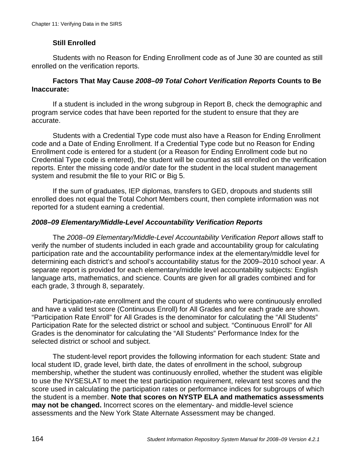### **Still Enrolled**

Students with no Reason for Ending Enrollment code as of June 30 are counted as still enrolled on the verification reports.

#### **Factors That May Cause** *2008–09 Total Cohort Verification Reports* **Counts to Be Inaccurate:**

If a student is included in the wrong subgroup in Report B, check the demographic and program service codes that have been reported for the student to ensure that they are accurate.

Students with a Credential Type code must also have a Reason for Ending Enrollment code and a Date of Ending Enrollment. If a Credential Type code but no Reason for Ending Enrollment code is entered for a student (or a Reason for Ending Enrollment code but no Credential Type code is entered), the student will be counted as still enrolled on the verification reports. Enter the missing code and/or date for the student in the local student management system and resubmit the file to your RIC or Big 5.

If the sum of graduates, IEP diplomas, transfers to GED, dropouts and students still enrolled does not equal the Total Cohort Members count, then complete information was not reported for a student earning a credential.

#### *2008–09 Elementary/Middle-Level Accountability Verification Reports*

The *2008–09 Elementary/Middle-Level Accountability Verification Report* allows staff to verify the number of students included in each grade and accountability group for calculating participation rate and the accountability performance index at the elementary/middle level for determining each district's and school's accountability status for the 2009–2010 school year. A separate report is provided for each elementary/middle level accountability subjects: English language arts, mathematics, and science. Counts are given for all grades combined and for each grade, 3 through 8, separately.

Participation-rate enrollment and the count of students who were continuously enrolled and have a valid test score (Continuous Enroll) for All Grades and for each grade are shown. "Participation Rate Enroll" for All Grades is the denominator for calculating the "All Students" Participation Rate for the selected district or school and subject. "Continuous Enroll" for All Grades is the denominator for calculating the "All Students" Performance Index for the selected district or school and subject.

The student-level report provides the following information for each student: State and local student ID, grade level, birth date, the dates of enrollment in the school, subgroup membership, whether the student was continuously enrolled, whether the student was eligible to use the NYSESLAT to meet the test participation requirement, relevant test scores and the score used in calculating the participation rates or performance indices for subgroups of which the student is a member. **Note that scores on NYSTP ELA and mathematics assessments may not be changed.** Incorrect scores on the elementary- and middle-level science assessments and the New York State Alternate Assessment may be changed.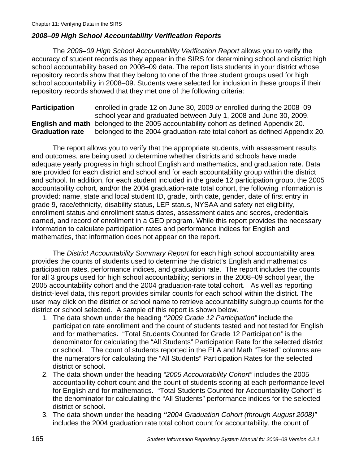#### *2008–09 High School Accountability Verification Reports*

 The *2008–09 High School Accountability Verification Report* allows you to verify the accuracy of student records as they appear in the SIRS for determining school and district high school accountability based on 2008–09 data. The report lists students in your district whose repository records show that they belong to one of the three student groups used for high school accountability in 2008–09. Students were selected for inclusion in these groups if their repository records showed that they met one of the following criteria:

**Participation** enrolled in grade 12 on June 30, 2009 *or* enrolled during the 2008–09 school year and graduated between July 1, 2008 and June 30, 2009. **English and math** belonged to the 2005 accountability cohort as defined Appendix 20. **Graduation rate** belonged to the 2004 graduation-rate total cohort as defined Appendix 20.

The report allows you to verify that the appropriate students, with assessment results and outcomes, are being used to determine whether districts and schools have made adequate yearly progress in high school English and mathematics, and graduation rate. Data are provided for each district and school and for each accountability group within the district and school. In addition, for each student included in the grade 12 participation group, the 2005 accountability cohort, and/or the 2004 graduation-rate total cohort, the following information is provided: name, state and local student ID, grade, birth date, gender, date of first entry in grade 9, race/ethnicity, disability status, LEP status, NYSAA and safety net eligibility, enrollment status and enrollment status dates, assessment dates and scores, credentials earned, and record of enrollment in a GED program. While this report provides the necessary information to calculate participation rates and performance indices for English and mathematics, that information does not appear on the report.

 The *District Accountability Summary Report* for each high school accountability area provides the counts of students used to determine the district's English and mathematics participation rates, performance indices, and graduation rate. The report includes the counts for all 3 groups used for high school accountability; seniors in the 2008–09 school year, the 2005 accountability cohort and the 2004 graduation-rate total cohort. As well as reporting district-level data, this report provides similar counts for each school within the district. The user may click on the district or school name to retrieve accountability subgroup counts for the district or school selected. A sample of this report is shown below.

- 1. The data shown under the heading *"2009 Grade 12 Participation"* include the participation rate enrollment and the count of students tested and not tested for English and for mathematics*.* "Total Students Counted for Grade 12 Participation*"* is the denominator for calculating the "All Students" Participation Rate for the selected district or school. The count of students reported in the ELA and Math "Tested" columns are the numerators for calculating the "All Students" Participation Rates for the selected district or school.
- 2. The data shown under the heading *"2005 Accountability Cohort"* includes the 2005 accountability cohort count and the count of students scoring at each performance level for English and for mathematics. "Total Students Counted for Accountability Cohort" is the denominator for calculating the "All Students" performance indices for the selected district or school.
- 3. The data shown under the heading *"2004 Graduation Cohort (through August 2008)"* includes the 2004 graduation rate total cohort count for accountability, the count of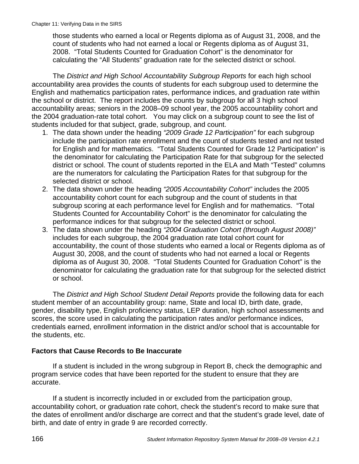those students who earned a local or Regents diploma as of August 31, 2008, and the count of students who had not earned a local or Regents diploma as of August 31, 2008. "Total Students Counted for Graduation Cohort" is the denominator for calculating the "All Students" graduation rate for the selected district or school.

The *District and High School Accountability Subgroup Reports* for each high school accountability area provides the counts of students for each subgroup used to determine the English and mathematics participation rates, performance indices, and graduation rate within the school or district. The report includes the counts by subgroup for all 3 high school accountability areas; seniors in the 2008–09 school year, the 2005 accountability cohort and the 2004 graduation-rate total cohort. You may click on a subgroup count to see the list of students included for that subject, grade, subgroup, and count.

- 1. The data shown under the heading *"2009 Grade 12 Participation"* for each subgroup include the participation rate enrollment and the count of students tested and not tested for English and for mathematics. "Total Students Counted for Grade 12 Participation" is the denominator for calculating the Participation Rate for that subgroup for the selected district or school. The count of students reported in the ELA and Math "Tested" columns are the numerators for calculating the Participation Rates for that subgroup for the selected district or school.
- 2. The data shown under the heading *"2005 Accountability Cohort"* includes the 2005 accountability cohort count for each subgroup and the count of students in that subgroup scoring at each performance level for English and for mathematics. "Total Students Counted for Accountability Cohort" is the denominator for calculating the performance indices for that subgroup for the selected district or school.
- 3. The data shown under the heading *"2004 Graduation Cohort (through August 2008)"* includes for each subgroup, the 2004 graduation rate total cohort count for accountability, the count of those students who earned a local or Regents diploma as of August 30, 2008, and the count of students who had not earned a local or Regents diploma as of August 30, 2008. "Total Students Counted for Graduation Cohort" is the denominator for calculating the graduation rate for that subgroup for the selected district or school.

The *District and High School Student Detail Reports* provide the following data for each student member of an accountability group: name, State and local ID, birth date, grade, gender, disability type, English proficiency status, LEP duration, high school assessments and scores, the score used in calculating the participation rates and/or performance indices, credentials earned, enrollment information in the district and/or school that is accountable for the students, etc.

#### **Factors that Cause Records to Be Inaccurate**

If a student is included in the wrong subgroup in Report B, check the demographic and program service codes that have been reported for the student to ensure that they are accurate.

If a student is incorrectly included in or excluded from the participation group, accountability cohort, or graduation rate cohort, check the student's record to make sure that the dates of enrollment and/or discharge are correct and that the student's grade level, date of birth, and date of entry in grade 9 are recorded correctly.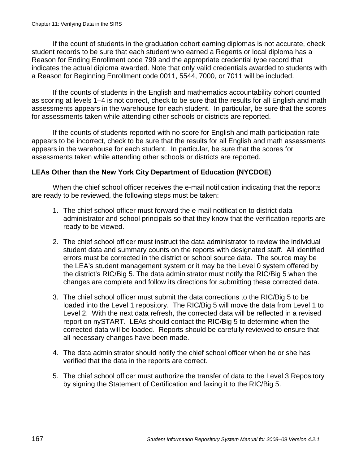If the count of students in the graduation cohort earning diplomas is not accurate, check student records to be sure that each student who earned a Regents or local diploma has a Reason for Ending Enrollment code 799 and the appropriate credential type record that indicates the actual diploma awarded. Note that only valid credentials awarded to students with a Reason for Beginning Enrollment code 0011, 5544, 7000, or 7011 will be included.

If the counts of students in the English and mathematics accountability cohort counted as scoring at levels 1–4 is not correct, check to be sure that the results for all English and math assessments appears in the warehouse for each student. In particular, be sure that the scores for assessments taken while attending other schools or districts are reported.

If the counts of students reported with no score for English and math participation rate appears to be incorrect, check to be sure that the results for all English and math assessments appears in the warehouse for each student. In particular, be sure that the scores for assessments taken while attending other schools or districts are reported.

#### **LEAs Other than the New York City Department of Education (NYCDOE)**

When the chief school officer receives the e-mail notification indicating that the reports are ready to be reviewed, the following steps must be taken:

- 1. The chief school officer must forward the e-mail notification to district data administrator and school principals so that they know that the verification reports are ready to be viewed.
- 2. The chief school officer must instruct the data administrator to review the individual student data and summary counts on the reports with designated staff. All identified errors must be corrected in the district or school source data. The source may be the LEA's student management system or it may be the Level 0 system offered by the district's RIC/Big 5. The data administrator must notify the RIC/Big 5 when the changes are complete and follow its directions for submitting these corrected data.
- 3. The chief school officer must submit the data corrections to the RIC/Big 5 to be loaded into the Level 1 repository. The RIC/Big 5 will move the data from Level 1 to Level 2. With the next data refresh, the corrected data will be reflected in a revised report on nySTART. LEAs should contact the RIC/Big 5 to determine when the corrected data will be loaded. Reports should be carefully reviewed to ensure that all necessary changes have been made.
- 4. The data administrator should notify the chief school officer when he or she has verified that the data in the reports are correct.
- 5. The chief school officer must authorize the transfer of data to the Level 3 Repository by signing the Statement of Certification and faxing it to the RIC/Big 5.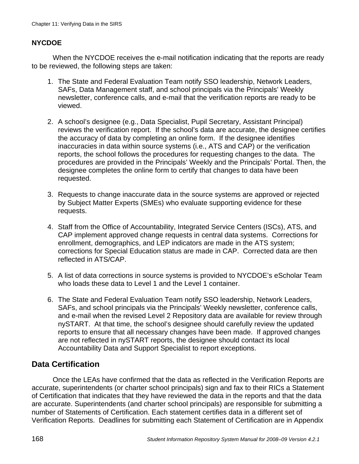#### **NYCDOE**

When the NYCDOE receives the e-mail notification indicating that the reports are ready to be reviewed, the following steps are taken:

- 1. The State and Federal Evaluation Team notify SSO leadership, Network Leaders, SAFs, Data Management staff, and school principals via the Principals' Weekly newsletter, conference calls, and e-mail that the verification reports are ready to be viewed.
- 2. A school's designee (e.g., Data Specialist, Pupil Secretary, Assistant Principal) reviews the verification report. If the school's data are accurate, the designee certifies the accuracy of data by completing an online form. If the designee identifies inaccuracies in data within source systems (i.e., ATS and CAP) or the verification reports, the school follows the procedures for requesting changes to the data. The procedures are provided in the Principals' Weekly and the Principals' Portal. Then, the designee completes the online form to certify that changes to data have been requested.
- 3. Requests to change inaccurate data in the source systems are approved or rejected by Subject Matter Experts (SMEs) who evaluate supporting evidence for these requests.
- 4. Staff from the Office of Accountability, Integrated Service Centers (ISCs), ATS, and CAP implement approved change requests in central data systems. Corrections for enrollment, demographics, and LEP indicators are made in the ATS system; corrections for Special Education status are made in CAP. Corrected data are then reflected in ATS/CAP.
- 5. A list of data corrections in source systems is provided to NYCDOE's eScholar Team who loads these data to Level 1 and the Level 1 container.
- 6. The State and Federal Evaluation Team notify SSO leadership, Network Leaders, SAFs, and school principals via the Principals' Weekly newsletter, conference calls, and e-mail when the revised Level 2 Repository data are available for review through nySTART. At that time, the school's designee should carefully review the updated reports to ensure that all necessary changes have been made. If approved changes are not reflected in nySTART reports, the designee should contact its local Accountability Data and Support Specialist to report exceptions.

## **Data Certification**

Once the LEAs have confirmed that the data as reflected in the Verification Reports are accurate, superintendents (or charter school principals) sign and fax to their RICs a Statement of Certification that indicates that they have reviewed the data in the reports and that the data are accurate. Superintendents (and charter school principals) are responsible for submitting a number of Statements of Certification. Each statement certifies data in a different set of Verification Reports. Deadlines for submitting each Statement of Certification are in Appendix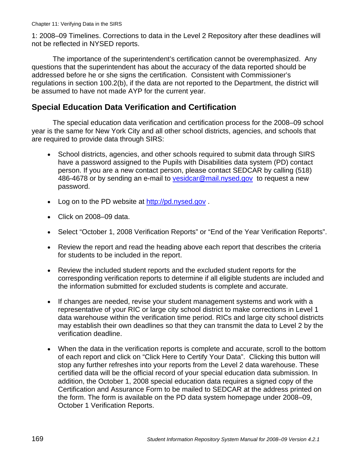1: 2008–09 Timelines. Corrections to data in the Level 2 Repository after these deadlines will not be reflected in NYSED reports.

The importance of the superintendent's certification cannot be overemphasized. Any questions that the superintendent has about the accuracy of the data reported should be addressed before he or she signs the certification. Consistent with Commissioner's regulations in section 100.2(b), if the data are not reported to the Department, the district will be assumed to have not made AYP for the current year.

## **Special Education Data Verification and Certification**

The special education data verification and certification process for the 2008–09 school year is the same for New York City and all other school districts, agencies, and schools that are required to provide data through SIRS:

- School districts, agencies, and other schools required to submit data through SIRS have a password assigned to the Pupils with Disabilities data system (PD) contact person. If you are a new contact person, please contact SEDCAR by calling (518) 486-4678 or by sending an e-mail to vesidcar@mail.nysed.gov to request a new password.
- Log on to the PD website at http://pd.nysed.gov.
- Click on 2008–09 data.
- Select "October 1, 2008 Verification Reports" or "End of the Year Verification Reports".
- Review the report and read the heading above each report that describes the criteria for students to be included in the report.
- Review the included student reports and the excluded student reports for the corresponding verification reports to determine if all eligible students are included and the information submitted for excluded students is complete and accurate.
- If changes are needed, revise your student management systems and work with a representative of your RIC or large city school district to make corrections in Level 1 data warehouse within the verification time period. RICs and large city school districts may establish their own deadlines so that they can transmit the data to Level 2 by the verification deadline.
- When the data in the verification reports is complete and accurate, scroll to the bottom of each report and click on "Click Here to Certify Your Data". Clicking this button will stop any further refreshes into your reports from the Level 2 data warehouse. These certified data will be the official record of your special education data submission. In addition, the October 1, 2008 special education data requires a signed copy of the Certification and Assurance Form to be mailed to SEDCAR at the address printed on the form. The form is available on the PD data system homepage under 2008–09, October 1 Verification Reports.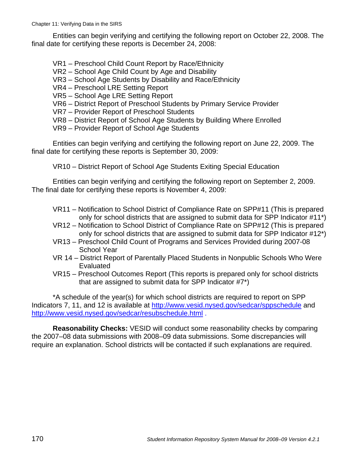Entities can begin verifying and certifying the following report on October 22, 2008. The final date for certifying these reports is December 24, 2008:

- VR1 Preschool Child Count Report by Race/Ethnicity
- VR2 School Age Child Count by Age and Disability
- VR3 School Age Students by Disability and Race/Ethnicity
- VR4 Preschool LRE Setting Report
- VR5 School Age LRE Setting Report
- VR6 District Report of Preschool Students by Primary Service Provider
- VR7 Provider Report of Preschool Students
- VR8 District Report of School Age Students by Building Where Enrolled
- VR9 Provider Report of School Age Students

Entities can begin verifying and certifying the following report on June 22, 2009. The final date for certifying these reports is September 30, 2009:

VR10 – District Report of School Age Students Exiting Special Education

Entities can begin verifying and certifying the following report on September 2, 2009. The final date for certifying these reports is November 4, 2009:

- VR11 Notification to School District of Compliance Rate on SPP#11 (This is prepared only for school districts that are assigned to submit data for SPP Indicator #11\*)
- VR12 Notification to School District of Compliance Rate on SPP#12 (This is prepared only for school districts that are assigned to submit data for SPP Indicator #12\*)
- VR13 Preschool Child Count of Programs and Services Provided during 2007-08 School Year
- VR 14 District Report of Parentally Placed Students in Nonpublic Schools Who Were Evaluated
- VR15 Preschool Outcomes Report (This reports is prepared only for school districts that are assigned to submit data for SPP Indicator #7\*)

\*A schedule of the year(s) for which school districts are required to report on SPP Indicators 7, 11, and 12 is available at http://www.vesid.nysed.gov/sedcar/sppschedule and http://www.vesid.nysed.gov/sedcar/resubschedule.html .

**Reasonability Checks:** VESID will conduct some reasonability checks by comparing the 2007–08 data submissions with 2008–09 data submissions. Some discrepancies will require an explanation. School districts will be contacted if such explanations are required.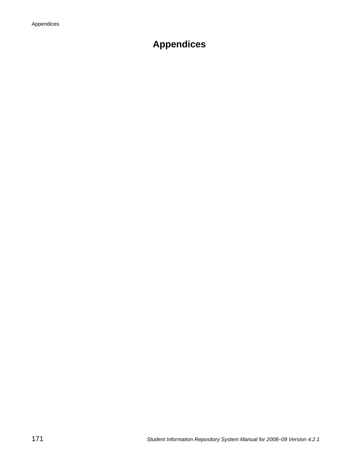# **Appendices**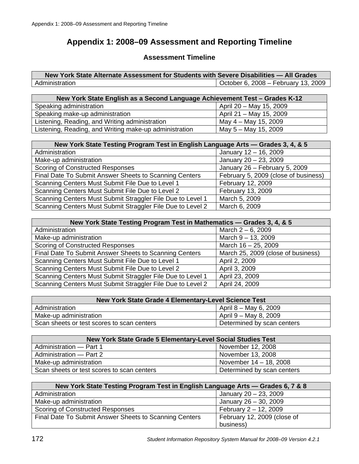## **Appendix 1: 2008–09 Assessment and Reporting Timeline**

#### **Assessment Timeline**

**New York State Alternate Assessment for Students with Severe Disabilities — All Grades** Administration Charles Contract Contract Contract Contract Contract Contract Contract Contract Contract Contract Contract Contract Contract Contract Contract Contract Contract Contract Contract Contract Contract Contract C

| New York State English as a Second Language Achievement Test - Grades K-12 |                         |  |
|----------------------------------------------------------------------------|-------------------------|--|
| Speaking administration                                                    | April 20 - May 15, 2009 |  |
| Speaking make-up administration                                            | April 21 – May 15, 2009 |  |
| Listening, Reading, and Writing administration                             | May 4 – May 15, 2009    |  |
| Listening, Reading, and Writing make-up administration                     | May 5 - May 15, 2009    |  |

| New York State Testing Program Test in English Language Arts — Grades 3, 4, & 5 |                                      |  |
|---------------------------------------------------------------------------------|--------------------------------------|--|
| Administration                                                                  | January 12 - 16, 2009                |  |
| Make-up administration                                                          | January 20 - 23, 2009                |  |
| <b>Scoring of Constructed Responses</b>                                         | January 26 - February 5, 2009        |  |
| Final Date To Submit Answer Sheets to Scanning Centers                          | February 5, 2009 (close of business) |  |
| Scanning Centers Must Submit File Due to Level 1                                | February 12, 2009                    |  |
| Scanning Centers Must Submit File Due to Level 2                                | February 13, 2009                    |  |
| Scanning Centers Must Submit Straggler File Due to Level 1                      | March 5, 2009                        |  |
| Scanning Centers Must Submit Straggler File Due to Level 2                      | March 6, 2009                        |  |

| New York State Testing Program Test in Mathematics - Grades 3, 4, & 5 |                                    |  |
|-----------------------------------------------------------------------|------------------------------------|--|
| Administration                                                        | March $2 - 6$ , 2009               |  |
| Make-up administration                                                | March $9 - 13$ , 2009              |  |
| <b>Scoring of Constructed Responses</b>                               | March 16 - 25, 2009                |  |
| Final Date To Submit Answer Sheets to Scanning Centers                | March 25, 2009 (close of business) |  |
| Scanning Centers Must Submit File Due to Level 1                      | April 2, 2009                      |  |
| Scanning Centers Must Submit File Due to Level 2                      | April 3, 2009                      |  |
| Scanning Centers Must Submit Straggler File Due to Level 1            | April 23, 2009                     |  |
| Scanning Centers Must Submit Straggler File Due to Level 2            | April 24, 2009                     |  |

| New York State Grade 4 Elementary-Level Science Test |                            |  |
|------------------------------------------------------|----------------------------|--|
| Administration                                       | April 8 – May 6, 2009      |  |
| Make-up administration                               | April 9 – May 8, 2009      |  |
| Scan sheets or test scores to scan centers           | Determined by scan centers |  |

| New York State Grade 5 Elementary-Level Social Studies Test |                            |  |
|-------------------------------------------------------------|----------------------------|--|
| Administration - Part 1                                     | November 12, 2008          |  |
| Administration - Part 2                                     | November 13, 2008          |  |
| Make-up administration                                      | November 14 - 18, 2008     |  |
| Scan sheets or test scores to scan centers                  | Determined by scan centers |  |

| New York State Testing Program Test in English Language Arts — Grades 6, 7 & 8 |                             |  |
|--------------------------------------------------------------------------------|-----------------------------|--|
| Administration                                                                 | January 20 - 23, 2009       |  |
| Make-up administration                                                         | January 26 - 30, 2009       |  |
| <b>Scoring of Constructed Responses</b>                                        | February 2 - 12, 2009       |  |
| Final Date To Submit Answer Sheets to Scanning Centers                         | February 12, 2009 (close of |  |
|                                                                                | business)                   |  |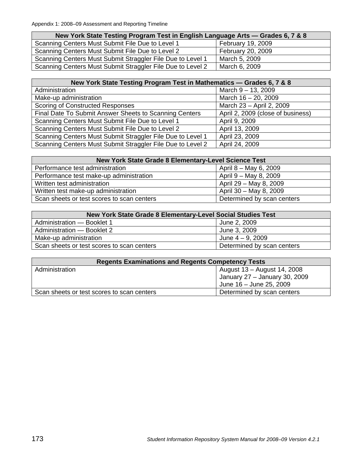| New York State Testing Program Test in English Language Arts — Grades 6, 7 & 8 |                   |  |  |  |
|--------------------------------------------------------------------------------|-------------------|--|--|--|
| Scanning Centers Must Submit File Due to Level 1                               | February 19, 2009 |  |  |  |
| Scanning Centers Must Submit File Due to Level 2                               | February 20, 2009 |  |  |  |
| Scanning Centers Must Submit Straggler File Due to Level 1                     | March 5, 2009     |  |  |  |
| Scanning Centers Must Submit Straggler File Due to Level 2                     | March 6, 2009     |  |  |  |

| New York State Testing Program Test in Mathematics - Grades 6, 7 & 8 |                                   |  |  |
|----------------------------------------------------------------------|-----------------------------------|--|--|
| Administration                                                       | March $9 - 13$ , 2009             |  |  |
| Make-up administration                                               | March 16 - 20, 2009               |  |  |
| <b>Scoring of Constructed Responses</b>                              | March 23 - April 2, 2009          |  |  |
| Final Date To Submit Answer Sheets to Scanning Centers               | April 2, 2009 (close of business) |  |  |
| Scanning Centers Must Submit File Due to Level 1                     | April 9, 2009                     |  |  |
| Scanning Centers Must Submit File Due to Level 2                     | April 13, 2009                    |  |  |
| Scanning Centers Must Submit Straggler File Due to Level 1           | April 23, 2009                    |  |  |
| Scanning Centers Must Submit Straggler File Due to Level 2           | April 24, 2009                    |  |  |

| New York State Grade 8 Elementary-Level Science Test |                            |  |  |
|------------------------------------------------------|----------------------------|--|--|
| Performance test administration                      | April 8 – May 6, 2009      |  |  |
| Performance test make-up administration              | April 9 – May 8, 2009      |  |  |
| Written test administration                          | April 29 - May 8, 2009     |  |  |
| Written test make-up administration                  | April 30 - May 8, 2009     |  |  |
| Scan sheets or test scores to scan centers           | Determined by scan centers |  |  |

| New York State Grade 8 Elementary-Level Social Studies Test |                            |  |  |
|-------------------------------------------------------------|----------------------------|--|--|
| Administration - Booklet 1                                  | June 2, 2009               |  |  |
| Administration - Booklet 2                                  | June 3, 2009               |  |  |
| Make-up administration                                      | June $4 - 9$ , 2009        |  |  |
| Scan sheets or test scores to scan centers                  | Determined by scan centers |  |  |

| <b>Regents Examinations and Regents Competency Tests</b> |                               |  |  |
|----------------------------------------------------------|-------------------------------|--|--|
| Administration                                           | August 13 – August 14, 2008   |  |  |
|                                                          | January 27 - January 30, 2009 |  |  |
|                                                          | June 16 - June 25, 2009       |  |  |
| Scan sheets or test scores to scan centers               | Determined by scan centers    |  |  |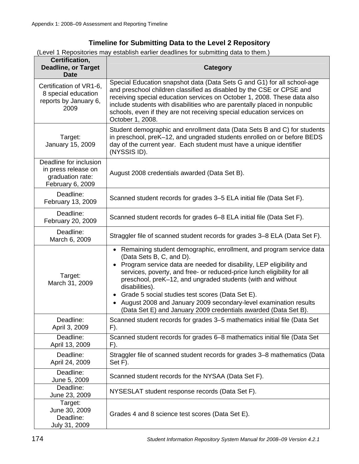## **Timeline for Submitting Data to the Level 2 Repository**

(Level 1 Repositories may establish earlier deadlines for submitting data to them.)

| Certification,<br><b>Deadline, or Target</b><br><b>Date</b>                           | Category                                                                                                                                                                                                                                                                                                                                                                                                                                                                                                                                                    |  |  |
|---------------------------------------------------------------------------------------|-------------------------------------------------------------------------------------------------------------------------------------------------------------------------------------------------------------------------------------------------------------------------------------------------------------------------------------------------------------------------------------------------------------------------------------------------------------------------------------------------------------------------------------------------------------|--|--|
| Certification of VR1-6,<br>8 special education<br>reports by January 6,<br>2009       | Special Education snapshot data (Data Sets G and G1) for all school-age<br>and preschool children classified as disabled by the CSE or CPSE and<br>receiving special education services on October 1, 2008. These data also<br>include students with disabilities who are parentally placed in nonpublic<br>schools, even if they are not receiving special education services on<br>October 1, 2008.                                                                                                                                                       |  |  |
| Target:<br>January 15, 2009                                                           | Student demographic and enrollment data (Data Sets B and C) for students<br>in preschool, preK-12, and ungraded students enrolled on or before BEDS<br>day of the current year. Each student must have a unique identifier<br>(NYSSIS ID).                                                                                                                                                                                                                                                                                                                  |  |  |
| Deadline for inclusion<br>in press release on<br>graduation rate:<br>February 6, 2009 | August 2008 credentials awarded (Data Set B).                                                                                                                                                                                                                                                                                                                                                                                                                                                                                                               |  |  |
| Deadline:<br>February 13, 2009                                                        | Scanned student records for grades 3-5 ELA initial file (Data Set F).                                                                                                                                                                                                                                                                                                                                                                                                                                                                                       |  |  |
| Deadline:<br>February 20, 2009                                                        | Scanned student records for grades 6–8 ELA initial file (Data Set F).                                                                                                                                                                                                                                                                                                                                                                                                                                                                                       |  |  |
| Deadline:<br>March 6, 2009                                                            | Straggler file of scanned student records for grades 3-8 ELA (Data Set F).                                                                                                                                                                                                                                                                                                                                                                                                                                                                                  |  |  |
| Target:<br>March 31, 2009                                                             | • Remaining student demographic, enrollment, and program service data<br>(Data Sets B, C, and D).<br>Program service data are needed for disability, LEP eligibility and<br>$\bullet$<br>services, poverty, and free- or reduced-price lunch eligibility for all<br>preschool, preK-12, and ungraded students (with and without<br>disabilities).<br>Grade 5 social studies test scores (Data Set E).<br>$\bullet$<br>• August 2008 and January 2009 secondary-level examination results<br>(Data Set E) and January 2009 credentials awarded (Data Set B). |  |  |
| Deadline:<br>April 3, 2009                                                            | Scanned student records for grades 3-5 mathematics initial file (Data Set<br>F).                                                                                                                                                                                                                                                                                                                                                                                                                                                                            |  |  |
| Deadline:<br>April 13, 2009                                                           | Scanned student records for grades 6-8 mathematics initial file (Data Set<br>F).                                                                                                                                                                                                                                                                                                                                                                                                                                                                            |  |  |
| Deadline:<br>April 24, 2009                                                           | Straggler file of scanned student records for grades 3-8 mathematics (Data<br>Set F).                                                                                                                                                                                                                                                                                                                                                                                                                                                                       |  |  |
| Deadline:<br>June 5, 2009                                                             | Scanned student records for the NYSAA (Data Set F).                                                                                                                                                                                                                                                                                                                                                                                                                                                                                                         |  |  |
| Deadline:<br>June 23, 2009                                                            | NYSESLAT student response records (Data Set F).                                                                                                                                                                                                                                                                                                                                                                                                                                                                                                             |  |  |
| Target:<br>June 30, 2009<br>Deadline:<br>July 31, 2009                                | Grades 4 and 8 science test scores (Data Set E).                                                                                                                                                                                                                                                                                                                                                                                                                                                                                                            |  |  |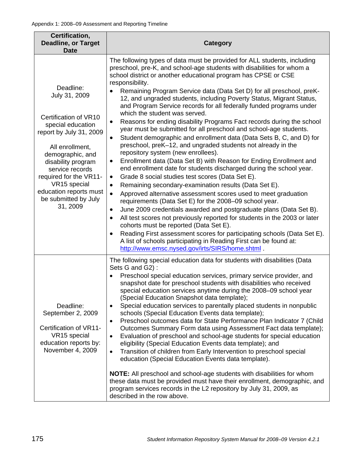| Certification,<br><b>Deadline, or Target</b><br><b>Date</b>                                                                                                                                                                                                                                 | Category                                                                                                                                                                                                                                                                                                                                                                                                                                                                                                                                                                                                                                                                                                                                                                                                                                                                                                                                                                                                                                                                                                                                                                                                                                                                                                                                                                                                                                                                                                                                                                                                                                                                                                              |  |  |
|---------------------------------------------------------------------------------------------------------------------------------------------------------------------------------------------------------------------------------------------------------------------------------------------|-----------------------------------------------------------------------------------------------------------------------------------------------------------------------------------------------------------------------------------------------------------------------------------------------------------------------------------------------------------------------------------------------------------------------------------------------------------------------------------------------------------------------------------------------------------------------------------------------------------------------------------------------------------------------------------------------------------------------------------------------------------------------------------------------------------------------------------------------------------------------------------------------------------------------------------------------------------------------------------------------------------------------------------------------------------------------------------------------------------------------------------------------------------------------------------------------------------------------------------------------------------------------------------------------------------------------------------------------------------------------------------------------------------------------------------------------------------------------------------------------------------------------------------------------------------------------------------------------------------------------------------------------------------------------------------------------------------------------|--|--|
| Deadline:<br>July 31, 2009<br>Certification of VR10<br>special education<br>report by July 31, 2009<br>All enrollment,<br>demographic, and<br>disability program<br>service records<br>required for the VR11-<br>VR15 special<br>education reports must<br>be submitted by July<br>31, 2009 | The following types of data must be provided for ALL students, including<br>preschool, pre-K, and school-age students with disabilities for whom a<br>school district or another educational program has CPSE or CSE<br>responsibility.<br>Remaining Program Service data (Data Set D) for all preschool, preK-<br>12, and ungraded students, including Poverty Status, Migrant Status,<br>and Program Service records for all federally funded programs under<br>which the student was served.<br>Reasons for ending disability Programs Fact records during the school<br>$\bullet$<br>year must be submitted for all preschool and school-age students.<br>Student demographic and enrollment data (Data Sets B, C, and D) for<br>$\bullet$<br>preschool, preK-12, and ungraded students not already in the<br>repository system (new enrollees).<br>Enrollment data (Data Set B) with Reason for Ending Enrollment and<br>$\bullet$<br>end enrollment date for students discharged during the school year.<br>Grade 8 social studies test scores (Data Set E).<br>$\bullet$<br>Remaining secondary-examination results (Data Set E).<br>$\bullet$<br>Approved alternative assessment scores used to meet graduation<br>$\bullet$<br>requirements (Data Set E) for the 2008-09 school year.<br>June 2009 credentials awarded and postgraduate plans (Data Set B).<br>٠<br>All test scores not previously reported for students in the 2003 or later<br>٠<br>cohorts must be reported (Data Set E).<br>Reading First assessment scores for participating schools (Data Set E).<br>$\bullet$<br>A list of schools participating in Reading First can be found at:<br>http://www.emsc.nysed.gov/irts/SIRS/home.shtml. |  |  |
| Deadline:<br>September 2, 2009<br>Certification of VR11-<br>VR15 special<br>education reports by:<br>November 4, 2009                                                                                                                                                                       | The following special education data for students with disabilities (Data<br>Sets G and G2):<br>Preschool special education services, primary service provider, and<br>$\bullet$<br>snapshot date for preschool students with disabilities who received<br>special education services anytime during the 2008-09 school year<br>(Special Education Snapshot data template);<br>Special education services to parentally placed students in nonpublic<br>$\bullet$<br>schools (Special Education Events data template);<br>Preschool outcomes data for State Performance Plan Indicator 7 (Child<br>$\bullet$<br>Outcomes Summary Form data using Assessment Fact data template);<br>Evaluation of preschool and school-age students for special education<br>$\bullet$<br>eligibility (Special Education Events data template); and<br>Transition of children from Early Intervention to preschool special<br>$\bullet$<br>education (Special Education Events data template).<br><b>NOTE:</b> All preschool and school-age students with disabilities for whom<br>these data must be provided must have their enrollment, demographic, and<br>program services records in the L2 repository by July 31, 2009, as<br>described in the row above.                                                                                                                                                                                                                                                                                                                                                                                                                                                                      |  |  |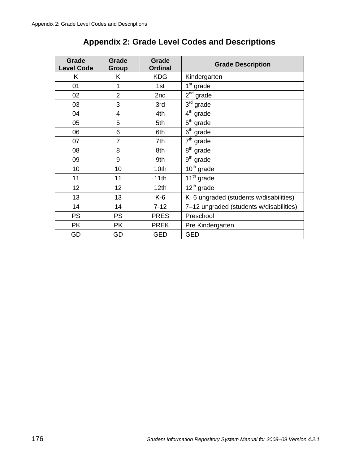| Grade<br><b>Level Code</b> | Grade<br>Group | Grade<br><b>Ordinal</b> | <b>Grade Description</b>                |
|----------------------------|----------------|-------------------------|-----------------------------------------|
| K                          | Κ              | <b>KDG</b>              | Kindergarten                            |
| 01                         | 1              | 1st                     | 1 <sup>st</sup> grade                   |
| 02                         | $\overline{2}$ | 2nd                     | $2nd$ grade                             |
| 03                         | 3              | 3rd                     | $3rd$ grade                             |
| 04                         | 4              | 4th                     | $4th$ grade                             |
| 05                         | 5              | 5th                     | $5th$ grade                             |
| 06                         | 6              | 6th                     | $6th$ grade                             |
| 07                         | $\overline{7}$ | 7th                     | $7th$ grade                             |
| 08                         | 8              | 8th                     | $8th$ grade                             |
| 09                         | 9              | 9th                     | $9th$ grade                             |
| 10                         | 10             | 10th                    | 10 <sup>th</sup> grade                  |
| 11                         | 11             | 11th                    | 11 <sup>th</sup> grade                  |
| 12                         | 12             | 12 <sub>th</sub>        | $12^{th}$ grade                         |
| 13                         | 13             | K-6                     | K-6 ungraded (students w/disabilities)  |
| 14                         | 14             | $7 - 12$                | 7-12 ungraded (students w/disabilities) |
| <b>PS</b>                  | <b>PS</b>      | <b>PRES</b>             | Preschool                               |
| <b>PK</b>                  | <b>PK</b>      | <b>PREK</b>             | Pre Kindergarten                        |
| GD                         | GD             | <b>GED</b>              | <b>GED</b>                              |

# **Appendix 2: Grade Level Codes and Descriptions**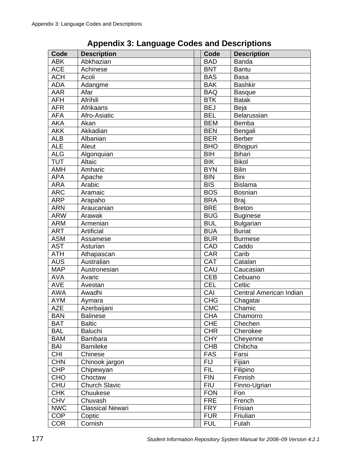| Code       | <b>Description</b>      | Code       | <b>Description</b>      |
|------------|-------------------------|------------|-------------------------|
| <b>ABK</b> | Abkhazian               | <b>BAD</b> | <b>Banda</b>            |
| <b>ACE</b> | Achinese                | <b>BNT</b> | <b>Bantu</b>            |
| <b>ACH</b> | Acoli                   | <b>BAS</b> | <b>Basa</b>             |
| <b>ADA</b> | Adangme                 | <b>BAK</b> | <b>Bashkir</b>          |
| <b>AAR</b> | Afar                    | <b>BAQ</b> | <b>Basque</b>           |
| <b>AFH</b> | Afrihili                | <b>BTK</b> | <b>Batak</b>            |
| <b>AFR</b> | Afrikaans               | <b>BEJ</b> | Beja                    |
| <b>AFA</b> | Afro-Asiatic            | <b>BEL</b> | Belarussian             |
| <b>AKA</b> | Akan                    | <b>BEM</b> | Bemba                   |
| <b>AKK</b> | Akkadian                | <b>BEN</b> | Bengali                 |
| <b>ALB</b> | Albanian                | <b>BER</b> | <b>Berber</b>           |
| <b>ALE</b> | Aleut                   | <b>BHO</b> | Bhojpuri                |
| <b>ALG</b> | Algonquian              | <b>BIH</b> | <b>Bihari</b>           |
| <b>TUT</b> | Altaic                  | <b>BIK</b> | <b>Bikol</b>            |
| <b>AMH</b> | Amharic                 | <b>BYN</b> | <b>Bilin</b>            |
| <b>APA</b> | Apache                  | <b>BIN</b> | Bini                    |
| <b>ARA</b> | Arabic                  | <b>BIS</b> | <b>Bislama</b>          |
| <b>ARC</b> | Aramaic                 | <b>BOS</b> | <b>Bosnian</b>          |
| <b>ARP</b> | Arapaho                 | <b>BRA</b> | <b>Braj</b>             |
| <b>ARN</b> | Araucanian              | <b>BRE</b> | <b>Breton</b>           |
| <b>ARW</b> | Arawak                  | <b>BUG</b> | <b>Buginese</b>         |
| <b>ARM</b> | Armenian                | <b>BUL</b> | <b>Bulgarian</b>        |
| <b>ART</b> | Artificial              | <b>BUA</b> | <b>Buriat</b>           |
| <b>ASM</b> | Assamese                | <b>BUR</b> | <b>Burmese</b>          |
| <b>AST</b> | Asturian                | CAD        | Caddo                   |
| <b>ATH</b> | Athapascan              | <b>CAR</b> | Carib                   |
| <b>AUS</b> | Australian              | <b>CAT</b> | Catalan                 |
| <b>MAP</b> | Austronesian            | CAU        | Caucasian               |
| <b>AVA</b> | Avaric                  | <b>CEB</b> | Cebuano                 |
| <b>AVE</b> | Avestan                 | <b>CEL</b> | Celtic                  |
| <b>AWA</b> | Awadhi                  | CAI        | Central American Indian |
| <b>AYM</b> | Aymara                  | <b>CHG</b> | Chagatai                |
| <b>AZE</b> | Azerbaijani             | <b>CMC</b> | Chamic                  |
| <b>BAN</b> | <b>Balinese</b>         | <b>CHA</b> | Chamorro                |
| <b>BAT</b> | <b>Baltic</b>           | <b>CHE</b> | Chechen                 |
| <b>BAL</b> | <b>Baluchi</b>          | <b>CHR</b> | Cherokee                |
| <b>BAM</b> | Bambara                 | <b>CHY</b> | Cheyenne                |
| BAI        | <b>Bamileke</b>         | <b>CHB</b> | Chibcha                 |
| <b>CHI</b> | Chinese                 | <b>FAS</b> | Farsi                   |
| <b>CHN</b> | Chinook jargon          | <b>FIJ</b> | Fijian                  |
| <b>CHP</b> | Chipewyan               | <b>FIL</b> | Filipino                |
| <b>CHO</b> | Choctaw                 | <b>FIN</b> | Finnish                 |
| CHU        | <b>Church Slavic</b>    | <b>FIU</b> | Finno-Ugrian            |
| <b>CHK</b> | Chuukese                | <b>FON</b> | Fon                     |
| <b>CHV</b> | Chuvash                 | <b>FRE</b> | French                  |
| <b>NWC</b> | <b>Classical Newari</b> | <b>FRY</b> | Frisian                 |
| <b>COP</b> | Coptic                  | <b>FUR</b> | Friulian                |
| <b>COR</b> | Cornish                 | <b>FUL</b> | Fulah                   |

**Appendix 3: Language Codes and Descriptions**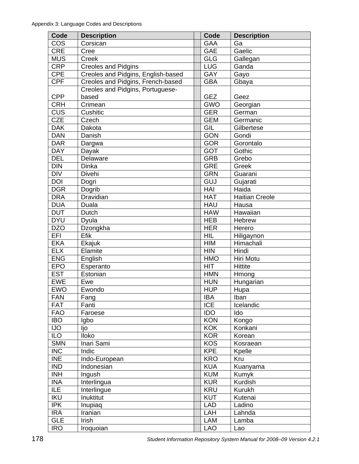| Code       | <b>Description</b>                 | Code                      | <b>Description</b>    |
|------------|------------------------------------|---------------------------|-----------------------|
| COS        | Corsican                           | <b>GAA</b>                | Ga                    |
| <b>CRE</b> | Cree                               | <b>GAE</b>                | Gaelic                |
| <b>MUS</b> | Creek                              | <b>GLG</b>                | Gallegan              |
| <b>CRP</b> | <b>Creoles and Pidgins</b>         | <b>LUG</b>                | Ganda                 |
| <b>CPE</b> | Creoles and Pidgins, English-based | <b>GAY</b>                | Gayo                  |
| <b>CPF</b> | Creoles and Pidgins, French-based  | <b>GBA</b>                | Gbaya                 |
|            | Creoles and Pidgins, Portuguese-   |                           |                       |
| <b>CPP</b> | based                              | <b>GEZ</b>                | Geez                  |
| <b>CRH</b> | Crimean                            | <b>GWO</b>                | Georgian              |
| <b>CUS</b> | Cushitic                           | <b>GER</b>                | German                |
| <b>CZE</b> | Czech                              | <b>GEM</b>                | Germanic              |
| <b>DAK</b> | Dakota                             | GIL                       | Gilbertese            |
| <b>DAN</b> | Danish                             | <b>GON</b>                | Gondi                 |
| <b>DAR</b> | Dargwa                             | <b>GOR</b>                | Gorontalo             |
| <b>DAY</b> | Dayak                              | <b>GOT</b>                | Gothic                |
| <b>DEL</b> | Delaware                           | <b>GRB</b>                | Grebo                 |
| <b>DIN</b> | Dinka                              | <b>GRE</b>                | Greek                 |
| <b>DIV</b> | <b>Divehi</b>                      | <b>GRN</b>                | Guarani               |
| <b>DOI</b> | Dogri                              | $\overline{\mathsf{GUJ}}$ | Gujarati              |
| <b>DGR</b> | Dogrib                             | HAI                       | Haida                 |
| <b>DRA</b> | Dravidian                          | <b>HAT</b>                | <b>Haitian Creole</b> |
| <b>DUA</b> | Duala                              | <b>HAU</b>                | Hausa                 |
| <b>DUT</b> | Dutch                              | <b>HAW</b>                | Hawaiian              |
| <b>DYU</b> | Dyula                              | <b>HEB</b>                | Hebrew                |
| <b>DZO</b> | Dzongkha                           | <b>HER</b>                | Herero                |
| EFI        | Efik                               | <b>HIL</b>                | Hiligaynon            |
| <b>EKA</b> | Ekajuk                             | <b>HIM</b>                | Himachali             |
| <b>ELX</b> | Elamite                            | <b>HIN</b>                | Hindi                 |
| <b>ENG</b> | English                            | <b>HMO</b>                | Hiri Motu             |
| <b>EPO</b> | Esperanto                          | <b>HIT</b>                | <b>Hittite</b>        |
| <b>EST</b> | Estonian                           | <b>HMN</b>                | Hmong                 |
| <b>EWE</b> | Ewe                                | <b>HUN</b>                | Hungarian             |
| <b>EWO</b> | Ewondo                             | <b>HUP</b>                | Hupa                  |
| <b>FAN</b> | Fang                               | <b>IBA</b>                | Iban                  |
| <b>FAT</b> | Fanti                              | <b>ICE</b>                | Icelandic             |
| <b>FAO</b> | Faroese                            | <b>IDO</b>                | Ido                   |
| <b>IBO</b> | Igbo                               | <b>KON</b>                | Kongo                 |
| <b>IJO</b> | ljo                                | <b>KOK</b>                | Konkani               |
| <b>ILO</b> | Iloko                              | <b>KOR</b>                | Korean                |
| <b>SMN</b> | Inari Sami                         | <b>KOS</b>                | Kosraean              |
| <b>INC</b> | Indic                              | <b>KPE</b>                | Kpelle                |
| <b>INE</b> | Indo-European                      | <b>KRO</b>                | Kru                   |
| <b>IND</b> | Indonesian                         | <b>KUA</b>                | Kuanyama              |
| <b>INH</b> | Ingush                             | <b>KUM</b>                | Kumyk                 |
| <b>INA</b> | Interlingua                        | <b>KUR</b>                | Kurdish               |
| ILE        | Interlingue                        | <b>KRU</b>                | Kurukh                |
| <b>IKU</b> | Inuktitut                          | <b>KUT</b>                | Kutenai               |
| <b>IPK</b> | Inupiaq                            | <b>LAD</b>                | Ladino                |
| <b>IRA</b> | Iranian                            | LAH                       | Lahnda                |
| <b>GLE</b> | Irish                              | LAM                       | Lamba                 |
| <b>IRO</b> | Iroquoian                          | <b>LAO</b>                | Lao                   |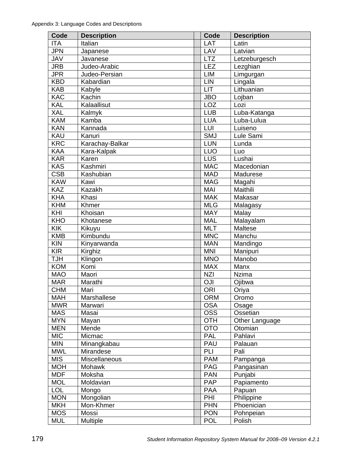| Code       | <b>Description</b>       | Code       | <b>Description</b>        |
|------------|--------------------------|------------|---------------------------|
| <b>ITA</b> | Italian                  | LAT        | Latin                     |
| <b>JPN</b> | Japanese                 | LAV        | Latvian                   |
| JAV        | Javanese                 | <b>LTZ</b> | Letzeburgesch             |
| <b>JRB</b> | Judeo-Arabic             | <b>LEZ</b> | Lezghian                  |
| <b>JPR</b> | Judeo-Persian            | <b>LIM</b> | Limgurgan                 |
| <b>KBD</b> | Kabardian                | LIN        | Lingala                   |
| <b>KAB</b> | Kabyle                   | LIT        | Lithuanian                |
| <b>KAC</b> | Kachin                   | <b>JBO</b> | Lojban                    |
| <b>KAL</b> | Kalaallisut              | <b>LOZ</b> | Lozi                      |
| XAL        | Kalmyk                   | <b>LUB</b> | Luba-Katanga              |
| <b>KAM</b> | Kamba                    | <b>LUA</b> | Luba-Lulua                |
| <b>KAN</b> | Kannada                  | LUI        | Luiseno                   |
| KAU        | Kanuri                   | <b>SMJ</b> | Lule Sami                 |
| <b>KRC</b> | Karachay-Balkar          | <b>LUN</b> | Lunda                     |
| <b>KAA</b> | Kara-Kalpak              | <b>LUO</b> | Luo                       |
| <b>KAR</b> | Karen                    | LUS        | Lushai                    |
| <b>KAS</b> | Kashmiri                 | <b>MAC</b> | Macedonian                |
| <b>CSB</b> | Kashubian                | <b>MAD</b> | Madurese                  |
| <b>KAW</b> | Kawi                     | <b>MAG</b> | Magahi                    |
| <b>KAZ</b> | <b>Kazakh</b>            | <b>MAI</b> | Maithili                  |
| <b>KHA</b> | Khasi                    | <b>MAK</b> | Makasar                   |
| <b>KHM</b> | Khmer                    | <b>MLG</b> | Malagasy                  |
| KHI        | Khoisan                  | <b>MAY</b> | Malay                     |
| <b>KHO</b> | Khotanese                | <b>MAL</b> | Malayalam                 |
| <b>KIK</b> | Kikuyu                   | <b>MLT</b> | Maltese                   |
| <b>KMB</b> | Kimbundu                 | <b>MNC</b> | Manchu                    |
| <b>KIN</b> | Kinyarwanda              | <b>MAN</b> | Mandingo                  |
| <b>KIR</b> | Kirghiz                  | <b>MNI</b> | Manipuri                  |
| <b>TJH</b> | Klingon                  | <b>MNO</b> | Manobo                    |
| <b>KOM</b> | Komi                     | <b>MAX</b> | Manx                      |
| <b>MAO</b> | Maori                    | <b>NZI</b> | <b>Nzima</b>              |
| <b>MAR</b> | Marathi                  | <b>OJI</b> | Ojibwa                    |
| <b>CHM</b> | Mari                     | <b>ORI</b> | Oriya                     |
| <b>MAH</b> | Marshallese              | <b>ORM</b> |                           |
| <b>MWR</b> | Marwari                  | <b>OSA</b> | Oromo                     |
| <b>MAS</b> | Masai                    | <b>OSS</b> | Osage<br>Ossetian         |
| <b>MYN</b> |                          | <b>OTH</b> |                           |
| <b>MEN</b> | Mayan<br>Mende           | <b>OTO</b> | Other Language<br>Otomian |
| <b>MIC</b> | Micmac                   | <b>PAL</b> | Pahlavi                   |
| <b>MIN</b> |                          | PAU        | Palauan                   |
| <b>MWL</b> | Minangkabau<br>Mirandese | PLI        | Pali                      |
|            |                          | <b>PAM</b> |                           |
| <b>MIS</b> | Miscellaneous            |            | Pampanga                  |
| <b>MOH</b> | Mohawk                   | <b>PAG</b> | Pangasinan                |
| <b>MDF</b> | Moksha                   | <b>PAN</b> | Punjabi                   |
| <b>MOL</b> | Moldavian                | <b>PAP</b> | Papiamento                |
| <b>LOL</b> | Mongo                    | <b>PAA</b> | Papuan                    |
| <b>MON</b> | Mongolian                | PHI        | Philippine                |
| <b>MKH</b> | Mon-Khmer                | <b>PHN</b> | Phoenician                |
| <b>MOS</b> | Mossi                    | <b>PON</b> | Pohnpeian                 |
| <b>MUL</b> | Multiple                 | <b>POL</b> | Polish                    |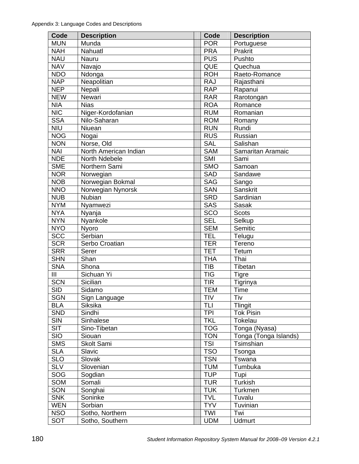| Code       | <b>Description</b>    | Code       | <b>Description</b>       |
|------------|-----------------------|------------|--------------------------|
| <b>MUN</b> | Munda                 | <b>POR</b> | Portuguese               |
| <b>NAH</b> | Nahuatl               | <b>PRA</b> | Prakrit                  |
| <b>NAU</b> | Nauru                 | <b>PUS</b> | Pushto                   |
| <b>NAV</b> | Navajo                | <b>QUE</b> | Quechua                  |
| <b>NDO</b> | Ndonga                | <b>ROH</b> | Raeto-Romance            |
| <b>NAP</b> | Neapolitian           | <b>RAJ</b> | Rajasthani               |
| <b>NEP</b> | Nepali                | <b>RAP</b> | Rapanui                  |
| <b>NEW</b> | Newari                | <b>RAR</b> | Rarotongan               |
| <b>NIA</b> | <b>Nias</b>           | <b>ROA</b> | Romance                  |
| <b>NIC</b> | Niger-Kordofanian     | <b>RUM</b> | Romanian                 |
| <b>SSA</b> | Nilo-Saharan          | <b>ROM</b> | Romany                   |
| <b>NIU</b> | Niuean                | <b>RUN</b> | Rundi                    |
| <b>NOG</b> | Nogai                 | <b>RUS</b> | Russian                  |
| <b>NON</b> | Norse, Old            | <b>SAL</b> | Salishan                 |
| <b>NAI</b> | North American Indian | <b>SAM</b> | Samaritan Aramaic        |
| <b>NDE</b> | North Ndebele         | <b>SMI</b> | Sami                     |
| <b>SME</b> | Northern Sami         | <b>SMO</b> | Samoan                   |
| <b>NOR</b> | Norwegian             | <b>SAD</b> | Sandawe                  |
| <b>NOB</b> | Norwegian Bokmal      | <b>SAG</b> | Sango                    |
| <b>NNO</b> | Norwegian Nynorsk     | <b>SAN</b> | Sanskrit                 |
| <b>NUB</b> | Nubian                | <b>SRD</b> | Sardinian                |
| <b>NYM</b> | Nyamwezi              | <b>SAS</b> | <b>Sasak</b>             |
| <b>NYA</b> | Nyanja                | <b>SCO</b> | <b>Scots</b>             |
| <b>NYN</b> | Nyankole              | <b>SEL</b> | Selkup                   |
| <b>NYO</b> | Nyoro                 | <b>SEM</b> | Semitic                  |
| <b>SCC</b> | Serbian               | <b>TEL</b> | Telugu                   |
| <b>SCR</b> | Serbo Croatian        | <b>TER</b> | Tereno                   |
| <b>SRR</b> | Serer                 | <b>TET</b> | Tetum                    |
| <b>SHN</b> | Shan                  | <b>THA</b> | Thai                     |
| <b>SNA</b> | Shona                 | <b>TIB</b> | Tibetan                  |
| III        | Sichuan Yi            | <b>TIG</b> |                          |
| <b>SCN</b> | Sicilian              | <b>TIR</b> | <b>Tigre</b><br>Tigrinya |
| <b>SID</b> |                       |            |                          |
|            | Sidamo                | <b>TEM</b> | Time                     |
| <b>SGN</b> | Sign Language         | TIV        | Tiv                      |
| <b>BLA</b> | Siksika               | <b>TLI</b> | Tlingit                  |
| <b>SND</b> | Sindhi                | <b>TPI</b> | <b>Tok Pisin</b>         |
| <b>SIN</b> | Sinhalese             | <b>TKL</b> | Tokelau                  |
| <b>SIT</b> | Sino-Tibetan          | <b>TOG</b> | Tonga (Nyasa)            |
| <b>SIO</b> | Siouan                | <b>TON</b> | Tonga (Tonga Islands)    |
| <b>SMS</b> | Skolt Sami            | <b>TSI</b> | Tsimshian                |
| <b>SLA</b> | Slavic                | <b>TSO</b> | Tsonga                   |
| <b>SLO</b> | Slovak                | <b>TSN</b> | Tswana                   |
| <b>SLV</b> | Slovenian             | <b>TUM</b> | Tumbuka                  |
| SOG        | Sogdian               | <b>TUP</b> | Tupi                     |
| SOM        | Somali                | <b>TUR</b> | Turkish                  |
| SON        | Songhai               | <b>TUK</b> | Turkmen                  |
| <b>SNK</b> | Soninke               | <b>TVL</b> | Tuvalu                   |
| <b>WEN</b> | Sorbian               | <b>TYV</b> | Tuvinian                 |
| <b>NSO</b> | Sotho, Northern       | TWI        | Twi                      |
| <b>SOT</b> | Sotho, Southern       | <b>UDM</b> | <b>Udmurt</b>            |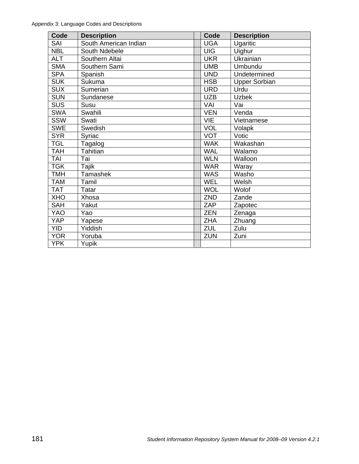| Code       | <b>Description</b>    | Code       | <b>Description</b>   |
|------------|-----------------------|------------|----------------------|
| SAI        | South American Indian | <b>UGA</b> | Ugaritic             |
| <b>NBL</b> | South Ndebele         | <b>UIG</b> | Uighur               |
| <b>ALT</b> | Southern Altai        | <b>UKR</b> | Ukrainian            |
| <b>SMA</b> | Southern Sami         | <b>UMB</b> | Umbundu              |
| <b>SPA</b> | Spanish               | <b>UND</b> | Undetermined         |
| <b>SUK</b> | Sukuma                | <b>HSB</b> | <b>Upper Sorbian</b> |
| <b>SUX</b> | Sumerian              | <b>URD</b> | Urdu                 |
| <b>SUN</b> | Sundanese             | <b>UZB</b> | <b>Uzbek</b>         |
| <b>SUS</b> | Susu                  | VAI        | Vai                  |
| <b>SWA</b> | Swahili               | <b>VEN</b> | Venda                |
| <b>SSW</b> | Swati                 | VIE        | Vietnamese           |
| <b>SWE</b> | Swedish               | <b>VOL</b> | Volapk               |
| <b>SYR</b> | Syriac                | <b>VOT</b> | Votic                |
| <b>TGL</b> | Tagalog               | <b>WAK</b> | Wakashan             |
| <b>TAH</b> | Tahitian              | <b>WAL</b> | Walamo               |
| <b>TAI</b> | Tai                   | <b>WLN</b> | Walloon              |
| <b>TGK</b> | Tajik                 | <b>WAR</b> | Waray                |
| <b>TMH</b> | <b>Tamashek</b>       | <b>WAS</b> | Washo                |
| <b>TAM</b> | Tamil                 | <b>WEL</b> | Welsh                |
| <b>TAT</b> | Tatar                 | <b>WOL</b> | Wolof                |
| <b>XHO</b> | Xhosa                 | ZND        | Zande                |
| <b>SAH</b> | Yakut                 | ZAP        | Zapotec              |
| YAO        | Yao                   | <b>ZEN</b> | Zenaga               |
| <b>YAP</b> | Yapese                | <b>ZHA</b> | Zhuang               |
| <b>YID</b> | Yiddish               | <b>ZUL</b> | Zulu                 |
| <b>YOR</b> | Yoruba                | <b>ZUN</b> | Zuni                 |
| <b>YPK</b> | Yupik                 |            |                      |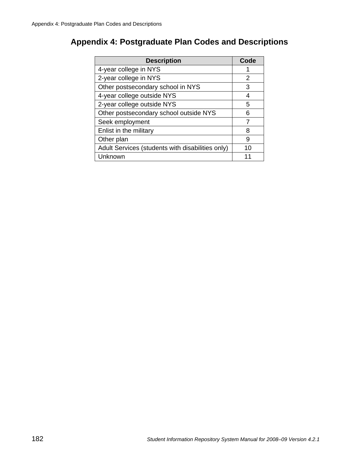# **Appendix 4: Postgraduate Plan Codes and Descriptions**

| <b>Description</b>                               | Code |
|--------------------------------------------------|------|
| 4-year college in NYS                            |      |
| 2-year college in NYS                            | 2    |
| Other postsecondary school in NYS                | 3    |
| 4-year college outside NYS                       | 4    |
| 2-year college outside NYS                       | 5    |
| Other postsecondary school outside NYS           | 6    |
| Seek employment                                  |      |
| Enlist in the military                           | 8    |
| Other plan                                       | 9    |
| Adult Services (students with disabilities only) | 10   |
| Unknown                                          |      |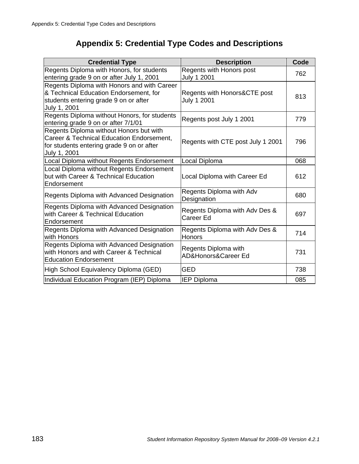# **Appendix 5: Credential Type Codes and Descriptions**

| <b>Credential Type</b>                                                                                                                            | <b>Description</b>                              | Code |
|---------------------------------------------------------------------------------------------------------------------------------------------------|-------------------------------------------------|------|
| Regents Diploma with Honors, for students<br>entering grade 9 on or after July 1, 2001                                                            | Regents with Honors post<br>July 1 2001         | 762  |
| Regents Diploma with Honors and with Career<br>& Technical Education Endorsement, for<br>students entering grade 9 on or after<br>July 1, 2001    | Regents with Honors&CTE post<br>July 1 2001     | 813  |
| Regents Diploma without Honors, for students<br>entering grade 9 on or after 7/1/01                                                               | Regents post July 1 2001                        | 779  |
| Regents Diploma without Honors but with<br>Career & Technical Education Endorsement,<br>for students entering grade 9 on or after<br>July 1, 2001 | Regents with CTE post July 1 2001               | 796  |
| Local Diploma without Regents Endorsement                                                                                                         | Local Diploma                                   | 068  |
| Local Diploma without Regents Endorsement<br>but with Career & Technical Education<br>Endorsement                                                 | Local Diploma with Career Ed                    | 612  |
| Regents Diploma with Advanced Designation                                                                                                         | Regents Diploma with Adv<br>Designation         | 680  |
| Regents Diploma with Advanced Designation<br>with Career & Technical Education<br>Endorsement                                                     | Regents Diploma with Adv Des &<br>Career Ed     | 697  |
| Regents Diploma with Advanced Designation<br>with Honors                                                                                          | Regents Diploma with Adv Des &<br><b>Honors</b> | 714  |
| Regents Diploma with Advanced Designation<br>with Honors and with Career & Technical<br><b>Education Endorsement</b>                              | Regents Diploma with<br>AD&Honors&Career Ed     | 731  |
| High School Equivalency Diploma (GED)                                                                                                             | <b>GED</b>                                      | 738  |
| Individual Education Program (IEP) Diploma                                                                                                        | <b>IEP Diploma</b>                              | 085  |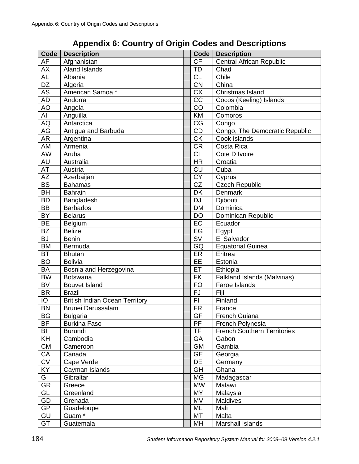# **Appendix 6: Country of Origin Codes and Descriptions**

| Code            | <b>Description</b>                    | Code            | <b>Description</b>                 |
|-----------------|---------------------------------------|-----------------|------------------------------------|
| AF              | Afghanistan                           | <b>CF</b>       | <b>Central African Republic</b>    |
| <b>AX</b>       | <b>Aland Islands</b>                  | TD              | Chad                               |
| $A\overline{L}$ | Albania                               | <b>CL</b>       | Chile                              |
| DZ              | Algeria                               | <b>CN</b>       | China                              |
| AS              | American Samoa*                       | <b>CX</b>       | Christmas Island                   |
| <b>AD</b>       | Andorra                               | CC              | Cocos (Keeling) Islands            |
| AO              | Angola                                | CO              | Colombia                           |
| AI              | Anguilla                              | <b>KM</b>       | Comoros                            |
| AQ              | Antarctica                            | CG              | Congo                              |
| AG              | Antigua and Barbuda                   | CD              | Congo, The Democratic Republic     |
| <b>AR</b>       | Argentina                             | <b>CK</b>       | Cook Islands                       |
| AM              | Armenia                               | <b>CR</b>       | Costa Rica                         |
| <b>AW</b>       | Aruba                                 | <b>CI</b>       | Cote D Ivoire                      |
| <b>AU</b>       | Australia                             | <b>HR</b>       | Croatia                            |
| AT              | Austria                               | <b>CU</b>       | Cuba                               |
| <b>ΑΖ</b>       | Azerbaijan                            | $\overline{CY}$ | Cyprus                             |
| <b>BS</b>       | <b>Bahamas</b>                        | CZ              | <b>Czech Republic</b>              |
| <b>BH</b>       | <b>Bahrain</b>                        | DK              | Denmark                            |
| <b>BD</b>       | Bangladesh                            | <b>DJ</b>       | Djibouti                           |
| <b>BB</b>       | <b>Barbados</b>                       | <b>DM</b>       | Dominica                           |
| <b>BY</b>       | <b>Belarus</b>                        | DO              | Dominican Republic                 |
| <b>BE</b>       | <b>Belgium</b>                        | EC              | Ecuador                            |
| <b>BZ</b>       | <b>Belize</b>                         | EG              | Egypt                              |
| <b>BJ</b>       | <b>Benin</b>                          | <b>SV</b>       | El Salvador                        |
| <b>BM</b>       | Bermuda                               | GQ              | <b>Equatorial Guinea</b>           |
| <b>BT</b>       | <b>Bhutan</b>                         | ER              | Eritrea                            |
| <b>BO</b>       | <b>Bolivia</b>                        | EE              | Estonia                            |
| BA              | Bosnia and Herzegovina                | ET              | Ethiopia                           |
| <b>BW</b>       | <b>Botswana</b>                       | <b>FK</b>       | Falkland Islands (Malvinas)        |
| <b>BV</b>       | <b>Bouvet Island</b>                  | <b>FO</b>       | Faroe Islands                      |
| <b>BR</b>       | <b>Brazil</b>                         | FJ              | Fiji                               |
| IO              | <b>British Indian Ocean Territory</b> | FI              | Finland                            |
| $\overline{BN}$ | <b>Brunei Darussalam</b>              | <b>FR</b>       | France                             |
| <b>BG</b>       | <b>Bulgaria</b>                       | <b>GF</b>       | French Guiana                      |
| <b>BF</b>       | <b>Burkina Faso</b>                   | PF              | French Polynesia                   |
| BI              | <b>Burundi</b>                        | TF              | <b>French Southern Territories</b> |
| KH              | Cambodia                              | GA              | Gabon                              |
| <b>CM</b>       | Cameroon                              | <b>GM</b>       | Gambia                             |
| CA              | Canada                                | <b>GE</b>       | Georgia                            |
| <b>CV</b>       | Cape Verde                            | DE              | Germany                            |
| KY              | Cayman Islands                        | GH              | Ghana                              |
| GI              | Gibraltar                             | MG              | Madagascar                         |
| <b>GR</b>       | Greece                                | <b>MW</b>       | Malawi                             |
| GL              | Greenland                             | <b>MY</b>       | Malaysia                           |
| GD              | Grenada                               | <b>MV</b>       | Maldives                           |
| GP              | Guadeloupe                            | ML              | Mali                               |
| GU              | Guam <sup>*</sup>                     | MT              | Malta                              |
| <b>GT</b>       | Guatemala                             | MH              | Marshall Islands                   |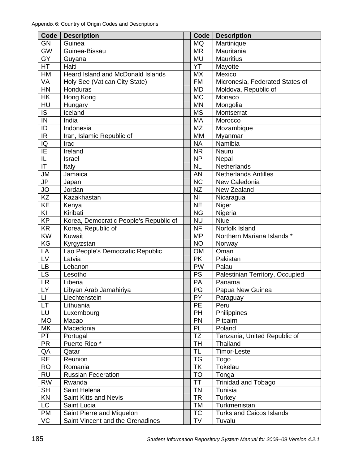| Code                     | <b>Description</b>                     | <b>Code</b>     | <b>Description</b>              |  |  |
|--------------------------|----------------------------------------|-----------------|---------------------------------|--|--|
| <b>GN</b>                | Guinea                                 | <b>MQ</b>       | Martinique                      |  |  |
| <b>GW</b>                | Guinea-Bissau                          | <b>MR</b>       | Mauritania                      |  |  |
| GY                       | Guyana                                 | <b>MU</b>       | <b>Mauritius</b>                |  |  |
| HT                       | Haiti                                  | YT              | Mayotte                         |  |  |
| HM                       | Heard Island and McDonald Islands      | <b>MX</b>       | Mexico                          |  |  |
| VA                       | Holy See (Vatican City State)          | <b>FM</b>       | Micronesia, Federated States of |  |  |
| HN                       | Honduras                               | <b>MD</b>       | Moldova, Republic of            |  |  |
| <b>HK</b>                | Hong Kong                              | <b>MC</b>       | Monaco                          |  |  |
| HU                       | Hungary                                | <b>MN</b>       | Mongolia                        |  |  |
| IS                       | Iceland                                | <b>MS</b>       | Montserrat                      |  |  |
| IN                       | India                                  | MA              | Morocco                         |  |  |
| ID                       | Indonesia                              | <b>MZ</b>       | Mozambique                      |  |  |
| IR                       | Iran, Islamic Republic of              | <b>MM</b>       | Myanmar                         |  |  |
| $\overline{a}$           | Iraq                                   | <b>NA</b>       | Namibia                         |  |  |
| E                        | Ireland                                | <b>NR</b>       | Nauru                           |  |  |
| IL                       | Israel                                 | <b>NP</b>       | Nepal                           |  |  |
| $\mathsf{I}\mathsf{T}$   | Italy                                  | <b>NL</b>       | Netherlands                     |  |  |
| <b>JM</b>                | Jamaica                                | <b>AN</b>       | <b>Netherlands Antilles</b>     |  |  |
| JP                       | Japan                                  | NC              | New Caledonia                   |  |  |
| JO                       | Jordan                                 | <b>NZ</b>       | New Zealand                     |  |  |
| KZ                       | Kazakhastan                            | N <sub>l</sub>  | Nicaragua                       |  |  |
| KE                       | Kenya                                  | <b>NE</b>       | Niger                           |  |  |
| KI                       | Kiribati                               | <b>NG</b>       | Nigeria                         |  |  |
| <b>KP</b>                | Korea, Democratic People's Republic of | <b>NU</b>       | <b>Niue</b>                     |  |  |
| <b>KR</b>                | Korea, Republic of                     | <b>NF</b>       | Norfolk Island                  |  |  |
| KW                       | Kuwait                                 | <b>MP</b>       | Northern Mariana Islands *      |  |  |
| KG                       | Kyrgyzstan                             | <b>NO</b>       | Norway                          |  |  |
| LA                       | Lao People's Democratic Republic       | <b>OM</b>       | Oman                            |  |  |
| LV                       | Latvia                                 | <b>PK</b>       | Pakistan                        |  |  |
| <b>LB</b>                | Lebanon                                | <b>PW</b>       | Palau                           |  |  |
| LS                       | Lesotho                                | <b>PS</b>       | Palestinian Territory, Occupied |  |  |
| <b>LR</b>                | Liberia                                | <b>PA</b>       | Panama                          |  |  |
| LY                       | Libyan Arab Jamahiriya                 | PG              | Papua New Guinea                |  |  |
| П                        | Liechtenstein                          | $\overline{PY}$ | Paraguay                        |  |  |
| LT                       | Lithuania                              | PE              | Peru                            |  |  |
| LU                       | Luxembourg                             | PH              | Philippines                     |  |  |
| <b>MO</b>                | Macao                                  | PN              | Pitcairn                        |  |  |
| МK                       | Macedonia                              | PL              | Poland                          |  |  |
| PT                       | Portugal                               | <b>TZ</b>       | Tanzania, United Republic of    |  |  |
| <b>PR</b>                | Puerto Rico*                           | TH              | Thailand                        |  |  |
| QA                       | Qatar                                  | TL              | Timor-Leste                     |  |  |
| <b>RE</b>                | Reunion                                | <b>TG</b>       | Togo                            |  |  |
| <b>RO</b>                | Romania                                | <b>TK</b>       | Tokelau                         |  |  |
| <b>RU</b>                | <b>Russian Federation</b>              | <b>TO</b>       | Tonga                           |  |  |
| <b>RW</b>                | Rwanda                                 | ТT              | <b>Trinidad and Tobago</b>      |  |  |
| $\overline{\mathsf{SH}}$ | Saint Helena                           | <b>TN</b>       | Tunisia                         |  |  |
| KN                       | Saint Kitts and Nevis                  | <b>TR</b>       | Turkey                          |  |  |
| LC                       | Saint Lucia                            | TM              | Turkmenistan                    |  |  |
| <b>PM</b>                | Saint Pierre and Miquelon              | <b>TC</b>       | <b>Turks and Caicos Islands</b> |  |  |
| VC                       | Saint Vincent and the Grenadines       | TV              | Tuvalu                          |  |  |
|                          |                                        |                 |                                 |  |  |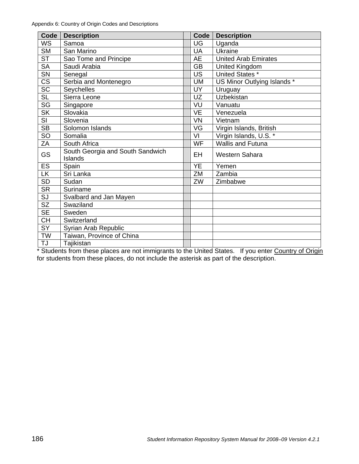| Code                   | <b>Description</b>               | Code      | <b>Description</b>          |  |  |
|------------------------|----------------------------------|-----------|-----------------------------|--|--|
| <b>WS</b>              | Samoa                            | UG        | Uganda                      |  |  |
| <b>SM</b>              | San Marino                       | UA        | Ukraine                     |  |  |
| <b>ST</b>              | Sao Tome and Principe            | AE        | <b>United Arab Emirates</b> |  |  |
| <b>SA</b>              | Saudi Arabia                     | <b>GB</b> | United Kingdom              |  |  |
| SN                     | Senegal                          | <b>US</b> | United States *             |  |  |
| <b>CS</b>              | Serbia and Montenegro            | UM        | US Minor Outlying Islands * |  |  |
| $\overline{SC}$        | Seychelles                       | <b>UY</b> | Uruguay                     |  |  |
| <b>SL</b>              | Sierra Leone                     | UZ        | Uzbekistan                  |  |  |
| SG                     | Singapore                        | VU        | Vanuatu                     |  |  |
| <b>SK</b>              | Slovakia                         | <b>VE</b> | Venezuela                   |  |  |
| SI                     | Slovenia                         | <b>VN</b> | Vietnam                     |  |  |
| <b>SB</b>              | Solomon Islands                  | VG        | Virgin Islands, British     |  |  |
| SO                     | Somalia                          | VI        | Virgin Islands, U.S. *      |  |  |
| ΖA                     | South Africa                     | <b>WF</b> | <b>Wallis and Futuna</b>    |  |  |
| <b>GS</b>              | South Georgia and South Sandwich | EH        | Western Sahara              |  |  |
|                        | <b>Islands</b>                   |           |                             |  |  |
| <b>ES</b>              | Spain                            | <b>YE</b> | Yemen                       |  |  |
| LK.                    | Sri Lanka                        | ZM        | Zambia                      |  |  |
| <b>SD</b>              | Sudan                            | ZW        | Zimbabwe                    |  |  |
| <b>SR</b>              | Suriname                         |           |                             |  |  |
| SJ                     | Svalbard and Jan Mayen           |           |                             |  |  |
| $\overline{\text{SZ}}$ | Swaziland                        |           |                             |  |  |
| <b>SE</b>              | Sweden                           |           |                             |  |  |
| <b>CH</b>              | Switzerland                      |           |                             |  |  |
| SY                     | Syrian Arab Republic             |           |                             |  |  |
| <b>TW</b>              | Taiwan, Province of China        |           |                             |  |  |
| TJ                     | Tajikistan                       |           |                             |  |  |

\* Students from these places are not immigrants to the United States. If you enter Country of Origin for students from these places, do not include the asterisk as part of the description.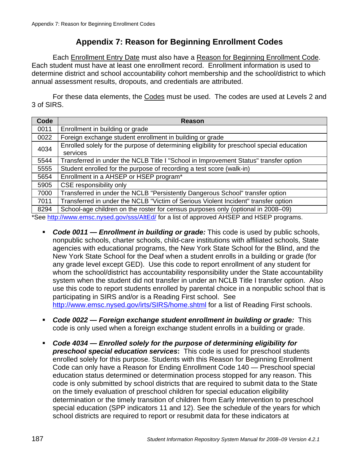# **Appendix 7: Reason for Beginning Enrollment Codes**

Each Enrollment Entry Date must also have a Reason for Beginning Enrollment Code. Each student must have at least one enrollment record. Enrollment information is used to determine district and school accountability cohort membership and the school/district to which annual assessment results, dropouts, and credentials are attributed.

For these data elements, the Codes must be used. The codes are used at Levels 2 and 3 of SIRS.

| Code | Reason                                                                                                 |  |  |
|------|--------------------------------------------------------------------------------------------------------|--|--|
| 0011 | Enrollment in building or grade                                                                        |  |  |
| 0022 | Foreign exchange student enrollment in building or grade                                               |  |  |
| 4034 | Enrolled solely for the purpose of determining eligibility for preschool special education<br>services |  |  |
| 5544 | Transferred in under the NCLB Title I "School in Improvement Status" transfer option                   |  |  |
| 5555 | Student enrolled for the purpose of recording a test score (walk-in)                                   |  |  |
| 5654 | Enrollment in a AHSEP or HSEP program*                                                                 |  |  |
| 5905 | CSE responsibility only                                                                                |  |  |
| 7000 | Transferred in under the NCLB "Persistently Dangerous School" transfer option                          |  |  |
| 7011 | Transferred in under the NCLB "Victim of Serious Violent Incident" transfer option                     |  |  |
| 8294 | School-age children on the roster for census purposes only (optional in 2008–09)                       |  |  |
|      | *Coo http://www.omas.pygod.gov/goo/AI+Ed/ for a ligt of approved AUCED and UCED programs               |  |  |

See <u>http://www.emsc.nysed.gov/sss/AltEd/</u> for a list of approved AHSEP and HSEP programs.

- *Code 0011 Enrollment in building or grade:* This code is used by public schools, nonpublic schools, charter schools, child-care institutions with affiliated schools, State agencies with educational programs, the New York State School for the Blind, and the New York State School for the Deaf when a student enrolls in a building or grade (for any grade level except GED). Use this code to report enrollment of any student for whom the school/district has accountability responsibility under the State accountability system when the student did not transfer in under an NCLB Title I transfer option. Also use this code to report students enrolled by parental choice in a nonpublic school that is participating in SIRS and/or is a Reading First school. See http://www.emsc.nysed.gov/irts/SIRS/home.shtml for a list of Reading First schools.
- *Code 0022 Foreign exchange student enrollment in building or grade:* This code is only used when a foreign exchange student enrolls in a building or grade.
- *Code 4034 Enrolled solely for the purpose of determining eligibility for preschool special education services***:** This code is used for preschool students enrolled solely for this purpose. Students with this Reason for Beginning Enrollment Code can only have a Reason for Ending Enrollment Code 140 — Preschool special education status determined or determination process stopped for any reason. This code is only submitted by school districts that are required to submit data to the State on the timely evaluation of preschool children for special education eligibility determination or the timely transition of children from Early Intervention to preschool special education (SPP indicators 11 and 12). See the schedule of the years for which school districts are required to report or resubmit data for these indicators at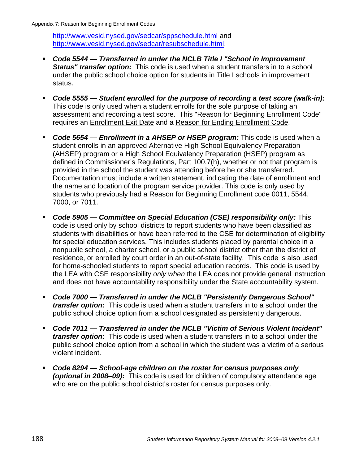http://www.vesid.nysed.gov/sedcar/sppschedule.html and http://www.vesid.nysed.gov/sedcar/resubschedule.html.

- *Code 5544 Transferred in under the NCLB Title I "School in Improvement Status" transfer option:* This code is used when a student transfers in to a school under the public school choice option for students in Title I schools in improvement status.
- *Code 5555 Student enrolled for the purpose of recording a test score (walk-in):* This code is only used when a student enrolls for the sole purpose of taking an assessment and recording a test score. This "Reason for Beginning Enrollment Code" requires an Enrollment Exit Date and a Reason for Ending Enrollment Code.
- *Code 5654 Enrollment in a AHSEP or HSEP program:* This code is used when a student enrolls in an approved Alternative High School Equivalency Preparation (AHSEP) program or a High School Equivalency Preparation (HSEP) program as defined in Commissioner's Regulations, Part 100.7(h), whether or not that program is provided in the school the student was attending before he or she transferred. Documentation must include a written statement, indicating the date of enrollment and the name and location of the program service provider. This code is only used by students who previously had a Reason for Beginning Enrollment code 0011, 5544, 7000, or 7011.
- *Code 5905 Committee on Special Education (CSE) responsibility only:* This code is used only by school districts to report students who have been classified as students with disabilities or have been referred to the CSE for determination of eligibility for special education services. This includes students placed by parental choice in a nonpublic school, a charter school, or a public school district other than the district of residence, or enrolled by court order in an out-of-state facility. This code is also used for home-schooled students to report special education records. This code is used by the LEA with CSE responsibility *only when* the LEA does not provide general instruction and does not have accountability responsibility under the State accountability system.
- *Code 7000 Transferred in under the NCLB "Persistently Dangerous School" transfer option:* This code is used when a student transfers in to a school under the public school choice option from a school designated as persistently dangerous.
- *Code 7011 Transferred in under the NCLB "Victim of Serious Violent Incident" transfer option:* This code is used when a student transfers in to a school under the public school choice option from a school in which the student was a victim of a serious violent incident.
- *Code 8294 School-age children on the roster for census purposes only (optional in 2008–09):* This code is used for children of compulsory attendance age who are on the public school district's roster for census purposes only.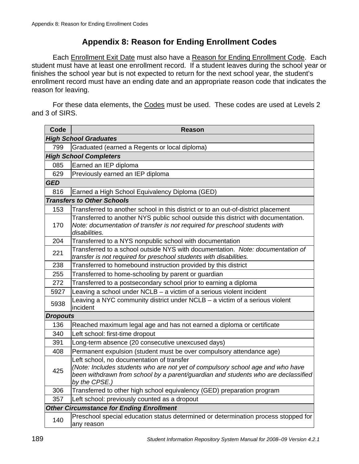# **Appendix 8: Reason for Ending Enrollment Codes**

Each Enrollment Exit Date must also have a Reason for Ending Enrollment Code. Each student must have at least one enrollment record. If a student leaves during the school year or finishes the school year but is not expected to return for the next school year, the student's enrollment record must have an ending date and an appropriate reason code that indicates the reason for leaving.

For these data elements, the Codes must be used. These codes are used at Levels 2 and 3 of SIRS.

| Code            | <b>Reason</b>                                                                                                                                                                                                                     |
|-----------------|-----------------------------------------------------------------------------------------------------------------------------------------------------------------------------------------------------------------------------------|
|                 | <b>High School Graduates</b>                                                                                                                                                                                                      |
| 799             | Graduated (earned a Regents or local diploma)                                                                                                                                                                                     |
|                 | <b>High School Completers</b>                                                                                                                                                                                                     |
| 085             | Earned an IEP diploma                                                                                                                                                                                                             |
| 629             | Previously earned an IEP diploma                                                                                                                                                                                                  |
| <b>GED</b>      |                                                                                                                                                                                                                                   |
| 816             | Earned a High School Equivalency Diploma (GED)                                                                                                                                                                                    |
|                 | <b>Transfers to Other Schools</b>                                                                                                                                                                                                 |
| 153             | Transferred to another school in this district or to an out-of-district placement                                                                                                                                                 |
| 170             | Transferred to another NYS public school outside this district with documentation.<br>Note: documentation of transfer is not required for preschool students with<br>disabilities.                                                |
| 204             | Transferred to a NYS nonpublic school with documentation                                                                                                                                                                          |
| 221             | Transferred to a school outside NYS with documentation. Note: documentation of<br>transfer is not required for preschool students with disabilities.                                                                              |
| 238             | Transferred to homebound instruction provided by this district                                                                                                                                                                    |
| 255             | Transferred to home-schooling by parent or guardian                                                                                                                                                                               |
| 272             | Transferred to a postsecondary school prior to earning a diploma                                                                                                                                                                  |
| 5927            | Leaving a school under NCLB - a victim of a serious violent incident                                                                                                                                                              |
| 5938            | Leaving a NYC community district under NCLB - a victim of a serious violent<br>incident                                                                                                                                           |
| <b>Dropouts</b> |                                                                                                                                                                                                                                   |
| 136             | Reached maximum legal age and has not earned a diploma or certificate                                                                                                                                                             |
| 340             | Left school: first-time dropout                                                                                                                                                                                                   |
| 391             | Long-term absence (20 consecutive unexcused days)                                                                                                                                                                                 |
| 408             | Permanent expulsion (student must be over compulsory attendance age)                                                                                                                                                              |
| 425             | Left school, no documentation of transfer<br>(Note: Includes students who are not yet of compulsory school age and who have<br>been withdrawn from school by a parent/guardian and students who are declassified<br>by the CPSE.) |
| 306             | Transferred to other high school equivalency (GED) preparation program                                                                                                                                                            |
| 357             | Left school: previously counted as a dropout                                                                                                                                                                                      |
|                 | <b>Other Circumstance for Ending Enrollment</b>                                                                                                                                                                                   |
| 140             | Preschool special education status determined or determination process stopped for<br>any reason                                                                                                                                  |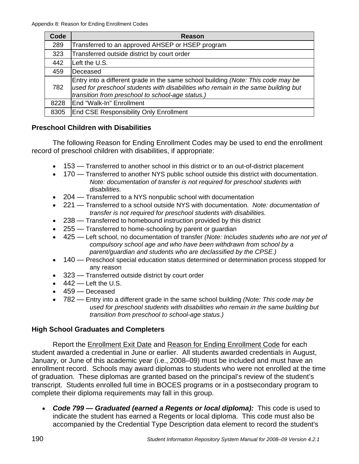| Code | Reason                                                                                                                                                                                                                    |
|------|---------------------------------------------------------------------------------------------------------------------------------------------------------------------------------------------------------------------------|
| 289  | Transferred to an approved AHSEP or HSEP program                                                                                                                                                                          |
| 323  | Transferred outside district by court order                                                                                                                                                                               |
| 442  | Left the U.S.                                                                                                                                                                                                             |
| 459  | lDeceased                                                                                                                                                                                                                 |
| 782  | Entry into a different grade in the same school building (Note: This code may be<br>used for preschool students with disabilities who remain in the same building but<br>transition from preschool to school-age status.) |
| 8228 | End "Walk-In" Enrollment                                                                                                                                                                                                  |
| 8305 | <b>End CSE Responsibility Only Enrollment</b>                                                                                                                                                                             |

### **Preschool Children with Disabilities**

The following Reason for Ending Enrollment Codes may be used to end the enrollment record of preschool children with disabilities, if appropriate:

- 153 Transferred to another school in this district or to an out-of-district placement
- 170 Transferred to another NYS public school outside this district with documentation. *Note: documentation of transfer is not required for preschool students with disabilities.*
- 204 Transferred to a NYS nonpublic school with documentation
- 221 Transferred to a school outside NYS with documentation. *Note: documentation of transfer is not required for preschool students with disabilities.*
- 238 Transferred to homebound instruction provided by this district
- 255 Transferred to home-schooling by parent or quardian
- 425 Left school, no documentation of transfer *(Note: Includes students who are not yet of compulsory school age and who have been withdrawn from school by a parent/guardian and students who are declassified by the CPSE.)*
- 140 Preschool special education status determined or determination process stopped for any reason
- 323 Transferred outside district by court order
- $\bullet$  442 Left the U.S.
- 459 Deceased
- 782 Entry into a different grade in the same school building *(Note: This code may be used for preschool students with disabilities who remain in the same building but transition from preschool to school-age status.)*

### **High School Graduates and Completers**

Report the Enrollment Exit Date and Reason for Ending Enrollment Code for each student awarded a credential in June or earlier. All students awarded credentials in August, January, or June of this academic year (i.e., 2008–09) must be included and must have an enrollment record. Schools may award diplomas to students who were not enrolled at the time of graduation. These diplomas are granted based on the principal's review of the student's transcript. Students enrolled full time in BOCES programs or in a postsecondary program to complete their diploma requirements may fall in this group.

• *Code 799 — Graduated (earned a Regents or local diploma):* This code is used to indicate the student has earned a Regents or local diploma. This code must also be accompanied by the Credential Type Description data element to record the student's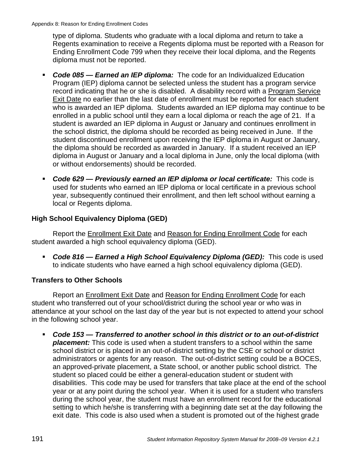type of diploma. Students who graduate with a local diploma and return to take a Regents examination to receive a Regents diploma must be reported with a Reason for Ending Enrollment Code 799 when they receive their local diploma, and the Regents diploma must not be reported.

- *Code 085 Earned an IEP diploma:* The code for an Individualized Education Program (IEP) diploma cannot be selected unless the student has a program service record indicating that he or she is disabled. A disability record with a Program Service Exit Date no earlier than the last date of enrollment must be reported for each student who is awarded an IEP diploma. Students awarded an IEP diploma may continue to be enrolled in a public school until they earn a local diploma or reach the age of 21. If a student is awarded an IEP diploma in August or January and continues enrollment in the school district, the diploma should be recorded as being received in June. If the student discontinued enrollment upon receiving the IEP diploma in August or January, the diploma should be recorded as awarded in January. If a student received an IEP diploma in August or January and a local diploma in June, only the local diploma (with or without endorsements) should be recorded.
- *Code 629 Previously earned an IEP diploma or local certificate:* This code is used for students who earned an IEP diploma or local certificate in a previous school year, subsequently continued their enrollment, and then left school without earning a local or Regents diploma.

## **High School Equivalency Diploma (GED)**

Report the Enrollment Exit Date and Reason for Ending Enrollment Code for each student awarded a high school equivalency diploma (GED).

 *Code 816 — Earned a High School Equivalency Diploma (GED):* This code is used to indicate students who have earned a high school equivalency diploma (GED).

## **Transfers to Other Schools**

Report an Enrollment Exit Date and Reason for Ending Enrollment Code for each student who transferred out of your school/district during the school year or who was in attendance at your school on the last day of the year but is not expected to attend your school in the following school year.

 *Code 153 — Transferred to another school in this district or to an out-of-district placement:* This code is used when a student transfers to a school within the same school district or is placed in an out-of-district setting by the CSE or school or district administrators or agents for any reason. The out-of-district setting could be a BOCES, an approved-private placement, a State school, or another public school district. The student so placed could be either a general-education student or student with disabilities. This code may be used for transfers that take place at the end of the school year or at any point during the school year. When it is used for a student who transfers during the school year, the student must have an enrollment record for the educational setting to which he/she is transferring with a beginning date set at the day following the exit date. This code is also used when a student is promoted out of the highest grade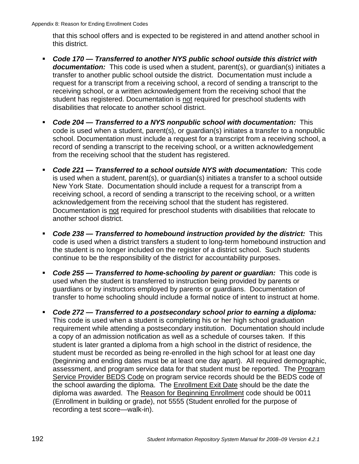that this school offers and is expected to be registered in and attend another school in this district.

- *Code 170 Transferred to another NYS public school outside this district with documentation:* This code is used when a student, parent(s), or guardian(s) initiates a transfer to another public school outside the district. Documentation must include a request for a transcript from a receiving school, a record of sending a transcript to the receiving school, or a written acknowledgement from the receiving school that the student has registered. Documentation is not required for preschool students with disabilities that relocate to another school district.
- *Code 204 Transferred to a NYS nonpublic school with documentation:* This code is used when a student, parent(s), or guardian(s) initiates a transfer to a nonpublic school. Documentation must include a request for a transcript from a receiving school, a record of sending a transcript to the receiving school, or a written acknowledgement from the receiving school that the student has registered.
- *Code 221 Transferred to a school outside NYS with documentation:* This code is used when a student, parent(s), or guardian(s) initiates a transfer to a school outside New York State. Documentation should include a request for a transcript from a receiving school, a record of sending a transcript to the receiving school, or a written acknowledgement from the receiving school that the student has registered. Documentation is not required for preschool students with disabilities that relocate to another school district.
- *Code 238 Transferred to homebound instruction provided by the district:* This code is used when a district transfers a student to long-term homebound instruction and the student is no longer included on the register of a district school. Such students continue to be the responsibility of the district for accountability purposes.
- *Code 255 Transferred to home-schooling by parent or guardian:* This code is used when the student is transferred to instruction being provided by parents or guardians or by instructors employed by parents or guardians. Documentation of transfer to home schooling should include a formal notice of intent to instruct at home.
- *Code 272 Transferred to a postsecondary school prior to earning a diploma:* This code is used when a student is completing his or her high school graduation requirement while attending a postsecondary institution. Documentation should include a copy of an admission notification as well as a schedule of courses taken. If this student is later granted a diploma from a high school in the district of residence, the student must be recorded as being re-enrolled in the high school for at least one day (beginning and ending dates must be at least one day apart). All required demographic, assessment, and program service data for that student must be reported. The Program Service Provider BEDS Code on program service records should be the BEDS code of the school awarding the diploma. The Enrollment Exit Date should be the date the diploma was awarded. The Reason for Beginning Enrollment code should be 0011 (Enrollment in building or grade), not 5555 (Student enrolled for the purpose of recording a test score—walk-in).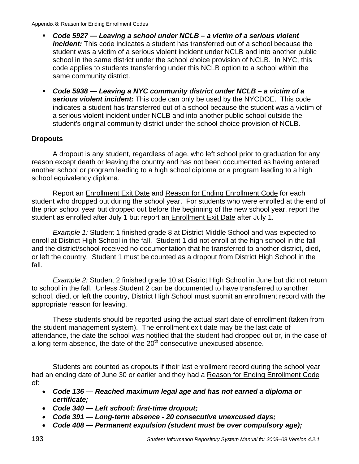Appendix 8: Reason for Ending Enrollment Codes

- *Code 5927 Leaving a school under NCLB a victim of a serious violent incident:* This code indicates a student has transferred out of a school because the student was a victim of a serious violent incident under NCLB and into another public school in the same district under the school choice provision of NCLB. In NYC, this code applies to students transferring under this NCLB option to a school within the same community district.
- *Code 5938 Leaving a NYC community district under NCLB a victim of a serious violent incident:* This code can only be used by the NYCDOE. This code indicates a student has transferred out of a school because the student was a victim of a serious violent incident under NCLB and into another public school outside the student's original community district under the school choice provision of NCLB.

## **Dropouts**

A dropout is any student, regardless of age, who left school prior to graduation for any reason except death or leaving the country and has not been documented as having entered another school or program leading to a high school diploma or a program leading to a high school equivalency diploma.

Report an Enrollment Exit Date and Reason for Ending Enrollment Code for each student who dropped out during the school year. For students who were enrolled at the end of the prior school year but dropped out before the beginning of the new school year, report the student as enrolled after July 1 but report an Enrollment Exit Date after July 1.

*Example 1:* Student 1 finished grade 8 at District Middle School and was expected to enroll at District High School in the fall. Student 1 did not enroll at the high school in the fall and the district/school received no documentation that he transferred to another district, died, or left the country. Student 1 must be counted as a dropout from District High School in the fall.

*Example 2:* Student 2 finished grade 10 at District High School in June but did not return to school in the fall. Unless Student 2 can be documented to have transferred to another school, died, or left the country, District High School must submit an enrollment record with the appropriate reason for leaving.

These students should be reported using the actual start date of enrollment (taken from the student management system). The enrollment exit date may be the last date of attendance, the date the school was notified that the student had dropped out or, in the case of a long-term absence, the date of the  $20<sup>th</sup>$  consecutive unexcused absence.

Students are counted as dropouts if their last enrollment record during the school year had an ending date of June 30 or earlier and they had a Reason for Ending Enrollment Code of:

- *Code 136 Reached maximum legal age and has not earned a diploma or certificate;*
- *Code 340 Left school: first-time dropout;*
- *Code 391 Long-term absence 20 consecutive unexcused days;*
- *Code 408 Permanent expulsion (student must be over compulsory age);*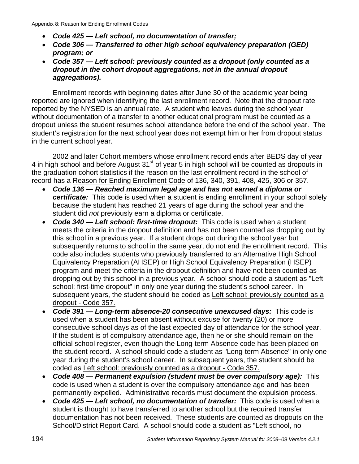- *Code 425 Left school, no documentation of transfer;*
- *Code 306 Transferred to other high school equivalency preparation (GED) program; or*
- *Code 357 Left school: previously counted as a dropout (only counted as a dropout in the cohort dropout aggregations, not in the annual dropout aggregations).*

Enrollment records with beginning dates after June 30 of the academic year being reported are ignored when identifying the last enrollment record. Note that the dropout rate reported by the NYSED is an annual rate. A student who leaves during the school year without documentation of a transfer to another educational program must be counted as a dropout unless the student resumes school attendance before the end of the school year. The student's registration for the next school year does not exempt him or her from dropout status in the current school year.

2002 and later Cohort members whose enrollment record ends after BEDS day of year 4 in high school and before August  $31<sup>st</sup>$  of year 5 in high school will be counted as dropouts in the graduation cohort statistics if the reason on the last enrollment record in the school of record has a Reason for Ending Enrollment Code of 136, 340, 391, 408, 425, 306 or 357.

- *Code 136 Reached maximum legal age and has not earned a diploma or certificate:* This code is used when a student is ending enrollment in your school solely because the student has reached 21 years of age during the school year and the student did *not* previously earn a diploma or certificate.
- *Code 340 Left school: first-time dropout:* This code is used when a student meets the criteria in the dropout definition and has not been counted as dropping out by this school in a previous year. If a student drops out during the school year but subsequently returns to school in the same year, do not end the enrollment record. This code also includes students who previously transferred to an Alternative High School Equivalency Preparation (AHSEP) or High School Equivalency Preparation (HSEP) program and meet the criteria in the dropout definition and have not been counted as dropping out by this school in a previous year. A school should code a student as "Left school: first-time dropout" in only one year during the student's school career. In subsequent years, the student should be coded as Left school: previously counted as a dropout - Code 357.
- *Code 391 Long-term absence-20 consecutive unexcused days:* This code is used when a student has been absent without excuse for twenty (20) or more consecutive school days as of the last expected day of attendance for the school year. If the student is of compulsory attendance age, then he or she should remain on the official school register, even though the Long-term Absence code has been placed on the student record. A school should code a student as "Long-term Absence" in only one year during the student's school career. In subsequent years, the student should be coded as Left school: previously counted as a dropout - Code 357.
- *Code 408 Permanent expulsion (student must be over compulsory age):* This code is used when a student is over the compulsory attendance age and has been permanently expelled. Administrative records must document the expulsion process.
- *Code 425 Left school, no documentation of transfer:* This code is used when a student is thought to have transferred to another school but the required transfer documentation has not been received. These students are counted as dropouts on the School/District Report Card. A school should code a student as "Left school, no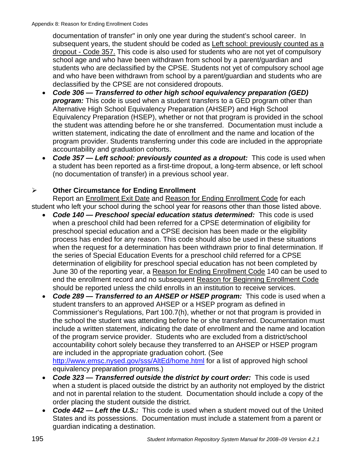documentation of transfer" in only one year during the student's school career. In subsequent years, the student should be coded as Left school: previously counted as a dropout - Code 357. This code is also used for students who are not yet of compulsory school age and who have been withdrawn from school by a parent/guardian and students who are declassified by the CPSE. Students not yet of compulsory school age and who have been withdrawn from school by a parent/guardian and students who are declassified by the CPSE are not considered dropouts.

- *Code 306 Transferred to other high school equivalency preparation (GED) program:* This code is used when a student transfers to a GED program other than Alternative High School Equivalency Preparation (AHSEP) and High School Equivalency Preparation (HSEP), whether or not that program is provided in the school the student was attending before he or she transferred. Documentation must include a written statement, indicating the date of enrollment and the name and location of the program provider. Students transferring under this code are included in the appropriate accountability and graduation cohorts.
- *Code 357 Left school: previously counted as a dropout:* This code is used when a student has been reported as a first-time dropout, a long-term absence, or left school (no documentation of transfer) in a previous school year.

## ¾ **Other Circumstance for Ending Enrollment**

Report an Enrollment Exit Date and Reason for Ending Enrollment Code for each student who left your school during the school year for reasons other than those listed above.

- *Code 140 Preschool special education status determined:* This code is used when a preschool child had been referred for a CPSE determination of eligibility for preschool special education and a CPSE decision has been made or the eligibility process has ended for any reason. This code should also be used in these situations when the request for a determination has been withdrawn prior to final determination. If the series of Special Education Events for a preschool child referred for a CPSE determination of eligibility for preschool special education has not been completed by June 30 of the reporting year, a Reason for Ending Enrollment Code 140 can be used to end the enrollment record and no subsequent Reason for Beginning Enrollment Code should be reported unless the child enrolls in an institution to receive services.
- Code 289 Transferred to an AHSEP or HSEP program: This code is used when a student transfers to an approved AHSEP or a HSEP program as defined in Commissioner's Regulations, Part 100.7(h), whether or not that program is provided in the school the student was attending before he or she transferred. Documentation must include a written statement, indicating the date of enrollment and the name and location of the program service provider. Students who are excluded from a district/school accountability cohort solely because they transferred to an AHSEP or HSEP program are included in the appropriate graduation cohort. (See http://www.emsc.nysed.gov/sss/AltEd/home.html for a list of approved high school equivalency preparation programs.)
- *Code 323 Transferred outside the district by court order:* This code is used when a student is placed outside the district by an authority not employed by the district and not in parental relation to the student. Documentation should include a copy of the order placing the student outside the district.
- *Code 442 Left the U.S.:* This code is used when a student moved out of the United States and its possessions. Documentation must include a statement from a parent or guardian indicating a destination.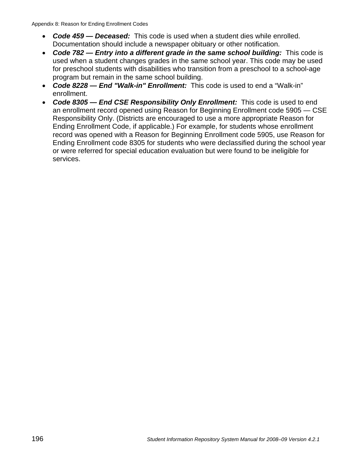- *Code 459 Deceased:* This code is used when a student dies while enrolled. Documentation should include a newspaper obituary or other notification.
- *Code 782 Entry into a different grade in the same school building:* This code is used when a student changes grades in the same school year. This code may be used for preschool students with disabilities who transition from a preschool to a school-age program but remain in the same school building.
- *Code 8228 End "Walk-in" Enrollment:* This code is used to end a "Walk-in" enrollment.
- *Code 8305 End CSE Responsibility Only Enrollment:* This code is used to end an enrollment record opened using Reason for Beginning Enrollment code 5905 — CSE Responsibility Only. (Districts are encouraged to use a more appropriate Reason for Ending Enrollment Code, if applicable.) For example, for students whose enrollment record was opened with a Reason for Beginning Enrollment code 5905, use Reason for Ending Enrollment code 8305 for students who were declassified during the school year or were referred for special education evaluation but were found to be ineligible for services.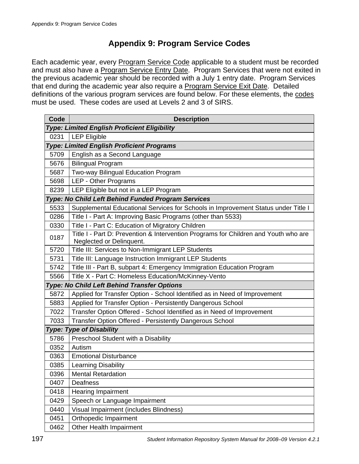# **Appendix 9: Program Service Codes**

Each academic year, every Program Service Code applicable to a student must be recorded and must also have a Program Service Entry Date. Program Services that were not exited in the previous academic year should be recorded with a July 1 entry date. Program Services that end during the academic year also require a **Program Service Exit Date**. Detailed definitions of the various program services are found below. For these elements, the codes must be used. These codes are used at Levels 2 and 3 of SIRS.

| Code | <b>Description</b>                                                                                              |
|------|-----------------------------------------------------------------------------------------------------------------|
|      | Type: Limited English Proficient Eligibility                                                                    |
| 0231 | <b>LEP Eligible</b>                                                                                             |
|      | <b>Type: Limited English Proficient Programs</b>                                                                |
| 5709 | English as a Second Language                                                                                    |
| 5676 | <b>Bilingual Program</b>                                                                                        |
| 5687 | Two-way Bilingual Education Program                                                                             |
| 5698 | LEP - Other Programs                                                                                            |
| 8239 | LEP Eligible but not in a LEP Program                                                                           |
|      | Type: No Child Left Behind Funded Program Services                                                              |
| 5533 | Supplemental Educational Services for Schools in Improvement Status under Title I                               |
| 0286 | Title I - Part A: Improving Basic Programs (other than 5533)                                                    |
| 0330 | Title I - Part C: Education of Migratory Children                                                               |
| 0187 | Title I - Part D: Prevention & Intervention Programs for Children and Youth who are<br>Neglected or Delinquent. |
| 5720 | Title III: Services to Non-Immigrant LEP Students                                                               |
| 5731 | Title III: Language Instruction Immigrant LEP Students                                                          |
| 5742 | Title III - Part B, subpart 4: Emergency Immigration Education Program                                          |
| 5566 | Title X - Part C: Homeless Education/McKinney-Vento                                                             |
|      | Type: No Child Left Behind Transfer Options                                                                     |
| 5872 | Applied for Transfer Option - School Identified as in Need of Improvement                                       |
| 5883 | Applied for Transfer Option - Persistently Dangerous School                                                     |
| 7022 | Transfer Option Offered - School Identified as in Need of Improvement                                           |
| 7033 | Transfer Option Offered - Persistently Dangerous School                                                         |
|      | <b>Type: Type of Disability</b>                                                                                 |
| 5786 | Preschool Student with a Disability                                                                             |
| 0352 | Autism                                                                                                          |
| 0363 | <b>Emotional Disturbance</b>                                                                                    |
| 0385 | <b>Learning Disability</b>                                                                                      |
| 0396 | <b>Mental Retardation</b>                                                                                       |
| 0407 | Deafness                                                                                                        |
| 0418 | <b>Hearing Impairment</b>                                                                                       |
| 0429 | Speech or Language Impairment                                                                                   |
| 0440 | Visual Impairment (includes Blindness)                                                                          |
| 0451 | Orthopedic Impairment                                                                                           |
| 0462 | Other Health Impairment                                                                                         |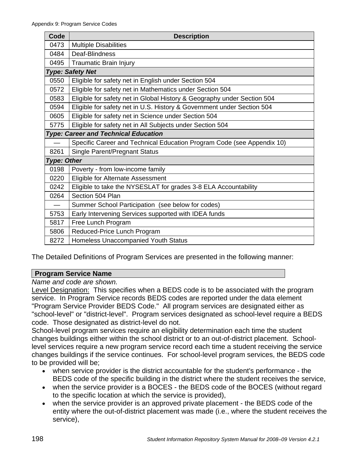| Code               | <b>Description</b>                                                      |
|--------------------|-------------------------------------------------------------------------|
| 0473               | <b>Multiple Disabilities</b>                                            |
| 0484               | Deaf-Blindness                                                          |
| 0495               | <b>Traumatic Brain Injury</b>                                           |
|                    | <b>Type: Safety Net</b>                                                 |
| 0550               | Eligible for safety net in English under Section 504                    |
| 0572               | Eligible for safety net in Mathematics under Section 504                |
| 0583               | Eligible for safety net in Global History & Geography under Section 504 |
| 0594               | Eligible for safety net in U.S. History & Government under Section 504  |
| 0605               | Eligible for safety net in Science under Section 504                    |
| 5775               | Eligible for safety net in All Subjects under Section 504               |
|                    | Type: Career and Technical Education                                    |
|                    | Specific Career and Technical Education Program Code (see Appendix 10)  |
| 8261               | Single Parent/Pregnant Status                                           |
| <b>Type: Other</b> |                                                                         |
| 0198               | Poverty - from low-income family                                        |
| 0220               | Eligible for Alternate Assessment                                       |
| 0242               | Eligible to take the NYSESLAT for grades 3-8 ELA Accountability         |
| 0264               | Section 504 Plan                                                        |
|                    | Summer School Participation (see below for codes)                       |
| 5753               | Early Intervening Services supported with IDEA funds                    |
| 5817               | Free Lunch Program                                                      |
| 5806               | Reduced-Price Lunch Program                                             |
| 8272               | <b>Homeless Unaccompanied Youth Status</b>                              |

The Detailed Definitions of Program Services are presented in the following manner:

#### **Program Service Name**

*Name and code are shown.* 

Level Designation: This specifies when a BEDS code is to be associated with the program service. In Program Service records BEDS codes are reported under the data element "Program Service Provider BEDS Code." All program services are designated either as "school-level" or "district-level". Program services designated as school-level require a BEDS code. Those designated as district-level do not.

School-level program services require an eligibility determination each time the student changes buildings either within the school district or to an out-of-district placement. Schoollevel services require a new program service record each time a student receiving the service changes buildings if the service continues. For school-level program services, the BEDS code to be provided will be;

- when service provider is the district accountable for the student's performance the BEDS code of the specific building in the district where the student receives the service,
- when the service provider is a BOCES the BEDS code of the BOCES (without regard to the specific location at which the service is provided),
- when the service provider is an approved private placement the BEDS code of the entity where the out-of-district placement was made (i.e., where the student receives the service),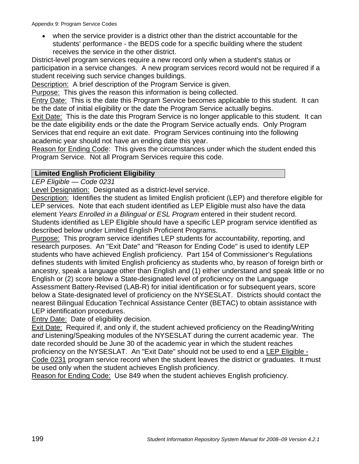when the service provider is a district other than the district accountable for the students' performance - the BEDS code for a specific building where the student receives the service in the other district.

District-level program services require a new record only when a student's status or participation in a service changes. A new program services record would not be required if a student receiving such service changes buildings.

Description: A brief description of the Program Service is given.

Purpose: This gives the reason this information is being collected.

Entry Date: This is the date this Program Service becomes applicable to this student. It can be the date of initial eligibility or the date the Program Service actually begins.

Exit Date: This is the date this Program Service is no longer applicable to this student. It can be the date eligibility ends or the date the Program Service actually ends. Only Program Services that end require an exit date. Program Services continuing into the following academic year should not have an ending date this year.

Reason for Ending Code: This gives the circumstances under which the student ended this Program Service. Not all Program Services require this code.

### **Limited English Proficient Eligibility**

*LEP Eligible — Code 0231* 

Level Designation: Designated as a district-level service.

Description: Identifies the student as limited English proficient (LEP) and therefore eligible for LEP services. Note that each student identified as LEP Eligible must also have the data element *Years Enrolled in a Bilingual or ESL Program* entered in their student record. Students identified as LEP Eligible should have a specific LEP program service identified as described below under Limited English Proficient Programs.

Purpose: This program service identifies LEP students for accountability, reporting, and research purposes. An "Exit Date" and "Reason for Ending Code" is used to identify LEP students who have achieved English proficiency. Part 154 of Commissioner's Regulations defines students with limited English proficiency as students who, by reason of foreign birth or ancestry, speak a language other than English and (1) either understand and speak little or no English or (2) score below a State-designated level of proficiency on the Language Assessment Battery-Revised (LAB-R) for initial identification or for subsequent years, score below a State-designated level of proficiency on the NYSESLAT. Districts should contact the nearest Bilingual Education Technical Assistance Center (BETAC) to obtain assistance with LEP identification procedures.

**Entry Date: Date of eligibility decision.** 

Exit Date: Required if, and only if, the student achieved proficiency on the Reading/Writing *and* Listening/Speaking modules of the NYSESLAT during the current academic year. The date recorded should be June 30 of the academic year in which the student reaches proficiency on the NYSESLAT. An "Exit Date" should not be used to end a LEP Eligible - Code 0231 program service record when the student leaves the district or graduates. It must be used only when the student achieves English proficiency.

Reason for Ending Code: Use 849 when the student achieves English proficiency.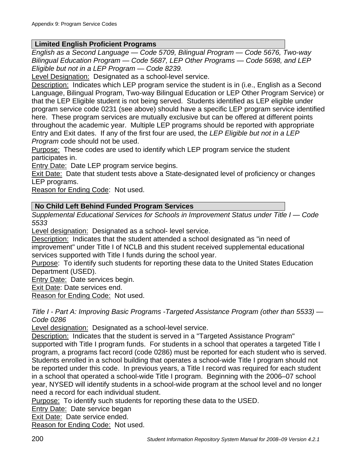#### **Limited English Proficient Programs**

*English as a Second Language — Code 5709, Bilingual Program — Code 5676, Two-way Bilingual Education Program — Code 5687, LEP Other Programs — Code 5698, and LEP Eligible but not in a LEP Program — Code 8239.* 

Level Designation: Designated as a school-level service.

Description: Indicates which LEP program service the student is in (i.e., English as a Second Language, Bilingual Program, Two-way Bilingual Education or LEP Other Program Service) or that the LEP Eligible student is not being served. Students identified as LEP eligible under program service code 0231 (see above) should have a specific LEP program service identified here. These program services are mutually exclusive but can be offered at different points throughout the academic year. Multiple LEP programs should be reported with appropriate Entry and Exit dates. If any of the first four are used, the *LEP Eligible but not in a LEP Program* code should not be used.

Purpose: These codes are used to identify which LEP program service the student participates in.

Entry Date: Date LEP program service begins.

Exit Date: Date that student tests above a State-designated level of proficiency or changes LEP programs.

Reason for Ending Code: Not used.

### **No Child Left Behind Funded Program Services**

*Supplemental Educational Services for Schools in Improvement Status under Title I — Code 5533*

Level designation: Designated as a school- level service.

Description: Indicates that the student attended a school designated as "in need of improvement" under Title I of NCLB and this student received supplemental educational services supported with Title I funds during the school year.

Purpose: To identify such students for reporting these data to the United States Education Department (USED).

Entry Date: Date services begin.

Exit Date: Date services end.

Reason for Ending Code: Not used.

*Title I - Part A: Improving Basic Programs -Targeted Assistance Program (other than 5533) — Code 0286* 

Level designation: Designated as a school-level service.

Description: Indicates that the student is served in a "Targeted Assistance Program" supported with Title I program funds. For students in a school that operates a targeted Title I program, a programs fact record (code 0286) must be reported for each student who is served. Students enrolled in a school building that operates a school-wide Title I program should not be reported under this code. In previous years, a Title I record was required for each student in a school that operated a school-wide Title I program. Beginning with the 2006–07 school year, NYSED will identify students in a school-wide program at the school level and no longer need a record for each individual student.

Purpose: To identify such students for reporting these data to the USED.

Entry Date: Date service began

Exit Date: Date service ended.

Reason for Ending Code: Not used.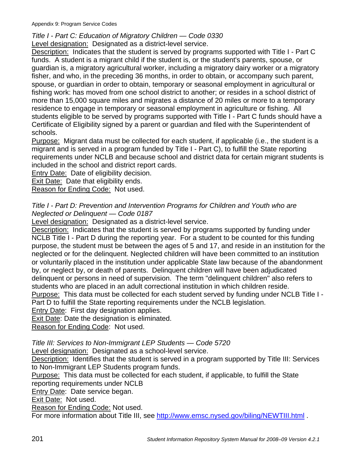Appendix 9: Program Service Codes

*Title I - Part C: Education of Migratory Children — Code 0330*  Level designation: Designated as a district-level service.

Description: Indicates that the student is served by programs supported with Title I - Part C funds. A student is a migrant child if the student is, or the student's parents, spouse, or guardian is, a migratory agricultural worker, including a migratory dairy worker or a migratory fisher, and who, in the preceding 36 months, in order to obtain, or accompany such parent, spouse, or guardian in order to obtain, temporary or seasonal employment in agricultural or fishing work: has moved from one school district to another; or resides in a school district of more than 15,000 square miles and migrates a distance of 20 miles or more to a temporary residence to engage in temporary or seasonal employment in agriculture or fishing. All students eligible to be served by programs supported with Title I - Part C funds should have a Certificate of Eligibility signed by a parent or guardian and filed with the Superintendent of schools.

Purpose: Migrant data must be collected for each student, if applicable (i.e., the student is a migrant and is served in a program funded by Title I - Part C), to fulfill the State reporting requirements under NCLB and because school and district data for certain migrant students is included in the school and district report cards.

**Entry Date: Date of eligibility decision.** 

Exit Date: Date that eligibility ends.

Reason for Ending Code: Not used.

#### *Title I - Part D: Prevention and Intervention Programs for Children and Youth who are Neglected or Delinquent — Code 0187*

Level designation: Designated as a district-level service.

Description: Indicates that the student is served by programs supported by funding under NCLB Title I - Part D during the reporting year. For a student to be counted for this funding purpose, the student must be between the ages of 5 and 17, and reside in an institution for the neglected or for the delinquent. Neglected children will have been committed to an institution or voluntarily placed in the institution under applicable State law because of the abandonment by, or neglect by, or death of parents. Delinquent children will have been adjudicated delinquent or persons in need of supervision. The term "delinquent children" also refers to students who are placed in an adult correctional institution in which children reside.

Purpose: This data must be collected for each student served by funding under NCLB Title I - Part D to fulfill the State reporting requirements under the NCLB legislation.

Entry Date: First day designation applies.

Exit Date: Date the designation is eliminated.

Reason for Ending Code: Not used.

*Title III: Services to Non-Immigrant LEP Students — Code 5720* 

Level designation: Designated as a school-level service.

Description: Identifies that the student is served in a program supported by Title III: Services to Non-Immigrant LEP Students program funds.

Purpose: This data must be collected for each student, if applicable, to fulfill the State reporting requirements under NCLB

Entry Date: Date service began.

Exit Date: Not used.

Reason for Ending Code: Not used.

For more information about Title III, see http://www.emsc.nysed.gov/biling/NEWTIII.html.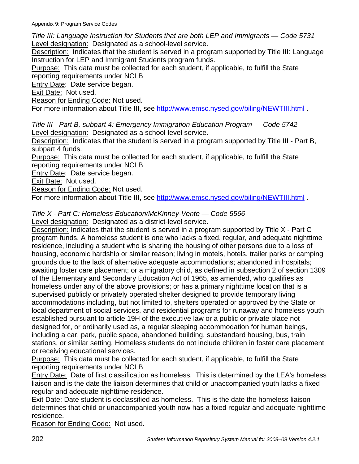*Title III: Language Instruction for Students that are both LEP and Immigrants — Code 5731*  Level designation: Designated as a school-level service.

Description: Indicates that the student is served in a program supported by Title III: Language Instruction for LEP and Immigrant Students program funds.

Purpose: This data must be collected for each student, if applicable, to fulfill the State reporting requirements under NCLB

Entry Date: Date service began.

Exit Date: Not used.

Reason for Ending Code: Not used.

For more information about Title III, see http://www.emsc.nysed.gov/biling/NEWTIII.html.

*Title III - Part B, subpart 4: Emergency Immigration Education Program — Code 5742*  Level designation: Designated as a school-level service.

Description: Indicates that the student is served in a program supported by Title III - Part B, subpart 4 funds.

Purpose: This data must be collected for each student, if applicable, to fulfill the State reporting requirements under NCLB

Entry Date: Date service began.

Exit Date: Not used.

Reason for Ending Code: Not used.

For more information about Title III, see http://www.emsc.nysed.gov/biling/NEWTIII.html.

### *Title X - Part C: Homeless Education/McKinney-Vento — Code 5566*

Level designation: Designated as a district-level service.

Description: Indicates that the student is served in a program supported by Title X - Part C program funds. A homeless student is one who lacks a fixed, regular, and adequate nighttime residence, including a student who is sharing the housing of other persons due to a loss of housing, economic hardship or similar reason; living in motels, hotels, trailer parks or camping grounds due to the lack of alternative adequate accommodations; abandoned in hospitals; awaiting foster care placement; or a migratory child, as defined in subsection 2 of section 1309 of the Elementary and Secondary Education Act of 1965, as amended, who qualifies as homeless under any of the above provisions; or has a primary nighttime location that is a supervised publicly or privately operated shelter designed to provide temporary living accommodations including, but not limited to, shelters operated or approved by the State or local department of social services, and residential programs for runaway and homeless youth established pursuant to article 19H of the executive law or a public or private place not designed for, or ordinarily used as, a regular sleeping accommodation for human beings, including a car, park, public space, abandoned building, substandard housing, bus, train stations, or similar setting. Homeless students do not include children in foster care placement or receiving educational services.

Purpose: This data must be collected for each student, if applicable, to fulfill the State reporting requirements under NCLB

Entry Date: Date of first classification as homeless. This is determined by the LEA's homeless liaison and is the date the liaison determines that child or unaccompanied youth lacks a fixed regular and adequate nighttime residence.

Exit Date: Date student is declassified as homeless. This is the date the homeless liaison determines that child or unaccompanied youth now has a fixed regular and adequate nighttime residence.

Reason for Ending Code: Not used.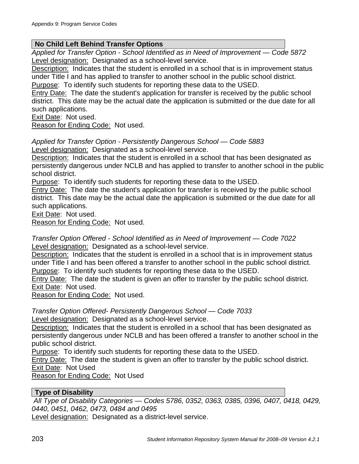#### **No Child Left Behind Transfer Options**

*Applied for Transfer Option - School Identified as in Need of Improvement — Code 5872*  Level designation: Designated as a school-level service.

Description: Indicates that the student is enrolled in a school that is in improvement status under Title I and has applied to transfer to another school in the public school district. Purpose: To identify such students for reporting these data to the USED.

**Entry Date:** The date the student's application for transfer is received by the public school district. This date may be the actual date the application is submitted or the due date for all such applications.

Exit Date: Not used.

Reason for Ending Code: Not used.

*Applied for Transfer Option - Persistently Dangerous School — Code 5883*  Level designation: Designated as a school-level service.

Description: Indicates that the student is enrolled in a school that has been designated as persistently dangerous under NCLB and has applied to transfer to another school in the public school district.

Purpose: To identify such students for reporting these data to the USED.

Entry Date: The date the student's application for transfer is received by the public school district. This date may be the actual date the application is submitted or the due date for all such applications.

Exit Date: Not used.

Reason for Ending Code: Not used.

*Transfer Option Offered - School Identified as in Need of Improvement — Code 7022*  Level designation: Designated as a school-level service.

Description: Indicates that the student is enrolled in a school that is in improvement status under Title I and has been offered a transfer to another school in the public school district. Purpose: To identify such students for reporting these data to the USED.

Entry Date: The date the student is given an offer to transfer by the public school district. Exit Date: Not used.

Reason for Ending Code: Not used.

*Transfer Option Offered- Persistently Dangerous School — Code 7033* Level designation: Designated as a school-level service.

Description: Indicates that the student is enrolled in a school that has been designated as persistently dangerous under NCLB and has been offered a transfer to another school in the public school district.

Purpose: To identify such students for reporting these data to the USED.

Entry Date: The date the student is given an offer to transfer by the public school district. Exit Date: Not Used

Reason for Ending Code: Not Used

#### **Type of Disability**

 *All Type of Disability Categories — Codes 5786, 0352, 0363, 0385, 0396, 0407, 0418, 0429, 0440, 0451, 0462, 0473, 0484 and 0495* 

Level designation: Designated as a district-level service.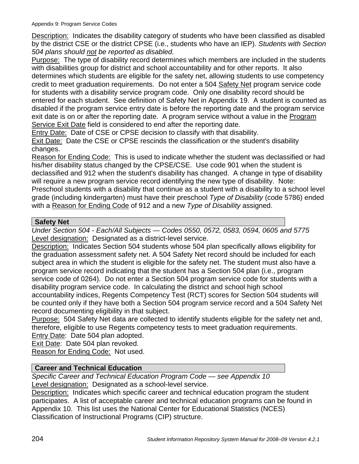Description: Indicates the disability category of students who have been classified as disabled by the district CSE or the district CPSE (i.e., students who have an IEP). *Students with Section 504 plans should not be reported as disabled.*

Purpose: The type of disability record determines which members are included in the students with disabilities group for district and school accountability and for other reports. It also determines which students are eligible for the safety net, allowing students to use competency credit to meet graduation requirements. Do not enter a 504 Safety Net program service code for students with a disability service program code. Only one disability record should be entered for each student. See definition of Safety Net in Appendix 19. A student is counted as disabled if the program service entry date is before the reporting date and the program service exit date is on or after the reporting date. A program service without a value in the Program Service Exit Date field is considered to end after the reporting date.

Entry Date: Date of CSE or CPSE decision to classify with that disability.

Exit Date: Date the CSE or CPSE rescinds the classification or the student's disability changes.

Reason for Ending Code: This is used to indicate whether the student was declassified or had his/her disability status changed by the CPSE/CSE. Use code 901 when the student is declassified and 912 when the student's disability has changed. A change in type of disability will require a new program service record identifying the new type of disability. Note: Preschool students with a disability that continue as a student with a disability to a school level grade (including kindergarten) must have their preschool *Type of Disability* (code 5786) ended

with a Reason for Ending Code of 912 and a new *Type of Disability* assigned.

### **Safety Net**

*Under Section 504 - Each/All Subjects — Codes 0550, 0572, 0583, 0594, 0605 and 5775* Level designation: Designated as a district-level service.

Description: Indicates Section 504 students whose 504 plan specifically allows eligibility for the graduation assessment safety net. A 504 Safety Net record should be included for each subject area in which the student is eligible for the safety net. The student must also have a program service record indicating that the student has a Section 504 plan (i.e., program service code of 0264). Do not enter a Section 504 program service code for students with a disability program service code. In calculating the district and school high school accountability indices, Regents Competency Test (RCT) scores for Section 504 students will be counted only if they have both a Section 504 program service record and a 504 Safety Net record documenting eligibility in that subject.

Purpose: 504 Safety Net data are collected to identify students eligible for the safety net and, therefore, eligible to use Regents competency tests to meet graduation requirements.

Entry Date: Date 504 plan adopted.

Exit Date: Date 504 plan revoked.

Reason for Ending Code: Not used.

### **Career and Technical Education**

*Specific Career and Technical Education Program Code — see Appendix 10*  Level designation: Designated as a school-level service.

Description: Indicates which specific career and technical education program the student participates. A list of acceptable career and technical education programs can be found in Appendix 10. This list uses the National Center for Educational Statistics (NCES) Classification of Instructional Programs (CIP) structure.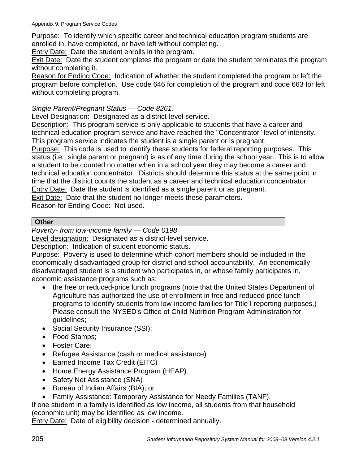Purpose: To identify which specific career and technical education program students are enrolled in, have completed, or have left without completing.

Entry Date: Date the student enrolls in the program.

Exit Date: Date the student completes the program or date the student terminates the program without completing it.

Reason for Ending Code: Indication of whether the student completed the program or left the program before completion. Use code 646 for completion of the program and code 663 for left without completing program.

#### *Single Parent/Pregnant Status — Code 8261.*

Level Designation: Designated as a district-level service.

Description: This program service is only applicable to students that have a career and technical education program service and have reached the "Concentrator" level of intensity. This program service indicates the student is a single parent or is pregnant.

Purpose: This code is used to identify these students for federal reporting purposes. This status (i.e., single parent or pregnant) is as of any time during the school year. This is to allow a student to be counted no matter when in a school year they may become a career and technical education concentrator. Districts should determine this status at the same point in time that the district counts the student as a career and technical education concentrator. Entry Date: Date the student is identified as a single parent or as pregnant.

Exit Date: Date that the student no longer meets these parameters.

Reason for Ending Code: Not used.

#### **Other**

*Poverty- from low-income family — Code 0198*

Level designation: Designated as a district-level service.

Description: Indication of student economic status.

Purpose: Poverty is used to determine which cohort members should be included in the economically disadvantaged group for district and school accountability. An economically disadvantaged student is a student who participates in, or whose family participates in, economic assistance programs such as:

- the free or reduced-price lunch programs (note that the United States Department of Agriculture has authorized the use of enrollment in free and reduced price lunch programs to identify students from low-income families for Title I reporting purposes.) Please consult the NYSED's Office of Child Nutrition Program Administration for guidelines;
- Social Security Insurance (SSI);
- Food Stamps;
- Foster Care;
- Refugee Assistance (cash or medical assistance)
- Earned Income Tax Credit (EITC)
- Home Energy Assistance Program (HEAP)
- Safety Net Assistance (SNA)
- Bureau of Indian Affairs (BIA); or
- Family Assistance: Temporary Assistance for Needy Families (TANF).

If one student in a family is identified as low income, all students from that household (economic unit) may be identified as low income.

**Entry Date: Date of eligibility decision - determined annually.**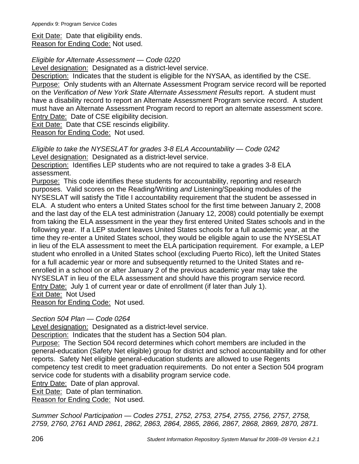Exit Date: Date that eligibility ends. Reason for Ending Code: Not used.

#### *Eligible for Alternate Assessment — Code 0220*

Level designation: Designated as a district-level service.

Description: Indicates that the student is eligible for the NYSAA, as identified by the CSE. Purpose: Only students with an Alternate Assessment Program service record will be reported on the *Verification of New York State Alternate Assessment Results* report. A student must have a disability record to report an Alternate Assessment Program service record. A student must have an Alternate Assessment Program record to report an alternate assessment score. **Entry Date: Date of CSE eligibility decision.** 

Exit Date: Date that CSE rescinds eligibility.

Reason for Ending Code: Not used.

*Eligible to take the NYSESLAT for grades 3-8 ELA Accountability — Code 0242*  Level designation: Designated as a district-level service.

Description: Identifies LEP students who are not required to take a grades 3-8 ELA assessment.

Purpose: This code identifies these students for accountability, reporting and research purposes. Valid scores on the Reading/Writing *and* Listening/Speaking modules of the NYSESLAT will satisfy the Title I accountability requirement that the student be assessed in ELA. A student who enters a United States school for the first time between January 2, 2008 and the last day of the ELA test administration (January 12, 2008) could potentially be exempt from taking the ELA assessment in the year they first entered United States schools and in the following year. If a LEP student leaves United States schools for a full academic year, at the time they re-enter a United States school, they would be eligible again to use the NYSESLAT in lieu of the ELA assessment to meet the ELA participation requirement. For example, a LEP student who enrolled in a United States school (excluding Puerto Rico), left the United States for a full academic year or more and subsequently returned to the United States and reenrolled in a school on or after January 2 of the previous academic year may take the NYSESLAT in lieu of the ELA assessment and should have this program service record*.* Entry Date: July 1 of current year or date of enrollment (if later than July 1). Exit Date: Not Used

Reason for Ending Code: Not used.

### *Section 504 Plan — Code 0264*

Level designation: Designated as a district-level service.

Description: Indicates that the student has a Section 504 plan.

Purpose: The Section 504 record determines which cohort members are included in the general-education (Safety Net eligible) group for district and school accountability and for other reports. Safety Net eligible general-education students are allowed to use Regents competency test credit to meet graduation requirements. Do not enter a Section 504 program service code for students with a disability program service code.

**Entry Date: Date of plan approval.** 

Exit Date: Date of plan termination.

Reason for Ending Code: Not used.

*Summer School Participation — Codes 2751, 2752, 2753, 2754, 2755, 2756, 2757, 2758, 2759, 2760, 2761 AND 2861, 2862, 2863, 2864, 2865, 2866, 2867, 2868, 2869, 2870, 2871.*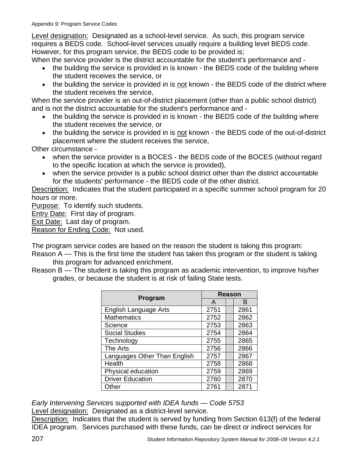Level designation: Designated as a school-level service. As such, this program service requires a BEDS code. School-level services usually require a building level BEDS code. However, for this program service, the BEDS code to be provided is;

When the service provider is the district accountable for the student's performance and -

- the building the service is provided in is known the BEDS code of the building where the student receives the service, or
- the building the service is provided in is not known the BEDS code of the district where the student receives the service,

When the service provider is an out-of-district placement (other than a public school district) and is not the district accountable for the student's performance and -

- the building the service is provided in is known the BEDS code of the building where the student receives the service, or
- the building the service is provided in is not known the BEDS code of the out-of-district placement where the student receives the service,

Other circumstance -

- when the service provider is a BOCES the BEDS code of the BOCES (without regard to the specific location at which the service is provided),
- when the service provider is a public school district other than the district accountable for the students' performance - the BEDS code of the other district.

Description: Indicates that the student participated in a specific summer school program for 20 hours or more.

Purpose: To identify such students.

Entry Date: First day of program.

Exit Date: Last day of program.

Reason for Ending Code: Not used.

The program service codes are based on the reason the student is taking this program:

- Reason A *—* This is the first time the student has taken this program or the student is taking this program for advanced enrichment.
- Reason B *—* The student is taking this program as academic intervention, to improve his/her grades, or because the student is at risk of failing State tests.

| Program                      |      | <b>Reason</b> |      |  |
|------------------------------|------|---------------|------|--|
|                              | A    |               | B    |  |
| <b>English Language Arts</b> | 2751 |               | 2861 |  |
| <b>Mathematics</b>           | 2752 |               | 2862 |  |
| Science                      | 2753 |               | 2863 |  |
| <b>Social Studies</b>        | 2754 |               | 2864 |  |
| Technology                   | 2755 |               | 2865 |  |
| The Arts                     | 2756 |               | 2866 |  |
| Languages Other Than English | 2757 |               | 2867 |  |
| Health                       | 2758 |               | 2868 |  |
| Physical education           | 2759 |               | 2869 |  |
| <b>Driver Education</b>      | 2760 |               | 2870 |  |
| Other                        | 2761 |               | 2871 |  |

*Early Intervening Services supported with IDEA funds — Code 5753*  Level designation: Designated as a district-level service.

Description: Indicates that the student is served by funding from Section 613(f) of the federal IDEA program. Services purchased with these funds, can be direct or indirect services for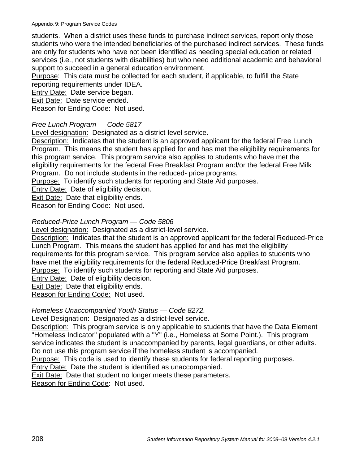students. When a district uses these funds to purchase indirect services, report only those students who were the intended beneficiaries of the purchased indirect services. These funds are only for students who have not been identified as needing special education or related services (i.e., not students with disabilities) but who need additional academic and behavioral support to succeed in a general education environment.

Purpose: This data must be collected for each student, if applicable, to fulfill the State reporting requirements under IDEA.

Entry Date: Date service began.

Exit Date: Date service ended.

Reason for Ending Code: Not used.

### *Free Lunch Program — Code 5817*

Level designation: Designated as a district-level service.

Description: Indicates that the student is an approved applicant for the federal Free Lunch Program. This means the student has applied for and has met the eligibility requirements for this program service. This program service also applies to students who have met the eligibility requirements for the federal Free Breakfast Program and/or the federal Free Milk Program. Do not include students in the reduced- price programs.

Purpose: To identify such students for reporting and State Aid purposes.

Entry Date: Date of eligibility decision.

Exit Date: Date that eligibility ends.

Reason for Ending Code: Not used.

### *Reduced-Price Lunch Program — Code 5806*

Level designation: Designated as a district-level service.

Description: Indicates that the student is an approved applicant for the federal Reduced-Price Lunch Program. This means the student has applied for and has met the eligibility requirements for this program service. This program service also applies to students who have met the eligibility requirements for the federal Reduced-Price Breakfast Program. Purpose: To identify such students for reporting and State Aid purposes.

Entry Date: Date of eligibility decision.

**Exit Date: Date that eligibility ends.** 

Reason for Ending Code: Not used.

### *Homeless Unaccompanied Youth Status — Code 8272.*

Level Designation: Designated as a district-level service.

Description: This program service is only applicable to students that have the Data Element "Homeless Indicator" populated with a "Y" (i.e., Homeless at Some Point.). This program service indicates the student is unaccompanied by parents, legal guardians, or other adults. Do not use this program service if the homeless student is accompanied.

Purpose: This code is used to identify these students for federal reporting purposes.

**Entry Date: Date the student is identified as unaccompanied.** 

Exit Date: Date that student no longer meets these parameters.

Reason for Ending Code: Not used.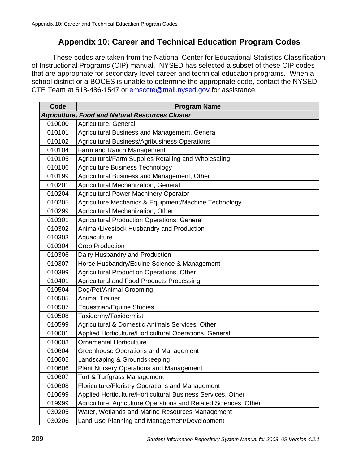# **Appendix 10: Career and Technical Education Program Codes**

These codes are taken from the National Center for Educational Statistics Classification of Instructional Programs (CIP) manual. NYSED has selected a subset of these CIP codes that are appropriate for secondary-level career and technical education programs. When a school district or a BOCES is unable to determine the appropriate code, contact the NYSED CTE Team at 518-486-1547 or emsccte@mail.nysed.gov for assistance.

| Code   | <b>Program Name</b>                                             |
|--------|-----------------------------------------------------------------|
|        | <b>Agriculture, Food and Natural Resources Cluster</b>          |
| 010000 | Agriculture, General                                            |
| 010101 | Agricultural Business and Management, General                   |
| 010102 | <b>Agricultural Business/Agribusiness Operations</b>            |
| 010104 | Farm and Ranch Management                                       |
| 010105 | Agricultural/Farm Supplies Retailing and Wholesaling            |
| 010106 | <b>Agriculture Business Technology</b>                          |
| 010199 | Agricultural Business and Management, Other                     |
| 010201 | Agricultural Mechanization, General                             |
| 010204 | <b>Agricultural Power Machinery Operator</b>                    |
| 010205 | Agriculture Mechanics & Equipment/Machine Technology            |
| 010299 | Agricultural Mechanization, Other                               |
| 010301 | <b>Agricultural Production Operations, General</b>              |
| 010302 | Animal/Livestock Husbandry and Production                       |
| 010303 | Aquaculture                                                     |
| 010304 | <b>Crop Production</b>                                          |
| 010306 | Dairy Husbandry and Production                                  |
| 010307 | Horse Husbandry/Equine Science & Management                     |
| 010399 | Agricultural Production Operations, Other                       |
| 010401 | Agricultural and Food Products Processing                       |
| 010504 | Dog/Pet/Animal Grooming                                         |
| 010505 | <b>Animal Trainer</b>                                           |
| 010507 | <b>Equestrian/Equine Studies</b>                                |
| 010508 | Taxidermy/Taxidermist                                           |
| 010599 | Agricultural & Domestic Animals Services, Other                 |
| 010601 | Applied Horticulture/Horticultural Operations, General          |
| 010603 | <b>Ornamental Horticulture</b>                                  |
| 010604 | <b>Greenhouse Operations and Management</b>                     |
| 010605 | Landscaping & Groundskeeping                                    |
| 010606 | <b>Plant Nursery Operations and Management</b>                  |
| 010607 | Turf & Turfgrass Management                                     |
| 010608 | Floriculture/Floristry Operations and Management                |
| 010699 | Applied Horticulture/Horticultural Business Services, Other     |
| 019999 | Agriculture, Agriculture Operations and Related Sciences, Other |
| 030205 | Water, Wetlands and Marine Resources Management                 |
| 030206 | Land Use Planning and Management/Development                    |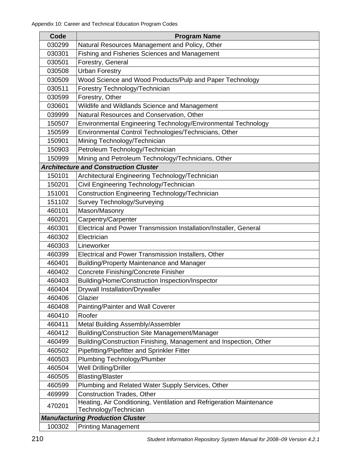| Code   | <b>Program Name</b>                                                                           |
|--------|-----------------------------------------------------------------------------------------------|
| 030299 | Natural Resources Management and Policy, Other                                                |
| 030301 | Fishing and Fisheries Sciences and Management                                                 |
| 030501 | Forestry, General                                                                             |
| 030508 | <b>Urban Forestry</b>                                                                         |
| 030509 | Wood Science and Wood Products/Pulp and Paper Technology                                      |
| 030511 | Forestry Technology/Technician                                                                |
| 030599 | Forestry, Other                                                                               |
| 030601 | Wildlife and Wildlands Science and Management                                                 |
| 039999 | Natural Resources and Conservation, Other                                                     |
| 150507 | Environmental Engineering Technology/Environmental Technology                                 |
| 150599 | Environmental Control Technologies/Technicians, Other                                         |
| 150901 | Mining Technology/Technician                                                                  |
| 150903 | Petroleum Technology/Technician                                                               |
| 150999 | Mining and Petroleum Technology/Technicians, Other                                            |
|        | <b>Architecture and Construction Cluster</b>                                                  |
| 150101 | Architectural Engineering Technology/Technician                                               |
| 150201 | Civil Engineering Technology/Technician                                                       |
| 151001 | Construction Engineering Technology/Technician                                                |
| 151102 | Survey Technology/Surveying                                                                   |
| 460101 | Mason/Masonry                                                                                 |
| 460201 | Carpentry/Carpenter                                                                           |
| 460301 | Electrical and Power Transmission Installation/Installer, General                             |
| 460302 | Electrician                                                                                   |
| 460303 | Lineworker                                                                                    |
| 460399 | Electrical and Power Transmission Installers, Other                                           |
| 460401 | <b>Building/Property Maintenance and Manager</b>                                              |
| 460402 | Concrete Finishing/Concrete Finisher                                                          |
| 460403 | Building/Home/Construction Inspection/Inspector                                               |
| 460404 | <b>Drywall Installation/Drywaller</b>                                                         |
| 460406 | Glazier                                                                                       |
| 460408 | Painting/Painter and Wall Coverer                                                             |
| 460410 | Roofer                                                                                        |
| 460411 | Metal Building Assembly/Assembler                                                             |
| 460412 | Building/Construction Site Management/Manager                                                 |
| 460499 | Building/Construction Finishing, Management and Inspection, Other                             |
| 460502 | Pipefitting/Pipefitter and Sprinkler Fitter                                                   |
| 460503 | Plumbing Technology/Plumber                                                                   |
| 460504 | Well Drilling/Driller                                                                         |
| 460505 | <b>Blasting/Blaster</b>                                                                       |
| 460599 | Plumbing and Related Water Supply Services, Other                                             |
| 469999 | <b>Construction Trades, Other</b>                                                             |
| 470201 | Heating, Air Conditioning, Ventilation and Refrigeration Maintenance<br>Technology/Technician |
|        | <b>Manufacturing Production Cluster</b>                                                       |
| 100302 | <b>Printing Management</b>                                                                    |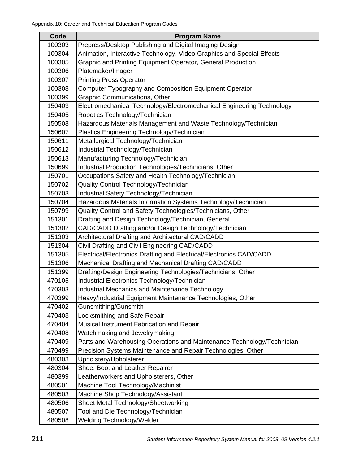| Code   | <b>Program Name</b>                                                    |
|--------|------------------------------------------------------------------------|
| 100303 | Prepress/Desktop Publishing and Digital Imaging Design                 |
| 100304 | Animation, Interactive Technology, Video Graphics and Special Effects  |
| 100305 | Graphic and Printing Equipment Operator, General Production            |
| 100306 | Platemaker/Imager                                                      |
| 100307 | <b>Printing Press Operator</b>                                         |
| 100308 | Computer Typography and Composition Equipment Operator                 |
| 100399 | <b>Graphic Communications, Other</b>                                   |
| 150403 | Electromechanical Technology/Electromechanical Engineering Technology  |
| 150405 | Robotics Technology/Technician                                         |
| 150508 | Hazardous Materials Management and Waste Technology/Technician         |
| 150607 | Plastics Engineering Technology/Technician                             |
| 150611 | Metallurgical Technology/Technician                                    |
| 150612 | Industrial Technology/Technician                                       |
| 150613 | Manufacturing Technology/Technician                                    |
| 150699 | Industrial Production Technologies/Technicians, Other                  |
| 150701 | Occupations Safety and Health Technology/Technician                    |
| 150702 | Quality Control Technology/Technician                                  |
| 150703 | Industrial Safety Technology/Technician                                |
| 150704 | Hazardous Materials Information Systems Technology/Technician          |
| 150799 | Quality Control and Safety Technologies/Technicians, Other             |
| 151301 | Drafting and Design Technology/Technician, General                     |
| 151302 | CAD/CADD Drafting and/or Design Technology/Technician                  |
| 151303 | Architectural Drafting and Architectural CAD/CADD                      |
| 151304 | Civil Drafting and Civil Engineering CAD/CADD                          |
| 151305 | Electrical/Electronics Drafting and Electrical/Electronics CAD/CADD    |
| 151306 | Mechanical Drafting and Mechanical Drafting CAD/CADD                   |
| 151399 | Drafting/Design Engineering Technologies/Technicians, Other            |
| 470105 | Industrial Electronics Technology/Technician                           |
| 470303 | Industrial Mechanics and Maintenance Technology                        |
| 470399 | Heavy/Industrial Equipment Maintenance Technologies, Other             |
| 470402 | Gunsmithing/Gunsmith                                                   |
| 470403 | Locksmithing and Safe Repair                                           |
| 470404 | Musical Instrument Fabrication and Repair                              |
| 470408 | Watchmaking and Jewelrymaking                                          |
| 470409 | Parts and Warehousing Operations and Maintenance Technology/Technician |
| 470499 | Precision Systems Maintenance and Repair Technologies, Other           |
| 480303 | Upholstery/Upholsterer                                                 |
| 480304 | Shoe, Boot and Leather Repairer                                        |
| 480399 | Leatherworkers and Upholsterers, Other                                 |
| 480501 | Machine Tool Technology/Machinist                                      |
| 480503 | Machine Shop Technology/Assistant                                      |
| 480506 | Sheet Metal Technology/Sheetworking                                    |
| 480507 | Tool and Die Technology/Technician                                     |
| 480508 | Welding Technology/Welder                                              |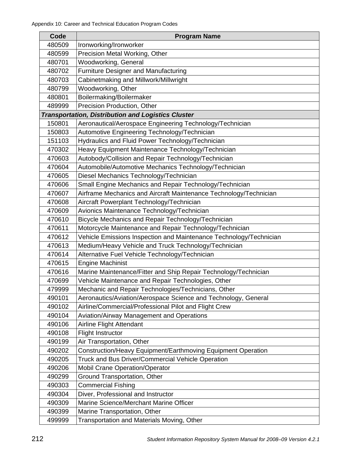| Code   | <b>Program Name</b>                                                |
|--------|--------------------------------------------------------------------|
| 480509 | Ironworking/Ironworker                                             |
| 480599 | Precision Metal Working, Other                                     |
| 480701 | <b>Woodworking, General</b>                                        |
| 480702 | <b>Furniture Designer and Manufacturing</b>                        |
| 480703 | Cabinetmaking and Millwork/Millwright                              |
| 480799 | Woodworking, Other                                                 |
| 480801 | Boilermaking/Boilermaker                                           |
| 489999 | Precision Production, Other                                        |
|        | <b>Transportation, Distribution and Logistics Cluster</b>          |
| 150801 | Aeronautical/Aerospace Engineering Technology/Technician           |
| 150803 | Automotive Engineering Technology/Technician                       |
| 151103 | Hydraulics and Fluid Power Technology/Technician                   |
| 470302 | Heavy Equipment Maintenance Technology/Technician                  |
| 470603 | Autobody/Collision and Repair Technology/Technician                |
| 470604 | Automobile/Automotive Mechanics Technology/Technician              |
| 470605 | Diesel Mechanics Technology/Technician                             |
| 470606 | Small Engine Mechanics and Repair Technology/Technician            |
| 470607 | Airframe Mechanics and Aircraft Maintenance Technology/Technician  |
| 470608 | Aircraft Powerplant Technology/Technician                          |
| 470609 | Avionics Maintenance Technology/Technician                         |
| 470610 | Bicycle Mechanics and Repair Technology/Technician                 |
| 470611 | Motorcycle Maintenance and Repair Technology/Technician            |
| 470612 | Vehicle Emissions Inspection and Maintenance Technology/Technician |
| 470613 | Medium/Heavy Vehicle and Truck Technology/Technician               |
| 470614 | Alternative Fuel Vehicle Technology/Technician                     |
| 470615 | <b>Engine Machinist</b>                                            |
| 470616 | Marine Maintenance/Fitter and Ship Repair Technology/Technician    |
| 470699 | Vehicle Maintenance and Repair Technologies, Other                 |
| 479999 | Mechanic and Repair Technologies/Technicians, Other                |
| 490101 | Aeronautics/Aviation/Aerospace Science and Technology, General     |
| 490102 | Airline/Commercial/Professional Pilot and Flight Crew              |
| 490104 | Aviation/Airway Management and Operations                          |
| 490106 | Airline Flight Attendant                                           |
| 490108 | <b>Flight Instructor</b>                                           |
| 490199 | Air Transportation, Other                                          |
| 490202 | Construction/Heavy Equipment/Earthmoving Equipment Operation       |
| 490205 | Truck and Bus Driver/Commercial Vehicle Operation                  |
| 490206 | <b>Mobil Crane Operation/Operator</b>                              |
| 490299 | Ground Transportation, Other                                       |
| 490303 | <b>Commercial Fishing</b>                                          |
| 490304 | Diver, Professional and Instructor                                 |
| 490309 | Marine Science/Merchant Marine Officer                             |
| 490399 | Marine Transportation, Other                                       |
| 499999 | Transportation and Materials Moving, Other                         |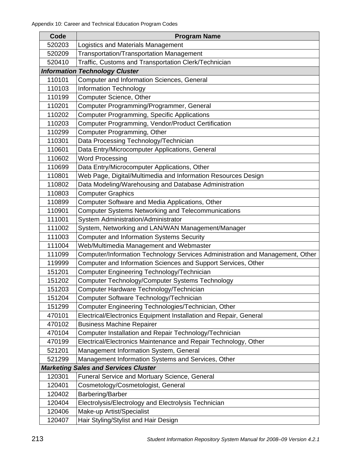| Code   | <b>Program Name</b>                                                           |
|--------|-------------------------------------------------------------------------------|
| 520203 | Logistics and Materials Management                                            |
| 520209 | <b>Transportation/Transportation Management</b>                               |
| 520410 | Traffic, Customs and Transportation Clerk/Technician                          |
|        | <b>Information Technology Cluster</b>                                         |
| 110101 | Computer and Information Sciences, General                                    |
| 110103 | <b>Information Technology</b>                                                 |
| 110199 | Computer Science, Other                                                       |
| 110201 | Computer Programming/Programmer, General                                      |
| 110202 | <b>Computer Programming, Specific Applications</b>                            |
| 110203 | Computer Programming, Vendor/Product Certification                            |
| 110299 | Computer Programming, Other                                                   |
| 110301 | Data Processing Technology/Technician                                         |
| 110601 | Data Entry/Microcomputer Applications, General                                |
| 110602 | <b>Word Processing</b>                                                        |
| 110699 | Data Entry/Microcomputer Applications, Other                                  |
| 110801 | Web Page, Digital/Multimedia and Information Resources Design                 |
| 110802 | Data Modeling/Warehousing and Database Administration                         |
| 110803 | <b>Computer Graphics</b>                                                      |
| 110899 | Computer Software and Media Applications, Other                               |
| 110901 | <b>Computer Systems Networking and Telecommunications</b>                     |
| 111001 | System Administration/Administrator                                           |
| 111002 | System, Networking and LAN/WAN Management/Manager                             |
| 111003 | <b>Computer and Information Systems Security</b>                              |
| 111004 | Web/Multimedia Management and Webmaster                                       |
| 111099 | Computer/Information Technology Services Administration and Management, Other |
| 119999 | Computer and Information Sciences and Support Services, Other                 |
| 151201 | Computer Engineering Technology/Technician                                    |
| 151202 | Computer Technology/Computer Systems Technology                               |
| 151203 | Computer Hardware Technology/Technician                                       |
| 151204 | Computer Software Technology/Technician                                       |
| 151299 | Computer Engineering Technologies/Technician, Other                           |
| 470101 | Electrical/Electronics Equipment Installation and Repair, General             |
| 470102 | <b>Business Machine Repairer</b>                                              |
| 470104 | Computer Installation and Repair Technology/Technician                        |
| 470199 | Electrical/Electronics Maintenance and Repair Technology, Other               |
| 521201 | Management Information System, General                                        |
| 521299 | Management Information Systems and Services, Other                            |
|        | <b>Marketing Sales and Services Cluster</b>                                   |
| 120301 | Funeral Service and Mortuary Science, General                                 |
| 120401 | Cosmetology/Cosmetologist, General                                            |
| 120402 | Barbering/Barber                                                              |
| 120404 | Electrolysis/Electrology and Electrolysis Technician                          |
| 120406 | Make-up Artist/Specialist                                                     |
| 120407 | Hair Styling/Stylist and Hair Design                                          |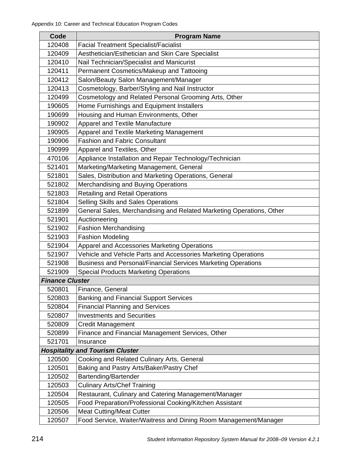| Code                   | <b>Program Name</b>                                                  |
|------------------------|----------------------------------------------------------------------|
| 120408                 | <b>Facial Treatment Specialist/Facialist</b>                         |
| 120409                 | Aesthetician/Esthetician and Skin Care Specialist                    |
| 120410                 | Nail Technician/Specialist and Manicurist                            |
| 120411                 | Permanent Cosmetics/Makeup and Tattooing                             |
| 120412                 | Salon/Beauty Salon Management/Manager                                |
| 120413                 | Cosmetology, Barber/Styling and Nail Instructor                      |
| 120499                 | Cosmetology and Related Personal Grooming Arts, Other                |
| 190605                 | Home Furnishings and Equipment Installers                            |
| 190699                 | Housing and Human Environments, Other                                |
| 190902                 | <b>Apparel and Textile Manufacture</b>                               |
| 190905                 | Apparel and Textile Marketing Management                             |
| 190906                 | <b>Fashion and Fabric Consultant</b>                                 |
| 190999                 | Apparel and Textiles, Other                                          |
| 470106                 | Appliance Installation and Repair Technology/Technician              |
| 521401                 | Marketing/Marketing Management, General                              |
| 521801                 | Sales, Distribution and Marketing Operations, General                |
| 521802                 | Merchandising and Buying Operations                                  |
| 521803                 | <b>Retailing and Retail Operations</b>                               |
| 521804                 | Selling Skills and Sales Operations                                  |
| 521899                 | General Sales, Merchandising and Related Marketing Operations, Other |
| 521901                 | Auctioneering                                                        |
| 521902                 | <b>Fashion Merchandising</b>                                         |
| 521903                 | <b>Fashion Modeling</b>                                              |
| 521904                 | Apparel and Accessories Marketing Operations                         |
| 521907                 | Vehicle and Vehicle Parts and Accessories Marketing Operations       |
| 521908                 | Business and Personal/Financial Services Marketing Operations        |
| 521909                 | <b>Special Products Marketing Operations</b>                         |
| <b>Finance Cluster</b> |                                                                      |
| 520801                 | Finance, General                                                     |
| 520803                 | <b>Banking and Financial Support Services</b>                        |
| 520804                 | <b>Financial Planning and Services</b>                               |
| 520807                 | <b>Investments and Securities</b>                                    |
| 520809                 | <b>Credit Management</b>                                             |
| 520899                 | Finance and Financial Management Services, Other                     |
| 521701                 | Insurance                                                            |
|                        | <b>Hospitality and Tourism Cluster</b>                               |
| 120500                 | Cooking and Related Culinary Arts, General                           |
| 120501                 | Baking and Pastry Arts/Baker/Pastry Chef                             |
| 120502                 | Bartending/Bartender                                                 |
| 120503                 | <b>Culinary Arts/Chef Training</b>                                   |
| 120504                 | Restaurant, Culinary and Catering Management/Manager                 |
| 120505                 | Food Preparation/Professional Cooking/Kitchen Assistant              |
| 120506                 | <b>Meat Cutting/Meat Cutter</b>                                      |
| 120507                 | Food Service, Waiter/Waitress and Dining Room Management/Manager     |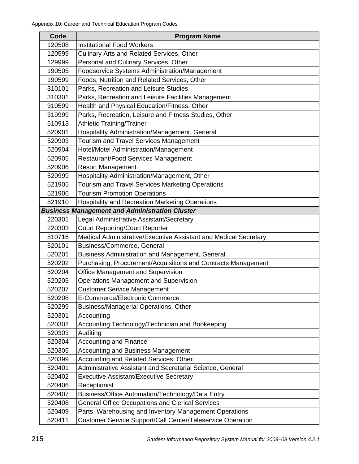| Code                                                  | <b>Program Name</b>                                              |
|-------------------------------------------------------|------------------------------------------------------------------|
| 120508                                                | <b>Institutional Food Workers</b>                                |
| 120599                                                | Culinary Arts and Related Services, Other                        |
| 129999                                                | Personal and Culinary Services, Other                            |
| 190505                                                | Foodservice Systems Administration/Management                    |
| 190599                                                | Foods, Nutrition and Related Services, Other                     |
| 310101                                                | Parks, Recreation and Leisure Studies                            |
| 310301                                                | Parks, Recreation and Leisure Facilities Management              |
| 310599                                                | Health and Physical Education/Fitness, Other                     |
| 319999                                                | Parks, Recreation, Leisure and Fitness Studies, Other            |
| 510913                                                | <b>Athletic Training/Trainer</b>                                 |
| 520901                                                | Hospitality Administration/Management, General                   |
| 520903                                                | Tourism and Travel Services Management                           |
| 520904                                                | Hotel/Motel Administration/Management                            |
| 520905                                                | Restaurant/Food Services Management                              |
| 520906                                                | <b>Resort Management</b>                                         |
| 520999                                                | Hospitality Administration/Management, Other                     |
| 521905                                                | Tourism and Travel Services Marketing Operations                 |
| 521906                                                | <b>Tourism Promotion Operations</b>                              |
| 521910                                                | <b>Hospitality and Recreation Marketing Operations</b>           |
| <b>Business Management and Administration Cluster</b> |                                                                  |
| 220301                                                | Legal Administrative Assistant/Secretary                         |
| 220303                                                | <b>Court Reporting/Court Reporter</b>                            |
| 510716                                                | Medical Administrative/Executive Assistant and Medical Secretary |
| 520101                                                | Business/Commerce, General                                       |
| 520201                                                | Business Administration and Management, General                  |
| 520202                                                | Purchasing, Procurement/Acquisitions and Contracts Management    |
| 520204                                                | Office Management and Supervision                                |
| 520205                                                | <b>Operations Management and Supervision</b>                     |
| 520207                                                | <b>Customer Service Management</b>                               |
| 520208                                                | E-Commerce/Electronic Commerce                                   |
| 520299                                                | Business/Managerial Operations, Other                            |
| 520301                                                | Accounting                                                       |
| 520302                                                | Accounting Technology/Technician and Bookeeping                  |
| 520303                                                | Auditing                                                         |
| 520304                                                | <b>Accounting and Finance</b>                                    |
| 520305                                                | <b>Accounting and Business Management</b>                        |
| 520399                                                | Accounting and Related Services, Other                           |
| 520401                                                | Administrative Assistant and Secretarial Science, General        |
| 520402                                                | <b>Executive Assistant/Executive Secretary</b>                   |
| 520406                                                | Receptionist                                                     |
| 520407                                                | Business/Office Automation/Technology/Data Entry                 |
| 520408                                                | <b>General Office Occupations and Clerical Services</b>          |
| 520409                                                | Parts, Warehousing and Inventory Management Operations           |
| 520411                                                | Customer Service Support/Call Center/Teleservice Operation       |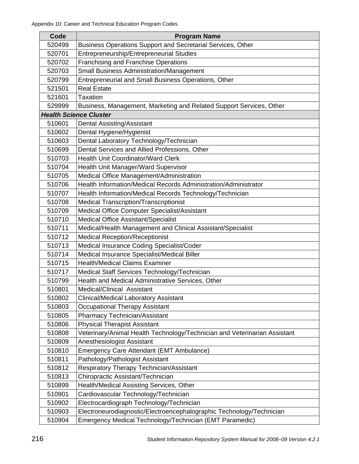| Code   | <b>Program Name</b>                                                       |
|--------|---------------------------------------------------------------------------|
| 520499 | Business Operations Support and Secretarial Services, Other               |
| 520701 | Entrepreneurship/Entrepreneurial Studies                                  |
| 520702 | <b>Franchising and Franchise Operations</b>                               |
| 520703 | <b>Small Business Administration/Management</b>                           |
| 520799 | Entrepreneurial and Small Business Operations, Other                      |
| 521501 | <b>Real Estate</b>                                                        |
| 521601 | Taxation                                                                  |
| 529999 | Business, Management, Marketing and Related Support Services, Other       |
|        | <b>Health Science Cluster</b>                                             |
| 510601 | <b>Dental Assisting/Assistant</b>                                         |
| 510602 | Dental Hygiene/Hygienist                                                  |
| 510603 | Dental Laboratory Technology/Technician                                   |
| 510699 | Dental Services and Allied Professions, Other                             |
| 510703 | <b>Health Unit Coordinator/Ward Clerk</b>                                 |
| 510704 | Health Unit Manager/Ward Supervisor                                       |
| 510705 | Medical Office Management/Administration                                  |
| 510706 | Health Information/Medical Records Administration/Administrator           |
| 510707 | Health Information/Medical Records Technology/Technician                  |
| 510708 | <b>Medical Transcription/Transcriptionist</b>                             |
| 510709 | Medical Office Computer Specialist/Assistant                              |
| 510710 | <b>Medical Office Assistant/Specialist</b>                                |
| 510711 | Medical/Health Management and Clinical Assistant/Specialist               |
| 510712 | <b>Medical Reception/Receptionist</b>                                     |
| 510713 | Medical Insurance Coding Specialist/Coder                                 |
| 510714 | Medical Insurance Specialist/Medical Biller                               |
| 510715 | <b>Health/Medical Claims Examiner</b>                                     |
| 510717 | Medical Staff Services Technology/Technician                              |
| 510799 | Health and Medical Administrative Services, Other                         |
| 510801 | <b>Medical/Clinical Assistant</b>                                         |
| 510802 | <b>Clinical/Medical Laboratory Assistant</b>                              |
| 510803 | Occupational Therapy Assistant                                            |
| 510805 | <b>Pharmacy Technician/Assistant</b>                                      |
| 510806 | <b>Physical Therapist Assistant</b>                                       |
| 510808 | Veterinary/Animal Health Technology/Technician and Veterinarian Assistant |
| 510809 | Anesthesiologist Assistant                                                |
| 510810 | Emergency Care Attendant (EMT Ambulance)                                  |
| 510811 | Pathology/Pathologist Assistant                                           |
| 510812 | Respiratory Therapy Technician/Assistant                                  |
| 510813 | Chiropractic Assistant/Technician                                         |
| 510899 | Health/Medical Assisting Services, Other                                  |
| 510901 | Cardiovascular Technology/Technician                                      |
| 510902 | Electrocardiograph Technology/Technician                                  |
| 510903 | Electroneurodiagnostic/Electroencephalographic Technology/Technician      |
| 510904 | Emergency Medical Technology/Technician (EMT Paramedic)                   |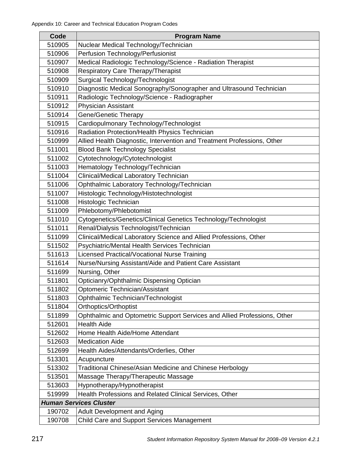| Code   | <b>Program Name</b>                                                      |
|--------|--------------------------------------------------------------------------|
| 510905 | Nuclear Medical Technology/Technician                                    |
| 510906 | Perfusion Technology/Perfusionist                                        |
| 510907 | Medical Radiologic Technology/Science - Radiation Therapist              |
| 510908 | Respiratory Care Therapy/Therapist                                       |
| 510909 | Surgical Technology/Technologist                                         |
| 510910 | Diagnostic Medical Sonography/Sonographer and Ultrasound Technician      |
| 510911 | Radiologic Technology/Science - Radiographer                             |
| 510912 | <b>Physician Assistant</b>                                               |
| 510914 | <b>Gene/Genetic Therapy</b>                                              |
| 510915 | Cardiopulmonary Technology/Technologist                                  |
| 510916 | Radiation Protection/Health Physics Technician                           |
| 510999 | Allied Health Diagnostic, Intervention and Treatment Professions, Other  |
| 511001 | <b>Blood Bank Technology Specialist</b>                                  |
| 511002 | Cytotechnology/Cytotechnologist                                          |
| 511003 | Hematology Technology/Technician                                         |
| 511004 | Clinical/Medical Laboratory Technician                                   |
| 511006 | Ophthalmic Laboratory Technology/Technician                              |
| 511007 | Histologic Technology/Histotechnologist                                  |
| 511008 | Histologic Technician                                                    |
| 511009 | Phlebotomy/Phlebotomist                                                  |
| 511010 | Cytogenetics/Genetics/Clinical Genetics Technology/Technologist          |
| 511011 | Renal/Dialysis Technologist/Technician                                   |
| 511099 | Clinical/Medical Laboratory Science and Allied Professions, Other        |
| 511502 | Psychiatric/Mental Health Services Technician                            |
| 511613 | Licensed Practical/Vocational Nurse Training                             |
| 511614 | Nurse/Nursing Assistant/Aide and Patient Care Assistant                  |
| 511699 | Nursing, Other                                                           |
| 511801 | Opticianry/Ophthalmic Dispensing Optician                                |
| 511802 | Optomeric Technician/Assistant                                           |
| 511803 | Ophthalmic Technician/Technologist                                       |
| 511804 | Orthoptics/Orthoptist                                                    |
| 511899 | Ophthalmic and Optometric Support Services and Allied Professions, Other |
| 512601 | <b>Health Aide</b>                                                       |
| 512602 | Home Health Aide/Home Attendant                                          |
| 512603 | <b>Medication Aide</b>                                                   |
| 512699 | Health Aides/Attendants/Orderlies, Other                                 |
| 513301 | Acupuncture                                                              |
| 513302 | Traditional Chinese/Asian Medicine and Chinese Herbology                 |
| 513501 | Massage Therapy/Therapeutic Massage                                      |
| 513603 | Hypnotherapy/Hypnotherapist                                              |
| 519999 | Health Professions and Related Clinical Services, Other                  |
|        | <b>Human Services Cluster</b>                                            |
| 190702 | <b>Adult Development and Aging</b>                                       |
| 190708 | Child Care and Support Services Management                               |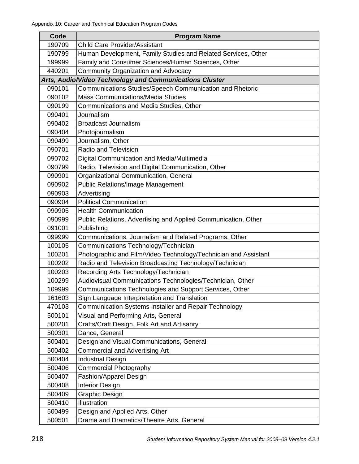| Code   | <b>Program Name</b>                                             |
|--------|-----------------------------------------------------------------|
| 190709 | <b>Child Care Provider/Assistant</b>                            |
| 190799 | Human Development, Family Studies and Related Services, Other   |
| 199999 | Family and Consumer Sciences/Human Sciences, Other              |
| 440201 | <b>Community Organization and Advocacy</b>                      |
|        | Arts, Audio/Video Technology and Communications Cluster         |
| 090101 | Communications Studies/Speech Communication and Rhetoric        |
| 090102 | <b>Mass Communications/Media Studies</b>                        |
| 090199 | Communications and Media Studies, Other                         |
| 090401 | Journalism                                                      |
| 090402 | <b>Broadcast Journalism</b>                                     |
| 090404 | Photojournalism                                                 |
| 090499 | Journalism, Other                                               |
| 090701 | Radio and Television                                            |
| 090702 | Digital Communication and Media/Multimedia                      |
| 090799 | Radio, Television and Digital Communication, Other              |
| 090901 | Organizational Communication, General                           |
| 090902 | <b>Public Relations/Image Management</b>                        |
| 090903 | Advertising                                                     |
| 090904 | <b>Political Communication</b>                                  |
| 090905 | <b>Health Communication</b>                                     |
| 090999 | Public Relations, Advertising and Applied Communication, Other  |
| 091001 | Publishing                                                      |
| 099999 | Communications, Journalism and Related Programs, Other          |
| 100105 | Communications Technology/Technician                            |
| 100201 | Photographic and Film/Video Technology/Technician and Assistant |
| 100202 | Radio and Television Broadcasting Technology/Technician         |
| 100203 | Recording Arts Technology/Technician                            |
| 100299 | Audiovisual Communications Technologies/Technician, Other       |
| 109999 | Communications Technologies and Support Services, Other         |
| 161603 | Sign Language Interpretation and Translation                    |
| 470103 | <b>Communication Systems Installer and Repair Technology</b>    |
| 500101 | Visual and Performing Arts, General                             |
| 500201 | Crafts/Craft Design, Folk Art and Artisanry                     |
| 500301 | Dance, General                                                  |
| 500401 | Design and Visual Communications, General                       |
| 500402 | <b>Commercial and Advertising Art</b>                           |
| 500404 | <b>Industrial Design</b>                                        |
| 500406 | <b>Commercial Photography</b>                                   |
| 500407 | Fashion/Apparel Design                                          |
| 500408 | <b>Interior Design</b>                                          |
| 500409 | <b>Graphic Design</b>                                           |
| 500410 | Illustration                                                    |
| 500499 | Design and Applied Arts, Other                                  |
| 500501 | Drama and Dramatics/Theatre Arts, General                       |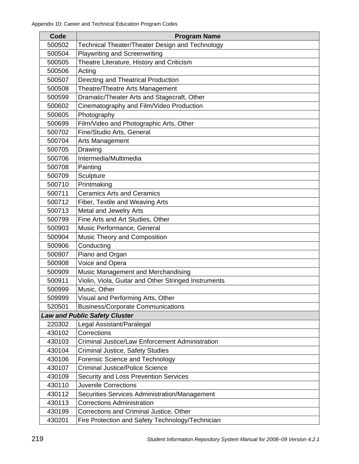| Code                                 | <b>Program Name</b>                                    |  |
|--------------------------------------|--------------------------------------------------------|--|
| 500502                               | Technical Theater/Theater Design and Technology        |  |
| 500504                               | <b>Playwriting and Screenwriting</b>                   |  |
| 500505                               | Theatre Literature, History and Criticism              |  |
| 500506                               | Acting                                                 |  |
| 500507                               | Directing and Theatrical Production                    |  |
| 500508                               | Theatre/Theatre Arts Management                        |  |
| 500599                               | Dramatic/Theater Arts and Stagecraft, Other            |  |
| 500602                               | Cinematography and Film/Video Production               |  |
| 500605                               | Photography                                            |  |
| 500699                               | Film/Video and Photographic Arts, Other                |  |
| 500702                               | Fine/Studio Arts, General                              |  |
| 500704                               | Arts Management                                        |  |
| 500705                               | Drawing                                                |  |
| 500706                               | Intermedia/Multimedia                                  |  |
| 500708                               | Painting                                               |  |
| 500709                               | Sculpture                                              |  |
| 500710                               | Printmaking                                            |  |
| 500711                               | <b>Ceramics Arts and Ceramics</b>                      |  |
| 500712                               | Fiber, Textile and Weaving Arts                        |  |
| 500713                               | Metal and Jewelry Arts                                 |  |
| 500799                               | Fine Arts and Art Studies, Other                       |  |
| 500903                               | Music Performance, General                             |  |
| 500904                               | Music Theory and Composition                           |  |
| 500906                               | Conducting                                             |  |
| 500907                               | Piano and Organ                                        |  |
| 500908                               | Voice and Opera                                        |  |
| 500909                               | Music Management and Merchandising                     |  |
| 500911                               | Violin, Viola, Guitar and Other Stringed Instruments   |  |
| 500999                               | Music, Other                                           |  |
| 509999                               | Visual and Performing Arts, Other                      |  |
| 520501                               | <b>Business/Corporate Communications</b>               |  |
| <b>Law and Public Safety Cluster</b> |                                                        |  |
| 220302                               | Legal Assistant/Paralegal                              |  |
| 430102                               | Corrections                                            |  |
| 430103                               | <b>Criminal Justice/Law Enforcement Administration</b> |  |
| 430104                               | <b>Criminal Justice, Safety Studies</b>                |  |
| 430106                               | Forensic Science and Technology                        |  |
| 430107                               | <b>Criminal Justice/Police Science</b>                 |  |
| 430109                               | Security and Loss Prevention Services                  |  |
| 430110                               | <b>Juvenile Corrections</b>                            |  |
| 430112                               | Securities Services Administration/Management          |  |
| 430113                               | <b>Corrections Administration</b>                      |  |
| 430199                               | Corrections and Criminal Justice, Other                |  |
| 430201                               | Fire Protection and Safety Technology/Technician       |  |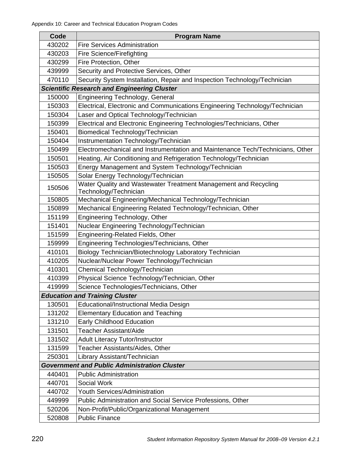| Code   | <b>Program Name</b>                                                                      |
|--------|------------------------------------------------------------------------------------------|
| 430202 | <b>Fire Services Administration</b>                                                      |
| 430203 | <b>Fire Science/Firefighting</b>                                                         |
| 430299 | Fire Protection, Other                                                                   |
| 439999 | Security and Protective Services, Other                                                  |
| 470110 | Security System Installation, Repair and Inspection Technology/Technician                |
|        | <b>Scientific Research and Engineering Cluster</b>                                       |
| 150000 | <b>Engineering Technology, General</b>                                                   |
| 150303 | Electrical, Electronic and Communications Engineering Technology/Technician              |
| 150304 | Laser and Optical Technology/Technician                                                  |
| 150399 | Electrical and Electronic Engineering Technologies/Technicians, Other                    |
| 150401 | Biomedical Technology/Technician                                                         |
| 150404 | Instrumentation Technology/Technician                                                    |
| 150499 | Electromechanical and Instrumentation and Maintenance Tech/Technicians, Other            |
| 150501 | Heating, Air Conditioning and Refrigeration Technology/Technician                        |
| 150503 | Energy Management and System Technology/Technician                                       |
| 150505 | Solar Energy Technology/Technician                                                       |
| 150506 | Water Quality and Wastewater Treatment Management and Recycling<br>Technology/Technician |
| 150805 | Mechanical Engineering/Mechanical Technology/Technician                                  |
| 150899 | Mechanical Engineering Related Technology/Technician, Other                              |
| 151199 | Engineering Technology, Other                                                            |
| 151401 | Nuclear Engineering Technology/Technician                                                |
| 151599 | Engineering-Related Fields, Other                                                        |
| 159999 | Engineering Technologies/Technicians, Other                                              |
| 410101 | Biology Technician/Biotechnology Laboratory Technician                                   |
| 410205 | Nuclear/Nuclear Power Technology/Technician                                              |
| 410301 | Chemical Technology/Technician                                                           |
| 410399 | Physical Science Technology/Technician, Other                                            |
| 419999 | Science Technologies/Technicians, Other                                                  |
|        | <b>Education and Training Cluster</b>                                                    |
| 130501 | Educational/Instructional Media Design                                                   |
| 131202 | <b>Elementary Education and Teaching</b>                                                 |
| 131210 | Early Childhood Education                                                                |
| 131501 | <b>Teacher Assistant/Aide</b>                                                            |
| 131502 | <b>Adult Literacy Tutor/Instructor</b>                                                   |
| 131599 | Teacher Assistants/Aides, Other                                                          |
| 250301 | Library Assistant/Technician                                                             |
|        | <b>Government and Public Administration Cluster</b>                                      |
| 440401 | <b>Public Administration</b>                                                             |
| 440701 | <b>Social Work</b>                                                                       |
| 440702 | <b>Youth Services/Administration</b>                                                     |
| 449999 | Public Administration and Social Service Professions, Other                              |
| 520206 | Non-Profit/Public/Organizational Management                                              |
| 520808 | <b>Public Finance</b>                                                                    |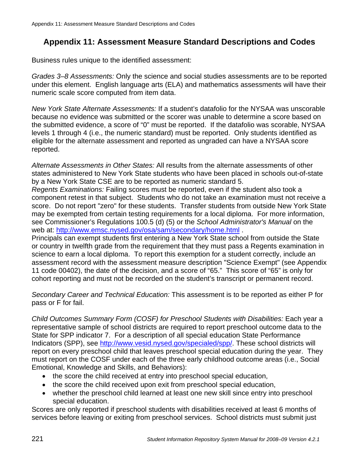Business rules unique to the identified assessment:

*Grades 3–8 Assessments:* Only the science and social studies assessments are to be reported under this element. English language arts (ELA) and mathematics assessments will have their numeric scale score computed from item data.

*New York State Alternate Assessments:* If a student's datafolio for the NYSAA was unscorable because no evidence was submitted or the scorer was unable to determine a score based on the submitted evidence, a score of "0" must be reported. If the datafolio was scorable, NYSAA levels 1 through 4 (i.e., the numeric standard) must be reported. Only students identified as eligible for the alternate assessment and reported as ungraded can have a NYSAA score reported.

*Alternate Assessments in Other States:* All results from the alternate assessments of other states administered to New York State students who have been placed in schools out-of-state by a New York State CSE are to be reported as numeric standard 5.

*Regents Examinations:* Failing scores must be reported, even if the student also took a component retest in that subject. Students who do not take an examination must not receive a score. Do not report "zero" for these students. Transfer students from outside New York State may be exempted from certain testing requirements for a local diploma. For more information, see Commissioner's Regulations 100.5 (d) (5) or the *School Administrator's Manual* on the web at: http://www.emsc.nysed.gov/osa/sam/secondary/home.html .

Principals can exempt students first entering a New York State school from outside the State or country in twelfth grade from the requirement that they must pass a Regents examination in science to earn a local diploma. To report this exemption for a student correctly, include an assessment record with the assessment measure description "Science Exempt" (see Appendix 11 code 00402), the date of the decision, and a score of "65." This score of "65" is only for cohort reporting and must not be recorded on the student's transcript or permanent record.

*Secondary Career and Technical Education:* This assessment is to be reported as either P for pass or F for fail.

*Child Outcomes Summary Form (COSF) for Preschool Students with Disabilities:* Each year a representative sample of school districts are required to report preschool outcome data to the State for SPP indicator 7. For a description of all special education State Performance Indicators (SPP), see http://www.vesid.nysed.gov/specialed/spp/. These school districts will report on every preschool child that leaves preschool special education during the year. They must report on the COSF under each of the three early childhood outcome areas (i.e., Social Emotional, Knowledge and Skills, and Behaviors):

- the score the child received at entry into preschool special education,
- the score the child received upon exit from preschool special education,
- whether the preschool child learned at least one new skill since entry into preschool special education.

Scores are only reported if preschool students with disabilities received at least 6 months of services before leaving or exiting from preschool services. School districts must submit just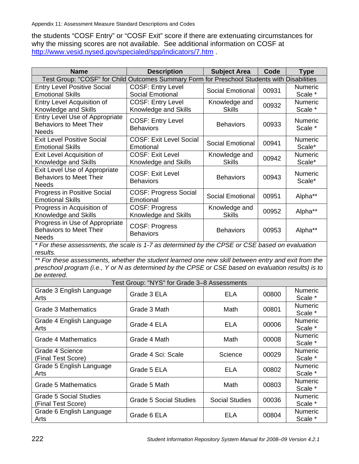the students "COSF Entry" or "COSF Exit" score if there are extenuating circumstances for why the missing scores are not available. See additional information on COSF at http://www.vesid.nysed.gov/specialed/spp/indicators/7.htm .

| <b>Name</b>                                                                                         | <b>Description</b>                          | <b>Subject Area</b>                           | Code  | <b>Type</b>    |
|-----------------------------------------------------------------------------------------------------|---------------------------------------------|-----------------------------------------------|-------|----------------|
| Test Group: "COSF" for Child Outcomes Summary                                                       |                                             | Form for Preschool Students with Disabilities |       |                |
| <b>Entry Level Positive Social</b>                                                                  | <b>COSF: Entry Level</b>                    |                                               |       | Numeric        |
| <b>Emotional Skills</b>                                                                             | Social Emotional                            | Social Emotional                              | 00931 | Scale *        |
| <b>Entry Level Acquisition of</b>                                                                   | <b>COSF: Entry Level</b>                    | Knowledge and                                 | 00932 | Numeric        |
| Knowledge and Skills                                                                                | Knowledge and Skills                        | <b>Skills</b>                                 |       | Scale *        |
| <b>Entry Level Use of Appropriate</b>                                                               | <b>COSF: Entry Level</b>                    |                                               |       | <b>Numeric</b> |
| <b>Behaviors to Meet Their</b>                                                                      | <b>Behaviors</b>                            | <b>Behaviors</b>                              | 00933 | Scale *        |
| <b>Needs</b>                                                                                        |                                             |                                               |       |                |
| <b>Exit Level Positive Social</b>                                                                   | <b>COSF: Exit Level Social</b>              | <b>Social Emotional</b>                       | 00941 | Numeric        |
| <b>Emotional Skills</b>                                                                             | Emotional                                   |                                               |       | Scale*         |
| Exit Level Acquisition of                                                                           | <b>COSF: Exit Level</b>                     | Knowledge and                                 | 00942 | Numeric        |
| Knowledge and Skills                                                                                | Knowledge and Skills                        | <b>Skills</b>                                 |       | Scale*         |
| Exit Level Use of Appropriate                                                                       | <b>COSF: Exit Level</b>                     |                                               |       | Numeric        |
| <b>Behaviors to Meet Their</b>                                                                      | <b>Behaviors</b>                            | <b>Behaviors</b>                              | 00943 | Scale*         |
| <b>Needs</b>                                                                                        |                                             |                                               |       |                |
| <b>Progress in Positive Social</b>                                                                  | <b>COSF: Progress Social</b>                | <b>Social Emotional</b>                       | 00951 | Alpha**        |
| <b>Emotional Skills</b>                                                                             | Emotional                                   |                                               |       |                |
| Progress in Acquisition of                                                                          | <b>COSF: Progress</b>                       | Knowledge and                                 | 00952 | Alpha**        |
| Knowledge and Skills                                                                                | Knowledge and Skills                        | <b>Skills</b>                                 |       |                |
| Progress in Use of Appropriate<br><b>Behaviors to Meet Their</b>                                    | COSF: Progress                              | <b>Behaviors</b>                              | 00953 | Alpha**        |
| <b>Needs</b>                                                                                        | <b>Behaviors</b>                            |                                               |       |                |
| * For these assessments, the scale is 1-7 as determined by the CPSE or CSE based on evaluation      |                                             |                                               |       |                |
| results.                                                                                            |                                             |                                               |       |                |
| ** For these assessments, whether the student learned one new skill between entry and exit from the |                                             |                                               |       |                |
| preschool program (i.e., Y or N as determined by the CPSE or CSE based on evaluation results) is to |                                             |                                               |       |                |
| be entered.                                                                                         |                                             |                                               |       |                |
|                                                                                                     | Test Group: "NYS" for Grade 3-8 Assessments |                                               |       |                |
| Grade 3 English Language                                                                            |                                             |                                               |       | Numeric        |
| Arts                                                                                                | Grade 3 ELA                                 | <b>ELA</b>                                    | 00800 | Scale *        |
|                                                                                                     |                                             |                                               |       | Numeric        |
| <b>Grade 3 Mathematics</b>                                                                          | Grade 3 Math                                | Math                                          | 00801 | Scale *        |
| Grade 4 English Language                                                                            | Grade 4 ELA                                 | <b>ELA</b>                                    | 00006 | Numeric        |
| Arts                                                                                                |                                             |                                               |       | Scale *        |
| <b>Grade 4 Mathematics</b>                                                                          | Grade 4 Math                                | Math                                          | 00008 | Numeric        |
|                                                                                                     |                                             |                                               |       | Scale *        |
| Grade 4 Science                                                                                     | Grade 4 Sci: Scale                          | Science                                       | 00029 | Numeric        |
| (Final Test Score)                                                                                  |                                             |                                               |       | Scale *        |
| Grade 5 English Language                                                                            | Grade 5 ELA                                 | <b>ELA</b>                                    | 00802 | Numeric        |
| Arts                                                                                                |                                             |                                               |       | Scale *        |
| <b>Grade 5 Mathematics</b>                                                                          | Grade 5 Math                                | Math                                          | 00803 | Numeric        |
|                                                                                                     |                                             |                                               |       | Scale *        |
| <b>Grade 5 Social Studies</b>                                                                       | <b>Grade 5 Social Studies</b>               | <b>Social Studies</b>                         | 00036 | Numeric        |
| (Final Test Score)                                                                                  |                                             |                                               |       | Scale *        |
| Grade 6 English Language                                                                            | Grade 6 ELA                                 | <b>ELA</b>                                    | 00804 | Numeric        |
| Arts                                                                                                |                                             |                                               |       | Scale *        |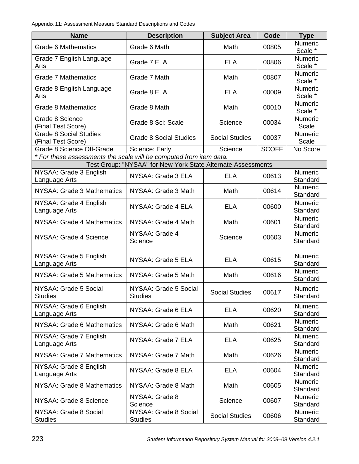| <b>Name</b>                                                        | <b>Description</b>                                           | <b>Subject Area</b>   | Code         | <b>Type</b>                |
|--------------------------------------------------------------------|--------------------------------------------------------------|-----------------------|--------------|----------------------------|
| <b>Grade 6 Mathematics</b>                                         | Grade 6 Math                                                 | Math                  | 00805        | <b>Numeric</b><br>Scale *  |
| Grade 7 English Language<br>Arts                                   | Grade 7 ELA                                                  | <b>ELA</b>            | 00806        | Numeric<br>Scale *         |
| <b>Grade 7 Mathematics</b>                                         | Grade 7 Math                                                 | Math                  | 00807        | Numeric<br>Scale *         |
| Grade 8 English Language<br>Arts                                   | Grade 8 ELA                                                  | <b>ELA</b>            | 00009        | Numeric<br>Scale *         |
| <b>Grade 8 Mathematics</b>                                         | Grade 8 Math                                                 | Math                  | 00010        | Numeric<br>Scale *         |
| Grade 8 Science<br>(Final Test Score)                              | Grade 8 Sci: Scale                                           | Science               | 00034        | Numeric<br>Scale           |
| <b>Grade 8 Social Studies</b><br>(Final Test Score)                | <b>Grade 8 Social Studies</b>                                | <b>Social Studies</b> | 00037        | Numeric<br>Scale           |
| Grade 8 Science Off-Grade                                          | Science: Early                                               | Science               | <b>SCOFF</b> | No Score                   |
| * For these assessments the scale will be computed from item data. |                                                              |                       |              |                            |
|                                                                    | Test Group: "NYSAA" for New York State Alternate Assessments |                       |              |                            |
| NYSAA: Grade 3 English<br>Language Arts                            | NYSAA: Grade 3 ELA                                           | <b>ELA</b>            | 00613        | Numeric<br>Standard        |
| NYSAA: Grade 3 Mathematics                                         | NYSAA: Grade 3 Math                                          | Math                  | 00614        | <b>Numeric</b><br>Standard |
| NYSAA: Grade 4 English<br>Language Arts                            | NYSAA: Grade 4 ELA                                           | <b>ELA</b>            | 00600        | Numeric<br>Standard        |
| NYSAA: Grade 4 Mathematics                                         | NYSAA: Grade 4 Math                                          | Math                  | 00601        | Numeric<br>Standard        |
| NYSAA: Grade 4 Science                                             | NYSAA: Grade 4<br>Science                                    | Science               | 00603        | Numeric<br>Standard        |
| NYSAA: Grade 5 English<br>Language Arts                            | NYSAA: Grade 5 ELA                                           | <b>ELA</b>            | 00615        | Numeric<br>Standard        |
| NYSAA: Grade 5 Mathematics                                         | NYSAA: Grade 5 Math                                          | Math                  | 00616        | Numeric<br>Standard        |
| NYSAA: Grade 5 Social<br><b>Studies</b>                            | NYSAA: Grade 5 Social<br><b>Studies</b>                      | <b>Social Studies</b> | 00617        | <b>Numeric</b><br>Standard |
| NYSAA: Grade 6 English<br>Language Arts                            | NYSAA: Grade 6 ELA                                           | <b>ELA</b>            | 00620        | Numeric<br>Standard        |
| NYSAA: Grade 6 Mathematics                                         | NYSAA: Grade 6 Math                                          | Math                  | 00621        | Numeric<br>Standard        |
| NYSAA: Grade 7 English<br>Language Arts                            | NYSAA: Grade 7 ELA                                           | <b>ELA</b>            | 00625        | Numeric<br>Standard        |
| NYSAA: Grade 7 Mathematics                                         | NYSAA: Grade 7 Math                                          | Math                  | 00626        | Numeric<br>Standard        |
| NYSAA: Grade 8 English<br>Language Arts                            | NYSAA: Grade 8 ELA                                           | <b>ELA</b>            | 00604        | Numeric<br>Standard        |
| NYSAA: Grade 8 Mathematics                                         | NYSAA: Grade 8 Math                                          | Math                  | 00605        | Numeric<br>Standard        |
| NYSAA: Grade 8 Science                                             | NYSAA: Grade 8<br>Science                                    | Science               | 00607        | Numeric<br>Standard        |
| NYSAA: Grade 8 Social<br><b>Studies</b>                            | NYSAA: Grade 8 Social<br><b>Studies</b>                      | <b>Social Studies</b> | 00606        | Numeric<br>Standard        |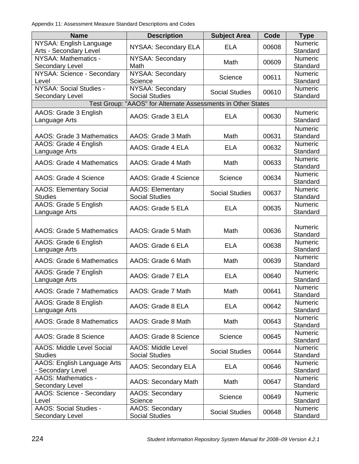| <b>Name</b>                                                  | <b>Description</b>                                 | <b>Subject Area</b>   | Code  | <b>Type</b>                |  |
|--------------------------------------------------------------|----------------------------------------------------|-----------------------|-------|----------------------------|--|
| NYSAA: English Language<br>Arts - Secondary Level            | <b>NYSAA: Secondary ELA</b>                        | <b>ELA</b>            | 00608 | Numeric<br>Standard        |  |
| NYSAA: Mathematics -<br>Secondary Level                      | <b>NYSAA: Secondary</b><br>Math                    | Math                  | 00609 | Numeric<br>Standard        |  |
| NYSAA: Science - Secondary<br>Level                          | NYSAA: Secondary<br>Science                        | Science               | 00611 | Numeric<br>Standard        |  |
| NYSAA: Social Studies -<br>Secondary Level                   | <b>NYSAA: Secondary</b><br><b>Social Studies</b>   | <b>Social Studies</b> | 00610 | Numeric<br>Standard        |  |
| Test Group: "AAOS" for Alternate Assessments in Other States |                                                    |                       |       |                            |  |
| AAOS: Grade 3 English<br>Language Arts                       | AAOS: Grade 3 ELA                                  | <b>ELA</b>            | 00630 | Numeric<br>Standard        |  |
| <b>AAOS: Grade 3 Mathematics</b>                             | AAOS: Grade 3 Math                                 | Math                  | 00631 | Numeric<br>Standard        |  |
| AAOS: Grade 4 English<br>Language Arts                       | AAOS: Grade 4 ELA                                  | <b>ELA</b>            | 00632 | Numeric<br>Standard        |  |
| <b>AAOS: Grade 4 Mathematics</b>                             | AAOS: Grade 4 Math                                 | Math                  | 00633 | Numeric<br>Standard        |  |
| AAOS: Grade 4 Science                                        | AAOS: Grade 4 Science                              | Science               | 00634 | Numeric<br>Standard        |  |
| <b>AAOS: Elementary Social</b><br><b>Studies</b>             | <b>AAOS: Elementary</b><br><b>Social Studies</b>   | <b>Social Studies</b> | 00637 | <b>Numeric</b><br>Standard |  |
| AAOS: Grade 5 English<br>Language Arts                       | AAOS: Grade 5 ELA                                  | <b>ELA</b>            | 00635 | Numeric<br>Standard        |  |
| <b>AAOS: Grade 5 Mathematics</b>                             | AAOS: Grade 5 Math                                 | Math                  | 00636 | Numeric<br>Standard        |  |
| AAOS: Grade 6 English<br>Language Arts                       | AAOS: Grade 6 ELA                                  | <b>ELA</b>            | 00638 | Numeric<br>Standard        |  |
| <b>AAOS: Grade 6 Mathematics</b>                             | AAOS: Grade 6 Math                                 | Math                  | 00639 | Numeric<br>Standard        |  |
| AAOS: Grade 7 English<br>Language Arts                       | AAOS: Grade 7 ELA                                  | <b>ELA</b>            | 00640 | Numeric<br>Standard        |  |
| <b>AAOS: Grade 7 Mathematics</b>                             | AAOS: Grade 7 Math                                 | Math                  | 00641 | Numeric<br>Standard        |  |
| AAOS: Grade 8 English<br>Language Arts                       | AAOS: Grade 8 ELA                                  | <b>ELA</b>            | 00642 | Numeric<br>Standard        |  |
| <b>AAOS: Grade 8 Mathematics</b>                             | AAOS: Grade 8 Math                                 | Math                  | 00643 | Numeric<br>Standard        |  |
| AAOS: Grade 8 Science                                        | AAOS: Grade 8 Science                              | Science               | 00645 | Numeric<br>Standard        |  |
| <b>AAOS: Middle Level Social</b><br><b>Studies</b>           | <b>AAOS: Middle Level</b><br><b>Social Studies</b> | <b>Social Studies</b> | 00644 | Numeric<br>Standard        |  |
| AAOS: English Language Arts<br>- Secondary Level             | <b>AAOS: Secondary ELA</b>                         | <b>ELA</b>            | 00646 | Numeric<br>Standard        |  |
| <b>AAOS: Mathematics -</b><br>Secondary Level                | <b>AAOS: Secondary Math</b>                        | Math                  | 00647 | Numeric<br>Standard        |  |
| AAOS: Science - Secondary<br>Level                           | <b>AAOS: Secondary</b><br>Science                  | Science               | 00649 | Numeric<br>Standard        |  |
| <b>AAOS: Social Studies -</b><br>Secondary Level             | AAOS: Secondary<br><b>Social Studies</b>           | <b>Social Studies</b> | 00648 | Numeric<br>Standard        |  |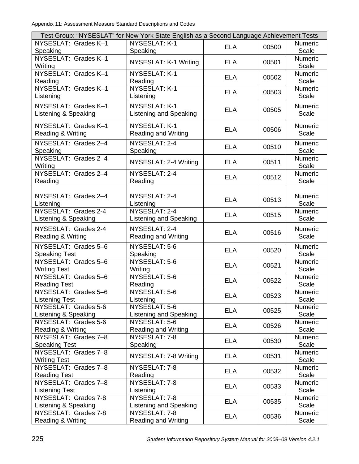| Test Group: "NYSESLAT" for New York State English as a Second Language Achievement Tests |                               |            |       |                |
|------------------------------------------------------------------------------------------|-------------------------------|------------|-------|----------------|
| NYSESLAT: Grades K-1                                                                     | NYSESLAT: K-1                 |            |       | Numeric        |
| Speaking                                                                                 | Speaking                      | <b>ELA</b> | 00500 | Scale          |
| NYSESLAT: Grades K-1                                                                     |                               |            |       | Numeric        |
| Writing                                                                                  | NYSESLAT: K-1 Writing         | <b>ELA</b> | 00501 | Scale          |
| NYSESLAT: Grades K-1                                                                     | NYSESLAT: K-1                 |            |       | Numeric        |
| Reading                                                                                  | Reading                       | <b>ELA</b> | 00502 | Scale          |
| NYSESLAT: Grades K-1                                                                     | NYSESLAT: K-1                 |            |       | Numeric        |
| Listening                                                                                | Listening                     | <b>ELA</b> | 00503 | Scale          |
| NYSESLAT: Grades K-1                                                                     | NYSESLAT: K-1                 |            |       | <b>Numeric</b> |
|                                                                                          |                               | <b>ELA</b> | 00505 |                |
| Listening & Speaking                                                                     | Listening and Speaking        |            |       | Scale          |
| NYSESLAT: Grades K-1                                                                     | NYSESLAT: K-1                 |            |       | Numeric        |
| Reading & Writing                                                                        | <b>Reading and Writing</b>    | <b>ELA</b> | 00506 | Scale          |
| NYSESLAT: Grades 2-4                                                                     | NYSESLAT: 2-4                 |            |       | Numeric        |
| Speaking                                                                                 | Speaking                      | <b>ELA</b> | 00510 | Scale          |
| NYSESLAT: Grades 2-4                                                                     |                               |            |       | Numeric        |
| Writing                                                                                  | NYSESLAT: 2-4 Writing         | <b>ELA</b> | 00511 | Scale          |
| NYSESLAT: Grades 2-4                                                                     | NYSESLAT: 2-4                 |            |       | <b>Numeric</b> |
| Reading                                                                                  | Reading                       | <b>ELA</b> | 00512 | Scale          |
|                                                                                          |                               |            |       |                |
| NYSESLAT: Grades 2-4                                                                     | NYSESLAT: 2-4                 |            |       | <b>Numeric</b> |
|                                                                                          |                               | <b>ELA</b> | 00513 | Scale          |
| Listening<br>NYSESLAT: Grades 2-4                                                        | Listening<br>NYSESLAT: 2-4    |            |       | Numeric        |
|                                                                                          |                               | <b>ELA</b> | 00515 |                |
| Listening & Speaking                                                                     | <b>Listening and Speaking</b> |            |       | Scale          |
| NYSESLAT: Grades 2-4                                                                     | NYSESLAT: 2-4                 | <b>ELA</b> | 00516 | Numeric        |
| Reading & Writing                                                                        | <b>Reading and Writing</b>    |            |       | Scale          |
| NYSESLAT: Grades 5-6                                                                     | NYSESLAT: 5-6                 |            |       | Numeric        |
| <b>Speaking Test</b>                                                                     | Speaking                      | <b>ELA</b> | 00520 | Scale          |
| NYSESLAT: Grades 5-6                                                                     | NYSESLAT: 5-6                 |            |       | Numeric        |
| <b>Writing Test</b>                                                                      | Writing                       | <b>ELA</b> | 00521 | Scale          |
| NYSESLAT: Grades 5-6                                                                     | NYSESLAT: 5-6                 |            |       | Numeric        |
| <b>Reading Test</b>                                                                      | Reading                       | <b>ELA</b> | 00522 | Scale          |
| NYSESLAT: Grades 5-6                                                                     | NYSESLAT: 5-6                 |            |       | <b>Numeric</b> |
| <b>Listening Test</b>                                                                    | Listening                     | <b>ELA</b> | 00523 | Scale          |
| NYSESLAT: Grades 5-6                                                                     | NYSESLAT: 5-6                 |            |       | Numeric        |
| Listening & Speaking                                                                     | Listening and Speaking        | <b>ELA</b> | 00525 | Scale          |
| NYSESLAT: Grades 5-6                                                                     | NYSESLAT: 5-6                 |            |       | Numeric        |
| Reading & Writing                                                                        | <b>Reading and Writing</b>    | <b>ELA</b> | 00526 | Scale          |
| NYSESLAT: Grades 7-8                                                                     | NYSESLAT: 7-8                 |            |       | Numeric        |
| <b>Speaking Test</b>                                                                     | Speaking                      | <b>ELA</b> | 00530 | Scale          |
| NYSESLAT: Grades 7-8                                                                     |                               |            |       | Numeric        |
| <b>Writing Test</b>                                                                      | NYSESLAT: 7-8 Writing         | <b>ELA</b> | 00531 | Scale          |
| NYSESLAT: Grades 7-8                                                                     | NYSESLAT: 7-8                 |            |       | Numeric        |
| <b>Reading Test</b>                                                                      | Reading                       | <b>ELA</b> | 00532 | Scale          |
| NYSESLAT: Grades 7-8                                                                     | NYSESLAT: 7-8                 |            |       | Numeric        |
| <b>Listening Test</b>                                                                    | Listening                     | <b>ELA</b> | 00533 | Scale          |
| NYSESLAT: Grades 7-8                                                                     | NYSESLAT: 7-8                 |            |       | Numeric        |
| Listening & Speaking                                                                     | Listening and Speaking        | <b>ELA</b> | 00535 | Scale          |
| NYSESLAT: Grades 7-8                                                                     | NYSESLAT: 7-8                 |            |       | <b>Numeric</b> |
| Reading & Writing                                                                        | <b>Reading and Writing</b>    | <b>ELA</b> | 00536 | Scale          |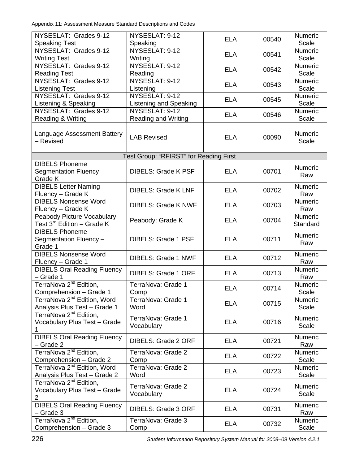| NYSESLAT: Grades 9-12<br><b>Speaking Test</b>                           | NYSESLAT: 9-12                           | <b>ELA</b> | 00540 | <b>Numeric</b><br>Scale |
|-------------------------------------------------------------------------|------------------------------------------|------------|-------|-------------------------|
| NYSESLAT: Grades 9-12                                                   | Speaking<br>NYSESLAT: 9-12               | <b>ELA</b> | 00541 | <b>Numeric</b>          |
| <b>Writing Test</b><br>NYSESLAT: Grades 9-12                            | Writing<br>NYSESLAT: 9-12                | <b>ELA</b> | 00542 | Scale<br>Numeric        |
| <b>Reading Test</b><br>NYSESLAT: Grades 9-12                            | Reading<br>NYSESLAT: 9-12                | <b>ELA</b> | 00543 | Scale<br><b>Numeric</b> |
| <b>Listening Test</b><br>NYSESLAT: Grades 9-12                          | Listening<br>NYSESLAT: 9-12              |            |       | Scale<br>Numeric        |
| Listening & Speaking<br>NYSESLAT: Grades 9-12                           | Listening and Speaking<br>NYSESLAT: 9-12 | <b>ELA</b> | 00545 | Scale<br>Numeric        |
| Reading & Writing                                                       | <b>Reading and Writing</b>               | <b>ELA</b> | 00546 | Scale                   |
| Language Assessment Battery<br>- Revised                                | <b>LAB Revised</b>                       | <b>ELA</b> | 00090 | Numeric<br>Scale        |
|                                                                         | Test Group: "RFIRST" for Reading First   |            |       |                         |
| <b>DIBELS Phoneme</b><br>Segmentation Fluency -<br>Grade K              | <b>DIBELS: Grade K PSF</b>               | <b>ELA</b> | 00701 | Numeric<br>Raw          |
| <b>DIBELS Letter Naming</b><br>Fluency - Grade K                        | <b>DIBELS: Grade K LNF</b>               | <b>ELA</b> | 00702 | Numeric<br>Raw          |
| <b>DIBELS Nonsense Word</b><br>Fluency - Grade K                        | <b>DIBELS: Grade K NWF</b>               | <b>ELA</b> | 00703 | Numeric<br>Raw          |
| Peabody Picture Vocabulary<br>Test 3 <sup>rd</sup> Edition - Grade K    | Peabody: Grade K                         | <b>ELA</b> | 00704 | Numeric<br>Standard     |
| <b>DIBELS Phoneme</b><br>Segmentation Fluency -<br>Grade 1              | <b>DIBELS: Grade 1 PSF</b>               | <b>ELA</b> | 00711 | Numeric<br>Raw          |
| <b>DIBELS Nonsense Word</b><br>Fluency - Grade 1                        | <b>DIBELS: Grade 1 NWF</b>               | <b>ELA</b> | 00712 | <b>Numeric</b><br>Raw   |
| <b>DIBELS Oral Reading Fluency</b><br>- Grade 1                         | <b>DIBELS: Grade 1 ORF</b>               | <b>ELA</b> | 00713 | Numeric<br>Raw          |
| TerraNova 2 <sup>nd</sup> Edition,<br>Comprehension - Grade 1           | TerraNova: Grade 1<br>Comp               | <b>ELA</b> | 00714 | Numeric<br>Scale        |
| TerraNova 2 <sup>nd</sup> Edition, Word<br>Analysis Plus Test - Grade 1 | TerraNova: Grade 1<br>Word               | <b>ELA</b> | 00715 | Numeric<br>Scale        |
| TerraNova 2 <sup>nd</sup> Edition,<br>Vocabulary Plus Test - Grade<br>1 | TerraNova: Grade 1<br>Vocabulary         | <b>ELA</b> | 00716 | Numeric<br>Scale        |
| <b>DIBELS Oral Reading Fluency</b><br>- Grade 2                         | DIBELS: Grade 2 ORF                      | <b>ELA</b> | 00721 | Numeric<br>Raw          |
| TerraNova 2 <sup>nd</sup> Edition,<br>Comprehension - Grade 2           | TerraNova: Grade 2<br>Comp               | <b>ELA</b> | 00722 | <b>Numeric</b><br>Scale |
| TerraNova 2 <sup>nd</sup> Edition, Word<br>Analysis Plus Test - Grade 2 | TerraNova: Grade 2<br>Word               | <b>ELA</b> | 00723 | Numeric<br>Scale        |
| TerraNova 2 <sup>nd</sup> Edition,<br>Vocabulary Plus Test - Grade<br>2 | TerraNova: Grade 2<br>Vocabulary         | <b>ELA</b> | 00724 | Numeric<br>Scale        |
| <b>DIBELS Oral Reading Fluency</b><br>- Grade 3                         | DIBELS: Grade 3 ORF                      | <b>ELA</b> | 00731 | Numeric<br>Raw          |
| TerraNova 2 <sup>nd</sup> Edition,<br>Comprehension - Grade 3           | TerraNova: Grade 3<br>Comp               | <b>ELA</b> | 00732 | <b>Numeric</b><br>Scale |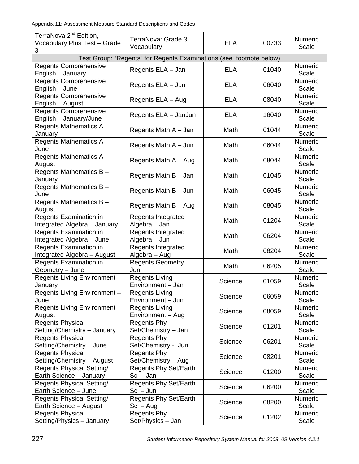| TerraNova 2 <sup>nd</sup> Edition,<br>Vocabulary Plus Test - Grade<br>3 | TerraNova: Grade 3<br>Vocabulary                                    | <b>ELA</b> | 00733 | Numeric<br>Scale        |
|-------------------------------------------------------------------------|---------------------------------------------------------------------|------------|-------|-------------------------|
|                                                                         | Test Group: "Regents" for Regents Examinations (see footnote below) |            |       |                         |
| <b>Regents Comprehensive</b><br>English - January                       | Regents ELA - Jan                                                   | <b>ELA</b> | 01040 | <b>Numeric</b><br>Scale |
| <b>Regents Comprehensive</b><br>English - June                          | Regents ELA - Jun                                                   | <b>ELA</b> | 06040 | Numeric<br>Scale        |
| <b>Regents Comprehensive</b><br>English - August                        | Regents ELA - Aug                                                   | <b>ELA</b> | 08040 | Numeric<br>Scale        |
| <b>Regents Comprehensive</b><br>English - January/June                  | Regents ELA - JanJun                                                | <b>ELA</b> | 16040 | Numeric<br>Scale        |
| Regents Mathematics A -<br>January                                      | Regents Math A - Jan                                                | Math       | 01044 | Numeric<br>Scale        |
| Regents Mathematics A-<br>June                                          | Regents Math A - Jun                                                | Math       | 06044 | Numeric<br>Scale        |
| Regents Mathematics A -<br>August                                       | Regents Math A - Aug                                                | Math       | 08044 | Numeric<br>Scale        |
| Regents Mathematics B-<br>January                                       | Regents Math B - Jan                                                | Math       | 01045 | Numeric<br>Scale        |
| Regents Mathematics B-<br>June                                          | Regents Math B - Jun                                                | Math       | 06045 | Numeric<br>Scale        |
| Regents Mathematics B-<br>August                                        | Regents Math B - Aug                                                | Math       | 08045 | Numeric<br>Scale        |
| Regents Examination in<br>Integrated Algebra - January                  | <b>Regents Integrated</b><br>Algebra - Jan                          | Math       | 01204 | Numeric<br>Scale        |
| Regents Examination in<br>Integrated Algebra - June                     | Regents Integrated<br>Algebra - Jun                                 | Math       | 06204 | Numeric<br>Scale        |
| Regents Examination in<br>Integrated Algebra - August                   | Regents Integrated<br>Algebra - Aug                                 | Math       | 08204 | Numeric<br>Scale        |
| Regents Examination in<br>Geometry - June                               | Regents Geometry -<br>Jun                                           | Math       | 06205 | Numeric<br>Scale        |
| Regents Living Environment-<br>January                                  | <b>Regents Living</b><br>Environment - Jan                          | Science    | 01059 | Numeric<br>Scale        |
| Regents Living Environment-<br>June                                     | <b>Regents Living</b><br>Environment - Jun                          | Science    | 06059 | Numeric<br>Scale        |
| Regents Living Environment-<br>August                                   | <b>Regents Living</b><br>Environment - Aug                          | Science    | 08059 | Numeric<br>Scale        |
| <b>Regents Physical</b><br>Setting/Chemistry - January                  | <b>Regents Phy</b><br>Set/Chemistry - Jan                           | Science    | 01201 | Numeric<br>Scale        |
| <b>Regents Physical</b><br>Setting/Chemistry - June                     | <b>Regents Phy</b><br>Set/Chemistry - Jun                           | Science    | 06201 | Numeric<br>Scale        |
| <b>Regents Physical</b><br>Setting/Chemistry - August                   | <b>Regents Phy</b><br>Set/Chemistry - Aug                           | Science    | 08201 | Numeric<br>Scale        |
| Regents Physical Setting/<br>Earth Science - January                    | <b>Regents Phy Set/Earth</b><br>Sci – Jan                           | Science    | 01200 | Numeric<br>Scale        |
| Regents Physical Setting/<br>Earth Science - June                       | <b>Regents Phy Set/Earth</b><br>Sci – Jun                           | Science    | 06200 | Numeric<br>Scale        |
| <b>Regents Physical Setting/</b><br>Earth Science - August              | Regents Phy Set/Earth<br>Sci – Aug                                  | Science    | 08200 | Numeric<br>Scale        |
| <b>Regents Physical</b><br>Setting/Physics - January                    | <b>Regents Phy</b><br>Set/Physics - Jan                             | Science    | 01202 | Numeric<br>Scale        |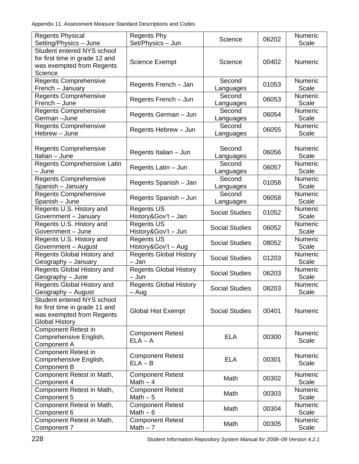| <b>Regents Physical</b><br>Setting/Physics - June                                                                  | <b>Regents Phy</b><br>Set/Physics - Jun  | Science               | 06202 | Numeric<br>Scale        |
|--------------------------------------------------------------------------------------------------------------------|------------------------------------------|-----------------------|-------|-------------------------|
| Student entered NYS school<br>for first time in grade 12 and<br>was exempted from Regents<br>Science               | <b>Science Exempt</b>                    | Science               | 00402 | Numeric                 |
| <b>Regents Comprehensive</b><br>French - January                                                                   | Regents French - Jan                     | Second<br>Languages   | 01053 | Numeric<br>Scale        |
| <b>Regents Comprehensive</b><br>French - June                                                                      | Regents French - Jun                     | Second<br>Languages   | 06053 | Numeric<br>Scale        |
| <b>Regents Comprehensive</b><br>German-June                                                                        | Regents German - Jun                     | Second<br>Languages   | 06054 | Numeric<br>Scale        |
| <b>Regents Comprehensive</b><br>Hebrew - June                                                                      | Regents Hebrew - Jun                     | Second<br>Languages   | 06055 | Numeric<br>Scale        |
| <b>Regents Comprehensive</b><br>Italian - June                                                                     | Regents Italian - Jun                    | Second<br>Languages   | 06056 | Numeric<br>Scale        |
| Regents Comprehensive Latin<br>– June                                                                              | Regents Latin - Jun                      | Second<br>Languages   | 06057 | Numeric<br>Scale        |
| <b>Regents Comprehensive</b><br>Spanish - January                                                                  | Regents Spanish - Jan                    | Second<br>Languages   | 01058 | Numeric<br>Scale        |
| <b>Regents Comprehensive</b><br>Spanish - June                                                                     | Regents Spanish - Jun                    | Second<br>Languages   | 06058 | Numeric<br>Scale        |
| Regents U.S. History and<br>Government - January                                                                   | <b>Regents US</b><br>History&Gov't - Jan | <b>Social Studies</b> | 01052 | Numeric<br>Scale        |
| Regents U.S. History and<br>Government - June                                                                      | <b>Regents US</b><br>History&Gov't - Jun | <b>Social Studies</b> | 06052 | Numeric<br>Scale        |
| Regents U.S. History and<br>Government - August                                                                    | <b>Regents US</b><br>History&Gov't - Aug | <b>Social Studies</b> | 08052 | Numeric<br>Scale        |
| Regents Global History and<br>Geography - January                                                                  | <b>Regents Global History</b><br>- Jan   | <b>Social Studies</b> | 01203 | Numeric<br>Scale        |
| Regents Global History and<br>Geography - June                                                                     | <b>Regents Global History</b><br>$-$ Jun | <b>Social Studies</b> | 06203 | Numeric<br>Scale        |
| Regents Global History and<br>Geography - August                                                                   | <b>Regents Global History</b><br>– Aug   | <b>Social Studies</b> | 08203 | Numeric<br>Scale        |
| Student entered NYS school<br>for first time in grade 11 and<br>was exempted from Regents<br><b>Global History</b> | <b>Global Hist Exempt</b>                | <b>Social Studies</b> | 00401 | Numeric                 |
| <b>Component Retest in</b><br>Comprehensive English,<br>Component A                                                | <b>Component Retest</b><br>$ELA - A$     | <b>ELA</b>            | 00300 | Numeric<br>Scale        |
| <b>Component Retest in</b><br>Comprehensive English,<br><b>Component B</b>                                         | <b>Component Retest</b><br>$ELA - B$     | <b>ELA</b>            | 00301 | Numeric<br>Scale        |
| Component Retest in Math,<br>Component 4                                                                           | <b>Component Retest</b><br>Math $-4$     | Math                  | 00302 | Numeric<br>Scale        |
| Component Retest in Math,<br>Component 5                                                                           | <b>Component Retest</b><br>Math $-5$     | Math                  | 00303 | Numeric<br>Scale        |
| Component Retest in Math,<br>Component 6                                                                           | <b>Component Retest</b><br>Math $-6$     | Math                  | 00304 | Numeric<br>Scale        |
| Component Retest in Math,<br>Component 7                                                                           | <b>Component Retest</b><br>Math $-7$     | Math                  | 00305 | <b>Numeric</b><br>Scale |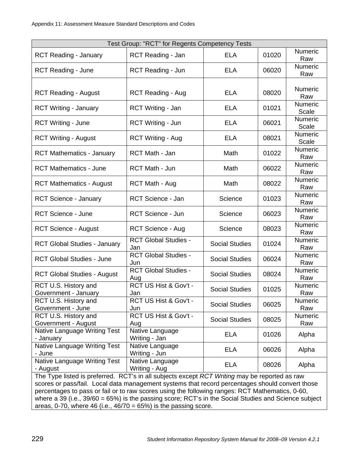| Test Group: "RCT" for Regents Competency Tests                                                                                                                                                                                                                                                                                                                                                                                                                                     |                                    |                       |       |                  |
|------------------------------------------------------------------------------------------------------------------------------------------------------------------------------------------------------------------------------------------------------------------------------------------------------------------------------------------------------------------------------------------------------------------------------------------------------------------------------------|------------------------------------|-----------------------|-------|------------------|
| <b>RCT Reading - January</b>                                                                                                                                                                                                                                                                                                                                                                                                                                                       | RCT Reading - Jan                  | <b>ELA</b>            | 01020 | Numeric<br>Raw   |
| <b>RCT Reading - June</b>                                                                                                                                                                                                                                                                                                                                                                                                                                                          | RCT Reading - Jun                  | <b>ELA</b>            | 06020 | Numeric<br>Raw   |
| <b>RCT Reading - August</b>                                                                                                                                                                                                                                                                                                                                                                                                                                                        | <b>RCT Reading - Aug</b>           | <b>ELA</b>            | 08020 | Numeric<br>Raw   |
| <b>RCT Writing - January</b>                                                                                                                                                                                                                                                                                                                                                                                                                                                       | RCT Writing - Jan                  | <b>ELA</b>            | 01021 | Numeric<br>Scale |
| <b>RCT Writing - June</b>                                                                                                                                                                                                                                                                                                                                                                                                                                                          | RCT Writing - Jun                  | <b>ELA</b>            | 06021 | Numeric<br>Scale |
| <b>RCT Writing - August</b>                                                                                                                                                                                                                                                                                                                                                                                                                                                        | <b>RCT Writing - Aug</b>           | <b>ELA</b>            | 08021 | Numeric<br>Scale |
| <b>RCT Mathematics - January</b>                                                                                                                                                                                                                                                                                                                                                                                                                                                   | RCT Math - Jan                     | Math                  | 01022 | Numeric<br>Raw   |
| <b>RCT Mathematics - June</b>                                                                                                                                                                                                                                                                                                                                                                                                                                                      | RCT Math - Jun                     | Math                  | 06022 | Numeric<br>Raw   |
| <b>RCT Mathematics - August</b>                                                                                                                                                                                                                                                                                                                                                                                                                                                    | <b>RCT Math - Aug</b>              | Math                  | 08022 | Numeric<br>Raw   |
| <b>RCT Science - January</b>                                                                                                                                                                                                                                                                                                                                                                                                                                                       | RCT Science - Jan                  | Science               | 01023 | Numeric<br>Raw   |
| <b>RCT Science - June</b>                                                                                                                                                                                                                                                                                                                                                                                                                                                          | RCT Science - Jun                  | Science               | 06023 | Numeric<br>Raw   |
| <b>RCT Science - August</b>                                                                                                                                                                                                                                                                                                                                                                                                                                                        | <b>RCT Science - Aug</b>           | Science               | 08023 | Numeric<br>Raw   |
| <b>RCT Global Studies - January</b>                                                                                                                                                                                                                                                                                                                                                                                                                                                | <b>RCT Global Studies -</b><br>Jan | <b>Social Studies</b> | 01024 | Numeric<br>Raw   |
| <b>RCT Global Studies - June</b>                                                                                                                                                                                                                                                                                                                                                                                                                                                   | <b>RCT Global Studies -</b><br>Jun | <b>Social Studies</b> | 06024 | Numeric<br>Raw   |
| <b>RCT Global Studies - August</b>                                                                                                                                                                                                                                                                                                                                                                                                                                                 | <b>RCT Global Studies -</b><br>Aug | <b>Social Studies</b> | 08024 | Numeric<br>Raw   |
| RCT U.S. History and<br>Government - January                                                                                                                                                                                                                                                                                                                                                                                                                                       | RCT US Hist & Gov't -<br>Jan       | <b>Social Studies</b> | 01025 | Numeric<br>Raw   |
| RCT U.S. History and<br>Government - June                                                                                                                                                                                                                                                                                                                                                                                                                                          | RCT US Hist & Gov't -<br>Jun       | <b>Social Studies</b> | 06025 | Numeric<br>Raw   |
| RCT U.S. History and<br>Government - August                                                                                                                                                                                                                                                                                                                                                                                                                                        | RCT US Hist & Gov't -<br>Aug       | <b>Social Studies</b> | 08025 | Numeric<br>Raw   |
| Native Language Writing Test<br>- January                                                                                                                                                                                                                                                                                                                                                                                                                                          | Native Language<br>Writing - Jan   | <b>ELA</b>            | 01026 | Alpha            |
| Native Language Writing Test<br>- June                                                                                                                                                                                                                                                                                                                                                                                                                                             | Native Language<br>Writing - Jun   | <b>ELA</b>            | 06026 | Alpha            |
| Native Language Writing Test<br>- August                                                                                                                                                                                                                                                                                                                                                                                                                                           | Native Language<br>Writing - Aug   | <b>ELA</b>            | 08026 | Alpha            |
| The Type listed is preferred. RCT's in all subjects except RCT Writing may be reported as raw<br>scores or pass/fail. Local data management systems that record percentages should convert those<br>percentages to pass or fail or to raw scores using the following ranges: RCT Mathematics, 0-60,<br>where a 39 (i.e., 39/60 = 65%) is the passing score; RCT's in the Social Studies and Science subject<br>areas, 0-70, where 46 (i.e., $46/70 = 65\%$ ) is the passing score. |                                    |                       |       |                  |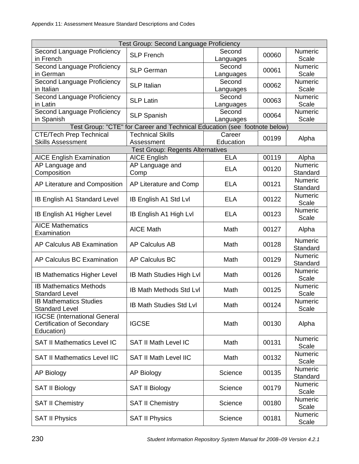| Test Group: Second Language Proficiency                |                                                                           |            |       |                  |
|--------------------------------------------------------|---------------------------------------------------------------------------|------------|-------|------------------|
| Second Language Proficiency                            | <b>SLP French</b>                                                         | Second     | 00060 | Numeric          |
| in French                                              |                                                                           | Languages  |       | Scale            |
| Second Language Proficiency                            | <b>SLP German</b>                                                         | Second     | 00061 | Numeric          |
| in German                                              |                                                                           | Languages  |       | Scale            |
| Second Language Proficiency                            |                                                                           | Second     |       | Numeric          |
| in Italian                                             | <b>SLP</b> Italian                                                        | Languages  | 00062 | Scale            |
| Second Language Proficiency                            | <b>SLP Latin</b>                                                          | Second     | 00063 | Numeric          |
| in Latin                                               |                                                                           | Languages  |       | Scale            |
| Second Language Proficiency                            | <b>SLP Spanish</b>                                                        | Second     | 00064 | Numeric          |
| in Spanish                                             |                                                                           | Languages  |       | Scale            |
|                                                        | Test Group: "CTE" for Career and Technical Education (see footnote below) |            |       |                  |
| <b>CTE/Tech Prep Technical</b>                         | <b>Technical Skills</b>                                                   | Career     | 00199 | Alpha            |
| <b>Skills Assessment</b>                               | Assessment                                                                | Education  |       |                  |
|                                                        | <b>Test Group: Regents Alternatives</b>                                   |            |       |                  |
| <b>AICE English Examination</b>                        | <b>AICE English</b>                                                       | <b>ELA</b> | 00119 | Alpha            |
| AP Language and                                        | AP Language and                                                           | <b>ELA</b> | 00120 | Numeric          |
| Composition                                            | Comp                                                                      |            |       | Standard         |
| AP Literature and Composition                          | AP Literature and Comp                                                    | <b>ELA</b> | 00121 | Numeric          |
|                                                        |                                                                           |            |       | Standard         |
| <b>IB English A1 Standard Level</b>                    | IB English A1 Std Lvl                                                     | <b>ELA</b> | 00122 | Numeric          |
|                                                        |                                                                           |            |       | Scale            |
| IB English A1 Higher Level                             | IB English A1 High Lvl                                                    | <b>ELA</b> | 00123 | Numeric          |
|                                                        |                                                                           |            |       | Scale            |
| <b>AICE Mathematics</b>                                | <b>AICE Math</b>                                                          | Math       | 00127 | Alpha            |
| Examination                                            |                                                                           |            |       |                  |
| AP Calculus AB Examination                             | <b>AP Calculus AB</b>                                                     | Math       | 00128 | Numeric          |
|                                                        |                                                                           |            |       | Standard         |
| AP Calculus BC Examination                             | <b>AP Calculus BC</b>                                                     | Math       | 00129 | Numeric          |
|                                                        |                                                                           |            |       | Standard         |
| <b>IB Mathematics Higher Level</b>                     | <b>IB Math Studies High Lvl</b>                                           | Math       | 00126 | Numeric          |
|                                                        |                                                                           |            |       | Scale            |
| <b>IB Mathematics Methods</b><br><b>Standard Level</b> | IB Math Methods Std Lvl                                                   | Math       | 00125 | Numeric          |
|                                                        |                                                                           |            |       | Scale            |
| <b>IB Mathematics Studies</b><br><b>Standard Level</b> | <b>IB Math Studies Std Lvl</b>                                            | Math       | 00124 | Numeric<br>Scale |
| <b>IGCSE</b> (International General                    |                                                                           |            |       |                  |
| <b>Certification of Secondary</b>                      | <b>IGCSE</b>                                                              | Math       | 00130 | Alpha            |
| Education)                                             |                                                                           |            |       |                  |
|                                                        |                                                                           |            |       | Numeric          |
| <b>SAT II Mathematics Level IC</b>                     | <b>SAT II Math Level IC</b>                                               | Math       | 00131 | Scale            |
|                                                        |                                                                           |            |       | <b>Numeric</b>   |
| <b>SAT II Mathematics Level IIC</b>                    | <b>SAT II Math Level IIC</b>                                              | Math       | 00132 | Scale            |
|                                                        |                                                                           |            |       | Numeric          |
| <b>AP Biology</b>                                      | <b>AP Biology</b>                                                         | Science    | 00135 | Standard         |
|                                                        |                                                                           |            |       | Numeric          |
| <b>SAT II Biology</b>                                  | <b>SAT II Biology</b>                                                     | Science    | 00179 | Scale            |
|                                                        |                                                                           |            |       | Numeric          |
| <b>SAT II Chemistry</b>                                | <b>SAT II Chemistry</b>                                                   | Science    | 00180 | Scale            |
|                                                        |                                                                           |            |       | Numeric          |
| <b>SAT II Physics</b>                                  | <b>SAT II Physics</b>                                                     | Science    | 00181 | Scale            |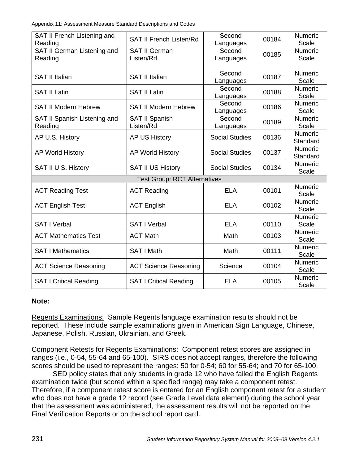| SAT II French Listening and        |                                     | Second                |       | Numeric             |
|------------------------------------|-------------------------------------|-----------------------|-------|---------------------|
| Reading                            | <b>SAT II French Listen/Rd</b>      | Languages             | 00184 | Scale               |
| <b>SAT II German Listening and</b> | <b>SAT II German</b>                | Second                | 00185 | Numeric             |
| Reading                            | Listen/Rd                           | Languages             |       | Scale               |
|                                    |                                     |                       |       |                     |
| <b>SAT II Italian</b>              | <b>SAT II Italian</b>               | Second                | 00187 | Numeric             |
|                                    |                                     | Languages             |       | Scale               |
| <b>SAT II Latin</b>                | <b>SAT II Latin</b>                 | Second                | 00188 | Numeric             |
|                                    |                                     | Languages             |       | Scale               |
| <b>SAT II Modern Hebrew</b>        | <b>SAT II Modern Hebrew</b>         | Second                | 00186 | <b>Numeric</b>      |
|                                    |                                     | Languages             |       | Scale               |
| SAT II Spanish Listening and       | <b>SAT II Spanish</b>               | Second                | 00189 | Numeric             |
| Reading                            | Listen/Rd                           | Languages             |       | Scale               |
| AP U.S. History                    | <b>AP US History</b>                | <b>Social Studies</b> | 00136 | <b>Numeric</b>      |
|                                    |                                     |                       |       | Standard            |
| <b>AP World History</b>            | <b>AP World History</b>             | <b>Social Studies</b> | 00137 | Numeric<br>Standard |
|                                    |                                     |                       |       | <b>Numeric</b>      |
| SAT II U.S. History                | <b>SAT II US History</b>            | <b>Social Studies</b> | 00134 | Scale               |
|                                    | <b>Test Group: RCT Alternatives</b> |                       |       |                     |
|                                    |                                     |                       |       | Numeric             |
| <b>ACT Reading Test</b>            | <b>ACT Reading</b>                  | <b>ELA</b>            | 00101 | Scale               |
|                                    |                                     |                       |       | <b>Numeric</b>      |
| <b>ACT English Test</b>            | <b>ACT English</b>                  | <b>ELA</b>            | 00102 | Scale               |
|                                    |                                     |                       |       | Numeric             |
| <b>SAT I Verbal</b>                | <b>SAT I Verbal</b>                 | <b>ELA</b>            | 00110 | Scale               |
|                                    |                                     |                       |       | Numeric             |
| <b>ACT Mathematics Test</b>        | <b>ACT Math</b>                     | Math                  | 00103 | Scale               |
| <b>SAT I Mathematics</b>           | SAT I Math                          | Math                  | 00111 | Numeric             |
|                                    |                                     |                       |       | Scale               |
|                                    |                                     | Science               | 00104 | <b>Numeric</b>      |
| <b>ACT Science Reasoning</b>       | <b>ACT Science Reasoning</b>        |                       |       | Scale               |
| <b>SAT I Critical Reading</b>      | <b>SAT I Critical Reading</b>       | <b>ELA</b>            | 00105 | Numeric             |
|                                    |                                     |                       |       | Scale               |

## **Note:**

Regents Examinations: Sample Regents language examination results should not be reported. These include sample examinations given in American Sign Language, Chinese, Japanese, Polish, Russian, Ukrainian, and Greek.

Component Retests for Regents Examinations: Component retest scores are assigned in ranges (i.e., 0-54, 55-64 and 65-100). SIRS does not accept ranges, therefore the following scores should be used to represent the ranges: 50 for 0-54; 60 for 55-64; and 70 for 65-100.

 SED policy states that only students in grade 12 who have failed the English Regents examination twice (but scored within a specified range) may take a component retest. Therefore, if a component retest score is entered for an English component retest for a student who does not have a grade 12 record (see Grade Level data element) during the school year that the assessment was administered, the assessment results will not be reported on the Final Verification Reports or on the school report card.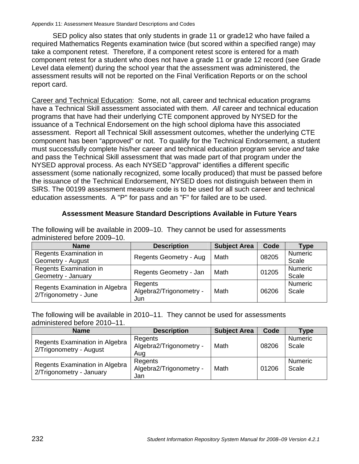SED policy also states that only students in grade 11 or grade12 who have failed a required Mathematics Regents examination twice (but scored within a specified range) may take a component retest. Therefore, if a component retest score is entered for a math component retest for a student who does not have a grade 11 or grade 12 record (see Grade Level data element) during the school year that the assessment was administered, the assessment results will not be reported on the Final Verification Reports or on the school report card.

Career and Technical Education: Some, not all, career and technical education programs have a Technical Skill assessment associated with them. *All* career and technical education programs that have had their underlying CTE component approved by NYSED for the issuance of a Technical Endorsement on the high school diploma have this associated assessment. Report all Technical Skill assessment outcomes, whether the underlying CTE component has been "approved" or not. To qualify for the Technical Endorsement, a student must successfully complete his/her career and technical education program service *and* take and pass the Technical Skill assessment that was made part of that program under the NYSED approval process. As each NYSED "approval" identifies a different specific assessment (some nationally recognized, some locally produced) that must be passed before the issuance of the Technical Endorsement, NYSED does not distinguish between them in SIRS. The 00199 assessment measure code is to be used for all such career and technical education assessments. A "P" for pass and an "F" for failed are to be used.

## **Assessment Measure Standard Descriptions Available in Future Years**

The following will be available in 2009–10. They cannot be used for assessments administered before 2009–10.

| <b>Name</b>                    | <b>Description</b>            | <b>Subject Area</b> | Code  | Type           |
|--------------------------------|-------------------------------|---------------------|-------|----------------|
| Regents Examination in         | <b>Regents Geometry - Aug</b> | Math                | 08205 | <b>Numeric</b> |
| Geometry - August              |                               |                     |       | Scale          |
| Regents Examination in         |                               | Math                | 01205 | <b>Numeric</b> |
| Geometry - January             | Regents Geometry - Jan        |                     |       | Scale          |
| Regents Examination in Algebra | Regents                       |                     |       | <b>Numeric</b> |
| 2/Trigonometry - June          | Algebra2/Trigonometry -       | Math                | 06206 | Scale          |
|                                | Jun                           |                     |       |                |

The following will be available in 2010–11. They cannot be used for assessments administered before 2010–11.

| <b>Name</b>                                                | <b>Description</b>                        | <b>Subject Area</b> | Code  | Type                    |
|------------------------------------------------------------|-------------------------------------------|---------------------|-------|-------------------------|
| Regents Examination in Algebra<br>2/Trigonometry - August  | Regents<br>Algebra2/Trigonometry -<br>Aug | Math                | 08206 | <b>Numeric</b><br>Scale |
| Regents Examination in Algebra<br>2/Trigonometry - January | Regents<br>Algebra2/Trigonometry -<br>Jan | Math                | 01206 | <b>Numeric</b><br>Scale |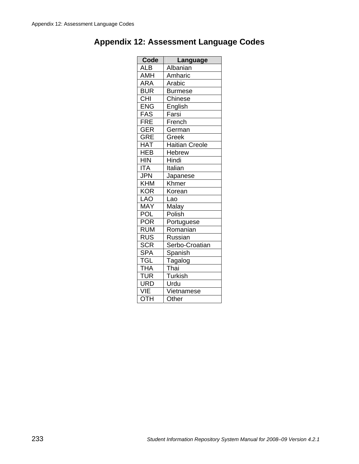| Code                       | Language              |
|----------------------------|-----------------------|
| <b>ALB</b>                 | Albanian              |
| AMH                        | Amharic               |
| <b>ARA</b>                 | Arabic                |
| <b>BUR</b>                 | <b>Burmese</b>        |
| $\overline{CHI}$           | Chinese               |
| ENG                        | English               |
| <b>FAS</b>                 | Farsi                 |
| FRE                        | French                |
| GER                        | German                |
| <b>GRE</b>                 | Greek                 |
| <b>HAT</b>                 | <b>Haitian Creole</b> |
| <b>HEB</b>                 | <b>Hebrew</b>         |
| <b>HIN</b>                 | Hindi                 |
| <b>ITA</b>                 | Italian               |
| <b>JPN</b>                 | Japanese              |
| $\overline{\mathsf{K}}$ HM | Khmer                 |
| <b>KOR</b>                 | Korean                |
| <b>LAO</b>                 | Lao                   |
| MAY                        | Malay                 |
| POL                        | Polish                |
| $\overline{POR}$           | <b>Portuguese</b>     |
| <b>RUM</b>                 | Romanian              |
| <b>RUS</b>                 | Russian               |
| <b>SCR</b>                 | Serbo-Croatian        |
| <b>SPA</b>                 | Spanish               |
| TGL                        | Tagalog               |
| <b>THA</b>                 | Thai                  |
| <b>TUR</b>                 | <b>Turkish</b>        |
| URD                        | Urdu                  |
| VIE                        | Vietnamese            |
| OTH                        | Other                 |

# **Appendix 12: Assessment Language Codes**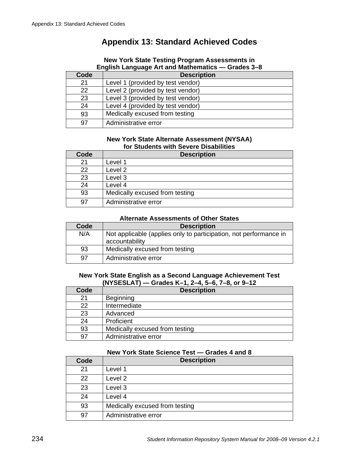# **Appendix 13: Standard Achieved Codes**

#### **New York State Testing Program Assessments in English Language Art and Mathematics — Grades 3–8**

| Code | <b>Description</b>                |
|------|-----------------------------------|
| 21   | Level 1 (provided by test vendor) |
| 22   | Level 2 (provided by test vendor) |
| 23   | Level 3 (provided by test vendor) |
| 24   | Level 4 (provided by test vendor) |
| 93   | Medically excused from testing    |
| 97   | Administrative error              |

### **New York State Alternate Assessment (NYSAA) for Students with Severe Disabilities**

| Code | <b>Description</b>             |
|------|--------------------------------|
| 21   | Level 1                        |
| 22   | Level <sub>2</sub>             |
| 23   | Level 3                        |
| 24   | Level 4                        |
| 93   | Medically excused from testing |
| 97   | Administrative error           |

#### **Alternate Assessments of Other States**

| Code | <b>Description</b>                                                |
|------|-------------------------------------------------------------------|
| N/A  | Not applicable (applies only to participation, not performance in |
|      | accountability                                                    |
| 93   | Medically excused from testing                                    |
| 97   | Administrative error                                              |

### **New York State English as a Second Language Achievement Test (NYSESLAT) — Grades K–1, 2–4, 5–6, 7–8, or 9–12**

| Code | <b>Description</b>             |
|------|--------------------------------|
| 21   | Beginning                      |
| 22   | Intermediate                   |
| 23   | Advanced                       |
| 24   | Proficient                     |
| 93   | Medically excused from testing |
| 97   | Administrative error           |

### **New York State Science Test — Grades 4 and 8**

| Code | <b>Description</b>             |
|------|--------------------------------|
| 21   | Level 1                        |
| 22   | Level 2                        |
| 23   | Level 3                        |
| 24   | Level 4                        |
| 93   | Medically excused from testing |
| 97   | Administrative error           |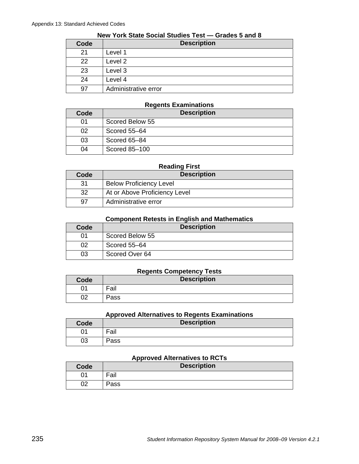|      | .                    |  |
|------|----------------------|--|
| Code | <b>Description</b>   |  |
| 21   | Level 1              |  |
| 22   | Level 2              |  |
| 23   | Level 3              |  |
| 24   | Level 4              |  |
| 97   | Administrative error |  |

# **New York State Social Studies Test — Grades 5 and 8**

### **Regents Examinations**

| Code | <b>Description</b> |
|------|--------------------|
| 01   | Scored Below 55    |
| 02   | Scored 55-64       |
| 03   | Scored 65-84       |
| 04   | Scored 85-100      |

#### **Reading First**

| Code | <b>Description</b>             |
|------|--------------------------------|
| -31  | <b>Below Proficiency Level</b> |
| -32  | At or Above Proficiency Level  |
| .97  | Administrative error           |

### **Component Retests in English and Mathematics**

| Code | <b>Description</b> |
|------|--------------------|
| 01   | Scored Below 55    |
| 02   | Scored 55-64       |
| 03   | Scored Over 64     |

### **Regents Competency Tests**

| Code     | <b>Description</b> |
|----------|--------------------|
| ገላ       | Fail               |
| ∩י<br>◡▵ | Pass               |

#### **Approved Alternatives to Regents Examinations**

| Code | . .<br><b>Description</b> |
|------|---------------------------|
| 01   | ⊏oil<br>all               |
| 03   | Pass                      |

### **Approved Alternatives to RCTs**

| <b>Code</b> | <b>Description</b> |
|-------------|--------------------|
| 01          | Fail               |
| 02          | Pass               |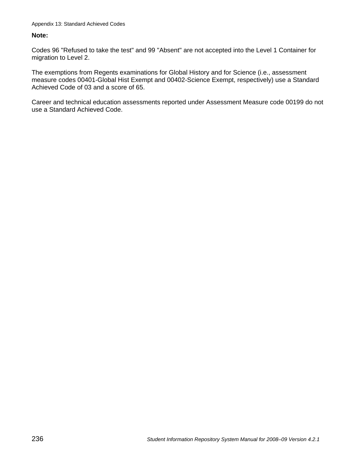### **Note:**

Codes 96 "Refused to take the test" and 99 "Absent" are not accepted into the Level 1 Container for migration to Level 2.

The exemptions from Regents examinations for Global History and for Science (i.e., assessment measure codes 00401-Global Hist Exempt and 00402-Science Exempt, respectively) use a Standard Achieved Code of 03 and a score of 65.

Career and technical education assessments reported under Assessment Measure code 00199 do not use a Standard Achieved Code.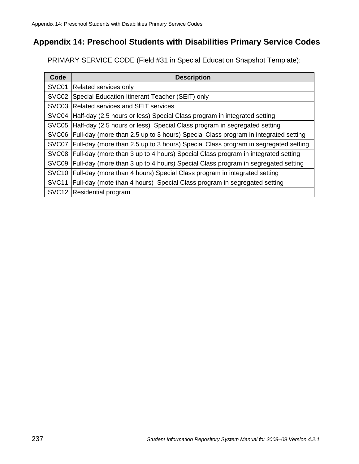# **Appendix 14: Preschool Students with Disabilities Primary Service Codes**

PRIMARY SERVICE CODE (Field #31 in Special Education Snapshot Template):

| Code              | <b>Description</b>                                                                 |
|-------------------|------------------------------------------------------------------------------------|
| SVC01             | Related services only                                                              |
| SVC <sub>02</sub> | Special Education Itinerant Teacher (SEIT) only                                    |
| SVC03             | <b>Related services and SEIT services</b>                                          |
| SVC04             | Half-day (2.5 hours or less) Special Class program in integrated setting           |
| SVC <sub>05</sub> | Half-day (2.5 hours or less) Special Class program in segregated setting           |
| SVC <sub>06</sub> | Full-day (more than 2.5 up to 3 hours) Special Class program in integrated setting |
| SVC07             | Full-day (more than 2.5 up to 3 hours) Special Class program in segregated setting |
| SVC08             | Full-day (more than 3 up to 4 hours) Special Class program in integrated setting   |
| SVC09             | Full-day (more than 3 up to 4 hours) Special Class program in segregated setting   |
| SVC <sub>10</sub> | Full-day (more than 4 hours) Special Class program in integrated setting           |
| SVC <sub>11</sub> | Full-day (mote than 4 hours) Special Class program in segregated setting           |
| SVC <sub>12</sub> | Residential program                                                                |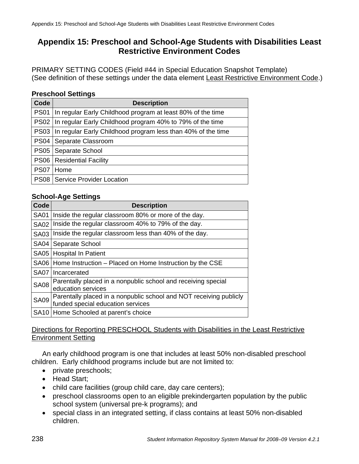# **Appendix 15: Preschool and School-Age Students with Disabilities Least Restrictive Environment Codes**

PRIMARY SETTING CODES (Field #44 in Special Education Snapshot Template) (See definition of these settings under the data element Least Restrictive Environment Code.)

## **Preschool Settings**

| Code        | <b>Description</b>                                             |
|-------------|----------------------------------------------------------------|
| <b>PS01</b> | In regular Early Childhood program at least 80% of the time    |
|             | PS02 In regular Early Childhood program 40% to 79% of the time |
| <b>PS03</b> | In regular Early Childhood program less than 40% of the time   |
| <b>PS04</b> | Separate Classroom                                             |
| <b>PS05</b> | Separate School                                                |
| <b>PS06</b> | <b>Residential Facility</b>                                    |
| <b>PS07</b> | Home                                                           |
| <b>PS08</b> | Service Provider Location                                      |

## **School-Age Settings**

| Code        | <b>Description</b>                                                                                      |
|-------------|---------------------------------------------------------------------------------------------------------|
| <b>SA01</b> | Inside the regular classroom 80% or more of the day.                                                    |
| <b>SA02</b> | Inside the regular classroom 40% to 79% of the day.                                                     |
| <b>SA03</b> | Inside the regular classroom less than 40% of the day.                                                  |
| <b>SA04</b> | Separate School                                                                                         |
| <b>SA05</b> | <b>Hospital In Patient</b>                                                                              |
|             | SA06   Home Instruction – Placed on Home Instruction by the CSE                                         |
| <b>SA07</b> | Incarcerated                                                                                            |
| <b>SA08</b> | Parentally placed in a nonpublic school and receiving special<br>education services                     |
| <b>SA09</b> | Parentally placed in a nonpublic school and NOT receiving publicly<br>funded special education services |
|             | SA10 Home Schooled at parent's choice                                                                   |

## Directions for Reporting PRESCHOOL Students with Disabilities in the Least Restrictive Environment Setting

An early childhood program is one that includes at least 50% non-disabled preschool children. Early childhood programs include but are not limited to:

- private preschools;
- Head Start;
- child care facilities (group child care, day care centers);
- preschool classrooms open to an eligible prekindergarten population by the public school system (universal pre-k programs); and
- special class in an integrated setting, if class contains at least 50% non-disabled children.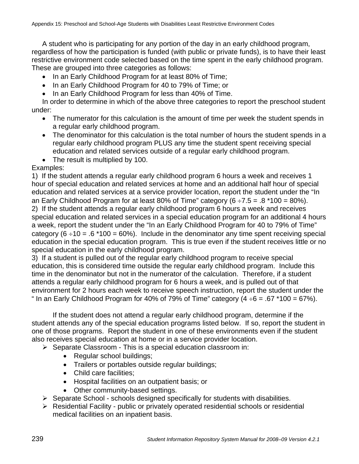A student who is participating for any portion of the day in an early childhood program, regardless of how the participation is funded (with public or private funds), is to have their least restrictive environment code selected based on the time spent in the early childhood program. These are grouped into three categories as follows:

- In an Early Childhood Program for at least 80% of Time;
- In an Early Childhood Program for 40 to 79% of Time; or
- In an Early Childhood Program for less than 40% of Time.

In order to determine in which of the above three categories to report the preschool student under:

- The numerator for this calculation is the amount of time per week the student spends in a regular early childhood program.
- The denominator for this calculation is the total number of hours the student spends in a regular early childhood program PLUS any time the student spent receiving special education and related services outside of a regular early childhood program.
- The result is multiplied by 100.

Examples:

1) If the student attends a regular early childhood program 6 hours a week and receives 1 hour of special education and related services at home and an additional half hour of special education and related services at a service provider location, report the student under the "In an Early Childhood Program for at least 80% of Time" category  $(6 \div 7.5 = .8 \times 100 = 80$ %). 2) If the student attends a regular early childhood program 6 hours a week and receives special education and related services in a special education program for an additional 4 hours a week, report the student under the "In an Early Childhood Program for 40 to 79% of Time" category (6  $\div$ 10 = .6  $*$ 100 = 60%). Include in the denominator any time spent receiving special education in the special education program. This is true even if the student receives little or no special education in the early childhood program.

3) If a student is pulled out of the regular early childhood program to receive special education, this is considered time outside the regular early childhood program. Include this time in the denominator but not in the numerator of the calculation. Therefore, if a student attends a regular early childhood program for 6 hours a week, and is pulled out of that environment for 2 hours each week to receive speech instruction, report the student under the " In an Early Childhood Program for 40% of 79% of Time" category  $(4 \div 6 = .67 \times 100 = 67$ %).

If the student does not attend a regular early childhood program, determine if the student attends any of the special education programs listed below. If so, report the student in one of those programs. Report the student in one of these environments even if the student also receives special education at home or in a service provider location.

 $\triangleright$  Separate Classroom - This is a special education classroom in:

- Regular school buildings;
- Trailers or portables outside regular buildings;
- Child care facilities;
- Hospital facilities on an outpatient basis; or
- Other community-based settings.
- $\triangleright$  Separate School schools designed specifically for students with disabilities.
- $\triangleright$  Residential Facility public or privately operated residential schools or residential medical facilities on an inpatient basis.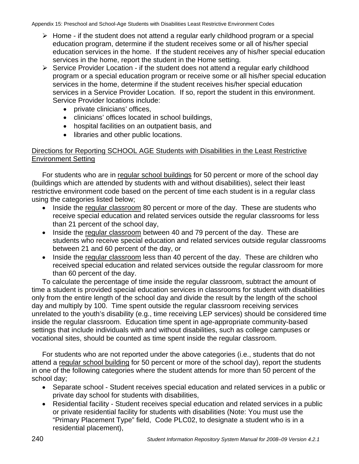Appendix 15: Preschool and School-Age Students with Disabilities Least Restrictive Environment Codes

- $\triangleright$  Home if the student does not attend a regular early childhood program or a special education program, determine if the student receives some or all of his/her special education services in the home. If the student receives any of his/her special education services in the home, report the student in the Home setting.
- $\triangleright$  Service Provider Location if the student does not attend a regular early childhood program or a special education program or receive some or all his/her special education services in the home, determine if the student receives his/her special education services in a Service Provider Location. If so, report the student in this environment. Service Provider locations include:
	- private clinicians' offices,
	- clinicians' offices located in school buildings,
	- hospital facilities on an outpatient basis, and
	- libraries and other public locations.

## Directions for Reporting SCHOOL AGE Students with Disabilities in the Least Restrictive Environment Setting

For students who are in regular school buildings for 50 percent or more of the school day (buildings which are attended by students with and without disabilities), select their least restrictive environment code based on the percent of time each student is in a regular class using the categories listed below;

- Inside the regular classroom 80 percent or more of the day. These are students who receive special education and related services outside the regular classrooms for less than 21 percent of the school day,
- Inside the regular classroom between 40 and 79 percent of the day. These are students who receive special education and related services outside regular classrooms between 21 and 60 percent of the day, or
- Inside the regular classroom less than 40 percent of the day. These are children who received special education and related services outside the regular classroom for more than 60 percent of the day.

To calculate the percentage of time inside the regular classroom, subtract the amount of time a student is provided special education services in classrooms for student with disabilities only from the entire length of the school day and divide the result by the length of the school day and multiply by 100. Time spent outside the regular classroom receiving services unrelated to the youth's disability (e.g., time receiving LEP services) should be considered time inside the regular classroom. Education time spent in age-appropriate community-based settings that include individuals with and without disabilities, such as college campuses or vocational sites, should be counted as time spent inside the regular classroom.

For students who are not reported under the above categories (i.e., students that do not attend a regular school building for 50 percent or more of the school day), report the students in one of the following categories where the student attends for more than 50 percent of the school day;

- Separate school Student receives special education and related services in a public or private day school for students with disabilities,
- Residential facility Student receives special education and related services in a public or private residential facility for students with disabilities (Note: You must use the "Primary Placement Type" field, Code PLC02, to designate a student who is in a residential placement),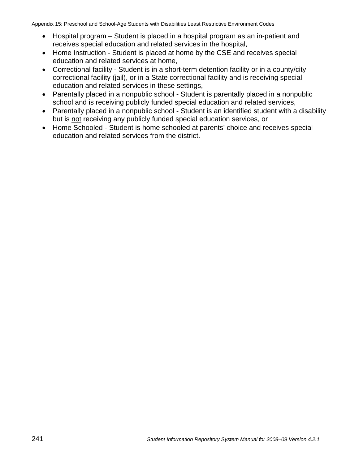Appendix 15: Preschool and School-Age Students with Disabilities Least Restrictive Environment Codes

- Hospital program Student is placed in a hospital program as an in-patient and receives special education and related services in the hospital,
- Home Instruction Student is placed at home by the CSE and receives special education and related services at home,
- Correctional facility Student is in a short-term detention facility or in a county/city correctional facility (jail), or in a State correctional facility and is receiving special education and related services in these settings,
- Parentally placed in a nonpublic school Student is parentally placed in a nonpublic school and is receiving publicly funded special education and related services,
- Parentally placed in a nonpublic school Student is an identified student with a disability but is not receiving any publicly funded special education services, or
- Home Schooled Student is home schooled at parents' choice and receives special education and related services from the district.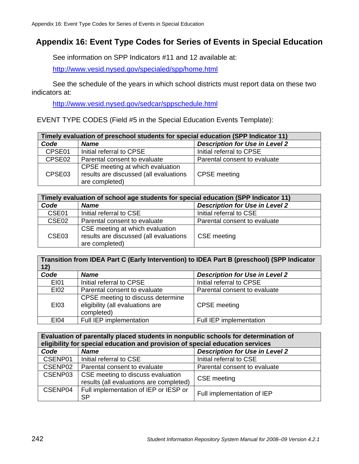# **Appendix 16: Event Type Codes for Series of Events in Special Education**

See information on SPP Indicators #11 and 12 available at:

http://www.vesid.nysed.gov/specialed/spp/home.html

See the schedule of the years in which school districts must report data on these two indicators at:

http://www.vesid.nysed.gov/sedcar/sppschedule.html

EVENT TYPE CODES (Field #5 in the Special Education Events Template):

| Timely evaluation of preschool students for special education (SPP Indicator 11) |                                                                                              |                                       |
|----------------------------------------------------------------------------------|----------------------------------------------------------------------------------------------|---------------------------------------|
| Code                                                                             | <b>Name</b>                                                                                  | <b>Description for Use in Level 2</b> |
| CPSE01                                                                           | Initial referral to CPSE                                                                     | Initial referral to CPSE              |
| CPSE02                                                                           | Parental consent to evaluate                                                                 | Parental consent to evaluate          |
| CPSE03                                                                           | CPSE meeting at which evaluation<br>results are discussed (all evaluations<br>are completed) | <b>CPSE</b> meeting                   |

| Timely evaluation of school age students for special education (SPP Indicator 11) |                                                                                             |                                       |
|-----------------------------------------------------------------------------------|---------------------------------------------------------------------------------------------|---------------------------------------|
| Code                                                                              | <b>Name</b>                                                                                 | <b>Description for Use in Level 2</b> |
| CSE01                                                                             | Initial referral to CSE                                                                     | Initial referral to CSE               |
| CSE <sub>02</sub>                                                                 | Parental consent to evaluate                                                                | Parental consent to evaluate          |
| CSE <sub>03</sub>                                                                 | CSE meeting at which evaluation<br>results are discussed (all evaluations<br>are completed) | <b>CSE</b> meeting                    |

**Transition from IDEA Part C (Early Intervention) to IDEA Part B (preschool) (SPP Indicator 12)** 

| Code        | <b>Name</b>                                                                         | <b>Description for Use in Level 2</b> |
|-------------|-------------------------------------------------------------------------------------|---------------------------------------|
| E101        | Initial referral to CPSE                                                            | Initial referral to CPSE              |
| E102        | Parental consent to evaluate                                                        | Parental consent to evaluate          |
| E103        | CPSE meeting to discuss determine<br>eligibility (all evaluations are<br>completed) | <b>CPSE</b> meeting                   |
| <b>EI04</b> | Full IEP implementation                                                             | Full IEP implementation               |

| Evaluation of parentally placed students in nonpublic schools for determination of |                                                                              |                                       |
|------------------------------------------------------------------------------------|------------------------------------------------------------------------------|---------------------------------------|
| eligibility for special education and provision of special education services      |                                                                              |                                       |
| Code                                                                               | <b>Name</b>                                                                  | <b>Description for Use in Level 2</b> |
| CSENP01                                                                            | Initial referral to CSE                                                      | Initial referral to CSE               |
| CSENP02                                                                            | Parental consent to evaluate                                                 | Parental consent to evaluate          |
| CSENP03                                                                            | CSE meeting to discuss evaluation<br>results (all evaluations are completed) | <b>CSE</b> meeting                    |
| CSENP04                                                                            | Full implementation of IEP or IESP or<br><b>SP</b>                           | Full implementation of IEP            |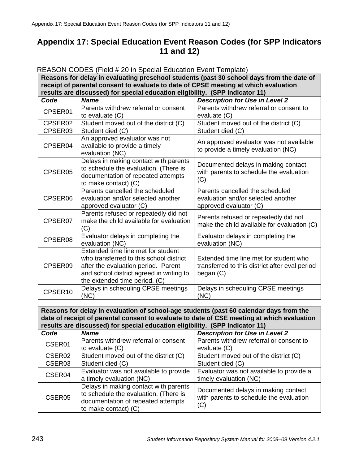# **Appendix 17: Special Education Event Reason Codes (for SPP Indicators 11 and 12)**

| REASON CODES (Field # 20 in Special Education Event Template)                            |                                                                                                                                                                                                   |                                                                                                       |
|------------------------------------------------------------------------------------------|---------------------------------------------------------------------------------------------------------------------------------------------------------------------------------------------------|-------------------------------------------------------------------------------------------------------|
| Reasons for delay in evaluating preschool students (past 30 school days from the date of |                                                                                                                                                                                                   |                                                                                                       |
| receipt of parental consent to evaluate to date of CPSE meeting at which evaluation      |                                                                                                                                                                                                   |                                                                                                       |
| results are discussed) for special education eligibility. (SPP Indicator 11)             |                                                                                                                                                                                                   |                                                                                                       |
| Code                                                                                     | <b>Name</b>                                                                                                                                                                                       | <b>Description for Use in Level 2</b>                                                                 |
| CPSER01                                                                                  | Parents withdrew referral or consent<br>to evaluate (C)                                                                                                                                           | Parents withdrew referral or consent to<br>evaluate (C)                                               |
| CPSER02                                                                                  | Student moved out of the district (C)                                                                                                                                                             | Student moved out of the district (C)                                                                 |
| CPSER03                                                                                  | Student died (C)                                                                                                                                                                                  | Student died (C)                                                                                      |
| CPSER04                                                                                  | An approved evaluator was not<br>available to provide a timely<br>evaluation (NC)                                                                                                                 | An approved evaluator was not available<br>to provide a timely evaluation (NC)                        |
| CPSER05                                                                                  | Delays in making contact with parents<br>to schedule the evaluation. (There is<br>documentation of repeated attempts<br>to make contact) (C)                                                      | Documented delays in making contact<br>with parents to schedule the evaluation<br>(C)                 |
| CPSER06                                                                                  | Parents cancelled the scheduled<br>evaluation and/or selected another<br>approved evaluator (C)                                                                                                   | Parents cancelled the scheduled<br>evaluation and/or selected another<br>approved evaluator (C)       |
| CPSER07                                                                                  | Parents refused or repeatedly did not<br>make the child available for evaluation<br>(C)                                                                                                           | Parents refused or repeatedly did not<br>make the child available for evaluation (C)                  |
| CPSER08                                                                                  | Evaluator delays in completing the<br>evaluation (NC)                                                                                                                                             | Evaluator delays in completing the<br>evaluation (NC)                                                 |
| CPSER09                                                                                  | Extended time line met for student<br>who transferred to this school district<br>after the evaluation period. Parent<br>and school district agreed in writing to<br>the extended time period. (C) | Extended time line met for student who<br>transferred to this district after eval period<br>began (C) |
| CPSER10                                                                                  | Delays in scheduling CPSE meetings<br>(NC)                                                                                                                                                        | Delays in scheduling CPSE meetings<br>(NC)                                                            |

REASON CODES (Field # 20 in Special Education Event Template)

**Reasons for delay in evaluation of school-age students (past 60 calendar days from the date of receipt of parental consent to evaluate to date of CSE meeting at which evaluation results are discussed) for special education eligibility. (SPP Indicator 11)** 

| Code               | <b>Name</b>                                                                                                          | <b>Description for Use in Level 2</b>                                          |
|--------------------|----------------------------------------------------------------------------------------------------------------------|--------------------------------------------------------------------------------|
| CSER01             | Parents withdrew referral or consent                                                                                 | Parents withdrew referral or consent to                                        |
|                    | to evaluate (C)                                                                                                      | evaluate (C)                                                                   |
| CSER <sub>02</sub> | Student moved out of the district (C)                                                                                | Student moved out of the district (C)                                          |
| CSER <sub>03</sub> | Student died (C)                                                                                                     | Student died (C)                                                               |
| CSER04             | Evaluator was not available to provide                                                                               | Evaluator was not available to provide a                                       |
|                    | a timely evaluation (NC)                                                                                             | timely evaluation (NC)                                                         |
| CSER <sub>05</sub> | Delays in making contact with parents<br>to schedule the evaluation. (There is<br>documentation of repeated attempts | Documented delays in making contact<br>with parents to schedule the evaluation |
|                    | to make contact) (C)                                                                                                 | (C)                                                                            |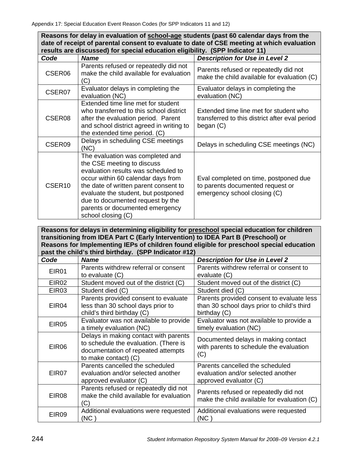**Reasons for delay in evaluation of school-age students (past 60 calendar days from the date of receipt of parental consent to evaluate to date of CSE meeting at which evaluation results are discussed) for special education eligibility. (SPP Indicator 11)** 

| Code               | <b>Name</b>                                                                                                                                                                                                                                                                                                              | <b>Description for Use in Level 2</b>                                                                     |
|--------------------|--------------------------------------------------------------------------------------------------------------------------------------------------------------------------------------------------------------------------------------------------------------------------------------------------------------------------|-----------------------------------------------------------------------------------------------------------|
| CSER <sub>06</sub> | Parents refused or repeatedly did not<br>make the child available for evaluation<br>(C)                                                                                                                                                                                                                                  | Parents refused or repeatedly did not<br>make the child available for evaluation (C)                      |
| CSER07             | Evaluator delays in completing the<br>evaluation (NC)                                                                                                                                                                                                                                                                    | Evaluator delays in completing the<br>evaluation (NC)                                                     |
| CSER <sub>08</sub> | Extended time line met for student<br>who transferred to this school district<br>after the evaluation period. Parent<br>and school district agreed in writing to<br>the extended time period. (C)                                                                                                                        | Extended time line met for student who<br>transferred to this district after eval period<br>began (C)     |
| CSER <sub>09</sub> | Delays in scheduling CSE meetings<br>(NC)                                                                                                                                                                                                                                                                                | Delays in scheduling CSE meetings (NC)                                                                    |
| CSER <sub>10</sub> | The evaluation was completed and<br>the CSE meeting to discuss<br>evaluation results was scheduled to<br>occur within 60 calendar days from<br>the date of written parent consent to<br>evaluate the student, but postponed<br>due to documented request by the<br>parents or documented emergency<br>school closing (C) | Eval completed on time, postponed due<br>to parents documented request or<br>emergency school closing (C) |

**Reasons for delays in determining eligibility for preschool special education for children transitioning from IDEA Part C (Early Intervention) to IDEA Part B (Preschool) or Reasons for Implementing IEPs of children found eligible for preschool special education** 

| past the child's third birthday. (SPP Indicator #12) |                                                                                                                                              |                                                                                                         |
|------------------------------------------------------|----------------------------------------------------------------------------------------------------------------------------------------------|---------------------------------------------------------------------------------------------------------|
| Code                                                 | <b>Name</b>                                                                                                                                  | <b>Description for Use in Level 2</b>                                                                   |
| <b>EIR01</b>                                         | Parents withdrew referral or consent                                                                                                         | Parents withdrew referral or consent to                                                                 |
|                                                      | to evaluate $(C)$                                                                                                                            | evaluate (C)                                                                                            |
| EIR <sub>02</sub>                                    | Student moved out of the district (C)                                                                                                        | Student moved out of the district (C)                                                                   |
| EIR03                                                | Student died (C)                                                                                                                             | Student died (C)                                                                                        |
| EIR04                                                | Parents provided consent to evaluate<br>less than 30 school days prior to<br>child's third birthday (C)                                      | Parents provided consent to evaluate less<br>than 30 school days prior to child's third<br>birthday (C) |
| <b>EIR05</b>                                         | Evaluator was not available to provide<br>a timely evaluation (NC)                                                                           | Evaluator was not available to provide a<br>timely evaluation (NC)                                      |
| EIR06                                                | Delays in making contact with parents<br>to schedule the evaluation. (There is<br>documentation of repeated attempts<br>to make contact) (C) | Documented delays in making contact<br>with parents to schedule the evaluation<br>(C)                   |
| EIR07                                                | Parents cancelled the scheduled<br>evaluation and/or selected another<br>approved evaluator (C)                                              | Parents cancelled the scheduled<br>evaluation and/or selected another<br>approved evaluator (C)         |
| EIR08                                                | Parents refused or repeatedly did not<br>make the child available for evaluation<br>(C)                                                      | Parents refused or repeatedly did not<br>make the child available for evaluation (C)                    |
| <b>EIR09</b>                                         | Additional evaluations were requested<br>(NC)                                                                                                | Additional evaluations were requested<br>(NC)                                                           |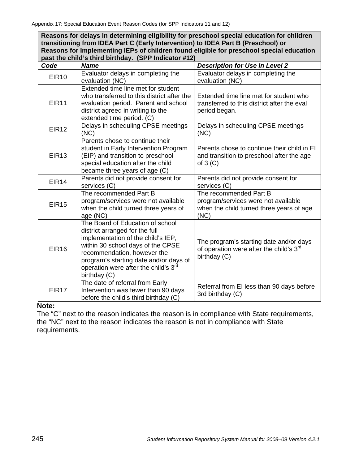**Reasons for delays in determining eligibility for preschool special education for children transitioning from IDEA Part C (Early Intervention) to IDEA Part B (Preschool) or Reasons for Implementing IEPs of children found eligible for preschool special education past the child's third birthday. (SPP Indicator #12)**

| Code              | <b>Name</b>                                                                                                                                                                                                                                                                                | <b>Description for Use in Level 2</b>                                                                             |  |
|-------------------|--------------------------------------------------------------------------------------------------------------------------------------------------------------------------------------------------------------------------------------------------------------------------------------------|-------------------------------------------------------------------------------------------------------------------|--|
| <b>EIR10</b>      | Evaluator delays in completing the<br>evaluation (NC)                                                                                                                                                                                                                                      | Evaluator delays in completing the<br>evaluation (NC)                                                             |  |
| <b>EIR11</b>      | Extended time line met for student<br>who transferred to this district after the<br>evaluation period. Parent and school<br>district agreed in writing to the<br>extended time period. (C)                                                                                                 | Extended time line met for student who<br>transferred to this district after the eval<br>period began.            |  |
| <b>EIR12</b>      | Delays in scheduling CPSE meetings<br>(NC)                                                                                                                                                                                                                                                 | Delays in scheduling CPSE meetings<br>(NC)                                                                        |  |
| <b>EIR13</b>      | Parents chose to continue their<br>student in Early Intervention Program<br>(EIP) and transition to preschool<br>special education after the child<br>became three years of age (C)                                                                                                        | Parents chose to continue their child in El<br>and transition to preschool after the age<br>of $3(C)$             |  |
| EIR <sub>14</sub> | Parents did not provide consent for<br>services (C)                                                                                                                                                                                                                                        | Parents did not provide consent for<br>services (C)                                                               |  |
| <b>EIR15</b>      | The recommended Part B<br>program/services were not available<br>when the child turned three years of<br>age (NC)                                                                                                                                                                          | The recommended Part B<br>program/services were not available<br>when the child turned three years of age<br>(NC) |  |
| <b>EIR16</b>      | The Board of Education of school<br>district arranged for the full<br>implementation of the child's IEP,<br>within 30 school days of the CPSE<br>recommendation, however the<br>program's starting date and/or days of<br>operation were after the child's 3 <sup>rd</sup><br>birthday (C) | The program's starting date and/or days<br>of operation were after the child's 3 <sup>rd</sup><br>birthday (C)    |  |
| <b>EIR17</b>      | The date of referral from Early<br>Intervention was fewer than 90 days<br>before the child's third birthday (C)                                                                                                                                                                            | Referral from EI less than 90 days before<br>3rd birthday (C)                                                     |  |

#### **Note:**

The "C" next to the reason indicates the reason is in compliance with State requirements, the "NC" next to the reason indicates the reason is not in compliance with State requirements.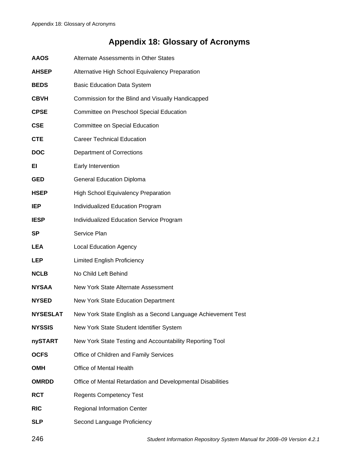# **Appendix 18: Glossary of Acronyms**

| <b>AAOS</b>   | Alternate Assessments in Other States                        |  |  |
|---------------|--------------------------------------------------------------|--|--|
| AHSEP         | Alternative High School Equivalency Preparation              |  |  |
| <b>BEDS</b>   | <b>Basic Education Data System</b>                           |  |  |
| CBVH          | Commission for the Blind and Visually Handicapped            |  |  |
| <b>CPSE</b>   | Committee on Preschool Special Education                     |  |  |
| <b>CSE</b>    | Committee on Special Education                               |  |  |
| <b>CTE</b>    | <b>Career Technical Education</b>                            |  |  |
| <b>DOC</b>    | <b>Department of Corrections</b>                             |  |  |
| EI            | Early Intervention                                           |  |  |
| GED           | <b>General Education Diploma</b>                             |  |  |
| HSEP          | <b>High School Equivalency Preparation</b>                   |  |  |
| IEP           | Individualized Education Program                             |  |  |
| <b>IESP</b>   | Individualized Education Service Program                     |  |  |
| SP            | Service Plan                                                 |  |  |
| LEA           | <b>Local Education Agency</b>                                |  |  |
| <b>LEP</b>    | <b>Limited English Proficiency</b>                           |  |  |
| NCLB          | No Child Left Behind                                         |  |  |
| <b>NYSAA</b>  | New York State Alternate Assessment                          |  |  |
| <b>NYSED</b>  | New York State Education Department                          |  |  |
| NYSESLAT      | New York State English as a Second Language Achievement Test |  |  |
| <b>NYSSIS</b> | New York State Student Identifier System                     |  |  |
| nySTART       | New York State Testing and Accountability Reporting Tool     |  |  |
| <b>OCFS</b>   | Office of Children and Family Services                       |  |  |
| <b>OMH</b>    | Office of Mental Health                                      |  |  |
| <b>OMRDD</b>  | Office of Mental Retardation and Developmental Disabilities  |  |  |
| <b>RCT</b>    | <b>Regents Competency Test</b>                               |  |  |
| <b>RIC</b>    | <b>Regional Information Center</b>                           |  |  |
| <b>SLP</b>    | Second Language Proficiency                                  |  |  |
|               |                                                              |  |  |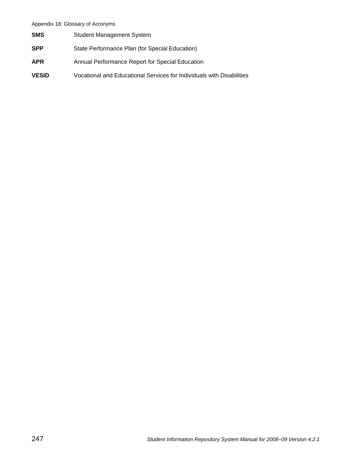#### Appendix 18: Glossary of Acronyms

| <b>SMS</b>   | <b>Student Management System</b>                                      |
|--------------|-----------------------------------------------------------------------|
| <b>SPP</b>   | State Performance Plan (for Special Education)                        |
| <b>APR</b>   | Annual Performance Report for Special Education                       |
| <b>VESID</b> | Vocational and Educational Services for Individuals with Disabilities |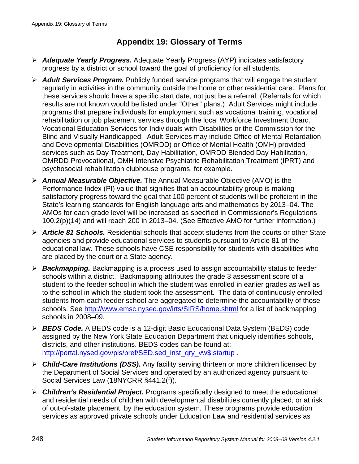## **Appendix 19: Glossary of Terms**

- ¾ *Adequate Yearly Progress.* Adequate Yearly Progress (AYP) indicates satisfactory progress by a district or school toward the goal of proficiency for all students.
- ¾ *Adult Services Program.* Publicly funded service programs that will engage the student regularly in activities in the community outside the home or other residential care. Plans for these services should have a specific start date, not just be a referral. (Referrals for which results are not known would be listed under "Other" plans.) Adult Services might include programs that prepare individuals for employment such as vocational training, vocational rehabilitation or job placement services through the local Workforce Investment Board, Vocational Education Services for Individuals with Disabilities or the Commission for the Blind and Visually Handicapped. Adult Services may include Office of Mental Retardation and Developmental Disabilities (OMRDD) or Office of Mental Health (OMH) provided services such as Day Treatment, Day Habilitation, OMRDD Blended Day Habilitation, OMRDD Prevocational, OMH Intensive Psychiatric Rehabilitation Treatment (IPRT) and psychosocial rehabilitation clubhouse programs, for example.
- ¾ *Annual Measurable Objective.* The Annual Measurable Objective (AMO) is the Performance Index (PI) value that signifies that an accountability group is making satisfactory progress toward the goal that 100 percent of students will be proficient in the State's learning standards for English language arts and mathematics by 2013–04. The AMOs for each grade level will be increased as specified in Commissioner's Regulations 100.2(p)(14) and will reach 200 in 2013–04. (See Effective AMO for further information.)
- ¾ *Article 81 Schools.* Residential schools that accept students from the courts or other State agencies and provide educational services to students pursuant to Article 81 of the educational law. These schools have CSE responsibility for students with disabilities who are placed by the court or a State agency.
- ¾ *Backmapping.* Backmapping is a process used to assign accountability status to feeder schools within a district. Backmapping attributes the grade 3 assessment score of a student to the feeder school in which the student was enrolled in earlier grades as well as to the school in which the student took the assessment. The data of continuously enrolled students from each feeder school are aggregated to determine the accountability of those schools. See http://www.emsc.nysed.gov/irts/SIRS/home.shtml for a list of backmapping schools in 2008–09.
- ¾ *BEDS Code.* A BEDS code is a 12-digit Basic Educational Data System (BEDS) code assigned by the New York State Education Department that uniquely identifies schools, districts, and other institutions. BEDS codes can be found at: http://portal.nysed.gov/pls/pref/SED.sed inst\_qry\_vw\$.startup .
- ¾ *Child-Care Institutions (DSS).* Any facility serving thirteen or more children licensed by the Department of Social Services and operated by an authorized agency pursuant to Social Services Law (18NYCRR §441.2(f)).
- ¾ *Children's Residential Project.* Programs specifically designed to meet the educational and residential needs of children with developmental disabilities currently placed, or at risk of out-of-state placement, by the education system. These programs provide education services as approved private schools under Education Law and residential services as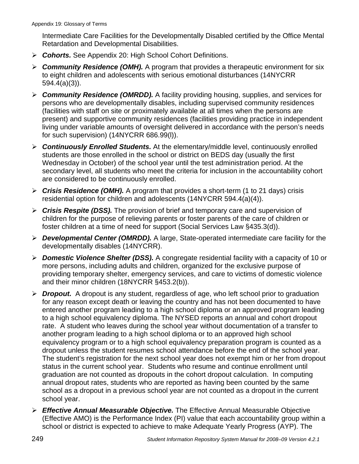Intermediate Care Facilities for the Developmentally Disabled certified by the Office Mental Retardation and Developmental Disabilities.

- ¾ *Cohorts.* See Appendix 20: High School Cohort Definitions.
- ¾ *Community Residence (OMH).* A program that provides a therapeutic environment for six to eight children and adolescents with serious emotional disturbances (14NYCRR 594.4(a)(3)).
- ¾ *Community Residence (OMRDD).* A facility providing housing, supplies, and services for persons who are developmentally disables, including supervised community residences (facilities with staff on site or proximately available at all times when the persons are present) and supportive community residences (facilities providing practice in independent living under variable amounts of oversight delivered in accordance with the person's needs for such supervision) (14NYCRR 686.99(l)).
- ¾ *Continuously Enrolled Students.* At the elementary/middle level, continuously enrolled students are those enrolled in the school or district on BEDS day (usually the first Wednesday in October) of the school year until the test administration period. At the secondary level, all students who meet the criteria for inclusion in the accountability cohort are considered to be continuously enrolled.
- ¾ *Crisis Residence (OMH).* A program that provides a short-term (1 to 21 days) crisis residential option for children and adolescents (14NYCRR 594.4(a)(4)).
- ¾ *Crisis Respite (DSS).* The provision of brief and temporary care and supervision of children for the purpose of relieving parents or foster parents of the care of children or foster children at a time of need for support (Social Services Law §435.3(d)).
- ¾ *Developmental Center (OMRDD).* A large, State-operated intermediate care facility for the developmentally disables (14NYCRR).
- ¾ *Domestic Violence Shelter (DSS).* A congregate residential facility with a capacity of 10 or more persons, including adults and children, organized for the exclusive purpose of providing temporary shelter, emergency services, and care to victims of domestic violence and their minor children (18NYCRR §453.2(b)).
- ¾ *Dropout.* A dropout is any student, regardless of age, who left school prior to graduation for any reason except death or leaving the country and has not been documented to have entered another program leading to a high school diploma or an approved program leading to a high school equivalency diploma. The NYSED reports an annual and cohort dropout rate. A student who leaves during the school year without documentation of a transfer to another program leading to a high school diploma or to an approved high school equivalency program or to a high school equivalency preparation program is counted as a dropout unless the student resumes school attendance before the end of the school year. The student's registration for the next school year does not exempt him or her from dropout status in the current school year. Students who resume and continue enrollment until graduation are not counted as dropouts in the cohort dropout calculation. In computing annual dropout rates, students who are reported as having been counted by the same school as a dropout in a previous school year are not counted as a dropout in the current school year.
- ¾ *Effective Annual Measurable Objective.* The Effective Annual Measurable Objective (Effective AMO) is the Performance Index (PI) value that each accountability group within a school or district is expected to achieve to make Adequate Yearly Progress (AYP). The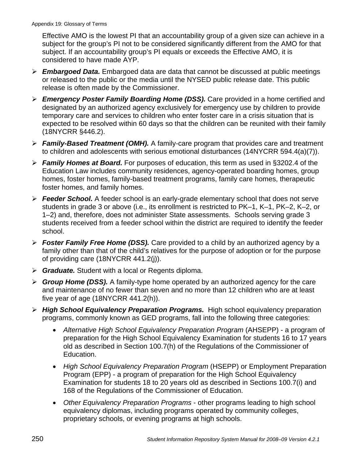Effective AMO is the lowest PI that an accountability group of a given size can achieve in a subject for the group's PI not to be considered significantly different from the AMO for that subject. If an accountability group's PI equals or exceeds the Effective AMO, it is considered to have made AYP.

- ¾ *Embargoed Data.* Embargoed data are data that cannot be discussed at public meetings or released to the public or the media until the NYSED public release date. This public release is often made by the Commissioner.
- ¾ *Emergency Poster Family Boarding Home (DSS).* Care provided in a home certified and designated by an authorized agency exclusively for emergency use by children to provide temporary care and services to children who enter foster care in a crisis situation that is expected to be resolved within 60 days so that the children can be reunited with their family (18NYCRR §446.2).
- ¾ *Family-Based Treatment (OMH).* A family-care program that provides care and treatment to children and adolescents with serious emotional disturbances (14NYCRR 594.4(a)(7)).
- ¾ *Family Homes at Board.* For purposes of education, this term as used in §3202.4 of the Education Law includes community residences, agency-operated boarding homes, group homes, foster homes, family-based treatment programs, family care homes, therapeutic foster homes, and family homes.
- ¾ *Feeder School.* A feeder school is an early-grade elementary school that does not serve students in grade 3 or above (i.e., its enrollment is restricted to PK–1, K–1, PK–2, K–2, or 1–2) and, therefore, does not administer State assessments. Schools serving grade 3 students received from a feeder school within the district are required to identify the feeder school.
- ¾ *Foster Family Free Home (DSS).* Care provided to a child by an authorized agency by a family other than that of the child's relatives for the purpose of adoption or for the purpose of providing care (18NYCRR 441.2(j)).
- ¾ *Graduate.* Student with a local or Regents diploma.
- ¾ *Group Home (DSS).* A family-type home operated by an authorized agency for the care and maintenance of no fewer than seven and no more than 12 children who are at least five year of age (18NYCRR 441.2(h)).
- ¾ *High School Equivalency Preparation Programs.* High school equivalency preparation programs, commonly known as GED programs, fall into the following three categories:
	- *Alternative High School Equivalency Preparation Program* (AHSEPP) a program of preparation for the High School Equivalency Examination for students 16 to 17 years old as described in Section 100.7(h) of the Regulations of the Commissioner of Education.
	- *High School Equivalency Preparation Program* (HSEPP) or Employment Preparation Program (EPP) - a program of preparation for the High School Equivalency Examination for students 18 to 20 years old as described in Sections 100.7(i) and 168 of the Regulations of the Commissioner of Education.
	- *Other Equivalency Preparation Programs* other programs leading to high school equivalency diplomas, including programs operated by community colleges, proprietary schools, or evening programs at high schools.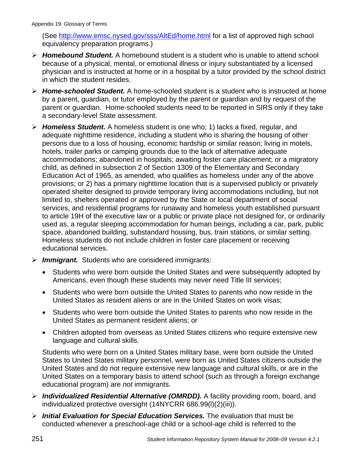(See http://www.emsc.nysed.gov/sss/AltEd/home.html for a list of approved high school equivalency preparation programs.)

- ¾ *Homebound Student.* A homebound student is a student who is unable to attend school because of a physical, mental, or emotional illness or injury substantiated by a licensed physician and is instructed at home or in a hospital by a tutor provided by the school district in which the student resides.
- ¾ *Home-schooled Student.* A home-schooled student is a student who is instructed at home by a parent, guardian, or tutor employed by the parent or guardian and by request of the parent or guardian. Home-schooled students need to be reported in SIRS only if they take a secondary-level State assessment.
- ¾ *Homeless Student.* A homeless student is one who; 1) lacks a fixed, regular, and adequate nighttime residence, including a student who is sharing the housing of other persons due to a loss of housing, economic hardship or similar reason; living in motels, hotels, trailer parks or camping grounds due to the lack of alternative adequate accommodations; abandoned in hospitals; awaiting foster care placement; or a migratory child, as defined in subsection 2 of Section 1309 of the Elementary and Secondary Education Act of 1965, as amended, who qualifies as homeless under any of the above provisions; or 2) has a primary nighttime location that is a supervised publicly or privately operated shelter designed to provide temporary living accommodations including, but not limited to, shelters operated or approved by the State or local department of social services, and residential programs for runaway and homeless youth established pursuant to article 19H of the executive law or a public or private place not designed for, or ordinarily used as, a regular sleeping accommodation for human beings, including a car, park, public space, abandoned building, substandard housing, bus, train stations, or similar setting. Homeless students do not include children in foster care placement or receiving educational services.
- ¾ *Immigrant.* Students who are considered immigrants:
	- Students who were born outside the United States and were subsequently adopted by Americans, even though these students may never need Title III services;
	- Students who were born outside the United States to parents who now reside in the United States as resident aliens or are in the United States on work visas;
	- Students who were born outside the United States to parents who now reside in the United States as permanent resident aliens; or
	- Children adopted from overseas as United States citizens who require extensive new language and cultural skills.

Students who were born on a United States military base, were born outside the United States to United States military personnel, were born as United States citizens outside the United States and do not require extensive new language and cultural skills, or are in the United States on a temporary basis to attend school (such as through a foreign exchange educational program) are *not* immigrants.

- ¾ *Individualized Residential Alternative (OMRDD).* A facility providing room, board, and individualized protective oversight (14NYCRR 686.99(l)(2)(iii)).
- ¾ *Initial Evaluation for Special Education Services.* The evaluation that must be conducted whenever a preschool-age child or a school-age child is referred to the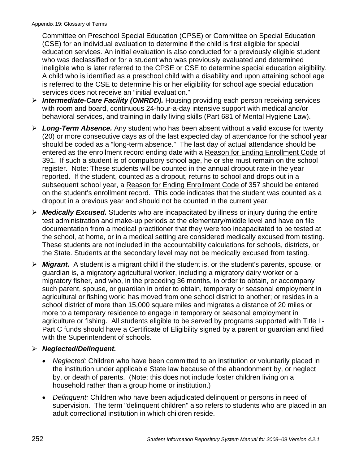Committee on Preschool Special Education (CPSE) or Committee on Special Education (CSE) for an individual evaluation to determine if the child is first eligible for special education services. An initial evaluation is also conducted for a previously eligible student who was declassified or for a student who was previously evaluated and determined ineligible who is later referred to the CPSE or CSE to determine special education eligibility. A child who is identified as a preschool child with a disability and upon attaining school age is referred to the CSE to determine his or her eligibility for school age special education services does not receive an "initial evaluation."

- ¾ *Intermediate-Care Facility (OMRDD).* Housing providing each person receiving services with room and board, continuous 24-hour-a-day intensive support with medical and/or behavioral services, and training in daily living skills (Part 681 of Mental Hygiene Law).
- ¾ *Long-Term Absence.* Any student who has been absent without a valid excuse for twenty (20) or more consecutive days as of the last expected day of attendance for the school year should be coded as a "long-term absence." The last day of actual attendance should be entered as the enrollment record ending date with a Reason for Ending Enrollment Code of 391. If such a student is of compulsory school age, he or she must remain on the school register. Note: These students will be counted in the annual dropout rate in the year reported. If the student, counted as a dropout, returns to school and drops out in a subsequent school year, a Reason for Ending Enrollment Code of 357 should be entered on the student's enrollment record. This code indicates that the student was counted as a dropout in a previous year and should not be counted in the current year.
- ¾ *Medically Excused.* Students who are incapacitated by illness or injury during the entire test administration and make-up periods at the elementary/middle level and have on file documentation from a medical practitioner that they were too incapacitated to be tested at the school, at home, or in a medical setting are considered medically excused from testing. These students are not included in the accountability calculations for schools, districts, or the State. Students at the secondary level may not be medically excused from testing.
- ¾ *Migrant.* A student is a migrant child if the student is, or the student's parents, spouse, or guardian is, a migratory agricultural worker, including a migratory dairy worker or a migratory fisher, and who, in the preceding 36 months, in order to obtain, or accompany such parent, spouse, or guardian in order to obtain, temporary or seasonal employment in agricultural or fishing work: has moved from one school district to another; or resides in a school district of more than 15,000 square miles and migrates a distance of 20 miles or more to a temporary residence to engage in temporary or seasonal employment in agriculture or fishing. All students eligible to be served by programs supported with Title I - Part C funds should have a Certificate of Eligibility signed by a parent or guardian and filed with the Superintendent of schools.
- ¾ *Neglected/Delinquent.* 
	- *Neglected:* Children who have been committed to an institution or voluntarily placed in the institution under applicable State law because of the abandonment by, or neglect by, or death of parents. (Note: this does not include foster children living on a household rather than a group home or institution.)
	- *Delinquent:* Children who have been adjudicated delinquent or persons in need of supervision. The term "delinquent children" also refers to students who are placed in an adult correctional institution in which children reside.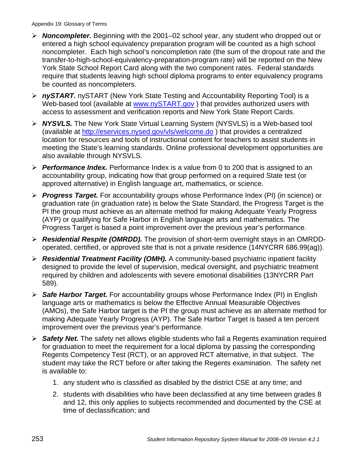- ¾ *Noncompleter.* Beginning with the 2001–02 school year, any student who dropped out or entered a high school equivalency preparation program will be counted as a high school noncompleter. Each high school's noncompletion rate (the sum of the dropout rate and the transfer-to-high-school-equivalency-preparation-program rate) will be reported on the New York State School Report Card along with the two component rates. Federal standards require that students leaving high school diploma programs to enter equivalency programs be counted as noncompleters.
- ¾ *nySTART.* nySTART (New York State Testing and Accountability Reporting Tool) is a Web-based tool (available at www.nySTART.gov) that provides authorized users with access to assessment and verification reports and New York State Report Cards.
- ¾ *NYSVLS.* The New York State Virtual Learning System (NYSVLS) is a Web-based tool (available at http://eservices.nysed.gov/vls/welcome.do ) that provides a centralized location for resources and tools of instructional content for teachers to assist students in meeting the State's learning standards. Online professional development opportunities are also available through NYSVLS.
- ¾ *Performance Index.* Performance Index is a value from 0 to 200 that is assigned to an accountability group, indicating how that group performed on a required State test (or approved alternative) in English language art, mathematics, or science.
- ¾ *Progress Target.* For accountability groups whose Performance Index (PI) (in science) or graduation rate (in graduation rate) is below the State Standard, the Progress Target is the PI the group must achieve as an alternate method for making Adequate Yearly Progress (AYP) or qualifying for Safe Harbor in English language arts and mathematics. The Progress Target is based a point improvement over the previous year's performance.
- ¾ *Residential Respite (OMRDD).* The provision of short-term overnight stays in an OMRDDoperated, certified, or approved site that is not a private residence (14NYCRR 686.99(ag)).
- ¾ *Residential Treatment Facility (OMH).* A community-based psychiatric inpatient facility designed to provide the level of supervision, medical oversight, and psychiatric treatment required by children and adolescents with severe emotional disabilities (13NYCRR Part 589).
- ¾ *Safe Harbor Target.* For accountability groups whose Performance Index (PI) in English language arts or mathematics is below the Effective Annual Measurable Objectives (AMOs), the Safe Harbor target is the PI the group must achieve as an alternate method for making Adequate Yearly Progress (AYP). The Safe Harbor Target is based a ten percent improvement over the previous year's performance.
- ¾ *Safety Net.* The safety net allows eligible students who fail a Regents examination required for graduation to meet the requirement for a local diploma by passing the corresponding Regents Competency Test (RCT), or an approved RCT alternative, in that subject. The student may take the RCT before or after taking the Regents examination. The safety net is available to:
	- 1. any student who is classified as disabled by the district CSE at any time; and
	- 2. students with disabilities who have been declassified at any time between grades 8 and 12, this only applies to subjects recommended and documented by the CSE at time of declassification; and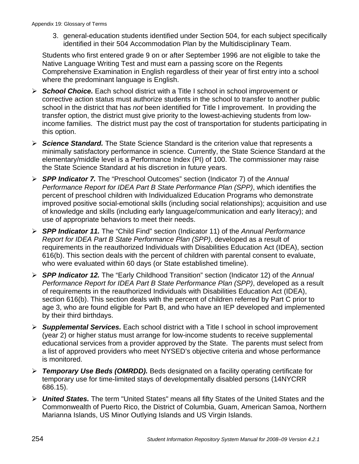3. general-education students identified under Section 504, for each subject specifically identified in their 504 Accommodation Plan by the Multidisciplinary Team.

 Students who first entered grade 9 on or after September 1996 are not eligible to take the Native Language Writing Test and must earn a passing score on the Regents Comprehensive Examination in English regardless of their year of first entry into a school where the predominant language is English.

- ¾ *School Choice.* Each school district with a Title I school in school improvement or corrective action status must authorize students in the school to transfer to another public school in the district that has *not* been identified for Title I improvement. In providing the transfer option, the district must give priority to the lowest-achieving students from lowincome families. The district must pay the cost of transportation for students participating in this option.
- ¾ *Science Standard.* The State Science Standard is the criterion value that represents a minimally satisfactory performance in science. Currently, the State Science Standard at the elementary/middle level is a Performance Index (PI) of 100. The commissioner may raise the State Science Standard at his discretion in future years.
- ¾ *SPP Indicator 7.* The "Preschool Outcomes" section (Indicator 7) of the *Annual Performance Report for IDEA Part B State Performance Plan (SPP)*, which identifies the percent of preschool children with Individualized Education Programs who demonstrate improved positive social-emotional skills (including social relationships); acquisition and use of knowledge and skills (including early language/communication and early literacy); and use of appropriate behaviors to meet their needs.
- ¾ *SPP Indicator 11.* The "Child Find" section (Indicator 11) of the *Annual Performance Report for IDEA Part B State Performance Plan (SPP)*, developed as a result of requirements in the reauthorized Individuals with Disabilities Education Act (IDEA), section 616(b). This section deals with the percent of children with parental consent to evaluate, who were evaluated within 60 days (or State established timeline).
- ¾ *SPP Indicator 12.* The "Early Childhood Transition" section (Indicator 12) of the *Annual Performance Report for IDEA Part B State Performance Plan (SPP)*, developed as a result of requirements in the reauthorized Individuals with Disabilities Education Act (IDEA), section 616(b). This section deals with the percent of children referred by Part C prior to age 3, who are found eligible for Part B, and who have an IEP developed and implemented by their third birthdays.
- ¾ *Supplemental Services.* Each school district with a Title I school in school improvement (year 2) or higher status must arrange for low-income students to receive supplemental educational services from a provider approved by the State. The parents must select from a list of approved providers who meet NYSED's objective criteria and whose performance is monitored.
- ¾ *Temporary Use Beds (OMRDD).* Beds designated on a facility operating certificate for temporary use for time-limited stays of developmentally disabled persons (14NYCRR 686.15).
- ¾ *United States.* The term "United States" means all fifty States of the United States and the Commonwealth of Puerto Rico, the District of Columbia, Guam, American Samoa, Northern Marianna Islands, US Minor Outlying Islands and US Virgin Islands.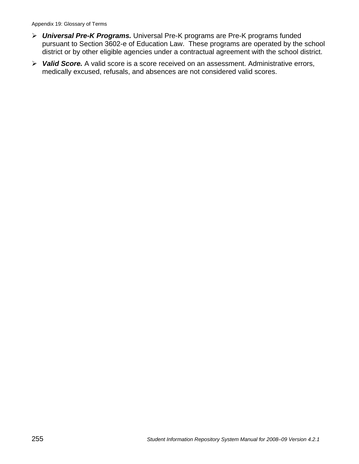- ¾ *Universal Pre-K Programs.* Universal Pre-K programs are Pre-K programs funded pursuant to Section 3602-e of Education Law. These programs are operated by the school district or by other eligible agencies under a contractual agreement with the school district.
- ¾ *Valid Score.* A valid score is a score received on an assessment. Administrative errors, medically excused, refusals, and absences are not considered valid scores.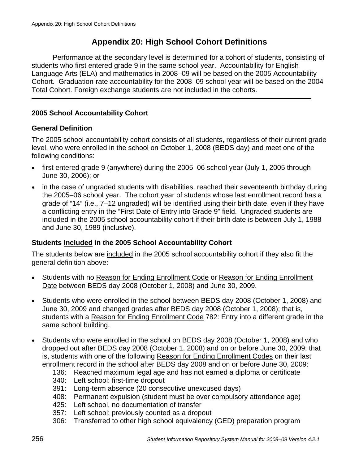## **Appendix 20: High School Cohort Definitions**

Performance at the secondary level is determined for a cohort of students, consisting of students who first entered grade 9 in the same school year. Accountability for English Language Arts (ELA) and mathematics in 2008–09 will be based on the 2005 Accountability Cohort. Graduation-rate accountability for the 2008–09 school year will be based on the 2004 Total Cohort. Foreign exchange students are not included in the cohorts.

## **2005 School Accountability Cohort**

#### **General Definition**

The 2005 school accountability cohort consists of all students, regardless of their current grade level, who were enrolled in the school on October 1, 2008 (BEDS day) and meet one of the following conditions:

- first entered grade 9 (anywhere) during the 2005–06 school year (July 1, 2005 through June 30, 2006); or
- in the case of ungraded students with disabilities, reached their seventeenth birthday during the 2005–06 school year. The cohort year of students whose last enrollment record has a grade of "14" (i.e., 7–12 ungraded) will be identified using their birth date, even if they have a conflicting entry in the "First Date of Entry into Grade 9" field. Ungraded students are included in the 2005 school accountability cohort if their birth date is between July 1, 1988 and June 30, 1989 (inclusive).

## **Students Included in the 2005 School Accountability Cohort**

The students below are included in the 2005 school accountability cohort if they also fit the general definition above:

- Students with no Reason for Ending Enrollment Code or Reason for Ending Enrollment Date between BEDS day 2008 (October 1, 2008) and June 30, 2009.
- Students who were enrolled in the school between BEDS day 2008 (October 1, 2008) and June 30, 2009 and changed grades after BEDS day 2008 (October 1, 2008); that is, students with a Reason for Ending Enrollment Code 782: Entry into a different grade in the same school building.
- Students who were enrolled in the school on BEDS day 2008 (October 1, 2008) and who dropped out after BEDS day 2008 (October 1, 2008) and on or before June 30, 2009; that is, students with one of the following Reason for Ending Enrollment Codes on their last enrollment record in the school after BEDS day 2008 and on or before June 30, 2009:
	- 136: Reached maximum legal age and has not earned a diploma or certificate
	- 340: Left school: first-time dropout
	- 391: Long-term absence (20 consecutive unexcused days)
	- 408: Permanent expulsion (student must be over compulsory attendance age)
	- 425: Left school, no documentation of transfer
	- 357: Left school: previously counted as a dropout
	- 306: Transferred to other high school equivalency (GED) preparation program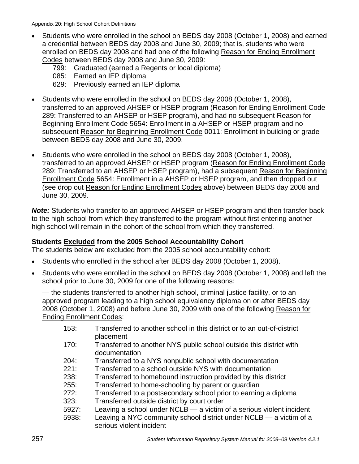- Students who were enrolled in the school on BEDS day 2008 (October 1, 2008) and earned a credential between BEDS day 2008 and June 30, 2009; that is, students who were enrolled on BEDS day 2008 and had one of the following Reason for Ending Enrollment Codes between BEDS day 2008 and June 30, 2009:
	- 799: Graduated (earned a Regents or local diploma)
	- 085: Earned an IEP diploma
	- 629: Previously earned an IEP diploma
- Students who were enrolled in the school on BEDS day 2008 (October 1, 2008), transferred to an approved AHSEP or HSEP program (Reason for Ending Enrollment Code 289: Transferred to an AHSEP or HSEP program), and had no subsequent Reason for Beginning Enrollment Code 5654: Enrollment in a AHSEP or HSEP program and no subsequent Reason for Beginning Enrollment Code 0011: Enrollment in building or grade between BEDS day 2008 and June 30, 2009.
- Students who were enrolled in the school on BEDS day 2008 (October 1, 2008), transferred to an approved AHSEP or HSEP program (Reason for Ending Enrollment Code 289: Transferred to an AHSEP or HSEP program), had a subsequent Reason for Beginning Enrollment Code 5654: Enrollment in a AHSEP or HSEP program, and then dropped out (see drop out Reason for Ending Enrollment Codes above) between BEDS day 2008 and June 30, 2009.

*Note:* Students who transfer to an approved AHSEP or HSEP program and then transfer back to the high school from which they transferred to the program without first entering another high school will remain in the cohort of the school from which they transferred.

#### **Students Excluded from the 2005 School Accountability Cohort**

The students below are excluded from the 2005 school accountability cohort:

- Students who enrolled in the school after BEDS day 2008 (October 1, 2008).
- Students who were enrolled in the school on BEDS day 2008 (October 1, 2008) and left the school prior to June 30, 2009 for one of the following reasons:

— the students transferred to another high school, criminal justice facility, or to an approved program leading to a high school equivalency diploma on or after BEDS day 2008 (October 1, 2008) and before June 30, 2009 with one of the following Reason for Ending Enrollment Codes:

- 153: Transferred to another school in this district or to an out-of-district placement
- 170: Transferred to another NYS public school outside this district with documentation
- 204: Transferred to a NYS nonpublic school with documentation
- 221: Transferred to a school outside NYS with documentation
- 238: Transferred to homebound instruction provided by this district
- 255: Transferred to home-schooling by parent or guardian
- 272: Transferred to a postsecondary school prior to earning a diploma
- 323: Transferred outside district by court order
- 5927: Leaving a school under NCLB a victim of a serious violent incident
- 5938: Leaving a NYC community school district under NCLB a victim of a serious violent incident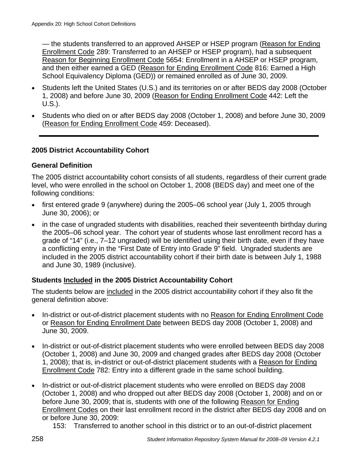— the students transferred to an approved AHSEP or HSEP program (Reason for Ending Enrollment Code 289: Transferred to an AHSEP or HSEP program), had a subsequent Reason for Beginning Enrollment Code 5654: Enrollment in a AHSEP or HSEP program, and then either earned a GED (Reason for Ending Enrollment Code 816: Earned a High School Equivalency Diploma (GED)) or remained enrolled as of June 30, 2009.

- Students left the United States (U.S.) and its territories on or after BEDS day 2008 (October 1, 2008) and before June 30, 2009 (Reason for Ending Enrollment Code 442: Left the U.S.).
- Students who died on or after BEDS day 2008 (October 1, 2008) and before June 30, 2009 (Reason for Ending Enrollment Code 459: Deceased).

## **2005 District Accountability Cohort**

### **General Definition**

The 2005 district accountability cohort consists of all students, regardless of their current grade level, who were enrolled in the school on October 1, 2008 (BEDS day) and meet one of the following conditions:

- first entered grade 9 (anywhere) during the 2005–06 school year (July 1, 2005 through June 30, 2006); or
- in the case of ungraded students with disabilities, reached their seventeenth birthday during the 2005–06 school year. The cohort year of students whose last enrollment record has a grade of "14" (i.e., 7–12 ungraded) will be identified using their birth date, even if they have a conflicting entry in the "First Date of Entry into Grade 9" field. Ungraded students are included in the 2005 district accountability cohort if their birth date is between July 1, 1988 and June 30, 1989 (inclusive).

## **Students Included in the 2005 District Accountability Cohort**

The students below are included in the 2005 district accountability cohort if they also fit the general definition above:

- In-district or out-of-district placement students with no Reason for Ending Enrollment Code or Reason for Ending Enrollment Date between BEDS day 2008 (October 1, 2008) and June 30, 2009.
- In-district or out-of-district placement students who were enrolled between BEDS day 2008 (October 1, 2008) and June 30, 2009 and changed grades after BEDS day 2008 (October 1, 2008); that is, in-district or out-of-district placement students with a Reason for Ending Enrollment Code 782: Entry into a different grade in the same school building.
- In-district or out-of-district placement students who were enrolled on BEDS day 2008 (October 1, 2008) and who dropped out after BEDS day 2008 (October 1, 2008) and on or before June 30, 2009; that is, students with one of the following Reason for Ending Enrollment Codes on their last enrollment record in the district after BEDS day 2008 and on or before June 30, 2009:
	- 153: Transferred to another school in this district or to an out-of-district placement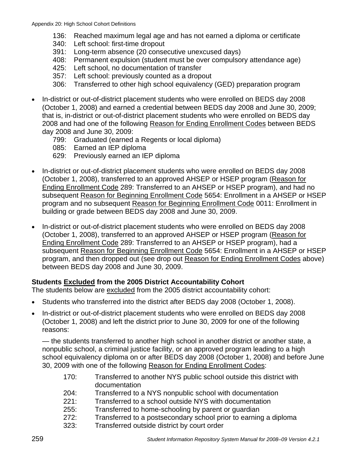- 136: Reached maximum legal age and has not earned a diploma or certificate
- 340: Left school: first-time dropout
- 391: Long-term absence (20 consecutive unexcused days)
- 408: Permanent expulsion (student must be over compulsory attendance age)
- 425: Left school, no documentation of transfer
- 357: Left school: previously counted as a dropout
- 306: Transferred to other high school equivalency (GED) preparation program
- In-district or out-of-district placement students who were enrolled on BEDS day 2008 (October 1, 2008) and earned a credential between BEDS day 2008 and June 30, 2009; that is, in-district or out-of-district placement students who were enrolled on BEDS day 2008 and had one of the following Reason for Ending Enrollment Codes between BEDS day 2008 and June 30, 2009:
	- 799: Graduated (earned a Regents or local diploma)
	- 085: Earned an IEP diploma
	- 629: Previously earned an IEP diploma
- In-district or out-of-district placement students who were enrolled on BEDS day 2008 (October 1, 2008), transferred to an approved AHSEP or HSEP program (Reason for Ending Enrollment Code 289: Transferred to an AHSEP or HSEP program), and had no subsequent Reason for Beginning Enrollment Code 5654: Enrollment in a AHSEP or HSEP program and no subsequent Reason for Beginning Enrollment Code 0011: Enrollment in building or grade between BEDS day 2008 and June 30, 2009.
- In-district or out-of-district placement students who were enrolled on BEDS day 2008 (October 1, 2008), transferred to an approved AHSEP or HSEP program (Reason for Ending Enrollment Code 289: Transferred to an AHSEP or HSEP program), had a subsequent Reason for Beginning Enrollment Code 5654: Enrollment in a AHSEP or HSEP program, and then dropped out (see drop out Reason for Ending Enrollment Codes above) between BEDS day 2008 and June 30, 2009.

#### **Students Excluded from the 2005 District Accountability Cohort**

The students below are excluded from the 2005 district accountability cohort:

- Students who transferred into the district after BEDS day 2008 (October 1, 2008).
- In-district or out-of-district placement students who were enrolled on BEDS day 2008 (October 1, 2008) and left the district prior to June 30, 2009 for one of the following reasons:

— the students transferred to another high school in another district or another state, a nonpublic school, a criminal justice facility, or an approved program leading to a high school equivalency diploma on or after BEDS day 2008 (October 1, 2008) and before June 30, 2009 with one of the following Reason for Ending Enrollment Codes:

- 170: Transferred to another NYS public school outside this district with documentation
- 204: Transferred to a NYS nonpublic school with documentation
- 221: Transferred to a school outside NYS with documentation
- 255: Transferred to home-schooling by parent or guardian
- 272: Transferred to a postsecondary school prior to earning a diploma
- 323: Transferred outside district by court order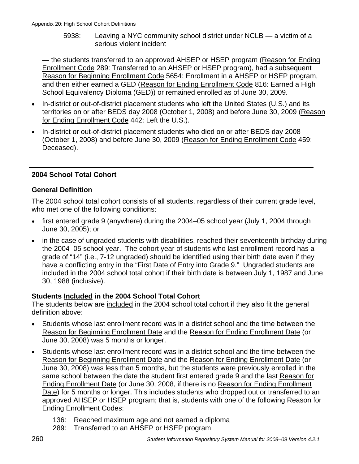5938: Leaving a NYC community school district under NCLB — a victim of a serious violent incident

— the students transferred to an approved AHSEP or HSEP program (Reason for Ending Enrollment Code 289: Transferred to an AHSEP or HSEP program), had a subsequent Reason for Beginning Enrollment Code 5654: Enrollment in a AHSEP or HSEP program, and then either earned a GED (Reason for Ending Enrollment Code 816: Earned a High School Equivalency Diploma (GED)) or remained enrolled as of June 30, 2009.

- In-district or out-of-district placement students who left the United States (U.S.) and its territories on or after BEDS day 2008 (October 1, 2008) and before June 30, 2009 (Reason for Ending Enrollment Code 442: Left the U.S.).
- In-district or out-of-district placement students who died on or after BEDS day 2008 (October 1, 2008) and before June 30, 2009 (Reason for Ending Enrollment Code 459: Deceased).

## **2004 School Total Cohort**

## **General Definition**

The 2004 school total cohort consists of all students, regardless of their current grade level, who met one of the following conditions:

- first entered grade 9 (anywhere) during the 2004–05 school year (July 1, 2004 through June 30, 2005); or
- in the case of ungraded students with disabilities, reached their seventeenth birthday during the 2004–05 school year. The cohort year of students who last enrollment record has a grade of "14" (i.e., 7-12 ungraded) should be identified using their birth date even if they have a conflicting entry in the "First Date of Entry into Grade 9." Ungraded students are included in the 2004 school total cohort if their birth date is between July 1, 1987 and June 30, 1988 (inclusive).

## **Students Included in the 2004 School Total Cohort**

The students below are included in the 2004 school total cohort if they also fit the general definition above:

- Students whose last enrollment record was in a district school and the time between the Reason for Beginning Enrollment Date and the Reason for Ending Enrollment Date (or June 30, 2008) was 5 months or longer.
- Students whose last enrollment record was in a district school and the time between the Reason for Beginning Enrollment Date and the Reason for Ending Enrollment Date (or June 30, 2008) was less than 5 months, but the students were previously enrolled in the same school between the date the student first entered grade 9 and the last Reason for Ending Enrollment Date (or June 30, 2008, if there is no Reason for Ending Enrollment Date) for 5 months or longer. This includes students who dropped out or transferred to an approved AHSEP or HSEP program; that is, students with one of the following Reason for Ending Enrollment Codes:
	- 136: Reached maximum age and not earned a diploma
	- 289: Transferred to an AHSEP or HSEP program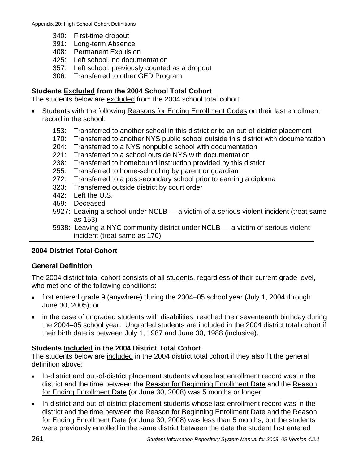- 340: First-time dropout
- 391: Long-term Absence
- 408: Permanent Expulsion
- 425: Left school, no documentation
- 357: Left school, previously counted as a dropout
- 306: Transferred to other GED Program

## **Students Excluded from the 2004 School Total Cohort**

The students below are excluded from the 2004 school total cohort:

- Students with the following Reasons for Ending Enrollment Codes on their last enrollment record in the school:
	- 153: Transferred to another school in this district or to an out-of-district placement
	- 170: Transferred to another NYS public school outside this district with documentation
	- 204: Transferred to a NYS nonpublic school with documentation
	- 221: Transferred to a school outside NYS with documentation
	- 238: Transferred to homebound instruction provided by this district
	- 255: Transferred to home-schooling by parent or guardian
	- 272: Transferred to a postsecondary school prior to earning a diploma
	- 323: Transferred outside district by court order
	- 442: Left the U.S.
	- 459: Deceased
	- 5927: Leaving a school under NCLB a victim of a serious violent incident (treat same as 153)
	- 5938: Leaving a NYC community district under NCLB a victim of serious violent incident (treat same as 170)

## **2004 District Total Cohort**

## **General Definition**

The 2004 district total cohort consists of all students, regardless of their current grade level, who met one of the following conditions:

- first entered grade 9 (anywhere) during the 2004–05 school year (July 1, 2004 through June 30, 2005); or
- in the case of ungraded students with disabilities, reached their seventeenth birthday during the 2004–05 school year. Ungraded students are included in the 2004 district total cohort if their birth date is between July 1, 1987 and June 30, 1988 (inclusive).

## **Students Included in the 2004 District Total Cohort**

The students below are included in the 2004 district total cohort if they also fit the general definition above:

- In-district and out-of-district placement students whose last enrollment record was in the district and the time between the Reason for Beginning Enrollment Date and the Reason for Ending Enrollment Date (or June 30, 2008) was 5 months or longer.
- In-district and out-of-district placement students whose last enrollment record was in the district and the time between the Reason for Beginning Enrollment Date and the Reason for Ending Enrollment Date (or June 30, 2008) was less than 5 months, but the students were previously enrolled in the same district between the date the student first entered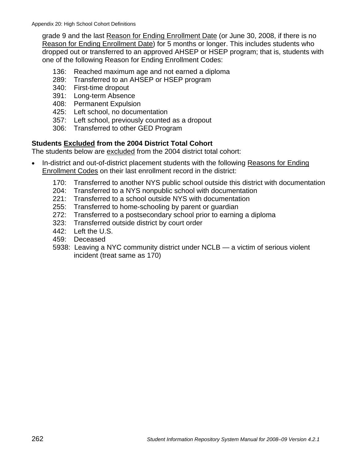grade 9 and the last Reason for Ending Enrollment Date (or June 30, 2008, if there is no Reason for Ending Enrollment Date) for 5 months or longer. This includes students who dropped out or transferred to an approved AHSEP or HSEP program; that is, students with one of the following Reason for Ending Enrollment Codes:

- 136: Reached maximum age and not earned a diploma
- 289: Transferred to an AHSEP or HSEP program
- 340: First-time dropout
- 391: Long-term Absence
- 408: Permanent Expulsion
- 425: Left school, no documentation
- 357: Left school, previously counted as a dropout
- 306: Transferred to other GED Program

#### **Students Excluded from the 2004 District Total Cohort**

The students below are excluded from the 2004 district total cohort:

- In-district and out-of-district placement students with the following Reasons for Ending Enrollment Codes on their last enrollment record in the district:
	- 170: Transferred to another NYS public school outside this district with documentation
	- 204: Transferred to a NYS nonpublic school with documentation
	- 221: Transferred to a school outside NYS with documentation
	- 255: Transferred to home-schooling by parent or guardian
	- 272: Transferred to a postsecondary school prior to earning a diploma
	- 323: Transferred outside district by court order
	- 442: Left the U.S.
	- 459: Deceased
	- 5938: Leaving a NYC community district under NCLB a victim of serious violent incident (treat same as 170)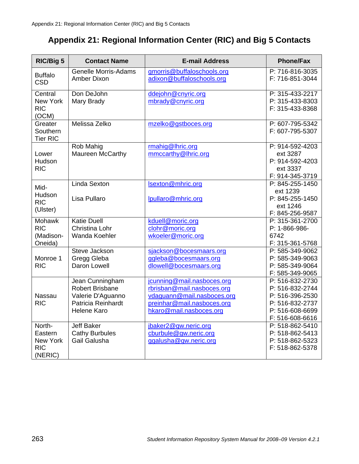## **Appendix 21: Regional Information Center (RIC) and Big 5 Contacts**

| RIC/Big 5                                              | <b>Contact Name</b>                                                                                        | <b>E-mail Address</b>                                                                                                                           | <b>Phone/Fax</b>                                                                                               |
|--------------------------------------------------------|------------------------------------------------------------------------------------------------------------|-------------------------------------------------------------------------------------------------------------------------------------------------|----------------------------------------------------------------------------------------------------------------|
| <b>Buffalo</b><br><b>CSD</b>                           | <b>Genelle Morris-Adams</b><br>Amber Dixon                                                                 | gmorris@buffaloschools.org<br>adixon@buffaloschools.org                                                                                         | P: 716-816-3035<br>F: 716-851-3044                                                                             |
| Central<br>New York<br><b>RIC</b><br>(OCM)             | Don DeJohn<br>Mary Brady                                                                                   | ddejohn@cnyric.org<br>mbrady@cnyric.org                                                                                                         | P: 315-433-2217<br>P: 315-433-8303<br>F: 315-433-8368                                                          |
| Greater<br>Southern<br><b>Tier RIC</b>                 | Melissa Zelko                                                                                              | mzelko@gstboces.org                                                                                                                             | P: 607-795-5342<br>F: 607-795-5307                                                                             |
| Lower<br>Hudson<br><b>RIC</b>                          | <b>Rob Mahig</b><br>Maureen McCarthy                                                                       | rmahig@lhric.org<br>mmccarthy@lhric.org                                                                                                         | P: 914-592-4203<br>ext 3287<br>P: 914-592-4203<br>ext 3337<br>F: 914-345-3719                                  |
| Mid-<br>Hudson<br><b>RIC</b><br>(Ulster)               | <b>Linda Sexton</b><br>Lisa Pullaro                                                                        | Isexton@mhric.org<br>lpullaro@mhric.org                                                                                                         | P: 845-255-1450<br>ext 1239<br>P: 845-255-1450<br>ext 1246<br>F: 845-256-9587                                  |
| <b>Mohawk</b><br><b>RIC</b><br>(Madison-<br>Oneida)    | <b>Katie Duell</b><br>Christina Lohr<br>Wanda Koehler                                                      | kduell@moric.org<br>clohr@moric.org<br>wkoeler@moric.org                                                                                        | P: 315-361-2700<br>P: 1-866-986-<br>6742<br>F: 315-361-5768                                                    |
| Monroe 1<br><b>RIC</b>                                 | Steve Jackson<br>Gregg Gleba<br>Daron Lowell                                                               | sjackson@bocesmaars.org<br>ggleba@bocesmaars.org<br>dlowell@bocesmaars.org                                                                      | P: 585-349-9062<br>P: 585-349-9063<br>P: 585-349-9064<br>F: 585-349-9065                                       |
| <b>Nassau</b><br><b>RIC</b>                            | Jean Cunningham<br><b>Robert Brisbane</b><br>Valerie D'Aguanno<br>Patricia Reinhardt<br><b>Helene Karo</b> | jcunning@mail.nasboces.org<br>rbrisban@mail.nasboces.org<br>vdaguann@mail.nasboces.org<br>preinhar@mail.nasboces.org<br>hkaro@mail.nasboces.org | P: 516-832-2730<br>P: 516-832-2744<br>P: 516-396-2530<br>P: 516-832-2737<br>P: 516-608-6699<br>F: 516-608-6616 |
| North-<br>Eastern<br>New York<br><b>RIC</b><br>(NERIC) | <b>Jeff Baker</b><br><b>Cathy Burbules</b><br>Gail Galusha                                                 | jbaker2@gw.neric.org<br>cburbule@gw.neric.org<br>ggalusha@gw.neric.org                                                                          | P: 518-862-5410<br>P: 518-862-5413<br>P: 518-862-5323<br>F: 518-862-5378                                       |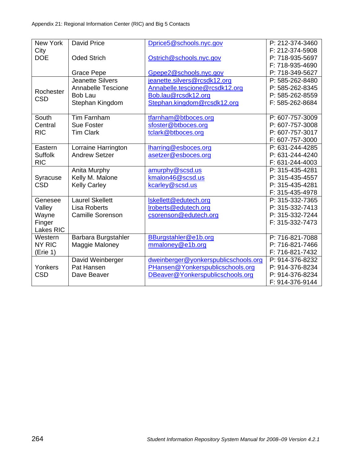| New York       | <b>David Price</b>        | Dprice5@schools.nyc.gov              | P: 212-374-3460 |
|----------------|---------------------------|--------------------------------------|-----------------|
| City           |                           |                                      | F: 212-374-5908 |
| <b>DOE</b>     | <b>Oded Strich</b>        | Ostrich@schools.nyc.gov              | P: 718-935-5697 |
|                |                           |                                      | F: 718-935-4690 |
|                | <b>Grace Pepe</b>         | Gpepe2@schools.nyc.gov               | P: 718-349-5627 |
|                | Jeanette Silvers          | jeanette.silvers@rcsdk12.org         | P: 585-262-8480 |
| Rochester      | <b>Annabelle Tescione</b> | Annabelle.tescione@rcsdk12.org       | P: 585-262-8345 |
| <b>CSD</b>     | <b>Bob Lau</b>            | Bob.lau@rcsdk12.org                  | P: 585-262-8559 |
|                | Stephan Kingdom           | Stephan.kingdom@rcsdk12.org          | F: 585-262-8684 |
|                |                           |                                      |                 |
| South          | Tim Farnham               | tfarnham@btboces.org                 | P: 607-757-3009 |
| Central        | Sue Foster                | sfoster@btboces.org                  | P: 607-757-3008 |
| <b>RIC</b>     | <b>Tim Clark</b>          | tclark@btboces.org                   | P: 607-757-3017 |
|                |                           |                                      | F: 607-757-3000 |
| Eastern        | Lorraine Harrington       | lharring@esboces.org                 | P: 631-244-4285 |
| <b>Suffolk</b> | <b>Andrew Setzer</b>      | asetzer@esboces.org                  | P: 631-244-4240 |
| <b>RIC</b>     |                           |                                      | F: 631-244-4003 |
|                | Anita Murphy              | amurphy@scsd.us                      | P: 315-435-4281 |
| Syracuse       | Kelly M. Malone           | kmalon46@scsd.us                     | P: 315-435-4557 |
| <b>CSD</b>     | <b>Kelly Carley</b>       | kcarley@scsd.us                      | P: 315-435-4281 |
|                |                           |                                      | F: 315-435-4978 |
| Genesee        | <b>Laurel Skellett</b>    | Iskellett@edutech.org                | P: 315-332-7365 |
| Valley         | <b>Lisa Roberts</b>       | Iroberts@edutech.org                 | P: 315-332-7413 |
| Wayne          | <b>Camille Sorenson</b>   | csorenson@edutech.org                | P: 315-332-7244 |
| Finger         |                           |                                      | F: 315-332-7473 |
| Lakes RIC      |                           |                                      |                 |
| Western        | Barbara Burgstahler       | BBurgstahler@e1b.org                 | P: 716-821-7088 |
| NY RIC         | Maggie Maloney            | mmaloney@e1b.org                     | P: 716-821-7466 |
| (Erie 1)       |                           |                                      | F: 716-821-7432 |
|                | David Weinberger          | dweinberger@yonkerspublicschools.org | P: 914-376-8232 |
| Yonkers        | Pat Hansen                | PHansen@Yonkerspublicschools.org     | P: 914-376-8234 |
| <b>CSD</b>     | Dave Beaver               | DBeaver@Yonkerspublicschools.org     | P: 914-376-8234 |
|                |                           |                                      | F: 914-376-9144 |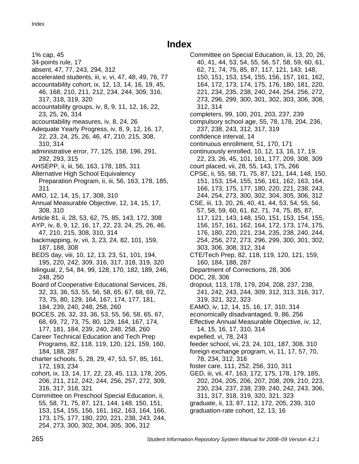## **Index**

1% cap, 45

- 34-points rule, 17
- absent, 47, 77, 243, 294, 312
- accelerated students, iii, v, vi, 47, 48, 49, 76, 77 accountability cohort, ix, 12, 13, 14, 16, 19, 45,
- 46, 168, 210, 211, 212, 234, 244, 309, 316, 317, 318, 319, 320
- accountability groups, iv, 8, 9, 11, 12, 16, 22, 23, 25, 26, 314
- accountability measures, iv, 8, 24, 26
- Adequate Yearly Progress, iv, 8, 9, 12, 16, 17, 22, 23, 24, 25, 26, 46, 47, 210, 215, 308, 310, 314
- administrative error, 77, 125, 158, 196, 291, 292, 293, 315
- AHSEPP, ii, iii, 56, 163, 178, 185, 311
- Alternative High School Equivalency Preparation Program, ii, iii, 56, 163, 178, 185, 311
- AMO, 12, 14, 15, 17, 308, 310
- Annual Measurable Objective, 12, 14, 15, 17, 308, 310
- Article 81, ii, 28, 53, 62, 75, 85, 143, 172, 308
- AYP, iv, 8, 9, 12, 16, 17, 22, 23, 24, 25, 26, 46, 47, 210, 215, 308, 310, 314
- backmapping, iv, vii, 3, 23, 24, 82, 101, 159, 187, 188, 308
- BEDS day, viii, 10, 12, 13, 23, 51, 101, 194, 195, 220, 242, 309, 316, 317, 318, 319, 320
- bilingual, 2, 54, 84, 99, 128, 170, 182, 189, 246, 248, 250
- Board of Cooperative Educational Services, 26, 32, 33, 36, 53, 55, 56, 58, 65, 67, 68, 69, 72, 73, 75, 80, 129, 164, 167, 174, 177, 181, 184, 239, 240, 248, 258, 260
- BOCES, 26, 32, 33, 36, 53, 55, 56, 58, 65, 67, 68, 69, 72, 73, 75, 80, 129, 164, 167, 174, 177, 181, 184, 239, 240, 248, 258, 260
- Career Technical Education and Tech Prep Programs, 82, 118, 119, 120, 121, 159, 160,
- 184, 188, 287
- charter schools, 5, 28, 29, 47, 53, 57, 85, 161, 172, 193, 234
- cohort, ix, 13, 14, 17, 22, 23, 45, 113, 178, 205, 206, 211, 212, 242, 244, 256, 257, 272, 309, 316, 317, 318, 321
- Committee on Preschool Special Education, ii, 55, 58, 71, 75, 87, 121, 144, 148, 150, 151, 153, 154, 155, 156, 161, 162, 163, 164, 166, 173, 175, 177, 180, 220, 221, 238, 243, 244, 254, 273, 300, 302, 304, 305, 306, 312

Committee on Special Education, iii, 13, 20, 26, 40, 41, 44, 53, 54, 55, 56, 57, 58, 59, 60, 61, 62, 71, 74, 75, 85, 87, 117, 121, 143, 148, 150, 151, 153, 154, 155, 156, 157, 161, 162, 164, 172, 173, 174, 175, 176, 180, 181, 220, 221, 234, 235, 238, 240, 244, 254, 256, 272, 273, 296, 299, 300, 301, 302, 303, 306, 308, 312, 314 completers, 99, 100, 201, 203, 237, 239 compulsory school age, 55, 78, 178, 204, 236, 237, 238, 243, 312, 317, 319 confidence interval, 14 continuous enrollment, 51, 170, 171 continuously enrolled, 10, 12, 13, 16, 17, 19, 22, 23, 26, 45, 101, 161, 177, 209, 308, 309 court placed, vii, 28, 55, 143, 175, 266 CPSE, ii, 55, 58, 71, 75, 87, 121, 144, 148, 150, 151, 153, 154, 155, 156, 161, 162, 163, 164, 166, 173, 175, 177, 180, 220, 221, 238, 243, 244, 254, 273, 300, 302, 304, 305, 306, 312 CSE, iii, 13, 20, 26, 40, 41, 44, 53, 54, 55, 56, 57, 58, 59, 60, 61, 62, 71, 74, 75, 85, 87, 117, 121, 143, 148, 150, 151, 153, 154, 155, 156, 157, 161, 162, 164, 172, 173, 174, 175, 176, 180, 220, 221, 234, 235, 238, 240, 244, 254, 256, 272, 273, 296, 299, 300, 301, 302, 303, 306, 308, 312, 314 CTE/Tech Prep, 82, 118, 119, 120, 121, 159, 160, 184, 188, 287 Department of Corrections, 28, 306 DOC, 28, 306 dropout, 113, 178, 179, 204, 208, 237, 238, 241, 242, 243, 244, 309, 312, 313, 316, 317, 319, 321, 322, 323 EAMO, iv, 12, 14, 15, 16, 17, 310, 314 economically disadvantaged, 9, 86, 256 Effective Annual Measurable Objective, iv, 12, 14, 15, 16, 17, 310, 314 expelled, vi, 78, 243 feeder school, vii, 23, 24, 101, 187, 308, 310 foreign exchange program, vi, 11, 17, 57, 70, 78, 234, 312, 316 foster care, 111, 252, 256, 310, 311 GED, iii, vii, 47, 163, 172, 175, 178, 179, 185, 202, 204, 205, 206, 207, 208, 209, 210, 223, 230, 234, 237, 238, 239, 240, 242, 243, 306, 311, 317, 318, 319, 320, 321, 323 graduate, ii, 13, 87, 112, 172, 205, 239, 310 graduation-rate cohort, 12, 13, 16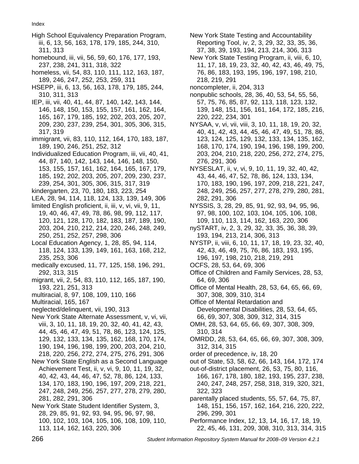Index

- High School Equivalency Preparation Program, iii, 6, 13, 56, 163, 178, 179, 185, 244, 310, 311, 313
- homebound, iii, vii, 56, 59, 60, 176, 177, 193, 237, 238, 241, 311, 318, 322
- homeless, vii, 54, 83, 110, 111, 112, 163, 187, 189, 246, 247, 252, 253, 259, 311
- HSEPP, iii, 6, 13, 56, 163, 178, 179, 185, 244, 310, 311, 313
- IEP, iii, vii, 40, 41, 44, 87, 140, 142, 143, 144, 146, 148, 150, 153, 155, 157, 161, 162, 164, 165, 167, 179, 185, 192, 202, 203, 205, 207, 209, 230, 237, 239, 254, 301, 305, 306, 315, 317, 319
- immigrant, vii, 83, 110, 112, 164, 170, 183, 187, 189, 190, 246, 251, 252, 312
- Individualized Education Program, iii, vii, 40, 41, 44, 87, 140, 142, 143, 144, 146, 148, 150, 153, 155, 157, 161, 162, 164, 165, 167, 179, 185, 192, 202, 203, 205, 207, 209, 230, 237, 239, 254, 301, 305, 306, 315, 317, 319
- kindergarten, 23, 70, 180, 183, 223, 254
- LEA, 28, 94, 114, 118, 124, 133, 139, 149, 306 limited English proficient, ii, iii, v, vi, vii, 9, 11,
- 19, 40, 46, 47, 49, 78, 86, 98, 99, 112, 117, 120, 121, 128, 170, 182, 183, 187, 189, 190, 203, 204, 210, 212, 214, 220, 246, 248, 249, 250, 251, 252, 257, 298, 306
- Local Education Agency, 1, 28, 85, 94, 114, 118, 124, 133, 139, 149, 161, 163, 168, 212, 235, 253, 306
- medically excused, 11, 77, 125, 158, 196, 291, 292, 313, 315
- migrant, vii, 2, 54, 83, 110, 112, 165, 187, 190, 193, 221, 251, 313
- multiracial, 8, 97, 108, 109, 110, 166
- Multiracial, 165, 167
- neglected/delinquent, vii, 190, 313
- New York State Alternate Assessment, v, vi, vii, viii, 3, 10, 11, 18, 19, 20, 32, 40, 41, 42, 43, 44, 45, 46, 47, 49, 51, 78, 86, 123, 124, 125, 129, 132, 133, 134, 135, 162, 168, 170, 174, 190, 194, 196, 198, 199, 200, 203, 204, 210, 218, 220, 256, 272, 274, 275, 276, 291, 306
- New York State English as a Second Language Achievement Test, ii, v, vi, 9, 10, 11, 19, 32, 40, 42, 43, 44, 46, 47, 52, 78, 86, 124, 133, 134, 170, 183, 190, 196, 197, 209, 218, 221, 247, 248, 249, 256, 257, 277, 278, 279, 280, 281, 282, 291, 306
- New York State Student Identifier System, 3, 28, 29, 85, 91, 92, 93, 94, 95, 96, 97, 98, 100, 102, 103, 104, 105, 106, 108, 109, 110, 113, 114, 162, 163, 220, 306
- New York State Testing and Accountability Reporting Tool, iv, 2, 3, 29, 32, 33, 35, 36, 37, 38, 39, 193, 194, 213, 214, 306, 313
- New York State Testing Program, ii, viii, 6, 10, 11, 17, 18, 19, 23, 32, 40, 42, 43, 46, 49, 75, 76, 86, 183, 193, 195, 196, 197, 198, 210, 218, 219, 291
- noncompleter, ii, 204, 313
- nonpublic schools, 28, 36, 40, 53, 54, 55, 56, 57, 75, 76, 85, 87, 92, 113, 118, 123, 132, 139, 148, 151, 156, 161, 164, 172, 185, 216, 220, 222, 234, 301
- NYSAA, v, vi, vii, viii, 3, 10, 11, 18, 19, 20, 32, 40, 41, 42, 43, 44, 45, 46, 47, 49, 51, 78, 86, 123, 124, 125, 129, 132, 133, 134, 135, 162, 168, 170, 174, 190, 194, 196, 198, 199, 200, 203, 204, 210, 218, 220, 256, 272, 274, 275, 276, 291, 306
- NYSESLAT, ii, v, vi, 9, 10, 11, 19, 32, 40, 42, 43, 44, 46, 47, 52, 78, 86, 124, 133, 134, 170, 183, 190, 196, 197, 209, 218, 221, 247, 248, 249, 256, 257, 277, 278, 279, 280, 281, 282, 291, 306
- NYSSIS, 3, 28, 29, 85, 91, 92, 93, 94, 95, 96, 97, 98, 100, 102, 103, 104, 105, 106, 108, 109, 110, 113, 114, 162, 163, 220, 306
- nySTART, iv, 2, 3, 29, 32, 33, 35, 36, 38, 39, 193, 194, 213, 214, 306, 313
- NYSTP, ii, viii, 6, 10, 11, 17, 18, 19, 23, 32, 40, 42, 43, 46, 49, 75, 76, 86, 183, 193, 195, 196, 197, 198, 210, 218, 219, 291
- OCFS, 28, 53, 64, 69, 306
- Office of Children and Family Services, 28, 53, 64, 69, 306
- Office of Mental Health, 28, 53, 64, 65, 66, 69, 307, 308, 309, 310, 314
- Office of Mental Retardation and Developmental Disabilities, 28, 53, 64, 65, 66, 69, 307, 308, 309, 312, 314, 315
- OMH, 28, 53, 64, 65, 66, 69, 307, 308, 309, 310, 314
- OMRDD, 28, 53, 64, 65, 66, 69, 307, 308, 309, 312, 314, 315
- order of precedence, iv, 18, 20
- out of State, 53, 58, 62, 66, 143, 164, 172, 174
- out-of-district placement, 26, 53, 75, 80, 116, 166, 167, 178, 180, 182, 193, 195, 237, 238, 240, 247, 248, 257, 258, 318, 319, 320, 321, 322, 323
- parentally placed students, 55, 57, 64, 75, 87, 148, 151, 156, 157, 162, 164, 216, 220, 222, 296, 299, 301
- Performance Index, 12, 13, 14, 16, 17, 18, 19, 22, 45, 46, 131, 209, 308, 310, 313, 314, 315